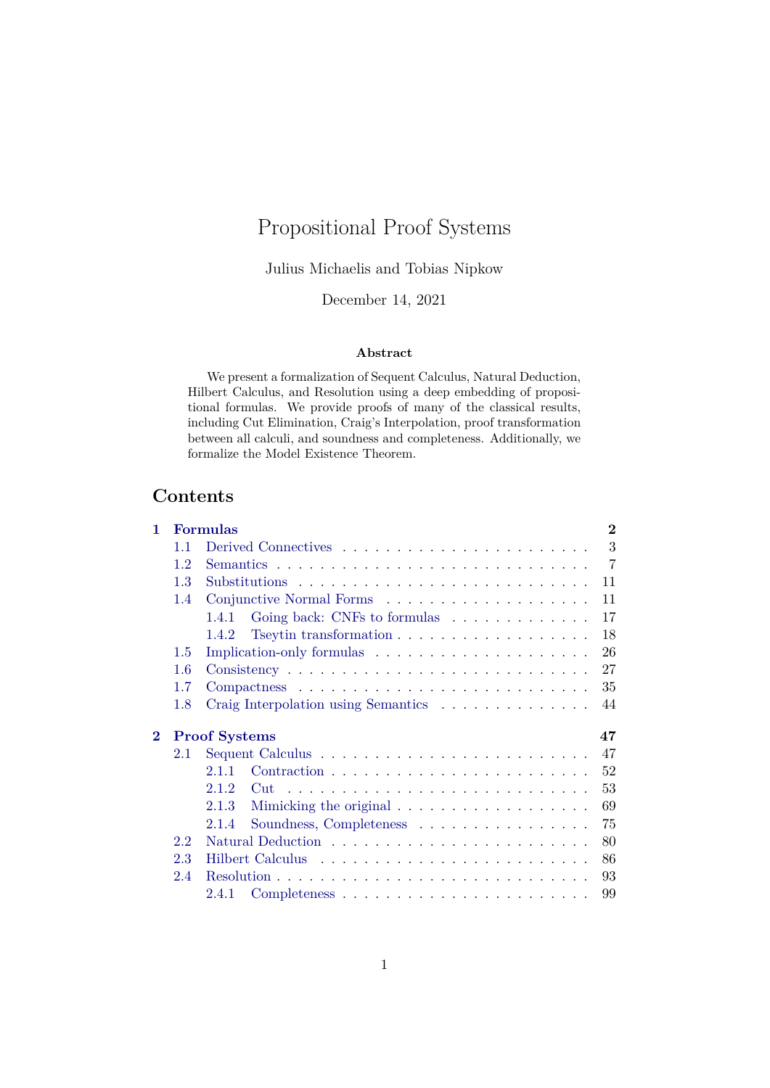# Propositional Proof Systems

Julius Michaelis and Tobias Nipkow

December 14, 2021

## **Abstract**

We present a formalization of Sequent Calculus, Natural Deduction, Hilbert Calculus, and Resolution using a deep embedding of propositional formulas. We provide proofs of many of the classical results, including Cut Elimination, Craig's Interpolation, proof transformation between all calculi, and soundness and completeness. Additionally, we formalize the Model Existence Theorem.

## **Contents**

| 1        |                            | $\mathbf{2}$<br><b>Formulas</b>                                                    |  |  |  |  |  |
|----------|----------------------------|------------------------------------------------------------------------------------|--|--|--|--|--|
|          | 1.1                        | 3                                                                                  |  |  |  |  |  |
|          | 1.2                        | $\overline{7}$                                                                     |  |  |  |  |  |
|          | 1.3                        | 11                                                                                 |  |  |  |  |  |
|          | 1.4                        | 11                                                                                 |  |  |  |  |  |
|          |                            | Going back: CNFs to formulas<br>17<br>1.4.1                                        |  |  |  |  |  |
|          |                            | Tseytin transformation $\ldots \ldots \ldots \ldots \ldots \ldots$<br>18<br>1.4.2  |  |  |  |  |  |
|          | 1.5                        | Implication-only formulas<br>26                                                    |  |  |  |  |  |
|          | 1.6                        | 27<br>$Consistency \ldots \ldots \ldots \ldots \ldots \ldots \ldots \ldots \ldots$ |  |  |  |  |  |
|          | 1.7                        | 35                                                                                 |  |  |  |  |  |
|          | 1.8                        | Craig Interpolation using Semantics<br>44                                          |  |  |  |  |  |
| $\bf{2}$ | <b>Proof Systems</b><br>47 |                                                                                    |  |  |  |  |  |
|          | 2.1                        | 47                                                                                 |  |  |  |  |  |
|          |                            | 52<br>2.1.1                                                                        |  |  |  |  |  |
|          |                            | 53<br>2.1.2                                                                        |  |  |  |  |  |
|          |                            | Mimicking the original $\ldots \ldots \ldots \ldots \ldots \ldots$<br>69<br>2.1.3  |  |  |  |  |  |
|          |                            | Soundness, Completeness<br>75<br>2.1.4                                             |  |  |  |  |  |
|          | 2.2                        | 80                                                                                 |  |  |  |  |  |
|          | 2.3                        | 86                                                                                 |  |  |  |  |  |
|          | 2.4                        | 93                                                                                 |  |  |  |  |  |
|          |                            | 2.4.1<br>99                                                                        |  |  |  |  |  |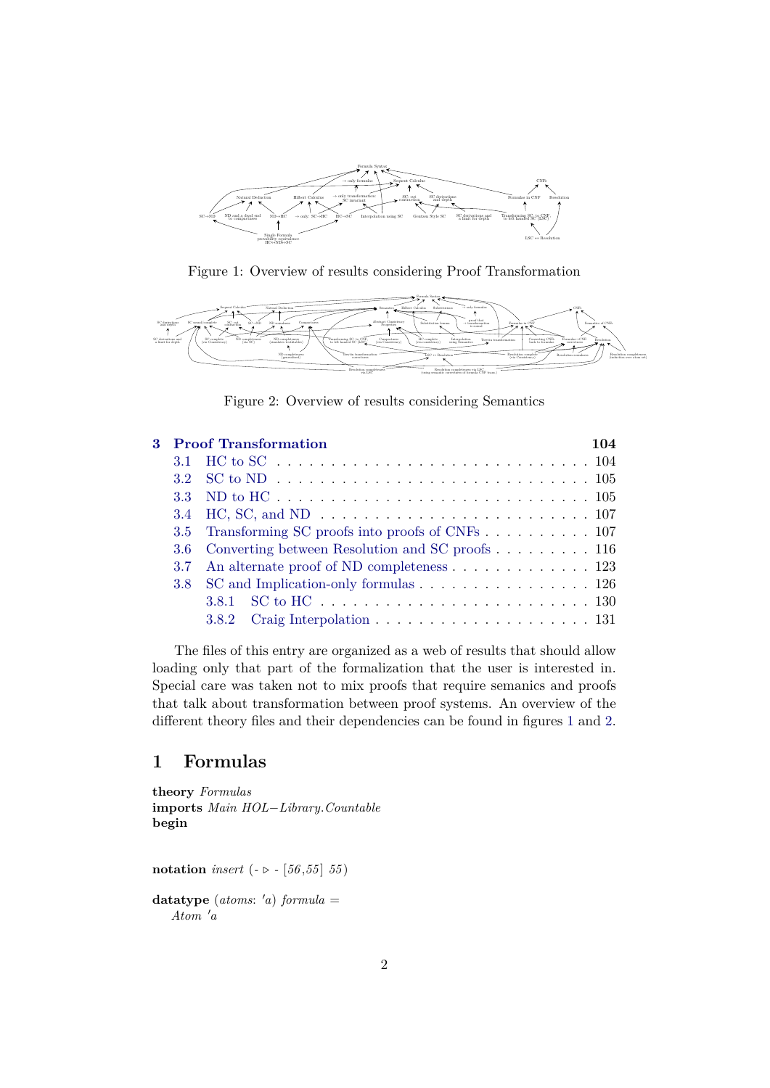

<span id="page-1-1"></span>Figure 1: Overview of results considering Proof Transformation



<span id="page-1-2"></span>Figure 2: Overview of results considering Semantics

|  | 3 Proof Transformation                              | 104 |
|--|-----------------------------------------------------|-----|
|  |                                                     |     |
|  |                                                     |     |
|  |                                                     |     |
|  |                                                     |     |
|  | 3.5 Transforming SC proofs into proofs of CNFs 107  |     |
|  | 3.6 Converting between Resolution and SC proofs 116 |     |
|  | 3.7 An alternate proof of ND completeness 123       |     |
|  | 3.8 SC and Implication-only formulas 126            |     |
|  |                                                     |     |
|  |                                                     |     |

The files of this entry are organized as a web of results that should allow loading only that part of the formalization that the user is interested in. Special care was taken not to mix proofs that require semanics and proofs that talk about transformation between proof systems. An overview of the different theory files and their dependencies can be found in figures [1](#page-1-1) and [2.](#page-1-2)

## <span id="page-1-0"></span>**1 Formulas**

**theory** *Formulas* **imports** *Main HOL*−*Library*.*Countable* **begin**

**notation** *insert* ( $- \triangleright - [56, 55, 55]$ 

 $datatype$   $(atoms: 'a)$   $formula =$  $A$ *tom*  $'a$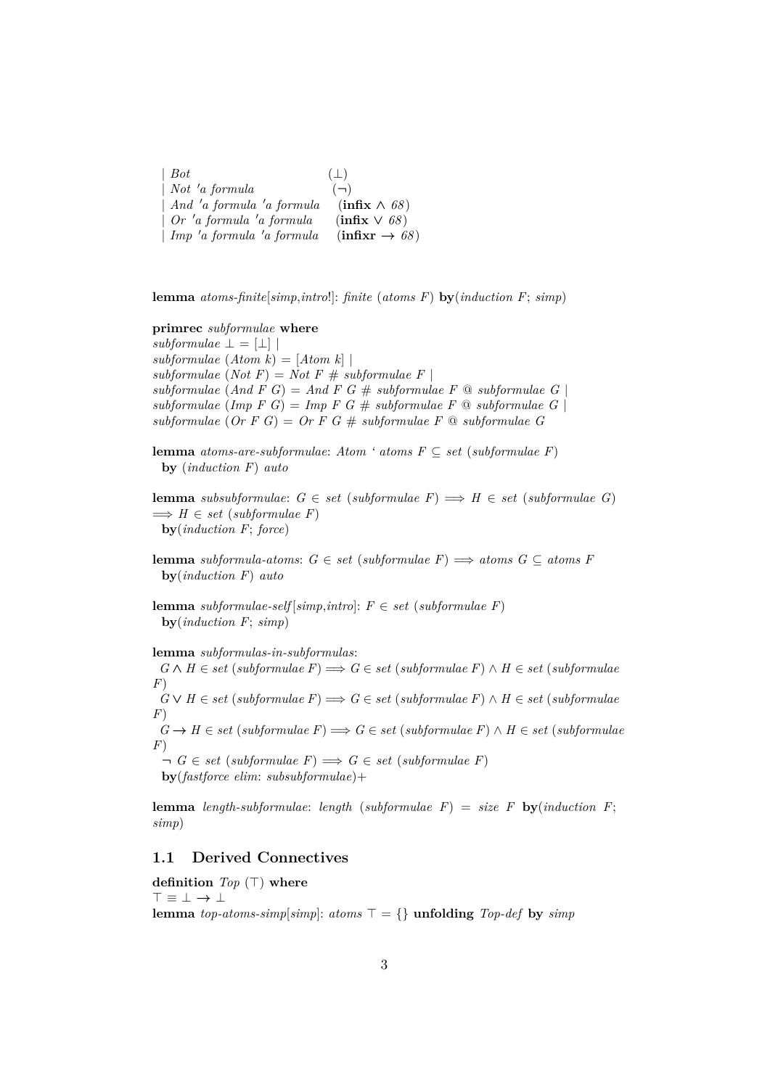| $\mid Bot$                       | $(\perp)$                                |
|----------------------------------|------------------------------------------|
| $\mid$ Not 'a formula            | $(-)$                                    |
| $\mid$ And 'a formula 'a formula | $(\text{infix} \wedge 68)$               |
| $\int$ Or 'a formula 'a formula  | $\left(\text{infix}\vee\text{68}\right)$ |
| $\mid$ Imp 'a formula 'a formula | $(infixr \rightarrow 68)$                |

**lemma** *atoms-finite*[*simp*,*intro*!]: *finite* (*atoms F*) **by**(*induction F*; *simp*)

## **primrec** *subformulae* **where**

 $subformulae \perp = [\perp]$ *subformulae* (*Atom k*) = [*Atom k*] |  $subformulae (Not F) = Not F # subformulae F$  $subformulae (And F G) = And F G # subformulae F @ subformulae G$  $subformulae$  (*Imp F G*) = *Imp F G* #  $subformulae$  *F*  $\textcircled{a}$   $subformulae$  *G*) *subformulae* (*Or F G*) = *Or F G* # *subformulae F* @ *subformulae G*

**lemma** *atoms-are-subformulae: Atom ' atoms*  $F \subseteq set$  *(subformulae F)* **by** (*induction F*) *auto*

**lemma** *subsubformulae*:  $G \in set$  (*subformulae*  $F$ )  $\implies$   $H \in set$  (*subformulae G*)  $\implies H \in set$  (*subformulae F*) **by**(*induction F*; *force*)

**lemma** *subformula-atoms*:  $G \in set$  (*subformulae F*)  $\implies$  *atoms*  $G \subseteq atoms F$ **by**(*induction F*) *auto*

**lemma** *subformulae-self* [*simp*,*intro*]:  $F \in set$  (*subformulae F*) **by**(*induction F*; *simp*)

#### **lemma** *subformulas-in-subformulas*:

 $G \wedge H \in set$  (*subformulae F*)  $\Longrightarrow$  *G* ∈ *set* (*subformulae F*)  $\wedge$  *H* ∈ *set* (*subformulae F*)

 $G \vee H \in set$  (*subformulae F*)  $\Longrightarrow$  *G* ∈ *set* (*subformulae F*) ∧ *H* ∈ *set* (*subformulae F*)

 $G \rightarrow H \in set$  (*subformulae F*)  $\Rightarrow G \in set$  (*subformulae F*) ∧ *H* ∈ *set* (*subformulae F*)

 $\neg G \in set \ (subformulae \ F) \Longrightarrow G \in set \ (subformulae \ F)$ **by**(*fastforce elim*: *subsubformulae*)+

**lemma** *length-subformulae*: *length* (*subformulae F*) = *size F* **by**(*induction F*; *simp*)

## <span id="page-2-0"></span>**1.1 Derived Connectives**

**definition**  $Top(\top)$  where > ≡ ⊥ → ⊥ **lemma** *top-atoms-simp*[*simp*]: *atoms*  $\top = \{\}$  **unfolding** *Top-def* by *simp*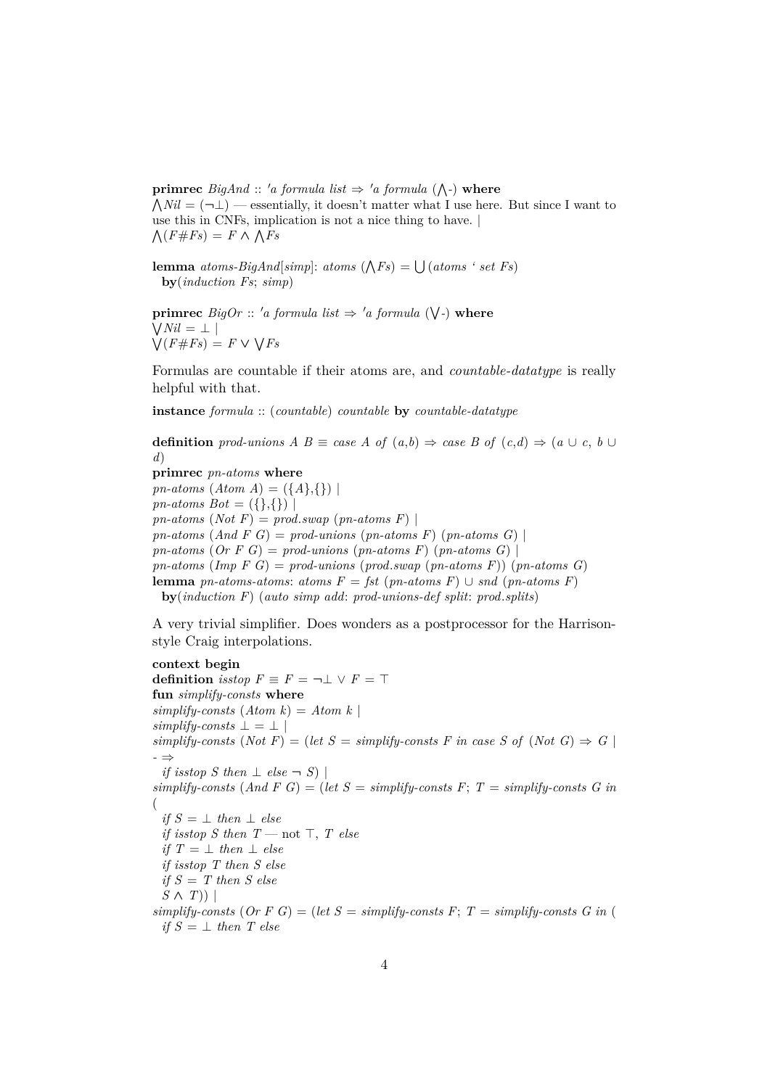**primrec**  $BigAnd :: 'a$  formula list  $\Rightarrow 'a$  formula  $(\wedge \cdot)$  where  $\bigwedge Nil = (\neg \bot)$  — essentially, it doesn't matter what I use here. But since I want to use this in CNFs, implication is not a nice thing to have. |  $\bigwedge (F \# Fs) = F \wedge \bigwedge Fs$ 

**lemma** *atoms-BigAnd*[simp]: *atoms*  $(\bigwedge F_s) = \bigcup (atoms \, ' \, set \, F_s)$ **by**(*induction Fs*; *simp*)

**primrec**  $Big$  *BigOr* :: 'a formula list  $\Rightarrow$  'a formula ( $\bigvee$ -) where W *Nil* = ⊥ |  $\bigvee (F \# F s) = F \vee \bigvee F s$ 

Formulas are countable if their atoms are, and *countable-datatype* is really helpful with that.

**instance** *formula* :: (*countable*) *countable* **by** *countable-datatype*

**definition** *prod-unions*  $A \ B \equiv \text{case } A \ \text{of} \ (a,b) \Rightarrow \text{case } B \ \text{of} \ (c,d) \Rightarrow (a \cup c, b \cup c)$ *d*)

**primrec** *pn-atoms* **where** *pn-atoms*  $(Atom A) = (\{A\},\{\})$ *pn-atoms Bot* =  $({},\})$  $pn\text{-}atoms(Not F) = prod.sum(pn\text{-}atoms F)$  $pn-atoms$  (*And F G*) =  $prod\$ -unions ( $pn-atoms$  F) ( $pn-atoms$  G) | *pn-atoms* (*Or*  $F$   $G$ ) = *prod-unions* (*pn-atoms*  $F$ ) (*pn-atoms*  $G$ ) | *pn-atoms* (*Imp F G*) = *prod-unions* (*prod*.*swap* (*pn-atoms F*)) (*pn-atoms G*) **lemma** *pn-atoms-atoms*: *atoms*  $F = \text{fst}$  (*pn-atoms F*) ∪ *snd* (*pn-atoms F*) **by**(*induction F*) (*auto simp add*: *prod-unions-def split*: *prod*.*splits*)

A very trivial simplifier. Does wonders as a postprocessor for the Harrisonstyle Craig interpolations.

**context begin definition** *isstop*  $F \equiv F = \neg \bot \lor F = \top$ **fun** *simplify-consts* **where**  $simplify-consts$   $(Atom k) = Atom k$  $simplify$ -consts  $\perp = \perp$  $simplify-consts$  (*Not*  $F$ ) = (*let*  $S = simplify-consts$   $F$  *in case*  $S$  *of* (*Not*  $G$ )  $\Rightarrow$   $G$ *-* ⇒ *if isstop S then*  $\perp$  *else*  $\neg$  *S*)  $simplify-consts$  (And  $F G$ ) = (let  $S = simplify-consts$   $F: T = simplify-consts$   $G$  in ( *if*  $S = ⊥$  *then*  $⊥$  *else if isstop S then*  $T$  — not  $\top$ ,  $T$  else *if*  $T = \perp$  *then*  $\perp$  *else if isstop T then S else if S* = *T then S else*  $S \wedge T)$  $simplify-consts$  (Or F G) = (let  $S = simplify-consts$  F;  $T = simplify-consts$  G in ( *if*  $S = \perp$  *then T* else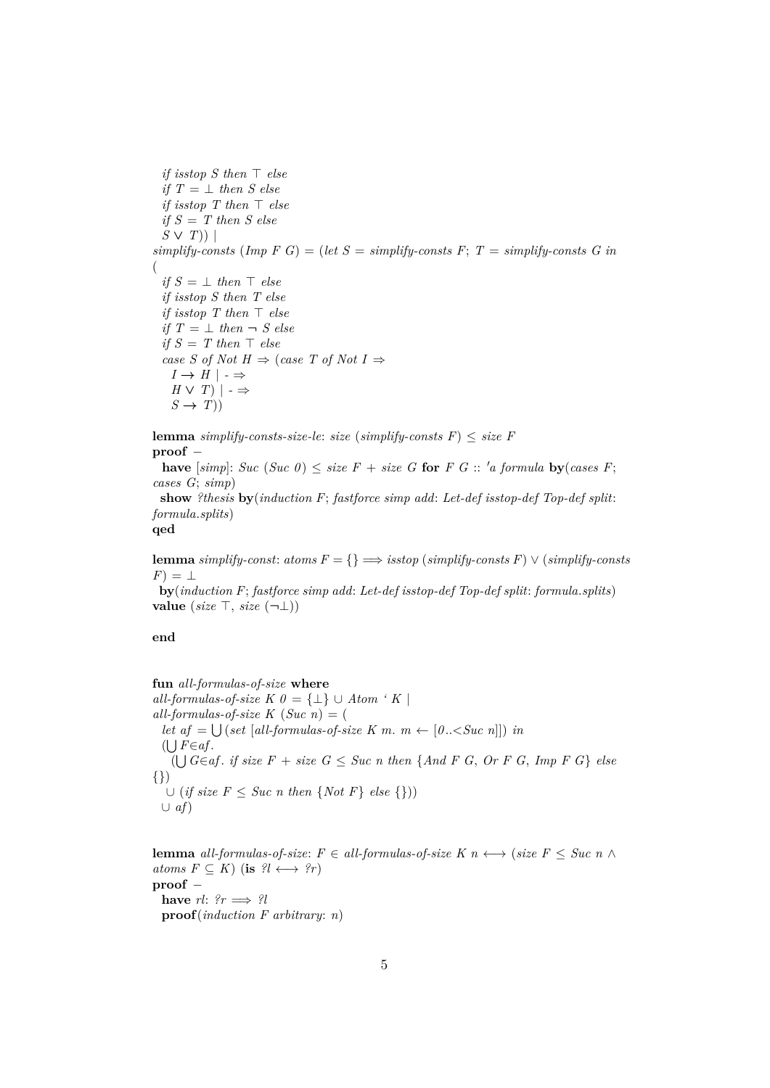*if isstop S then*  $\top$  *else if*  $T = \perp$  *then S* else *if isstop*  $T$  *then*  $\top$  *else if S* = *T then S else S* ∨ *T*)) |  $simplify-consts$  (Imp  $F \ G$ ) = (let  $S = simplify-consts$   $F$ ;  $T = simplify-consts$   $G \ in$ ( *if*  $S = \perp$  *then*  $\top$  *else if isstop S then T else if isstop*  $T$  *then*  $\top$  *else if*  $T = \perp$  *then*  $\neg$  *S else if*  $S = T$  *then*  $\top$  *else case S of Not H*  $\Rightarrow$  (*case T of Not I*  $\Rightarrow$ *I* → *H* |  $\cdot$  ⇒ *H* ∨ *T*)  $|$  - ⇒  $S \rightarrow T$ )

**lemma** *simplify-consts-size-le: size* (*simplify-consts F*)  $\leq$  *size F* **proof** −

**have**  $[simp]: \textit{Suc } (Suc \space 0) \leq size \space F + size \space G \text{ for } F \space G :: \space 'a \text{ formula } \textbf{by} (cases \space F;$ *cases G*; *simp*)

**show** *?thesis* **by**(*induction F*; *fastforce simp add*: *Let-def isstop-def Top-def split*: *formula*.*splits*)

## **qed**

**lemma** *simplify-const: atoms*  $F = \{ \} \implies isstop(\simplify\text{-}consts \text{ } F) \lor (\simplify\text{-}consts \text{ } F)$  $F) = \perp$ 

**by**(*induction F*; *fastforce simp add*: *Let-def isstop-def Top-def split*: *formula*.*splits*) **value** (*size*  $\top$ , *size*  $(\neg \bot)$ )

**end**

**fun** *all-formulas-of-size* **where** *all-formulas-of-size K 0* =  $\{\perp\}$  ∪ *Atom ' K* |  $all-formulas-of-size K (Suc~ n) = ($ *let*  $af = \bigcup (set [all-formulas-of-size K m. m \leftarrow [0.. *in*$  $($ ∪ $F∈ af$ .  $($ *∪*  $G∈af.$  *if size*  $F + size G ≤ Succ n$  *then* {*And*  $F G$ ,  $Or F G$ ,  $Imp F G$ } *else* {}) ∪ (*if size F* ≤ *Suc n then* {*Not F*} *else* {})) ∪ *af*)

**lemma** *all-formulas-of-size*:  $F \in all\text{-}formulas-of-size K \text{ } n \longleftrightarrow (size \text{ } F \leq \text{ }Suc \text{ } n \wedge p)$ *atoms*  $F \subseteq K$  (**is**  $?l \longleftrightarrow ?r$ ) **proof** − **have**  $rl:$   $?r \implies ?l$ **proof**(*induction F arbitrary*: *n*)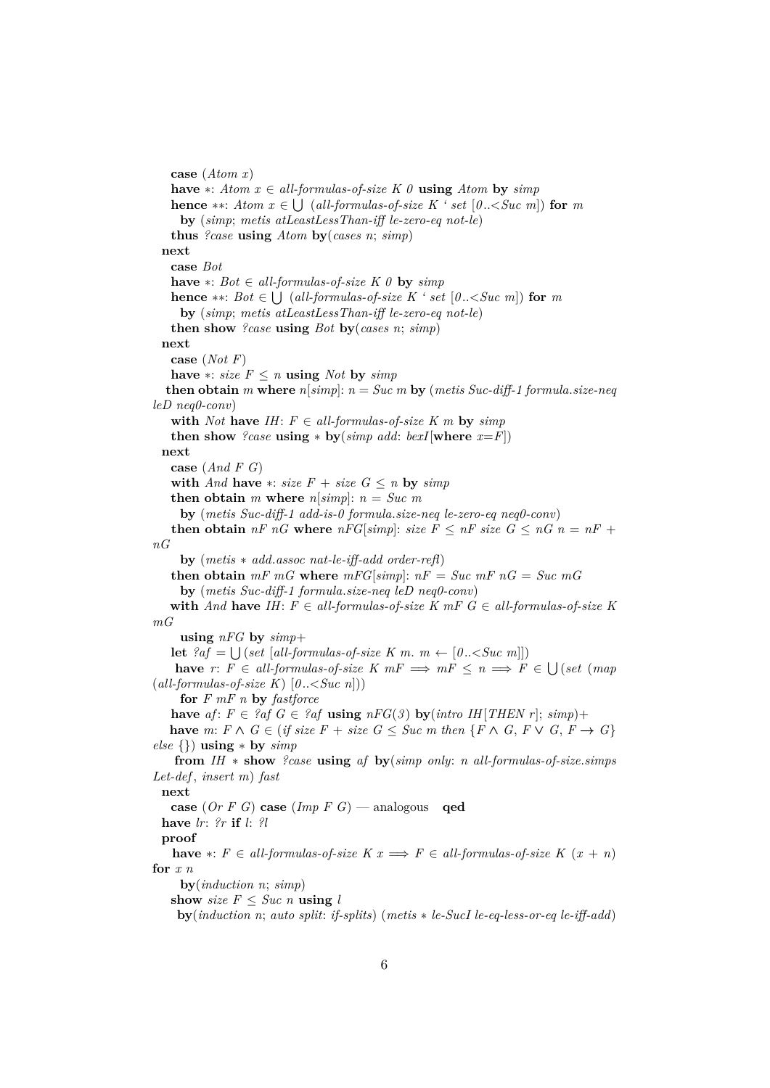**case** (*Atom x*) **have** ∗: *Atom x* ∈ *all-formulas-of-size*  $K$   $\theta$  **using** *Atom* **by** *simp* **hence** ∗∗: *Atom x* ∈  $\bigcup$  (*all-formulas-of-size K* ' *set* [0.. < *Suc m*]) **for** *m* **by** (*simp*; *metis atLeastLessThan-iff le-zero-eq not-le*) **thus** *?case* **using** *Atom* **by**(*cases n*; *simp*) **next case** *Bot* **have** ∗: *Bot* ∈ *all-formulas-of-size*  $K$  0 **by**  $simp$ **hence** ∗∗: *Bot* ∈  $\bigcup$  (*all-formulas-of-size K* ' *set* [0..<*Suc m*]) **for** *m* **by** (*simp*; *metis atLeastLessThan-iff le-zero-eq not-le*) **then show** *?case* **using** *Bot* **by**(*cases n*; *simp*) **next case** (*Not F*) **have** ∗: *size*  $F \le n$  **using** *Not* **by** *simp* **then obtain** *m* where  $n[simp]: n = Succ m$  by (metis Suc-diff-1 formula.size-neq *leD neq0-conv*) with *Not* have *IH*:  $F \in all-formulas-of-size K m$  by  $simp$ **then show** *?case* **using**  $*$  **by**(*simp add: bexI*[where  $x = F$ ]) **next case** (*And F G*) **with** *And* **have**  $*$ : *size*  $F + size G \le n$  **by**  $simp$ **then obtain** *m* **where**  $n[simp]$ :  $n = Succ m$ **by** (*metis Suc-diff-1 add-is-0 formula*.*size-neq le-zero-eq neq0-conv*) **then obtain**  $nF \n G$  **where**  $nFG[simp]$ : *size*  $F \n \leq nF$  *size*  $G \n \leq nG \n n = nF +$ *nG* **by** (*metis* ∗ *add*.*assoc nat-le-iff-add order-refl*) **then obtain**  $mF$   $mG$  where  $mFG[simp]$ :  $nF = Succ mF nG = Succ mG$ **by** (*metis Suc-diff-1 formula*.*size-neq leD neq0-conv*) **with** *And* **have** *IH*:  $F \in all-formulas-of-size K$  *mF*  $G \in all-formulas-of-size K$ *mG* **using** *nFG* **by** *simp*+ **let**  ${}^{?af} = \bigcup (set [all-formulas-of-size K m. m \leftarrow [0..$ **have**  $r: F \in all-formulas-of-size K mF \implies mF \leq n \implies F \in \bigcup (set (map (map (f \cup s)) \cup (set (map (map (f \cup s))) \cup (set (map (map (f \cup s))) \cup (set (map (map (f \cup s))) \cup (set (map (map (map (f \cup s))) \cup (set (map (map (map (f \cup s))))))$ (*all-formulas-of-size K*) [*0* ..<*Suc n*])) **for** *F mF n* **by** *fastforce* **have**  $af: F \in \text{?}af \ G \in \text{?}af$  **using**  $nFG(3)$  **by**( $\text{intro } IH[THEN \ r]; \ \text{sim}p)+$ **have** *m*: *F* ∧ *G* ∈ (*if size F* + *size G* ≤ *Suc m* then {*F* ∧ *G*, *F* ∨ *G*, *F* → *G*} *else* {}) **using** ∗ **by** *simp* **from** *IH* ∗ **show** *?case* **using** *af* **by**(*simp only*: *n all-formulas-of-size*.*simps Let-def* , *insert m*) *fast* **next case** (*Or F G*) **case** (*Imp F G*) — analogous **qed have** *lr*: *?r* **if** *l*: *?l* **proof have**  $*: F \in all-formulas-of-size K \times \mathbb{R} \implies F \in all-formulas-of-size K \times \mathbb{R}$ **for** *x n* **by**(*induction n*; *simp*) **show** *size*  $F \leq S$ *uc n* **using** *l* **by**(*induction n*; *auto split*: *if-splits*) (*metis* ∗ *le-SucI le-eq-less-or-eq le-iff-add*)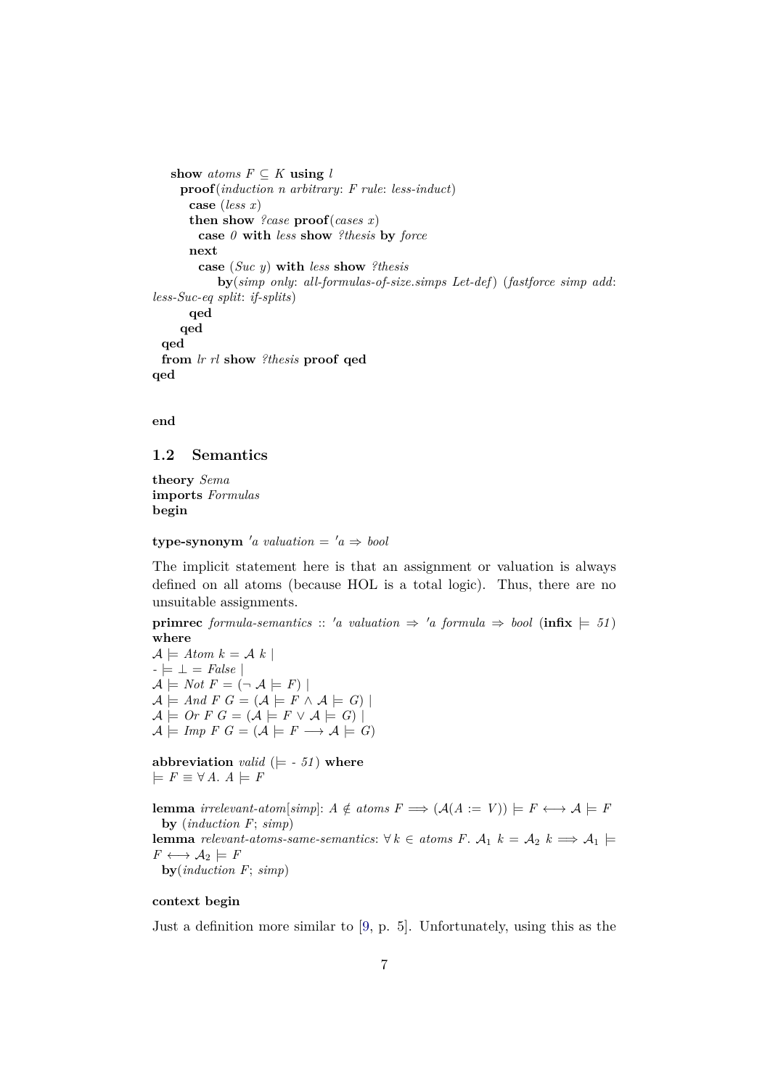```
show atoms F \subseteq K using l
    proof(induction n arbitrary: F rule: less-induct)
      case (less x)
      then show ?case proof(cases x)
        case 0 with less show ?thesis by force
      next
        case (Suc y) with less show ?thesis
           by(simp only: all-formulas-of-size.simps Let-def) (fastforce simp add:
less-Suc-eq split: if-splits)
      qed
    qed
 qed
 from lr rl show ?thesis proof qed
qed
```
**end**

## <span id="page-6-0"></span>**1.2 Semantics**

**theory** *Sema* **imports** *Formulas* **begin**

 $\tt type-synonym' a valuation = 'a \Rightarrow bool$ 

The implicit statement here is that an assignment or valuation is always defined on all atoms (because HOL is a total logic). Thus, there are no unsuitable assignments.

**primrec** *formula-semantics* :: 'a valuation  $\Rightarrow$  'a *formula*  $\Rightarrow$  *bool* (**infix**  $\models$  51) **where**

 $\mathcal{A} \models$  Atom  $k = \mathcal{A} \; k$ *-* |= ⊥ = *False* |  $\mathcal{A} \models Not F = (\neg \mathcal{A} \models F)$  $\mathcal{A} \models And F G = (\mathcal{A} \models F \land \mathcal{A} \models G)$  $A \models$  *Or*  $F G = (A \models F \lor A \models G)$  $A \models \text{Imp } F \ G = (A \models F \longrightarrow A \models G)$ 

**abbreviation** *valid* ( $\models$  - 51) **where**  $\models$  *F*  $\equiv$  ∀ *A*. *A*  $\models$  *F* 

**lemma** *irrelevant-atom*[*simp*]:  $A \notin atoms F \implies (A(A := V)) \models F \longleftrightarrow A \models F$ **by** (*induction F*; *simp*) **lemma** *relevant-atoms-same-semantics*: ∀ *k* ∈ *atoms F*.  $A_1$  *k* =  $A_2$  *k* ⇒  $A_1$   $\models$  $F \longleftrightarrow \mathcal{A}_2 \models F$ **by**(*induction F*; *simp*)

## **context begin**

Just a definition more similar to [\[9,](#page-140-0) p. 5]. Unfortunately, using this as the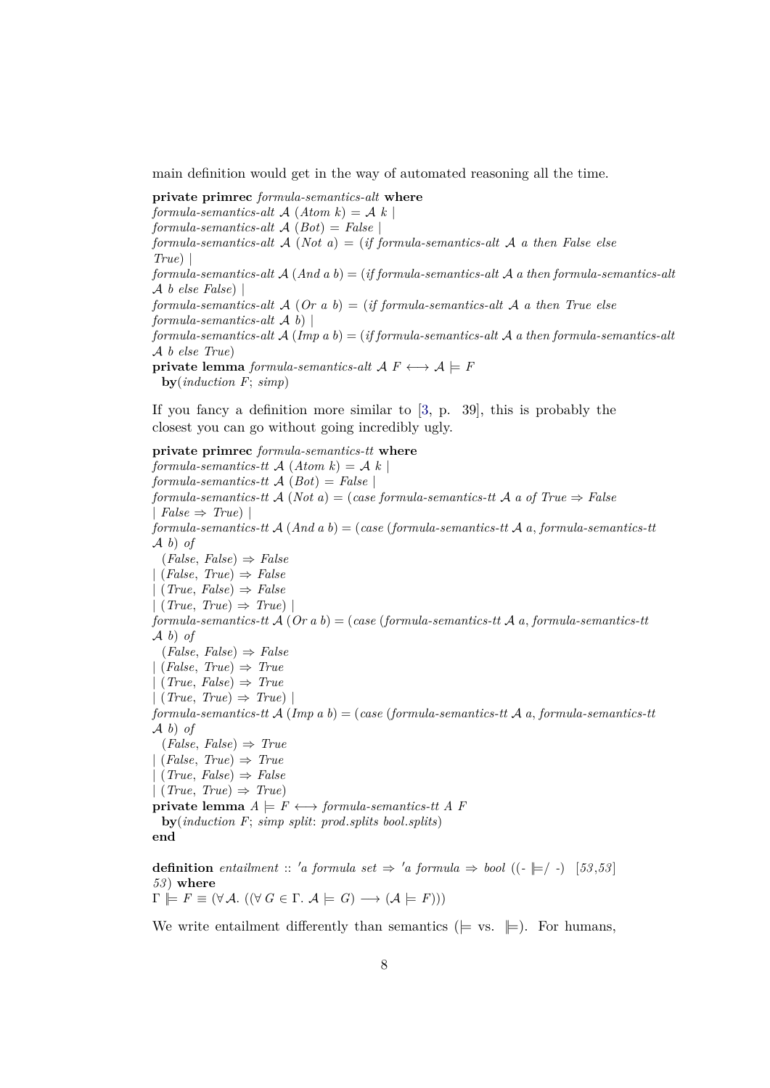main definition would get in the way of automated reasoning all the time.

**private primrec** *formula-semantics-alt* **where** *formula-semantics-alt* A (*Atom k*) = A *k* | *formula-semantics-alt* A (*Bot*) = *False* | *formula-semantics-alt* A (*Not a*) = (*if formula-semantics-alt* A *a then False else True*) | *formula-semantics-alt* A (*And a b*) = (*if formula-semantics-alt* A *a then formula-semantics-alt* A *b else False*) | *formula-semantics-alt* A (*Or a b*) = (*if formula-semantics-alt* A *a then True else formula-semantics-alt* A *b*) | *formula-semantics-alt* A (*Imp a b*) = (*if formula-semantics-alt* A *a then formula-semantics-alt* A *b else True*) **private lemma** *formula-semantics-alt*  $A$   $F \leftrightarrow A \models F$ **by**(*induction F*; *simp*)

If you fancy a definition more similar to [\[3,](#page-140-1) p. 39], this is probably the closest you can go without going incredibly ugly.

**private primrec** *formula-semantics-tt* **where** *formula-semantics-tt*  $\mathcal{A}(Atom k) = \mathcal{A}(k)$ *formula-semantics-tt* A (*Bot*) = *False* | *formula-semantics-tt* A (*Not a*) = (*case formula-semantics-tt* A *a of True* ⇒ *False*  $\mid$  *False*  $\Rightarrow$  *True*)  $\mid$ *formula-semantics-tt* A (*And a b*) = (*case* (*formula-semantics-tt* A *a*, *formula-semantics-tt* A *b*) *of* (*False*, *False*) ⇒ *False* | (*False*, *True*) ⇒ *False* | (*True*, *False*) ⇒ *False* | (*True*, *True*) ⇒ *True*) | *formula-semantics-tt* A (*Or a b*) = (*case* (*formula-semantics-tt* A *a*, *formula-semantics-tt* A *b*) *of* (*False*, *False*) ⇒ *False* | (*False*, *True*) ⇒ *True* | (*True*, *False*) ⇒ *True*  $| (True, True) \Rightarrow True$ *formula-semantics-tt* A (*Imp a b*) = (*case* (*formula-semantics-tt* A *a*, *formula-semantics-tt* A *b*) *of* (*False*, *False*) ⇒ *True* | (*False*, *True*) ⇒ *True* | (*True*, *False*) ⇒ *False* | (*True*, *True*) ⇒ *True*) **private lemma**  $A \models F \longleftrightarrow \text{formula-semantics-}tt \land F$ **by**(*induction F*; *simp split*: *prod*.*splits bool*.*splits*) **end**

**definition** *entailment* :: 'a formula set  $\Rightarrow$  'a formula  $\Rightarrow$  bool (( $\leftarrow \models$ / $\rightarrow$ ) [53,53] *53* ) **where**  $\Gamma \models F \equiv (\forall \mathcal{A}. ((\forall G \in \Gamma. \mathcal{A} \models G) \longrightarrow (\mathcal{A} \models F)))$ 

We write entailment differently than semantics ( $\models$  vs.  $\models$ ). For humans,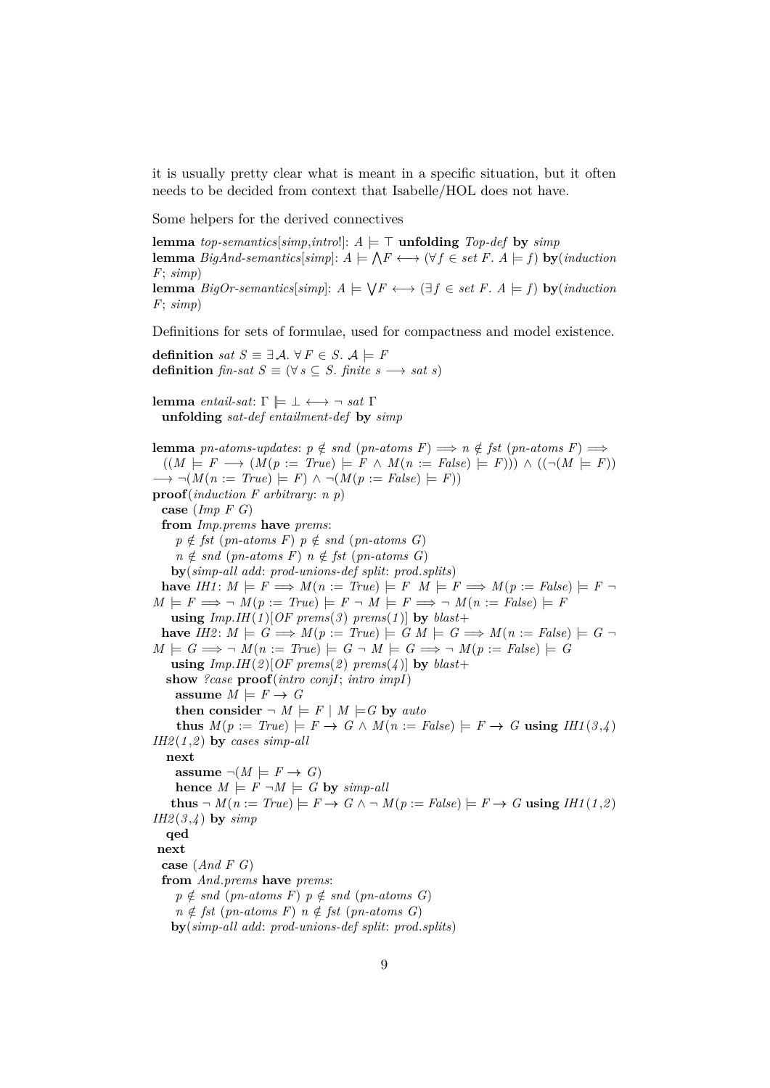it is usually pretty clear what is meant in a specific situation, but it often needs to be decided from context that Isabelle/HOL does not have.

Some helpers for the derived connectives

**lemma** *top-semantics*[*simp*,*intro*!]:  $A \models \top$  **unfolding** *Top-def* by *simp* **lemma** *BigAnd-semantics*[simp]:  $A \models \bigwedge F \longleftrightarrow (\forall f \in set \ F. A \models f)$  **by**(*induction*) *F*; *simp*) **lemma**  $BigOr\text{-}semantics[simp]: A \models \bigvee F \longleftrightarrow (\exists f \in set F \land \models f)$  **by** $(induction)$ *F*; *simp*) Definitions for sets of formulae, used for compactness and model existence. **definition** *sat*  $S \equiv \exists \mathcal{A}$ .  $\forall F \in S$ .  $\mathcal{A} \models F$ **definition**  $\text{fin-sat } S \equiv (\forall s \subseteq S \text{. finite } s \longrightarrow \text{sat } s)$ 

**lemma** *entail-sat*: Γ  $\models$  ⊥ ← → ¬ *sat* Γ **unfolding** *sat-def entailment-def* **by** *simp*

**lemma** *pn-atoms-updates*:  $p \notin$  *snd* (*pn-atoms F*)  $\implies$  *n*  $\notin$  *fst* (*pn-atoms F*)  $\implies$  $((M \models F \rightarrow (M(p := True) \models F \land M(n := False) \models F))) \land ((\neg (M \models F))$  $\rightarrow \neg(M(n := True) \models F) \land \neg(M(p := False) \models F)$ **proof**(*induction F arbitrary*: *n p*) **case** (*Imp F G*) **from** *Imp*.*prems* **have** *prems*:  $p \notin \text{fst}$  (*pn-atoms F*)  $p \notin \text{snd}$  (*pn-atoms G*)  $n \notin$  *snd* (*pn-atoms F*)  $n \notin$  *fst* (*pn-atoms G*) **by**(*simp-all add*: *prod-unions-def split*: *prod*.*splits*) **have**  $IHI: M \models F \Longrightarrow M(n := True) \models F \ M \models F \Longrightarrow M(p := False) \models F \ \neg$  $M \models F \Longrightarrow \neg M(p := True) \models F \neg M \models F \Longrightarrow \neg M(n := False) \models F$ **using**  $Imp.HH(1)[OF\text{ }prems(3)\text{ }prems(1)]$  by  $blast+$ **have**  $IH2: M \models G \Longrightarrow M(p := True) \models G M \models G \Longrightarrow M(n := False) \models G \neg$  $M \models G \Longrightarrow \neg M(n := True) \models G \neg M \models G \Longrightarrow \neg M(p := False) \models G$ **using**  $Imp.HI(2)[OF\text{ }prems(2)\text{ }prems(4)]$  by  $blast+$ **show** *?case* **proof**(*intro conjI*; *intro impI*) **assume**  $M \models F \rightarrow G$ **then consider**  $\neg M \models F \mid M \models G$  by *auto* **thus**  $M(p := True) \models F \rightarrow G \land M(n := False) \models F \rightarrow G$  **using**  $IHI(3,4)$ *IH2* (*1* ,*2* ) **by** *cases simp-all* **next**  $\text{assume } \neg(M \models F \rightarrow G)$  $hence M \models F \neg M \models G$  by  $\text{simp}\text{-}all$ **thus**  $\neg M(n := True) \models F \rightarrow G \land \neg M(p := False) \models F \rightarrow G$  **using**  $HH(1,2)$ *IH2* (*3* ,*4* ) **by** *simp* **qed next case** (*And F G*) **from** *And*.*prems* **have** *prems*:  $p \notin$  *snd* (*pn-atoms F*)  $p \notin$  *snd* (*pn-atoms G*)  $n \notin \text{fst } (pn-atoms F)$   $n \notin \text{fst } (pn-atoms G)$ **by**(*simp-all add*: *prod-unions-def split*: *prod*.*splits*)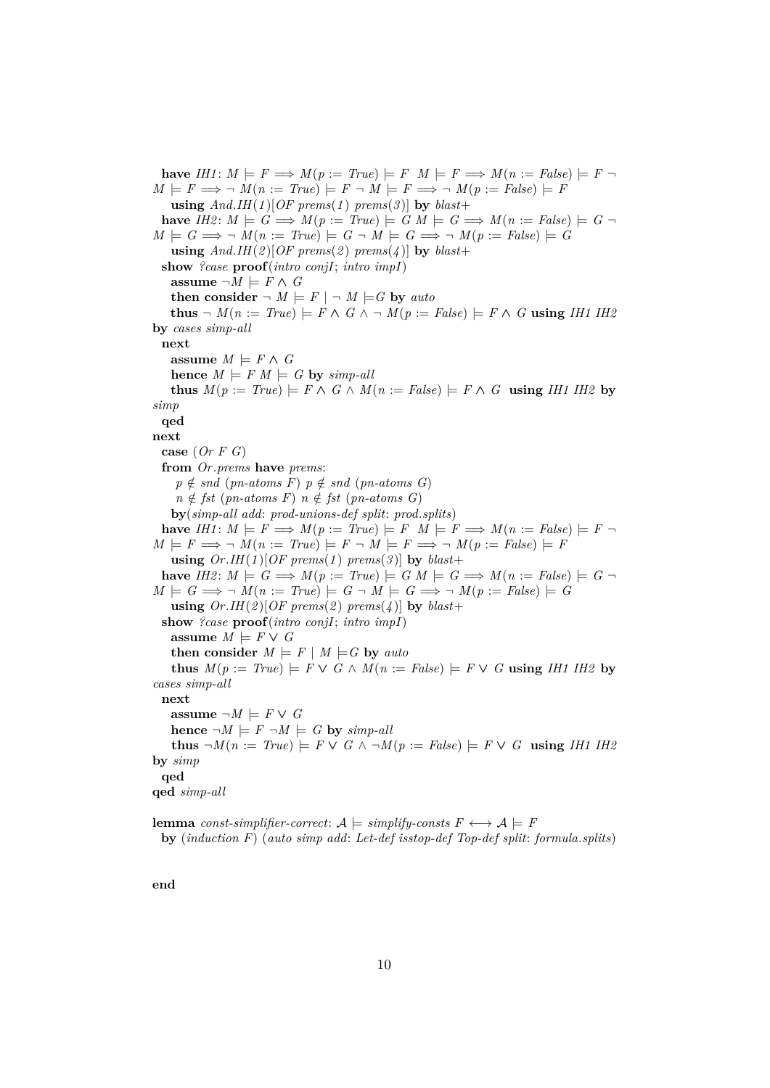**have** *IH1*:  $M \models F \Longrightarrow M(p := True) \models F \ M \models F \Longrightarrow M(n := False) \models F \neg$  $M \models F \Longrightarrow \neg M(n := True) \models F \neg M \models F \Longrightarrow \neg M(p := False) \models F$ **using**  $And.HH(1)[OF\text{ }prems(1)\text{ }prems(3)]$  by  $blast+$ **have**  $IH2: M \models G \Longrightarrow M(p := True) \models G M \models G \Longrightarrow M(n := False) \models G \neg$  $M \models G \Longrightarrow \neg M(n := True) \models G \neg M \models G \Longrightarrow \neg M(p := False) \models G$ **using**  $And.HH(2)[OF\text{ }prems(2)\text{ }prems(4)]$  by  $blast+$ **show** *?case* **proof**(*intro conjI*; *intro impI*) **assume**  $\neg M$   $\models$  *F* ∧ *G* **then consider**  $\neg M \models F \mid \neg M \models G$  by *auto* **thus**  $\neg$  *M*(*n* := *True*)  $\models$  *F* ∧ *G* ∧  $\neg$  *M*(*p* := *False*)  $\models$  *F* ∧ *G* **using** *IH1 IH2* **by** *cases simp-all* **next assume**  $M \models F \land G$ **hence**  $M \models F M \models G$  **by** *simp-all* **thus**  $M(p := True) \models F \land G \land M(n := False) \models F \land G$  **using** *IH1 IH2* by *simp* **qed next case** (*Or F G*) **from** *Or*.*prems* **have** *prems*:  $p \notin$  *snd* (*pn-atoms F*)  $p \notin$  *snd* (*pn-atoms G*)  $n \notin \text{fst} \text{ } (\text{pn-atoms } F) \text{ } n \notin \text{fst} \text{ } (\text{pn-atoms } G)$ **by**(*simp-all add*: *prod-unions-def split*: *prod*.*splits*) **have**  $IHI: M \models F \Longrightarrow M(p := True) \models F \ M \models F \Longrightarrow M(n := False) \models F \ \neg$  $M \models F \Longrightarrow \neg M(n := True) \models F \neg M \models F \Longrightarrow \neg M(p := False) \models F$ **using**  $Or.HH(1)[OF\text{ }prems(1)\text{ }prems(3)]$  by  $blast+$ **have**  $I$ H2:  $M \models G \Longrightarrow M(p := True) \models G M \models G \Longrightarrow M(n := False) \models G \neg$  $M \models G \Longrightarrow \neg M(n := True) \models G \neg M \models G \Longrightarrow \neg M(p := False) \models G$ **using**  $Or.HI(2)[OF\text{ }prems(2)\text{ }prems(4)]$  by  $blast+$ **show** *?case* **proof**(*intro conjI*; *intro impI*) **assume**  $M \models F \lor G$ **then consider**  $M \models F \mid M \models G$  by *auto* **thus** *M*(*p* := *True*) |= *F* ∨ *G* ∧ *M*(*n* := *False*) |= *F* ∨ *G* **using** *IH1 IH2* **by** *cases simp-all* **next assume**  $\neg M$   $\models$  *F* ∨ *G* **hence**  $\neg M \models F \neg M \models G$  **by** *simp-all* **thus**  $\neg M(n := True) \models F \lor G \land \neg M(p := False) \models F \lor G$  **using** *IH1 IH2* **by** *simp* **qed qed** *simp-all*

**lemma** *const-simplifier-correct*:  $A \models$  *simplify-consts*  $F \longleftrightarrow A \models F$ **by** (*induction F*) (*auto simp add*: *Let-def isstop-def Top-def split*: *formula*.*splits*)

**end**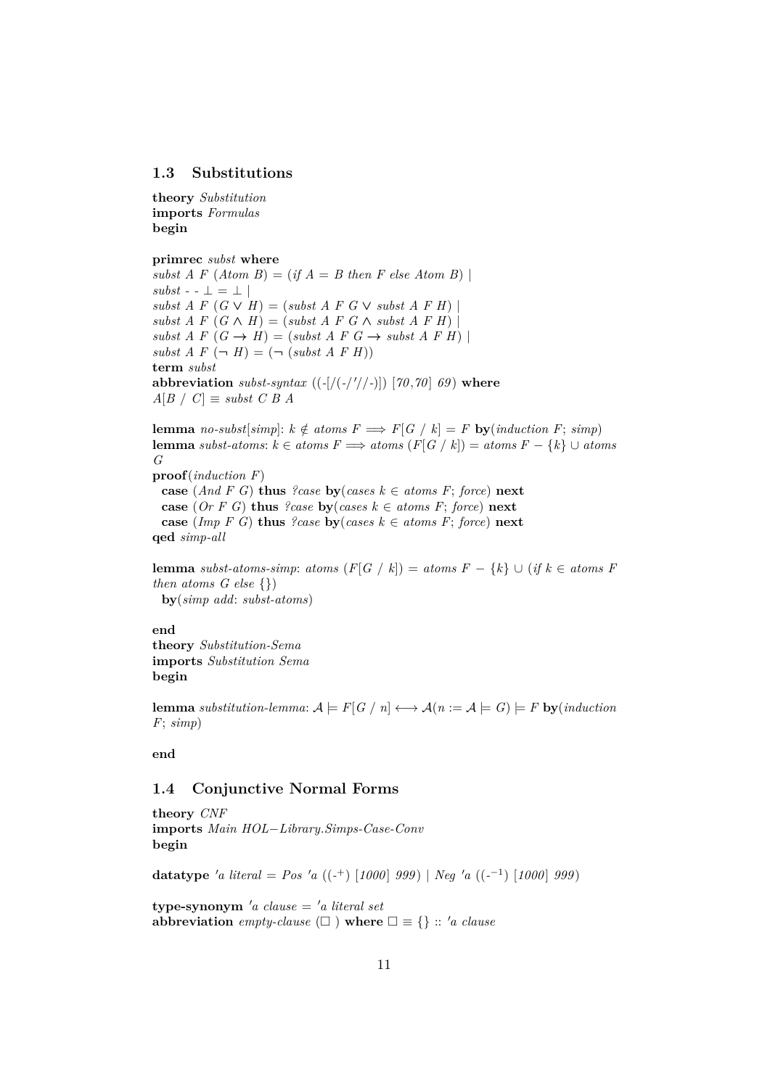## <span id="page-10-0"></span>**1.3 Substitutions**

**theory** *Substitution* **imports** *Formulas* **begin**

#### **primrec** *subst* **where**

*subst A F*  $(Atom B) = (if A = B then F else Atom B)$  $\mathit{subst}$  - -  $\bot$  =  $\bot$  |  $subst \, A \, F \, (G \vee H) = (subst \, A \, F \, G \vee subst \, A \, F \, H)$  $subst \, A \, F \, (G \wedge H) = (subst \, A \, F \, G \wedge subst \, A \, F \, H)$  $subst \, A \, F \, (G \rightarrow H) = (subst \, A \, F \, G \rightarrow subst \, A \, F \, H)$  $subst A F (\neg H) = (\neg (subst A F H))$ **term** *subst* **abbreviation** *subst-syntax* ((*-*[/(*-*/ <sup>0</sup>//*-*)]) [*70* ,*70* ] *69* ) **where**  $A[B \mid C] \equiv$  *subst C B A* 

**lemma** *no-subst*[*simp*]:  $k \notin atoms F \implies F[G \mid k] = F$  **by**(*induction F*; *simp*) **lemma** *subst-atoms*:  $k \in atoms F \implies atoms(F[G \mid k]) = atoms F - \{k\} ∪ atoms$ *G*

**proof**(*induction F*) **case** (*And F G*) **thus** *?case* **by**(*cases*  $k \in atoms F$ ; *force*) **next case** (*Or F G*) **thus** *?case* **by**(*cases*  $k \in atoms F$ ; *force*) **next case** (*Imp F G*) **thus** *?case* **by**(*cases*  $k \in atoms F$ ; *force*) **next qed** *simp-all*

**lemma** *subst-atoms-simp*: *atoms*  $(F|G \mid k)$  = *atoms*  $F - \{k\} \cup (if k \in atoms F)$ *then atoms G else* {}) **by**(*simp add*: *subst-atoms*)

### **end**

**theory** *Substitution-Sema* **imports** *Substitution Sema* **begin**

**lemma** *substitution-lemma*:  $A \models F[G \mid n] \longleftrightarrow A(n := A \models G) \models F$  **by**(*induction*) *F*; *simp*)

**end**

## <span id="page-10-1"></span>**1.4 Conjunctive Normal Forms**

**theory** *CNF* **imports** *Main HOL*−*Library*.*Simps-Case-Conv* **begin**

**datatype** 'a literal = Pos 'a ((-<sup>+</sup>) [1000] 999) | Neg 'a ((-<sup>-1</sup>) [1000] 999)

 $\tt type-synonym'$ *a* clause = '*a* literal set **abbreviation** *empty-clause*  $(\Box)$  **where**  $\Box \equiv \{\}$  :: 'a clause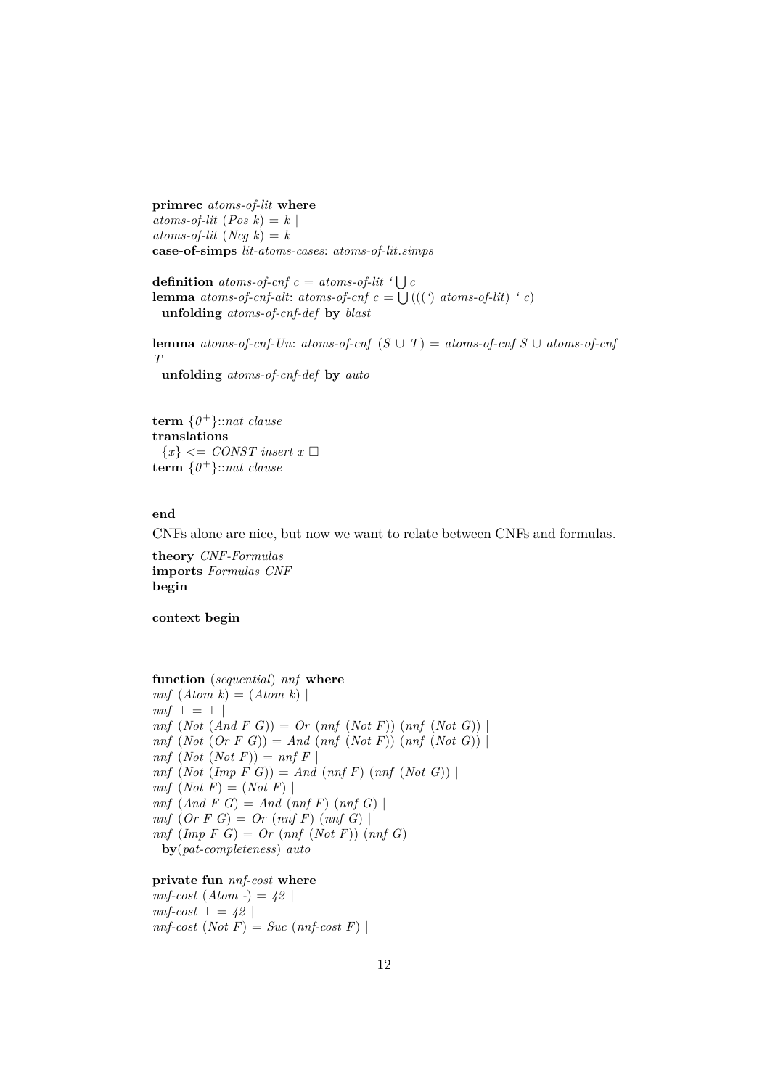**primrec** *atoms-of-lit* **where**  $atoms\text{-}of\text{-}lit$  (*Pos k*) = *k* |  $atoms\text{-}of\text{-}lit$  (*Neq k*) = *k* **case-of-simps** *lit-atoms-cases*: *atoms-of-lit*.*simps*

**definition** *atoms-of-cnf*  $c = atoms-of-lit$  ' $\bigcup c$ **lemma** *atoms-of-cnf-alt: atoms-of-cnf*  $c = \bigcup (($  *(* $)$  *atoms-of-lit*)  $\cdot c$ ) **unfolding** *atoms-of-cnf-def* **by** *blast*

**lemma** *atoms-of-cnf-Un*: *atoms-of-cnf*  $(S \cup T) =$  *atoms-of-cnf*  $S \cup$  *atoms-of-cnf T*

**unfolding** *atoms-of-cnf-def* **by** *auto*

**term** {*0* <sup>+</sup>}::*nat clause* **translations**  ${x} < \text{CONST insert } x \square$ **term** {*0* <sup>+</sup>}::*nat clause*

#### **end**

CNFs alone are nice, but now we want to relate between CNFs and formulas.

**theory** *CNF-Formulas* **imports** *Formulas CNF* **begin**

**context begin**

**function** (*sequential*) *nnf* **where**  $nnf$   $(Atom k) = (Atom k)$  $nnf \perp = \perp$ *nnf* (*Not* (*And F G*)) = *Or* (*nnf* (*Not F*)) (*nnf* (*Not G*)) | *nnf* (*Not* (*Or F G*)) = *And* (*nnf* (*Not F*)) (*nnf* (*Not G*)) |  $nnf$   $(Not$   $(Not F)) = nnf$   $F$  $nnf$   $(Not (Imp F G)) = And (nnf F) (nnf (Not G))$  $nnf$   $(Not F) = (Not F)$ *nnf* (*And F G*) = *And* (*nnf F*) (*nnf G*) | *nnf* (*Or F G*) = *Or* (*nnf F*) (*nnf G*) | *nnf* (*Imp F G*) = *Or* (*nnf* (*Not F*)) (*nnf G*) **by**(*pat-completeness*) *auto*

#### **private fun** *nnf-cost* **where**

 $nnf\text{-}cost (Atom -) = 42$  $nnf\text{-}cost \perp = 42$  $nnf-cost (Not F) = Succ (nnf-cost F)$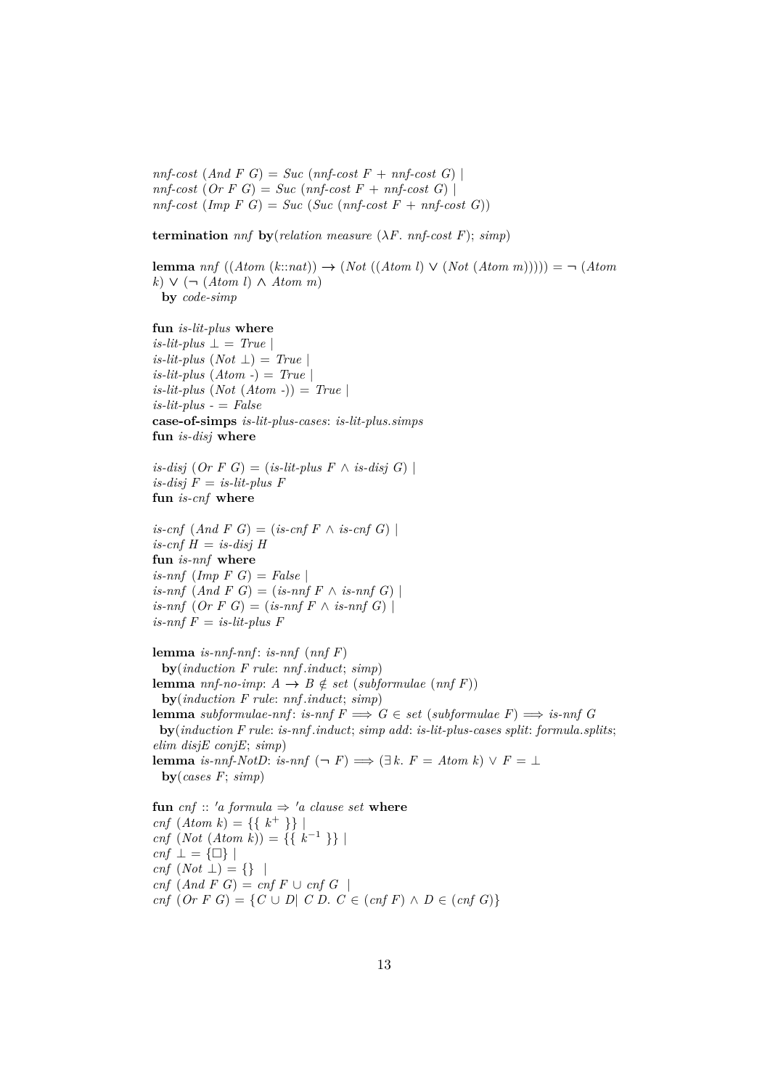$nnf-cost (And F G) = Succ (nnf-cost F + nnf-cost G)$  $nnf-cost (Or F G) = Succ (nnf-cost F + nnf-cost G)$  $nnf-cost (Imp F G) = Succ (Suc (nnf-cost F + nnf-cost G))$ 

**termination**  $nnf$  **by**(*relation measure* ( $\lambda F$ *. nnf-cost F*);  $simp$ )

**lemma**  $nnf((Atom(k::nat)) \rightarrow (Not((Atom l) \vee (Not(Atom m)))) = \neg (Atom$ *k*) ∨ (¬ (*Atom l*) ∧ *Atom m*) **by** *code-simp*

**fun** *is-lit-plus* **where**

 $is$ -lit-plus  $\perp$  = *True*  $is-lit$ -plus  $(Not \perp) = True$  $is-lit$ -plus  $(Atom -) = True$  $is-lit-plus (Not (Atom -)) = True$ *is-lit-plus -* = *False* **case-of-simps** *is-lit-plus-cases*: *is-lit-plus*.*simps* **fun** *is-disj* **where**

 $is\text{-}disj$  (*Or*  $F$   $G$ ) = (*is-lit-plus*  $F \wedge is\text{-}disj$   $G$ ) |  $is$ -disj  $F = is$ -lit-plus  $F$ **fun** *is-cnf* **where**

 $is\text{-}cnf$   $(And F G) = (is\text{-}cnf F \wedge is\text{-}cnf G)$  $is\text{-}cnf$   $H = is\text{-}disj$   $H$ **fun** *is-nnf* **where**  $is-nnf$   $(Imp \ F \ G) = False$  $is-nnf$   $(And F G) = (is-nnf F \wedge is-nnf G)$  $is-nnf$   $(Or F G) = (is-nnf F \wedge is-nnf G)$  $is$ -nnf  $F = is$ -lit-plus  $F$ 

**lemma** *is-nnf-nnf* : *is-nnf* (*nnf F*) **by**(*induction F rule*: *nnf* .*induct*; *simp*) **lemma** *nnf-no-imp*:  $A \rightarrow B \notin set (subformulae (nnf F))$ **by**(*induction F rule*: *nnf* .*induct*; *simp*) **lemma** *subformulae-nnf*: *is-nnf*  $F \implies G \in set$  (*subformulae*  $F \implies$  *is-nnf* G **by**(*induction F rule*: *is-nnf* .*induct*; *simp add*: *is-lit-plus-cases split*: *formula*.*splits*; *elim disjE conjE*; *simp*) **lemma** *is-nnf-NotD*: *is-nnf*  $(\neg F) \implies (\exists k. F = Atom k) \lor F = \bot$ **by**(*cases F*; *simp*)

**fun** *cnf* :: '*a* formula  $\Rightarrow$  '*a* clause set **where** *cnf*  $(Atom k) = \{\{k^+\}\}\$ *cnf* (*Not* (*Atom k*)) = {{ $k^{-1}$ }} |  $cnf \perp = {\Box}$  $cnf (Not \perp) = \{\}$  $cnf$   $(And F G) = cnf F \cup cnf G$ *cnf*  $(Or F G) = {C ∪ D| C D. C ∈ (cnf F) ∧ D ∈ (cnf G)}$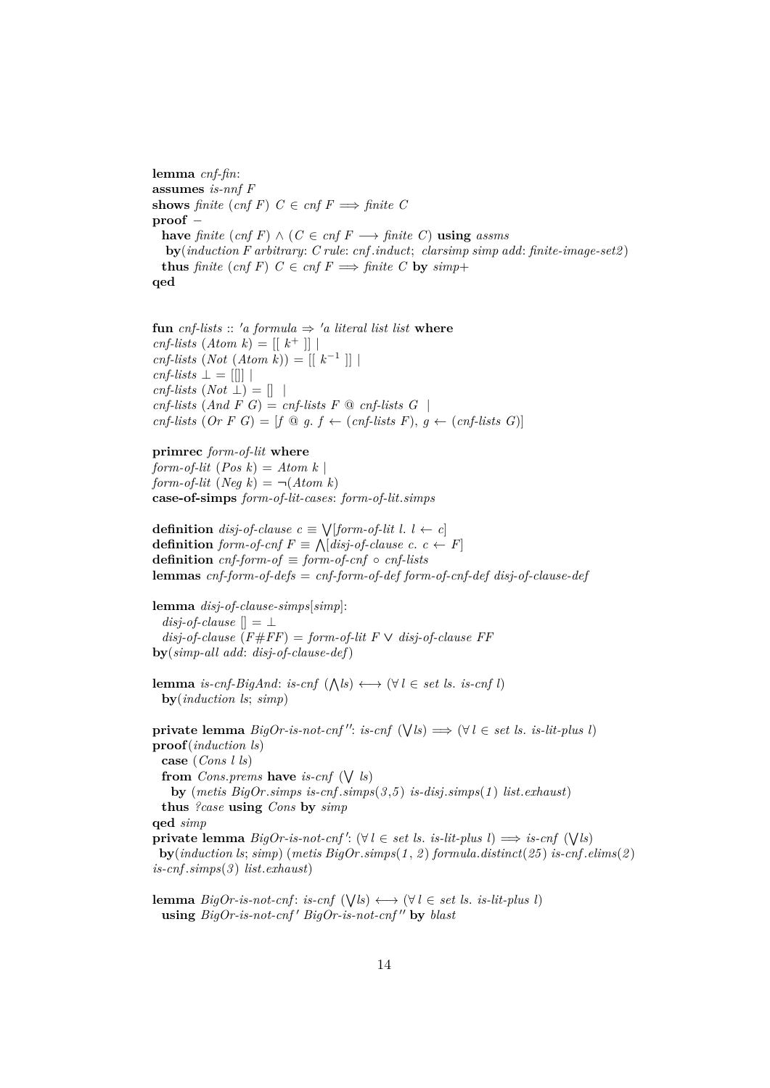**lemma** *cnf-fin*: **assumes** *is-nnf F* **shows** *finite* (*cnf F*)  $C \in \text{cnf } F \implies \text{finite } C$ **proof** − **have** *finite*  $(\text{cnf } F) \land (C \in \text{cnf } F \rightarrow \text{finite } C)$  **using** *assms* **by**(*induction F arbitrary*: *C rule*: *cnf* .*induct*; *clarsimp simp add*: *finite-image-set2* ) **thus** *finite* (*cnf F*)  $C \in \text{cnf } F \implies \text{finite } C$  **by**  $\text{simp} +$ **qed**

**fun** *cnf-lists* :: 'a *formula*  $\Rightarrow$  'a *literal list list* **where**  $cnf\text{-}lists (Atom k) = [[ k^+ ]]$ *cnf-lists* (*Not* (*Atom k*)) =  $[[k^{-1}]]$  $cnf\text{-}lists \perp = [][]$  $cnf\text{-}lists (Not \perp) = []$  $cnf\text{-}lists (And F\ G) = cnf\text{-}lists F\ @\ cnf\text{-}lists G$ *cnf-lists*  $(Or F G) = [f \t Q g. f \leftarrow (cnf-lists F), g \leftarrow (cnf-lists G)]$ 

#### **primrec** *form-of-lit* **where**

*form-of-lit*  $(Pos k) = Atom k$ *form-of-lit*  $(Neg k) = \neg (Atom k)$ **case-of-simps** *form-of-lit-cases*: *form-of-lit*.*simps*

**definition** *disj-of-clause c* ≡ W [*form-of-lit l*. *l* ← *c*] **definition** *form-of-cnf*  $F \equiv \bigwedge [disj-of-clause \ c. \ c \leftarrow F]$ **definition**  $cnf$ -form-of  $\equiv$  *form-of-cnf*  $\circ$   $cnf$ -lists **lemmas** *cnf-form-of-defs* = *cnf-form-of-def form-of-cnf-def disj-of-clause-def*

**lemma** *disj-of-clause-simps*[*simp*]: *disj-of-clause*  $\vert \vert = \bot$  $disj-of-clause$  ( $F \# FF$ ) = *form-of-lit F*  $\vee$  *disj-of-clause FF* **by**(*simp-all add*: *disj-of-clause-def*)

**lemma** *is-cnf-BigAnd*: *is-cnf*  $(\bigwedge l s) \longleftrightarrow (\forall l \in set \text{ } ls. \text{ } is\text{-}cnf \text{ } l)$ **by**(*induction ls*; *simp*)

**private lemma**  $BigOr-is-not-cnf''$ : *is-cnf*  $(\forall ls) \implies (\forall l \in set ls.$  *is-lit-plus l*) **proof**(*induction ls*) **case** (*Cons l ls*) **from** *Cons.prems* **have** *is-cnf*  $(\forall \; l_s)$ **by** (*metis BigOr*.*simps is-cnf* .*simps*(*3* ,*5* ) *is-disj*.*simps*(*1* ) *list*.*exhaust*) **thus** *?case* **using** *Cons* **by** *simp* **qed** *simp* **private lemma**  $Big( \cap \{big \}$  *BigOr-is-not-cnf'*: ( $\forall l \in set$  *ls. is-lit-plus l*)  $\implies$  *is-cnf* ( $\forall l$ *s*) **by**(*induction ls*; *simp*) (*metis BigOr*.*simps*(*1* , *2* ) *formula*.*distinct*(*25* ) *is-cnf* .*elims*(*2* ) *is-cnf* .*simps*(*3* ) *list*.*exhaust*)

**lemma**  $BigOr$ -is-not-cnf: is-cnf  $(\forall \, ls) \longleftrightarrow (\forall \, l \in \, set \, ls. \, is-lit-plus \, l)$ **using**  $BigOr-is-not-cnf'$   $BigOr-is-not-cnf''$  by *blast*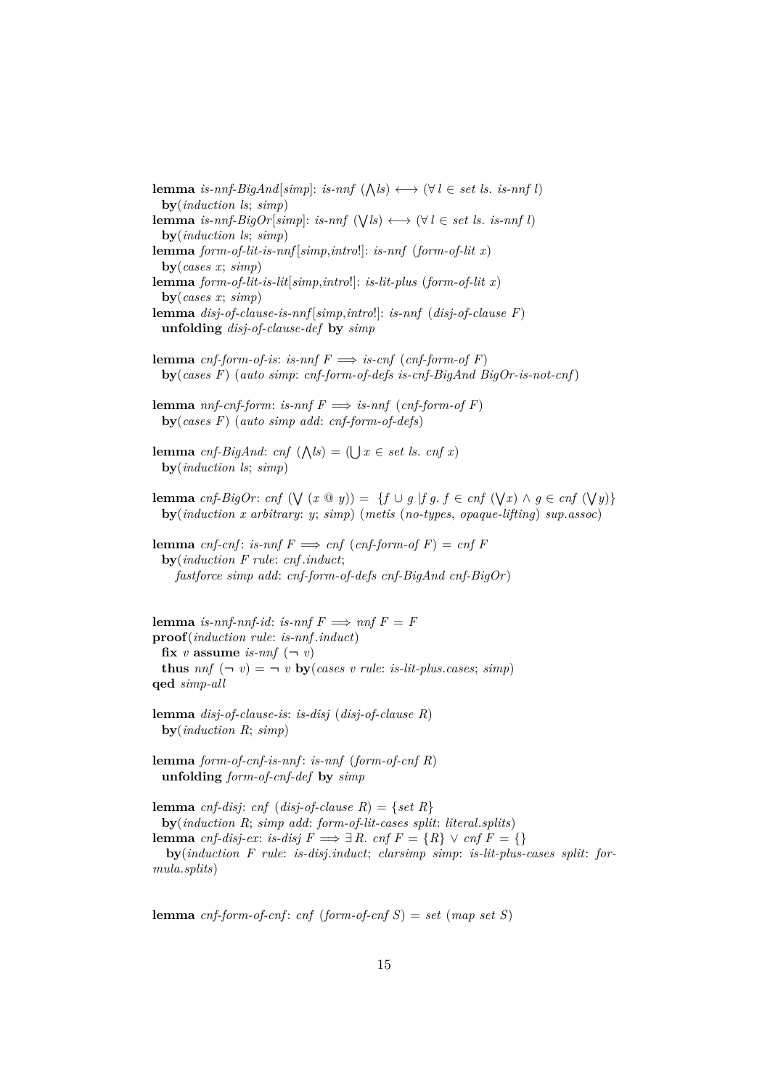**lemma** *is-nnf-BigAnd*[ $simp$ ]: *is-nnf*  $(\bigwedge l s) \longleftrightarrow (\forall l \in set \text{ } ls. \text{ } is\text{-}nnf \text{ } l)$ **by**(*induction ls*; *simp*) **lemma** *is-nnf-BigOr*[ $simp$ ]: *is-nnf* ( $\forall l$ *s*)  $\leftrightarrow$  ( $\forall l \in set$  *ls. is-nnf l*) **by**(*induction ls*; *simp*) **lemma** *form-of-lit-is-nnf* [*simp*,*intro*!]: *is-nnf* (*form-of-lit x*) **by**(*cases x*; *simp*) **lemma** *form-of-lit-is-lit*[*simp*,*intro*!]: *is-lit-plus* (*form-of-lit x*) **by**(*cases x*; *simp*) **lemma** *disj-of-clause-is-nnf* [*simp*,*intro*!]: *is-nnf* (*disj-of-clause F*) **unfolding** *disj-of-clause-def* **by** *simp* **lemma** *cnf-form-of-is*: *is-nnf*  $F \implies$  *is-cnf* (*cnf-form-of* F) **by**(*cases F*) (*auto simp*: *cnf-form-of-defs is-cnf-BigAnd BigOr-is-not-cnf* ) **lemma** *nnf-cnf-form: is-nnf*  $F \implies$  *is-nnf* (*cnf-form-of F*) **by**(*cases F*) (*auto simp add*: *cnf-form-of-defs*) **lemma** *cnf-BigAnd*: *cnf*  $(\bigwedge k s) = (\bigcup x \in set \text{ } ls. \text{ } cnf \text{ } x)$ **by**(*induction ls*; *simp*) **lemma** *cnf-BigOr*: *cnf*  $(\forall (x \otimes y)) = \{f \cup g \mid fg \in f \in \text{cnf } (\forall x) \land g \in \text{cnf } (\forall y)\}$ **by**(*induction x arbitrary*: *y*; *simp*) (*metis* (*no-types*, *opaque-lifting*) *sup*.*assoc*) **lemma** *cnf-cnf*: *is-nnf*  $F \implies cnf$  (*cnf-form-of*  $F$ ) = *cnf*  $F$ **by**(*induction F rule*: *cnf* .*induct*;

*fastforce simp add*: *cnf-form-of-defs cnf-BigAnd cnf-BigOr* )

**lemma** *is-nnf-nnf-id*: *is-nnf*  $F \implies nnf \ F = F$ **proof**(*induction rule*: *is-nnf* .*induct*) **fix** *v* **assume** *is-nnf*  $(-v)$ **thus**  $nnf(-v) = -v$  **by**(*cases v rule: is-lit-plus.cases; simp*) **qed** *simp-all*

**lemma** *disj-of-clause-is*: *is-disj* (*disj-of-clause R*) **by**(*induction R*; *simp*)

**lemma** *form-of-cnf-is-nnf* : *is-nnf* (*form-of-cnf R*) **unfolding** *form-of-cnf-def* **by** *simp*

**lemma** *cnf-disj*: *cnf* (*disj-of-clause R*) = {*set R*} **by**(*induction R*; *simp add*: *form-of-lit-cases split*: *literal*.*splits*) **lemma** *cnf-disj-ex*: *is-disj*  $F \implies \exists R$ . *cnf*  $F = \{R\} \vee \text{cnf } F = \{\}$ **by**(*induction F rule*: *is-disj*.*induct*; *clarsimp simp*: *is-lit-plus-cases split*: *for-*

*mula*.*splits*)

**lemma** *cnf-form-of-cnf*: *cnf* (*form-of-cnf*  $S$ ) = *set* (*map set*  $S$ )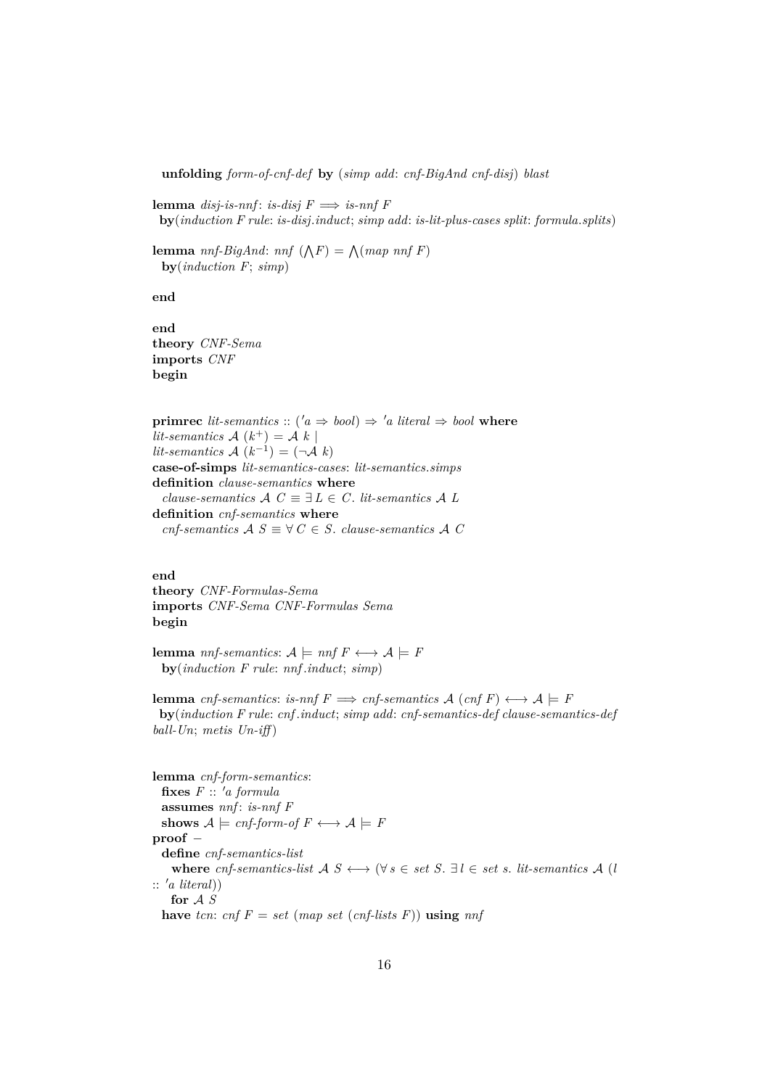**unfolding** *form-of-cnf-def* **by** (*simp add*: *cnf-BigAnd cnf-disj*) *blast*

**lemma** *disj-is-nnf*: *is-disj*  $F \implies$  *is-nnf*  $F$ **by**(*induction F rule*: *is-disj*.*induct*; *simp add*: *is-lit-plus-cases split*: *formula*.*splits*)

**lemma** *nnf-BigAnd*: *nnf*  $(\bigwedge F) = \bigwedge (map \; nnf \; F)$ **by**(*induction F*; *simp*)

**end**

**end theory** *CNF-Sema* **imports** *CNF* **begin**

**primrec** *lit-semantics* :: ( $'a \Rightarrow bool$ )  $\Rightarrow 'a$  *literal*  $\Rightarrow bool$  **where** *lit-semantics*  $A(k^+) = A(k)$  $lit-semantics \mathcal{A}(k^{-1}) = (\neg \mathcal{A}(k))$ **case-of-simps** *lit-semantics-cases*: *lit-semantics*.*simps* **definition** *clause-semantics* **where** *clause-semantics*  $A \ C \equiv \exists L \in C$ . *lit-semantics*  $A \ L$ **definition** *cnf-semantics* **where** *cnf-semantics*  $A S \equiv \forall C \in S$ . *clause-semantics*  $A C$ 

**end**

**theory** *CNF-Formulas-Sema* **imports** *CNF-Sema CNF-Formulas Sema* **begin**

**lemma** *nnf-semantics*:  $A \models nnf \ F \longleftrightarrow A \models F$ **by**(*induction F rule*: *nnf* .*induct*; *simp*)

**lemma** *cnf-semantics*: *is-nnf*  $F \implies \text{cnf-semantics}$   $\mathcal{A}$  ( $\text{cnf } F$ )  $\longleftrightarrow \mathcal{A} \models F$ **by**(*induction F rule*: *cnf* .*induct*; *simp add*: *cnf-semantics-def clause-semantics-def ball-Un*; *metis Un-iff* )

**lemma** *cnf-form-semantics*:  $f \textbf{ixes } F :: 'a formula$ **assumes** *nnf* : *is-nnf F* shows  $A \models \text{cnf-form-of } F \longleftrightarrow A \models F$ **proof** − **define** *cnf-semantics-list* where *cnf-semantics-list*  $A S \leftrightarrow (\forall s \in set S. \exists l \in set s.$  *lit-semantics*  $A (l)$  $:: 'a \; literal)$ **for** A *S* **have** *tcn*: *cnf*  $F = set$  (*map set* (*cnf-lists*  $F$ )) **using** *nnf*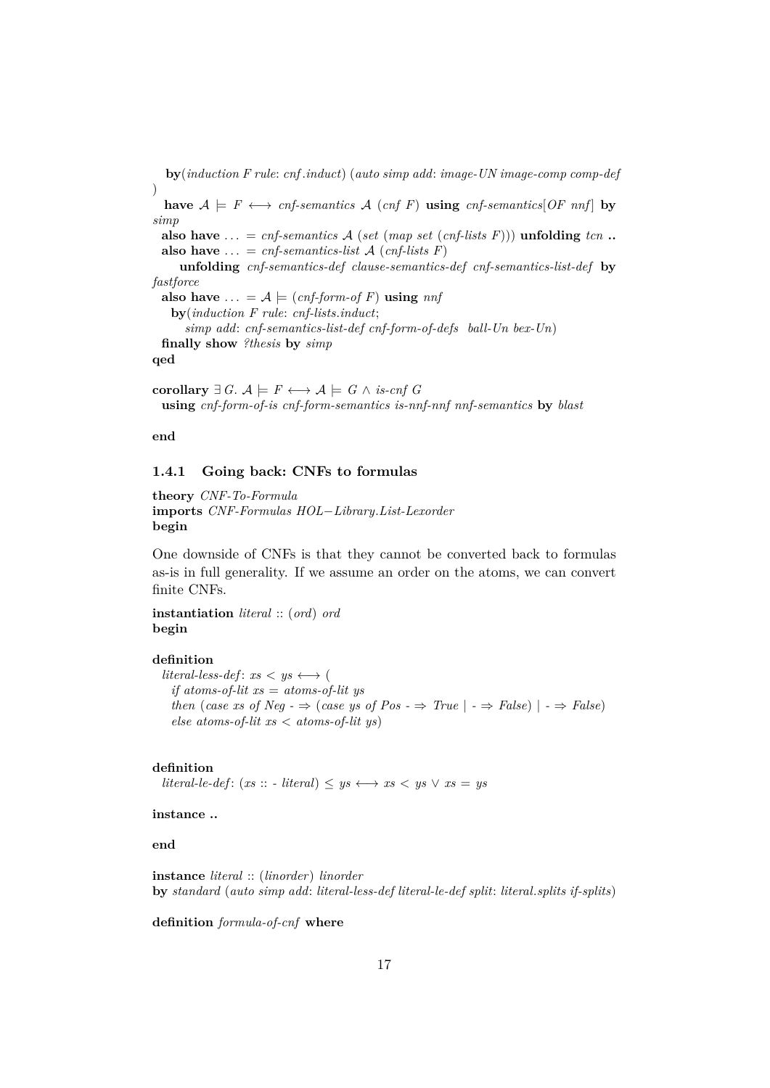**by**(*induction F rule*: *cnf* .*induct*) (*auto simp add*: *image-UN image-comp comp-def* ) **have**  $A \models F \longleftrightarrow \text{cnf-semantics}$   $A \text{ (cnf F) using \text{cnf-semantics}$  [OF nnf] by *simp* **also have**  $\ldots$  = *cnf-semantics* A (*set* (*map set* (*cnf-lists* F))) **unfolding** *tcn* ... **also have**  $\ldots$  = *cnf-semantics-list* A (*cnf-lists* F) **unfolding** *cnf-semantics-def clause-semantics-def cnf-semantics-list-def* **by** *fastforce* also have  $\ldots = A \models (cnf\text{-}form\text{-}of F)$  using  $nnf$ **by**(*induction F rule*: *cnf-lists*.*induct*; *simp add*: *cnf-semantics-list-def cnf-form-of-defs ball-Un bex-Un*) **finally show** *?thesis* **by** *simp* **qed**

**corollary** ∃ *G*.  $\mathcal{A} \models F \longleftrightarrow \mathcal{A} \models G \land \text{is-cnf } G$ **using** *cnf-form-of-is cnf-form-semantics is-nnf-nnf nnf-semantics* **by** *blast*

**end**

## <span id="page-16-0"></span>**1.4.1 Going back: CNFs to formulas**

**theory** *CNF-To-Formula* **imports** *CNF-Formulas HOL*−*Library*.*List-Lexorder* **begin**

One downside of CNFs is that they cannot be converted back to formulas as-is in full generality. If we assume an order on the atoms, we can convert finite CNFs.

**instantiation** *literal* :: (*ord*) *ord* **begin**

#### **definition**

*literal-less-def*:  $xs < ys \leftrightarrow ($ *if atoms-of-lit xs* = *atoms-of-lit ys then* (*case xs of Neg -*  $\Rightarrow$  (*case ys of Pos -*  $\Rightarrow$  *True*  $| \cdot \Rightarrow$  *False*)  $| \cdot \Rightarrow$  *False*) *else atoms-of-lit xs* < *atoms-of-lit ys*)

#### **definition**

*literal-le-def* : (*xs* :: *- literal*) ≤ *ys*  $\leftrightarrow$  *xs* < *ys*  $\lor$  *xs* = *ys* 

## **instance ..**

**end**

**instance** *literal* :: (*linorder*) *linorder* **by** *standard* (*auto simp add*: *literal-less-def literal-le-def split*: *literal*.*splits if-splits*)

**definition** *formula-of-cnf* **where**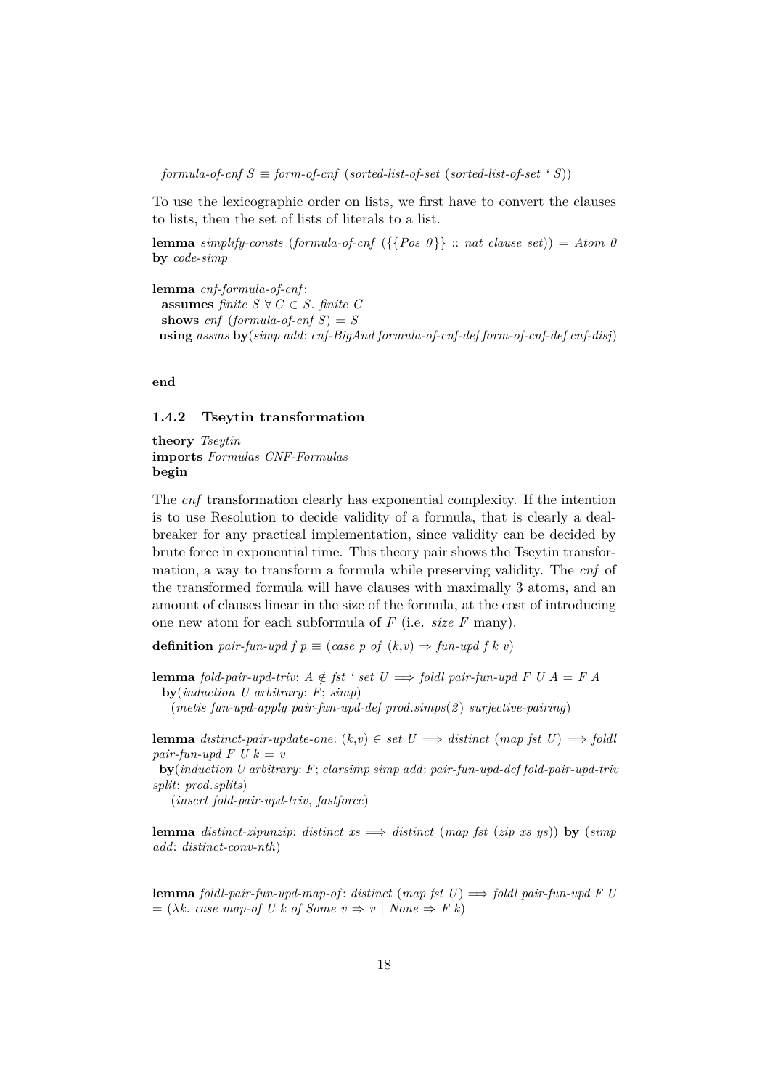$formula-of-cnf S \equiv form-of-cnf$  (*sorted-list-of-set* (*sorted-list-of-set* ' S))

To use the lexicographic order on lists, we first have to convert the clauses to lists, then the set of lists of literals to a list.

**lemma** *simplify-consts* (*formula-of-cnf* ({ ${Pos \theta}$ } :: *nat clause set*)) = *Atom 0* **by** *code-simp*

**lemma** *cnf-formula-of-cnf* : **assumes** *finite*  $S \forall C \in S$ *. finite C* **shows**  $cnf$  (*formula-of-cnf S*) = *S* **using** *assms* **by**(*simp add*: *cnf-BigAnd formula-of-cnf-def form-of-cnf-def cnf-disj*)

**end**

## <span id="page-17-0"></span>**1.4.2 Tseytin transformation**

**theory** *Tseytin* **imports** *Formulas CNF-Formulas* **begin**

The *cnf* transformation clearly has exponential complexity. If the intention is to use Resolution to decide validity of a formula, that is clearly a dealbreaker for any practical implementation, since validity can be decided by brute force in exponential time. This theory pair shows the Tseytin transformation, a way to transform a formula while preserving validity. The *cnf* of the transformed formula will have clauses with maximally 3 atoms, and an amount of clauses linear in the size of the formula, at the cost of introducing one new atom for each subformula of *F* (i.e. *size F* many).

**definition** *pair-fun-upd f*  $p \equiv (case \; p \; of \; (k, v) \Rightarrow \text{fun-}upd \; f \; k \; v)$ 

**lemma** *fold-pair-upd-triv:*  $A \notin \textit{fst}$  *' set*  $U \implies \textit{foldl pair-fun-upd}$  *F U A* = *F A* **by**(*induction U arbitrary*: *F*; *simp*)

(*metis fun-upd-apply pair-fun-upd-def prod*.*simps*(*2* ) *surjective-pairing*)

**lemma** *distinct-pair-update-one:*  $(k, v) \in set \ U \implies distinct \ (map \ fat \ U) \implies fold \$ *pair-fun-upd F U k = v* 

**by**(*induction U arbitrary*: *F*; *clarsimp simp add*: *pair-fun-upd-def fold-pair-upd-triv split*: *prod*.*splits*)

(*insert fold-pair-upd-triv*, *fastforce*)

**lemma** *distinct-zipunzip*: *distinct*  $xs \implies$  *distinct* (*map fst* (*zip xs ys*)) **by** (*simp*) *add*: *distinct-conv-nth*)

**lemma** *foldl-pair-fun-upd-map-of* : *distinct* (*map fst U*) =⇒ *foldl pair-fun-upd F U*  $= (\lambda k. \csc map\text{-}of U k \text{ of } Some v \Rightarrow v \mid None \Rightarrow F k)$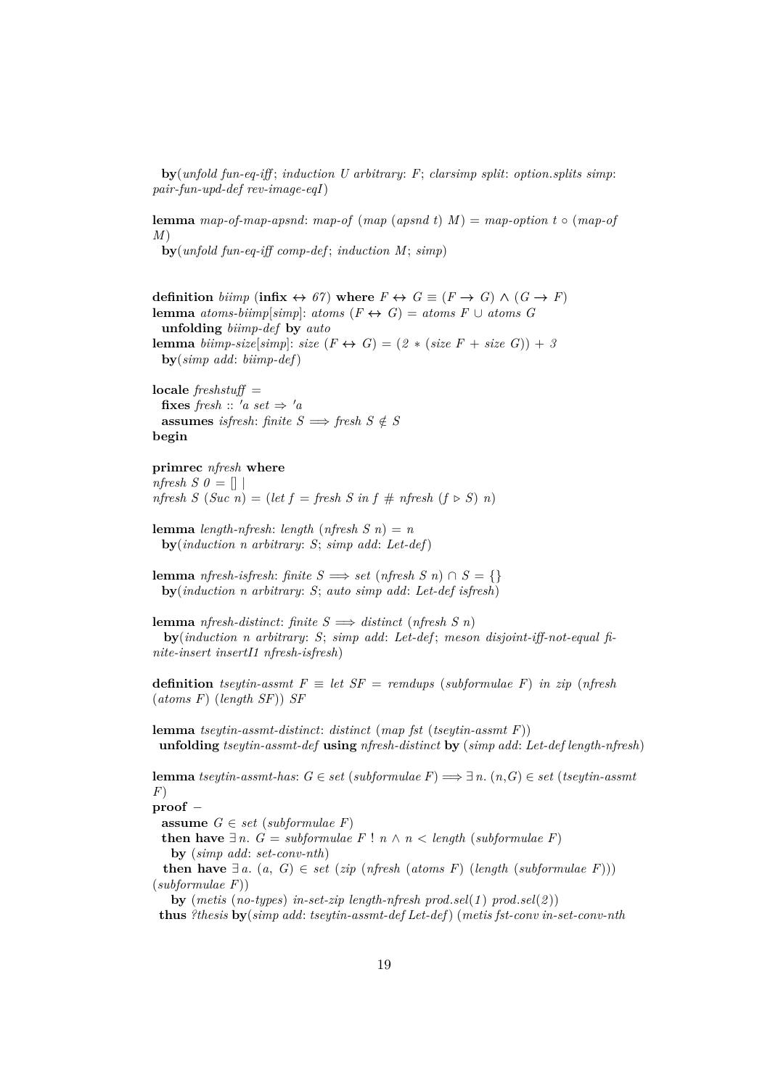**by**(*unfold fun-eq-iff* ; *induction U arbitrary*: *F*; *clarsimp split*: *option*.*splits simp*: *pair-fun-upd-def rev-image-eqI*)

**lemma** *map-of-map-apsnd*: *map-of* (*map* (*apsnd t*) *M*) = *map-option t* ◦ (*map-of M*)

**by**(*unfold fun-eq-iff comp-def* ; *induction M*; *simp*)

**definition**  $b \text{iimp}$  (**infix**  $\leftrightarrow 67$ ) where  $F \leftrightarrow G \equiv (F \rightarrow G) \land (G \rightarrow F)$ **lemma** *atoms-biimp*[*simp*]: *atoms*  $(F \leftrightarrow G) =$  *atoms*  $F \cup$  *atoms*  $G$ **unfolding** *biimp-def* **by** *auto* **lemma** *biimp-size*[*simp*]: *size*  $(F \leftrightarrow G) = (2 * (size F + size G)) + 3$ **by**(*simp add*: *biimp-def*)

**locale** *freshstuff* = **fixes** *fresh* ::  $'a$  *set*  $\Rightarrow 'a$ **assumes** *isfresh*: *finite*  $S \implies$  *fresh*  $S \notin S$ **begin**

#### **primrec** *nfresh* **where**

*nfresh S 0* =  $\vert \vert$  $nfresh S (Suc n) = (let f = fresh S in f # n fresh (f \triangleright S) n)$ 

**lemma** *length-nfresh*: *length* (*nfresh*  $S$ *n*) = *n* **by**(*induction n arbitrary*: *S*; *simp add*: *Let-def*)

**lemma** *nfresh-isfresh*: *finite*  $S \implies$  *set* (*nfresh*  $S$  *n*)  $\cap$   $S = \{\}$ **by**(*induction n arbitrary*: *S*; *auto simp add*: *Let-def isfresh*)

**lemma** *nfresh-distinct*: *finite*  $S \implies$  *distinct* (*nfresh*  $S$ *n*) **by**(*induction n arbitrary*: *S*; *simp add*: *Let-def* ; *meson disjoint-iff-not-equal finite-insert insertI1 nfresh-isfresh*)

**definition** *tseytin-assmt*  $F \equiv let SF =$  *remdups* (*subformulae F*) *in zip* (*nfresh* (*atoms F*) (*length SF*)) *SF*

**lemma** *tseytin-assmt-distinct*: *distinct* (*map fst* (*tseytin-assmt F*)) **unfolding** *tseytin-assmt-def* **using** *nfresh-distinct* **by** (*simp add*: *Let-def length-nfresh*)

**lemma** *tseytin-assmt-has*: *G* ∈ *set* (*subformulae F*) =⇒ ∃ *n*. (*n*,*G*) ∈ *set* (*tseytin-assmt F*)

**proof** −

**assume**  $G \in set$  (*subformulae F*)

**then have**  $∃n$ . *G* = *subformulae F* ! *n*  $∧$  *n* < *length* (*subformulae F*) **by** (*simp add*: *set-conv-nth*)

**then have**  $\exists a$ . (*a*, *G*) ∈ *set* (*zip* (*nfresh* (*atoms F*) (*length* (*subformulae F*))) (*subformulae F*))

**by** (*metis* (*no-types*) *in-set-zip length-nfresh prod*.*sel*(*1* ) *prod*.*sel*(*2* ))

**thus** *?thesis* **by**(*simp add*: *tseytin-assmt-def Let-def*) (*metis fst-conv in-set-conv-nth*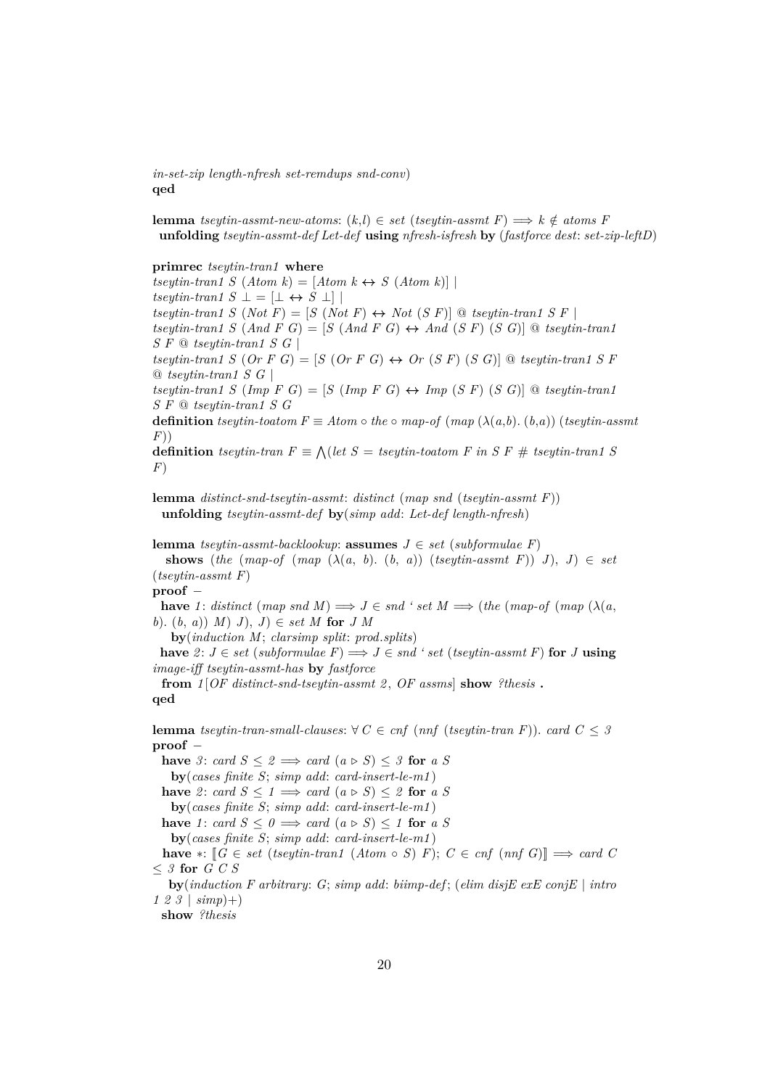*in-set-zip length-nfresh set-remdups snd-conv*) **qed**

**lemma** *tseytin-assmt-new-atoms*:  $(k,l) \in set$  (*tseytin-assmt F*)  $\implies k \notin atoms$  *F* **unfolding** *tseytin-assmt-def Let-def* **using** *nfresh-isfresh* **by** (*fastforce dest*: *set-zip-leftD*)

#### **primrec** *tseytin-tran1* **where**

 $tseytin-tran1 S (Atom k) = [Atom k \leftrightarrow S (Atom k)]$  $tseytin-tran1 S \perp = [\perp \leftrightarrow S \perp]$ *tseytin-tran1 S* (*Not F*) = [*S* (*Not F*)  $\leftrightarrow$  *Not* (*S F*)] @ *tseytin-tran1 S F* | *tseytin-tran1 S* (*And F G*) =  $[S$  (*And F G*)  $\leftrightarrow$  *And* (*S F*) (*S G*)] @ *tseytin-tran1 S F* @ *tseytin-tran1 S G* | *tseytin-tran1 S* (*Or*  $F G$ ) =  $S$  (*Or*  $F G$ )  $\leftrightarrow$  *Or* (*S*  $F$ ) (*S G*)] @ *tseytin-tran1 S*  $F$ @ *tseytin-tran1 S G* |

 $t$ *seytin-tran1*  $S$  ( $Imp \ F \ G$ ) =  $[S \ (Imp \ F \ G) \leftrightarrow Imp \ (S \ F) \ (S \ G)]$  @  $t$ *seytin-tran1 S F* @ *tseytin-tran1 S G*

**definition** *tseytin-toatom*  $F \equiv Atom \circ the \circ map-of (map (\lambda(a,b), (b,a)) (tseytin-assmt$ *F*))

**definition** *tseytin-tran*  $F \equiv \bigwedge (let \ S = tseytin-toatom \ F \ in \ S \ F \ # \ tseytin-tran1 \ S$ *F*)

**lemma** *distinct-snd-tseytin-assmt*: *distinct* (*map snd* (*tseytin-assmt F*)) **unfolding** *tseytin-assmt-def* **by**(*simp add*: *Let-def length-nfresh*)

**lemma** *tseytin-assmt-backlookup*: **assumes**  $J \in set$  (*subformulae F*)

**shows** (*the* (*map-of* (*map*  $(\lambda(a, b), (b, a))$  (*tseytin-assmt F*)) *J*), *J*)  $\in$  *set* (*tseytin-assmt F*)

**proof** −

**have** 1: *distinct* (*map snd M*)  $\implies J \in \text{snd } ' set M \implies (the (map-of) (map (\lambda(a,$ *b*). (*b*, *a*)) *M*) *J*), *J*) ∈ *set M* **for** *J M*

**by**(*induction M*; *clarsimp split*: *prod*.*splits*)

**have**  $2: J ∈ set (subformulae F) ⇒ J ∈ end ' set (*steytin-assmt F*)$  **for** *J* **using** *image-iff tseytin-assmt-has* **by** *fastforce*

**from** *1* [*OF distinct-snd-tseytin-assmt 2* , *OF assms*] **show** *?thesis* **. qed**

**lemma** *tseytin-tran-small-clauses*:  $\forall C \in \text{cnf}$  (*nnf* (*tseytin-tran F*)). *card*  $C \leq 3$ **proof** −

**have** 3: *card*  $S \leq 2 \implies \text{card}(a \triangleright S) \leq 3$  for *a S* **by**(*cases finite S*; *simp add*: *card-insert-le-m1* ) **have** 2: *card*  $S \leq 1 \implies \text{card}(a \triangleright S) \leq 2$  for *a S* **by**(*cases finite S*; *simp add*: *card-insert-le-m1* )

**have** 1: *card*  $S \leq 0 \implies$  *card*  $(a \triangleright S) \leq 1$  **for** *a S* 

**by**(*cases finite S*; *simp add*: *card-insert-le-m1* )

**have** ∗:  $[ G \in set (tseytin-tran1 (Atom ∘ S) F); C \in cnf (nnf G) ] \Rightarrow card C$ ≤ *3* **for** *G C S*

**by**(*induction F arbitrary*: *G*; *simp add*: *biimp-def* ; (*elim disjE exE conjE* | *intro 1 2 3* | *simp*)+)

**show** *?thesis*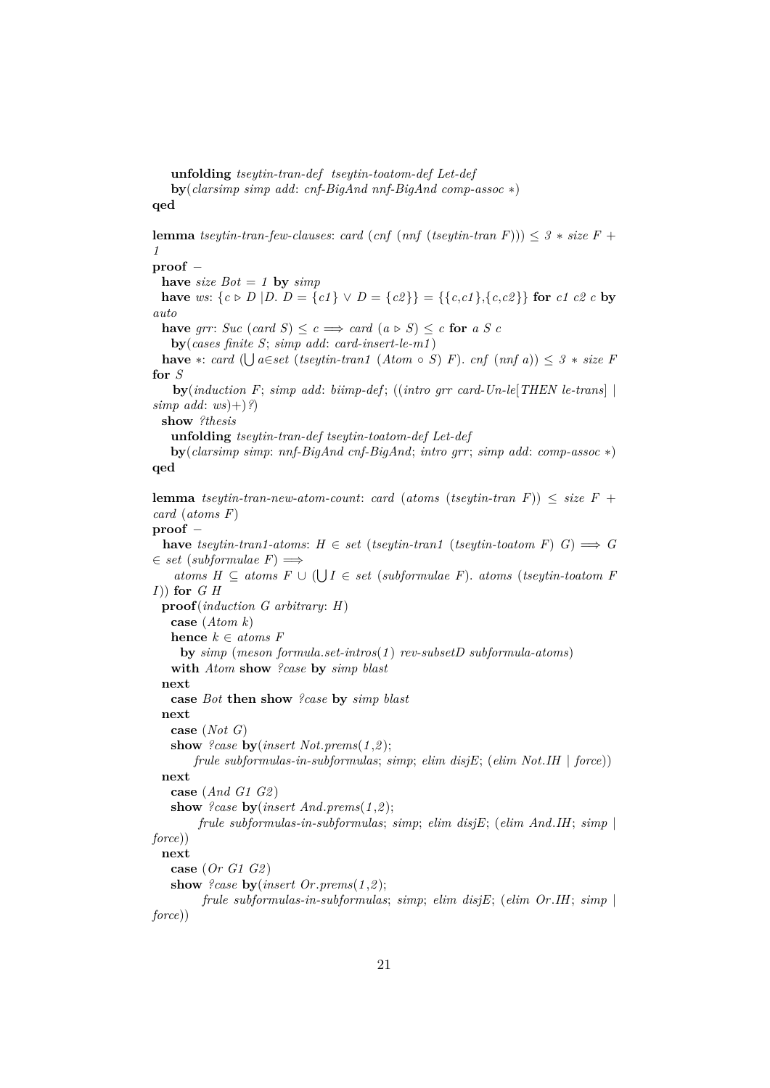**unfolding** *tseytin-tran-def tseytin-toatom-def Let-def*

**by**(*clarsimp simp add*: *cnf-BigAnd nnf-BigAnd comp-assoc* ∗) **qed**

**lemma** *tseytin-tran-few-clauses: <i>card* (*cnf* (*nnf* (*tseytin-tran F*)))  $\leq$  3  $*$  *size F* + *1*

**proof** −

**have** *size*  $Bot = 1$  **by**  $simp$ 

**have** *ws*:  $\{c \triangleright D | D, D = \{c1\} \vee D = \{c2\}\} = \{\{c, c1\}, \{c, c2\}\}\$  for *c1 c2 c* by *auto*

**have** *grr*: *Suc* (*card S*)  $\leq c \implies \text{card}(a \triangleright S) \leq c$  **for** *a S c* 

**by**(*cases finite S*; *simp add*: *card-insert-le-m1* )

**have** ∗: *card* ( $\bigcup a \in set$  (*tseytin-tran1* (*Atom* ◦ *S*) *F*). *cnf* (*nnf a*)) ≤ *3* ∗ *size F* **for** *S*

**by**(*induction F*; *simp add*: *biimp-def* ; ((*intro grr card-Un-le*[*THEN le-trans*] |  $simp \text{ } add: \text{ } ws) + \frac{?}{?}$ 

**show** *?thesis*

**unfolding** *tseytin-tran-def tseytin-toatom-def Let-def*

**by**(*clarsimp simp*: *nnf-BigAnd cnf-BigAnd*; *intro grr*; *simp add*: *comp-assoc* ∗) **qed**

**lemma** *tseytin-tran-new-atom-count: card* (*atoms* (*tseytin-tran F*))  $\leq$  *size F* + *card* (*atoms F*)

## **proof** −

**have** *tseytin-tran1-atoms*:  $H \in set$  (*tseytin-tran1* (*tseytin-toatom F*)  $G$ )  $\implies G$  $\in$  *set* (*subformulae*  $F$ )  $\Longrightarrow$ 

*atoms*  $H ⊆ atoms F ∪ ( ∪ I ∈ set (subformulae F). atoms (tseytin-toatom F)$ *I*)) **for** *G H*

**proof**(*induction G arbitrary*: *H*)

**case** (*Atom k*)

**hence**  $k \in atoms F$ 

**by** *simp* (*meson formula*.*set-intros*(*1* ) *rev-subsetD subformula-atoms*) **with** *Atom* **show** *?case* **by** *simp blast*

**next**

**case** *Bot* **then show** *?case* **by** *simp blast*

**next**

**case** (*Not G*)

**show** *?case* **by**(*insert Not*.*prems*(*1* ,*2* ); *frule subformulas-in-subformulas*; *simp*; *elim disjE*; (*elim Not*.*IH* | *force*))

**next**

**case** (*And G1 G2* )

**show** *?case* **by**(*insert And*.*prems*(*1* ,*2* );

```
frule subformulas-in-subformulas; simp; elim disjE; (elim And.IH; simp |
force))
```
## **next**

**case** (*Or G1 G2* ) **show** *?case* **by**(*insert Or*.*prems*(*1* ,*2* );

*frule subformulas-in-subformulas*; *simp*; *elim disjE*; (*elim Or*.*IH*; *simp* | *force*))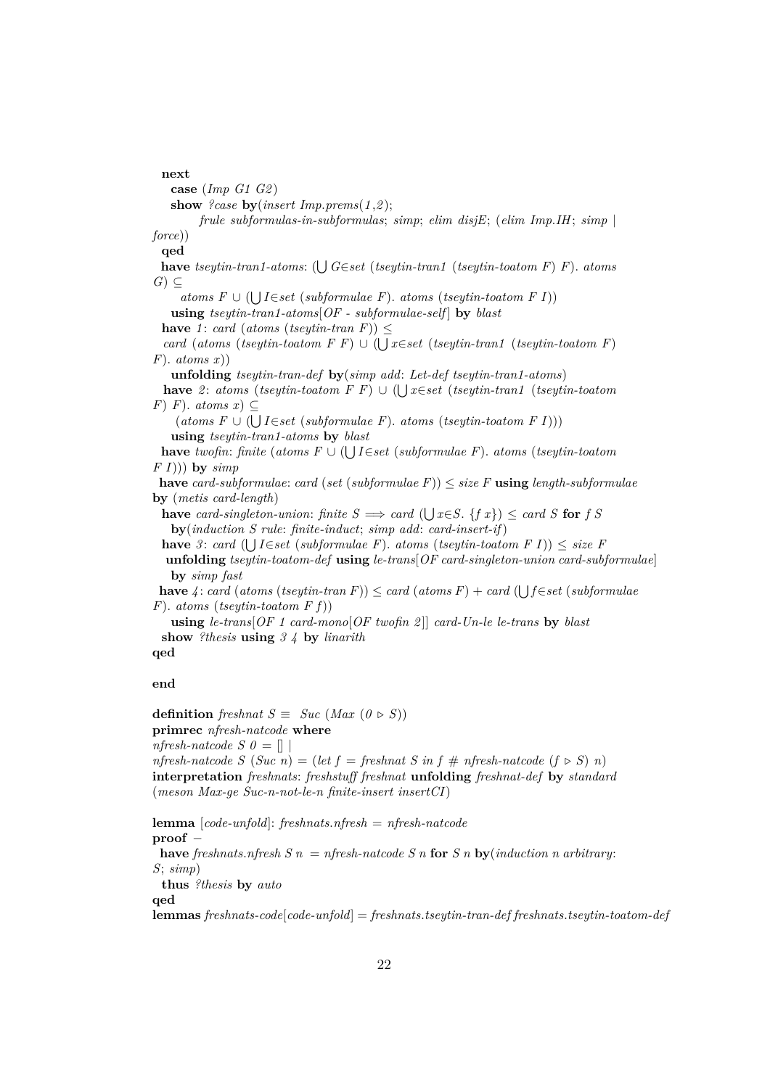**next case** (*Imp G1 G2* ) **show** *?case* **by**(*insert Imp.prems*( $1,2$ ); *frule subformulas-in-subformulas*; *simp*; *elim disjE*; (*elim Imp*.*IH*; *simp* | *force*)) **qed have** *tseytin-tran1-atoms*: (∪ *G∈set* (*tseytin-tran1* (*tseytin-toatom F*) *F*). *atoms G*) ⊆ *atoms*  $F ∪ ( ∪ I ∈ set (subformulae F). atoms (tseytin-toatom F I))$ **using** *tseytin-tran1-atoms*[*OF - subformulae-self* ] **by** *blast* **have** *1*: *card* (*atoms* (*tseytin-tran F*))  $\leq$  $card (atoms (tseytin-toatom F F) \cup (Ux \in set (tseytin-tran1 (tseytin-toatom F)$ *F*). *atoms x*)) **unfolding** *tseytin-tran-def* **by**(*simp add*: *Let-def tseytin-tran1-atoms*) **have** 2: *atoms* (*tseytin-toatom F F*) ∪ (∪*x∈set* (*tseytin-tran1* (*tseytin-toatom F*) *F*). *atoms*  $x$ ) ⊂  $(atoms F \cup (UI \in set (subformulae F). atoms (tseytin-toatom F I)))$ **using** *tseytin-tran1-atoms* **by** *blast* **have** *twofin*: *finite* (*atoms F* ∪ ( S *I*∈*set* (*subformulae F*). *atoms* (*tseytin-toatom F I*))) **by** *simp* **have** *card-subformulae*: *card* (*set* (*subformulae F*))  $\leq$  *size F* **using** *length-subformulae* **by** (*metis card-length*) **have** *card-singleton-union: finite*  $S \implies \text{card } (\bigcup x \in S)$ .  $\{f x\} \leq \text{card } S$  for *f S* **by**(*induction S rule*: *finite-induct*; *simp add*: *card-insert-if*) **have** 3: *card* ( $\bigcup I \in set$  (*subformulae F*). *atoms* (*tseytin-toatom F I*))  $\leq$  *size* F **unfolding** *tseytin-toatom-def* **using** *le-trans*[*OF card-singleton-union card-subformulae*] **by** *simp fast* **have**  $4$ : *card* (*atoms* (*tseytin-tran F*))  $\leq$  *card* (*atoms F*) + *card* ( $\bigcup f \in set$  (*subformulae* 

*F*). *atoms* (*tseytin-toatom F f*)) **using** *le-trans*[*OF 1 card-mono*[*OF twofin 2* ]] *card-Un-le le-trans* **by** *blast*

**show** *?thesis* **using** *3 4* **by** *linarith*

**qed**

**end**

**definition** *freshnat*  $S \equiv Suc \ (Max \ (0 \triangleright S))$ **primrec** *nfresh-natcode* **where** *nfresh-natcode S 0* =  $\Box$ *nfresh-natcode*  $S$  (*Suc n*) = (*let f* = *freshnat*  $S$  *in f*  $\#$  *nfresh-natcode* (*f*  $\triangleright$  *S*) *n*) **interpretation** *freshnats*: *freshstuff freshnat* **unfolding** *freshnat-def* **by** *standard* (*meson Max-ge Suc-n-not-le-n finite-insert insertCI*)

**lemma** [*code-unfold*]: *freshnats*.*nfresh* = *nfresh-natcode* **proof** − **have** *freshnats*.*nfresh S n* = *nfresh-natcode S n* **for** *S n* **by**(*induction n arbitrary*: *S*; *simp*) **thus** *?thesis* **by** *auto* **qed**

**lemmas** *freshnats-code*[*code-unfold*] = *freshnats*.*tseytin-tran-def freshnats*.*tseytin-toatom-def*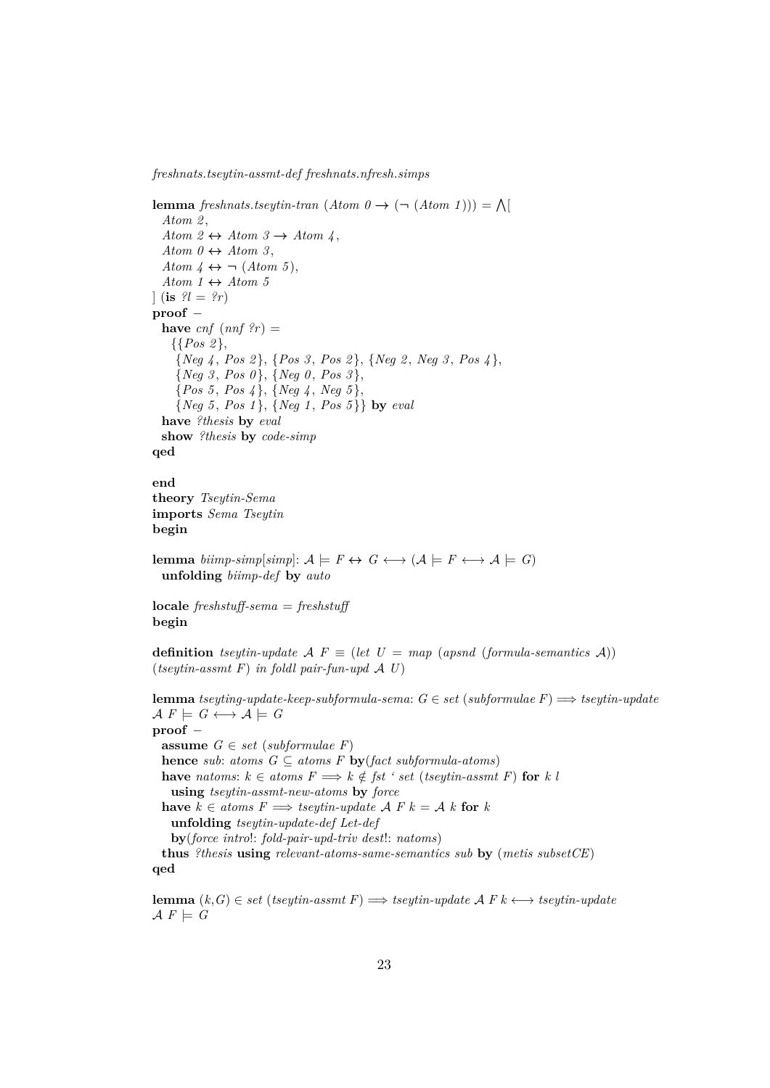*freshnats*.*tseytin-assmt-def freshnats*.*nfresh*.*simps*

**lemma** *freshnats.tseytin-tran*  $(Atom \theta \rightarrow (\neg (Atom \ 1))) = \bigwedge$ *Atom 2* , *Atom 2*  $\leftrightarrow$  *Atom 3*  $\rightarrow$  *Atom 4*, *Atom 0*  $\leftrightarrow$  *Atom 3*, *Atom 4*  $\leftrightarrow \neg$  (*Atom 5*),  $Atom\ 1 \leftrightarrow Atom\ 5$  $\int$  (is  $\mathcal{U} = \mathcal{U}r$ ) **proof** − **have**  $cnf$   $(nnf$   $?r)$  = {{*Pos 2* }, {*Neg 4* , *Pos 2* }, {*Pos 3* , *Pos 2* }, {*Neg 2* , *Neg 3* , *Pos 4* }, {*Neg 3* , *Pos 0* }, {*Neg 0* , *Pos 3* }, {*Pos 5* , *Pos 4* }, {*Neg 4* , *Neg 5* }, {*Neg 5* , *Pos 1* }, {*Neg 1* , *Pos 5* }} **by** *eval* **have** *?thesis* **by** *eval* **show** *?thesis* **by** *code-simp* **qed end theory** *Tseytin-Sema* **imports** *Sema Tseytin* **begin lemma** *biimp-simp*[*simp*]:  $A \models F \leftrightarrow G \leftrightarrow (A \models F \leftrightarrow A \models G)$ **unfolding** *biimp-def* **by** *auto* **locale** *freshstuff-sema* = *freshstuff* **begin definition** *tseytin-update*  $\mathcal{A} F \equiv (let U = map (apsnd (formula-semantics A))$ (*tseytin-assmt F*) *in foldl pair-fun-upd* A *U*) **lemma** *tseyting-update-keep-subformula-sema*: *G* ∈ *set* (*subformulae F*) =⇒ *tseytin-update*  $\mathcal{A} F \models G \longleftrightarrow \mathcal{A} \models G$ **proof** − **assume**  $G \in set$  (*subformulae F*) **hence** *sub*: *atoms*  $G \subseteq atoms F$  **by**(*fact subformula-atoms*) **have** *natoms*:  $k \in atoms F$   $\implies k \notin \textit{fst}$  ' *set* (*tseytin-assmt F*) for *k l* **using** *tseytin-assmt-new-atoms* **by** *force* **have**  $k \in atoms F$   $\implies$  *tseytin-update*  $\land$   $F$   $k = \land k$  for  $k$ **unfolding** *tseytin-update-def Let-def* **by**(*force intro*!: *fold-pair-upd-triv dest*!: *natoms*) **thus** *?thesis* **using** *relevant-atoms-same-semantics sub* **by** (*metis subsetCE*) **qed**

**lemma**  $(k, G) \in set$  (*tseytin-assmt F*)  $\implies$  *tseytin-wpdate A F k* ← *tseytin-wpdate*  $\mathcal{A} \ F \models G$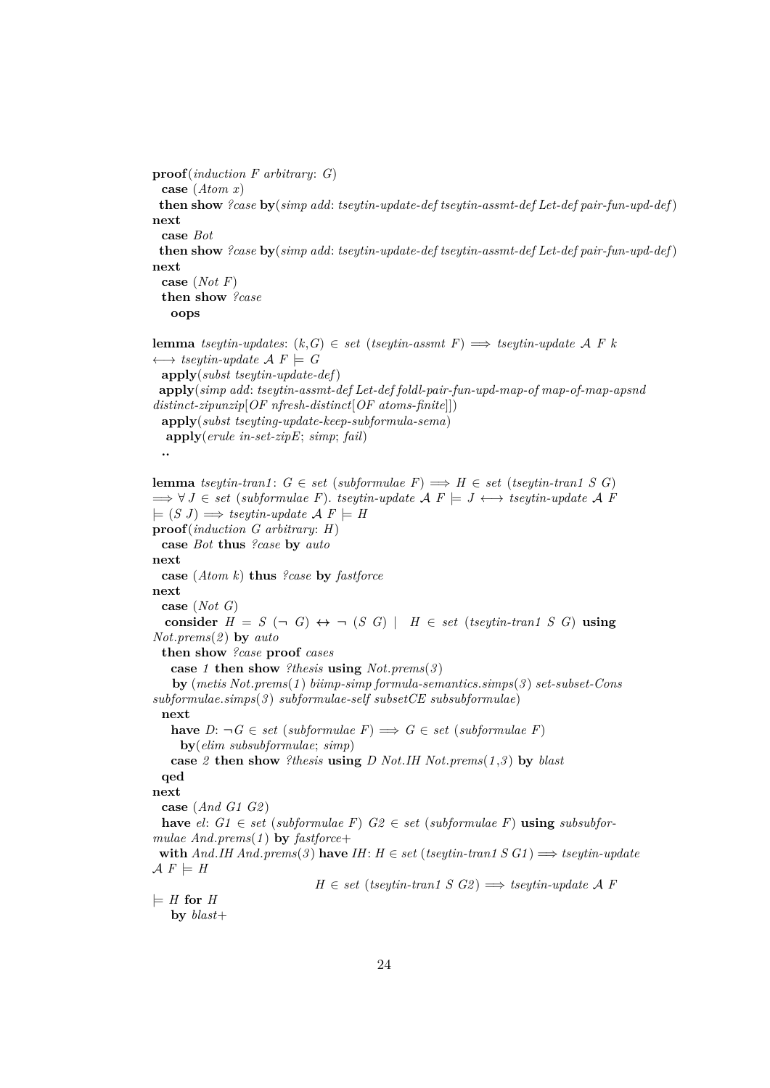```
proof(induction F arbitrary: G)
 case (Atom x)
 then show ?case by(simp add: tseytin-update-def tseytin-assmt-def Let-def pair-fun-upd-def )
next
 case Bot
 then show ?case by(simp add: tseytin-update-def tseytin-assmt-def Let-def pair-fun-upd-def )
next
  case (Not F)
 then show ?case
   oops
lemma tseytin-updates: (k, G) \in set (tseytin-assmt F) \implies tseytin-update A F k
\longleftrightarrow tseytin-update \mathcal{A} F \models Gapply(subst tseytin-update-def)
 apply(simp add: tseytin-assmt-def Let-def foldl-pair-fun-upd-map-of map-of-map-apsnd
distinct-zipunzip[OF nfresh-distinct[OF atoms-finite]])
 apply(subst tseyting-update-keep-subformula-sema)
  apply(erule in-set-zipE; simp; fail)
 ..
lemma tseytin-tran1: G \in set (subformulae F) \implies H \in set (tseytin-tran1 S G)
\implies \forall J \in set (subformulae F). tseytin-update \mathcal{A} \in \mathcal{A} \vdash J \leftrightarrow tseytin-update \mathcal{A} \in \mathcal{A}\models (S J) \Longrightarrow tseytin-update \mathcal{A} F \models Hproof(induction G arbitrary: H)
 case Bot thus ?case by auto
next
 case (Atom k) thus ?case by fastforce
next
 case (Not G)
  consider H = S (\neg G) \Leftrightarrow \neg (S G) | H \in set (tseytin-tran1 S G) using
Not.prems(2 ) by auto
 then show ?case proof cases
   case 1 then show ?thesis using Not.prems(3 )
   by (metis Not.prems(1 ) biimp-simp formula-semantics.simps(3 ) set-subset-Cons
subformulae.simps(3 ) subformulae-self subsetCE subsubformulae)
 next
   have D: \neg G ∈ set (subformulae F) \implies G ∈ set (subformulae F)by(elim subsubformulae; simp)
   case 2 then show ?thesis using D Not.IH Not.prems(1 ,3 ) by blast
 qed
next
 case (And G1 G2 )
 have el: G1 \in set (subformulae F) G2 \in set (subformulae F) using subsubfor-
mulae And.prems(1 ) by fastforce+
 with And.HH And.prems(3) have IH: H \in set (tseytin-tran1 S G1) \implies tseytin-update
\mathcal{A} F \models HH \in set (tseytin-tran1 S G2) \implies tseytin-wpdate A F
\models H for H
   by blast+
```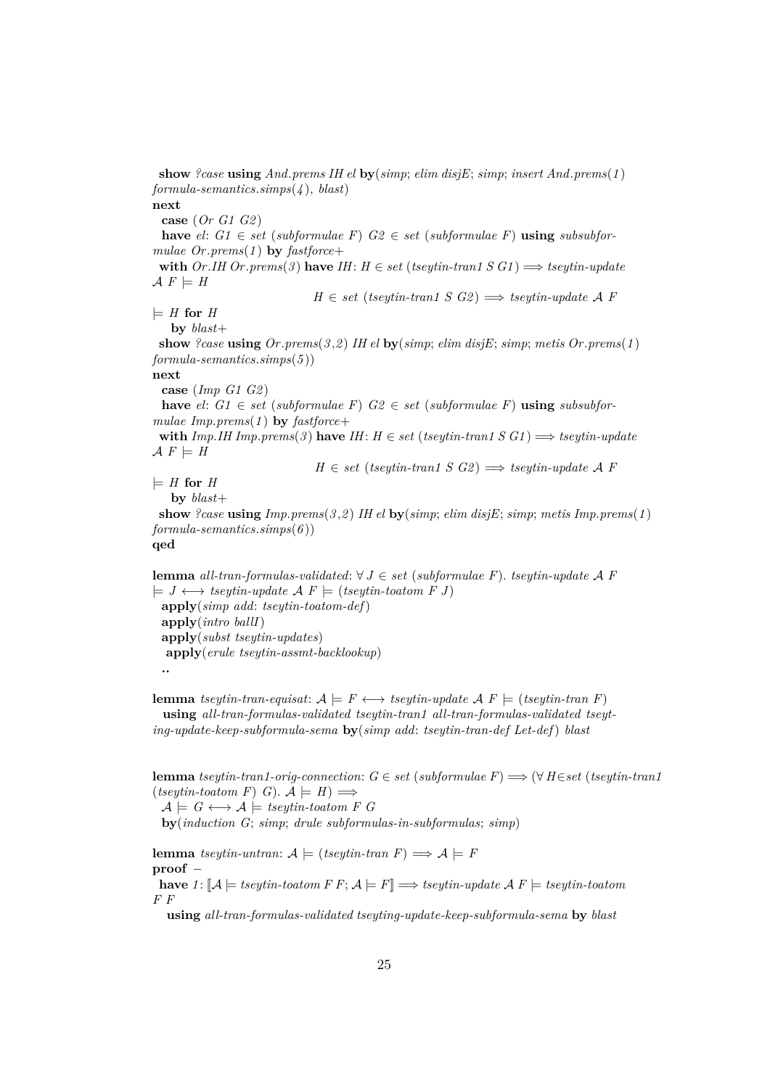**show** *?case* **using** *And*.*prems IH el* **by**(*simp*; *elim disjE*; *simp*; *insert And*.*prems*(*1* ) *formula-semantics*.*simps*(*4* ), *blast*) **next**

**case** (*Or G1 G2* )

**have**  $el: G1 \in set$  (*subformulae F*)  $G2 \in set$  (*subformulae F*) **using** *subsubformulae Or*.*prems*(*1* ) **by** *fastforce*+

**with** *Or*.*IH Or*.*prems*(3) **have** *IH*: *H* ∈ *set* (*tseytin-tran1 S G1*)  $\implies$  *tseytin-update*  $\mathcal{A} F \models H$ 

 $H \in set$  (*tseytin-tran1 S G2*)  $\implies$  *tseytin-update A F* 

 $\models$  *H* for *H* 

**by** *blast*+

**show** *?case* **using** *Or*.*prems*(*3* ,*2* ) *IH el* **by**(*simp*; *elim disjE*; *simp*; *metis Or*.*prems*(*1* ) *formula-semantics*.*simps*(*5* ))

**next**

**case** (*Imp G1 G2* )

**have**  $el: G1 \in set$  (*subformulae F*)  $G2 \in set$  (*subformulae F*) **using** *subsubformulae Imp*.*prems*(*1* ) **by** *fastforce*+

**with**  $Imp.HH Imp.prems(3)$  **have**  $IH: H ∈ set (tseytin-tran1 S G1) \implies tseytin-update$  $\mathcal{A} F \models H$ 

 $H \in set$  (*tseytin-tran1 S G2*)  $\implies$  *tseytin-update A F* 

 $\models$  *H* for *H* 

**by** *blast*+

**show** *?case* **using** *Imp*.*prems*(*3* ,*2* ) *IH el* **by**(*simp*; *elim disjE*; *simp*; *metis Imp*.*prems*(*1* ) *formula-semantics*.*simps*(*6* )) **qed**

**lemma** *all-tran-formulas-validated*: ∀ *J* ∈ *set* (*subformulae F*). *tseytin-update* A *F*  $\models J \leftrightarrow \text{tseutin-update } A \ F \models (\text{tseutin-toatom } F \ J)$ **apply**(*simp add*: *tseytin-toatom-def*) **apply**(*intro ballI*) **apply**(*subst tseytin-updates*) **apply**(*erule tseytin-assmt-backlookup*) **..**

**lemma** *tseytin-tran-equisat*:  $A \models F \longleftrightarrow tseytin\text{-}update A F \models (tseytin\text{-}tran F)$ **using** *all-tran-formulas-validated tseytin-tran1 all-tran-formulas-validated tseyting-update-keep-subformula-sema* **by**(*simp add*: *tseytin-tran-def Let-def*) *blast*

**lemma** *tseytin-tran1-orig-connection*: *G* ∈ *set* (*subformulae F*) =⇒ (∀ *H*∈*set* (*tseytin-tran1*  $(tseytin-toatom F) G$ .  $A \models H$ )  $\Longrightarrow$ 

 $\mathcal{A} \models G \leftrightarrow \mathcal{A} \models \text{tseytin-toatom } F \ G$ **by**(*induction G*; *simp*; *drule subformulas-in-subformulas*; *simp*)

**lemma** *tseytin-untran*:  $\mathcal{A} \models$  (*tseytin-tran*  $F$ )  $\Longrightarrow$   $\mathcal{A} \models F$ **proof** − **have**  $1: \mathbb{A} \models \text{t}\text{seutrino}$  *A*  $\text{F} \text{F}: \mathcal{A} \models \text{F} \models \text{t}\text{seutrino}$  *A*  $\text{F} \models \text{t}\text{seutrino}$ *F F*

**using** *all-tran-formulas-validated tseyting-update-keep-subformula-sema* **by** *blast*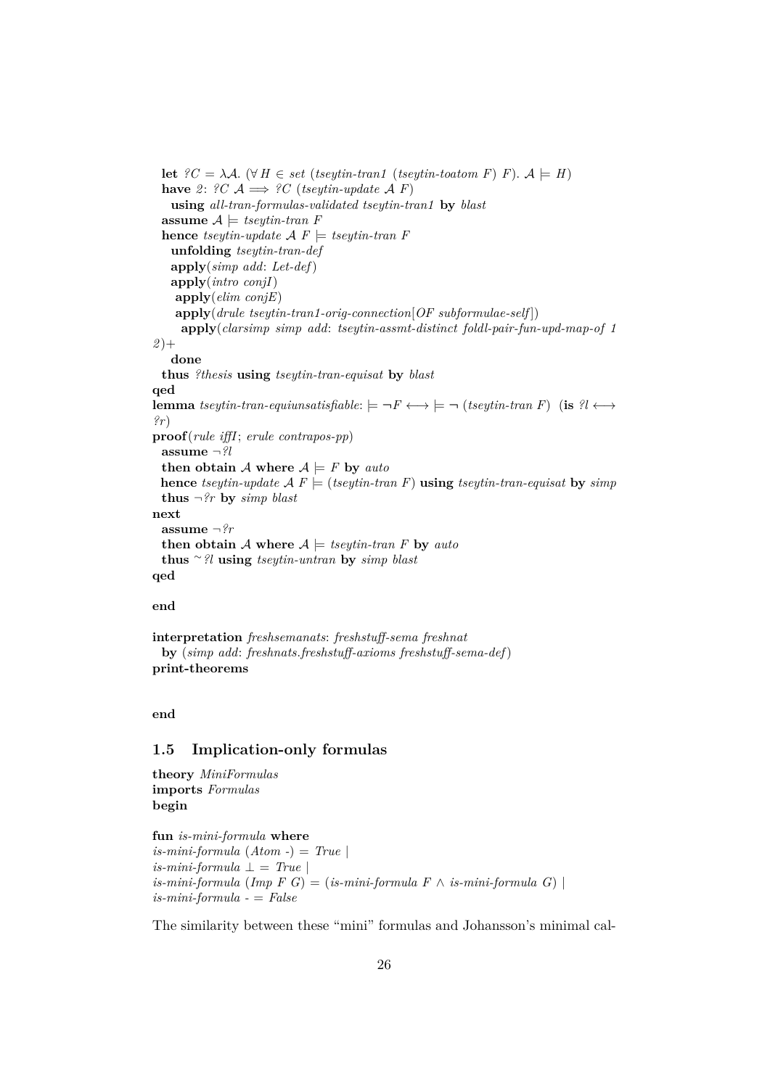```
let ?C = \lambda A. (∀ H ∈ set (tseytin-tran1 (tseytin-toatom F) F). A \models H)
 have 2: ?C \mathcal{A} \implies ?C (tseytin-update \mathcal{A} F)
   using all-tran-formulas-validated tseytin-tran1 by blast
  assume A \models \text{tseytin-tran } Fhence tseytin-update \mathcal{A} F \models tseytin-tran F
   unfolding tseytin-tran-def
   apply(simp add: Let-def)
   apply(intro conjI)
    apply(elim conjE)
    apply(drule tseytin-tran1-orig-connection[OF subformulae-self ])
     apply(clarsimp simp add: tseytin-assmt-distinct foldl-pair-fun-upd-map-of 1
2 )+
   done
 thus ?thesis using tseytin-tran-equisat by blast
qed
lemma tseytin-tran-equiunsatisfiable: \models \neg F \longleftrightarrow \models \neg (tseytin-tran F) (is ?l \longleftrightarrow?r)
proof(rule iffI; erule contrapos-pp)
 assume ¬?l
 then obtain A where A \models F by auto
 hence tseytin-update A F \models (tseytin-tran F) using tseytin-tran-equisat by simp
 thus \neg?r by simp blast
next
 assume ¬?r
 then obtain A where A \models tsey\text{ }t\text{ }t\text{ }r\text{ }t\text{ }r\text{ }a\text{ }u\text{ }t\text{ }othus ∼?l using tseytin-untran by simp blast
qed
```
## **end**

**interpretation** *freshsemanats*: *freshstuff-sema freshnat* **by** (*simp add*: *freshnats*.*freshstuff-axioms freshstuff-sema-def*) **print-theorems**

## **end**

## <span id="page-25-0"></span>**1.5 Implication-only formulas**

```
theory MiniFormulas
imports Formulas
begin
```
**fun** *is-mini-formula* **where** *is-mini-formula* (*Atom -*) = *True* |  $is-mini-formula \perp = True \perp$  $is-mini-formula$  ( $Imp F G$ ) = ( $is-mini-formula F \wedge is-mini-formula G$ ) | *is-mini-formula -* = *False*

The similarity between these "mini" formulas and Johansson's minimal cal-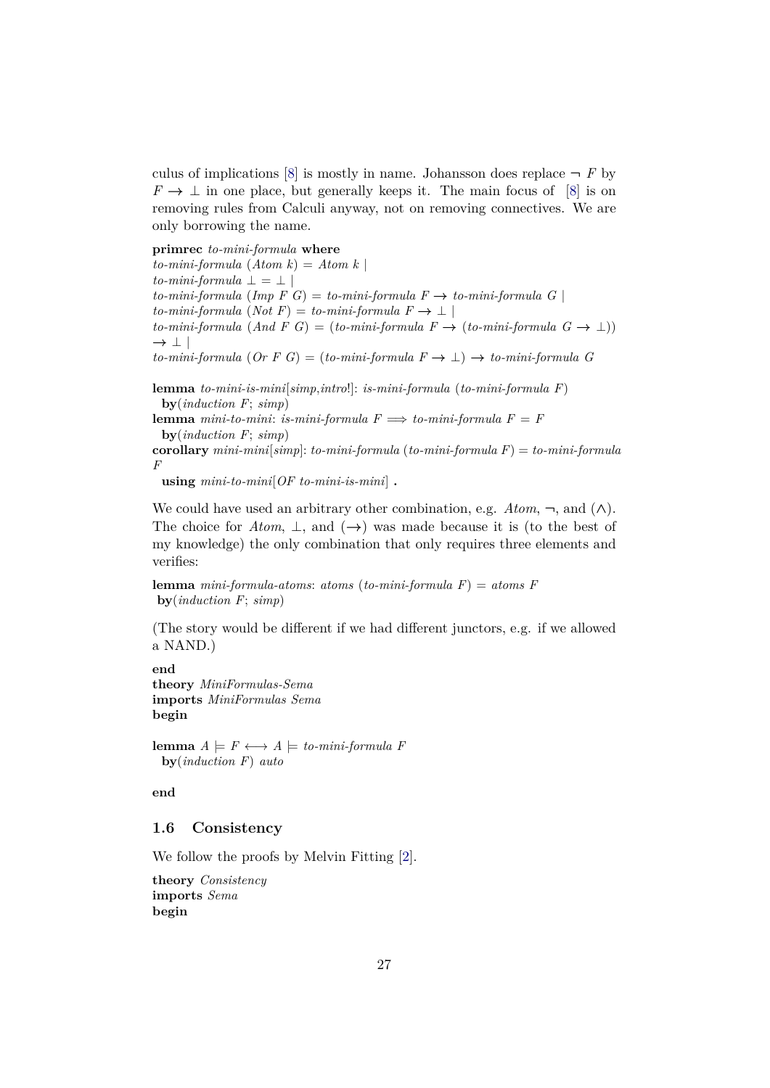culus of implications [\[8\]](#page-140-2) is mostly in name. Johansson does replace  $\neg$  *F* by  $F \to \perp$  in one place, but generally keeps it. The main focus of [\[8\]](#page-140-2) is on removing rules from Calculi anyway, not on removing connectives. We are only borrowing the name.

**primrec** *to-mini-formula* **where**

 $to-mini-formula (Atom k) = Atom k$  $to-mini-formula \perp = \perp$  $to-mini-formula$  ( $Imp \ F \ G$ ) =  $to-mini-formula \ F \rightarrow to-mini-formula \ G \ |$  $to-mini-formula (Not F) = to-mini-formula F \rightarrow \perp$  $to-min-formula$  (*And F G*) = ( $to-min-formula$  *F*  $\rightarrow$  ( $to-miniformula$  *G*  $\rightarrow$  ⊥))  $\rightarrow$   $\perp$  | *to-mini-formula* (*Or F G*) = (*to-mini-formula F* → ⊥) → *to-mini-formula G*

**lemma** *to-mini-is-mini*[*simp*,*intro*!]: *is-mini-formula* (*to-mini-formula F*) **by**(*induction F*; *simp*)

**lemma** *mini-to-mini*: *is-mini-formula*  $F \implies$  *to-mini-formula*  $F = F$ **by**(*induction F*; *simp*)

**corollary** *mini-mini*[*simp*]: *to-mini-formula* (*to-mini-formula F*) = *to-mini-formula F*

**using** *mini-to-mini*[*OF to-mini-is-mini*] **.**

We could have used an arbitrary other combination, e.g.  $Atom$ ,  $\neg$ , and  $(\wedge)$ . The choice for  $Atom, \perp,$  and  $(\rightarrow)$  was made because it is (to the best of my knowledge) the only combination that only requires three elements and verifies:

**lemma** *mini-formula-atoms*: *atoms* (*to-mini-formula F*) = *atoms F* **by**(*induction F*; *simp*)

(The story would be different if we had different junctors, e.g. if we allowed a NAND.)

**end theory** *MiniFormulas-Sema* **imports** *MiniFormulas Sema* **begin**

**lemma**  $A \models F \leftrightarrow \rightarrow A \models \text{to-mini-formula } F$ **by**(*induction F*) *auto*

**end**

## <span id="page-26-0"></span>**1.6 Consistency**

We follow the proofs by Melvin Fitting [\[2\]](#page-140-3).

**theory** *Consistency* **imports** *Sema* **begin**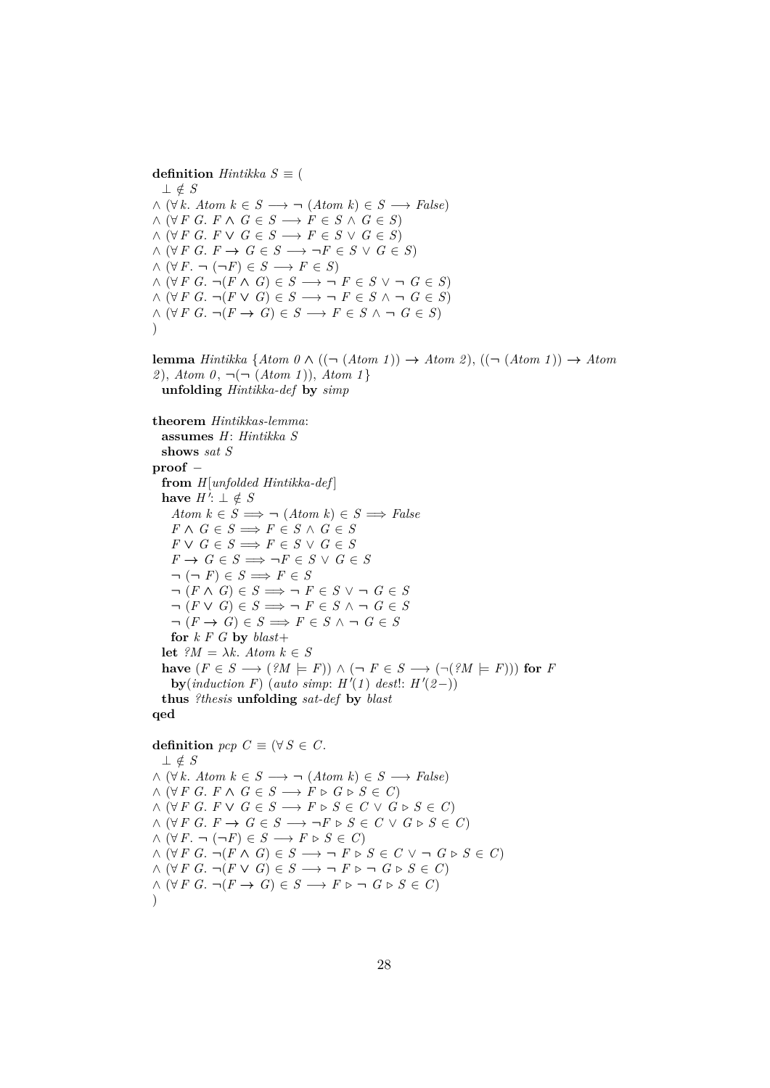**definition** *Hintikka*  $S \equiv$  ( ⊥ ∈/ *S*  $\land$  (∀ *k*. *Atom*  $k \in S \longrightarrow \neg$  (*Atom k*)  $\in S \longrightarrow False$ )  $\land$  (∀ *F G*. *F*  $\land$  *G*  $\in$  *S*  $\longrightarrow$  *F*  $\in$  *S*  $\land$  *G*  $\in$  *S*)  $\wedge$   $(\forall F \ G. \ F \lor G \in S \longrightarrow F \in S \lor G \in S)$  $\wedge$   $(\forall F \ G. F \rightarrow G \in S \longrightarrow \neg F \in S \vee G \in S)$  $\wedge (\forall F. \neg (\neg F) \in S \longrightarrow F \in S)$  $\land$  (∀ *F G*.  $\neg$ (*F*  $\land$  *G*)  $\in$  *S*  $\longrightarrow$   $\neg$  *F*  $\in$  *S*  $\lor$   $\neg$  *G*  $\in$  *S*)  $\wedge$  (∀ *F G*.  $\neg (F \vee G) \in S \longrightarrow \neg F \in S \wedge \neg G \in S$ )  $\wedge$   $(\forall F \ G. \ \neg (F \rightarrow G) \in S \longrightarrow F \in S \ \wedge \ \neg G \in S)$  $\lambda$ **lemma** *Hintikka* {*Atom 0* ∧ ((¬ (*Atom 1* )) → *Atom 2* ), ((¬ (*Atom 1* )) → *Atom 2* ), *Atom 0* , ¬(¬ (*Atom 1* )), *Atom 1* } **unfolding** *Hintikka-def* **by** *simp* **theorem** *Hintikkas-lemma*:

```
assumes H: Hintikka S
  shows sat S
proof −
  from H[unfolded Hintikka-def ]
  have H': ⊥ ∉ S
   Atom k \in S \implies \neg (Atom \; k) \in S \implies FalseF \wedge G \in S \Longrightarrow F \in S \wedge G \in SF \vee G \in S \implies F \in S \vee G \in SF \to G \in S \implies \neg F \in S \lor G \in S\neg(\neg F) \in S \Longrightarrow F \in S\neg (F \wedge G) \in S \implies \neg F \in S \vee \neg G \in S\neg (F \lor G) \in S \implies \neg F \in S \land \neg G \in S\neg (F \rightarrow G) \in S \Longrightarrow F \in S \land \neg G \in Sfor k \in G by blast +let {}^{\circ}M = \lambda k. Atom k \in Shave (F ∈ S → (?M ∈ F)) ∧ (¬ F ∈ S → (¬(?M ∈ F))) for F
    by(induction F) (auto simp: H'(1) dest!: H'(2-))
  thus ?thesis unfolding sat-def by blast
qed
```

```
definition pcp \text{ } C \equiv (\forall S \in C.
  ⊥ ∈/ S
\land (∀ k. Atom k \in S \longrightarrow \neg (Atom k) \in S \longrightarrow False)
\land (∀ F G. F \land G \in S \longrightarrow F \triangleright G \triangleright S \in C)
\land (∀ F G. F ∨ G \in S \longrightarrow F ⊳ S \in C \lor G ⊳ S \in C)
\land (∀ F G. F → G ∈ S → \neg F ⊳ S ∈ C ∨ G ⊳ S ∈ C)
\land (∀ F. ¬ (¬F) ∈ S → F \triangleright S ∈ C)
\land (∀ F G. \neg(F \land G) ∈ S \longrightarrow \neg F \triangleright S ∈ C \lor \neg G \triangleright S ∈ C)
\wedge (\forall F \ G. \ \neg (F \lor G) \in S \longrightarrow \neg F \triangleright \neg G \triangleright S \in C)\wedge (\forall F \ G. \ \neg (F \rightarrow G) \in S \longrightarrow F \triangleright \neg G \triangleright S \in C)\lambda
```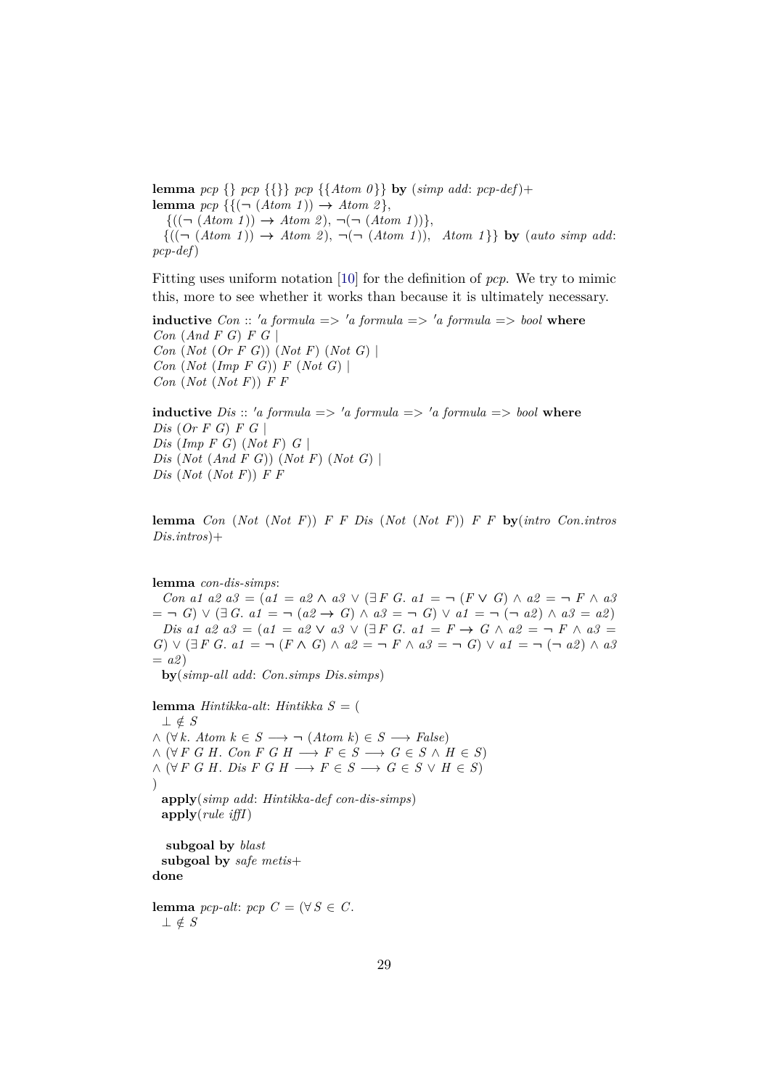**lemma** *pcp* {} *pcp* {{}} *pcp* {{*Atom 0* }} **by** (*simp add*: *pcp-def*)+ **lemma**  $pcp \{ \{ (\neg (Atom 1)) \rightarrow Atom 2 \},\}$ 

 $\{((\neg (Atom\ 1)) \rightarrow Atom\ 2), \neg(\neg (Atom\ 1))\},\$  ${((\neg (Atom\ 1)) \rightarrow Atom\ 2), \neg(\neg (Atom\ 1)),\ Atom\ 1}$  by (*auto simp add*: *pcp-def*)

Fitting uses uniform notation [\[10\]](#page-140-4) for the definition of *pcp*. We try to mimic this, more to see whether it works than because it is ultimately necessary.

**inductive**  $Con$  :: 'a formula  $\Rightarrow$  'a formula  $\Rightarrow$  'a formula  $\Rightarrow$  bool where *Con* (*And F G*) *F G* | *Con* (*Not* (*Or F G*)) (*Not F*) (*Not G*) | *Con* (*Not* (*Imp F G*)) *F* (*Not G*) | *Con* (*Not* (*Not F*)) *F F*

**inductive** *Dis* :: 'a formula => 'a formula => 'a formula => bool where *Dis* (*Or F G*) *F G* | *Dis* (*Imp F G*) (*Not F*) *G* | *Dis* (*Not* (*And F G*)) (*Not F*) (*Not G*) | *Dis* (*Not* (*Not F*)) *F F*

**lemma** *Con* (*Not* (*Not F*)) *F F Dis* (*Not* (*Not F*)) *F F* **by**(*intro Con*.*intros Dis*.*intros*)+

#### **lemma** *con-dis-simps*:

*Con a1 a2 a3* =  $(a1 = a2 \land a3 \lor (\exists F \ G. a1 = \neg (F \lor G) \land a2 = \neg F \land a3$  $(a \in \neg G) \lor (\exists G. a1 = \neg (a2 \rightarrow G) \land a3 = \neg G) \lor a1 = \neg (\neg a2) \land a3 = a2$ *Dis a1 a2 a3* =  $(a1 = a2 \vee a3 \vee (F \vee F \vee G \vee a1 = F \rightarrow G \wedge a2 = F \wedge a3 = F \wedge a3$ *G*)  $\vee$  (∃*F G*. *a1* = ¬ (*F* ∧ *G*) ∧ *a2* = ¬ *F* ∧ *a3* = ¬ *G*)  $\vee$  *a1* = ¬ (¬ *a2*) ∧ *a3*  $=$   $a2$ 

**by**(*simp-all add*: *Con*.*simps Dis*.*simps*)

**lemma** *Hintikka-alt*: *Hintikka S* = ( ⊥ ∈/ *S*  $\land$  (∀ *k*. *Atom*  $k \in S \longrightarrow \neg$  (*Atom k*)  $\in S \longrightarrow False$ )  $\land$  (∀ *F G H*. *Con F G H*  $\longrightarrow$  *F*  $\in$  *S*  $\longrightarrow$  *G*  $\in$  *S*  $\land$  *H*  $\in$  *S*)  $\land$  (∀ *F G H*. *Dis F G H*  $\longrightarrow$  *F*  $\in$  *S*  $\rightarrow$  *G*  $\in$  *S*  $\lor$  *H*  $\in$  *S*)  $\lambda$ **apply**(*simp add*: *Hintikka-def con-dis-simps*) **apply**(*rule iffI*) **subgoal by** *blast* **subgoal by** *safe metis*+ **done**

**lemma** *pcp-alt*:  $pcp C = (\forall S \in C$ . ⊥ ∈/ *S*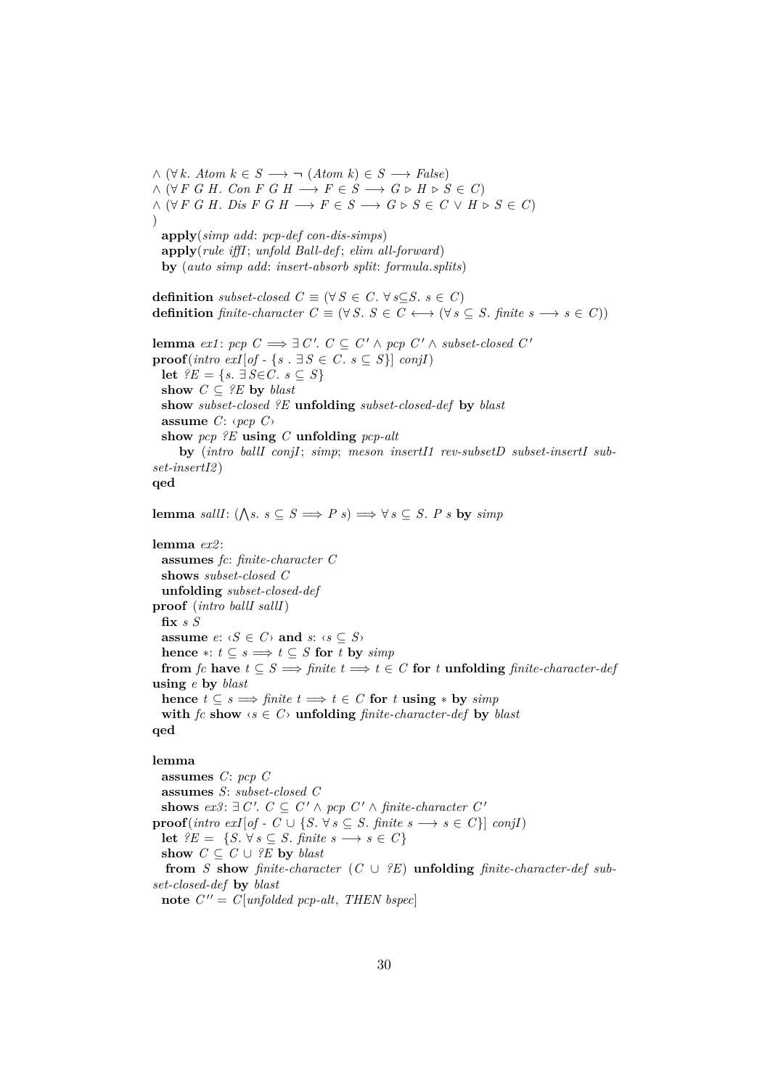$\wedge (\forall k. \text{Atom } k \in S \longrightarrow \neg (\text{Atom } k) \in S \longrightarrow \text{False})$  $\land$  (∀F *G H*. *Con F G H*  $\longrightarrow$  *F*  $\in$  *S*  $\longrightarrow$  *G*  $\triangleright$  *H*  $\triangleright$  *S*  $\in$  *C*)  $\land$  (∀ *F G H*. *Dis F G H*  $\longrightarrow$  *F*  $\in$  *S*  $\longrightarrow$  *G*  $\triangleright$  *S*  $\in$  *C*  $\lor$  *H*  $\triangleright$  *S*  $\in$  *C*)  $\lambda$ **apply**(*simp add*: *pcp-def con-dis-simps*) **apply**(*rule iffI*; *unfold Ball-def* ; *elim all-forward*) **by** (*auto simp add*: *insert-absorb split*: *formula*.*splits*) **definition** *subset-closed*  $C \equiv (\forall S \in C, \forall s \subseteq S, s \in C)$ **definition** *finite-character*  $C \equiv (\forall S. S \in C \longleftrightarrow (\forall s \subseteq S. \text{ finite } s \longrightarrow s \in C))$ **lemma**  $ext{ex1: } pop \ C \Longrightarrow \exists \ C'. \ C \subseteq C' \land pop \ C' \land subset-closed \ C'$ **proof**( $\text{intro } \text{exI}[\text{of} - \{s \cdot \exists S \in C \cdot s \subseteq S\}]$   $\text{conjI}$ ) **let**  $?E = \{s, \exists S \in C, s \subseteq S\}$ show  $C \subseteq \{E\}$  by *blast* **show** *subset-closed ?E* **unfolding** *subset-closed-def* **by** *blast* **assume** *C*: ‹*pcp C*› **show** *pcp ?E* **using** *C* **unfolding** *pcp-alt* **by** (*intro ballI conjI*; *simp*; *meson insertI1 rev-subsetD subset-insertI subset-insertI2* ) **qed lemma** *sallI*:  $(\bigwedge s. s \subseteq S \implies P s) \implies \forall s \subseteq S. P s$  by  $simp$ **lemma** *ex2* : **assumes** *fc*: *finite-character C* **shows** *subset-closed C* **unfolding** *subset-closed-def* **proof** (*intro ballI sallI*) **fix** *s S* **assume**  $e: \langle S \in C \rangle$  **and**  $s: \langle s \subseteq S \rangle$ **hence** ∗:  $t \subseteq s \implies t \subseteq S$  **for** *t* **by** *simp* **from** *fc* **have**  $t \subseteq S \implies \text{finite } t \implies t \in C$  **for** *t* **unfolding** *finite-character-def* **using** *e* **by** *blast* **hence**  $t \subseteq s$   $\implies$  *finite*  $t \implies t \in C$  **for**  $t \text{ using } *$  **by** *simp* **with** *fc* **show**  $\langle s \in C \rangle$  **unfolding** *finite-character-def* **by** *blast* **qed lemma**

**assumes** *C*: *pcp C* **assumes** *S*: *subset-closed C* **shows**  $ex3: □ C'. C ⊆ C' ∧ pcp C' ∧ finite-character C'$ **proof**(*intro exI*[ $of - C \cup \{S, \forall s \subseteq S$ *. finite s*  $\rightarrow s \in C\}$ ] *conjI*) **let**  $?E = \{S, \forall s \subseteq S, \text{ finite } s \longrightarrow s \in C\}$ **show**  $C ⊆ C ∪ ?E$  **by** *blast* **from** *S* **show** *finite-character*  $(C \cup \{E\})$  **unfolding** *finite-character-def subset-closed-def* **by** *blast* note  $C'' = C[unfolded per-alt, THEN bspec]$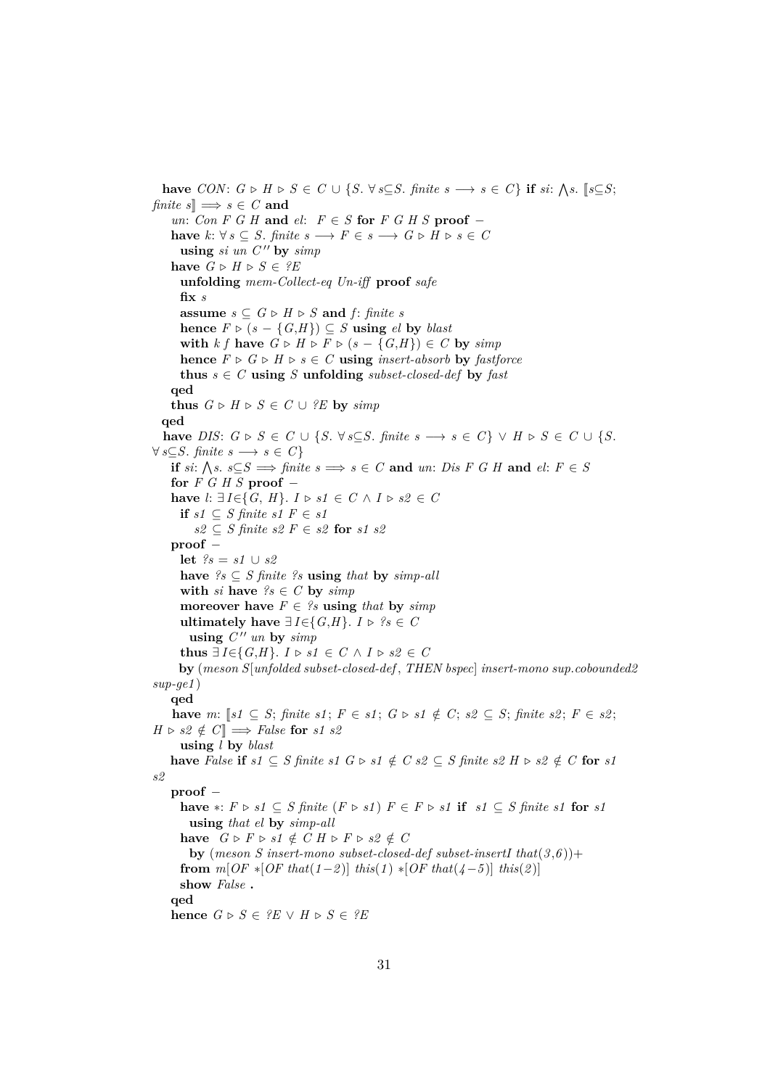**have**  $CON: G \triangleright H \triangleright S \in C \cup \{S. \forall s \subseteq S. \text{ finite } s \longrightarrow s \in C\}$  if  $si: \bigwedge s. \exists s \subseteq S;$ *finite*  $s \rVert \Rightarrow s \in C$  **and**  $un: Con F G H$  and  $el: F ∈ S$  for  $F G H S$  proof − **have**  $k: \forall s \subseteq S$ . *finite*  $s \longrightarrow F \in s \longrightarrow G \triangleright H \triangleright s \in C$  $using \, sin \, c''$  by  $simp$ **have**  $G \triangleright H \triangleright S \in {}^{\circ}E$ **unfolding** *mem-Collect-eq Un-iff* **proof** *safe* **fix** *s* **assume** *s* ⊂  $G$  ⊳  $H$  ⊳  $S$  **and**  $f$ *: finite s* **hence**  $F \triangleright (s - \{G,H\}) \subseteq S$  **using** *el* **by** *blast* with  $k f$  have  $G \triangleright H \triangleright F \triangleright (s - \{G,H\}) \in C$  by  $simp$ **hence**  $F \triangleright G \triangleright H \triangleright s \in C$  **using** *insert-absorb* **by** *fastforce* **thus**  $s \in C$  **using**  $S$  **unfolding** *subset-closed-def* by *fast* **qed thus**  $G \triangleright H \triangleright S \in C \cup ?E$  by  $simp$ **qed have** *DIS*:  $G \triangleright S \in C \cup \{S. \forall s \subseteq S. \text{ finite } s \longrightarrow s \in C\} \vee H \triangleright S \in C \cup \{S.$  $∀ s ⊆ S. finite s → s ∈ C$ **if**  $si: \bigwedge s. s \subseteq S \implies \text{finite } s \implies s \in C \text{ and } un: Dis F \text{ } G \text{ } H \text{ and } el: F \in S$ **for** *F G H S* **proof** − **have**  $l: \exists I \in \{G, H\}.$   $I \triangleright s1 \in C \land I \triangleright s2 \in C$ **if**  $s1 \subseteq S$  finite  $s1 \in s1$  $s2 \subseteq S$  finite  $s2 F \in s2$  for  $s1 s2$ **proof** − **let** *?s* = *s1* ∪ *s2* **have**  $\mathscr{S}_s \subset S$  *finite*  $\mathscr{S}_s$  **using** *that* **by** *simp-all* **with** *si* **have**  $?s \in C$  **by**  $simp$ **moreover have**  $F \in \mathcal{P}$  **s using** *that* **by** *simp* **ultimately have**  $\exists I \in \{G, H\}$ . *I* ⊳ ?*s* ∈ *C* using  $C''$  *un* by *simp* **thus** ∃ *I*∈{*G*,*H*}. *I* ⊳ *s1* ∈ *C* ∧ *I* ⊳ *s2* ∈ *C* **by** (*meson S*[*unfolded subset-closed-def* , *THEN bspec*] *insert-mono sup*.*cobounded2 sup-ge1* ) **qed have** *m*:  $[s1 \subseteq S; \text{ finite s1}; F ∈ s1; G ⊳ s1 \notin C; s2 ⊆ S; \text{ finite s2}; F ∈ s2;$  $H \triangleright s2 \notin C \implies False \textbf{ for } s1 \textbf{ s2 }$ **using** *l* **by** *blast* **have** *False* **if**  $s1 \subseteq S$  *finite*  $s1 \subseteq S \cup S1 \notin C$  *s2* ⊆ *S finite*  $s2 \in H \cup S2 \notin C$  **for**  $s1$ *s2* **proof** − **have** ∗:  $F \triangleright s1 \subseteq S$  finite  $(F \triangleright s1) F \in F \triangleright s1$  **if**  $s1 \subseteq S$  finite  $s1$  **for**  $s1$ **using** *that el* **by** *simp-all* **have**  $G \triangleright F \triangleright s1 \notin C H \triangleright F \triangleright s2 \notin C$ **by** (*meson S insert-mono subset-closed-def subset-insertI that* $(3,6)$ )+ **from**  $m[OF * [OF that(1-2)] this in (1) * [OF that(4-5)] this (2)]$ **show** *False* **. qed hence**  $G \triangleright S \in {}^{\circ}E \vee H \triangleright S \in {}^{\circ}E$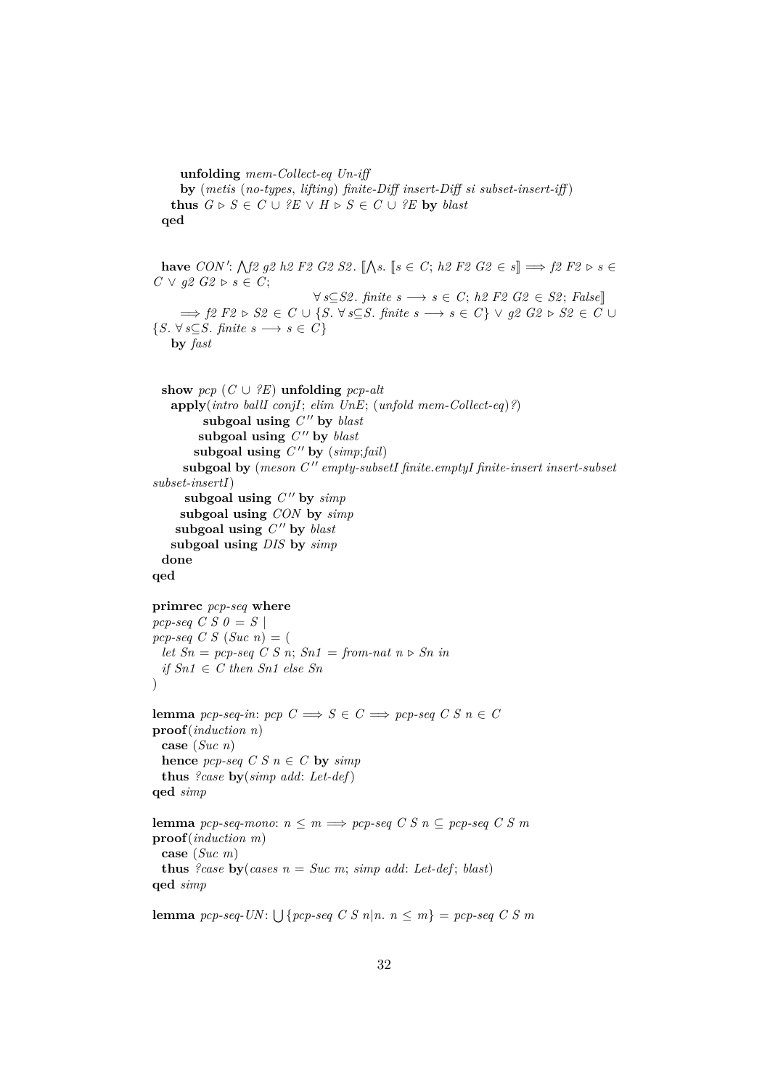```
unfolding mem-Collect-eq Un-iff
      by (metis (no-types, lifting) finite-Diff insert-Diff si subset-insert-iff )
    thus G \triangleright S \in C \cup ?E \vee H \triangleright S \in C \cup ?E by blast
  qed
  have CON': \bigwedge f2 g2 h2 F2 G2 S2. \[\bigwedge s. \]s \in C; h2 F2 G2 \in s \]\implies f2 F2 \triangleright s \in CC \vee q2 \; G2 \triangleright s \in C;
                                    ∀ s⊆S2 . finite s −→ s ∈ C; h2 F2 G2 ∈ S2 ; False]]
      \implies f2 \ F2 \triangleright S2 \in C \cup \{ S. \ \forall s \subseteq S. \ \text{finite} \ s \longrightarrow s \in C \} \ \vee \ q2 \ G2 \triangleright S2 \in C \cup{S \colon \forall s \subseteq S \colon \text{finite} \ s \longrightarrow s \in C}by fast
  show pcp (C ∪ ?E) unfolding pcp-altapply(intro ballI conjI; elim UnE; (unfold mem-Collect-eq)?)
           subgoal using C'' by blast
          subgoal using C'' by blast
         subgoal using C'' by (simp;fail)subgoal by (meson C<sup>"</sup> empty-subsetI finite.emptyI finite-insert insert-subset
subset-insertI)
       subgoal using C'' by \textit{simp}subgoal using CON by simp
     subgoal using C'' by blast
    subgoal using DIS by simp
  done
qed
primrec pcp-seq where
pcp-seq C S 0 = S |
pcp-seq \ C \ S \ (Suc \ n) = (let Sn = pcp-seq CS n; Sn1 = from-nat n \triangleright Sn \text{ in}if Sn1 ∈ C then Sn1 else Sn
\lambdalemma pcp-seq-in: pcp C \implies S \in C \implies pcp\text{-}seq \ C \ S \ n \in Cproof(induction n)
  case (Suc n)
  hence pcp\text{-}seq \text{ } C \text{ } S \text{ } n \in C by simpthus ?case by(simp add: Let-def)
qed simp
lemma pcp-seq-mono: n \leq m \implies pcp\text{-}seq \text{ } C \text{ } S \text{ } n \subseteq pcp\text{-}seq \text{ } C \text{ } S \text{ } mproof(induction m)
  case (Suc m)
 thus ?case by(cases n = Suc m; simp add: Let-def; blast)
qed simp
```
**lemma**  $pcp\text{-}seq\text{-}UN: \bigcup \{pcp\text{-}seq\ C\ S\ n|n.\ n \leq m\} = pcp\text{-}seq\ C\ S\ m$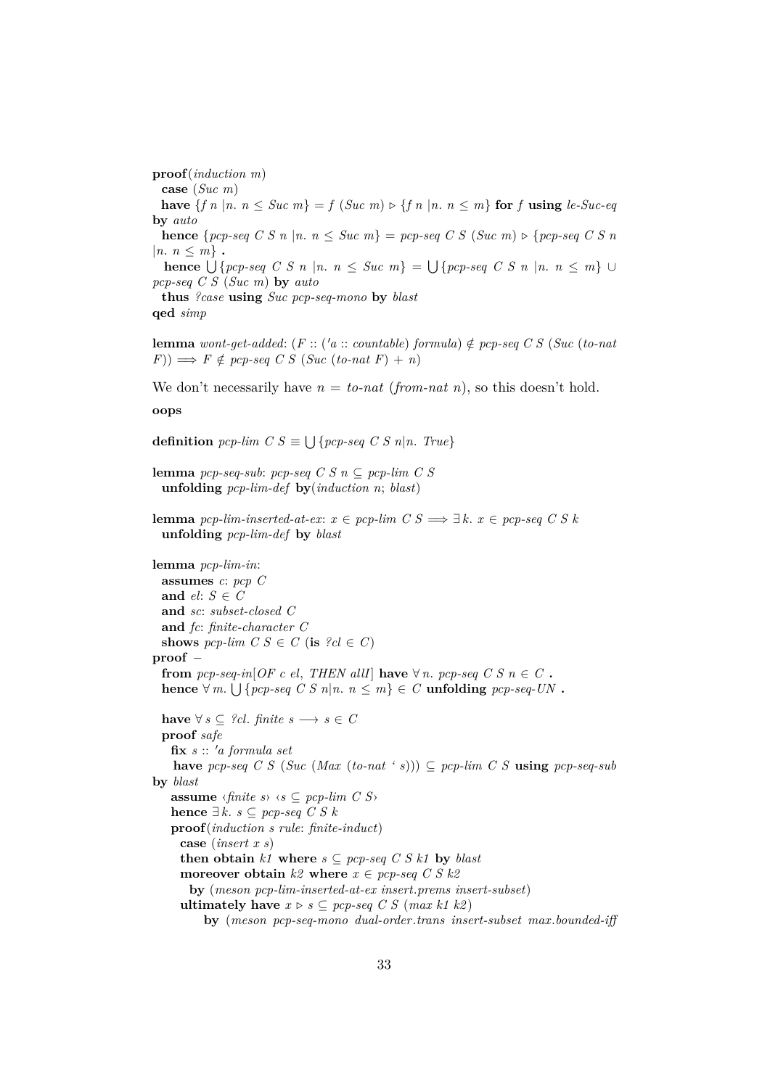**proof**(*induction m*) **case** (*Suc m*) **have**  ${f \ n \ | n, n \leq Suc \ m} = f(Suc \ m) \triangleright {f \ n \ | n, n \leq m}$  for *f* using *le-Suc-eq* **by** *auto* **hence**  ${pcp\text{-}seq C S n | n, n \leq Suc m} = pcp\text{-}seq C S (Suc m) \geq {pcp\text{-}seq C S n}$  $|n, n \leq m$ . **hence**  $\bigcup \{pcp\text{-}seq \ C \ S \ n \ | n \ n \leq \text{Suc } m\} = \bigcup \{pcp\text{-}seq \ C \ S \ n \ | n \ n \leq m\} \ \cup$ *pcp-seq C S* (*Suc m*) **by** *auto* **thus** *?case* **using** *Suc pcp-seq-mono* **by** *blast*

**qed** *simp*

**lemma** *wont-get-added*:  $(F:: ('a:: countable)$  *formula*)  $\notin$  *pcp-seq C S* (*Suc* (*to-nat*  $(F)$ )  $\implies$  *F*  $\notin$  *pcp-seq C S* (*Suc* (*to-nat F*) + *n*)

We don't necessarily have  $n =$  *to-nat* (*from-nat n*), so this doesn't hold.

**oops**

**definition**  $pcp$ -lim  $C S \equiv \bigcup \{pcp$ -seq  $C S n | n$ . *True*}

**lemma** *pcp-seq-sub*: *pcp-seq C S n* ⊆ *pcp-lim C S* **unfolding** *pcp-lim-def* **by**(*induction n*; *blast*)

**lemma** *pcp-lim-inserted-at-ex:*  $x \in pcp$ -lim  $C S \implies \exists k. x \in pcp\text{-}seq C S k$ **unfolding** *pcp-lim-def* **by** *blast*

```
lemma pcp-lim-in:
  assumes c: pcp C
 and el: S \in Cand sc: subset-closed C
 and fc: finite-character C
  shows pcp-lim C S \in C (is ?cl \in C)
proof −
  from pcp\text{-}seq\text{-}in[OF\ c\ el\ THEN allI have \forall n, pcp\text{-}seq\ C\ S\ n \in C.
  hence ∀m. \bigcup \{pcp\text{-}seq \mid C \mid S \mid n \mid n \leq m\} \in C unfolding pcp\text{-}seq\text{-}UN.
  have \forall s \subseteq ?cl. finite s → s ∈ C
  proof safe
   fix s :: 0a formula set
    have pcp-seq C S (Suc (Max (to-nat ' s))) ⊆ pcp-lim C S using pcp-seq-sub
by blast
   assume \langle \text{finite } s \rangle \langle s \subseteq \text{pcp-lim } C \text{ } S \ranglehence ∃ k. s ⊆ <i>pcp-seq</i> C S kproof(induction s rule: finite-induct)
     case (insert x s)
     then obtain k1 where s \subseteq pcp-seq C S k1 by blast
     moreover obtain k2 where x \in pcp-seq C S k2by (meson pcp-lim-inserted-at-ex insert.prems insert-subset)
     ultimately have x \triangleright s \subseteq pcp-seq C S (max k1 k2)
          by (meson pcp-seq-mono dual-order.trans insert-subset max.bounded-iff
```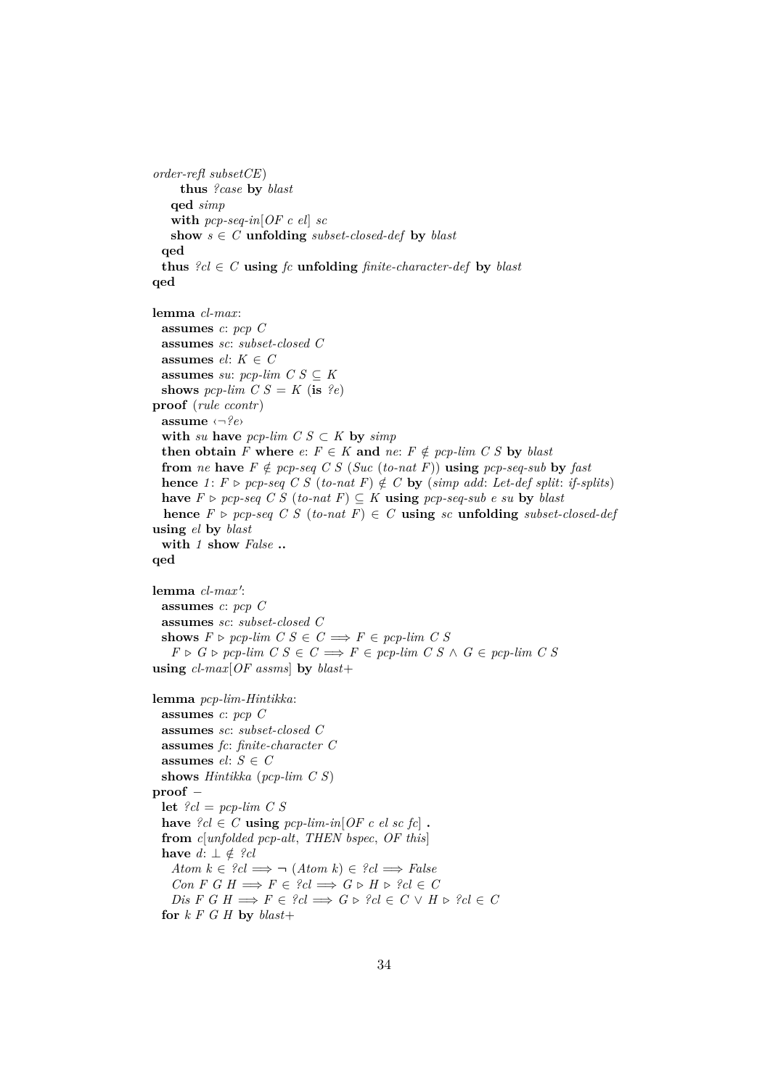```
order-refl subsetCE)
      thus ?case by blast
    qed simp
    with pcp-seq-in[OF c el] sc
   show s \in C unfolding subset-closed-def by blast
  qed
  thus ?cl \in C using fc unfolding finite-character-def by blast
qed
lemma cl-max:
  assumes c: pcp C
  assumes sc: subset-closed C
 assumes el: K \in Cassumes su: pcp-lim C S \subseteq Kshows pcp-lim C S = K (is ?e)
proof (rule ccontr)
  assume ‹¬?e›
  with su have pcp-lim C S \subset K by simpthen obtain F where e: F \in K and ne: F \notin pcp\text{-}lim C S by blast
  from ne have F \notin pcp\text{-}seq \text{ } C \text{ } S \text{ } (Suc \text{ } (to\text{-}nat \text{ } F)) using pcp\text{-}seq\text{-}sub \text{ } by \text{ } fasthence 1: F \triangleright pcp\text{-}seq \enspace C \enspace S \enspace (to\text{-}nat \enspace F) \notin C by (simp add: Let-def split: if-splits)
  have F \triangleright per-seq \ C \ S \ (to-nat \ F) \subseteq K using pcp-seq-sub \ e \ su \ by \ blasthence F \triangleright pcp\text{-}seq C S (to-nat F) \in C using sc unfolding subset-closed-def
using el by blast
  with 1 show False ..
qed
lemma cl-max':
  assumes c: pcp C
 assumes sc: subset-closed C
 shows F \triangleright \textit{pcp-lim } C S \in C \Longrightarrow F \in \textit{pcp-lim } C SF \triangleright G \triangleright pcp-lim C S \in C \Longrightarrow F \in pcp-lim C S \wedge G \in pcp-lim C Susing cl-max[OF assms] by blast+
lemma pcp-lim-Hintikka:
  assumes c: pcp C
 assumes sc: subset-closed C
  assumes fc: finite-character C
  assumes el: S \in Cshows Hintikka (pcp-lim C S)
proof −
  let ?cl = pcp-lim C S
  have ?cl \in C using pcp-lim-in [OF c el sc fc] .
  from c[unfolded pcp-alt, THEN bspec, OF this]
  have d: ⊥ \notin ?cl
    Atom k \in \{2cl \implies \neg (Atom \ k) \in \{2cl \implies False\}Con F G H \Longrightarrow F \in {}^{\circ}cl \Longrightarrow G \triangleright H \triangleright {}^{\circ}cl \in CDis F G H \Longrightarrow F \in {}^2cl \Longrightarrow G \triangleright {}^2cl \in C \vee H \triangleright {}^2cl \in Cfor k F G H by blast+
```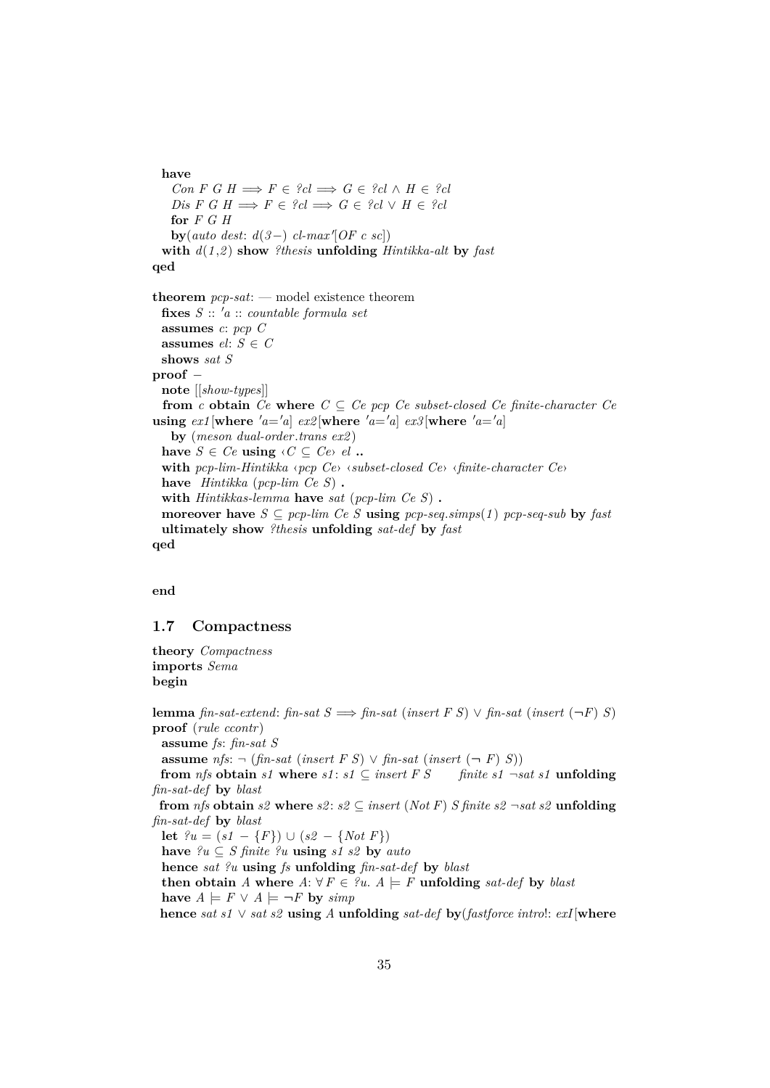#### **have**

 $Con F G H \Longrightarrow F \in \{cl \Longrightarrow G \in \{cl \land H \in \{cl\}$  $Dis\ F\ G\ H \Longrightarrow F \in \mathcal{C}el \Longrightarrow G \in \mathcal{C}el \ \lor\ H \in \mathcal{C}el$ **for** *F G H*  $\mathbf{by}(\text{auto dest: } d(3-) \text{ cl-max}[\text{OF c sc}])$ **with** *d*(*1* ,*2* ) **show** *?thesis* **unfolding** *Hintikka-alt* **by** *fast* **qed theorem** *pcp-sat*: — model existence theorem **fixes** *S* :: <sup>0</sup>*a* :: *countable formula set* **assumes** *c*: *pcp C* **assumes**  $el: S \in C$ **shows** *sat S* **proof** − **note** [[*show-types*]] **from**  $c$  **obtain**  $Ce$  **where**  $C \subseteq Ce$  *pcp*  $Ce$  *subset-closed*  $Ce$  *finite-character*  $Ce$ **using**  $ext{ex1}$  [where  $'a = a$ ]  $ex2$  [where  $'a = a$ ]  $ex3$  [where  $'a = a$ ] **by** (*meson dual-order*.*trans ex2* ) **have**  $S \in Ce$  **using**  $\langle C \subseteq Ce \rangle$  *el* **.. with** *pcp-lim-Hintikka* ‹*pcp Ce*› ‹*subset-closed Ce*› ‹*finite-character Ce*› **have** *Hintikka* (*pcp-lim Ce S*) **. with** *Hintikkas-lemma* **have** *sat* (*pcp-lim Ce S*) **. moreover have**  $S \subseteq pcp$ -lim Ce S **using**  $pcp$ -seq.simps(1)  $pcp$ -seq-sub **by** fast **ultimately show** *?thesis* **unfolding** *sat-def* **by** *fast* **qed**

**end**

## <span id="page-34-0"></span>**1.7 Compactness**

**theory** *Compactness* **imports** *Sema* **begin**

**lemma** *fin-sat-extend: fin-sat*  $S \implies$  *fin-sat* (*insert*  $F S$ )  $\vee$  *fin-sat* (*insert* ( $\neg F$ ) *S*) **proof** (*rule ccontr*) **assume** *fs*: *fin-sat S* **assume**  $nfs: ∎ (fn-sat (insert F S) ∨ fin-sat (insert (- F S))$ **from** *nfs* **obtain** *s1* **where**  $s1: s1 \subseteq insert F S$  finite  $s1 \neg sat s1$  **unfolding** *fin-sat-def* **by** *blast* **from** *nfs* **obtain**  $s2$  **where**  $s2$  :  $s2 \subseteq insert(Not F)$  *S finite*  $s2 \neg sat \n s2$  **unfolding** *fin-sat-def* **by** *blast* **let**  $?u = (s1 - {F}) ∪ (s2 - {Not F})$ **have**  $?u \subseteq S$  *finite*  $?u$  **using**  $s1 s2$  **by**  $auto$ **hence** *sat ?u* **using** *fs* **unfolding** *fin-sat-def* **by** *blast* **then obtain** *A* where  $A: \forall F \in ?$ *u.*  $A \models F$  **unfolding** *sat-def* by *blast* **have**  $A$   $\models$   $F$  ∨  $A$   $\models$   $\neg$ *F* **by**  $\text{sim}$ *p* **hence** *sat s1* ∨ *sat s2* **using** *A* **unfolding** *sat-def* **by**(*fastforce intro*!: *exI*[**where**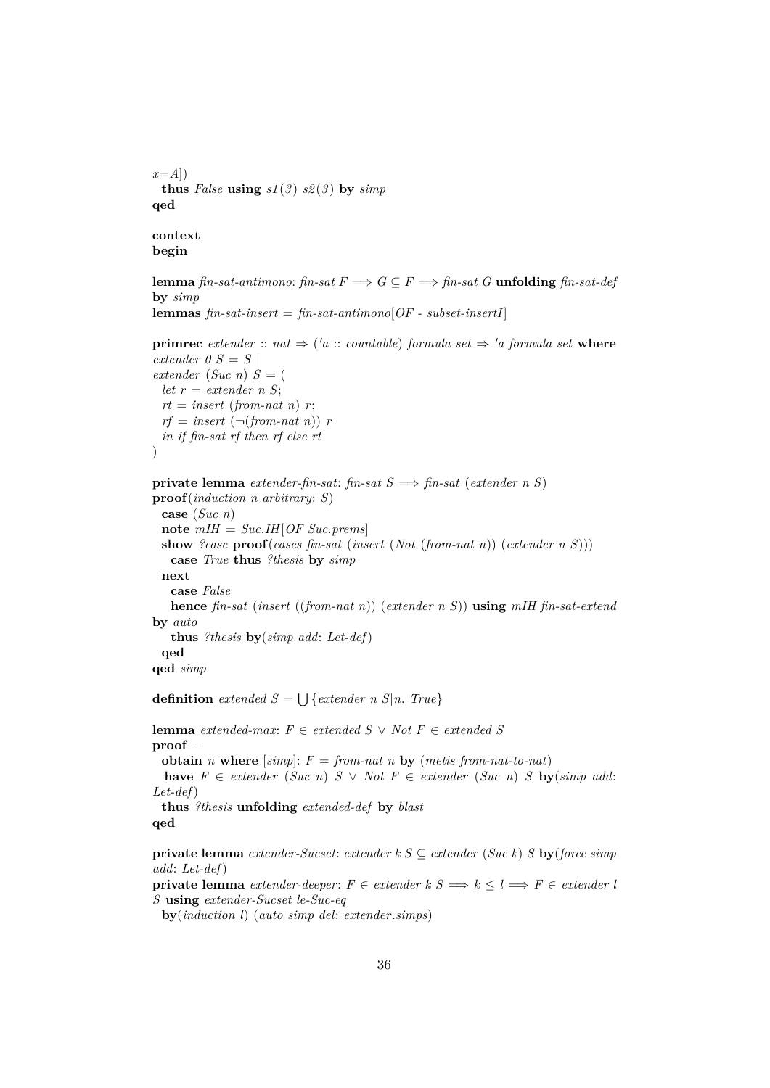```
x=A])
 thus False using s1(3) s2(3) by simpqed
```
**context begin**

**qed qed** *simp*

```
lemma fin-sat-antimono: fin-sat F \implies G \subseteq F \implies fin-sat G unfolding fin-sat-def
by simp
lemmas fin-sat-insert = fin-sat-antimono[OF - subset-insertI]
```

```
primrec extender :: nat \Rightarrow ('a :: countable) formula set \Rightarrow 'a formula set where
extender 0 S = S |
extender (Suc n) S = (let r = \text{extender } n S;
 rt = insert (from-nat n) r;rf = insert (\neg (from-nat n)) rin if fin-sat rf then rf else rt
\lambdaprivate lemma extender-fin-sat: fin-sat S =⇒ fin-sat (extender n S)
proof(induction n arbitrary: S)
 case (Suc n)
 note mIH = Suc.IH[OF Suc.prems]
 show ?case proof(cases fin-sat (insert (Not (from-nat n)) (extender n S)))
   case True thus ?thesis by simp
 next
   case False
   hence fin-sat (insert ((from-nat n)) (extender n S)) using mIH fin-sat-extend
by auto
   thus ?thesis by(simp add: Let-def)
```
**definition** extended  $S = \bigcup \{ \text{extended } n \leq n \}$ . True

**lemma** *extended-max*: *F* ∈ *extended S* ∨ *Not F* ∈ *extended S* **proof** − **obtain** *n* **where**  $[simp]: F = from-nat$  *n* **by**  $(metis from-nat-to-nat)$ **have**  $F ∈ \text{extender } (Suc \ n) S ∨ Not F ∈ \text{extender } (Suc \ n) S$  **by**( $\text{simp} \text{ add:}$ *Let-def*) **thus** *?thesis* **unfolding** *extended-def* **by** *blast* **qed**

**private lemma** *extender-Sucset*: *extender k S* ⊆ *extender* (*Suc k*) *S* **by**(*force simp add*: *Let-def*)

**private lemma** *extender-deeper*:  $F \in \text{extender } k \leq s \implies k \leq l \implies F \in \text{extender } l$ *S* **using** *extender-Sucset le-Suc-eq*

**by**(*induction l*) (*auto simp del*: *extender*.*simps*)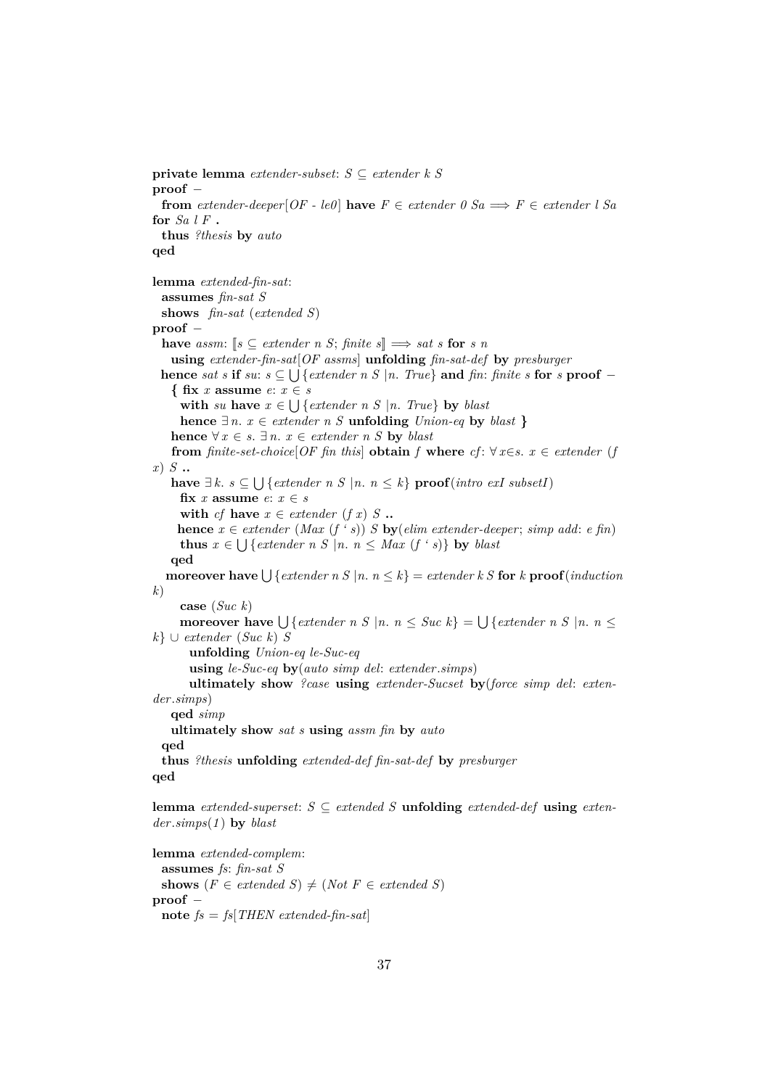```
private lemma extender-subset: S ⊆ extender k S
proof −
 from extender-deeper[OF - le0] have F \in extender 0 Sa \implies F \in extender l Sa
for Sa l F .
  thus ?thesis by auto
qed
lemma extended-fin-sat:
  assumes fin-sat S
  shows fin-sat (extended S)
proof −
  have assm: [s \subseteq \text{extender } n \text{ } S; \text{ finite } s] \Longrightarrow \text{sat } s \text{ for } s \text{ } nusing extender-fin-sat[OF assms] unfolding fin-sat-def by presburger
  hence sat s if su: s \subseteq \bigcup \{ \text{externaler } n \leq |n|, \text{ } True \} \} and fin: finite s for s proof −
    { fix x assume e: x ∈ s
      with su have x \in \bigcup \{ \text{externaler } n \leq |n|, \text{True} \} by blast
     hence ∃n. x ∈ extender n S unfolding Union-eq by blast }
   hence ∀ x ∈ s. \exists n. x ∈ extender n S by blast
    from finite-set-choice[OF fin this] obtain f where cf: \forall x \in s. x \in \text{extender } (fx) S ..
    have \exists k. s \subseteq \bigcup {extender n S |n. n ≤ k} proof(intro exI subsetI)
     fix x assume e: x \in swith cf have x \in \text{extender} (f x) S ..
     hence x \in \text{extender} \ (Max \ (f \cdot s)) \ S \ \text{by} \ (elim \ \text{extender-deeper}; \ \text{simp} \ add: \ e \ \text{fin})thus x \in \bigcup \{ \text{extender } n \leq |n|, n \leq Max \ (f \cdot s) \} by blast
   qed
   \textbf{moreover have} \bigcup \{ \text{extender } n \leq |n|, n \leq k \} = \text{extender } k \leq \textbf{for } k \textbf{ proof}(\text{induction})k)
     case (Suc k)
      moreover have \bigcup { extender n S |n. n \leq Suc k} = \bigcup { extender n S |n. n \leqk} ∪ extender (Suc k) S
       unfolding Union-eq le-Suc-eq
       using le-Suc-eq by(auto simp del: extender.simps)
       ultimately show ?case using extender-Sucset by(force simp del: exten-
der.simps)
   qed simp
   ultimately show sat s using assm fin by auto
  qed
  thus ?thesis unfolding extended-def fin-sat-def by presburger
qed
lemma extended-superset: S \subseteq extended S unfolding extended-def using exten-
der.simps(1 ) by blast
lemma extended-complem:
```

```
assumes fs: fin-sat S
 shows (F \in \text{extended } S) \neq (Not \ F \in \text{extended } S)proof −
 note fs = fs[THEN extended-fin-sat]
```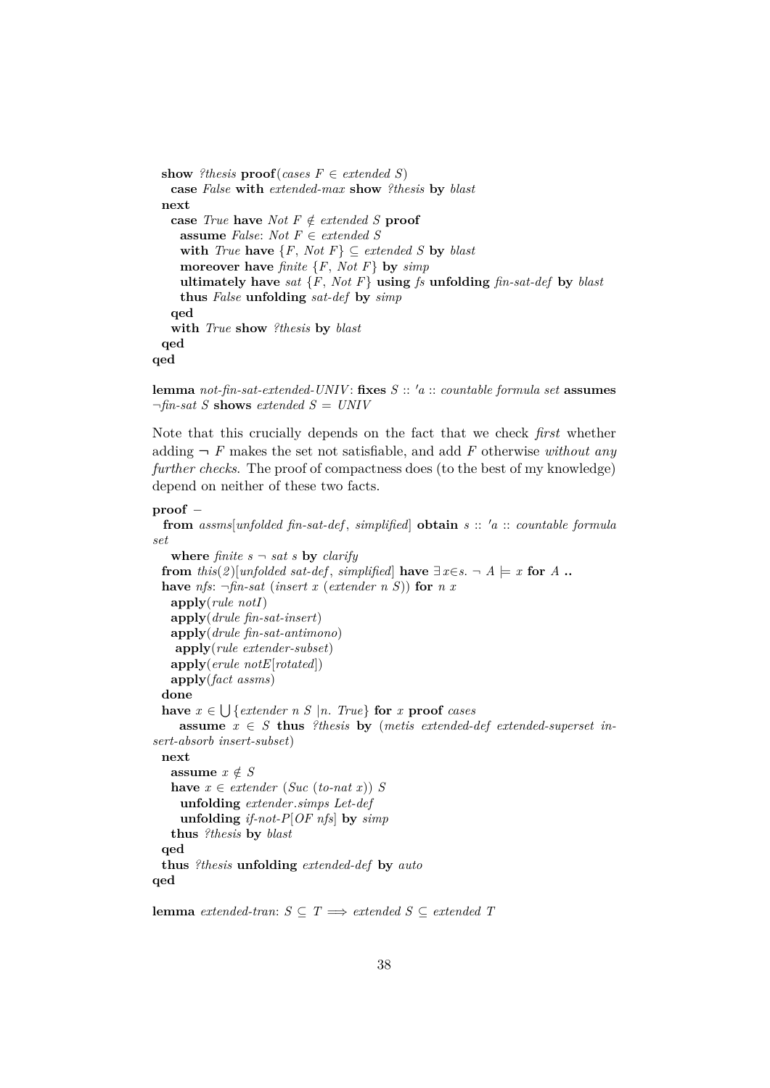```
show ?thesis proof(cases F \in \text{extended } S)
   case False with extended-max show ?thesis by blast
 next
   case True have Not F \notin \text{extended } S proof
    assume False: Not F ∈ extended S
    with True have \{F, Not F\} \subseteq extended S by blast
    moreover have finite {F, Not F} by simp
    ultimately have sat \{F, Not F\} using fs unfolding fin-sat-def by blast
    thus False unfolding sat-def by simp
   qed
   with True show ?thesis by blast
 qed
qed
```
**lemma** *not-fin-sat-extended-UNIV*: fixes  $S :: 'a :: countable formula set$  **assumes**  $\neg$ *fin-sat S* **shows** *extended*  $S = UNIV$ 

Note that this crucially depends on the fact that we check *first* whether adding  $\neg$  *F* makes the set not satisfiable, and add *F* otherwise *without any further checks*. The proof of compactness does (to the best of my knowledge) depend on neither of these two facts.

## **proof** −

```
from assms[unfolded fin-sat-def , simplified] obtain s :: 0a :: countable formula
set
   where \text{finite } s \rightarrow \text{sat } s by clarify
  from this(2)[unfolded sat-def, simplified] have \exists x \in s. \neg A \models x for A.
  have nfs: \negfin-sat (insert x (extender n S)) for n x
   apply(rule notI)
   apply(drule fin-sat-insert)
   apply(drule fin-sat-antimono)
    apply(rule extender-subset)
   apply(erule notE[rotated])
   apply(fact assms)
  done
  have x \in \bigcup \{ \text{externaler } n \leq |n \text{ and } n \in \mathbb{R} \} for x proof cases
     assume x \in S thus ?thesis by (metis extended-def extended-superset in-
sert-absorb insert-subset)
 next
   assume x \notin Shave x \in \text{extender} (Suc (to-nat x)) S
     unfolding extender.simps Let-def
     unfolding if-not-P[OF nfs] by simp
   thus ?thesis by blast
 qed
  thus ?thesis unfolding extended-def by auto
qed
lemma extended-tran: S \subseteq T \implies extended S \subseteq extended T
```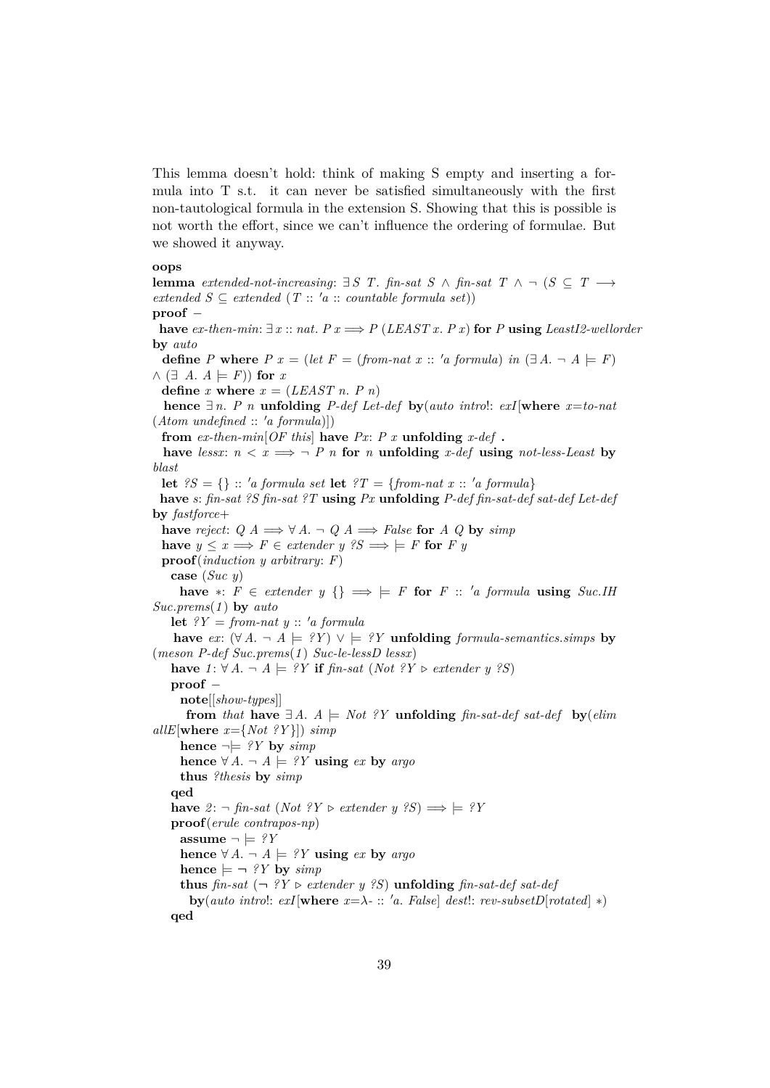This lemma doesn't hold: think of making S empty and inserting a formula into T s.t. it can never be satisfied simultaneously with the first non-tautological formula in the extension S. Showing that this is possible is not worth the effort, since we can't influence the ordering of formulae. But we showed it anyway.

#### **oops**

**lemma** *extended-not-increasing*:  $\exists S \ T$ . *fin-sat*  $S \wedge$  *fin-sat*  $T \wedge \neg (S \subseteq T \rightarrow$  $extended S \subseteq extended (T :: 'a :: countable formula set))$ **proof** − **have**  $ex$ -then-min: ∃  $x$  ::  $nat$ .  $P$   $x$   $\Rightarrow$   $P$  (*LEAST x*.  $P$   $x$ ) **for**  $P$  **using** *LeastI2-wellorder* **by** *auto* **define** *P* **where**  $P x = (let F = (from-nat x :: 'a formula) in ( $\exists A$ .  $\neg A \models F)$ )$  $\wedge$  ( $\exists$  *A*.  $A \models F$ ) for *x* **define** *x* **where**  $x = (LEAST n. P n)$ **hence**  $∃n$ . *P n* **unfolding** *P-def Let-def by*(*auto introl: exI*[where  $x=$ *to-nat*  $(Atom \ undefined :: 'a \ formula)])$ **from**  $ex$ -then-min $[OF$  this **have**  $Px$ :  $P$   $x$  **unfolding**  $x$ -def **. have** *lessx*:  $n < x \implies \neg P$  *n* **for** *n* **unfolding** *x-def* **using** *not-less-Least* **by** *blast* **let**  ${}^{2}S = \{\}$  :: 'a formula set **let**  ${}^{2}T = \{from-nat \ x : : 'a \ formula\}$ **have** *s*: *fin-sat ?S fin-sat ?T* **using** *Px* **unfolding** *P-def fin-sat-def sat-def Let-def* **by** *fastforce*+ **have** *reject*:  $Q A \Longrightarrow \forall A \cdot \neg Q A \Longrightarrow False$  **for**  $A Q$  **by** *simp* **have**  $y \leq x \implies F \in \text{extender } y \text{ } \text{ }^{\circ}S \implies F \text{ } F \text{ for } F \text{ } y$ **proof**(*induction y arbitrary*: *F*) **case** (*Suc y*) **have** ∗:  $F \in \text{extender } y$  {}  $\implies$   $\models$  *F* for *F* :: '*a* formula **using** *Suc.IH Suc*.*prems*(*1* ) **by** *auto* **let**  $?Y = from-nat y :: 'a formula$ **have** *ex*:  $(∀ A. ¬ A |= ?Y) ∨ |= ?Y$  **unfolding** *formula-semantics.simps* **by** (*meson P-def Suc*.*prems*(*1* ) *Suc-le-lessD lessx*) **have** *1* : ∀ *A*. ¬ *A*  $\models$  ?*Y* **if** *fin-sat* (*Not* ?*Y*  $\triangleright$  *extender y* ?*S*) **proof** − **note**[[*show-types*]] **from** *that* **have**  $\exists A$ .  $A \models Not$  *?Y* **unfolding** *fin-sat-def sat-def* **by**(*elim*)  $allE[where x = \{Not ?Y\}]) simp$ **hence**  $\neg \models ?Y$  **by**  $\text{simp}$ **hence** ∀ *A*.  $\neg$  *A*  $\models$  *?Y* **using** *ex* **by** *argo* **thus** *?thesis* **by** *simp* **qed have**  $2$  : ¬ *fin-sat* (*Not*  $?Y$  ⊳ *extender y*  $?S$ )  $\implies$   $\models ?Y$ **proof**(*erule contrapos-np*) **assume**  $\neg \models ?Y$ **hence** ∀ *A*.  $\neg$  *A*  $\models$  *?Y* **using** *ex* **by** *argo* **hence**  $\models \neg$  *?Y* by *simp* **thus** *fin-sat*  $(\neg \circ Y \triangleright \text{extender } y \circ S)$  **unfolding** *fin-sat-def sat-def*  $\frac{dy}{dx} = \frac{1}{x} \int \frac{dx}{y} \, dx$  *exI* $\frac{dy}{dx} = \lambda - \frac{1}{x} \int \frac{dx}{y} \, dx$  *a. False dest!: rev-subsetD*[*rotated*] \*) **qed**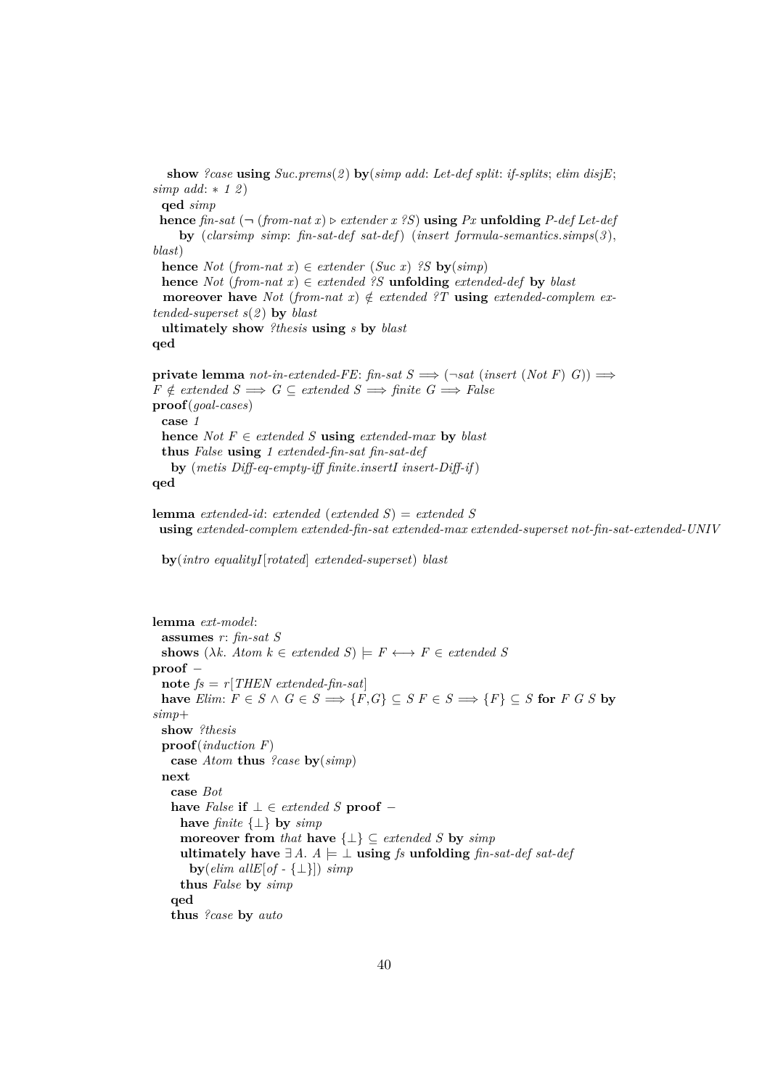**show** *?case* **using** *Suc*.*prems*(*2* ) **by**(*simp add*: *Let-def split*: *if-splits*; *elim disjE*; *simp add*: ∗ *1 2* ) **qed** *simp* **hence**  $\hat{p}$  *fin-sat* ( $\neg$  ( $\hat{p}$  *from-nat*  $x$ )  $\rhd$  *extender*  $x$  ?*S*) **using** *Px* **unfolding** *P-def Let-def* **by** (*clarsimp simp*: *fin-sat-def sat-def*) (*insert formula-semantics*.*simps*(*3* ), *blast*) **hence** *Not* (*from-nat x*)  $\in$  *extender* (*Suc x*) *?S* **by**(*simp*) **hence** *Not* (*from-nat x*)  $\in$  *extended ?S* **unfolding** *extended-def* **by** *blast* **moreover have** *Not* (*from-nat x*)  $\notin$  *extended ?T* **using** *extended-complem extended-superset s*(*2* ) **by** *blast* **ultimately show** *?thesis* **using** *s* **by** *blast* **qed private lemma** *not-in-extended-FE*: *fin-sat*  $S \implies (\neg sat \ (insert \ (Not \ F) \ G)) \implies$  $F \notin extended \mathcal{S} \Longrightarrow G \subseteq extended \mathcal{S} \Longrightarrow finite \mathcal{G} \Longrightarrow False$ **proof**(*goal-cases*) **case** *1* **hence** *Not*  $F \in \text{extended } S$  **using**  $\text{extended } \text{-} \text{max}$  **by**  $\text{black}$ **thus** *False* **using** *1 extended-fin-sat fin-sat-def* **by** (*metis Diff-eq-empty-iff finite*.*insertI insert-Diff-if*) **qed**

```
lemma extended-id: extended (extended S) = extended S
 using extended-complem extended-fin-sat extended-max extended-superset not-fin-sat-extended-UNIV
```
**by**(*intro equalityI*[*rotated*] *extended-superset*) *blast*

```
lemma ext-model:
  assumes r: fin-sat S
  shows (\lambda k. Atom \, k \in \mathit{extended} \, S) \models F \longleftrightarrow F \in \mathit{extended} \, Sproof −
  note fs = r[THEN \; extended\text{-}fin\text{-}sat]have Elim: F \in S \land G \in S \implies \{F, G\} \subseteq S F \in S \implies \{F\} \subseteq S for F G S by
simp+
  show ?thesis
  proof(induction F)
    case Atom thus ?case by(simp)
  next
    case Bot
    have False if \bot \in \mathit{extended} S proof −
      have finite {⊥} by simp
      moreover from that have \{\perp\} \subseteq \text{extended } S by \text{simp}ultimately have \exists A. A \models \bot using fs unfolding fin-sat-def sat-def
        by(elim \text{ all } E[\text{ of } -\{\perp\}]) simpthus False by simp
    qed
    thus ?case by auto
```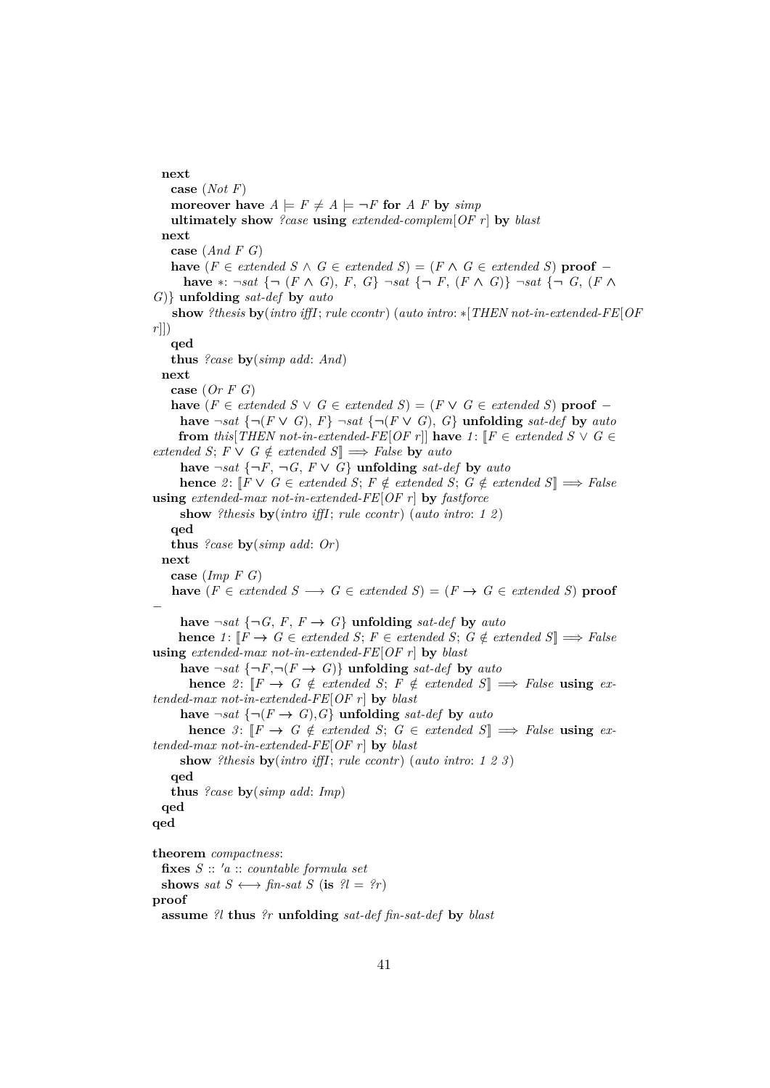#### **next**

**case** (*Not F*) **moreover have**  $A \models F \neq A \models \neg F$  for  $A \in F$  by  $\text{simp}$ **ultimately show** *?case* **using** *extended-complem*[*OF r*] **by** *blast* **next case** (*And F G*) **have** ( $F \in \text{extended } S \land G \in \text{extended } S$ ) = ( $F \land G \in \text{extended } S$ ) **proof** − **have** ∗: ¬*sat* {¬ (*F* ∧ *G*), *F*, *G*} ¬*sat* {¬ *F*, (*F* ∧ *G*)} ¬*sat* {¬ *G*, (*F* ∧ *G*)} **unfolding** *sat-def* **by** *auto* **show** *?thesis* **by**(*intro iffI*; *rule ccontr*) (*auto intro*: ∗[*THEN not-in-extended-FE*[*OF r*]]) **qed thus** *?case* **by**(*simp add*: *And*) **next case** (*Or F G*) **have**  $(F ∈ \textit{extended } S ∨ G ∈ \textit{extended } S) = (F ∨ G ∈ \textit{extended } S)$  **proof** − **have**  $\neg sat$  {¬(*F* ∨ *G*), *F*}  $\neg sat$  {¬(*F* ∨ *G*), *G*} **unfolding** *sat-def* **by** *auto* **from** this [*THEN not-in-extended-FE*[*OF r*]] **have**  $1:$  [ $F \in$  *extended S*  $\vee$  *G*  $\in$  $extended S; F \vee G \notin extended S$ ]  $\Longrightarrow$  *False* by *auto* **have**  $\neg sat$  { $\neg F$ ,  $\neg G$ , *F* ∨ *G*} **unfolding** *sat-def* **by** *auto* **hence** 2:  $[$ *F* ∨ *G* ∈ *extended S*; *F*  $\notin$  *extended S*; *G*  $\notin$  *extended S* $]$   $\implies$  *False* **using** *extended-max not-in-extended-FE*[*OF r*] **by** *fastforce* **show** *?thesis* **by**(*intro iffI*; *rule ccontr*) (*auto intro*: *1 2* ) **qed thus** *?case* **by**(*simp add*: *Or*) **next case** (*Imp F G*) **have**  $(F \in \text{extended } S \longrightarrow G \in \text{extended } S) = (F \rightarrow G \in \text{extended } S)$  **proof** − have  $\neg sat \{\neg G, F, F \rightarrow G\}$  unfolding *sat-def* by *auto* **hence** *1*:  $\llbracket F \to G \in \text{extended } S; F \in \text{extended } S; G \notin \text{extended } S \rrbracket \implies \text{False}$ **using** *extended-max not-in-extended-FE*[*OF r*] **by** *blast* have  $\neg sat \{\neg F, \neg (F \rightarrow G)\}\$  unfolding *sat-def* by *auto* **hence** 2:  $[F \rightarrow G \notin extended S; F \notin extended S] \implies False$  **using** *extended-max not-in-extended-FE*[*OF r*] **by** *blast* have  $\neg sat \{\neg (F \rightarrow G), G\}$  unfolding *sat-def* by *auto* **hence**  $\beta$ :  $\llbracket F \to G \notin \text{extended } S; G \in \text{extended } S \rrbracket \implies \text{False using } \text{ex-}$ *tended-max not-in-extended-FE*[*OF r*] **by** *blast* **show** *?thesis* **by**(*intro iffI*; *rule ccontr*) (*auto intro*: *1 2 3* ) **qed thus** *?case* **by**(*simp add*: *Imp*) **qed qed theorem** *compactness*: **fixes** *S* :: <sup>0</sup>*a* :: *countable formula set* **shows** *sat*  $S \leftrightarrow \text{fin-sat } S$  (**is**  $?l = ?r$ ) **proof assume** *?l* **thus** *?r* **unfolding** *sat-def fin-sat-def* **by** *blast*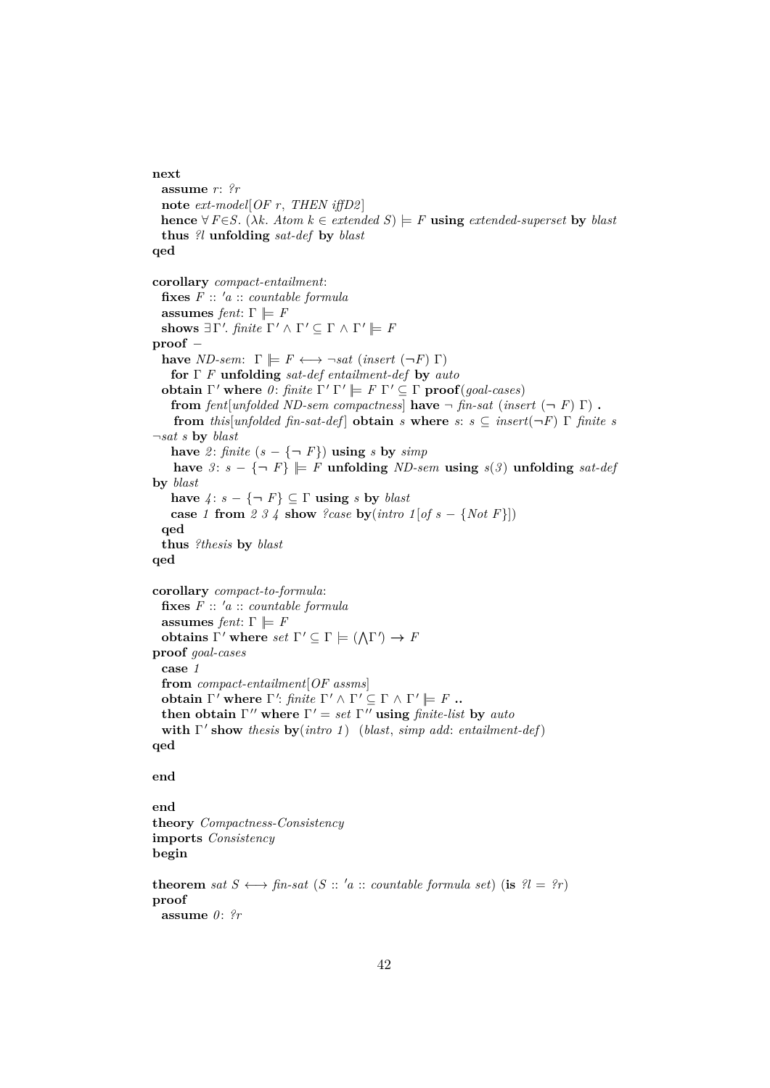# **next assume** *r*: *?r* **note** *ext-model*[*OF r*, *THEN iffD2* ] **hence**  $\forall F \in S$ . ( $\lambda k$ . *Atom*  $k \in \text{extended } S$ )  $\models F$  **using** *extended-superset* **by** *blast* **thus** *?l* **unfolding** *sat-def* **by** *blast* **qed corollary** *compact-entailment*:  $f \mathbf{ixes} \ F :: 'a :: countable formula$ **assumes** *fent*:  $\Gamma \models F$ shows  $\exists \Gamma'.$  *finite*  $\Gamma' \wedge \Gamma' \subseteq \Gamma \wedge \Gamma' \models F$ **proof** − **have** *ND-sem*:  $\Gamma \models F \longleftrightarrow \neg sat \ (insert \ (\neg F) \ \Gamma)$ **for** Γ *F* **unfolding** *sat-def entailment-def* **by** *auto* **obtain**  $\Gamma'$  where  $\theta$ : *finite*  $\Gamma' \Gamma' \models F \Gamma' \subseteq \Gamma$  **proof**(*goal-cases*) **from**  $fent[unfolded ND-sem\,compactness]$  **have**  $\neg$   $\hat{f}n-sat$  ( $insert$   $(\neg F) \Gamma)$ . **from** *this*[*unfolded fin-sat-def*] **obtain** *s* **where** *s*:  $s \subseteq$  *insert*( $\neg F$ )  $\Gamma$  *finite s* ¬*sat s* **by** *blast* **have** 2: *finite*  $(s - \{\neg F\})$  **using** *s* **by** *simp* **have**  $3: s − \{¬F\}$   $\models$  *F* **unfolding** *ND-sem* **using**  $s(3)$  **unfolding**  $sat\text{-}def$ **by** *blast* **have**  $4: s - \{\neg F\} \subseteq \Gamma$  **using** *s* **by** *blast* **case** *1* **from** 2 3 4 **show** ?case **by**(*intro* 1[*of s* – {*Not F*}]) **qed thus** *?thesis* **by** *blast* **qed corollary** *compact-to-formula*:  $f \mathbf{i} \mathbf{x}$ **es**  $F :: 'a :: countable formula$ **assumes** *fent*:  $\Gamma \models F$ **obtains**  $\Gamma'$  where  $set \Gamma' \subseteq \Gamma \models (\Lambda \Gamma') \rightarrow F$ **proof** *goal-cases* **case** *1* **from** *compact-entailment*[*OF assms*] **obtain**  $\Gamma'$  where  $\Gamma'$ : *finite*  $\Gamma' \wedge \Gamma' \subseteq \Gamma \wedge \Gamma' \models F$  **.. then obtain**  $\Gamma''$  where  $\Gamma' = set \Gamma''$  **using** *finite-list* by *auto* **with** Γ 0 **show** *thesis* **by**(*intro 1* ) (*blast*, *simp add*: *entailment-def*) **qed end end theory** *Compactness-Consistency* **imports** *Consistency* **begin theorem** *sat*  $S \leftrightarrow \text{fin-sat } (S :: 'a :: \text{countable formula set})$  (**is**  $\mathcal{U} = \{r\}$ ) **proof assume** *0* : *?r*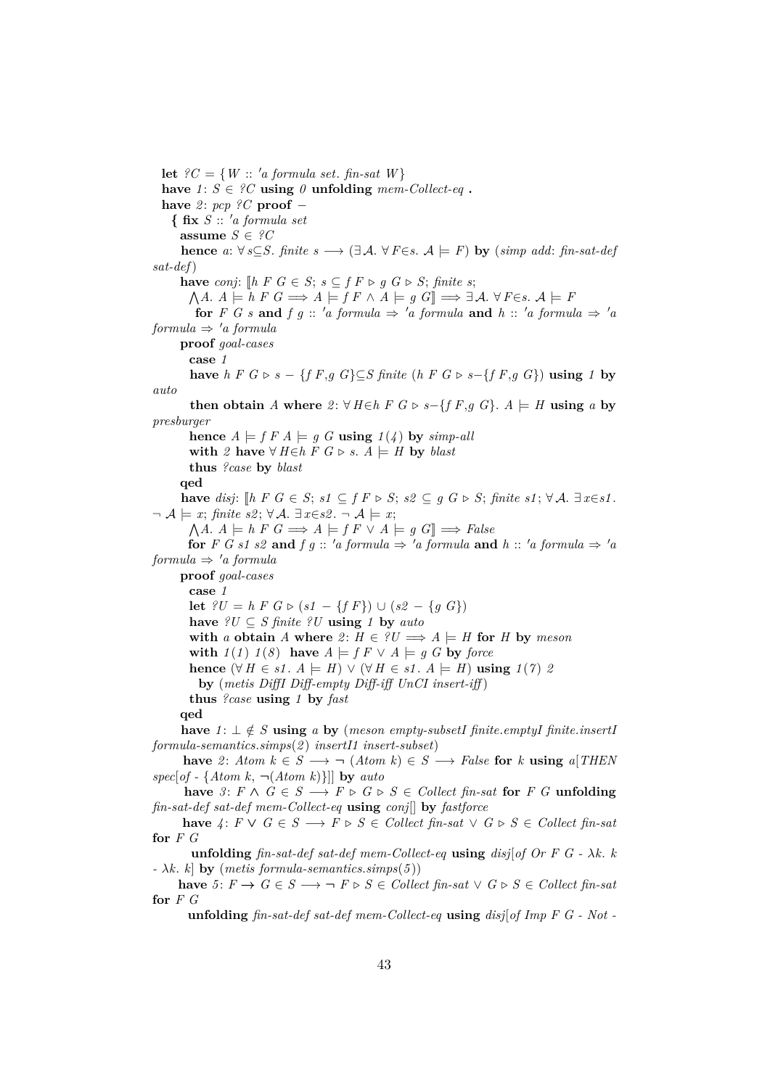**let**  $?C = \{W : : 'a \text{ formula set.} \text{ fin-sat } W\}$ have  $1: S \in \mathcal{C}$  **using**  $0$  **unfolding**  $mem\text{-}Collect\text{-}eq$ . **have** *2* : *pcp ?C* **proof** − **{ fix** *S* :: <sup>0</sup>*a formula set* **assume**  $S \in \mathcal{C}C$ **hence**  $a: \forall s \subseteq S$ . *finite*  $s \longrightarrow (\exists \mathcal{A}, \forall F \in s \mathcal{A}) \models F$  **by** (*simp add: fin-sat-def sat-def*) **have** *conj*:  $[$ *h F G* ∈ *S*; *s* ⊂ *f F*  $\triangleright$  *q G*  $\triangleright$  *S*; *finite s*;  $\bigwedge A$ .  $A \models h \ F \ G \Longrightarrow A \models f \ F \land A \models g \ G \Longrightarrow \exists \mathcal{A}$ .  $\forall F \in s$ .  $\mathcal{A} \models F$ **for** *F G s* **and** *f q* :: '*a formula*  $\Rightarrow$  '*a formula* **and** *h* :: '*a formula*  $\Rightarrow$  '*a*  $formula \Rightarrow 'a formula$ **proof** *goal-cases* **case** *1* **have** *h*  $F$   $G$  ⊳  $s$  − { $f$   $F$ , $g$   $G$ } $\subseteq$ *S finite* (*h*  $F$   $G$  ⊳  $s$ −{ $f$   $F$ , $g$   $G$ }) **using**  $1$  **by** *auto* **then obtain** *A* where  $2: ∀ H ∈ h F G ⊳ s - {f F,g G}. A ⊨ H$  **using** *a* **by** *presburger* **hence**  $A \models f F A \models g G$  **using**  $1(4)$  by *simp-all* **with**  $2$  **have** ∀  $H \in h$   $F$   $G \triangleright s$ .  $A \models H$  **by** *blast* **thus** *?case* **by** *blast* **qed have** *disj*:  $[$ *h F G* ∈ *S*; *s1* ⊆ *f F*  $\triangleright$  *S*; *s2* ⊆ *g G*  $\triangleright$  *S*; *finite s1*;  $\forall$  *A*. ∃ *x*∈*s1*.  $\neg A \models x$ ; *finite s2*;  $\forall A$ .  $\exists x \in s2$ .  $\neg A \models x$ ;  $\bigwedge A$ .  $A \models h \in G \Longrightarrow A \models f \in V \land \models g \in G \Longrightarrow False$ **for** *F G s1 s2* **and** *f g* ::  $'a$  *formula*  $\Rightarrow 'a$  *formula* **and**  $h$  ::  $'a$  *formula*  $\Rightarrow 'a$  $formula \Rightarrow 'a formula$ **proof** *goal-cases* **case** *1* **let**  $?U = h \, F \, G \triangleright (s1 - \{f \, F\}) \cup (s2 - \{g \, G\})$ **have**  $?U \subseteq S$  *finite*  $?U$  **using** *1* **by** *auto* **with** *a* **obtain** *A* **where** 2:  $H \in \mathcal{U} \implies A \models H$  for *H* by *meson* **with**  $1(1)$   $1(8)$  **have**  $A \models f F \lor A \models g G$  **by** *force* **hence**  $(\forall H \in s1. A \models H)$  ∨  $(\forall H \in s1. A \models H)$  **using**  $1(7)$  2 **by** (*metis DiffI Diff-empty Diff-iff UnCI insert-iff* ) **thus** *?case* **using** *1* **by** *fast* **qed have**  $1: \bot \notin S$  **using**  $a$  **by** (*meson empty-subsetI finite.<i>emptyI finite.insertI formula-semantics*.*simps*(*2* ) *insertI1 insert-subset*) **have** 2: *Atom*  $k \in S$  →  $\neg$  (*Atom*  $k$ ) ∈ *S* → *False* **for** *k* **using** *a*[*THEN spec*[*of -* {*Atom k*, ¬(*Atom k*)}]] **by** *auto* **have** 3: *F* ∧ *G* ∈ *S* → *F*  $\triangleright$  *G*  $\triangleright$  *S* ∈ *Collect fin-sat* for *F G* **unfolding** *fin-sat-def sat-def mem-Collect-eq* **using** *conj*[] **by** *fastforce* **have**  $4: F ∨ G ∈ S → F ∑ S ∈ Collect fin-sat ∨ G ∑ S ∈ Collect fin-sat$ **for** *F G* **unfolding** *fin-sat-def sat-def mem-Collect-eq* **using** *disj*[*of Or F G -* λ*k*. *k -* λ*k*. *k*] **by** (*metis formula-semantics*.*simps*(*5* )) **have**  $5: F \rightarrow G \in S \rightarrow F \triangleright S \in Collect \text{ fin-sat } \vee G \triangleright S \in Collect \text{ fin-sat }$ **for** *F G* **unfolding** *fin-sat-def sat-def mem-Collect-eq* **using** *disj*[*of Imp F G - Not -*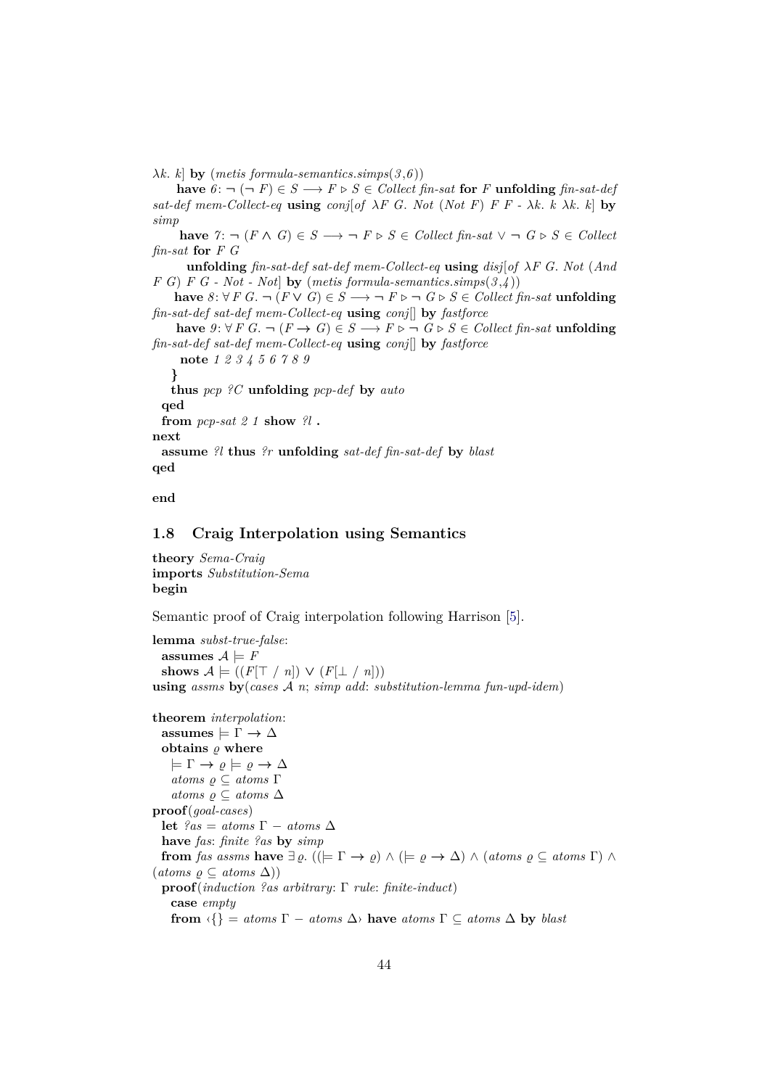$\lambda k$ . *k* **by** (*metis formula-semantics.simps*(3,6))

**have**  $6: \neg (\neg F) \in S \rightarrow F \triangleright S \in Collect \text{ } fin\text{-}sat \text{ } for \text{ } F \text{ } uniformly \text{ } fin\text{-}sat\text{-}def$ *sat-def mem-Collect-eq* **using** *conj*[*of* λ*F G*. *Not* (*Not F*) *F F -* λ*k*. *k* λ*k*. *k*] **by** *simp*

**have**  $\gamma$ : ¬ (*F* ∧ *G*) ∈ *S* → ¬ *F* ⊳ *S* ∈ *Collect* fin-sat  $\vee$  ¬ *G* ⊳ *S* ∈ *Collect fin-sat* **for** *F G*

**unfolding** *fin-sat-def sat-def mem-Collect-eq* **using** *disj*[*of* λ*F G*. *Not* (*And F G*) *F G - Not - Not*] **by** (*metis formula-semantics*.*simps*(*3* ,*4* ))

**have**  $8: \forall F \ G. \ \neg (F \lor G) \in S \rightarrow \neg F \triangleright \neg G \triangleright S \in Collect \ fin \text{-}sat$  **unfolding** *fin-sat-def sat-def mem-Collect-eq* **using** *conj*[] **by** *fastforce*

**have**  $9: \forall F \ G$ .  $\neg (F \rightarrow G) \in S \rightarrow F \triangleright \neg G \triangleright S \in Collect \ fin \text{-}sat$  **unfolding** *fin-sat-def sat-def mem-Collect-eq* **using** *conj*[] **by** *fastforce*

**note** *1 2 3 4 5 6 7 8 9* **} thus** *pcp ?C* **unfolding** *pcp-def* **by** *auto* **qed from** *pcp-sat 2 1* **show** *?l* **. next assume** *?l* **thus** *?r* **unfolding** *sat-def fin-sat-def* **by** *blast* **qed**

**end**

# **1.8 Craig Interpolation using Semantics**

**theory** *Sema-Craig* **imports** *Substitution-Sema* **begin**

Semantic proof of Craig interpolation following Harrison [\[5\]](#page-140-0).

**lemma** *subst-true-false*: **assumes**  $A \models F$ shows  $A \models ((F[\top / n]) \vee (F[\bot / n]))$ **using** *assms* **by**(*cases* A *n*; *simp add*: *substitution-lemma fun-upd-idem*)

```
theorem interpolation:
  \text{assumes} \models \Gamma \to \Deltaobtains \rho where
    \models \Gamma \rightarrow \rho \models \rho \rightarrow \Deltaatoms \varrho \subseteq atoms \Gammaatoms \varrho \subseteq atoms \triangleproof(goal-cases)
  let ?as = atoms \Gamma - atoms \Deltahave fas: finite ?as by simp
  from fas assms have \exists \varrho. ((\models \Gamma \rightarrow \varrho) \land (\models \varrho \rightarrow \Delta) \land (atoms \varrho \subseteq atoms \Gamma) \land(atoms \varrho \subseteq atoms \Delta))proof(induction ?as arbitrary: Γ rule: finite-induct)
    case empty
    from \{ \} = atoms \Gamma - atoms \Delta \} have atoms \Gamma \subseteq atoms \Delta by blast
```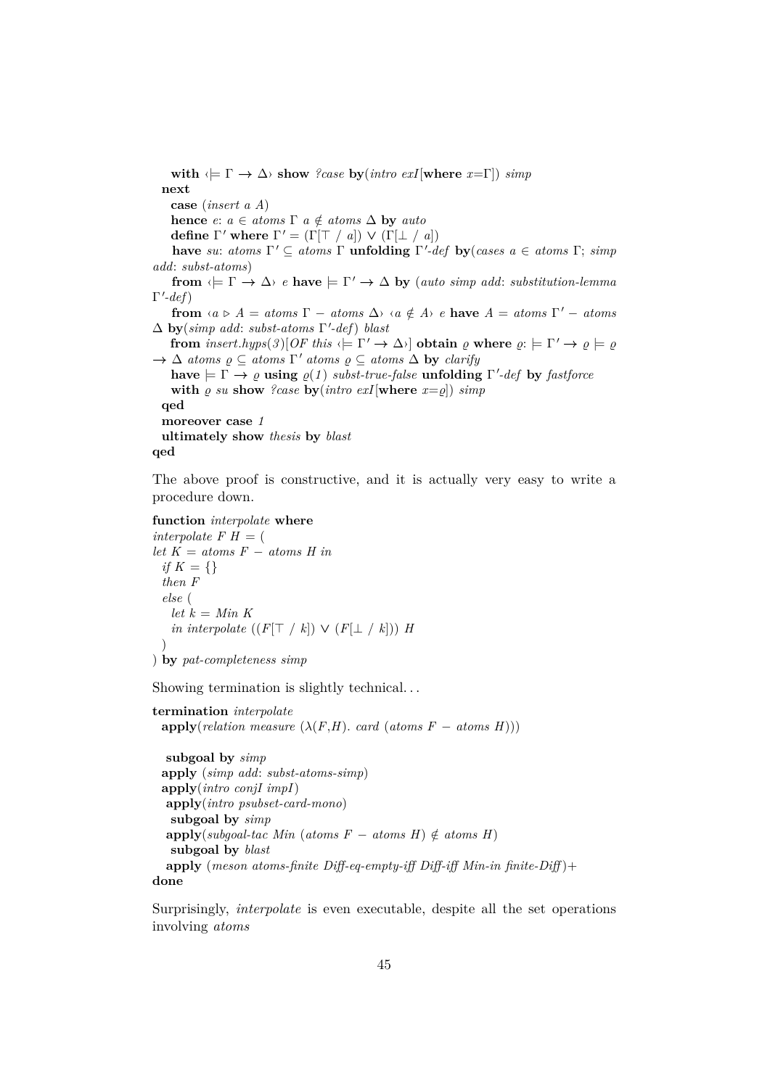**with**  $\langle \models \Gamma \rightarrow \Delta \rangle$  **show** *?case* **by**(*intro exI*[**where** *x*=Γ]) *simp* **next case** (*insert a A*) **hence**  $e: a \in atoms \Gamma$   $a \notin atoms \Delta$  **by**  $auto$ **define**  $\Gamma'$  **where**  $\Gamma' = (\Gamma[\top / a]) \vee (\Gamma[\bot / a])$ **have** *su*: *atoms*  $\Gamma' \subseteq$  *atoms*  $\Gamma$  **unfolding**  $\Gamma'$ -def **by**(*cases*  $a \in$  *atoms*  $\Gamma$ ; *simp add*: *subst-atoms*) **from**  $\langle \models \Gamma \rightarrow \Delta \rangle$  *e* **have**  $\models \Gamma' \rightarrow \Delta$  **by** (*auto simp add: substitution-lemma*  $\Gamma'$ -def) **from**  $\langle a \rangle A = \text{atoms } \Gamma - \text{atoms } \Delta \rangle$   $\langle a \notin A \rangle$  *e* **have**  $A = \text{atoms } \Gamma' - \text{atoms}$ ∆ **by**(*simp add*: *subst-atoms* Γ 0 *-def*) *blast* **from**  $insert. hyps(3)$ [ $OF$  this  $\Leftrightarrow \Gamma' \rightarrow \Delta$ <sup>}</sup>] **obtain**  $\varrho$  where  $\varrho: \models \Gamma' \rightarrow \varrho \models \varrho$  $\rightarrow \Delta$  *atoms*  $\rho \subseteq$  *atoms*  $\Gamma'$  *atoms*  $\rho \subseteq$  *atoms*  $\Delta$  **by** *clarify*  $h$ **ave**  $\models \Gamma \rightarrow \varrho$  **using**  $\varrho(1)$  *subst-true-false* **unfolding**  $\Gamma'$ -def by *fastforce* with  $\rho$  *su* show *?case* by(*intro exI*[where  $x = \rho$ ]) *simp* **qed moreover case** *1* **ultimately show** *thesis* **by** *blast* **qed**

The above proof is constructive, and it is actually very easy to write a procedure down.

```
function interpolate where
```

```
interpolate F H = (let K = atoms F − atoms H in
 if K = \{\}then F
 else (
   let\ k = Min\ Kin interpolate ((F[\top / k]) \vee (F[\bot / k])) H
  )
```

```
) by pat-completeness simp
```
Showing termination is slightly technical. . .

```
termination interpolate
 apply(relation measure (\lambda(F,H) <i>card (atoms F − atoms H)))
  subgoal by simp
 apply (simp add: subst-atoms-simp)
 apply(intro conjI impI)
  apply(intro psubset-card-mono)
   subgoal by simp
  \text{apply}(subgoal-tac \, Min \, (atoms \, F - atoms \, H) \notin atoms \, H)subgoal by blast
  apply (meson atoms-finite Diff-eq-empty-iff Diff-iff Min-in finite-Diff )+
done
```
Surprisingly, *interpolate* is even executable, despite all the set operations involving *atoms*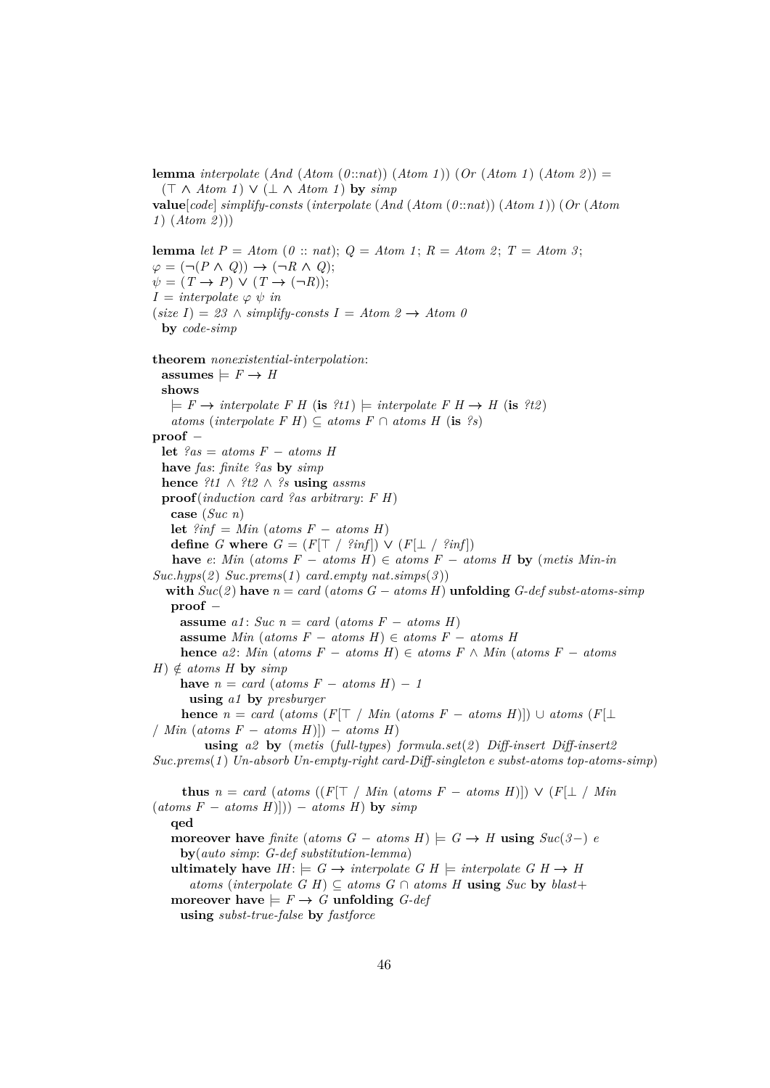**lemma** *interpolate* (*And* (*Atom* (*0* ::*nat*)) (*Atom 1* )) (*Or* (*Atom 1* ) (*Atom 2* )) = (> ∧ *Atom 1* ) ∨ (⊥ ∧ *Atom 1* ) **by** *simp*

**value**[*code*] *simplify-consts* (*interpolate* (*And* (*Atom* (*0* ::*nat*)) (*Atom 1* )) (*Or* (*Atom 1* ) (*Atom 2* )))

**lemma** *let*  $P = Atom$  ( $0::nat$ );  $Q = Atom$  1;  $R = Atom$  2;  $T = Atom$  3;  $\varphi = (\neg (P \land Q)) \rightarrow (\neg R \land Q);$  $\psi = (T \rightarrow P) \vee (T \rightarrow (\neg R));$  $I =$  *interpolate*  $\varphi \psi$  *in*  $(size I) = 23 \land simplify-constants I = Atom 2 \rightarrow Atom 0$ **by** *code-simp* **theorem** *nonexistential-interpolation*:  $\text{assumes} \models F \rightarrow H$ **shows**  $\models$  *F*  $\rightarrow$  *interpolate F H* (**is** *?t1*)  $\models$  *interpolate F H*  $\rightarrow$  *H* (**is** *?t2*) *atoms* (*interpolate F H*) ⊆ *atoms F* ∩ *atoms H* (**is** *?s*) **proof** − **let**  $?as = atoms F - atoms H$ **have** *fas*: *finite ?as* **by** *simp* **hence** *?t1* ∧ *?t2* ∧ *?s* **using** *assms* **proof**(*induction card ?as arbitrary*: *F H*) **case** (*Suc n*) **let**  $?inf = Min$  (*atoms F* − *atoms H*) **define** *G* **where**  $G = (F[\top / 3inf]) \vee (F[\bot / 3inf])$ **have** *e*: *Min* (*atoms F* − *atoms H*) ∈ *atoms F* − *atoms H* **by** (*metis Min-in*  $Suc.hyps(2)$   $Suc.prems(1)$   $card.empty$   $nat.simps(3)$ **with**  $Suc(2)$  **have**  $n = card$  (*atoms G* − *atoms H*) **unfolding** *G-def subst-atoms-simp* **proof** − **assume**  $a1$ : *Suc*  $n = card (atoms F - atoms H)$ **assume** *Min* (*atoms F* − *atoms H*) ∈ *atoms F* − *atoms H* **hence**  $a2$ : *Min* (*atoms*  $F - atoms$  *H*) ∈ *atoms*  $F \wedge Min$  (*atoms*  $F - atoms$  $H$ )  $\notin$  *atoms H* **by** *simp* **have**  $n = \text{card}(atoms F - atoms H) - 1$ **using** *a1* **by** *presburger* **hence**  $n = \text{card}$  ( $\text{atoms}(F[\top \mid \text{Min}(\text{atoms} F - \text{atoms} H)]) \cup \text{atoms}(F[\bot$ / *Min* (*atoms F* − *atoms H*)]) − *atoms H*) **using** *a2* **by** (*metis* (*full-types*) *formula*.*set*(*2* ) *Diff-insert Diff-insert2 Suc*.*prems*(*1* ) *Un-absorb Un-empty-right card-Diff-singleton e subst-atoms top-atoms-simp*) **thus**  $n = \text{card}$  ( $\text{atoms}$  (( $F[T \mid \text{Min} \text{ (atoms } F - \text{atoms } H)]$ )  $\vee$  ( $F[\perp \mid \text{Min}$ )  $(\textit{atoms } F - \textit{atoms } H)$  $)) - \textit{atoms } H)$  by  $\textit{simp}$ **qed moreover have** *finite* (*atoms*  $G - atoms H$ )  $\models G \rightarrow H$  **using**  $Suc(3-)$  *e* **by**(*auto simp*: *G-def substitution-lemma*) **ultimately have**  $IH: \models G \rightarrow \text{interpolate } G \text{ } H \models \text{interpolate } G \text{ } H \rightarrow H$ *atoms* (*interpolate G H*) ⊆ *atoms G* ∩ *atoms H* **using** *Suc* **by** *blast*+ **moreover have**  $\models$   $F \rightarrow G$  **unfolding** *G-def* **using** *subst-true-false* **by** *fastforce*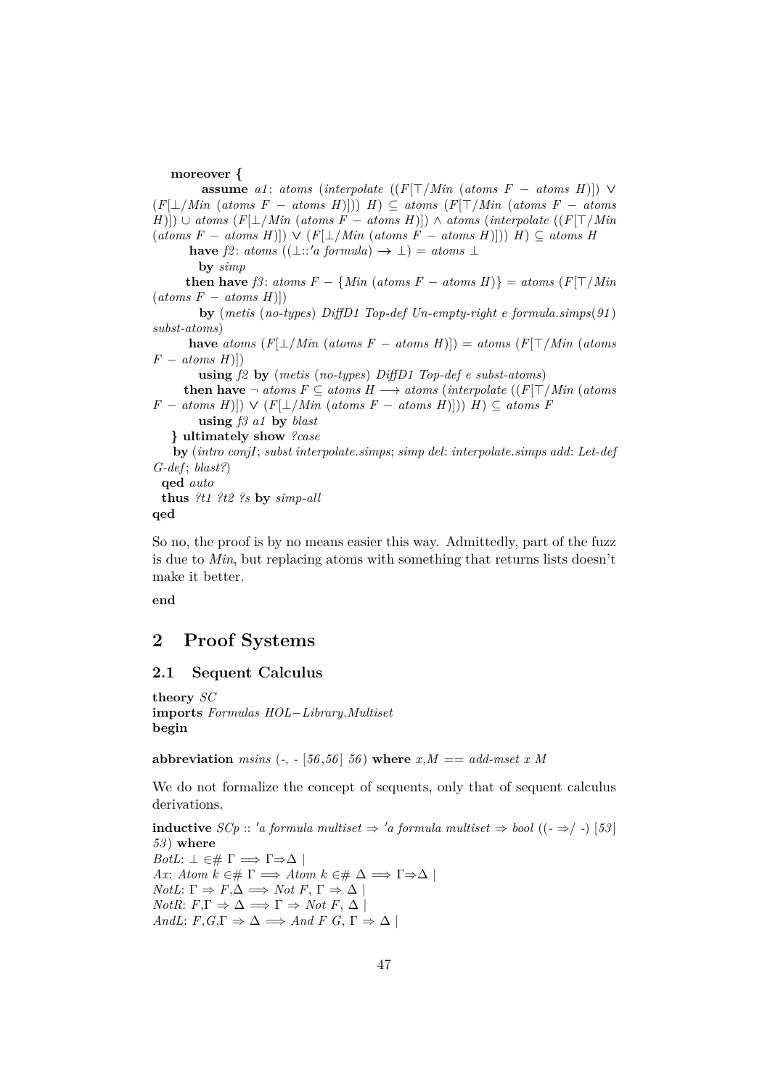## **moreover {**

**assume**  $a1$ : *atoms* (*interpolate* (( $F[T/Min$  (*atoms*  $F - atoms H$ ))) ∨ (*F*[⊥/*Min* (*atoms F* − *atoms H*)])) *H*) ⊆ *atoms* (*F*[>/*Min* (*atoms F* − *atoms*  $(H)|$ ) ∪ *atoms*  $(F|_1/Min$  (*atoms F* − *atoms H*)]) ∧ *atoms* (*interpolate* (( $F|_1^T/Min$ (*atoms F* − *atoms H*)]) ∨ (*F*[⊥/*Min* (*atoms F* − *atoms H*)])) *H*) ⊆ *atoms H* **have**  $f2$ : *atoms*  $((\bot::'a \ formula) \rightarrow \bot) = atoms \bot$ **by** *simp* **then have**  $f3$ :  $atoms F - \{Min (atoms F - atoms H)\} = atoms (F[T/Min$  $(atoms F - atoms H$ <sup>[1]</sup>) **by** (*metis* (*no-types*) *DiffD1 Top-def Un-empty-right e formula*.*simps*(*91* ) *subst-atoms*) **have** *atoms*  $(F[\bot / Min \ (atoms \ F - atoms \ H)]) = atoms \ (F[\top / Min \ (atoms \ F)])$  $F - atoms H$ ]) **using** *f2* **by** (*metis* (*no-types*) *DiffD1 Top-def e subst-atoms*) **then have**  $\neg$  *atoms*  $F ⊆$  *atoms*  $H \longrightarrow$  *atoms* (*interpolate* (( $F[T]/Min$  (*atoms F* − *atoms H*)]) ∨ (*F*[⊥/*Min* (*atoms F* − *atoms H*)])) *H*) ⊆ *atoms F* **using** *f3 a1* **by** *blast* **} ultimately show** *?case* **by** (*intro conjI*; *subst interpolate*.*simps*; *simp del*: *interpolate*.*simps add*: *Let-def*

*G-def* ; *blast?*) **qed** *auto* **thus** *?t1 ?t2 ?s* **by** *simp-all*

**qed**

So no, the proof is by no means easier this way. Admittedly, part of the fuzz is due to *Min*, but replacing atoms with something that returns lists doesn't make it better.

**end**

# **2 Proof Systems**

# **2.1 Sequent Calculus**

**theory** *SC* **imports** *Formulas HOL*−*Library*.*Multiset* **begin**

**abbreviation** *msins*  $(-, -[56, 56], 56)$  **where**  $x, M == add-mset x M$ 

We do not formalize the concept of sequents, only that of sequent calculus derivations.

**inductive** *SCp* ::  $'$ a formula multiset ⇒  $'$ a formula multiset ⇒ bool ((- ⇒/ -) [53] *53* ) **where** *BotL*:  $\perp$   $\in \# \Gamma \implies \Gamma \Rightarrow \Delta$ *Ax*: *Atom*  $k \in \mathbb{F}$   $\Rightarrow$  *Atom*  $k \in \mathbb{H}$   $\Delta \Rightarrow$   $\Gamma \Rightarrow \Delta$  $NotL: \Gamma \Rightarrow F, \Delta \implies Not F, \Gamma \Rightarrow \Delta$ *NotR*:  $F, \Gamma \Rightarrow \Delta \implies \Gamma \Rightarrow Not F, \Delta$ *AndL*:  $F, G, \Gamma \Rightarrow \Delta \implies And F \ G, \Gamma \Rightarrow \Delta \mid$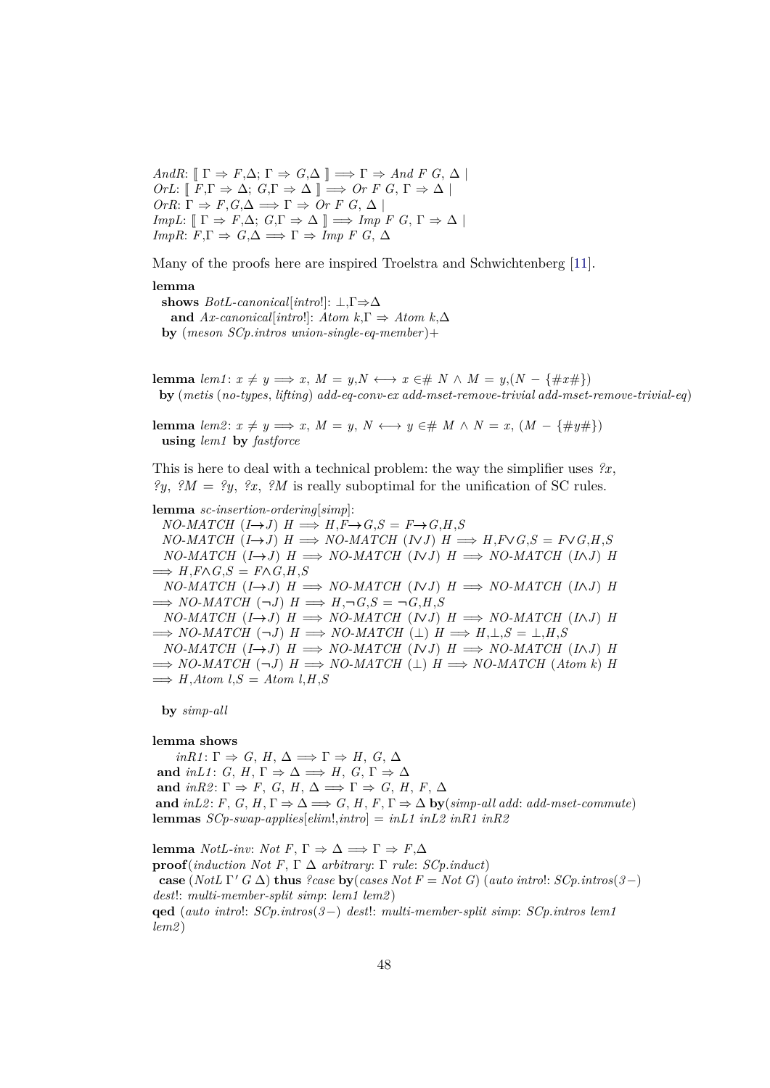*AndR*:  $[\Gamma \Rightarrow F, \Delta; \Gamma \Rightarrow G, \Delta] \Rightarrow \Gamma \Rightarrow And F G, \Delta$  $OrL: \llbracket F, \Gamma \Rightarrow \Delta; G, \Gamma \Rightarrow \Delta \rrbracket \Longrightarrow Or F G, \Gamma \Rightarrow \Delta \rrbracket$  $OrR: \Gamma \Rightarrow F, G, \Delta \implies \Gamma \Rightarrow Or \ F \ G, \Delta$  $ImpL: \mathbb{F} \to F, \Delta: G, \Gamma \Rightarrow \Delta \mathbb{F} \Longrightarrow Imp \ F \ G, \Gamma \Rightarrow \Delta \mathbb{F}$ *ImpR*:  $F, \Gamma \Rightarrow G, \Delta \Rightarrow \Gamma \Rightarrow \text{Imp } F \ G, \Delta$ 

Many of the proofs here are inspired Troelstra and Schwichtenberg [\[11\]](#page-140-1).

#### **lemma**

**shows** *BotL-canonical*[*intro*!]: ⊥,Γ⇒∆ **and** *Ax-canonical*[*intro*!]: *Atom k*,Γ ⇒ *Atom k*,∆ **by** (*meson SCp*.*intros union-single-eq-member* )+

**lemma**  $lem1: x \neq y \Longrightarrow x, M = y, N \longleftrightarrow x \in \mathcal{H} \times N \times M = y, (N - \{\#x\})$ **by** (*metis* (*no-types*, *lifting*) *add-eq-conv-ex add-mset-remove-trivial add-mset-remove-trivial-eq*)

**lemma**  $\text{lem2: } x \neq y \implies x, M = y, N \longleftrightarrow y \in \text{# } M \land N = x, (M - \{\text{#y#}\})$ **using** *lem1* **by** *fastforce*

This is here to deal with a technical problem: the way the simplifier uses *?x*, *?y*, *?M* = *?y*, *?x*, *?M* is really suboptimal for the unification of SC rules.

#### **lemma** *sc-insertion-ordering*[*simp*]:

 $NO-MATCH$   $(I \rightarrow J)$   $H \Longrightarrow H, F \rightarrow G, S = F \rightarrow G, H, S$  $NO-MATCH$   $(I \rightarrow J)$   $H \Longrightarrow NO-MATCH$   $(NJ)$   $H \Longrightarrow H.F \vee G.S = F \vee G.H.S$  $NO-MATCH$   $(I \rightarrow J)$   $H \implies NO-MATCH$   $(NJ)$   $H \implies NO-MATCH$   $(NJ)$   $H$  $\implies$  *H*,*F* $\wedge$ *G*,*S* = *F* $\wedge$ *G*,*H*,*S*  $NO-MATCH$   $(I \rightarrow J)$   $H \implies NO-MATCH$   $(NJ)$   $H \implies NO-MATCH$   $(INJ)$   $H$  $\implies$  *NO-MATCH*  $(\neg J)$  *H*  $\implies$  *H*, $\neg$ *G*, $S = \neg G$ ,*H*, $S$  $NO-MATCH$   $(I \rightarrow J)$   $H \implies NO-MATCH$   $(NJ)$   $H \implies NO-MATCH$   $(NJ)$   $H$  $\Rightarrow$  *NO-MATCH*  $(\neg J)$  *H*  $\Rightarrow$  *NO-MATCH*  $(L)$  *H*  $\Rightarrow$  *H*,  $\perp$ , *S* =  $\perp$ , *H*, *S*  $NO-MATCH$   $(I \rightarrow J)$   $H \implies NO-MATCH$   $(NJ)$   $H \implies NO-MATCH$   $(NJ)$   $H$  $\Rightarrow$  *NO-MATCH*  $(\neg J)$  *H*  $\Rightarrow$  *NO-MATCH*  $(L)$  *H*  $\Rightarrow$  *NO-MATCH* (*Atom k*) *H*  $\implies$  *H*,*Atom l*,*S* = *Atom l*,*H*,*S* 

**by** *simp-all*

#### **lemma shows**

 $inR1: \Gamma \Rightarrow G, H, \Delta \Longrightarrow \Gamma \Rightarrow H, G, \Delta$ and *inL1*: *G*, *H*,  $\Gamma \Rightarrow \Delta \Rightarrow H$ , *G*,  $\Gamma \Rightarrow \Delta$ and  $inR2: \Gamma \Rightarrow F, G, H, \Delta \Longrightarrow \Gamma \Rightarrow G, H, F, \Delta$ **and**  $inL2$ :  $F$ ,  $G$ ,  $H$ ,  $\Gamma \Rightarrow \Delta \Longrightarrow G$ ,  $H$ ,  $F$ ,  $\Gamma \Rightarrow \Delta$  **by**( $simp$ -all add: add-mset-commute) **lemmas** *SCp-swap-applies*[*elim*!,*intro*] = *inL1 inL2 inR1 inR2*

**lemma** *NotL-inv*: *Not*  $F, \Gamma \Rightarrow \Delta \Rightarrow \Gamma \Rightarrow F, \Delta$ **proof**(*induction Not F*, Γ ∆ *arbitrary*: Γ *rule*: *SCp*.*induct*) **case**  $(NotL\Gamma' G \Delta)$  **thus** *?case* **by**(*cases Not F* = *Not G*) (*auto intro*!: *SCp.intros*(*3*-) *dest*!: *multi-member-split simp*: *lem1 lem2* ) **qed** (*auto intro*!: *SCp*.*intros*(*3*−) *dest*!: *multi-member-split simp*: *SCp*.*intros lem1 lem2* )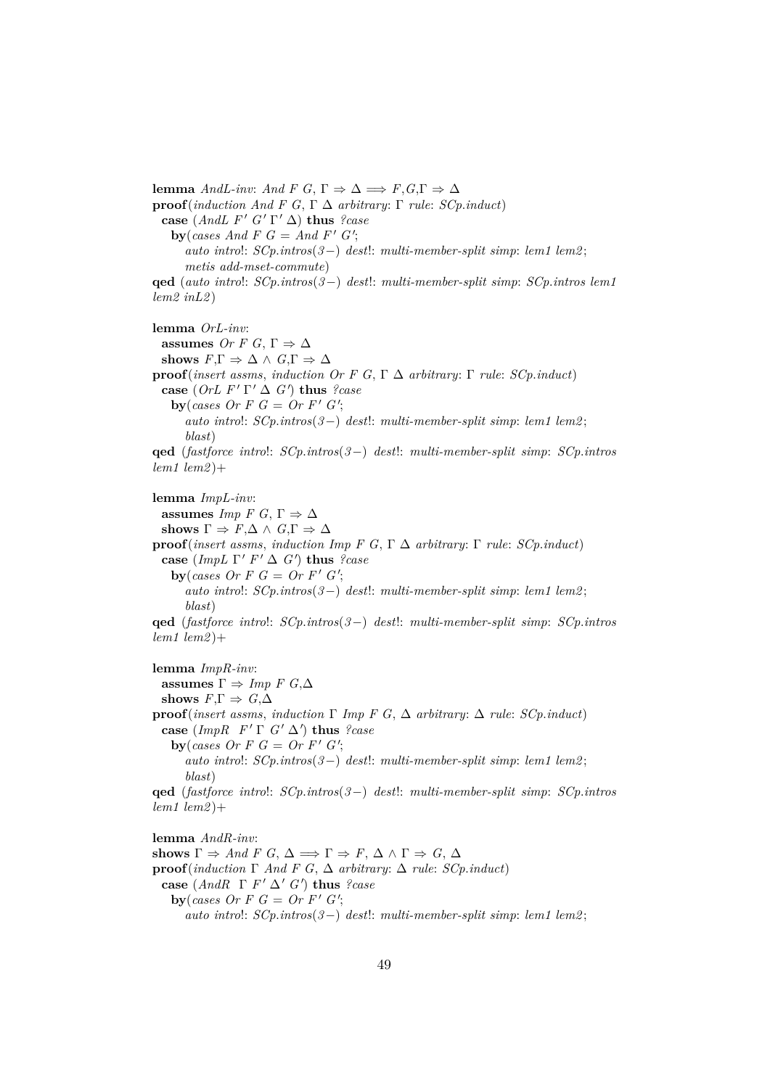**lemma** *AndL-inv*: *And F G*,  $\Gamma \Rightarrow \Delta \Rightarrow F, G, \Gamma \Rightarrow \Delta$ **proof**(*induction And F G*, Γ ∆ *arbitrary*: Γ *rule*: *SCp*.*induct*) **case**  $(AndL F' G' \Gamma' \Delta)$  **thus** *?case* **by**(*cases And F G* = *And F' G'*; *auto intro*!: *SCp*.*intros*(*3*−) *dest*!: *multi-member-split simp*: *lem1 lem2* ; *metis add-mset-commute*) **qed** (*auto intro*!: *SCp*.*intros*(*3*−) *dest*!: *multi-member-split simp*: *SCp*.*intros lem1 lem2 inL2* ) **lemma** *OrL-inv*: **assumes** *Or F G*,  $\Gamma \Rightarrow \Delta$ shows  $F, \Gamma \Rightarrow \Delta \wedge G, \Gamma \Rightarrow \Delta$ **proof**(*insert assms*, *induction Or F G*, Γ ∆ *arbitrary*: Γ *rule*: *SCp*.*induct*) **case** (*OrL F'*  $\Gamma' \Delta$  *G'*) **thus** *?case* **by**(*cases Or F G* = Or F'  $G'$ ; *auto intro*!: *SCp*.*intros*(*3*−) *dest*!: *multi-member-split simp*: *lem1 lem2* ; *blast*) **qed** (*fastforce intro*!: *SCp*.*intros*(*3*−) *dest*!: *multi-member-split simp*: *SCp*.*intros lem1 lem2* )+ **lemma** *ImpL-inv*: **assumes** *Imp*  $F G$ ,  $\Gamma \Rightarrow \Delta$ shows  $\Gamma \Rightarrow F, \Delta \wedge G, \Gamma \Rightarrow \Delta$ **proof**(*insert assms*, *induction Imp F G*, Γ ∆ *arbitrary*: Γ *rule*: *SCp*.*induct*) **case** (*ImpL*  $\Gamma'$  *F'*  $\Delta$  *G'*) **thus** *?case* **by**(*cases Or F G* = Or F'  $G'$ ; *auto intro*!: *SCp*.*intros*(*3*−) *dest*!: *multi-member-split simp*: *lem1 lem2* ; *blast*) **qed** (*fastforce intro*!: *SCp*.*intros*(*3*−) *dest*!: *multi-member-split simp*: *SCp*.*intros lem1 lem2* )+ **lemma** *ImpR-inv*: **assumes**  $\Gamma \Rightarrow \text{Imp } F \text{ } G,\Delta$ **shows**  $F, \Gamma \Rightarrow G, \Delta$ **proof**(*insert assms, induction*  $\Gamma$  *Imp F G,*  $\Delta$  *arbitrary:*  $\Delta$  *rule: SCp.induct*)

**case** (*ImpR*  $F' \Gamma G' \Delta'$ ) **thus** *?case* **by**(*cases Or F G* = Or F'  $G'$ ; *auto intro*!: *SCp*.*intros*(*3*−) *dest*!: *multi-member-split simp*: *lem1 lem2* ; *blast*)

**qed** (*fastforce intro*!: *SCp*.*intros*(*3*−) *dest*!: *multi-member-split simp*: *SCp*.*intros lem1 lem2* )+

**lemma** *AndR-inv*: shows  $\Gamma \Rightarrow And \ F \ G, \ \Delta \Longrightarrow \Gamma \Rightarrow F, \ \Delta \wedge \Gamma \Rightarrow G, \ \Delta$ **proof**(*induction* Γ *And F G*, ∆ *arbitrary*: ∆ *rule*: *SCp*.*induct*) **case**  $(And R \Gamma F' \Delta' G')$  **thus** *?case* **by**(*cases Or F G* = Or F'  $G'$ ; *auto intro*!: *SCp*.*intros*(*3*−) *dest*!: *multi-member-split simp*: *lem1 lem2* ;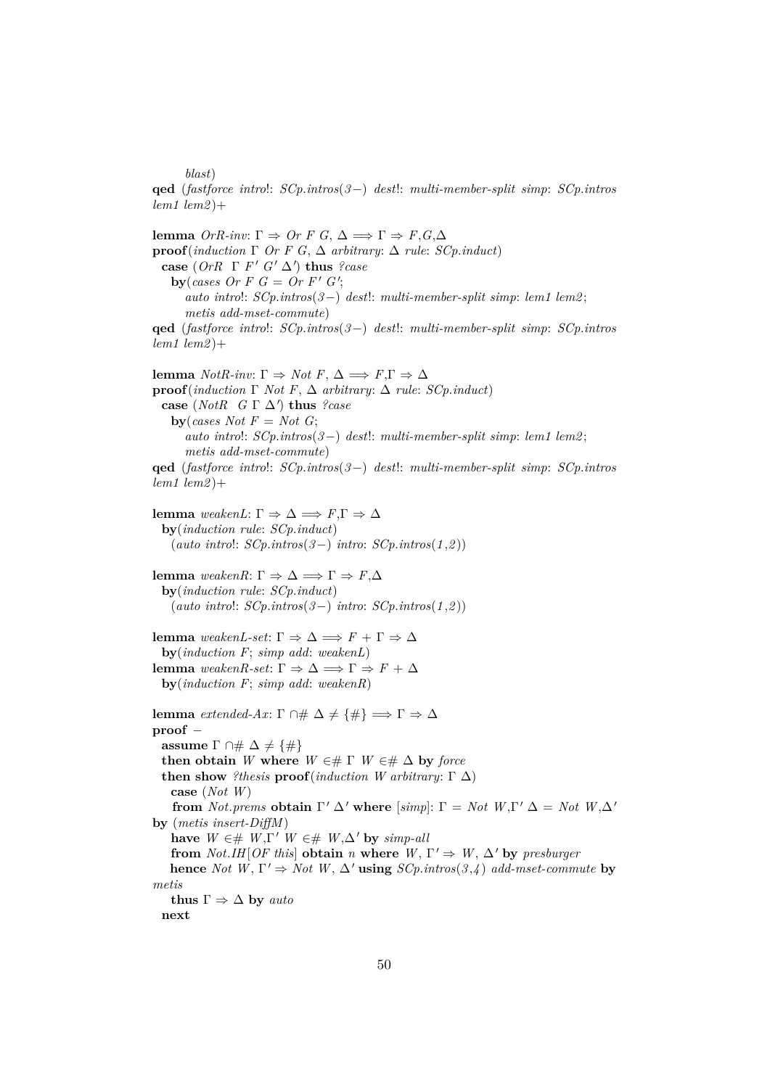*blast*)

**qed** (*fastforce intro*!: *SCp*.*intros*(*3*−) *dest*!: *multi-member-split simp*: *SCp*.*intros lem1 lem2* )+

**lemma** *OrR-inv*: Γ  $\Rightarrow$  *Or F G*, Δ  $\Rightarrow$  Γ  $\Rightarrow$  *F*,*G*,Δ **proof**(*induction* Γ *Or F G*, ∆ *arbitrary*: ∆ *rule*: *SCp*.*induct*) **case**  $(OrR \Gamma F' G' \Delta')$  **thus** *?case* **by**(*cases Or F G* = Or F'  $G'$ ; *auto intro*!: *SCp*.*intros*(*3*−) *dest*!: *multi-member-split simp*: *lem1 lem2* ; *metis add-mset-commute*) **qed** (*fastforce intro*!: *SCp*.*intros*(*3*−) *dest*!: *multi-member-split simp*: *SCp*.*intros lem1 lem2* )+ **lemma** *NotR-inv*: Γ  $\Rightarrow$  *Not F*, Δ  $\Rightarrow$  *F*,Γ  $\Rightarrow$  Δ **proof**(*induction*  $\Gamma$  *Not*  $F$ ,  $\Delta$  *arbitrary*:  $\Delta$  *rule*: *SCp.induct*) **case** (*NotR*  $G \Gamma \Delta'$ ) **thus** *?case* **by**(*cases Not*  $F = Not G$ ; *auto intro*!: *SCp*.*intros*(*3*−) *dest*!: *multi-member-split simp*: *lem1 lem2* ; *metis add-mset-commute*) **qed** (*fastforce intro*!: *SCp*.*intros*(*3*−) *dest*!: *multi-member-split simp*: *SCp*.*intros lem1 lem2* )+ **lemma** *weakenL*: Γ  $\Rightarrow$  Δ  $\Rightarrow$  *F*,Γ  $\Rightarrow$  Δ **by**(*induction rule*: *SCp*.*induct*) (*auto intro*!: *SCp*.*intros*(*3*−) *intro*: *SCp*.*intros*(*1* ,*2* )) **lemma** *weakenR*: Γ  $\Rightarrow$  Δ  $\Rightarrow$  Γ  $\Rightarrow$  *F*, Δ **by**(*induction rule*: *SCp*.*induct*) (*auto intro*!: *SCp*.*intros*(*3*−) *intro*: *SCp*.*intros*(*1* ,*2* )) **lemma** *weakenL-set*: Γ  $\Rightarrow$  Δ  $\Rightarrow$  *F* + Γ  $\Rightarrow$  Δ **by**(*induction F*; *simp add*: *weakenL*) **lemma** *weakenR-set*: Γ  $\Rightarrow$  Δ  $\Rightarrow$  Γ  $\Rightarrow$  *F* + Δ **by**(*induction F*; *simp add*: *weakenR*) **lemma** *extended-Ax*:  $\Gamma \cap \# \Delta \neq {\#} \implies \Gamma \Rightarrow \Delta$ **proof** − **assume**  $\Gamma \cap \# \Delta \neq {\#}$ **then obtain** *W* where  $W \in \mathcal{H}$   $\Gamma$   $W \in \mathcal{H}$   $\Delta$  by *force* **then show** *?thesis* **proof**(*induction W arbitrary*:  $\Gamma \Delta$ ) **case** (*Not W*) **from** *Not.prems* **obtain**  $\Gamma' \Delta'$  **where** [*simp*]:  $\Gamma = Not$  *W*, $\Gamma' \Delta = Not$  *W*, $\Delta'$ **by** (*metis insert-DiffM*) **have**  $W \in \text{\#}$   $W, \Gamma'$   $W \in \text{\#}$   $W, \Delta'$  **by**  $simp$ -all **from** *Not.IH*[*OF this*] **obtain** *n* **where**  $W, \Gamma' \Rightarrow W, \Delta'$  by presburger **hence** *Not*  $W, \Gamma' \Rightarrow Not W, \Delta'$  **using**  $SCp.intros(3, 4)$  *add-mset-commute* **by** *metis* **thus**  $\Gamma \Rightarrow \Delta$  **by** *auto* **next**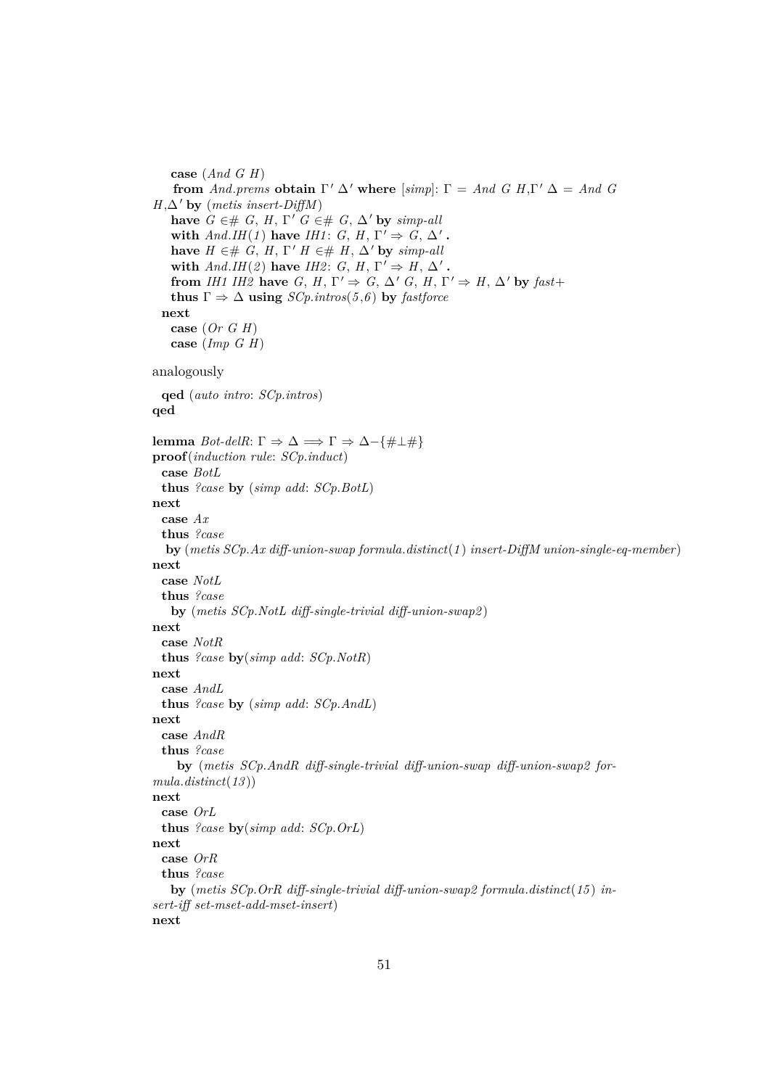```
case (And G H)
    from And.prems obtain \Gamma' \Delta' where [simp]: \Gamma = And G H, \Gamma' \Delta = And GH, \Delta' by (metis insert-DiffM)
   have G \in \mathcal{H} G, H, \Gamma' G \in \mathcal{H} G, \Delta' by simp-all
   with And.HH(1) have IHI: G, H, \Gamma' \Rightarrow G, \Delta'.
   have H \in \mathcal{H} G, H, \Gamma' H \in \mathcal{H} H, \Delta' by simp-all
   with And.HH(2) have IH2: G, H, \Gamma' \Rightarrow H, \Delta'.
   from IH1 IH2 have G, H, \Gamma' \Rightarrow G, \Delta' G, H, \Gamma' \Rightarrow H, \Delta' by fast+
   thus \Gamma \Rightarrow \Delta using SCp.intros(5,6) by fastforce
 next
   case (Or G H)
   case (Imp G H)
analogously
 qed (auto intro: SCp.intros)
qed
lemma Bot-delR: Γ \Rightarrow Δ \Rightarrow Γ \Rightarrow Δ - {#⊥#}
proof(induction rule: SCp.induct)
 case BotL
 thus ?case by (simp add: SCp.BotL)
next
 case Ax
 thus ?case
  by (metis SCp.Ax diff-union-swap formula.distinct(1 ) insert-DiffM union-single-eq-member )
next
 case NotL
 thus ?case
   by (metis SCp.NotL diff-single-trivial diff-union-swap2 )
next
 case NotR
 thus ?case by(simp add: SCp.NotR)
next
 case AndL
 thus ?case by (simp add: SCp.AndL)
next
 case AndR
 thus ?case
    by (metis SCp.AndR diff-single-trivial diff-union-swap diff-union-swap2 for-
mula.distinct(13 ))
next
 case OrL
 thus ?case by(simp add: SCp.OrL)
next
 case OrR
 thus ?case
   by (metis SCp.OrR diff-single-trivial diff-union-swap2 formula.distinct(15 ) in-
sert-iff set-mset-add-mset-insert)
next
```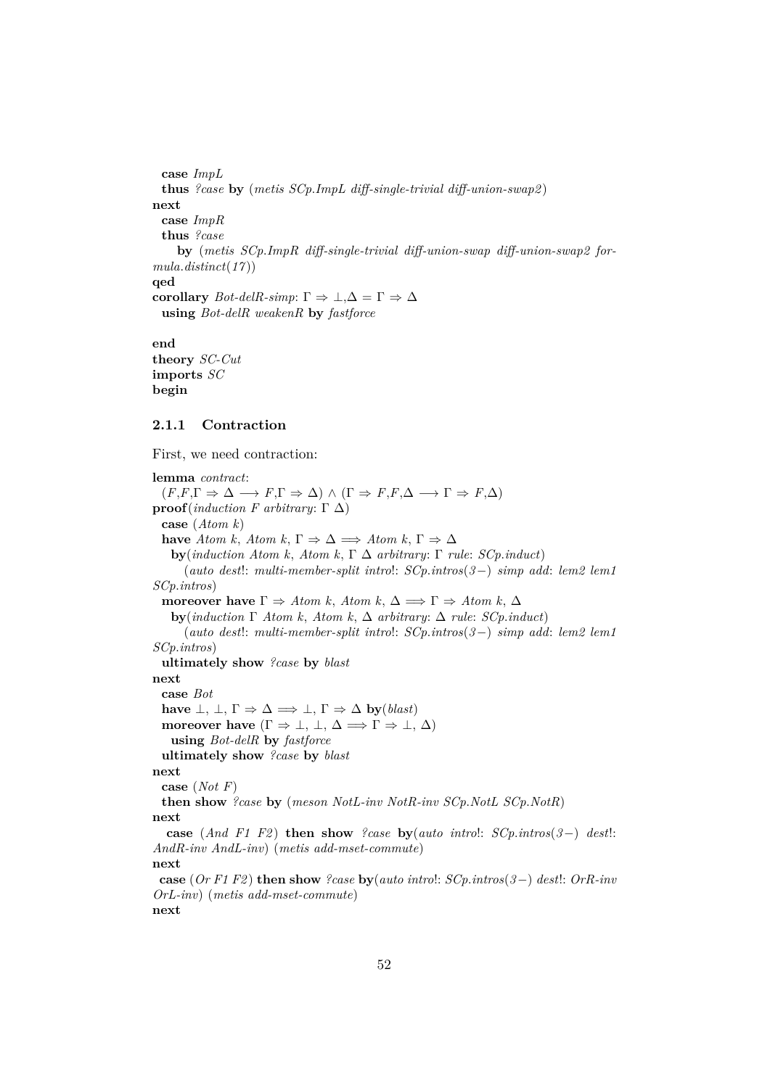**case** *ImpL* **thus** *?case* **by** (*metis SCp*.*ImpL diff-single-trivial diff-union-swap2* ) **next case** *ImpR* **thus** *?case* **by** (*metis SCp*.*ImpR diff-single-trivial diff-union-swap diff-union-swap2 formula*.*distinct*(*17* )) **qed corollary**  $Bot\text{-}delR\text{-}simp: \Gamma \Rightarrow \bot, \Delta = \Gamma \Rightarrow \Delta$ **using** *Bot-delR weakenR* **by** *fastforce*

**end theory** *SC-Cut* **imports** *SC* **begin**

# **2.1.1 Contraction**

First, we need contraction:

**lemma** *contract*:  $(F, F, \Gamma \Rightarrow \Delta \longrightarrow F, \Gamma \Rightarrow \Delta) \wedge (\Gamma \Rightarrow F, F, \Delta \longrightarrow \Gamma \Rightarrow F, \Delta)$ **proof**(*induction F arbitrary*: Γ  $Δ$ ) **case** (*Atom k*) **have** *Atom k*, *Atom k*,  $\Gamma \Rightarrow \Delta \implies Atom \; k$ ,  $\Gamma \Rightarrow \Delta$ **by**(*induction Atom k*, *Atom k*, Γ ∆ *arbitrary*: Γ *rule*: *SCp*.*induct*) (*auto dest*!: *multi-member-split intro*!: *SCp*.*intros*(*3*−) *simp add*: *lem2 lem1 SCp*.*intros*) **moreover have**  $\Gamma \Rightarrow Atom \; k$ ,  $Atom \; k$ ,  $\Delta \Rightarrow \Gamma \Rightarrow Atom \; k$ ,  $\Delta$ **by**(*induction* Γ *Atom k*, *Atom k*, ∆ *arbitrary*: ∆ *rule*: *SCp*.*induct*) (*auto dest*!: *multi-member-split intro*!: *SCp*.*intros*(*3*−) *simp add*: *lem2 lem1 SCp*.*intros*) **ultimately show** *?case* **by** *blast* **next case** *Bot* **have**  $\bot$ ,  $\bot$ ,  $\Gamma \Rightarrow \Delta \Rightarrow \bot$ ,  $\Gamma \Rightarrow \Delta$  **by**(*blast*) **moreover have**  $(\Gamma \Rightarrow \bot, \bot, \Delta \Rightarrow \Gamma \Rightarrow \bot, \Delta)$ **using** *Bot-delR* **by** *fastforce* **ultimately show** *?case* **by** *blast* **next case** (*Not F*) **then show** *?case* **by** (*meson NotL-inv NotR-inv SCp*.*NotL SCp*.*NotR*) **next case** (*And F1 F2* ) **then show** *?case* **by**(*auto intro*!: *SCp*.*intros*(*3*−) *dest*!: *AndR-inv AndL-inv*) (*metis add-mset-commute*) **next case** (*Or F1 F2* ) **then show** *?case* **by**(*auto intro*!: *SCp*.*intros*(*3*−) *dest*!: *OrR-inv OrL-inv*) (*metis add-mset-commute*) **next**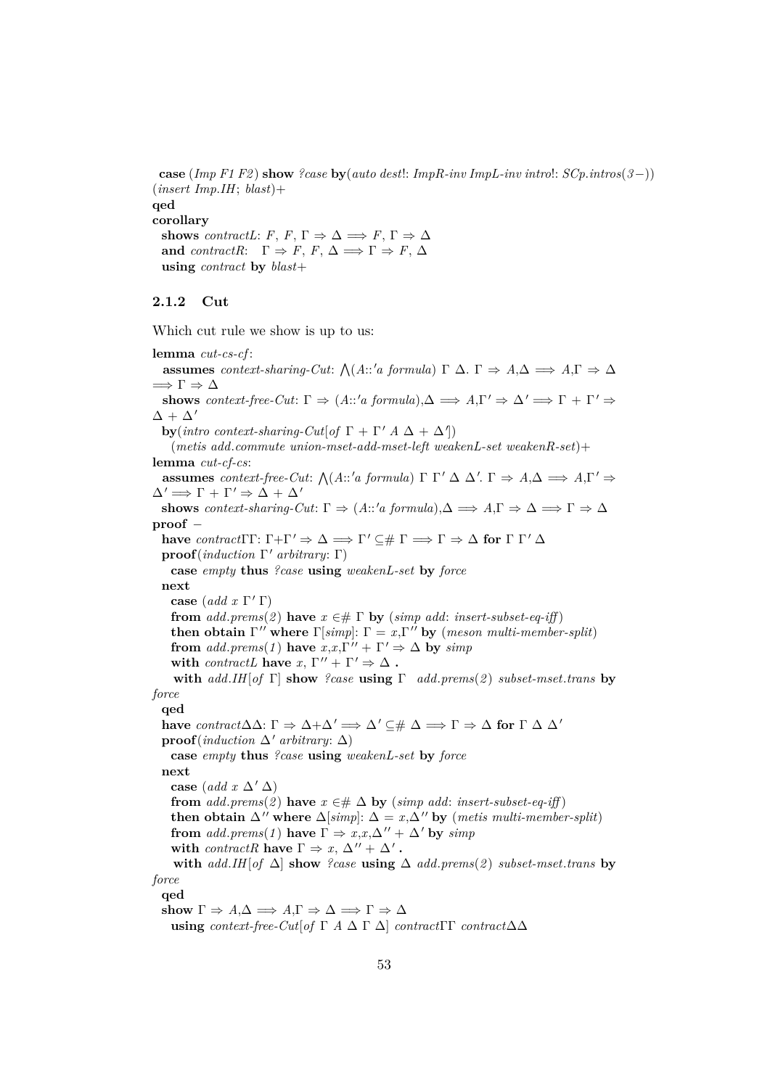**case** (*Imp F1 F2* ) **show** *?case* **by**(*auto dest*!: *ImpR-inv ImpL-inv intro*!: *SCp*.*intros*(*3*−)) (*insert Imp*.*IH*; *blast*)+ **qed corollary shows** *contractL*: *F*, *F*,  $\Gamma \Rightarrow \Delta \Rightarrow F$ ,  $\Gamma \Rightarrow \Delta$ **and** *contractR*:  $\Gamma \Rightarrow F, F, \Delta \Rightarrow \Gamma \Rightarrow F, \Delta$ **using** *contract* **by** *blast*+

# **2.1.2 Cut**

Which cut rule we show is up to us:

**lemma** *cut-cs-cf* : **assumes** *context-sharing-Cut*:  $\bigwedge (A::'a \text{ formula}) \Gamma \Delta \Gamma \Rightarrow A,\Delta \Rightarrow A,\Gamma \Rightarrow \Delta$  $\implies$   $\Gamma \Rightarrow \Delta$ **shows** *context-free-Cut*:  $\Gamma \Rightarrow (A::'a \text{ formula}), \Delta \Rightarrow A, \Gamma' \Rightarrow \Delta' \Rightarrow \Gamma + \Gamma' \Rightarrow$  $\Delta + \Delta'$ **by**(*intro context-sharing-Cut*[*of*  $\Gamma + \Gamma' A \Delta + \Delta'$ ]) (*metis add*.*commute union-mset-add-mset-left weakenL-set weakenR-set*)+ **lemma** *cut-cf-cs*: **assumes** *context-free-Cut:*  $\bigwedge (A::'a \text{ formula}) \Gamma \Gamma' \Delta \Delta'. \Gamma \Rightarrow A, \Delta \Rightarrow A, \Gamma' \Rightarrow$  $\Delta' \Longrightarrow \Gamma + \Gamma' \Rightarrow \Delta + \Delta'$ **shows** *context-sharing-Cut*:  $\Gamma \Rightarrow (A::'a \text{ formula}), \Delta \Rightarrow A, \Gamma \Rightarrow \Delta \Rightarrow \Gamma \Rightarrow \Delta$ **proof** − **have** *contract* $\Gamma \Gamma: \Gamma + \Gamma' \Rightarrow \Delta \Rightarrow \Gamma' \subseteq \# \Gamma \Rightarrow \Gamma \Rightarrow \Delta$  for  $\Gamma \Gamma' \Delta$ **proof**(*induction* Γ <sup>0</sup> *arbitrary*: Γ) **case** *empty* **thus** *?case* **using** *weakenL-set* **by** *force* **next case**  $(\text{add } x \Gamma' \Gamma)$ **from**  $add. \text{prems}(2)$  **have**  $x \in \text{# } \Gamma$  **by** (*simp add: insert-subset-eq-iff*) **then obtain**  $\Gamma''$  where  $\Gamma[\text{simp}]: \Gamma = x, \Gamma''$  by (*meson multi-member-split*) **from** *add.prems*(1) **have**  $x, x, \Gamma'' + \Gamma' \Rightarrow \Delta$  **by**  $\text{sim}$ *p* **with** *contractL* **have**  $x, \Gamma'' + \Gamma' \Rightarrow \Delta$ . **with** *add*.*IH*[*of* Γ] **show** *?case* **using** Γ *add*.*prems*(*2* ) *subset-mset*.*trans* **by** *force* **qed have**  $contract \Delta \Delta: \Gamma \Rightarrow \Delta + \Delta' \Rightarrow \Delta' \subseteq \# \Delta \Rightarrow \Gamma \Rightarrow \Delta$  for  $\Gamma \Delta \Delta'$ **proof**(*induction*  $\Delta'$  *arbitrary*:  $\Delta$ ) **case** *empty* **thus** *?case* **using** *weakenL-set* **by** *force* **next case** (*add x*  $\Delta'$   $\Delta$ ) **from**  $add. \text{prems}(2)$  **have**  $x \in \# \Delta$  **by** (*simp add: insert-subset-eq-iff*) **then obtain**  $\Delta''$  **where**  $\Delta[simp]:$   $\Delta = x, \Delta''$  **by** (*metis multi-member-split*) **from** *add.prems*(*1*) **have**  $\Gamma \Rightarrow x, x, \Delta'' + \Delta'$  **by** *simp* **with** *contractR* **have**  $\Gamma \Rightarrow x, \Delta'' + \Delta'$ . **with** *add*.*IH*[*of* ∆] **show** *?case* **using** ∆ *add*.*prems*(*2* ) *subset-mset*.*trans* **by** *force* **qed** show  $\Gamma \Rightarrow A.\Delta \Longrightarrow A.\Gamma \Rightarrow \Delta \Longrightarrow \Gamma \Rightarrow \Delta$ **using** *context-free-Cut*[*of*  $\Gamma$  *A*  $\Delta$   $\Gamma$   $\Delta$ ] *contract* $\Gamma$  $\Gamma$  *contract* $\Delta\Delta$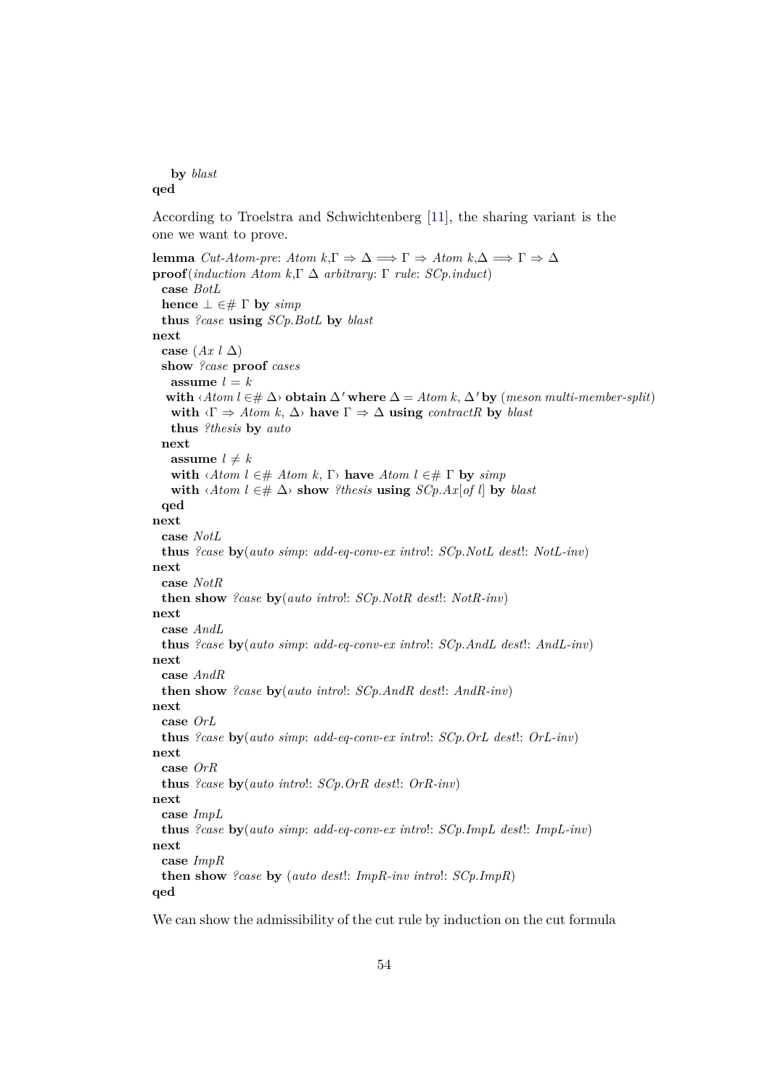**by** *blast* **qed**

According to Troelstra and Schwichtenberg [\[11\]](#page-140-1), the sharing variant is the one we want to prove.

```
lemma Cut-Atom-pre: Atom k,Γ \Rightarrow Δ \Rightarrow Γ \Rightarrow Atom k,Δ \Rightarrow Γ \Rightarrow Δ
proof(induction Atom k,Γ ∆ arbitrary: Γ rule: SCp.induct)
 case BotL
 hence \bot \in \# \Gamma by \text{simp}thus ?case using SCp.BotL by blast
next
 case (Ax l ∆)
 show ?case proof cases
   assume l = kwith \langle Atom l ∈# \Delta\rangle obtain \Delta' where \Delta = Atom k, \Delta' by (meson multi-member-split)
   with \langle \Gamma \Rightarrow \text{Atom } k, \Delta \rangle have \Gamma \Rightarrow \Delta using contractR by blast
   thus ?thesis by auto
 next
   assume l \neq kwith \langle Atom l ∈# Atom k, \Gamma have Atom l ∈# \Gamma by simp
   with \langle A \text{tom } l \in \# \Delta \rangle show ?thesis using SCp.Ax[of l] by blast
 qed
next
 case NotL
 thus ?case by(auto simp: add-eq-conv-ex intro!: SCp.NotL dest!: NotL-inv)
next
 case NotR
 then show ?case by(auto intro!: SCp.NotR dest!: NotR-inv)
next
  case AndL
 thus ?case by(auto simp: add-eq-conv-ex intro!: SCp.AndL dest!: AndL-inv)
next
 case AndR
 then show ?case by(auto intro!: SCp.AndR dest!: AndR-inv)
next
 case OrL
 thus ?case by(auto simp: add-eq-conv-ex intro!: SCp.OrL dest!: OrL-inv)
next
 case OrR
 thus ?case by(auto intro!: SCp.OrR dest!: OrR-inv)
next
 case ImpL
 thus ?case by(auto simp: add-eq-conv-ex intro!: SCp.ImpL dest!: ImpL-inv)
next
 case ImpR
 then show ?case by (auto dest!: ImpR-inv intro!: SCp.ImpR)
qed
```
We can show the admissibility of the cut rule by induction on the cut formula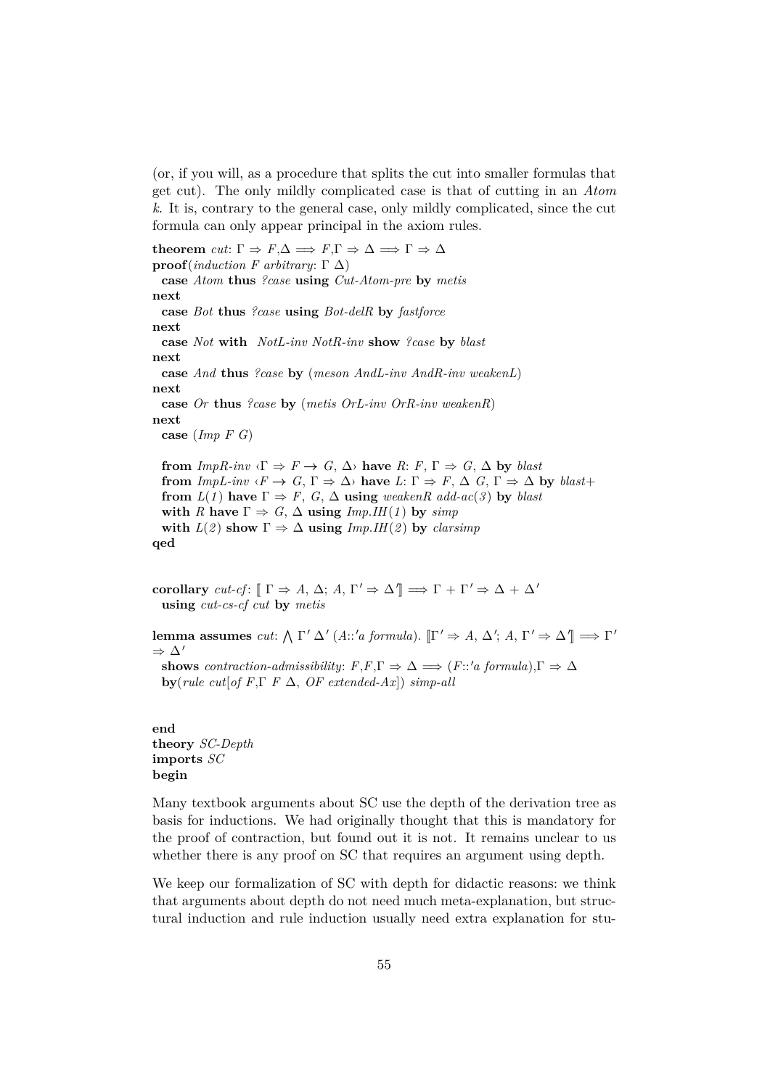(or, if you will, as a procedure that splits the cut into smaller formulas that get cut). The only mildly complicated case is that of cutting in an *Atom k*. It is, contrary to the general case, only mildly complicated, since the cut formula can only appear principal in the axiom rules.

**theorem** *cut*:  $\Gamma \Rightarrow F, \Delta \Rightarrow F, \Gamma \Rightarrow \Delta \Rightarrow \Gamma \Rightarrow \Delta$ **proof**(*induction F arbitrary*: Γ  $Δ$ ) **case** *Atom* **thus** *?case* **using** *Cut-Atom-pre* **by** *metis* **next case** *Bot* **thus** *?case* **using** *Bot-delR* **by** *fastforce* **next case** *Not* **with** *NotL-inv NotR-inv* **show** *?case* **by** *blast* **next case** *And* **thus** *?case* **by** (*meson AndL-inv AndR-inv weakenL*) **next case** *Or* **thus** *?case* **by** (*metis OrL-inv OrR-inv weakenR*) **next case** (*Imp F G*) **from**  $ImpR\text{-}inv \leq \Gamma \Rightarrow F \to G, \Delta$  **have**  $R: F, \Gamma \Rightarrow G, \Delta$  by *blast* **from** *ImpL-inv*  $\langle F \to G, \Gamma \Rightarrow \Delta \rangle$  **have**  $L: \Gamma \Rightarrow F, \Delta G, \Gamma \Rightarrow \Delta$  by *blast*+ **from**  $L(1)$  **have**  $\Gamma \Rightarrow F$ ,  $G$ ,  $\Delta$  **using** *weakenR add-ac*(*3*) **by** *blast* **with** *R* **have**  $\Gamma \Rightarrow G$ ,  $\Delta$  **using** *Imp.IH*(*1*) **by** *simp* **with**  $L(2)$  **show**  $\Gamma \Rightarrow \Delta$  **using**  $Imp.HI(2)$  **by** *clarsimp* **qed**

**corollary** *cut-cf*:  $[\Gamma \Rightarrow A, \Delta; A, \Gamma' \Rightarrow \Delta' ] \Rightarrow \Gamma + \Gamma' \Rightarrow \Delta + \Delta'$ **using** *cut-cs-cf cut* **by** *metis*

**lemma assumes** *cut*:  $\Lambda \Gamma' \Delta'$  (*A*::'*a formula*).  $[\Gamma' \Rightarrow A, \Delta'; A, \Gamma' \Rightarrow \Delta''] \Rightarrow \Gamma'$  $\Rightarrow \Delta'$ **shows** *contraction-admissibility*:  $F, F, \Gamma \Rightarrow \Delta \implies (F : 'a \text{ formula}), \Gamma \Rightarrow \Delta$ **by**( $rule \ cut[of F, \Gamma \ F \Delta, \ OF \ extended-Ax]) \ simple$ 

**end theory** *SC-Depth* **imports** *SC* **begin**

Many textbook arguments about SC use the depth of the derivation tree as basis for inductions. We had originally thought that this is mandatory for the proof of contraction, but found out it is not. It remains unclear to us whether there is any proof on SC that requires an argument using depth.

We keep our formalization of SC with depth for didactic reasons: we think that arguments about depth do not need much meta-explanation, but structural induction and rule induction usually need extra explanation for stu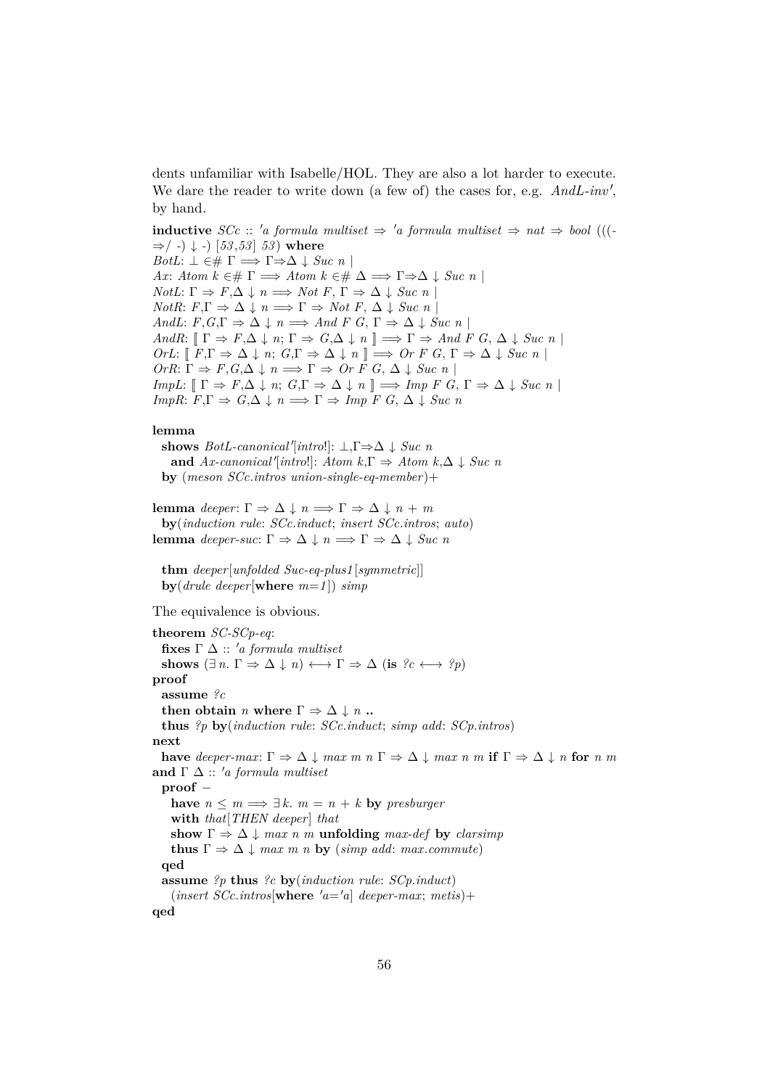dents unfamiliar with Isabelle/HOL. They are also a lot harder to execute. We dare the reader to write down (a few of) the cases for, e.g.  $And L\text{-}inv'$ , by hand.

**inductive** *SCc* :: 'a formula multiset  $\Rightarrow$  'a formula multiset  $\Rightarrow$  nat  $\Rightarrow$  bool (((-⇒/ *-*) ↓ *-*) [*53* ,*53* ] *53* ) **where** *BotL*:  $\bot \in \# \Gamma \implies \Gamma \Rightarrow \Delta \downarrow \text{Suc } n$ *Ax*: *Atom k* ∈#  $\Gamma \implies$  *Atom k* ∈#  $\Delta \implies \Gamma \Rightarrow \Delta \downarrow$  *Suc n NotL*:  $\Gamma \Rightarrow F, \Delta \downarrow n \Longrightarrow Not F, \Gamma \Rightarrow \Delta \downarrow Suc n$  $NotR: F, \Gamma \Rightarrow \Delta \downarrow n \Longrightarrow \Gamma \Rightarrow Not F, \Delta \downarrow Suc n$ *AndL*:  $F, G, \Gamma \Rightarrow \Delta \downarrow n \Longrightarrow And F \ G, \Gamma \Rightarrow \Delta \downarrow Suc \ n$ *AndR*:  $[\Gamma \Rightarrow F, \Delta \downarrow n; \Gamma \Rightarrow G, \Delta \downarrow n] \Longrightarrow \Gamma \Rightarrow And F G, \Delta \downarrow Suc n$  $OrL: \llbracket F, \Gamma \Rightarrow \Delta \downarrow n; G, \Gamma \Rightarrow \Delta \downarrow n \rrbracket \implies Or F G, \Gamma \Rightarrow \Delta \downarrow Suc n \rrbracket$  $OrR: \Gamma \Rightarrow F, G, \Delta \downarrow n \Longrightarrow \Gamma \Rightarrow Or \overline{F} \overline{G}, \Delta \downarrow Suc \overline{n}$ *ImpL*:  $[\Gamma \Rightarrow F, \Delta \downarrow n; G, \Gamma \Rightarrow \Delta \downarrow n] \Rightarrow \text{Imp } F \ G, \Gamma \Rightarrow \Delta \downarrow \text{Suc } n$ *ImpR*:  $F, \Gamma \Rightarrow G, \Delta \downarrow n \Longrightarrow \Gamma \Rightarrow \text{Imp } F \ G, \Delta \downarrow \text{Suc } n$ 

# **lemma**

shows  $BotL$ -canonical'[intro!]:  $\bot$ ,  $\Gamma \Rightarrow \Delta \downarrow Suc$ <sup>n</sup> **and**  $Ax\text{-}canonical'[\text{intro}]: Atom \, k, \Gamma \Rightarrow Atom \, k, \Delta \downarrow \text{Suc } n$ **by** (*meson SCc*.*intros union-single-eq-member* )+

**lemma** *deeper*:  $\Gamma \Rightarrow \Delta \downarrow n \Longrightarrow \Gamma \Rightarrow \Delta \downarrow n + m$ **by**(*induction rule*: *SCc*.*induct*; *insert SCc*.*intros*; *auto*) **lemma** *deeper-suc*: Γ  $\Rightarrow$  Δ  $\downarrow$  *n*  $\Rightarrow$  Γ  $\Rightarrow$  Δ  $\downarrow$  *Suc n* 

**thm** *deeper*[*unfolded Suc-eq-plus1* [*symmetric*]] **by**(*drule deeper*[**where** *m*=*1* ]) *simp*

The equivalence is obvious.

**theorem** *SC-SCp-eq*: **fixes**  $\Gamma$   $\Delta$  :: 'a formula multiset shows  $(\exists n. \Gamma \Rightarrow \Delta \downarrow n) \longleftrightarrow \Gamma \Rightarrow \Delta (\text{is } ?c \longleftrightarrow ?p)$ **proof assume** *?c* **then obtain** *n* **where**  $\Gamma \Rightarrow \Delta \downarrow n$  **.. thus** *?p* **by**(*induction rule*: *SCc*.*induct*; *simp add*: *SCp*.*intros*) **next have** deeper-max:  $\Gamma \Rightarrow \Delta \downarrow$  *max m n*  $\Gamma \Rightarrow \Delta \downarrow$  *max n m* **if**  $\Gamma \Rightarrow \Delta \downarrow$  *n* for *n m* **and**  $\Gamma$   $\Delta$  :: 'a formula multiset **proof** − **have**  $n \leq m \implies \exists k$ .  $m = n + k$  **by** *presburger* **with** *that*[*THEN deeper*] *that* **show**  $\Gamma \Rightarrow \Delta \downarrow$  *max n m* **unfolding** *max-def* **by** *clarsimp* **thus**  $\Gamma \Rightarrow \Delta \downarrow$  *max m n* **by** (*simp add: max.commute*) **qed assume** *?p* **thus** *?c* **by**(*induction rule*: *SCp*.*induct*)  $(inset SCc.intros[where 'a='a] deeper-max; metis)+$ **qed**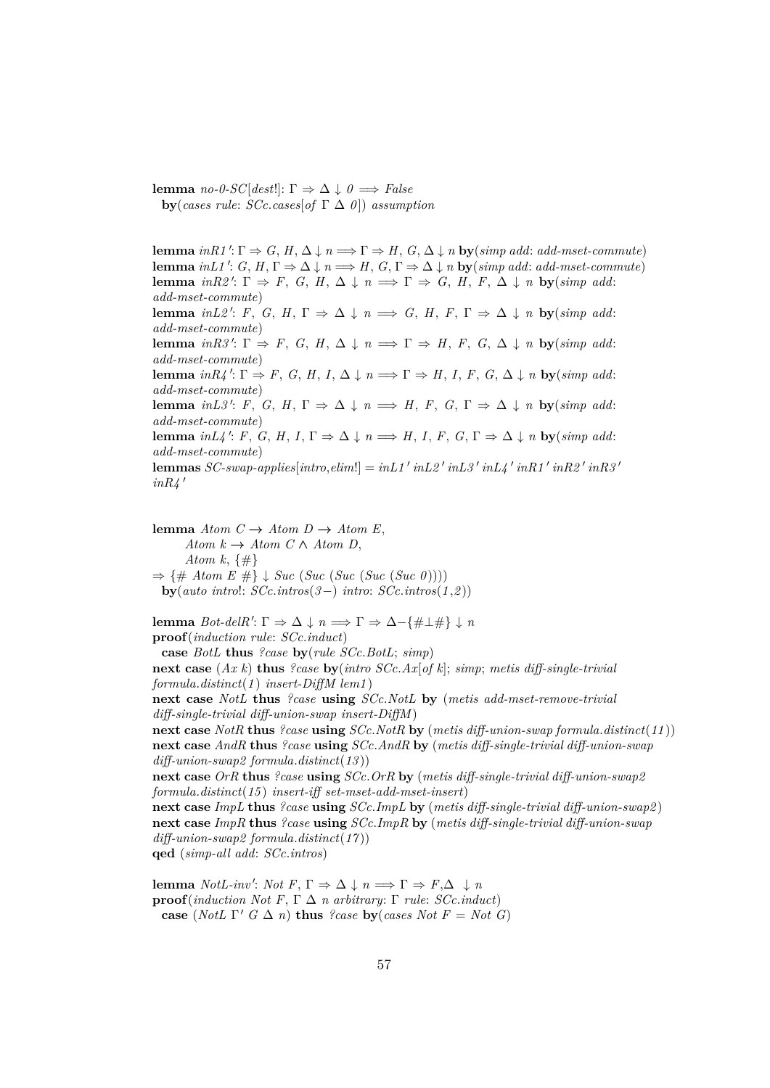**lemma** *no-0-SC*[*dest*!]: Γ  $\Rightarrow$  Δ ↓ *0*  $\Longrightarrow$  *False* **by**(*cases rule*: *SCc*.*cases*[*of* Γ ∆ *0* ]) *assumption*

**lemma**  $inR1': \Gamma \Rightarrow G, H, \Delta \downarrow n \Longrightarrow \Gamma \Rightarrow H, G, \Delta \downarrow n$  **by**( $simp \text{ } add \text{ } . \text{ } add \text{ } . \text{ } most \text{ } commute)$ **lemma**  $inL1'$ :  $G, H, \Gamma \Rightarrow \Delta \downarrow n \Longrightarrow H, G, \Gamma \Rightarrow \Delta \downarrow n$  **by**( $simp \text{ } add \text{ } most\text{ }commute)$ **lemma** *inR2'*:  $\Gamma \Rightarrow F$ , *G*, *H*,  $\Delta \downarrow n \implies \Gamma \Rightarrow G$ , *H*,  $F$ ,  $\Delta \downarrow n$  **by**(*simp add*: *add-mset-commute*) **lemma** *inL2'*: *F*, *G*, *H*,  $\Gamma \Rightarrow \Delta \downarrow n \implies G$ , *H*, *F*,  $\Gamma \Rightarrow \Delta \downarrow n$  **by**(*simp add*: *add-mset-commute*) **lemma** *inR3'*:  $\Gamma \Rightarrow F$ , *G*, *H*,  $\Delta \downarrow n \implies \Gamma \Rightarrow H$ , *F*, *G*,  $\Delta \downarrow n$  **by**(*simp add*: *add-mset-commute*) **lemma**  $inR4$ <sup>'</sup>:  $\Gamma \Rightarrow F$ , *G*, *H*, *I*,  $\Delta \downarrow n \Longrightarrow \Gamma \Rightarrow H$ , *I*, *F*, *G*,  $\Delta \downarrow n$  **by**(*simp add*: *add-mset-commute*) **lemma** *inL3'*: *F*, *G*, *H*,  $\Gamma \Rightarrow \Delta \downarrow n \implies H$ , *F*, *G*,  $\Gamma \Rightarrow \Delta \downarrow n$  **by**(*simp add*: *add-mset-commute*) **lemma**  $inL4'$ : *F*, *G*, *H*, *I*,  $\Gamma \Rightarrow \Delta \downarrow n \Longrightarrow H$ , *I*, *F*, *G*,  $\Gamma \Rightarrow \Delta \downarrow n$  **by**(*simp add*: *add-mset-commute*) **lemmas** *SC-swap-applies*[ $\text{intro}, \text{elim}$ !] =  $\text{in} \text{L1}' \text{ in} \text{L2}' \text{ in} \text{L3}' \text{ in} \text{L4}' \text{ in} \text{R1}' \text{ in} \text{R2}' \text{ in} \text{R3}'$  $inR4'$ 

**lemma**  $Atom\ C \rightarrow Atom\ D \rightarrow Atom\ E,$ *Atom k* → *Atom C*  $\land$  *Atom D*, *Atom k*, {#}  $\Rightarrow$  {# *Atom E* #}  $\downarrow$  *Suc* (*Suc* (*Suc* (*Suc* (*Suc* 0)))) **by**(*auto intro*!: *SCc*.*intros*(*3*−) *intro*: *SCc*.*intros*(*1* ,*2* )) **lemma** *Bot-delR'*:  $\Gamma \Rightarrow \Delta \downarrow n \Longrightarrow \Gamma \Rightarrow \Delta - \{\#\bot \# \downarrow n\}$ **proof**(*induction rule*: *SCc*.*induct*) **case** *BotL* **thus** *?case* **by**(*rule SCc*.*BotL*; *simp*) **next case** (*Ax k*) **thus** *?case* **by**(*intro SCc*.*Ax*[*of k*]; *simp*; *metis diff-single-trivial formula*.*distinct*(*1* ) *insert-DiffM lem1* ) **next case** *NotL* **thus** *?case* **using** *SCc*.*NotL* **by** (*metis add-mset-remove-trivial diff-single-trivial diff-union-swap insert-DiffM* ) **next case** *NotR* **thus** *?case* **using** *SCc*.*NotR* **by** (*metis diff-union-swap formula*.*distinct*(*11* )) **next case** *AndR* **thus** *?case* **using** *SCc*.*AndR* **by** (*metis diff-single-trivial diff-union-swap diff-union-swap2 formula*.*distinct*(*13* )) **next case** *OrR* **thus** *?case* **using** *SCc*.*OrR* **by** (*metis diff-single-trivial diff-union-swap2 formula*.*distinct*(*15* ) *insert-iff set-mset-add-mset-insert*) **next case** *ImpL* **thus** *?case* **using** *SCc*.*ImpL* **by** (*metis diff-single-trivial diff-union-swap2* ) **next case** *ImpR* **thus** *?case* **using** *SCc*.*ImpR* **by** (*metis diff-single-trivial diff-union-swap diff-union-swap2 formula*.*distinct*(*17* )) **qed** (*simp-all add*: *SCc*.*intros*)

**lemma** *NotL-inv': Not*  $F, \Gamma \Rightarrow \Delta \downarrow n \Longrightarrow \Gamma \Rightarrow F, \Delta \downarrow n$ **proof**(*induction Not F*, Γ ∆ *n arbitrary*: Γ *rule*: *SCc*.*induct*) **case** (*NotL*  $\Gamma'$  *G*  $\Delta$  *n*) **thus** *?case* **by**(*cases Not F* = *Not G*)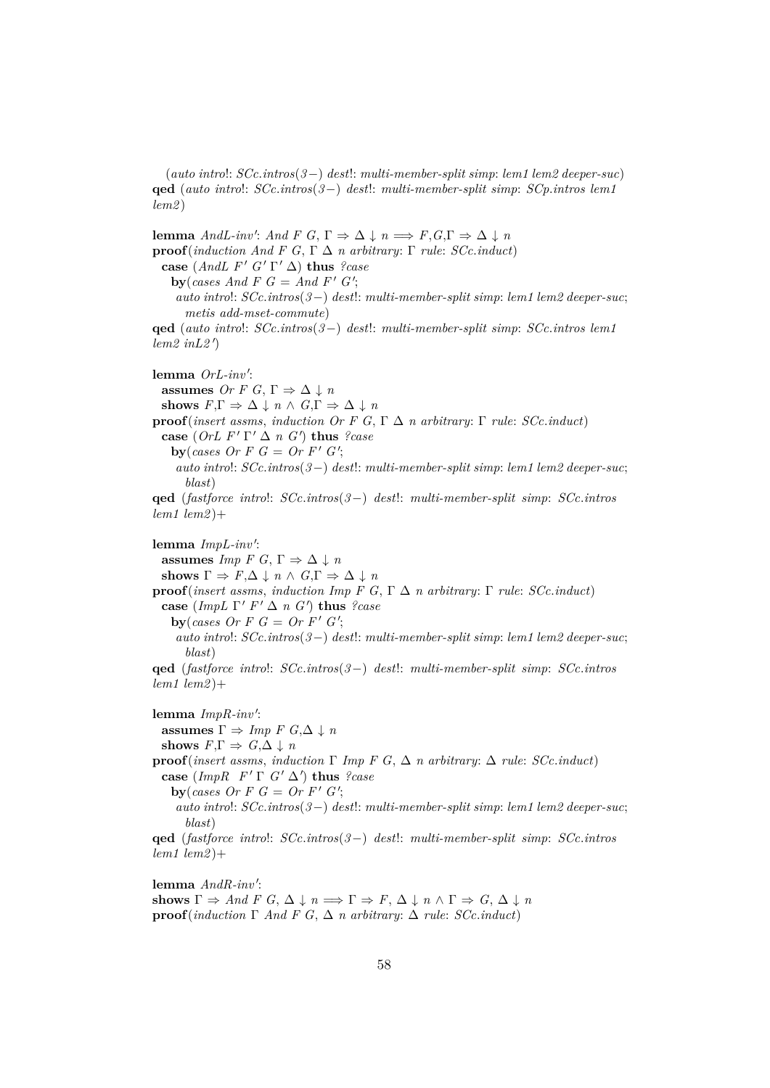(*auto intro*!: *SCc*.*intros*(*3*−) *dest*!: *multi-member-split simp*: *lem1 lem2 deeper-suc*) **qed** (*auto intro*!: *SCc*.*intros*(*3*−) *dest*!: *multi-member-split simp*: *SCp*.*intros lem1 lem2* )

**lemma** *AndL-inv': And F G*,  $\Gamma \Rightarrow \Delta \downarrow n \Longrightarrow F, G, \Gamma \Rightarrow \Delta \downarrow n$ **proof**(*induction And F G*, Γ  $\Delta$  *n arbitrary*: Γ *rule*: *SCc*.*induct*) **case**  $(AndL F' G' \Gamma' \Delta)$  **thus** *?case* **by**(*cases And F G* = *And F' G'*; *auto intro*!: *SCc*.*intros*(*3*−) *dest*!: *multi-member-split simp*: *lem1 lem2 deeper-suc*; *metis add-mset-commute*) **qed** (*auto intro*!: *SCc*.*intros*(*3*−) *dest*!: *multi-member-split simp*: *SCc*.*intros lem1*  $l$ *em2*  $inL2$ <sup> $\prime$ </sup>) lemma OrL-inv': **assumes** *Or F G*,  $\Gamma \Rightarrow \Delta \downarrow n$ **shows**  $F.\Gamma \Rightarrow \Delta \downarrow n \wedge G.\Gamma \Rightarrow \Delta \downarrow n$ **proof**(*insert assms, induction Or F G,* Γ  $\Delta$  *n arbitrary:* Γ *rule: SCc.induct*) **case** (*OrL F'*  $\Gamma' \Delta n$  *G'*) **thus** *?case* **by**(*cases Or F G* = Or F'  $G'$ ; *auto intro*!: *SCc*.*intros*(*3*−) *dest*!: *multi-member-split simp*: *lem1 lem2 deeper-suc*; *blast*) **qed** (*fastforce intro*!: *SCc*.*intros*(*3*−) *dest*!: *multi-member-split simp*: *SCc*.*intros lem1 lem2* )+ lemma *ImpL-inv'*: **assumes** *Imp F G*,  $\Gamma \Rightarrow \Delta \downarrow n$ **shows**  $\Gamma \Rightarrow F, \Delta \downarrow n \wedge G, \Gamma \Rightarrow \Delta \downarrow n$ **proof**(*insert assms, induction Imp F G,*  $\Gamma \Delta n$  *arbitrary:*  $\Gamma$  *rule: <i>SCc.induct*) **case** (*ImpL*  $\Gamma' F' \Delta n G'$ ) **thus** *?case* **by**(*cases Or F G* = Or F'  $G'$ ; *auto intro*!: *SCc*.*intros*(*3*−) *dest*!: *multi-member-split simp*: *lem1 lem2 deeper-suc*; *blast*) **qed** (*fastforce intro*!: *SCc*.*intros*(*3*−) *dest*!: *multi-member-split simp*: *SCc*.*intros lem1 lem2* )+ lemma *ImpR-inv'*: **assumes**  $\Gamma \Rightarrow \text{Imp } F \ G, \Delta \downarrow n$ **shows**  $F, \Gamma \Rightarrow G, \Delta \downarrow n$ **proof**(*insert assms*, *induction* Γ *Imp F G*, ∆ *n arbitrary*: ∆ *rule*: *SCc*.*induct*)  $\textbf{case}$  (*ImpR F'*  $\Gamma$  *G'*  $\Delta'$ ) thus *?case* **by**(*cases Or F G* = Or F'  $G'$ ; *auto intro*!: *SCc*.*intros*(*3*−) *dest*!: *multi-member-split simp*: *lem1 lem2 deeper-suc*; *blast*) **qed** (*fastforce intro*!: *SCc*.*intros*(*3*−) *dest*!: *multi-member-split simp*: *SCc*.*intros lem1 lem2* )+

lemma  $And R\text{-}inv'$ : shows  $\Gamma \Rightarrow And \ F \ G, \ \Delta \downarrow n \Longrightarrow \Gamma \Rightarrow F, \ \Delta \downarrow n \wedge \Gamma \Rightarrow G, \ \Delta \downarrow n$ **proof**(*induction*  $\Gamma$  *And*  $F$  *G*,  $\Delta$  *n arbitrary:*  $\Delta$  *rule: SCc.induct*)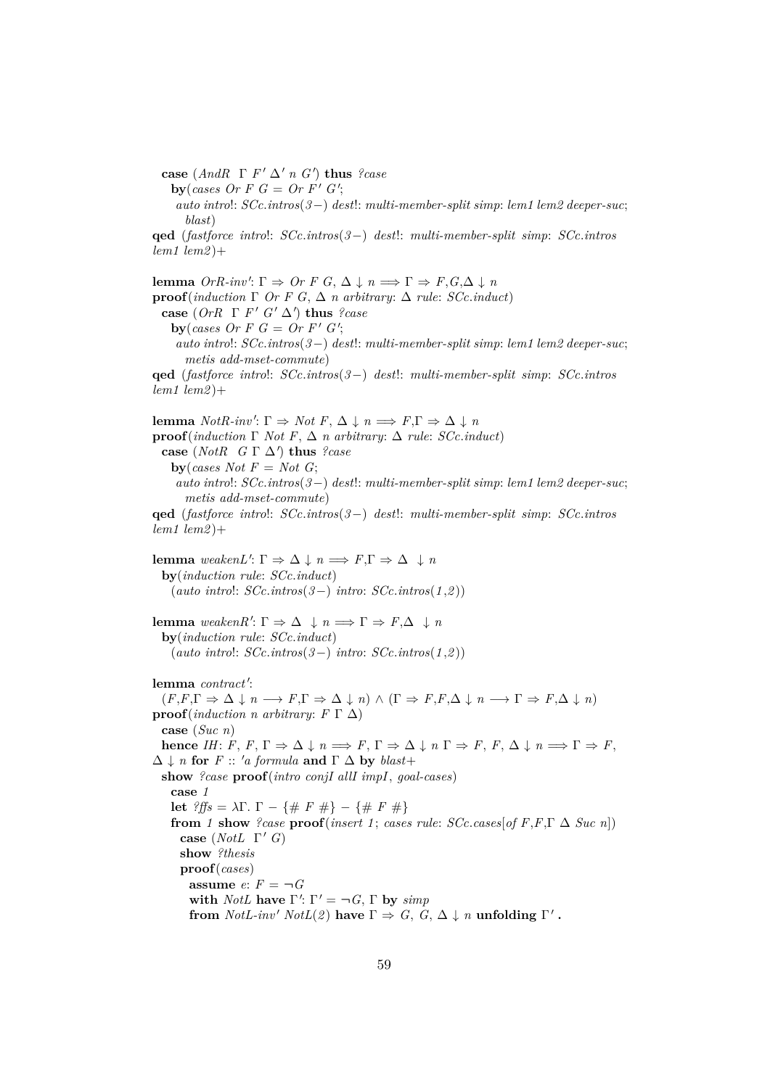**case** (*AndR*  $\Gamma$  *F'*  $\Delta'$  *n G'*) **thus** *?case* 

**by**(*cases Or F G* = Or F'  $G'$ ;

*auto intro*!: *SCc*.*intros*(*3*−) *dest*!: *multi-member-split simp*: *lem1 lem2 deeper-suc*; *blast*)

**qed** (*fastforce intro*!: *SCc*.*intros*(*3*−) *dest*!: *multi-member-split simp*: *SCc*.*intros lem1 lem2* )+

**lemma**  $OrR\text{-}inv'$ :  $\Gamma \Rightarrow Or F G$ ,  $\Delta \downarrow n \Longrightarrow \Gamma \Rightarrow F$ ,  $G$ , $\Delta \downarrow n$ **proof**(*induction*  $\Gamma$  *Or*  $F$  *G*,  $\Delta$  *n* arbitrary:  $\Delta$  *rule: SCc.induct*) **case**  $(OrR \Gamma F' G' \Delta')$  **thus** *?case* **by**(*cases Or F G* = Or F'  $G'$ ; *auto intro*!: *SCc*.*intros*(*3*−) *dest*!: *multi-member-split simp*: *lem1 lem2 deeper-suc*; *metis add-mset-commute*) **qed** (*fastforce intro*!: *SCc*.*intros*(*3*−) *dest*!: *multi-member-split simp*: *SCc*.*intros lem1 lem2* )+ **lemma** *NotR-inv'*:  $\Gamma \Rightarrow$  *Not*  $F, \Delta \downarrow n \Longrightarrow F, \Gamma \Rightarrow \Delta \downarrow n$ **proof**(*induction*  $\Gamma$  *Not*  $F$ ,  $\Delta$  *n arbitrary*:  $\Delta$  *rule: SCc.induct*) **case** (*NotR*  $G \Gamma \Delta'$ ) **thus** *?case* **by**(*cases Not*  $F = Not G$ ; *auto intro*!: *SCc*.*intros*(*3*−) *dest*!: *multi-member-split simp*: *lem1 lem2 deeper-suc*; *metis add-mset-commute*) **qed** (*fastforce intro*!: *SCc*.*intros*(*3*−) *dest*!: *multi-member-split simp*: *SCc*.*intros lem1 lem2* )+ **lemma**  $\text{weak} \in \mathbb{R}^n$ .  $\Gamma \Rightarrow \Delta \downarrow n \Longrightarrow F, \Gamma \Rightarrow \Delta \downarrow n$ **by**(*induction rule*: *SCc*.*induct*) (*auto intro*!: *SCc*.*intros*(*3*−) *intro*: *SCc*.*intros*(*1* ,*2* )) **lemma**  $\text{weaken } R': \Gamma \Rightarrow \Delta \downarrow n \Longrightarrow \Gamma \Rightarrow F, \Delta \downarrow n$ **by**(*induction rule*: *SCc*.*induct*) (*auto intro*!: *SCc*.*intros*(*3*−) *intro*: *SCc*.*intros*(*1* ,*2* )) lemma *contract'*:  $(F, F, \Gamma \Rightarrow \Delta \downarrow n \longrightarrow F, \Gamma \Rightarrow \Delta \downarrow n) \wedge (\Gamma \Rightarrow F, F, \Delta \downarrow n \longrightarrow \Gamma \Rightarrow F, \Delta \downarrow n)$ **proof**(*induction n arbitrary*:  $F \Gamma \Delta$ ) **case** (*Suc n*) **hence** *IH*:  $F, F, \Gamma \Rightarrow \Delta \downarrow n \Longrightarrow F, \Gamma \Rightarrow \Delta \downarrow n \Gamma \Rightarrow F, F, \Delta \downarrow n \Longrightarrow \Gamma \Rightarrow F$ ,  $\Delta \downarrow n$  for *F* :: 'a formula and  $\Gamma \Delta$  by blast+ **show** *?case* **proof**(*intro conjI allI impI*, *goal-cases*) **case** *1* **let** *?ffs* =  $λΓ$ . Γ − {# *F* #} − {# *F* #} **from** *1* **show** *?case* **proof**(*insert 1*; *cases rule: SCc.cases*[*of F,F,T*  $\Delta$  *Suc n*]) **case** (*NotL*  $\Gamma'$  *G*) **show** *?thesis* **proof**(*cases*) **assume**  $e: F = \neg G$ with *NotL* have  $\Gamma'$ :  $\Gamma' = \neg G$ ,  $\Gamma$  by  $\text{simp}$ **from**  $NotL\text{-}inv'$   $NotL(2)$  have  $\Gamma \Rightarrow G, G, \Delta \downarrow n$  **unfolding**  $\Gamma'$ .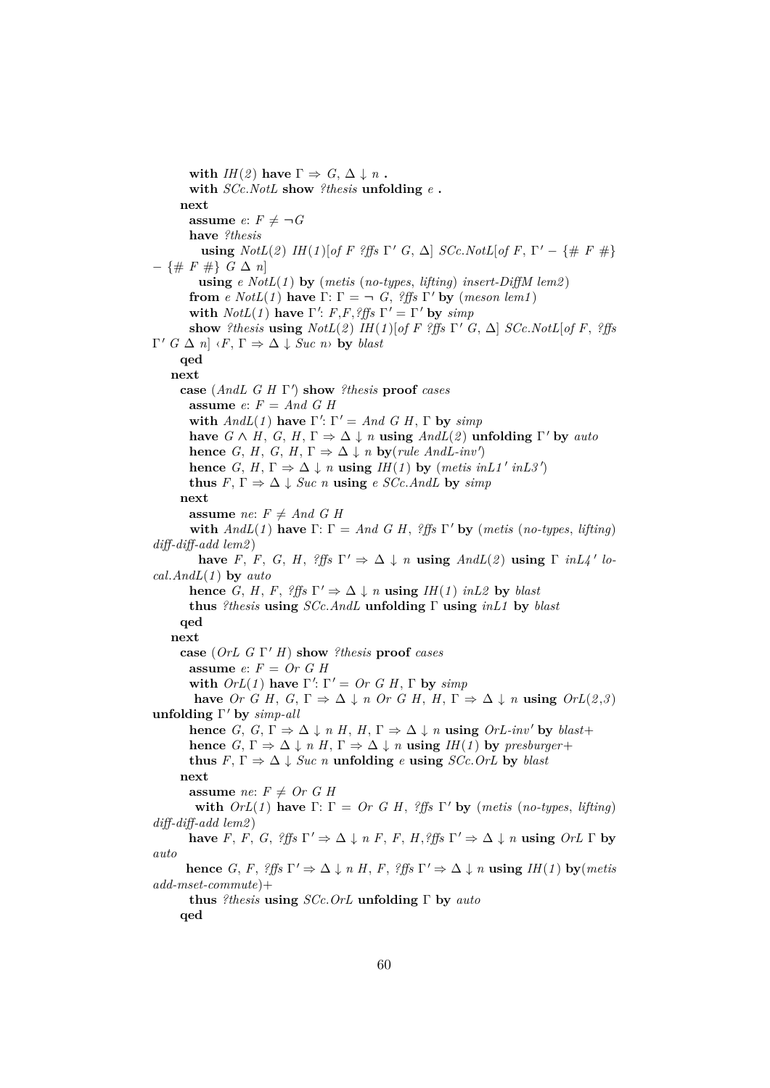**with**  $I H(2)$  have  $\Gamma \Rightarrow G, \Delta \downarrow n$ . **with** *SCc*.*NotL* **show** *?thesis* **unfolding** *e* **. next assume**  $e: F \neq \neg G$ **have** *?thesis* **using**  $NotL(2)$   $IH(1)$ [of F ?ffs  $\Gamma'$  G,  $\Delta$ ]  $SCc.NotL[of F, \Gamma' - \{\# F \ \#\}$ − {# *F* #} *G* ∆ *n*] **using** *e NotL*(*1* ) **by** (*metis* (*no-types*, *lifting*) *insert-DiffM lem2* ) **from** *e*  $NotL(1)$  **have**  $\Gamma: \Gamma = \neg G$ , *?ffs*  $\Gamma'$  **by** (*meson lem1*) **with**  $NotL(1)$  have  $\Gamma'$ : *F*,*F*,*?ffs*  $\Gamma' = \Gamma'$  by *simp* **show** *?thesis* **using**  $NotL(2)$  *IH*(*1*)[*of F ?ffs*  $\Gamma'$  *G*,  $\Delta$ ] *SCc.NotL*[*of F*, *?ffs*  $\Gamma'$  *G*  $\Delta$  *n*]  $\langle F, \Gamma \Rightarrow \Delta \downarrow$  *Suc n* $\rangle$  **by** *blast* **qed next case** (*AndL G H* Γ 0 ) **show** *?thesis* **proof** *cases* **assume** *e*: *F* = *And G H* with  $AndL(1)$  have  $\Gamma'$ :  $\Gamma' = And G H$ ,  $\Gamma$  by  $simp$ **have**  $G \wedge H$ ,  $G$ ,  $H$ ,  $\Gamma \Rightarrow \Delta \downarrow n$  **using**  $AndL(2)$  **unfolding**  $\Gamma'$  by  $auto$ **hence** *G*, *H*, *G*, *H*,  $\Gamma \Rightarrow \Delta \downarrow n$  **by**(*rule AndL-inv'*) **hence** *G*, *H*,  $\Gamma \Rightarrow \Delta \downarrow n$  **using** *IH*(*1*) **by** (*metis inL1' inL3'*) **thus**  $F, \Gamma \Rightarrow \Delta \downarrow \text{Suc } n$  **using**  $e \text{ } SCc.\text{AndL}$  by  $\text{simp}$ **next assume** *ne*:  $F \neq And \ G \ H$ **with**  $AndL(1)$  have  $\Gamma: \Gamma = And \ G \ H$ , *?ffs*  $\Gamma'$  by (*metis* (*no-types*, *lifting*) *diff-diff-add lem2* ) **have** *F*, *F*, *G*, *H*, *?ffs*  $\Gamma' \Rightarrow \Delta \downarrow n$  **using**  $AndL(2)$  **using**  $\Gamma$  *inL4'* lo*cal*.*AndL*(*1* ) **by** *auto* **hence** *G*, *H*, *F*,  $?ffs \Gamma' \Rightarrow \Delta \downarrow n$  **using** *IH*(*1*) *inL2* by *blast* **thus** *?thesis* **using** *SCc*.*AndL* **unfolding** Γ **using** *inL1* **by** *blast* **qed next case** (*OrL G* Γ <sup>0</sup> *H*) **show** *?thesis* **proof** *cases* **assume** *e*: *F* = *Or G H* with  $OrL(1)$  have  $\Gamma'$ :  $\Gamma' = Or \ G \ H, \Gamma$  by  $simp$ **have** *Or G H, G,*  $\Gamma \Rightarrow \Delta \downarrow n$  *Or G H, H,*  $\Gamma \Rightarrow \Delta \downarrow n$  **using**  $OrL(2,3)$ **unfolding** Γ' by *simp-all* **hence** *G*, *G*,  $\Gamma \Rightarrow \Delta \downarrow n$  *H*, *H*,  $\Gamma \Rightarrow \Delta \downarrow n$  **using** *OrL-inv'* by *blast*+ **hence** *G*,  $\Gamma \Rightarrow \Delta \downarrow n$  *H*,  $\Gamma \Rightarrow \Delta \downarrow n$  **using** *IH*(*1*) **by** *presburger*+ **thus**  $F, \Gamma \Rightarrow \Delta \downarrow \text{Suc } n$  **unfolding**  $e$  **using**  $SCc$ . OrL **by** blast **next assume** *ne*:  $F \neq Or \ G \ H$ **with**  $OrL(1)$  have  $\Gamma: \Gamma = Or \ G \ H, \ \frac{2}{5}$   $\Gamma'$  by (*metis* (*no-types, lifting*) *diff-diff-add lem2* ) **have** *F*, *F*, *G*, *?ffs*  $\Gamma' \Rightarrow \Delta \downarrow n$  *F*, *F*, *H*, *?ffs*  $\Gamma' \Rightarrow \Delta \downarrow n$  **using** *OrL*  $\Gamma$  by *auto* **hence** *G*, *F*,  $?$ *ffs*  $\Gamma' \Rightarrow \Delta \downarrow n$  *H*, *F*,  $?$ *ffs*  $\Gamma' \Rightarrow \Delta \downarrow n$  **using** *IH*(*1*) **by**(*metis*) *add-mset-commute*)+ **thus** *?thesis* **using** *SCc*.*OrL* **unfolding** Γ **by** *auto* **qed**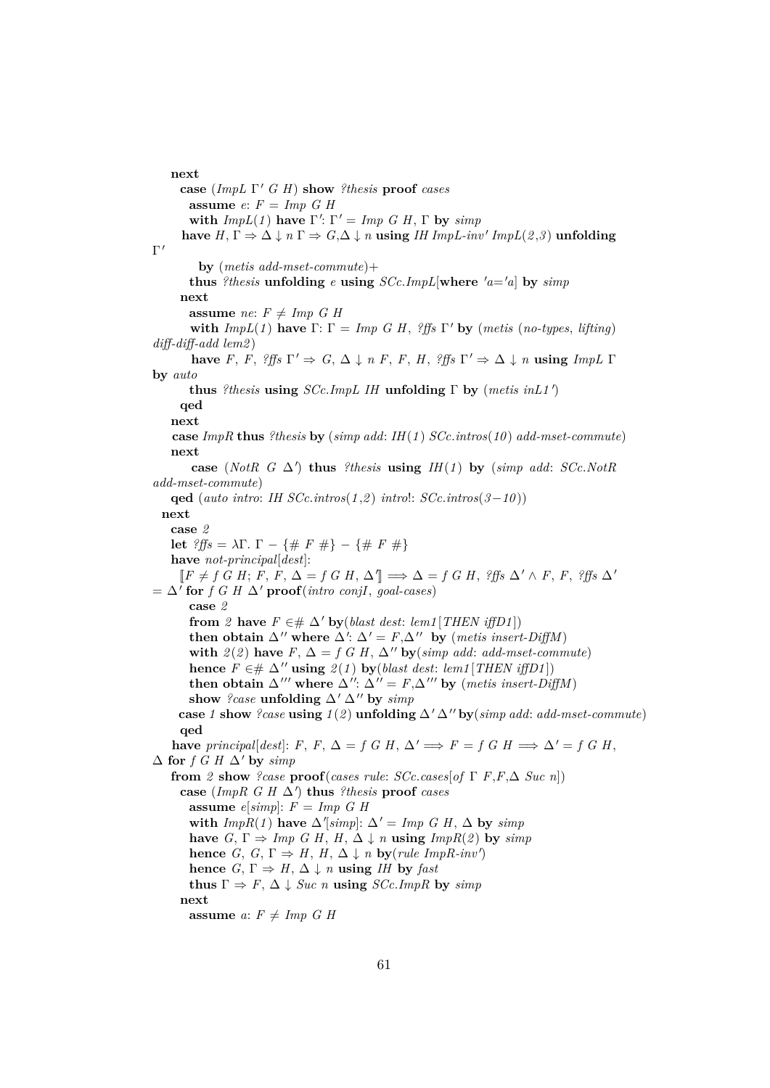#### **next**

**case** (*ImpL* Γ <sup>0</sup> *G H*) **show** *?thesis* **proof** *cases* **assume** *e*: *F* = *Imp G H* with  $ImpL(1)$  have  $\Gamma'$ :  $\Gamma' = Imp \ G \ H$ ,  $\Gamma$  by  $simp$ **have**  $H, \Gamma \Rightarrow \Delta \downarrow n \Gamma \Rightarrow G, \Delta \downarrow n$  **using** *IH ImpL-inv' ImpL*(*2,3*) **unfolding**  $\Gamma'$ **by** (*metis add-mset-commute*)+ **thus** *?thesis* **unfolding**  $e$  **using**  $SCc$ .*ImpL*[where  $'a = a$ ] by  $simp$ **next assume** *ne*:  $F \neq Imp \ G \ H$ **with**  $ImpL(1)$  have  $\Gamma: \Gamma = Imp \ G \ H$ , *?ffs*  $\Gamma'$  by (*metis* (*no-types*, *lifting*) *diff-diff-add lem2* ) **have** *F*, *F*,  $?ffs \Gamma' \Rightarrow G, \Delta \downarrow n$  *F*, *F*, *H*,  $?ffs \Gamma' \Rightarrow \Delta \downarrow n$  **using**  $ImpL \Gamma$ **by** *auto* **thus** *?thesis* **using** *SCc*.*ImpL IH* **unfolding** Γ **by** (*metis inL1* <sup>0</sup> ) **qed next case** *ImpR* **thus** *?thesis* **by** (*simp add*: *IH*(*1* ) *SCc*.*intros*(*10* ) *add-mset-commute*) **next** case (*NotR G*  $\Delta'$ ) thus *?thesis* **using** *IH*(*1*) by (*simp add: SCc.NotR add-mset-commute*) **qed** (*auto intro*: *IH SCc*.*intros*(*1* ,*2* ) *intro*!: *SCc*.*intros*(*3*−*10* )) **next case** *2* **let**  $?$ *ffs* =  $λΓ$ *.* Γ – {# *F* #} – {# *F* #} **have** *not-principal*[*dest*]:  $[$ *F*  $\neq$  *f G H*; *F*, *F*,  $\Delta$  = *f G H*,  $\Delta$ <sup></sup> $\parallel$   $\Rightarrow$   $\Delta$  = *f G H*,  $?$ *ffs*  $\Delta' \wedge$  *F*, *F*,  $?$ *ffs*  $\Delta'$  $= \Delta'$  for *f G H*  $\Delta'$  **proof**(*intro conjI*, *goal-cases*) **case** *2* **from** 2 **have**  $F \in \# \Delta'$  **by**(*blast dest: lem1* [*THEN iffD1*]) then obtain  $\Delta''$  where  $\Delta'$ :  $\Delta' = F$ , $\Delta''$  by (*metis insert-DiffM*) **with**  $2(2)$  **have**  $F, \Delta = f \times H, \Delta''$  **by**(*simp add: add-mset-commute*) **hence**  $F ∈ # ∆''$  **using**  $2(1)$  **by**(*blast dest: lem1*[*THEN iffD1*]) **then obtain**  $\Delta$ <sup>*'''*</sup> where  $\Delta$ '':  $\Delta$ <sup>''</sup> = *F*, $\Delta$ <sup>'''</sup> by (*metis insert-DiffM*) show *?case* **unfolding**  $\Delta'$   $\Delta''$  by *simp* **case** *1* **show** *?case* **using**  $1(2)$  **unfolding**  $\Delta' \Delta''$  **by**(*simp add: add-mset-commute*) **qed have** *principal*[*dest*]: *F*, *F*,  $\Delta = f$  *G H*,  $\Delta' \implies F = f$  *G H*  $\implies \Delta' = f$  *G H*.  $\Delta$  for *f G H*  $\Delta'$  by *simp* **from** 2 **show** ?case **proof**(*cases rule: SCc.cases*[*of*  $\Gamma$  *F*,*F*, $\Delta$  *Suc n*])  $\mathbf{case}$  (*ImpR G H*  $\Delta'$ ) thus *?thesis* **proof** *cases* **assume** *e*[*simp*]: *F* = *Imp G H* with  $ImpR(1)$  have  $\Delta$ '[simp]:  $\Delta' = Imp \ G \ H, \ \Delta$  by  $simp$ **have**  $G, \Gamma \Rightarrow \text{Imp } G \text{ } H, \text{ } H, \Delta \downarrow \text{ } n \text{ using } \text{ImpR}(2) \text{ by } \text{simp}$ **hence** *G*, *G*,  $\Gamma \Rightarrow H$ , *H*,  $\Delta \downarrow n$  **by**(*rule ImpR-inv'*) **hence** *G*,  $\Gamma \Rightarrow H$ ,  $\Delta \downarrow n$  **using** *IH* **by** *fast* **thus**  $\Gamma \Rightarrow F$ ,  $\Delta \downarrow$  *Suc n* **using** *SCc.ImpR* by *simp* **next assume**  $a: F \neq Imp \ G \ H$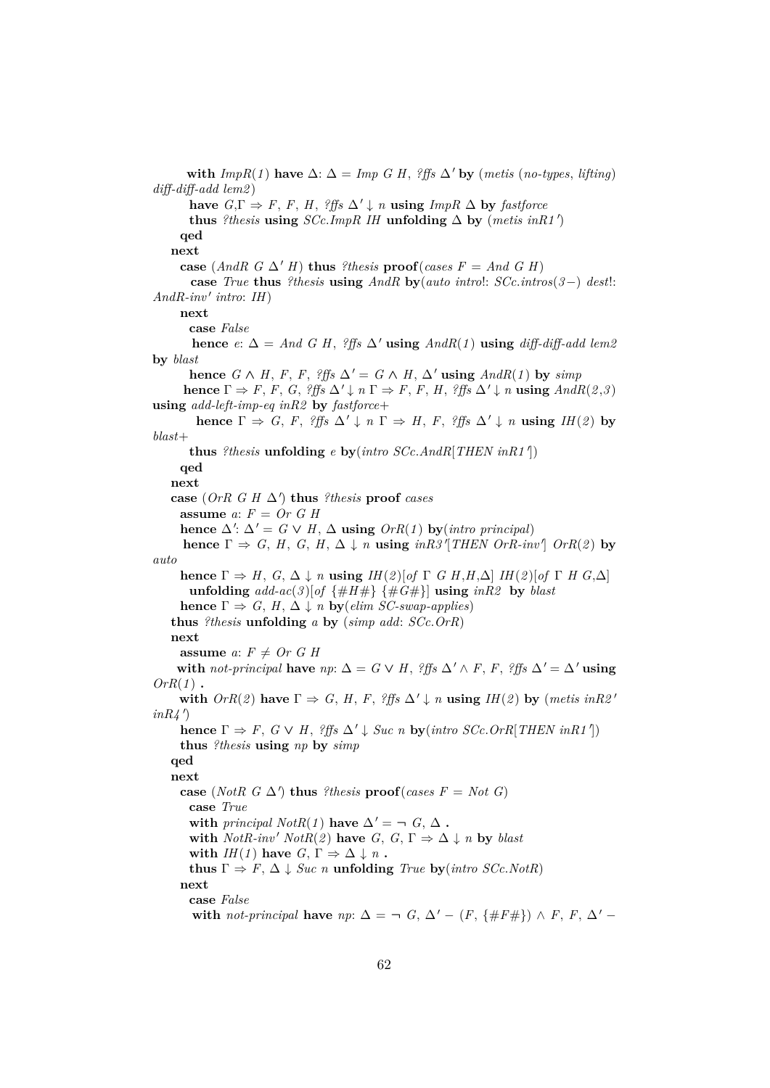**with**  $ImpR(1)$  have  $\Delta$ :  $\Delta = Imp \; G \; H$ , *?ffs*  $\Delta'$  by (*metis* (*no-types*, *lifting*) *diff-diff-add lem2* ) **have**  $G, \Gamma \Rightarrow F, F, H,$  *?ffs*  $\Delta' \downarrow n$  **using**  $ImpR \Delta$  **by** *fastforce* **thus** *?thesis* **using**  $SCc$ *.ImpR IH* **unfolding**  $\Delta$  **by** (*metis inR1'*) **qed next case** (*AndR*  $G \Delta' H$ ) **thus** *?thesis* **proof**(*cases*  $F = And G H$ ) **case** *True* **thus** *?thesis* **using** *AndR* **by**(*auto intro*!: *SCc*.*intros*(*3*−) *dest*!:  $And R \text{-}inv'$  *intro*: *IH*) **next case** *False* **hence**  $e: \Delta = And \ G \ H$ , *?ffs*  $\Delta'$  **using**  $AndR(1)$  **using**  $diff\text{-}diff\text{-}add \ lem2$ **by** *blast* **hence**  $G \wedge H$ ,  $F$ ,  $F$ ,  $^2$ ffs  $\Delta' = G \wedge H$ ,  $\Delta'$  **using**  $AndR(1)$  by  $\text{simp}$ **hence**  $\Gamma \Rightarrow F, F, G,$  *?ffs*  $\Delta' \downarrow n \Gamma \Rightarrow F, F, H,$  *?ffs*  $\Delta' \downarrow n$  **using**  $And R(2,3)$ **using** *add-left-imp-eq inR2* **by** *fastforce*+ **hence**  $\Gamma \Rightarrow G, F, ?\text{ffs } \Delta' \downarrow n \Gamma \Rightarrow H, F, ?\text{ffs } \Delta' \downarrow n \text{ using } IH(2)$  by *blast*+ **thus** *?thesis* **unfolding**  $e$  **by**( $\text{intro } SCc$ .*AndR*[*THEN inR1'*]) **qed next**  $\cos\left(\text{OrR } G \text{ } H \Delta'\right)$  thus *?thesis* proof *cases* **assume** *a*: *F* = *Or G H* **hence**  $\Delta'$ :  $\Delta' = G \vee H$ ,  $\Delta$  **using**  $OrR(1)$  **by**(*intro principal*) **hence**  $\Gamma \Rightarrow G, H, G, H, \Delta \downarrow n$  **using**  $\text{inR3}^{\dagger}$  [THEN OrR-inv<sup>1</sup>] OrR(2) by *auto* **hence**  $\Gamma \Rightarrow H$ ,  $G$ ,  $\Delta \downarrow n$  **using**  $IH(\mathcal{Q})[of \Gamma \cap G]$   $H$ ,  $H$ ,  $\Delta$ ]  $IH(\mathcal{Q})[of \Gamma \cap H]$   $G$ ,  $\Delta$ ] **unfolding**  $add\text{-}ac(3)[of \{\#H\# \} \{\#G\# \}]\$  **using**  $inR2$  **by**  $blast$ **hence**  $\Gamma \Rightarrow G, H, \Delta \downarrow n$  **by**(*elim SC-swap-applies*) **thus** *?thesis* **unfolding** *a* **by** (*simp add*: *SCc*.*OrR*) **next assume** *a*:  $F \neq Or$  *G H* **with** not-principal **have**  $np: \Delta = G \vee H$ ,  $?$ ffs  $\Delta' \wedge F$ ,  $F$ ,  $?$ ffs  $\Delta' = \Delta'$  **using** *OrR*(*1* ) **. with**  $OrR(2)$  have  $\Gamma \Rightarrow G$ , *H*, *F*,  $?$ *ffs*  $\Delta' \downarrow n$  **using** *IH*(*2*) by (*metis inR2'*  $inR4$ <sup>'</sup>) **hence**  $\Gamma \Rightarrow F$ ,  $G \vee H$ ,  $?$  *ffs*  $\Delta' \downarrow$  *Suc n* **by**(*intro SCc.OrR*[*THEN inR1'*]) **thus** *?thesis* **using** *np* **by** *simp* **qed next case** (*NotR*  $G \Delta'$ ) **thus** *?thesis* **proof**(*cases*  $F = Not G$ ) **case** *True* **with** *principal*  $NotR(1)$  **have**  $\Delta' = \neg G, \Delta$ . with  $NotR\text{-}inv'$   $NotR(2)$  have *G*, *G*,  $\Gamma \Rightarrow \Delta \downarrow n$  by *blast* **with**  $I H(I)$  have  $G, \Gamma \Rightarrow \Delta \downarrow n$ . **thus**  $\Gamma \Rightarrow F$ ,  $\Delta \downarrow$  *Suc n* **unfolding** *True* **by**(*intro SCc.NotR*) **next case** *False* with *not-principal* have  $np: \Delta = \neg G, \Delta' - (F, \{ \#F \# \}) \wedge F, F, \Delta' -$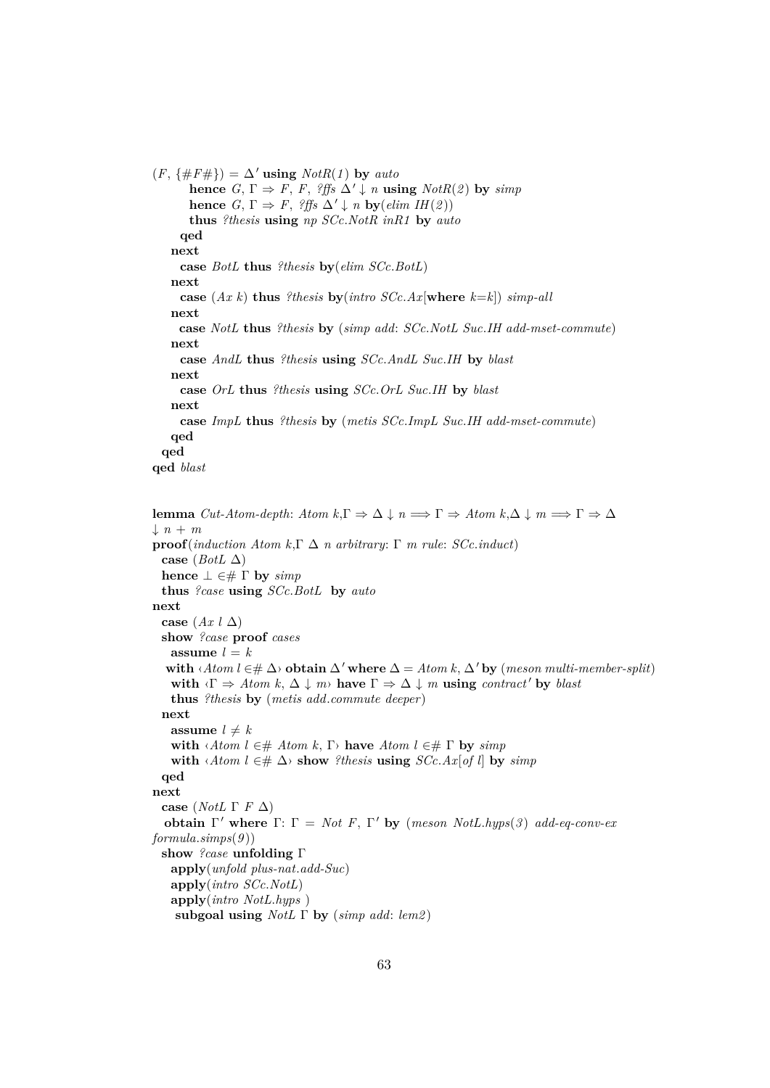$(F, \{\#F\# \}) = \Delta'$  using  $NotR(1)$  by *auto* **hence** *G*,  $\Gamma \Rightarrow F$ , *F*, *?ffs*  $\Delta' \downarrow n$  **using**  $NotR(2)$  **by** *simp* **hence** *G*,  $\Gamma \Rightarrow F$ , *?ffs*  $\Delta' \downarrow n$  **by**(*elim IH*(*2*)) **thus** *?thesis* **using** *np SCc*.*NotR inR1* **by** *auto* **qed next case** *BotL* **thus** *?thesis* **by**(*elim SCc*.*BotL*) **next case** (*Ax k*) **thus** *?thesis* **by**(*intro SCc*.*Ax*[**where** *k*=*k*]) *simp-all* **next case** *NotL* **thus** *?thesis* **by** (*simp add*: *SCc*.*NotL Suc*.*IH add-mset-commute*) **next case** *AndL* **thus** *?thesis* **using** *SCc*.*AndL Suc*.*IH* **by** *blast* **next case** *OrL* **thus** *?thesis* **using** *SCc*.*OrL Suc*.*IH* **by** *blast* **next case** *ImpL* **thus** *?thesis* **by** (*metis SCc*.*ImpL Suc*.*IH add-mset-commute*) **qed qed qed** *blast*

```
lemma Cut\text{-}Atom\text{-}depth: Atom\; k, \Gamma \Rightarrow \Delta \downarrow n \Longrightarrow \Gamma \Rightarrow Atom\; k, \Delta \downarrow m \Longrightarrow \Gamma \Rightarrow \Delta\downarrow n + mproof(induction Atom k,Γ ∆ n arbitrary: Γ m rule: SCc.induct)
  case (BotL ∆)
  hence \bot \in \# \Gamma by \text{simp}thus ?case using SCc.BotL by auto
next
  case (Ax \mid \Delta)show ?case proof cases
    assume l = kwith \langleAtom l ∈# \Delta\rangle obtain \Delta' where \Delta = Atom k, \Delta' by (meson multi-member-split)
    with \langle \Gamma \Rightarrow \text{Atom } k, \Delta \downarrow m \rangle have \Gamma \Rightarrow \Delta \downarrow m using contract' by blast
    thus ?thesis by (metis add.commute deeper)
  next
    assume l \neq kwith \langle Atom l ∈# Atom k, \Gamma have Atom l ∈# \Gamma by simp
    with \langle A \text{tom } l \in \# \Delta \rangle show ?thesis using SCc.Ax[of l] by simp
  qed
next
  case (NotL Γ F ∆)
   obtain Γ' where Γ: Γ = Not F, Γ' by (meson NotL.hyps(3) add-eq-conv-ex
formula.simps(9 ))
  show ?case unfolding Γ
    apply(unfold plus-nat.add-Suc)
    apply(intro SCc.NotL)
    apply(intro NotL.hyps )
    subgoal using NotL Γ by (simp add: lem2 )
```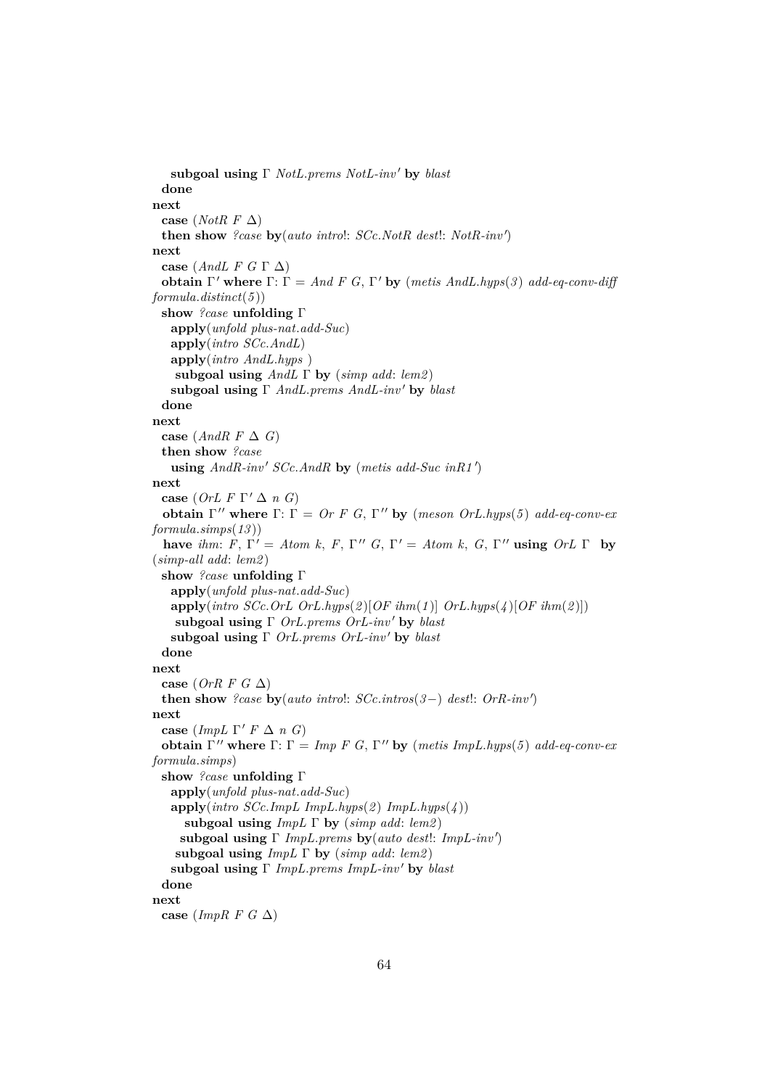```
subgoal using Γ NotL.prems NotL-inv' by blast
 done
next
 case (NotR F ∆)
  then show ?case by(auto intro!: SCc.NotR dest!: NotR-inv 0
)
next
 case (AndL F G Γ ∆)
  obtain \Gamma' where \Gamma: \Gamma = And F G, \Gamma' by (metis AndL.hyps(3) add-eq-conv-diff
formula.distinct(5 ))
 show ?case unfolding Γ
   apply(unfold plus-nat.add-Suc)
   apply(intro SCc.AndL)
   apply(intro AndL.hyps )
    subgoal using AndL Γ by (simp add: lem2 )
   subgoal using Γ AndL.prems AndL-inv' by blast
  done
next
 case (AndR F \Delta G)
 then show ?case
   using And R\text{-}inv' SCc. And R by (metis add-Suc in R1')next
  case (OrL F \Gamma' \Delta n G)obtain \Gamma'' where \Gamma: \Gamma = \text{Or } F G, \Gamma'' by (meson OrL.hyps(5) add-eq-conv-ex
formula.simps(13 ))
  have ihm: F, \Gamma' = Atom \, k, \, F, \, \Gamma'' \, G, \, \Gamma' = Atom \, k, \, G, \, \Gamma'' using OrL \, \Gamma by
(simp-all add: lem2 )
 show ?case unfolding Γ
   apply(unfold plus-nat.add-Suc)
   apply(intro SCc.OrL OrL.hyps(2 )[OF ihm(1 )] OrL.hyps(4 )[OF ihm(2 )])
    subgoal using Γ OrL.prems OrL-inv' by blast
   subgoal using Γ OrL.prems OrL-inv' by blast
  done
next
 case (OrR F G ∆)
  then show ?case \mathbf{by}(auto\;intro!:\; SCc.\;intro(3-) \; dest!:\; OrR\text{-}inv')next
  case (ImpL \Gamma' F \Delta n G)
  obtain Γ'' where Γ: Γ = Imp F G, Γ'' by (metis ImpL.hyps(5) add-eq-conv-ex
formula.simps)
 show ?case unfolding Γ
   apply(unfold plus-nat.add-Suc)
   \mathbf{apply}(\textit{intro SCc.} \textit{Impl} \textit{ImpL.} \textit{hyps}(2) \textit{ImpL.} \textit{hyps}(4))subgoal using ImpL Γ by (simp add: lem2 )
     subgoal using Γ ImpL.prems by(auto dest!: ImpL-inv 0
)
    subgoal using ImpL Γ by (simp add: lem2 )
   subgoal using Γ ImpL.prems ImpL-inv 0 by blast
  done
next
 case (ImpR F G ∆)
```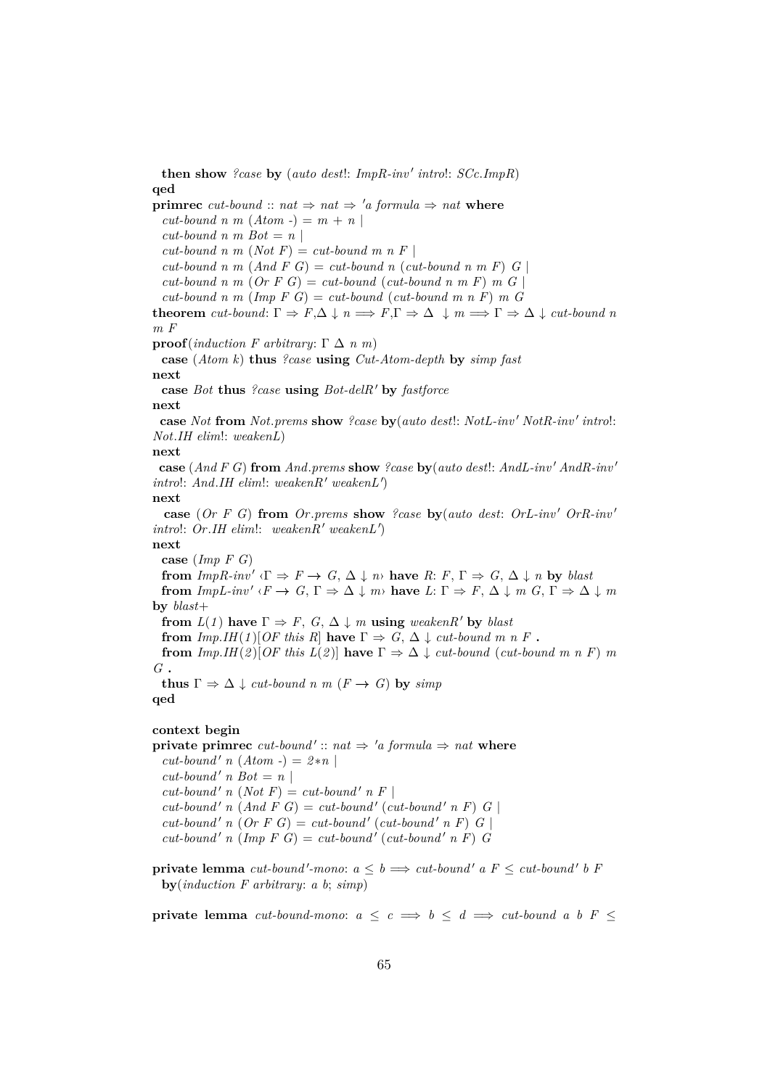**then show** *?case* by (*auto dest!: ImpR-inv' introl:*  $SCc$ *.<i>ImpR*) **qed primrec** *cut-bound* ::  $nat \Rightarrow nat \Rightarrow 'a$  *formula*  $\Rightarrow nat$  **where**  $cut$ -bound n m  $(Atom -) = m + n$  $cut$ -bound n m Bot = n |  $cut$ -bound n m (*Not F*) =  $cut$ -bound m n F |  $cut$ -bound n m  $(And F G) = cut$ -bound n  $cut$ -bound n m F)  $G \mid$  $cut$ -bound n m  $(Or F G) = cut$ -bound  $(cut$ -bound n m F) m G  $cut$ -bound n m (Imp F G) =  $cut$ -bound ( $cut$ -bound m n F) m G **theorem** *cut-bound*:  $\Gamma \Rightarrow F, \Delta \downarrow n \Longrightarrow F, \Gamma \Rightarrow \Delta \downarrow m \Longrightarrow \Gamma \Rightarrow \Delta \downarrow cut$ -bound n *m F* **proof**(*induction F arbitrary*: Γ  $\Delta$  *n m*) **case** (*Atom k*) **thus** *?case* **using** *Cut-Atom-depth* **by** *simp fast* **next case** *Bot* **thus** *?case* **using** *Bot-delR*<sup>0</sup> **by** *fastforce* **next case** Not from Not.prems show ?case by(auto dest!: NotL-inv' NotR-inv' introl: *Not*.*IH elim*!: *weakenL*) **next case** (*And F G*) **from** *And*.*prems* **show** *?case* **by**(*auto dest*!: *AndL-inv*' *AndR-inv*'  $introl: And.HI$  *elim!: weakenR' weakenL'* **next case** (*Or F G*) **from** *Or*.*prems* **show** *?case* **by**(*auto dest*: *OrL-inv* <sup>0</sup> *OrR-inv* <sup>0</sup>  $introl: Or.IH elim!: weakenR' weakenL'$ **next case** (*Imp F G*) **from**  $ImpR\text{-}inv' \leq \Gamma \Rightarrow F \to G, \Delta \downarrow n$  **have**  $R: F, \Gamma \Rightarrow G, \Delta \downarrow n$  by *blast* **from**  $ImpL\textrm{-}inv' \langle F \to G, \Gamma \Rightarrow \Delta \downarrow m \rangle$  have  $L: \Gamma \Rightarrow F, \Delta \downarrow m \langle G, \Gamma \Rightarrow \Delta \downarrow m \rangle$ **by** *blast*+ **from**  $L(1)$  **have**  $\Gamma \Rightarrow F$ ,  $G$ ,  $\Delta \downarrow m$  **using** *weakenR'* by *blast* **from**  $\text{Imp.}\text{IH}(1)[\text{OF this }R]$  **have**  $\Gamma \Rightarrow G, \Delta \downarrow \text{cut-bound }m \text{ }n \text{ }F$ . **from**  $Imp.H(\mathcal{L})[OF \, this \, L(\mathcal{L})]$  **have**  $\Gamma \Rightarrow \Delta \downarrow cut\, bound \, (cut\, bound \, m \, n \, F) \, m$ *G* **. thus**  $\Gamma \Rightarrow \Delta \downarrow cut$ -bound n m ( $F \rightarrow G$ ) by *simp* **qed context begin private primrec**  $cut$ -bound'::  $nat \Rightarrow 'a$  formula  $\Rightarrow nat$  where  $cut$ -bound' *n* (*Atom -*) =  $2*n$  $cut$ -bound' *n*  $Bot = n$  |  $cut$ -bound' *n* (*Not F*) =  $cut$ -bound' *n F* |  $cut$ -bound' *n* (And F G) =  $cut$ -bound' ( $cut$ -bound' *n* F) G  $cut$ -bound' *n* (Or F G) = cut-bound' (cut-bound' *n* F) G  $cut$ -bound' *n* (Imp F G) =  $cut$ -bound' ( $cut$ -bound' *n* F) *G* 

**private lemma** cut-bound'-mono:  $a \leq b \implies cut\text{-}bound'$  a  $F \leq cut\text{-}bound'$  b F **by**(*induction F arbitrary*: *a b*; *simp*)

**private lemma** *cut-bound-mono:*  $a \leq c \implies b \leq d \implies cut\text{-}bound\ a\ b\ F \leq$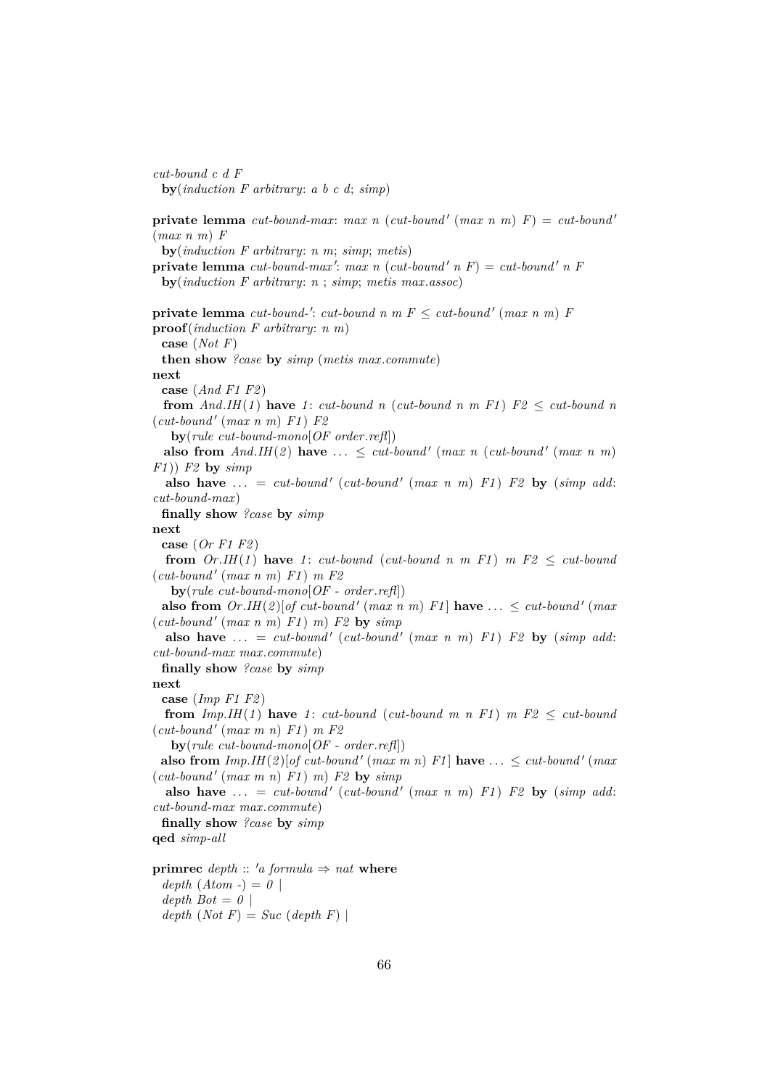*cut-bound c d F* **by**(*induction F arbitrary*: *a b c d*; *simp*) **private lemma** *cut-bound-max*: *max n* (*cut-bound'* (*max n m*)  $F$ ) = *cut-bound'* (*max n m*) *F* **by**(*induction F arbitrary*: *n m*; *simp*; *metis*) **private lemma**  $cut$ -bound-max': max n ( $cut$ -bound' n F) =  $cut$ -bound' n F **by**(*induction F arbitrary*: *n* ; *simp*; *metis max*.*assoc*) **private lemma**  $cut$ -bound-':  $cut$ -bound n m  $F \leq cut$ -bound' (max n m)  $F$ **proof**(*induction F arbitrary*: *n m*) **case** (*Not F*) **then show** *?case* **by** *simp* (*metis max*.*commute*) **next case** (*And F1 F2* ) **from**  $And.HH(1)$  have 1: *cut-bound n (cut-bound n m F1)*  $F2 \leq cut$ *-bound n*  $(cut-bound' (max n m) F1) F2$ **by**(*rule cut-bound-mono*[*OF order*.*refl*]) **also from**  $And.HH(2)$  **have**  $\ldots \leq cut-bound'$  (*max n* (*cut-bound'* (*max n m*) *F1* )) *F2* **by** *simp* **also have** ... = *cut-bound'* (*cut-bound'* (*max n m*)  $F1$ )  $F2$  by (*simp add: cut-bound-max*) **finally show** *?case* **by** *simp* **next case** (*Or F1 F2* ) **from**  $Or.HI(1)$  **have** 1: *cut-bound* (*cut-bound n m F1*)  $m F2 < cut$  *cut-bound*  $(cut-bound' (max n m) F1) m F2$ **by**(*rule cut-bound-mono*[*OF - order*.*refl*]) **also from**  $Or. IH(2)[of cut-bound' (max n m) F1]$  **have**  $\ldots \leq cut-bound' (max$  $(cut-bound' (max n m) F1) m) F2$  by  $simp$ **also have** ... = *cut-bound'* (*cut-bound'* (*max n m*)  $F1$ )  $F2$  by (*simp add: cut-bound-max max*.*commute*) **finally show** *?case* **by** *simp* **next case** (*Imp F1 F2* ) **from**  $Imp.H(1)$  **have** 1: *cut-bound* (*cut-bound m n F1*)  $m$   $F2$  < *cut-bound*  $(cut-bound' (max m n) F1) m F2$ **by**(*rule cut-bound-mono*[*OF - order*.*refl*]) **also from**  $Imp.HH(2) [of cut-bound' (max m n) F1]$  **have**  $\ldots \leq cut-bound' (max$  $(cut-bound' (max m n) F1) m) F2$  by  $simp$ also have  $\dots = cut$ -bound' (*cut-bound'* (*max n m*)  $F1$ )  $F2$  by (*simp add*: *cut-bound-max max*.*commute*) **finally show** *?case* **by** *simp* **qed** *simp-all* **primrec** *depth* ::  $'a$  *formula*  $\Rightarrow$  *nat* **where**  $depth (Atom -) = 0$  $depth Bot = 0$  $depth (Not F) = Succ (depth F)$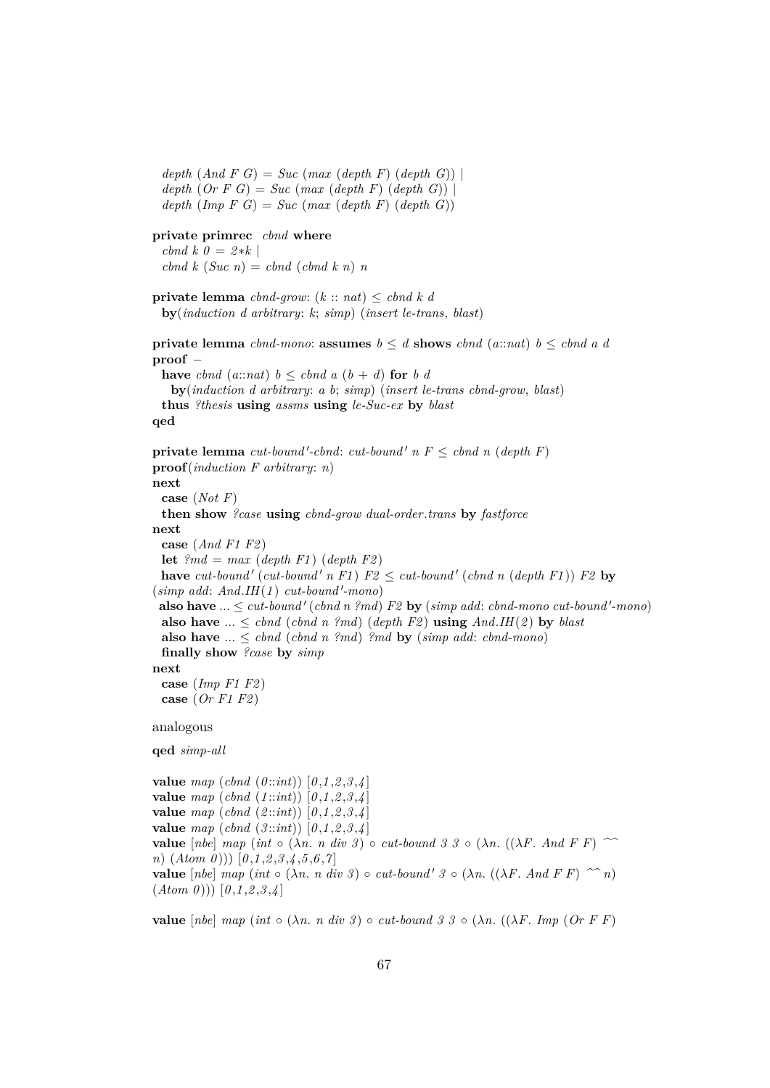$depth (And F G) = Succ (max (depth F) (depth G))$  $depth (Or F G) = Succ (max (depth F) (depth G))$  $depth (Imp F G) = Succ (max (depth F) (depth G))$ 

# **private primrec** *cbnd* **where**

 $cbnd k \theta = 2*k$  $\int$ *cbnd*  $k$  (*Suc n*) = *cbnd* (*cbnd*  $k$  *n*) *n* 

```
private lemma cbnd-grow: (k :: nat) ≤ cbnd k d
 by(induction d arbitrary: k; simp) (insert le-trans, blast)
```
**private lemma**  $cbnd-mono$ : **assumes**  $b \leq d$  **shows**  $cbnd$  ( $a::nat$ )  $b \leq cbnd$   $a$   $d$ **proof** −

**have** *cbnd* (*a*:*nat*)  $b \leq \text{chnd } a (b + d)$  **for** *b d* **by**(*induction d arbitrary*: *a b*; *simp*) (*insert le-trans cbnd-grow*, *blast*) **thus** *?thesis* **using** *assms* **using** *le-Suc-ex* **by** *blast*

## **qed**

**private lemma** *cut-bound'-cbnd*: *cut-bound'*  $n \in \mathbb{F}$  *cond*  $n$  (*depth*  $F$ ) **proof**(*induction F arbitrary*: *n*) **next case** (*Not F*) **then show** *?case* **using** *cbnd-grow dual-order*.*trans* **by** *fastforce* **next case** (*And F1 F2* ) **let**  $\ell$ <sup>*md*</sup> = *max* (*depth F1*) (*depth F2*) have  $cut$ -bound'  $cut$ -bound'  $n \nF1$   $F2 \leq cut$ -bound'  $(\text{chnd } n \text{ (depth } F1))$   $F2$  by  $(simp \ add: And.H(1) \ cut-bound'-mono)$ **also have**  $... \leq cut\text{-}bound'$  (*cbnd n ?md*)  $F2$  by (*simp add: cbnd-mono cut-bound'-mono*) **also have** ...  $\leq$  *cbnd* (*cbnd n ?md*) (*depth F2*) **using** *And*.*IH*(*2*) **by** *blast* **also have**  $... \leq chnd$  (*cbnd n ?md*) *?md* **by** (*simp add: cbnd-mono*) **finally show** *?case* **by** *simp* **next case** (*Imp F1 F2* ) **case** (*Or F1 F2* ) analogous **qed** *simp-all*

**value** *map* (*cbnd* (*0* ::*int*)) [*0* ,*1* ,*2* ,*3* ,*4* ] **value** *map* (*cbnd* (*1* ::*int*)) [*0* ,*1* ,*2* ,*3* ,*4* ] **value** *map* (*cbnd* (*2* ::*int*)) [*0* ,*1* ,*2* ,*3* ,*4* ] **value** *map* (*cbnd* (*3* ::*int*)) [*0* ,*1* ,*2* ,*3* ,*4* ] **value**  $[nbe]$   $map (int \circ (\lambda n. n \ div \beta) \circ cut-bound \beta \beta \circ (\lambda n. ((\lambda F. And F F) \sim$ *n*) (*Atom 0* ))) [*0* ,*1* ,*2* ,*3* ,*4* ,*5* ,*6* ,*7* ] **value**  $[nbe]$  *map* (*int*  $\circ (\lambda n. n \text{ div } 3) \circ \text{ cut-bound'} 3 \circ (\lambda n. ((\lambda F. And F F) \sim n))$  $(Atom 0))$   $[0,1,2,3,4]$ 

**value**  $[nbe]$   $map (int \circ (\lambda n. n \ div \beta) \circ cut-bound \beta \beta \circ (\lambda n. ((\lambda F. Imp (Or F F)))$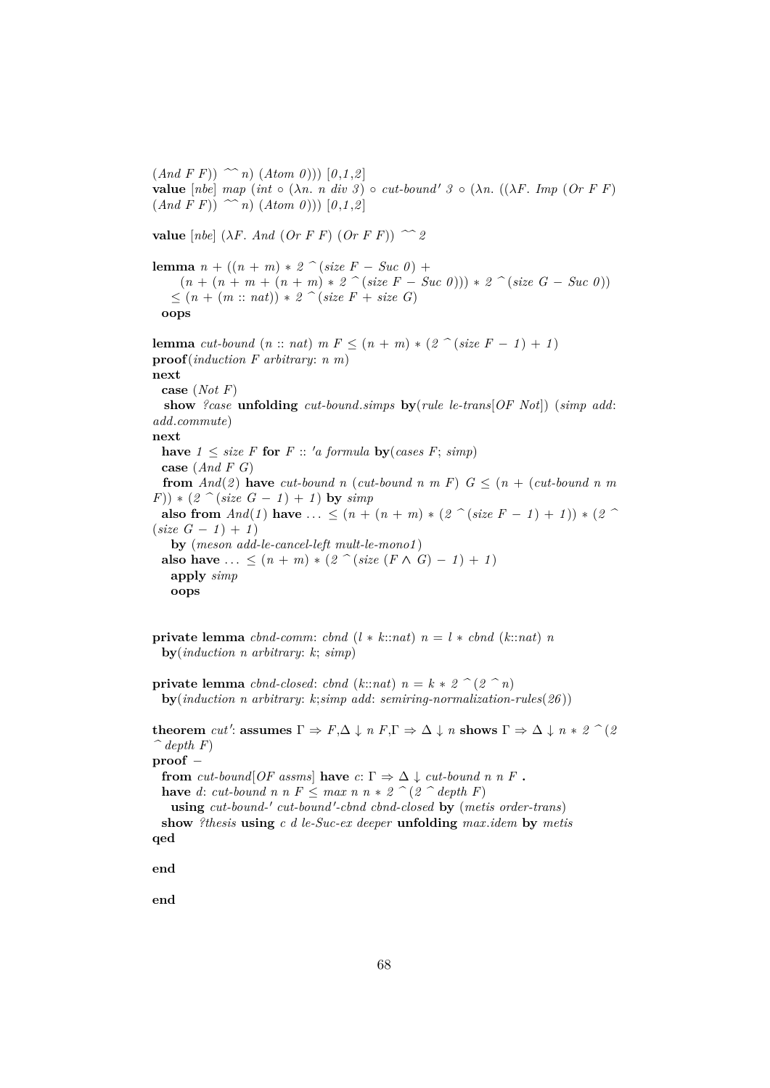$(And \ F \ F)) \nightharpoonup n) \ (Atom \ 0))$   $[0,1,2]$ **value**  $[nbe]$   $map (int \circ (\lambda n. n \ div \beta) \circ cut-bound' \beta \circ (\lambda n. ((\lambda F. Imp (Or F F))$  $(And \ F \ F))$   $\sim n)$   $(Atom \ 0)$ ))  $[0,1,2]$ **value**  $[nbe]$  ( $\lambda F$ . *And* (*Or F F*) (*Or F F*))  $\sim 2$ **lemma**  $n + ((n + m) * 2)$   $\hat{ }$  (*size F* − *Suc 0*) +  $(n + (n + m + (n + m) * 2)$   $\hat{c}$  (*size F* − *Suc 0*)))  $* 2$   $\hat{c}$  (*size G* − *Suc 0*)) ≤ (*n* + (*m* :: *nat*)) ∗ *2 ^* (*size F* + *size G*) **oops lemma** *cut-bound*  $(n:: nat)$  *m*  $F \leq (n + m) * (2 \cap (size F - 1) + 1)$ **proof**(*induction F arbitrary*: *n m*) **next case** (*Not F*) **show** *?case* **unfolding** *cut-bound*.*simps* **by**(*rule le-trans*[*OF Not*]) (*simp add*: *add*.*commute*) **next have**  $1 \leq size F$  **for**  $F :: 'a$  formula **by**(*cases F*; *simp*) **case** (*And F G*) **from**  $And(2)$  **have**  $cut$ -bound n ( $cut$ -bound n m F)  $G \leq (n + (cut$ -bound n m  $(F)$ ) \* (2 ^ (*size G* - 1) + 1) **by** *simp* **also from**  $And(1)$  have  $\ldots \leq (n + (n + m) * (2 \text{ }^{\circ} (size F - 1) + 1)) * (2 \text{ }^{\circ}$  $(size G - 1) + 1)$ **by** (*meson add-le-cancel-left mult-le-mono1* ) **also have** ... <  $(n + m) * (2 \cap (size (F \land G) - 1) + 1)$ **apply** *simp* **oops**

**private lemma** *cbnd-comm*: *cbnd*  $(l * k::nat)$   $n = l * cbnd$   $(k::nat)$  *n* **by**(*induction n arbitrary*: *k*; *simp*)

**private lemma** *cbnd-closed*: *cbnd* ( $k::nat$ )  $n = k * 2$  ^ ( $2 \nmid n$ ) **by**(*induction n arbitrary*: *k*;*simp add*: *semiring-normalization-rules*(*26* ))

 ${\bf th}{\bf e}{\bf o}{\bf r}{\bf e}{\bf m}$   $cut'$ :  ${\bf assumes}$   $\Gamma \Rightarrow F, \Delta \downarrow n$   $F, \Gamma \Rightarrow \Delta \downarrow n$   ${\bf shows}$   $\Gamma \Rightarrow \Delta \downarrow n * 2$  ^ (2  $\hat{\phantom{a}}$  depth F) **proof** − **from** *cut-bound*[*OF assms*] **have**  $c: \Gamma \Rightarrow \Delta \downarrow cut$ -bound n n F. **have** *d*: *cut-bound n n*  $F \leq max n n * 2$   $\hat{p}$  (2  $\hat{p}$  depth F)  $using cut-bound-' cut-bound'-chnd$   $chnd-closed$  by (metis order-trans) **show** *?thesis* **using** *c d le-Suc-ex deeper* **unfolding** *max*.*idem* **by** *metis* **qed end**

**end**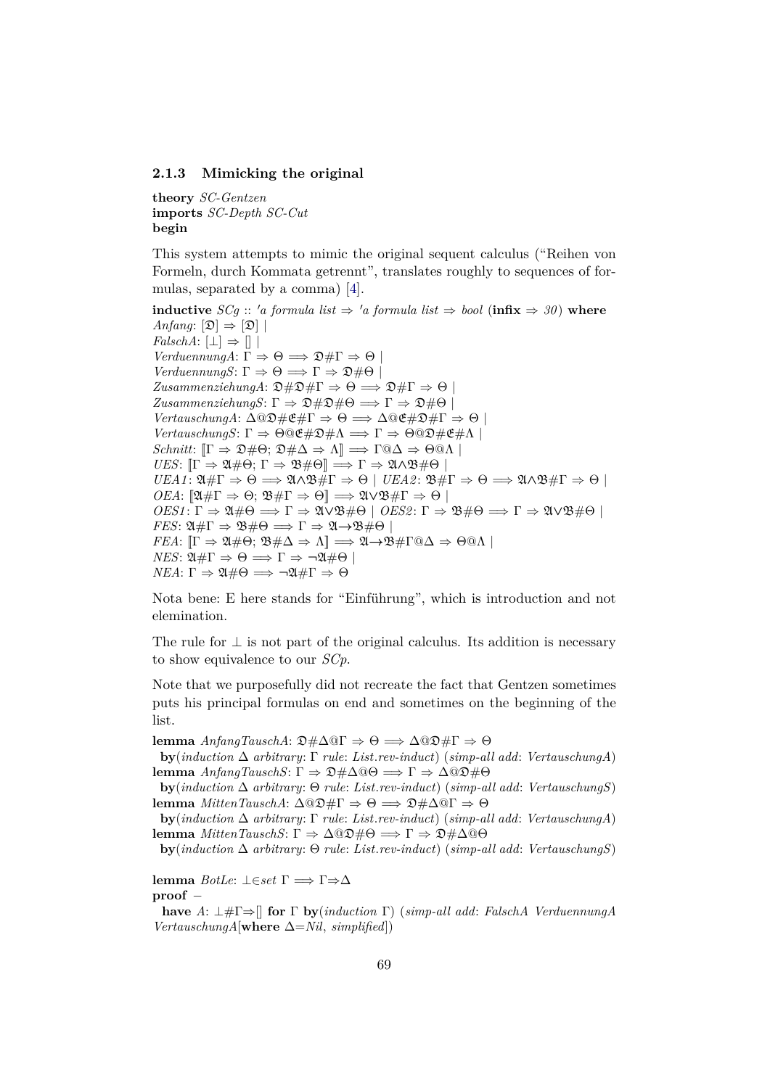## **2.1.3 Mimicking the original**

**theory** *SC-Gentzen* **imports** *SC-Depth SC-Cut* **begin**

This system attempts to mimic the original sequent calculus ("Reihen von Formeln, durch Kommata getrennt", translates roughly to sequences of formulas, separated by a comma) [\[4\]](#page-140-2).

**inductive** *SCg* :: '*a formula list*  $\Rightarrow$  '*a formula list*  $\Rightarrow$  *bool* (**infix**  $\Rightarrow$  *30*) **where** *Anfang*:  $[\mathfrak{D}] \Rightarrow [\mathfrak{D}]$ *FalschA*:  $\Box \Rightarrow \Box$ *VerduennungA*:  $\Gamma \Rightarrow \Theta \Longrightarrow \mathfrak{D} \# \Gamma \Rightarrow \Theta$ *VerduennungS*:  $\Gamma \Rightarrow \Theta \Longrightarrow \Gamma \Rightarrow \mathfrak{D} \# \Theta$  $ZusammenziehungA: \mathfrak{D} \# \mathfrak{D} \# \Gamma \Rightarrow \Theta \Longrightarrow \mathfrak{D} \# \Gamma \Rightarrow \Theta$  $ZusammenziehungS: \Gamma \Rightarrow \mathfrak{D} \# \mathfrak{D} \# \Theta \Longrightarrow \Gamma \Rightarrow \mathfrak{D} \# \Theta$ *VertauschungA*:  $\Delta$ <sup>(2)</sup># $E \neq \Gamma \Rightarrow \Theta \Rightarrow \Delta$ <sup>(2)</sup># $\Gamma \Rightarrow \Theta$ *VertauschungS*:  $\Gamma \Rightarrow \Theta @ \mathfrak{E} \# \mathfrak{D} \# \Lambda \Longrightarrow \Gamma \Rightarrow \Theta @ \mathfrak{D} \# \mathfrak{E} \# \Lambda \bot$ *Schnitt*:  $[\Gamma \Rightarrow \mathfrak{D} \# \Theta: \mathfrak{D} \# \Delta \Rightarrow \Lambda] \Longrightarrow \Gamma @ \Delta \Rightarrow \Theta @ \Lambda$ *UES*:  $[\Gamma \Rightarrow \mathfrak{A} \# \Theta; \Gamma \Rightarrow \mathfrak{B} \# \Theta] \Longrightarrow \Gamma \Rightarrow \mathfrak{A} \wedge \mathfrak{B} \# \Theta$  $UEA1: \mathfrak{A} \# \Gamma \Rightarrow \Theta \Longrightarrow \mathfrak{A} \wedge \mathfrak{B} \# \Gamma \Rightarrow \Theta \mid UEA2: \mathfrak{B} \# \Gamma \Rightarrow \Theta \Longrightarrow \mathfrak{A} \wedge \mathfrak{B} \# \Gamma \Rightarrow \Theta \mid \Theta$ *OEA*:  $[\mathfrak{A} \# \Gamma \Rightarrow \Theta; \mathfrak{B} \# \Gamma \Rightarrow \Theta] \Longrightarrow \mathfrak{A} \lor \mathfrak{B} \# \Gamma \Rightarrow \Theta$  $OES1: \Gamma \Rightarrow \mathfrak{A} \# \Theta \Longrightarrow \Gamma \Rightarrow \mathfrak{A} \lor \mathfrak{B} \# \Theta \mid OES2: \Gamma \Rightarrow \mathfrak{B} \# \Theta \Longrightarrow \Gamma \Rightarrow \mathfrak{A} \lor \mathfrak{B} \# \Theta \mid OES2: \Gamma \Rightarrow \mathfrak{B} \# \Theta$ *FES*:  $\mathfrak{A} \# \Gamma \Rightarrow \mathfrak{B} \# \Theta \Longrightarrow \Gamma \Rightarrow \mathfrak{A} \rightarrow \mathfrak{B} \# \Theta$ *FEA*:  $[\Gamma \Rightarrow \mathfrak{A} \# \Theta; \mathfrak{B} \# \Delta \Rightarrow \Lambda] \Longrightarrow \mathfrak{A} \rightarrow \mathfrak{B} \# \Gamma \t\circ \Delta \Rightarrow \Theta \t\circ \Lambda$ *NES*:  $\mathfrak{A} \# \Gamma \Rightarrow \Theta \Longrightarrow \Gamma \Rightarrow \neg \mathfrak{A} \# \Theta$ *NEA*: Γ  $\Rightarrow$  24#Θ  $\Longrightarrow \neg 24$ #Γ  $\Rightarrow$  Θ

Nota bene: E here stands for "Einführung", which is introduction and not elemination.

The rule for  $\perp$  is not part of the original calculus. Its addition is necessary to show equivalence to our *SCp*.

Note that we purposefully did not recreate the fact that Gentzen sometimes puts his principal formulas on end and sometimes on the beginning of the list.

**lemma** *AnfangTauschA*: D#∆@Γ ⇒ Θ =⇒ ∆@D#Γ ⇒ Θ

**by**(*induction* ∆ *arbitrary*: Γ *rule*: *List*.*rev-induct*) (*simp-all add*: *VertauschungA*) **lemma** *AnfangTauschS*: Γ  $\Rightarrow$   $\mathfrak{D} \# \Delta @$ θ  $\Rightarrow$  Γ  $\Rightarrow$   $\Delta @$  $\mathfrak{D} \#$ θ

**by**(*induction* ∆ *arbitrary*: Θ *rule*: *List*.*rev-induct*) (*simp-all add*: *VertauschungS*) lemma *MittenTauschA*:  $Δ@Ω#Γ ⇒ Θ ⇒ Σ#Δ@Γ ⇒ Θ$ 

**by**(*induction* ∆ *arbitrary*: Γ *rule*: *List*.*rev-induct*) (*simp-all add*: *VertauschungA*) **lemma** *MittenTauschS*: Γ  $\Rightarrow$  Δ*Q* $\mathfrak{D}$ #Θ  $\Rightarrow$  Γ  $\Rightarrow$   $\mathfrak{D}$ #Δ*Q*θ

**by**(*induction* ∆ *arbitrary*: Θ *rule*: *List*.*rev-induct*) (*simp-all add*: *VertauschungS*)

**lemma** *BotLe*: ⊥∈*set* Γ =⇒ Γ⇒∆ **proof** −

**have** *A*: ⊥#Γ⇒[] **for** Γ **by**(*induction* Γ) (*simp-all add*: *FalschA VerduennungA VertauschungA*[**where** ∆=*Nil*, *simplified*])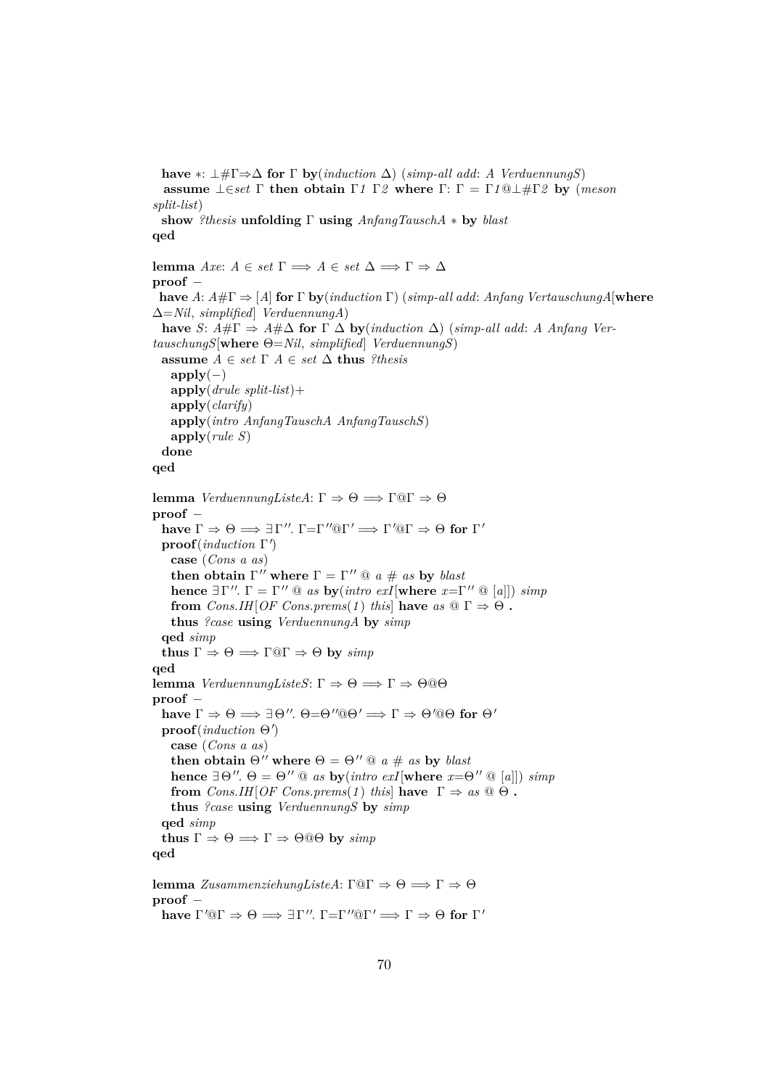**have**  $*$ :  $\perp \# \Gamma \Rightarrow \Delta$  **for**  $\Gamma$  **by**(*induction*  $\Delta$ ) (*simp-all add: A VerduennungS*) **assume** ⊥∈*set* Γ **then obtain** Γ*1* Γ*2* **where** Γ: Γ = Γ*1*@⊥#Γ*2* **by** (*meson split-list*) **show** *?thesis* **unfolding** Γ **using** *AnfangTauschA* ∗ **by** *blast* **qed lemma** *Axe*:  $A \in set \Gamma \implies A \in set \Delta \implies \Gamma \Rightarrow \Delta$ **proof** − **have** *A*: *A*#Γ ⇒ [*A*] **for** Γ **by**(*induction* Γ) (*simp-all add*: *Anfang VertauschungA*[**where** ∆=*Nil*, *simplified*] *VerduennungA*) **have** *S*:  $A \# \Gamma \Rightarrow A \# \Delta$  for  $\Gamma \Delta$  by (*induction*  $\Delta$ ) (*simp-all add*: *A Anfang VertauschungS*[**where** Θ=*Nil*, *simplified*] *VerduennungS*) **assume**  $A \in set \Gamma$   $A \in set \Delta$  **thus** *?thesis*  $apply(-)$ **apply**(*drule split-list*)+ **apply**(*clarify*) **apply**(*intro AnfangTauschA AnfangTauschS*) **apply**(*rule S*) **done qed lemma** *VerduennungListeA*: Γ  $\Rightarrow$  Θ  $\Rightarrow$  Γ@Γ  $\Rightarrow$  Θ **proof** − **have**  $\Gamma \Rightarrow \Theta \Longrightarrow \exists \Gamma''$ .  $\Gamma = \Gamma'' @ \Gamma' \Longrightarrow \Gamma' @ \Gamma \Rightarrow \Theta$  for  $\Gamma'$ **proof**(*induction* Γ 0 ) **case** (*Cons a as*) **then obtain**  $\Gamma''$  where  $\Gamma = \Gamma''$  @  $a \# as$  by *blast* **hence**  $\exists \Gamma''$ .  $\Gamma = \Gamma'' \otimes$  *as* **by**(*intro exI*[**where**  $x = \Gamma'' \otimes [a]]$ ) *simp* **from**  $Cons.H[OF Cons.prems(1) this have as \mathbb{Q} \Gamma \Rightarrow \Theta$ . **thus** *?case* **using** *VerduennungA* **by** *simp* **qed** *simp* **thus**  $\Gamma \Rightarrow \Theta \implies \Gamma @ \Gamma \Rightarrow \Theta$  **by**  $\text{simp}$ **qed lemma** *VerduennungListeS*: Γ  $\Rightarrow$  Θ  $\Rightarrow$  Γ  $\Rightarrow$  Θ @Θ **proof** − **have**  $\Gamma \Rightarrow \Theta \Longrightarrow \exists \Theta''. \Theta \models \Theta'' @ \Theta' \Longrightarrow \Gamma \Rightarrow \Theta' @ \Theta$  for  $\Theta'$  $\mathbf{proof}(\textit{induction} \Theta')$ **case** (*Cons a as*) **then obtain**  $\Theta''$  where  $\Theta = \Theta''$  @  $a \# as$  by *blast* **hence**  $\exists \Theta''$ .  $\Theta = \Theta'' \otimes$  *as* **by**(*intro exI*[**where**  $x = \Theta'' \otimes [a]]$ ) *simp* **from**  $Cons. I H [OF Cons. *prems*(1) this] **have**  $\Gamma \Rightarrow as \text{ } @\Theta$ .$ **thus** *?case* **using** *VerduennungS* **by** *simp* **qed** *simp* **thus**  $\Gamma \Rightarrow \Theta \Longrightarrow \Gamma \Rightarrow \Theta @ \Theta$  **by** *simp* **qed lemma** *ZusammenziehungListeA*: Γ@Γ  $\Rightarrow$   $\theta \Rightarrow$  Γ  $\Rightarrow$   $\theta$ **proof** − **have**  $\Gamma' @ \Gamma \Rightarrow \Theta \Longrightarrow \exists \Gamma'' \colon \Gamma = \Gamma'' @ \Gamma' \Longrightarrow \Gamma \Rightarrow \Theta$  for  $\Gamma'$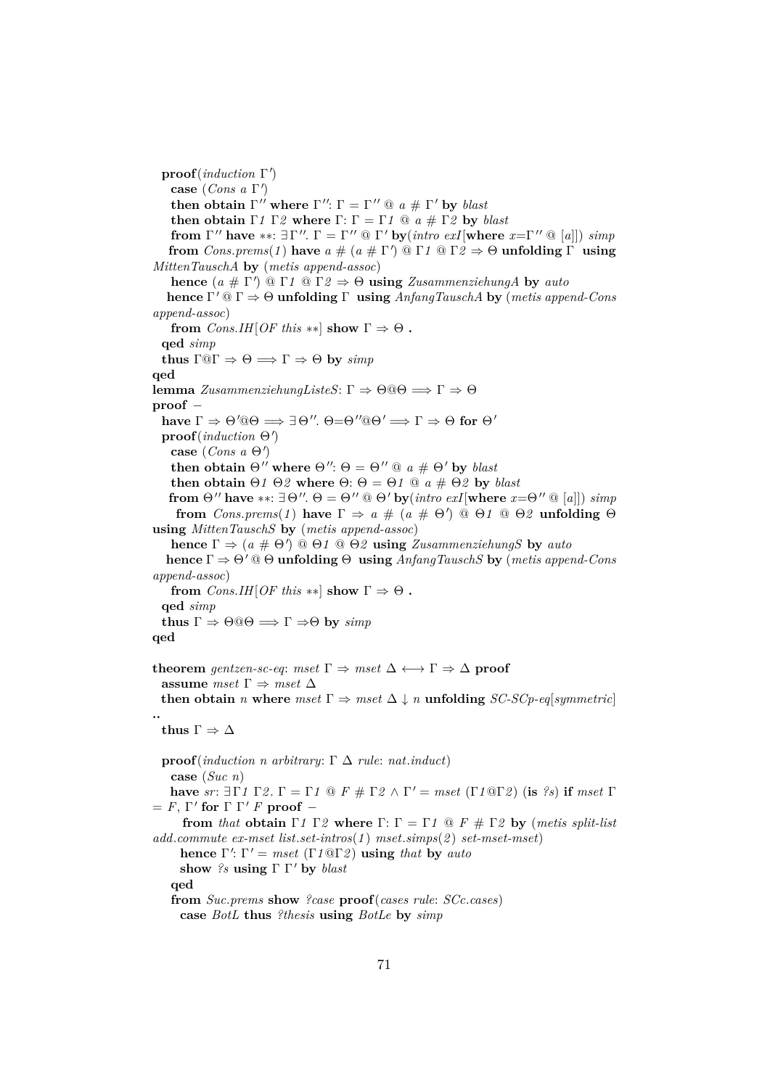**proof**(*induction* Γ 0 ) **case** (*Cons a* Γ 0 ) **then obtain**  $\Gamma''$  where  $\Gamma''$ :  $\Gamma = \Gamma'' \tildot a \# \tildot b$  *blast* **then obtain**  $\Gamma$ *1*  $\Gamma$ *2* **where**  $\Gamma$ :  $\Gamma$  =  $\Gamma$ *1*  $\textcircled{a}$  *a*  $\#$   $\Gamma$ *2* **by** *blast* **from**  $\Gamma''$  have \*\*:  $\exists \Gamma''$ .  $\Gamma = \Gamma'' \otimes \Gamma'$  by $(intro \; exI[\textbf{where} \; x = \Gamma'' \otimes [a]]) \; simp$ **from**  $Cons. \text{prems}(1)$  have  $a \# (a \# \Gamma') \otimes \Gamma1 \otimes \Gamma2 \Rightarrow \Theta$  **unfolding**  $\Gamma$  **using** *MittenTauschA* **by** (*metis append-assoc*) **hence**  $(a \# \Gamma') \ @ \Gamma1 \ @ \Gamma2 \Rightarrow \Theta$  **using** *ZusammenziehungA* by *auto* **hence** Γ <sup>0</sup> @ Γ ⇒ Θ **unfolding** Γ **using** *AnfangTauschA* **by** (*metis append-Cons append-assoc*) **from** *Cons.IH*[*OF this* \*\*] **show**  $\Gamma \Rightarrow \Theta$ . **qed** *simp* **thus**  $\Gamma @ \Gamma \Rightarrow \Theta \implies \Gamma \Rightarrow \Theta$  **by**  $\text{simp}$ **qed lemma** *ZusammenziehungListeS*: Γ  $\Rightarrow$  Θ@Θ  $\Rightarrow$  Γ  $\Rightarrow$  Θ **proof** − **have**  $\Gamma \Rightarrow \Theta' @ \Theta \Rightarrow \exists \Theta''. \Theta = \Theta'' @ \Theta' \Rightarrow \Gamma \Rightarrow \Theta$  for  $\Theta'$  $\mathbf{proof}(\textit{induction} \Theta')$  $\cose (Cons a \Theta')$ **then obtain**  $\Theta''$  where  $\Theta''$ :  $\Theta = \Theta''$  @  $a \# \Theta'$  by *blast* **then obtain**  $\Theta$ *1*  $\Theta$ *2* **where**  $\Theta$ :  $\Theta$  =  $\Theta$ *1*  $\omega$  *a*  $\#$   $\Theta$ *2* **by** *blast* **from**  $\Theta$ " have ∗∗:  $\exists \Theta$ ".  $\Theta = \Theta$ "  $\textcircled{a} \Theta'$  by (*intro exI*[where  $x = \Theta''$   $\textcircled{a}$  [*a*]]) *simp* **from**  $Cons. \text{prems}(1)$  have  $\Gamma \Rightarrow a \# (a \# \Theta') \ @ \Theta1 \ @ \Theta2$  unfolding  $\Theta$ **using** *MittenTauschS* **by** (*metis append-assoc*) **hence**  $\Gamma \Rightarrow (a \# \Theta') \ @ \Theta1 \ @ \Theta2$  **using** *ZusammenziehungS* by *auto* **hence** Γ ⇒ Θ<sup>0</sup> @ Θ **unfolding** Θ **using** *AnfangTauschS* **by** (*metis append-Cons append-assoc*) **from** *Cons.IH*[*OF this* \*\*] **show**  $\Gamma \Rightarrow \Theta$ . **qed** *simp* **thus**  $\Gamma \Rightarrow \Theta @ \Theta \Rightarrow \Gamma \Rightarrow \Theta$  **by**  $\text{simp}$ **qed theorem** *gentzen-sc-eq*: *mset*  $\Gamma \Rightarrow$  *mset*  $\Delta \leftrightarrow \Gamma \Rightarrow \Delta$  **proof assume**  $mset \Gamma \Rightarrow mset \Delta$ **then obtain** *n* where  $mset \Gamma \Rightarrow mset \Delta \downarrow n$  **unfolding** *SC-SCp-eq*[*symmetric*] **.. thus** Γ ⇒ ∆ **proof**(*induction n arbitrary*: Γ ∆ *rule*: *nat*.*induct*) **case** (*Suc n*) **have** *sr*:  $\exists \Gamma \cap \Gamma \cap \Gamma$ .  $\Gamma = \Gamma \cap \Gamma \cap \Gamma$   $\exists F \neq \Gamma \cap \Gamma$   $\land \Gamma' = mset \cdot (\Gamma \cap \Gamma \cap \Gamma)$  (**is** *?s*) **if** *mset*  $\Gamma$  $=$  *F*,  $\Gamma'$  for  $\Gamma \Gamma'$  *F* proof  $$ **from** *that* **obtain**  $\Gamma$ *1*  $\Gamma$ *2* **where**  $\Gamma$ :  $\Gamma$  =  $\Gamma$ *1*  $\Omega$  *F*  $\#$   $\Gamma$ *2* **by** (*metis split-list add*.*commute ex-mset list*.*set-intros*(*1* ) *mset*.*simps*(*2* ) *set-mset-mset*) **hence**  $\Gamma'$ :  $\Gamma' = mset$  (Γ1@Γ2) **using** *that* **by** *auto* **show** *?s* **using**  $\Gamma \Gamma'$  **by** *blast* **qed from** *Suc*.*prems* **show** *?case* **proof**(*cases rule*: *SCc*.*cases*) **case** *BotL* **thus** *?thesis* **using** *BotLe* **by** *simp*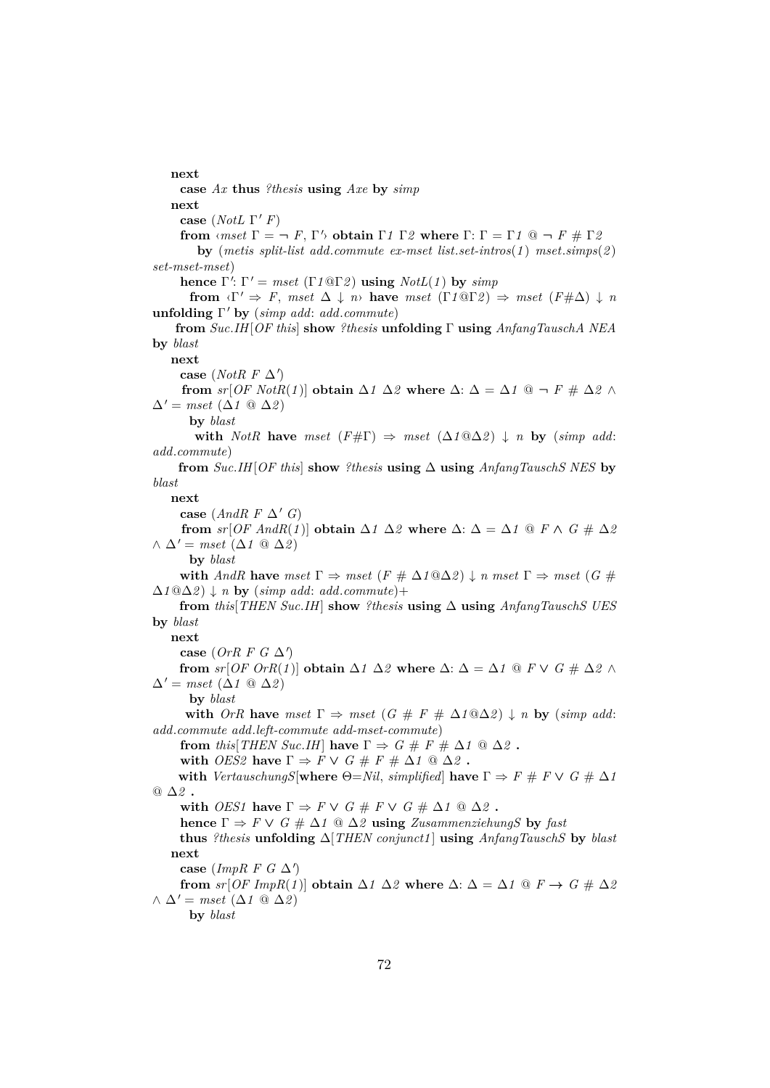#### **next**

**case** *Ax* **thus** *?thesis* **using** *Axe* **by** *simp* **next case** (*NotL*  $\Gamma'$ *F*) **from**  $\langle mset \Gamma = \neg F, \Gamma' \rangle$  **obtain**  $\Gamma 1 \Gamma 2$  **where**  $\Gamma: \Gamma = \Gamma 1 \text{ @ } \neg F \text{ } \# \Gamma 2$ **by** (*metis split-list add*.*commute ex-mset list*.*set-intros*(*1* ) *mset*.*simps*(*2* ) *set-mset-mset*) **hence**  $\Gamma'$ :  $\Gamma' = mset$  ( $\Gamma$ *1*@Γ*2*) **using**  $NotL(1)$  by  $simp$ **from**  $\langle \Gamma' \Rightarrow F, \text{mset } \Delta \downarrow n \rangle$  **have**  $mset (\Gamma 1@ \Gamma 2) \Rightarrow mset (F \# \Delta) \downarrow n$ **unfolding** Γ <sup>0</sup> **by** (*simp add*: *add*.*commute*) **from** *Suc*.*IH*[*OF this*] **show** *?thesis* **unfolding** Γ **using** *AnfangTauschA NEA* **by** *blast* **next** case (*NotR F*  $\Delta'$ ) **from**  $sr[OF NotR(1)]$  **obtain**  $\Delta 1 \Delta 2$  **where**  $\Delta: \Delta = \Delta 1$  @ ¬  $F \neq \Delta 2 \wedge$  $\Delta' = mset \; (\Delta 1 \; \textcircled{a} \; \Delta 2)$ **by** *blast* **with** *NotR* **have** *mset* ( $F \# \Gamma$ )  $\Rightarrow$  *mset* ( $\Delta 1 @ \Delta 2$ )  $\downarrow$  *n* **by** (*simp add: add*.*commute*) **from**  $Suc.$ *IH*[*OF this*] **show** *?thesis* **using**  $\Delta$  **using**  $AnfangTauschS \nNES$  **by** *blast* **next case** (*AndR F*  $\Delta'$  *G*) **from**  $sr[OF \text{ And } R(1)]$  **obtain**  $\Delta 1 \Delta 2$  **where**  $\Delta$ :  $\Delta = \Delta 1$  @  $F \wedge G \neq \Delta 2$  $\wedge$   $\Delta'$  = *mset* ( $\Delta$ *1* ◎  $\Delta$ *2*) **by** *blast* **with** *AndR* **have**  $mset \Gamma \Rightarrow mset (F \# \Delta 1@ \Delta 2) \downarrow n$   $mset \Gamma \Rightarrow mset (G \#$  $\Delta$ *1Q*∆*2* ) ↓ *n* **by** (*simp add: add.commute*)+ **from** *this*[*THEN Suc*.*IH*] **show** *?thesis* **using** ∆ **using** *AnfangTauschS UES* **by** *blast* **next** case  $(OrR F G \Delta')$ **from**  $sr[OF \, OrR(1)]$  **obtain**  $\Delta 1 \, \Delta 2$  **where**  $\Delta: \Delta = \Delta 1$  **@**  $F \vee G \neq \Delta 2 \wedge$  $\Delta' = mset \; (\Delta 1 \; @ \; \Delta 2)$ **by** *blast* **with** *OrR* **have** *mset*  $\Gamma \Rightarrow$  *mset* (*G* # *F* #  $\Delta 1@ \Delta 2$ )  $\downarrow$  *n* **by** (*simp add: add*.*commute add*.*left-commute add-mset-commute*) **from** *this*[*THEN Suc.IH*] **have**  $\Gamma \Rightarrow G \# F \# \Delta 1 \ @ \Delta 2$ . **with** *OES2* **have**  $\Gamma \Rightarrow F \vee G \# F \# \Delta 1 \ @ \Delta 2$  **. with** *VertauschungS*[**where**  $\Theta = Nil$ , *simplified*] **have**  $\Gamma \Rightarrow F \# F \vee G \# \Delta I$ @ ∆*2* **. with** *OES1* **have**  $\Gamma \Rightarrow F \vee G \# F \vee G \# \Delta 1 \ @ \Delta 2$ . **hence**  $\Gamma \Rightarrow F \vee G \nleftrightarrow \Delta 1 \text{ } @ \Delta 2$  **using** *ZusammenziehungS* **by** *fast* **thus** *?thesis* **unfolding** ∆[*THEN conjunct1* ] **using** *AnfangTauschS* **by** *blast* **next** case (*ImpR F G*  $\Delta'$ ) **from**  $sr[OF ImpR(1)]$  **obtain**  $\Delta 1 \Delta 2$  **where**  $\Delta$ :  $\Delta = \Delta 1$  **@**  $F \rightarrow G \# \Delta 2$  $\wedge$   $\Delta'$  = *mset* ( $\Delta$ *1* ◎  $\Delta$ *2*) **by** *blast*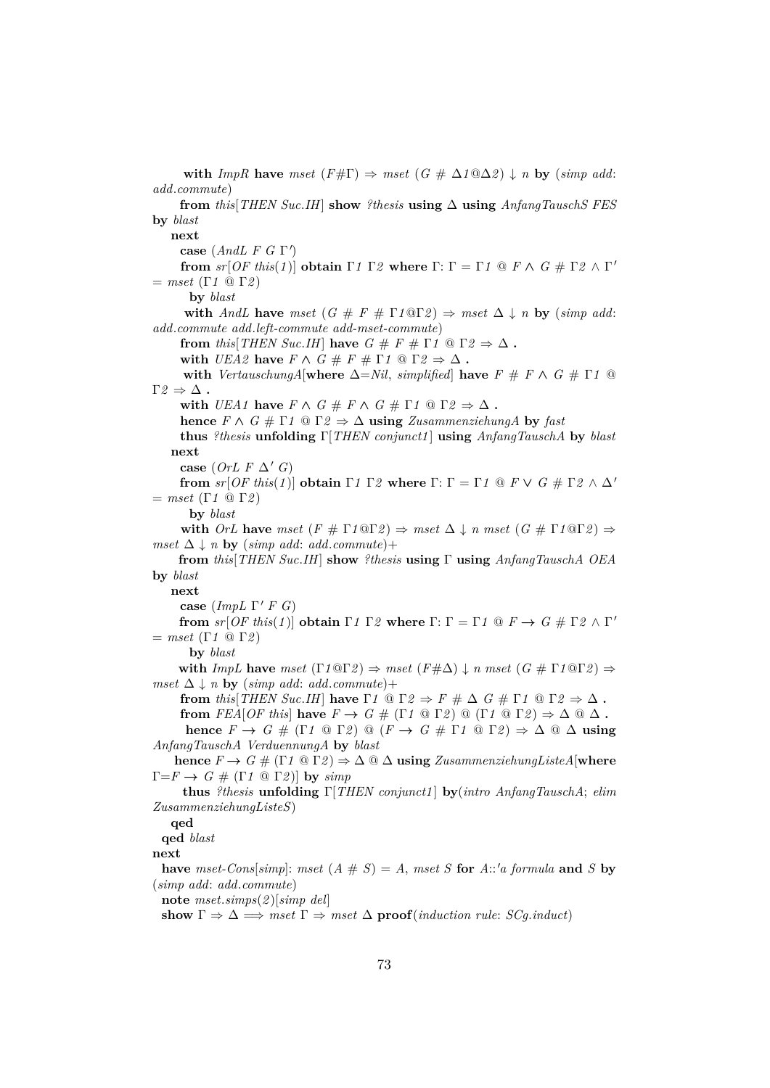**with** *ImpR* **have** *mset* (*F*# $\Gamma$ )  $\Rightarrow$  *mset* (*G* #  $\Delta 1@ \Delta 2$ )  $\downarrow$  *n* **by** (*simp add: add*.*commute*) **from** *this*[*THEN Suc*.*IH*] **show** *?thesis* **using** ∆ **using** *AnfangTauschS FES* **by** *blast* **next case** (*AndL F G* Γ') **from**  $sr[OF this(1)]$  **obtain**  $\Gamma 1 \Gamma 2$  **where**  $\Gamma: \Gamma = \Gamma 1 \text{ } @ \text{ } F \wedge G \text{ } \# \Gamma 2 \wedge \Gamma'$  $=$  *mset* (Γ1  $\Omega$  Γ2) **by** *blast* **with** *AndL* **have** *mset*  $(G \# F \# \Gamma \cap \mathbb{Q} \Gamma \cap \mathbb{Z}) \Rightarrow$  *mset*  $\Delta \downarrow n$  **by** (*simp add: add*.*commute add*.*left-commute add-mset-commute*) **from** *this*[*THEN Suc.IH*] **have**  $G \# F \# \Gamma 1 \ @ \Gamma 2 \Rightarrow \Delta$ . **with**  $UEA2$  **have**  $F \wedge G \neq F \neq \Gamma1 \text{ @ } \Gamma2 \Rightarrow \Delta$ . **with** *VertauschungA*[**where**  $\Delta = Nil$ , *simplified*] **have**  $F \# F \wedge G \# \Gamma$ *1* @  $Γ2 ⇒ Δ$ . with *UEA1* have  $F \wedge G \# F \wedge G \# \Gamma 1 \ @ \Gamma 2 \Rightarrow \Delta$ . **hence**  $F \wedge G \neq \Gamma$ *1*  $\textcircled{a} \Gamma$ *2*  $\Rightarrow \Delta$  **using** *ZusammenziehungA* by *fast* **thus** *?thesis* **unfolding** Γ[*THEN conjunct1* ] **using** *AnfangTauschA* **by** *blast* **next case** (*OrL F*  $\Delta'$  *G*) **from**  $sr[OF this (1)]$  **obtain**  $\Gamma 1 \Gamma 2$  **where**  $\Gamma: \Gamma = \Gamma 1 \mathbb{Q} F \vee G \# \Gamma 2 \wedge \Delta'$  $=$  *mset* (Γ1  $\Omega$  Γ2) **by** *blast* **with**  $OrL$  **have**  $mset(F \# \Gamma 1@ \Gamma 2) \Rightarrow mset \Delta \downarrow n$   $mset(G \# \Gamma 1@ \Gamma 2) \Rightarrow$ *mset*  $\Delta \downarrow n$  **by** (*simp add: add.commute*)+ **from** *this*[*THEN Suc*.*IH*] **show** *?thesis* **using** Γ **using** *AnfangTauschA OEA* **by** *blast* **next case** (*ImpL*  $\Gamma'$  *F G*) **from**  $sr[OF this(1)]$  **obtain**  $\Gamma 1 \Gamma 2$  **where**  $\Gamma: \Gamma = \Gamma 1 \text{ @ } F \rightarrow G \text{ } \# \Gamma 2 \wedge \Gamma'$  $=$  *mset* (Γ1  $\Omega$  Γ2) **by** *blast* **with**  $ImpL$  have  $mset (\Gamma 1@ \Gamma 2) \Rightarrow mset (F \# \Delta) \downarrow n$   $mset (G \# \Gamma 1@ \Gamma 2) \Rightarrow$ *mset*  $\Delta \downarrow n$  **by** (*simp add: add.commute*)+ **from** *this*[*THEN Suc.IH*] **have**  $\Gamma$ *1*  $\textcircled{0}$   $\Gamma$ 2  $\Rightarrow$   $F \# \Delta$   $G \# \Gamma$ *1*  $\textcircled{0}$   $\Gamma$ 2  $\Rightarrow$   $\Delta$ . **from**  $FEA[OF this]$  **have**  $F \to G \# (\Gamma 1 \otimes \Gamma 2) \otimes (\Gamma 1 \otimes \Gamma 2) \Rightarrow \Delta \otimes \Delta$ . **hence**  $F \to G \# (\Gamma \cap \mathbb{Q} \Gamma \cap \mathbb{Q}) \mathbb{Q}$   $(F \to G \# \Gamma \cap \mathbb{Q} \Gamma \cap \mathbb{Q}) \Rightarrow \Delta \mathbb{Q} \Delta$  **using** *AnfangTauschA VerduennungA* **by** *blast* **hence**  $F \to G \# (\Gamma \cup \mathbb{R}) \Rightarrow \Delta \otimes \Delta$  **using** *ZusammenziehungListeA* [where  $\Gamma = F \rightarrow G \# (\Gamma \cap \mathbb{Q} \Gamma \cap \mathbb{Z})$  by  $\text{simp}$ **thus** *?thesis* **unfolding** Γ[*THEN conjunct1* ] **by**(*intro AnfangTauschA*; *elim ZusammenziehungListeS*) **qed qed** *blast* **next have** *mset-Cons*[*simp*]: *mset* (*A*  $\# S$ ) = *A*, *mset S* **for** *A*::'*a formula* **and** *S* **by** (*simp add*: *add*.*commute*) **note** *mset*.*simps*(*2* )[*simp del*] **show**  $\Gamma \Rightarrow \Delta \implies \text{mset } \Gamma \Rightarrow \text{mset } \Delta$  **proof**(*induction rule: SCg.induct*)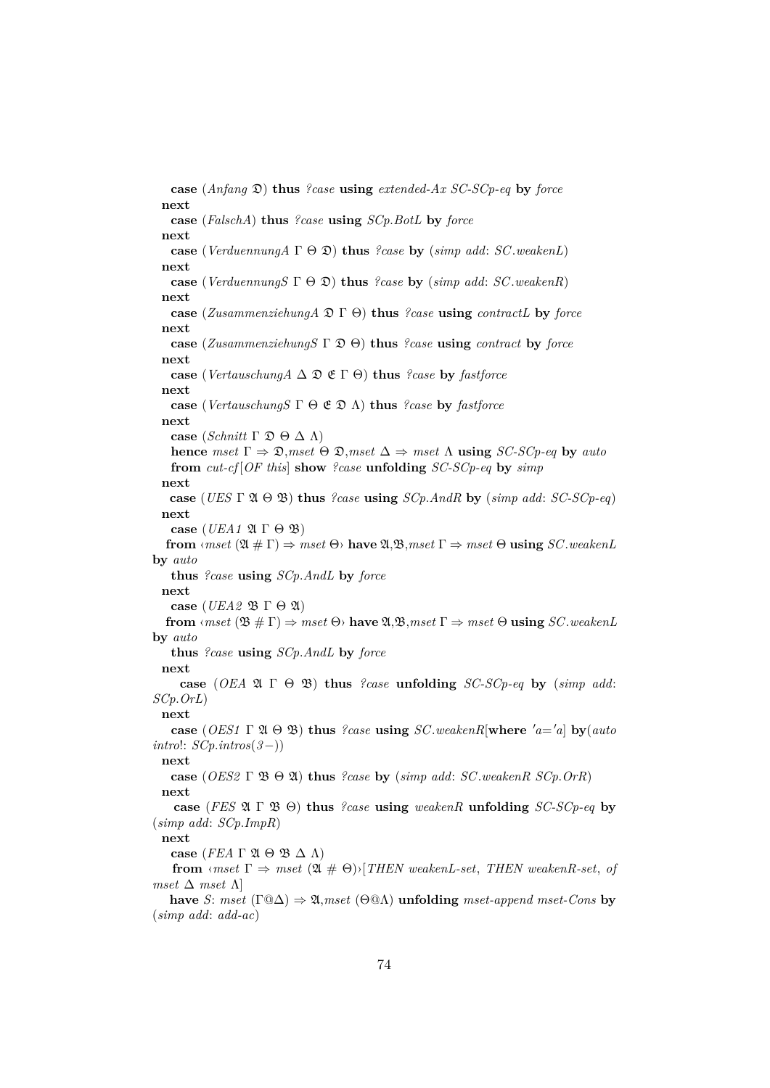**case** (*Anfang* D) **thus** *?case* **using** *extended-Ax SC-SCp-eq* **by** *force* **next case** (*FalschA*) **thus** *?case* **using** *SCp*.*BotL* **by** *force* **next case** (*VerduennungA* Γ Θ D) **thus** *?case* **by** (*simp add*: *SC*.*weakenL*) **next case** (*VerduennungS* Γ Θ D) **thus** *?case* **by** (*simp add*: *SC*.*weakenR*) **next case** (*ZusammenziehungA* D Γ Θ) **thus** *?case* **using** *contractL* **by** *force* **next case** (*ZusammenziehungS* Γ D Θ) **thus** *?case* **using** *contract* **by** *force* **next case** (*VertauschungA* ∆ D E Γ Θ) **thus** *?case* **by** *fastforce* **next case** (*VertauschungS* Γ Θ E D Λ) **thus** *?case* **by** *fastforce* **next case** (*Schnitt* Γ  $\mathfrak{D} \Theta \Delta \Lambda$ ) **hence**  $mset \Gamma \Rightarrow \mathfrak{D},mset \Theta \mathfrak{D},mset \Delta \Rightarrow mset \Lambda$  **using** *SC-SCp-eq* by *auto* **from** *cut-cf* [*OF this*] **show** *?case* **unfolding** *SC-SCp-eq* **by** *simp* **next case** (*UES* Γ A Θ B) **thus** *?case* **using** *SCp*.*AndR* **by** (*simp add*: *SC-SCp-eq*) **next case** (*UEA1*  $\mathfrak{A} \Gamma \Theta \mathfrak{B}$ ) **from**  $\langle mset(\mathfrak{A} \# \Gamma) \Rightarrow mset(\Theta) \text{ have } \mathfrak{A}, \mathfrak{B},mset(\Gamma) \Rightarrow mset(\Theta) \text{ using } SC\cdot weakenL$ **by** *auto* **thus** *?case* **using** *SCp*.*AndL* **by** *force* **next case** (*UEA2* B Γ Θ A) **from**  $\langle \textit{mset}(\mathfrak{B} \# \Gamma) \rangle$   $\Rightarrow$   $\textit{mset}(\Theta)$  **have**  $\mathfrak{A}, \mathfrak{B}, \textit{mset}(\Gamma)$   $\Rightarrow$   $\textit{mset}(\Theta)$  **using** *SC*.*weakenL* **by** *auto* **thus** *?case* **using** *SCp*.*AndL* **by** *force* **next case** (*OEA*  $\mathfrak{A} \Gamma \Theta \mathfrak{B}$ ) **thus** *?case* **unfolding** *SC-SCp-eq* by (*simp add: SCp*.*OrL*) **next case** (*OES1*  $\Gamma$  2*t*  $\Theta$  2*f*) **thus** *?case* **using** *SC*.*weakenR*[where 'a='a] **by**(*auto*) *intro*!: *SCp*.*intros*(*3*−)) **next case** (*OES2* Γ B Θ A) **thus** *?case* **by** (*simp add*: *SC*.*weakenR SCp*.*OrR*) **next case** (*FES* A Γ B Θ) **thus** *?case* **using** *weakenR* **unfolding** *SC-SCp-eq* **by** (*simp add*: *SCp*.*ImpR*) **next case** (*FEA* Γ  $\mathfrak{A}$  Θ  $\mathfrak{B}$  Δ Λ) **from**  $\langle$ *mset*  $\Gamma \Rightarrow$ *mset*  $(\mathfrak{A} \# \Theta) \setminus [THEN \; weakenL-set, \; THEN \; weakenR-set, \; of$ *mset* ∆ *mset* Λ] **have** *S*: *mset* ( $\Gamma$ @ $\Delta$ )  $\Rightarrow$  2*k*, *mset* ( $\Theta$ @ $\Lambda$ ) **unfolding** *mset-append mset-Cons* **by** (*simp add*: *add-ac*)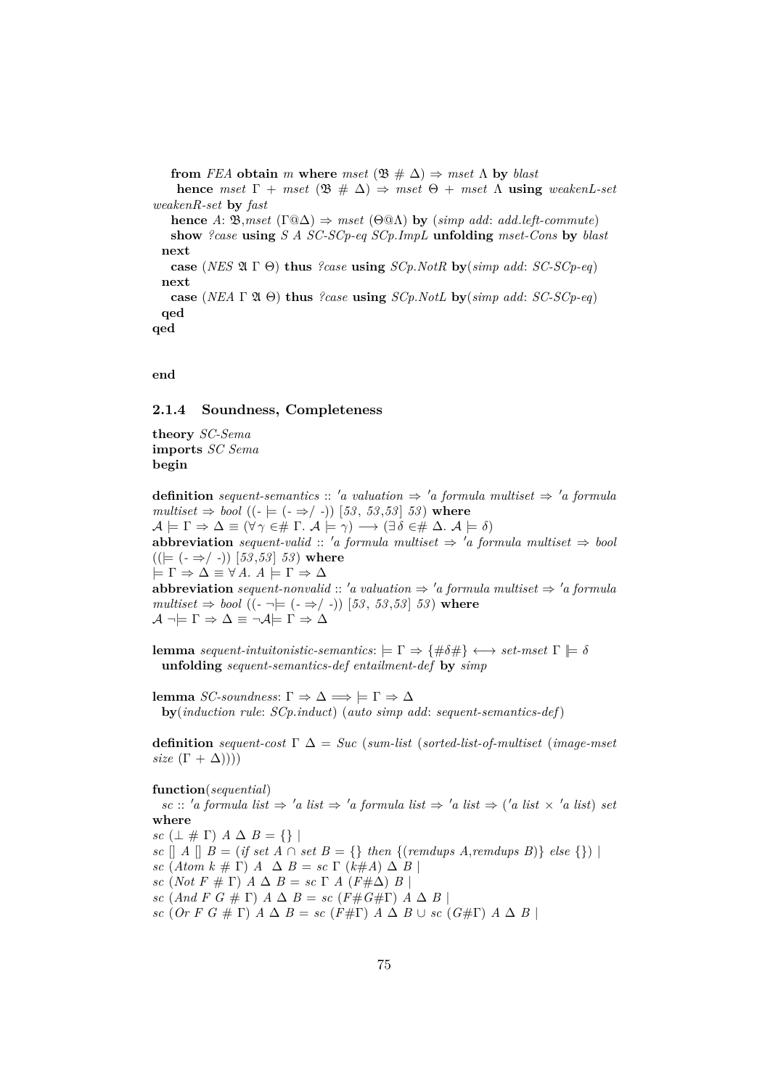**from** *FEA* **obtain** *m* **where** *mset* ( $\mathfrak{B} \neq \Delta$ )  $\Rightarrow$  *mset*  $\Lambda$  **by** *blast* 

**hence** *mset*  $\Gamma$  + *mset* ( $\mathfrak{B}$   $\#\$   $\Delta$ )  $\Rightarrow$  *mset*  $\Theta$  + *mset*  $\Lambda$  **using** *weakenL-set weakenR-set* **by** *fast*

**hence** *A*:  $\mathfrak{B}, \text{mset}$  (Γ@ $\Delta$ )  $\Rightarrow$  *mset* (Θ@ $\Lambda$ ) **by** (*simp add*: *add.left-commute*) **show** *?case* **using** *S A SC-SCp-eq SCp*.*ImpL* **unfolding** *mset-Cons* **by** *blast* **next case** (*NES* A Γ Θ) **thus** *?case* **using** *SCp*.*NotR* **by**(*simp add*: *SC-SCp-eq*)

**next**

**case** (*NEA*  $\Gamma$   $\mathfrak{A}$   $\Theta$ ) **thus** *?case* **using** *SCp.NotL* **by**(*simp add: SC-SCp-eq*) **qed**

**qed**

**end**

# **2.1.4 Soundness, Completeness**

**theory** *SC-Sema* **imports** *SC Sema* **begin**

**definition** *sequent-semantics* :: 'a valuation  $\Rightarrow$  'a formula multiset  $\Rightarrow$  'a formula  $multiset \Rightarrow bool ((-|= (- \Rightarrow / -)) [53, 53, 53] 53)$  where  $A \models \Gamma \Rightarrow \Delta \equiv (\forall \gamma \in \# \Gamma \land \Box \models \gamma) \longrightarrow (\exists \delta \in \# \Delta \land A \models \delta)$ **abbreviation** *sequent-valid* :: 'a formula multiset  $\Rightarrow$  'a formula multiset  $\Rightarrow$  bool  $((\models (\neg \Rightarrow / \neg)) [53, 53] 53$  where  $\models \Gamma \Rightarrow \Delta \equiv \forall A. A \models \Gamma \Rightarrow \Delta$ **abbreviation** *sequent-nonvalid* :: 'a valuation  $\Rightarrow$  'a formula multiset  $\Rightarrow$  'a formula  $multiset \Rightarrow bool ((-\neg\models (- \Rightarrow / -)) [53, 53, 53] 53)$  where  $\mathcal{A} \neg \models \Gamma \Rightarrow \Delta \equiv \neg \mathcal{A} \models \Gamma \Rightarrow \Delta$ 

**lemma** *sequent-intuitonistic-semantics*:  $\models \Gamma \Rightarrow \{\#\delta\#\}\leftrightarrow \text{set-mset} \Gamma \models \delta$ **unfolding** *sequent-semantics-def entailment-def* **by** *simp*

**lemma** *SC-soundness*: Γ  $\Rightarrow$  Δ  $\Rightarrow$   $\models$  Γ  $\Rightarrow$  Δ **by**(*induction rule*: *SCp*.*induct*) (*auto simp add*: *sequent-semantics-def*)

**definition** *sequent-cost* Γ ∆ = *Suc* (*sum-list* (*sorted-list-of-multiset* (*image-mset size*  $(\Gamma + \Delta))$ 

#### **function**(*sequential*)

 $\textit{sc}$  ::  $\textit{'a formula}$  list  $\Rightarrow$   $\textit{'a list} \Rightarrow \textit{'a formula}$  list  $\Rightarrow \textit{'a list} \Rightarrow \textit{'a list} \times \textit{'a list}$  *set* **where**

*sc*  $(\perp \# \Gamma)$   $A \Delta B = \{\}\$ 

*sc*  $\lceil A \rceil$  *B* = (*if set A*  $\cap$  *set B* = {} *then* {(*remdups A,remdups B*)} *else* {}) |

*sc*  $(Atom k \# \Gamma)$   $A \Delta B = sc \Gamma (k \# A) \Delta B$ 

*sc* (*Not*  $F \# \Gamma$ )  $A \Delta B = sc \Gamma A (F \# \Delta) B$ 

*sc*  $(And F G \# \Gamma) \land \Delta B = sc (F \# G \# \Gamma) \land \Delta B$ 

*sc* (*Or F G*  $# \Gamma$ ) *A*  $\Delta$  *B* = *sc* (*F*# $\Gamma$ ) *A*  $\Delta$  *B* ∪ *sc* (*G*# $\Gamma$ ) *A*  $\Delta$  *B* |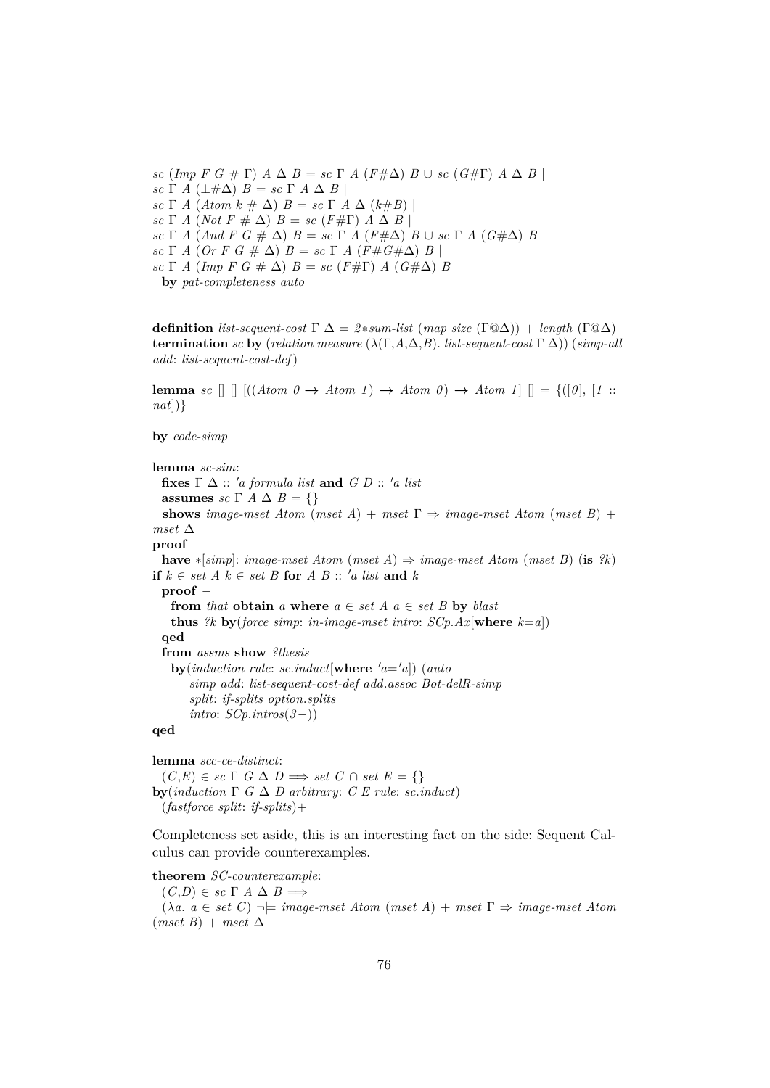*sc* (*Imp*  $F G \# \Gamma$ )  $A \Delta B = sc \Gamma A (F \# \Delta) B \cup sc (G \# \Gamma) A \Delta B$ *sc* Γ *A* ( $\perp$ #Δ) *B* = *sc* Γ *A* Δ *B* | *sc*  $\Gamma$  *A* (*Atom k*  $\#\Delta$ ) *B* = *sc*  $\Gamma$  *A*  $\Delta$  (*k* $\#B$ ) | *sc* Γ *A* (*Not*  $F \neq \Delta$ )  $B = sc(F \neq \Gamma)$   $A \Delta B$ *sc* Γ *A* (*And F G*  $# Δ$ )  $B = sc \Gamma A$  ( $F#Δ$ )  $B ∪ sc \Gamma A$  ( $G#Δ$ )  $B$ *sc* Γ *A* (*Or F G*  $\#$   $\Delta$ )  $B = sc \Gamma$  *A* ( $F \# G \# \Delta$ )  $B \mid$ *sc*  $\Gamma$  *A* (*Imp F G*  $\#$   $\Delta$ ) *B* = *sc* (*F* $\#$  $\Gamma$ ) *A* (*G* $\#$  $\Delta$ ) *B* **by** *pat-completeness auto*

**definition** *list-sequent-cost*  $\Gamma \Delta = 2*sum-list \ (map size \ (\Gamma \omega \Delta)) + length \ (\Gamma \omega \Delta)$ **termination** *sc* **by** (*relation measure* ( $\lambda(\Gamma, A, \Delta, B)$ *. list-sequent-cost*  $\Gamma(\Delta)$ ) (*simp-all add*: *list-sequent-cost-def*)

**lemma** *sc*  $\left[\right] \left[ \left( \left( \text{Atom } 0 \rightarrow \text{Atom } 1 \right) \rightarrow \text{Atom } 0 \right) \rightarrow \text{Atom } 1 \right] \left[\right] = \left\{ \left( \left[ 0 \right], \left[ 1 \right] \right\} \right]$ *nat*])}

**by** *code-simp*

**lemma** *sc-sim*: **fixes**  $\Gamma \Delta$  :: 'a formula list and  $G D$  :: 'a list **assumes** *sc*  $\Gamma$  *A*  $\Delta$  *B* = {} **shows** *image-mset Atom* (*mset A*) + *mset*  $\Gamma \Rightarrow$  *image-mset Atom* (*mset B*) + *mset* ∆ **proof** − **have**  $*[simp]$ : *image-mset Atom* (*mset A*)  $\Rightarrow$  *image-mset Atom* (*mset B*) (**is**  $?k$ ) **if**  $k \in set A$   $k \in set B$  **for**  $A$   $B$  :: 'a list and  $k$ **proof** − **from** *that* **obtain** *a* **where**  $a \in set A$   $a \in set B$  **by** *blast* **thus** *?k* **by**(*force simp*: *in-image-mset intro*:  $SCp.Ax$ [where  $k=a$ ]) **qed from** *assms* **show** *?thesis*  $\mathbf{by}(\text{induction rule: } sc.\text{induct}[\textbf{where } 'a = 'a])$  (*auto simp add*: *list-sequent-cost-def add*.*assoc Bot-delR-simp split*: *if-splits option*.*splits intro*: *SCp*.*intros*(*3*−)) **qed**

**lemma** *scc-ce-distinct*:  $(C,E) \in sc \Gamma$  *G*  $\Delta$  *D*  $\implies set C \cap set E = \{\}$ **by**(*induction*  $\Gamma$  *G*  $\Delta$  *D* arbitrary: *C E* rule: *sc.induct*) (*fastforce split*: *if-splits*)+

Completeness set aside, this is an interesting fact on the side: Sequent Calculus can provide counterexamples.

**theorem** *SC-counterexample*:

 $(C,D) \in sc \Gamma A \Delta B \Longrightarrow$  $(\lambda a. a \in set C) \rightarrow \models image \textit{--} \textit{m} \textit{+} \textit{A} \textit{+} \textit{+} \textit{+} \textit{A}) + \textit{m} \textit{+} \textit{+} \textit{+} \textit{+} \textit{+} \textit{+} \textit{+} \textit{+} \textit{+} \textit{+} \textit{+} \textit{+} \textit{+} \textit{+} \textit{+} \textit{+} \textit{+} \textit{+} \textit{+} \textit{+} \textit{+} \textit{+} \textit{+} \textit{+} \textit{+}$  $(mset B) + mset \Delta$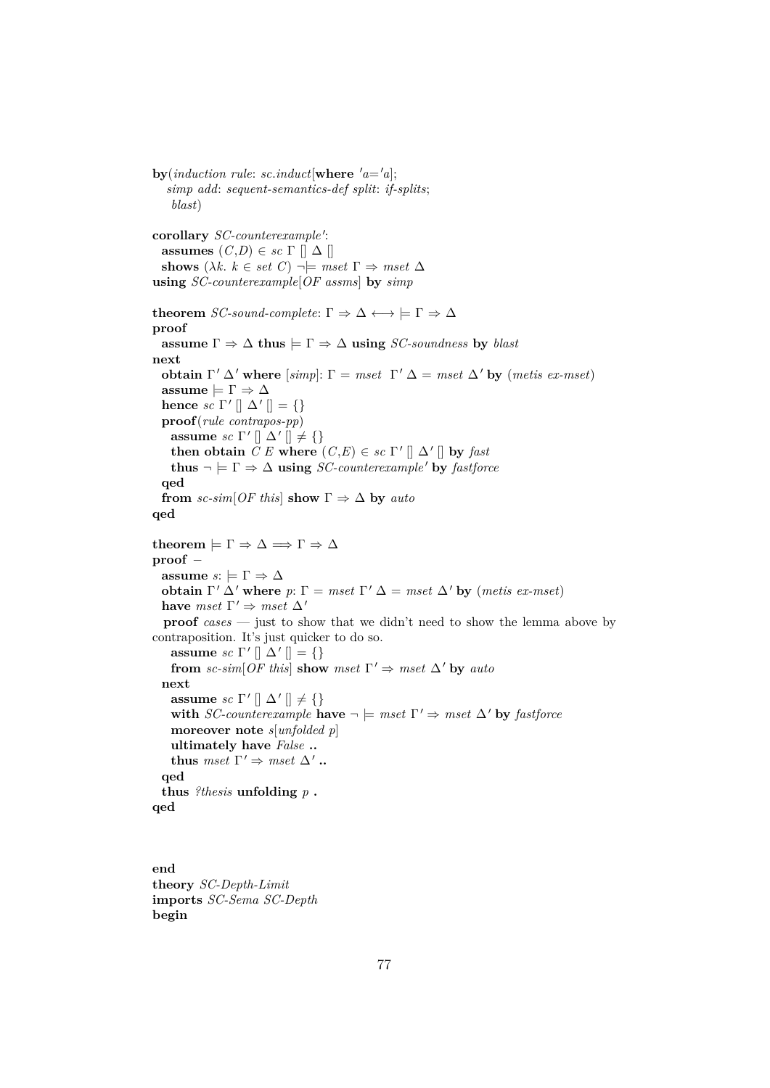*simp add*: *sequent-semantics-def split*: *if-splits*; *blast*) corollary *SC-counterexample'*: **assumes**  $(C,D) \in sc \Gamma \cap \Delta \cap$ **shows**  $(\lambda k, k \in set C) \rightarrow \models mset \Gamma \Rightarrow mset \Delta$ **using** *SC-counterexample*[*OF assms*] **by** *simp* **theorem** *SC-sound-complete*:  $\Gamma \Rightarrow \Delta \leftrightarrow \models \Gamma \Rightarrow \Delta$ **proof assume**  $\Gamma \Rightarrow \Delta$  **thus**  $\models \Gamma \Rightarrow \Delta$  **using** *SC-soundness* **by** *blast* **next obtain**  $\Gamma' \Delta'$  where  $[simp]: \Gamma = mset \Gamma' \Delta = mset \Delta'$  by  $(metis ex-mset)$ **assume**  $\models \Gamma \Rightarrow \Delta$ **hence** *sc*  $\Gamma' \parallel \Delta' \parallel = \{\}$ **proof**(*rule contrapos-pp*) **assume** *sc*  $\Gamma' \parallel \Delta' \parallel \neq \{\}$ **then obtain**  $C E$  **where**  $(C, E) \in sc \Gamma' || \Delta' ||$  **by** *fast* **thus**  $\neg \models \Gamma \Rightarrow \Delta$  **using** *SC-counterexample* **by** *fastforce* **qed from** *sc-sim*[ $OF$  *this*] **show**  $\Gamma \Rightarrow \Delta$  **by** *auto* **qed theorem**  $\models \Gamma \Rightarrow \Delta \Longrightarrow \Gamma \Rightarrow \Delta$ **proof** − **assume**  $s: \models \Gamma \Rightarrow \Delta$ **obtain**  $\Gamma' \Delta'$  where  $p: \Gamma = mset \Gamma' \Delta = mset \Delta'$  by (*metis ex-mset*) **have**  $mset \Gamma' \Rightarrow mset \Delta'$ **proof**  $cases$  — just to show that we didn't need to show the lemma above by contraposition. It's just quicker to do so. **assume** *sc*  $\Gamma' \parallel \Delta' \parallel = \{\}$ **from** sc-sim[OF this] **show** mset  $\Gamma' \Rightarrow$  mset  $\Delta'$  by auto **next assume** *sc*  $\Gamma' \parallel \Delta' \parallel \neq \{\}$ **with** *SC-counterexample* **have**  $\neg$   $\models$  *mset*  $\Gamma' \Rightarrow$  *mset*  $\Delta'$  **by** *fastforce* **moreover note** *s*[*unfolded p*] **ultimately have** *False* **.. thus**  $mset \Gamma' \Rightarrow mset \Delta'$ .. **qed thus** *?thesis* **unfolding** *p* **. qed**

 $\mathbf{b} \mathbf{v}(\text{induction rule: } sc.\text{induct}[\mathbf{where } 'a = 'a];$ 

**end theory** *SC-Depth-Limit* **imports** *SC-Sema SC-Depth* **begin**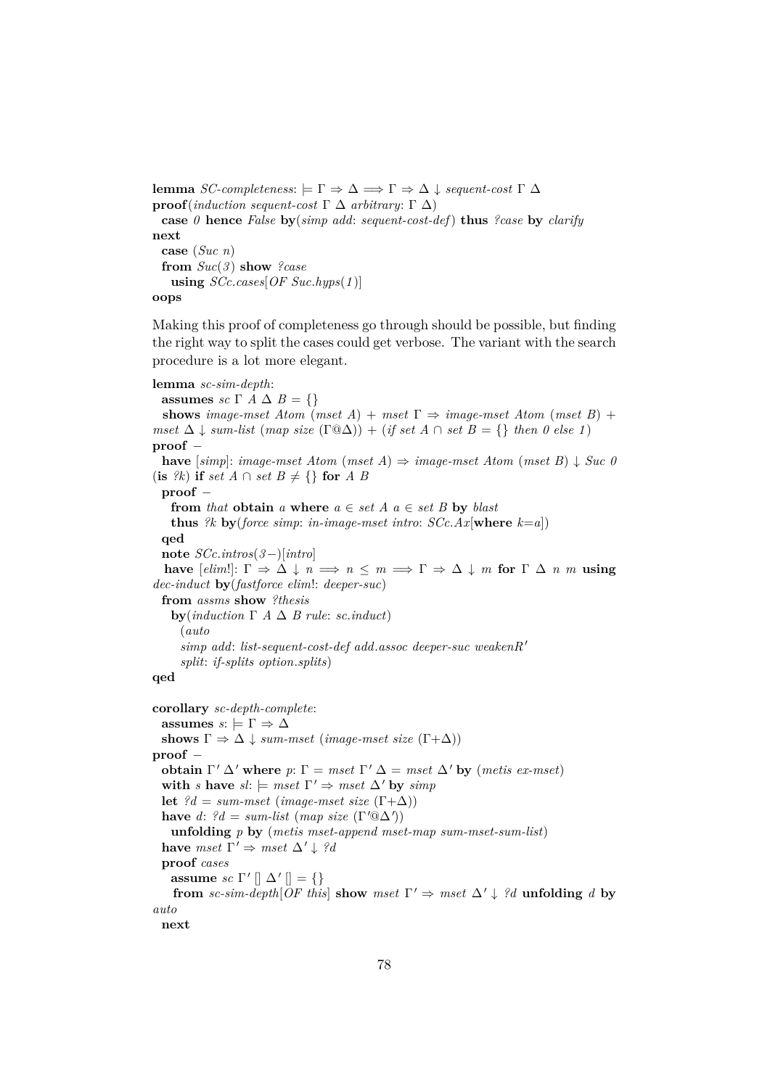```
lemma SC-completeness: \vdash Γ \Rightarrow Δ \Rightarrow Γ \Rightarrow Δ \downarrow sequent-cost Γ Δ
proof(induction sequent-cost Γ ∆ arbitrary: Γ ∆)
 case 0 hence False by(simp add: sequent-cost-def) thus ?case by clarify
next
 case (Suc n)
 from Suc(3 ) show ?case
   using SCc.cases[OF Suc.hyps(1 )]
oops
```
Making this proof of completeness go through should be possible, but finding the right way to split the cases could get verbose. The variant with the search procedure is a lot more elegant.

```
lemma sc-sim-depth:
  assumes sc \Gamma A \Delta B = {}
  shows image-mset Atom (mset A) + mset \Gamma \Rightarrow image-mset Atom (mset B) +
mset \Delta \downarrow sum-list (map size (\Gamma @ \Delta)) + (if set A \cap set B = \{\} then 0 else 1)
proof −
 have [simp]: image-mset Atom (mset A) \Rightarrow image-mset Atom (mset B) \downarrow Succ O(\textbf{is} \ \Re) \textbf{ if } set \ A \cap set \ B \neq \{\} \ \textbf{for} \ A \ Bproof −
    from that obtain a where a \in set A a \in set B by blast
    thus ?k by(force simp: in-image-mset intro: SCc.Ax[where k=a])
  qed
  note SCc.intros(3−)[intro]
  have [elim!] \colon \Gamma \Rightarrow \Delta \downarrow n \implies n \leq m \implies \Gamma \Rightarrow \Delta \downarrow m for \Gamma \Delta n m using
dec-induct by(fastforce elim!: deeper-suc)
  from assms show ?thesis
    by(induction Γ A \Delta B rule: sc.induct)
      (auto
      simp add: list-sequent-cost-def add.assoc deeper-suc weakenR'
      split: if-splits option.splits)
qed
corollary sc-depth-complete:
  assumes s: \models \Gamma \Rightarrow \Deltashows \Gamma \Rightarrow \Delta \downarrow \text{sum-mset (image-mset size } (\Gamma + \Delta))proof −
  obtain \Gamma' \Delta' where p: \Gamma = mset \Gamma' \Delta = mset \Delta' by (metis ex-mset)
  with s have sl: \models \textit{mset} \space \Gamma' \Rightarrow \textit{mset} \space \Delta' by \textit{simp}let ?d = sum-mset (image-mset size (\Gamma+\Delta))have d: ?d = sum-list (map size (\Gamma' @ \Delta'))unfolding p by (metis mset-append mset-map sum-mset-sum-list)
  have mset \Gamma' \Rightarrow mset \Delta' \downarrow ?dproof cases
    assume sc \Gamma' \parallel \Delta' \parallel = \{\}from sc-sim-depth[OF this] show mset \Gamma' \Rightarrow mset \Delta' \downarrow ?d unfolding d by
auto
  next
```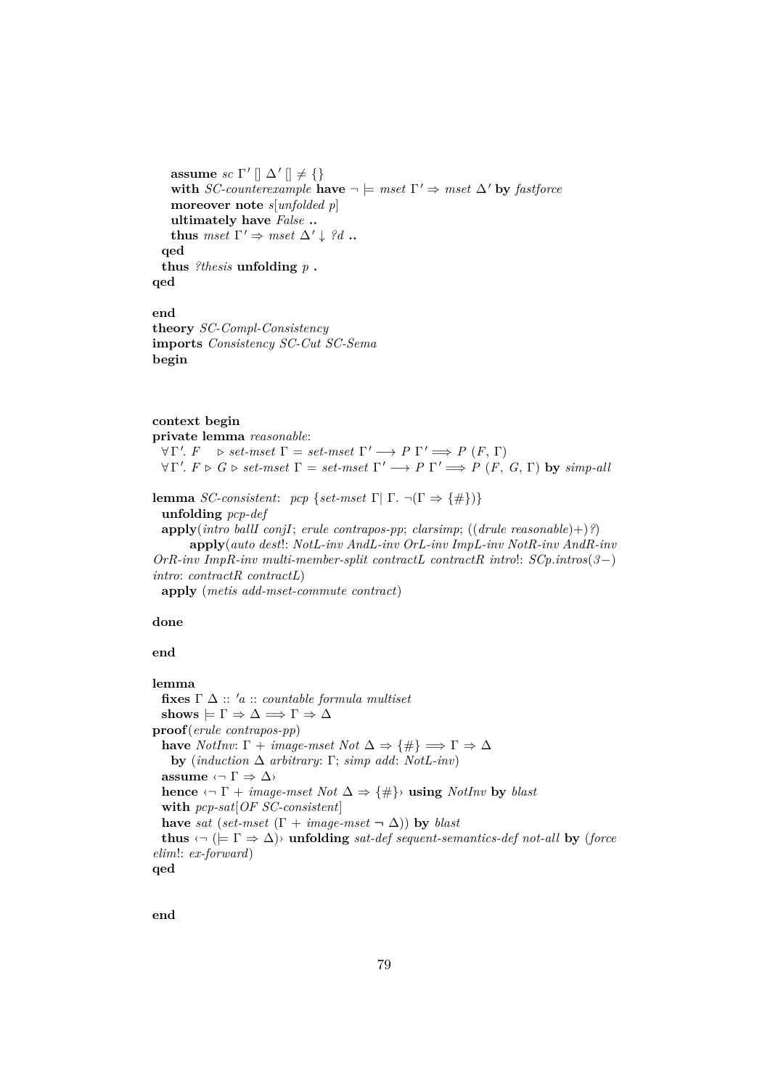**assume** *sc*  $\Gamma' \parallel \Delta' \parallel \neq \{\}$ **with** *SC-counterexample* **have**  $\neg$   $\models$  *mset*  $\Gamma' \Rightarrow$  *mset*  $\Delta'$  by *fastforce* **moreover note** *s*[*unfolded p*] **ultimately have** *False* **.. thus**  $mset \Gamma' \Rightarrow mset \Delta' \downarrow ?d$ .. **qed thus** *?thesis* **unfolding** *p* **. qed**

# **end**

**theory** *SC-Compl-Consistency* **imports** *Consistency SC-Cut SC-Sema* **begin**

# **context begin**

**private lemma** *reasonable*:  $\forall \Gamma'. \ F \Rightarrow set-mset \ \Gamma = set-mset \ \Gamma' \Longrightarrow P \ \Gamma' \Longrightarrow P \ (F, \ \Gamma)$  $\forall \Gamma'. \ F \triangleright G \triangleright set-mset \ \Gamma = set-mset \ \Gamma' \longrightarrow P \ \Gamma' \Longrightarrow P \ (F, \ G, \Gamma) \ \mathbf{by} \ simp-all$ 

**lemma** *SC-consistent: pcp* {*set-mset* Γ| Γ. ¬(Γ ⇒ {#})} **unfolding** *pcp-def* **apply**(*intro ballI conjI*; *erule contrapos-pp*; *clarsimp*; ((*drule reasonable*)+)*?*) **apply**(*auto dest*!: *NotL-inv AndL-inv OrL-inv ImpL-inv NotR-inv AndR-inv OrR-inv ImpR-inv multi-member-split contractL contractR intro*!: *SCp*.*intros*(*3*−) *intro*: *contractR contractL*)

**apply** (*metis add-mset-commute contract*)

**done**

**end**

```
lemma
  fixes \Gamma \Delta :: 'a :: countable formula multisetshows \models \Gamma \Rightarrow \Delta \Longrightarrow \Gamma \Rightarrow \Deltaproof(erule contrapos-pp)
  have NotInv: \Gamma + image-mset Not \Delta \Rightarrow {\#} \Rightarrow \Gamma \Rightarrow \Deltaby (induction ∆ arbitrary: Γ; simp add: NotL-inv)
  assume \langle \neg \Gamma \Rightarrow \Delta \ranglehence \langle \neg \Gamma + \text{image-mset Not } \Delta \Rightarrow \{\#\} using NotInv by blast
  with pcp-sat[OF SC-consistent]
  have sat (set-mset (\Gamma + image-mset \neg \Delta)) by blast
  thus \langle \neg \rangle (\models \Gamma \Rightarrow \Delta) unfolding sat-def sequent-semantics-def not-all by (force
elim!: ex-forward)
qed
```
**end**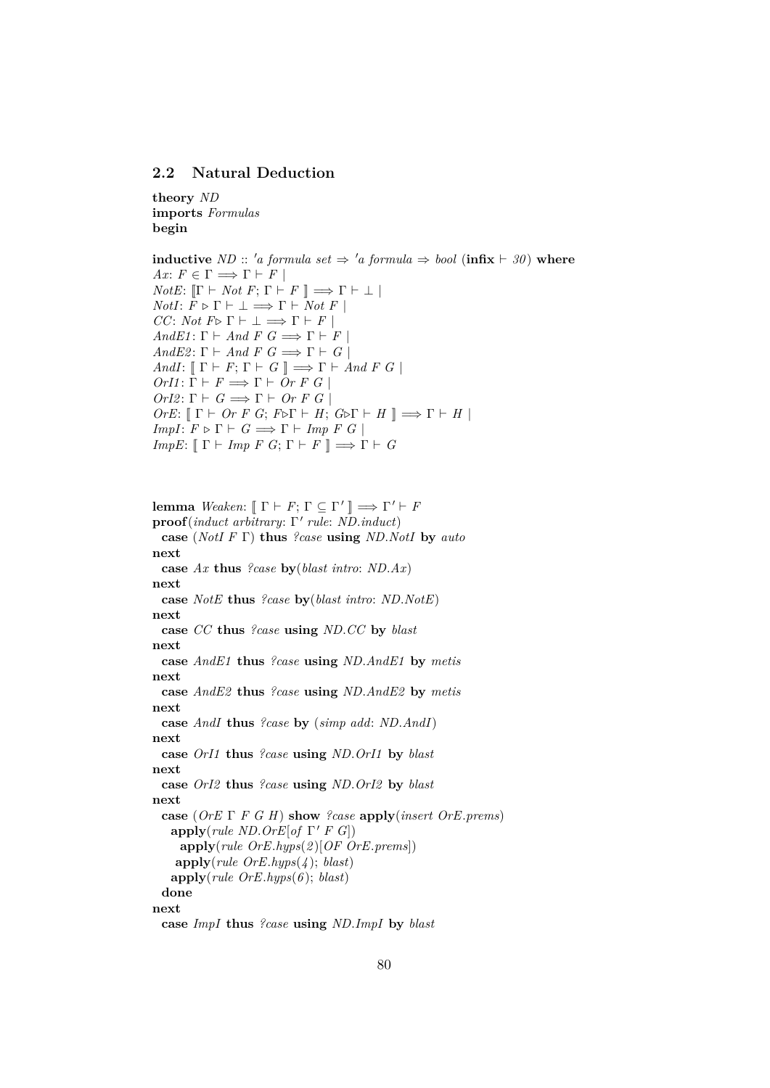## **2.2 Natural Deduction**

**theory** *ND* **imports** *Formulas* **begin**

**inductive** *ND* :: '*a* formula set  $\Rightarrow$  '*a* formula  $\Rightarrow$  bool (**infix**  $\vdash$  30) **where** *Ax*:  $F \in \Gamma \Longrightarrow \Gamma \vdash F$ *NotE*:  $[\![\Gamma \vdash Not F; \Gamma \vdash F \!] \Longrightarrow \Gamma \vdash \bot \!]$ *NotI*:  $F \triangleright \Gamma \vdash \bot \Longrightarrow \Gamma \vdash Not F$ *CC*: *Not*  $F \triangleright \Gamma \vdash \bot \Longrightarrow \Gamma \vdash F$ *AndE1*:  $\Gamma \vdash And F \ G \Longrightarrow \Gamma \vdash F$ *AndE2*:  $\Gamma \vdash And F G \Longrightarrow \Gamma \vdash G$ *AndI*:  $[\Gamma \vdash F; \Gamma \vdash G] \implies \Gamma \vdash And F G$  $OrI1: \Gamma \vdash F \Longrightarrow \Gamma \vdash Or \ F \ G \ |$  $OrI2: \Gamma \vdash G \Longrightarrow \Gamma \vdash Or \ F \ G$  $OrE: \llbracket \Gamma \vdash Or \ F \ G; \ F \triangleright \Gamma \vdash H; \ G \triangleright \Gamma \vdash H \rrbracket \Longrightarrow \Gamma \vdash H \rrbracket$ *ImpI*:  $F \triangleright \Gamma \vdash G \Longrightarrow \Gamma \vdash \text{Imp } F \ G \mid$ *ImpE*:  $[\Gamma \vdash \text{Imp } F \ G; \Gamma \vdash F \ ] \Longrightarrow \Gamma \vdash G$ 

**lemma** *Weaken*:  $[\![ \Gamma \vdash F; \Gamma \subseteq \Gamma' \!] \Longrightarrow \Gamma' \vdash F$ **proof**(*induct arbitrary*: Γ' *rule*: *ND.induct*) **case** (*NotI F* Γ) **thus** *?case* **using** *ND*.*NotI* **by** *auto* **next case** *Ax* **thus** *?case* **by**(*blast intro*: *ND*.*Ax*) **next case** *NotE* **thus** *?case* **by**(*blast intro*: *ND*.*NotE*) **next case** *CC* **thus** *?case* **using** *ND*.*CC* **by** *blast* **next case** *AndE1* **thus** *?case* **using** *ND*.*AndE1* **by** *metis* **next case** *AndE2* **thus** *?case* **using** *ND*.*AndE2* **by** *metis* **next case** *AndI* **thus** *?case* **by** (*simp add*: *ND*.*AndI*) **next case** *OrI1* **thus** *?case* **using** *ND*.*OrI1* **by** *blast* **next case** *OrI2* **thus** *?case* **using** *ND*.*OrI2* **by** *blast* **next case** (*OrE* Γ *F G H*) **show** *?case* **apply**(*insert OrE*.*prems*)  $\mathbf{apply}(\text{rule } ND. \text{Or} E[\text{of }\Gamma' \text{ } F \text{ } G])$ **apply**(*rule OrE*.*hyps*(*2* )[*OF OrE*.*prems*]) **apply**(*rule OrE*.*hyps*(*4* ); *blast*) **apply**(*rule OrE*.*hyps*(*6* ); *blast*) **done next case** *ImpI* **thus** *?case* **using** *ND*.*ImpI* **by** *blast*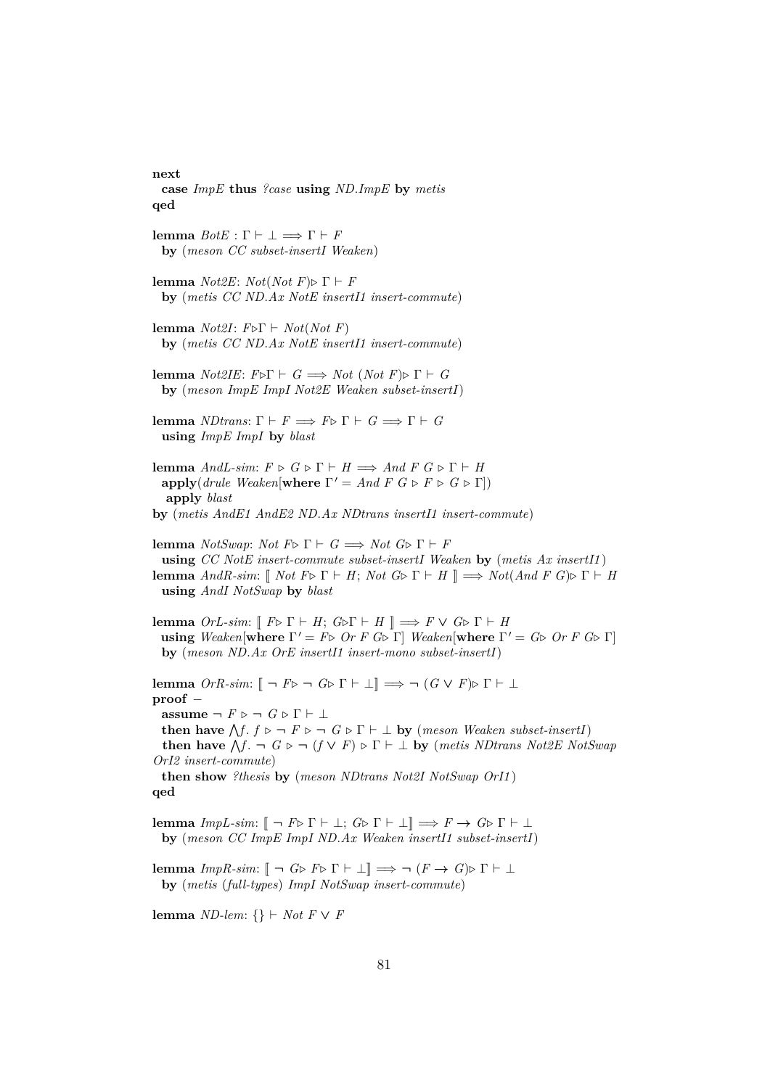#### **next**

- **case** *ImpE* **thus** *?case* **using** *ND*.*ImpE* **by** *metis* **qed**
- **lemma**  $BotE : \Gamma \vdash \bot \Longrightarrow \Gamma \vdash F$ **by** (*meson CC subset-insertI Weaken*)
- **lemma**  $Not2E: Not(Not F) \triangleright \Gamma \vdash F$ **by** (*metis CC ND*.*Ax NotE insertI1 insert-commute*)
- **lemma** *Not2I*:  $F \triangleright \Gamma \vdash Not(Not \ F)$ **by** (*metis CC ND*.*Ax NotE insertI1 insert-commute*)
- **lemma**  $Not2IE: F \triangleright \Gamma \vdash G \Longrightarrow Not (Not F) \triangleright \Gamma \vdash G$ **by** (*meson ImpE ImpI Not2E Weaken subset-insertI*)
- **lemma** *NDtrans*:  $\Gamma \vdash F \Longrightarrow F \triangleright \Gamma \vdash G \Longrightarrow \Gamma \vdash G$ **using** *ImpE ImpI* **by** *blast*
- **lemma** *AndL-sim:*  $F \triangleright G \triangleright \Gamma \vdash H \Longrightarrow And F G \triangleright \Gamma \vdash H$ **apply**(*drule Weaken*[**where**  $\Gamma' = And F G \triangleright F \triangleright G \triangleright \Gamma$ ]) **apply** *blast*
- **by** (*metis AndE1 AndE2 ND*.*Ax NDtrans insertI1 insert-commute*)
- **lemma** *NotSwap*: *Not*  $F \triangleright \Gamma \vdash G \Longrightarrow Not \ G \triangleright \Gamma \vdash F$ **using** *CC NotE insert-commute subset-insertI Weaken* **by** (*metis Ax insertI1* ) **lemma**  $AndR\text{-}sim: \llbracket Not \ F \triangleright \Gamma \vdash H$ ;  $Not \ G \triangleright \Gamma \vdash H \rrbracket \implies Not(And \ F \ G) \triangleright \Gamma \vdash H$ **using** *AndI NotSwap* **by** *blast*
- **lemma**  $OrL-sim: \llbracket F \triangleright \Gamma \vdash H; G \triangleright \Gamma \vdash H \rrbracket \implies F \vee G \triangleright \Gamma \vdash H$ **using** *Weaken*[**where**  $\Gamma' = F \triangleright \n\text{Or } F \n\text{ } G \triangleright \n\Gamma$ ] *Weaken*[**where**  $\Gamma' = G \triangleright \n\text{Or } F \n\text{ } G \triangleright \n\Gamma$ ] **by** (*meson ND*.*Ax OrE insertI1 insert-mono subset-insertI*)

**lemma**  $OrR\text{-}sim:$   $[- \neg F\triangleright \neg G\triangleright \Gamma \vdash \bot] \Longrightarrow \neg (G \vee F)\triangleright \Gamma \vdash \bot$ **proof** − **assume**  $\neg$   $F \triangleright \neg$   $G \triangleright \Gamma \vdash \bot$ **then have**  $\bigwedge f$ .  $f \triangleright \neg F \triangleright \neg G \triangleright \Gamma \vdash \bot$  by (*meson Weaken subset-insertI*) **then have**  $\bigwedge f$ .  $\neg$   $G \triangleright \neg$   $(f \vee F) \triangleright \Gamma \vdash \bot$  **by** (*metis NDtrans Not2E NotSwap OrI2 insert-commute*) **then show** *?thesis* **by** (*meson NDtrans Not2I NotSwap OrI1* ) **qed**

**lemma**  $ImpL-sim: \llbracket \neg F \triangleright \Gamma \vdash \bot; G \triangleright \Gamma \vdash \bot \rrbracket \Longrightarrow F \rightarrow G \triangleright \Gamma \vdash \bot$ **by** (*meson CC ImpE ImpI ND*.*Ax Weaken insertI1 subset-insertI*)

**lemma** *ImpR-sim*:  $[\neg G \triangleright F \triangleright \Gamma \vdash \bot] \implies \neg (F \rightarrow G) \triangleright \Gamma \vdash \bot$ **by** (*metis* (*full-types*) *ImpI NotSwap insert-commute*)

**lemma** *ND-lem*: {}  $\vdash$  *Not*  $F \lor F$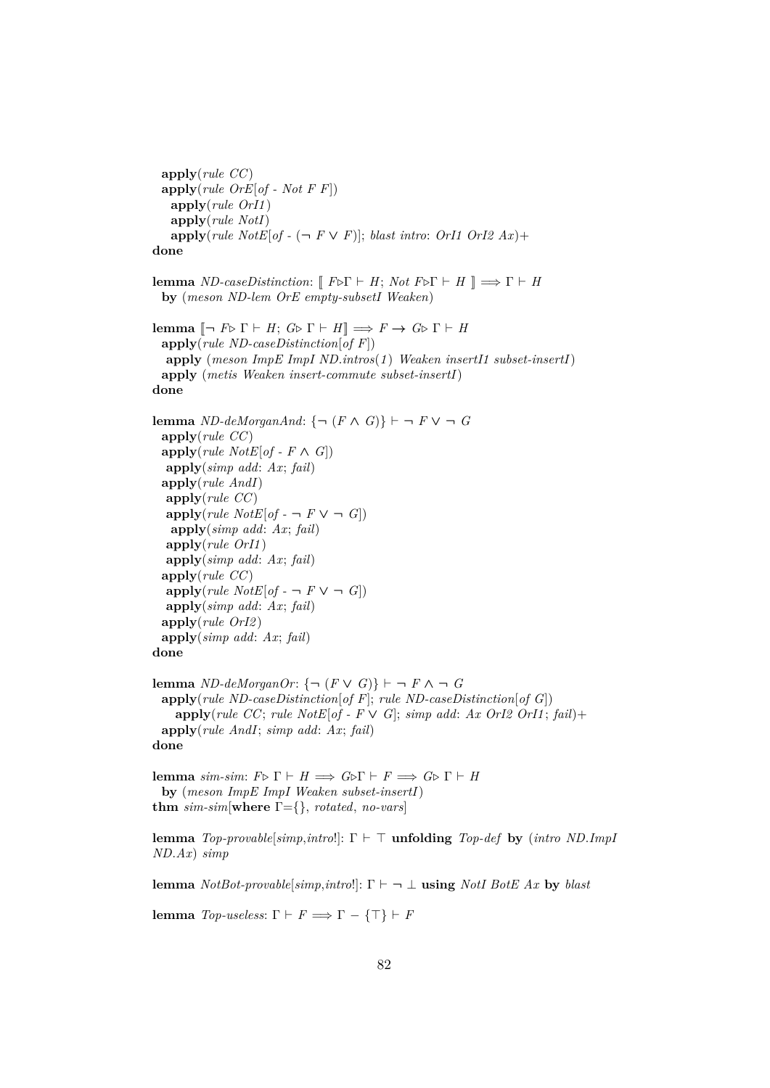**apply**(*rule CC*) **apply**(*rule OrE*[*of - Not F F*]) **apply**(*rule OrI1* ) **apply**(*rule NotI*)  $\text{apply}(rule\;NotE[of -(-)F \vee F)];\; blast\;intro: \;OrI1\; OrI2\; Ax) +$ **done lemma** *ND-caseDistinction*:  $[$   $F \triangleright \Gamma \vdash H$ ;  $Not F \triangleright \Gamma \vdash H$   $] \implies \Gamma \vdash H$ **by** (*meson ND-lem OrE empty-subsetI Weaken*) **lemma**  $\left[\neg F \triangleright \Gamma \vdash H; G \triangleright \Gamma \vdash H\right] \Longrightarrow F \to G \triangleright \Gamma \vdash H$ **apply**(*rule ND-caseDistinction*[*of F*]) **apply** (*meson ImpE ImpI ND*.*intros*(*1* ) *Weaken insertI1 subset-insertI*) **apply** (*metis Weaken insert-commute subset-insertI*) **done lemma** *ND-deMorganAnd*: {¬ ( $F \wedge G$ )}  $\vdash$  ¬  $F \vee$  ¬  $G$ **apply**(*rule CC*)  $\text{apply}(rule NotE[of - F \wedge G])$ **apply**(*simp add*: *Ax*; *fail*) **apply**(*rule AndI*) **apply**(*rule CC*)  $\text{apply}(rule\;NotE[of - \neg F \vee \neg G])$ **apply**(*simp add*: *Ax*; *fail*) **apply**(*rule OrI1* ) **apply**(*simp add*: *Ax*; *fail*) **apply**(*rule CC*)  $\text{apply}(rule\;NotE[of -] \rightarrow F \vee \neg G)$ **apply**(*simp add*: *Ax*; *fail*) **apply**(*rule OrI2* ) **apply**(*simp add*: *Ax*; *fail*) **done lemma** *ND-deMorganOr*: {¬ ( $F \vee G$ )}  $\vdash$  ¬  $F \wedge$  ¬  $G$ **apply**(*rule ND-caseDistinction*[*of F*]; *rule ND-caseDistinction*[*of G*]) **apply**(*rule CC*; *rule NotE*[*of - F*  $\vee$  *G*]; *simp add*: *Ax OrI2 OrI1*; *fail*)+ **apply**(*rule AndI*; *simp add*: *Ax*; *fail*) **done lemma** *sim-sim*:  $F \triangleright \Gamma \vdash H \Longrightarrow G \triangleright \Gamma \vdash F \Longrightarrow G \triangleright \Gamma \vdash H$ **by** (*meson ImpE ImpI Weaken subset-insertI*) **thm** *sim-sim*[**where** Γ={}, *rotated*, *no-vars*]

**lemma**  $Top-provable[simp, intro!]$ :  $\Gamma \vdash \top$  **unfolding**  $Top-def$  **by** (*intro ND*.*ImpI ND*.*Ax*) *simp*

**lemma**  $NotBot-provable[simp,introl]: \Gamma \vdash \neg \bot$  **using**  $NotBotE Ax$  by *blast* 

**lemma** *Top-useless*:  $\Gamma \vdash F \Longrightarrow \Gamma - {\{\top\} \vdash F}$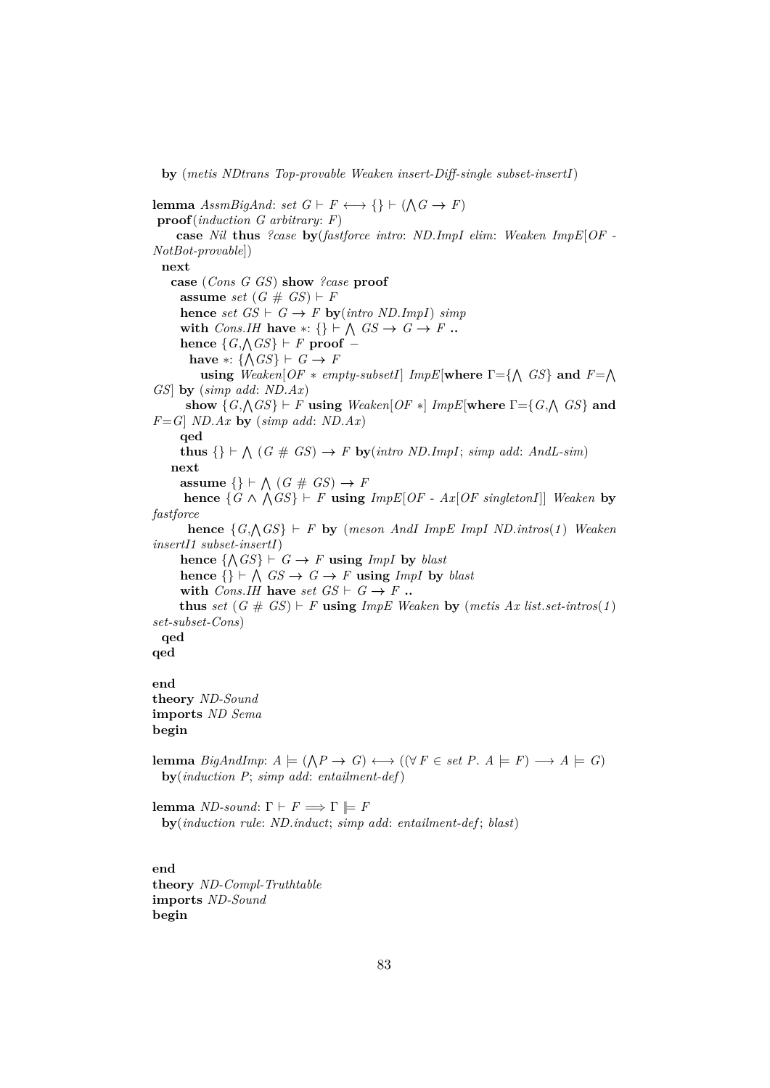**by** (*metis NDtrans Top-provable Weaken insert-Diff-single subset-insertI*)

**lemma**  $AssmBigAnd: set \ G \vdash F \longleftrightarrow \{\} \vdash (\bigwedge G \rightarrow F)$ **proof**(*induction G arbitrary*: *F*) **case** *Nil* **thus** *?case* **by**(*fastforce intro*: *ND*.*ImpI elim*: *Weaken ImpE*[*OF - NotBot-provable*]) **next case** (*Cons G GS*) **show** *?case* **proof assume** *set*  $(G \# GS) \vdash F$  $hence set GS \vdash G \rightarrow F by(intro ND. ImpI)$  *simp* **with** *Cons.IH* **have** \*: {}  $\vdash \bigwedge GS \rightarrow G \rightarrow F$  **..**  $\textbf{hence } \{G, \triangle G\} \vdash F \textbf{ proof } \rightarrow$ **have** ∗:  $\{\triangle G S\}$  ⊢ *G* → *F* **using**  $Weather[OF * empty-subsetI]$   $ImpE[where \Gamma = {\Lambda} GS$  and  $F = {\Lambda}$ *GS*] **by** (*simp add*: *ND*.*Ax*)  $\textbf{show } \{G, \triangle G\} \vdash F \text{ using } \textit{Weather} \{OF \ast \} \textit{ImpE}[\textbf{where } \Gamma = \{G, \triangle G\} \text{ and } \Gamma = \{F \in \textit{Map}(G) \}$ *F*=*G*] *ND*.*Ax* **by** (*simp add*: *ND*.*Ax*) **qed thus**  $\{\}\vdash \bigwedge (G \# GS) \rightarrow F$  **by**(*intro ND*.*ImpI*; *simp add*: *AndL-sim*) **next assume**  $\{\} \vdash \bigwedge (G \# GS) \rightarrow F$ **hence**  $\{G \land \bigwedge GS\}$  *⊢ F* **using**  $ImpE[OF - Ax[OF \, singleton]]$  *Weaken* **by** *fastforce* **hence**  $\{G, \triangle G\}$   $\vdash$  *F* **by** (*meson AndI ImpE ImpI ND.<i>intros*(1) *Weaken insertI1 subset-insertI*) hence  $\{\wedge GS\} \vdash G \rightarrow F$  using *ImpI* by *blast* hence  $\{\}\vdash \bigwedge GS \to G \to F$  using *ImpI* by *blast* with *Cons.IH* have *set GS*  $\vdash$  *G*  $\rightarrow$  *F*  $\ldots$ **thus** set  $(G \# GS) \vdash F$  **using**  $ImpE$  Weaken **by**  $(metis Ax list.set-intros(1))$ *set-subset-Cons*) **qed qed end theory** *ND-Sound* **imports** *ND Sema* **begin**

**lemma** *BigAndImp*:  $A \models (\bigwedge P \rightarrow G) \longleftrightarrow ((\forall F \in set P. A \models F) \rightarrow A \models G)$ **by**(*induction P*; *simp add*: *entailment-def*)

**lemma** *ND-sound*:  $\Gamma \vdash F \Longrightarrow \Gamma \models F$ **by**(*induction rule*: *ND*.*induct*; *simp add*: *entailment-def* ; *blast*)

**end theory** *ND-Compl-Truthtable* **imports** *ND-Sound* **begin**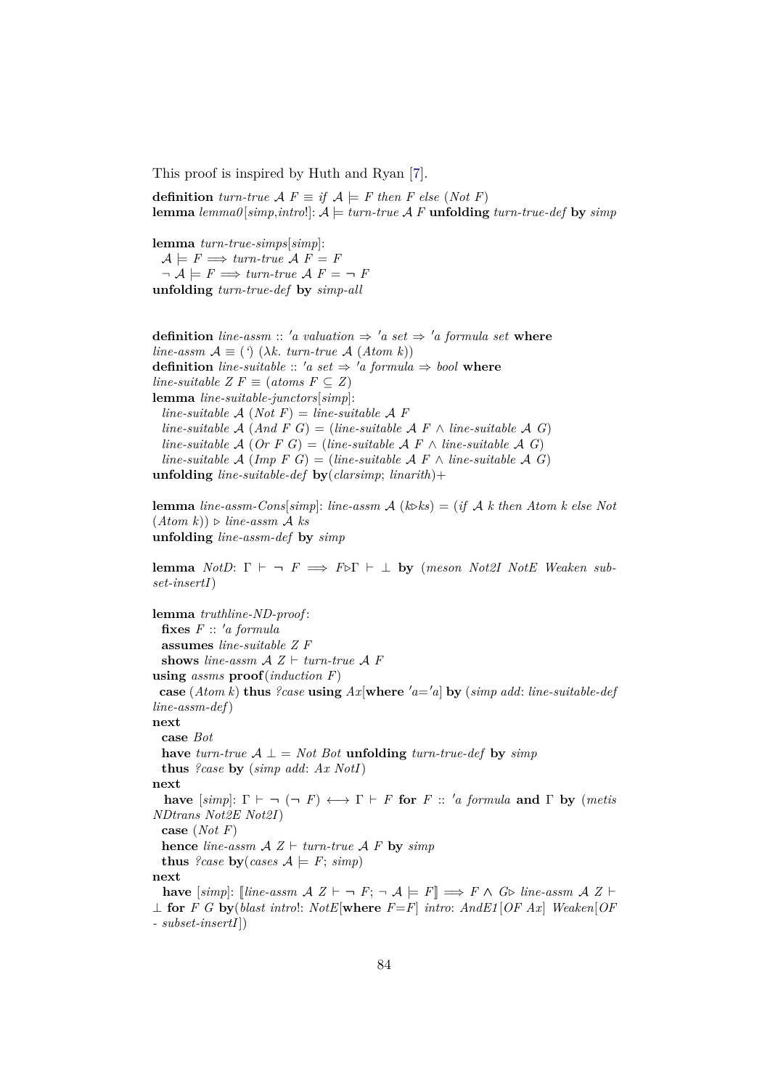This proof is inspired by Huth and Ryan [\[7\]](#page-140-0).

**definition**  $turn\text{-}true \mathcal{A} F \equiv \text{if } \mathcal{A} \models F \text{ then } F \text{ else } (Not F)$ **lemma**  $lemma\{simp, intro!\}: A \models turn-true\ A\ F$ **unfolding**  $turn-true\-def$  **by**  $simp$ 

**lemma** *turn-true-simps*[*simp*]:  $A \models F \Longrightarrow turn\text{-}true\ A\ F = F$  $\neg A \models F \Longrightarrow turn\text{-}true A F = \neg F$ **unfolding** *turn-true-def* **by** *simp-all*

**definition** *line-assm* :: 'a valuation  $\Rightarrow$  'a set  $\Rightarrow$  'a formula set where *line-assm*  $A \equiv (\hat{\ })(\lambda k \cdot \hat{t} \cdot \hat{t})$  (*Atom k*)) **definition** *line-suitable* :: 'a set  $\Rightarrow$  'a formula  $\Rightarrow$  bool where *line-suitable Z F*  $\equiv$  (*atoms F*  $\subseteq$  *Z*) **lemma** *line-suitable-junctors*[*simp*]: *line-suitable*  $\mathcal{A}$  (*Not*  $F$ ) = *line-suitable*  $\mathcal{A}$   $F$ *line-suitable*  $\mathcal{A}$  (*And F G*) = (*line-suitable*  $\mathcal{A}$  *F*  $\land$  *line-suitable*  $\mathcal{A}$  *G*) *line-suitable*  $\mathcal{A}$  (*Or*  $F$  *G*) = (*line-suitable*  $\mathcal{A}$   $F \wedge$  *line-suitable*  $\mathcal{A}$  *G*) *line-suitable*  $\mathcal{A}$  (*Imp F G*) = (*line-suitable*  $\mathcal{A}$  *F*  $\land$  *line-suitable*  $\mathcal{A}$  *G*) **unfolding** *line-suitable-def* **by**(*clarsimp*; *linarith*)+

**lemma** *line-assm-Cons*[*simp*]: *line-assm*  $\mathcal{A}$  ( $k \geq k$ ) = (*if*  $\mathcal{A}$  *k* then Atom k else Not  $(Atom k)) \triangleright line-assm \mathcal{A}$  *ks* **unfolding** *line-assm-def* **by** *simp*

**lemma** *NotD*:  $\Gamma \vdash \neg F \implies F \triangleright \Gamma \vdash \bot$  **by** (*meson Not2I NotE Weaken subset-insertI*)

**lemma** *truthline-ND-proof* :  $f \cdot f \cdot f \cdot a$  *formula* **assumes** *line-suitable Z F* **shows** line-assm  $A Z \vdash turn$ *turn-true*  $A F$ **using** *assms* **proof**(*induction F*) **case** (*Atom k*) **thus** *?case* **using**  $Ax$ [**where**  $'a = 'a$ ] **by** (*simp add: line-suitable-def line-assm-def*) **next case** *Bot* **have** *turn-true*  $A$  ⊥ = *Not Bot* **unfolding** *turn-true-def* **by** *simp* **thus** *?case* **by** (*simp add*: *Ax NotI*) **next have**  $[simp]: \Gamma \vdash \neg (\neg F) \longleftrightarrow \Gamma \vdash F$  for  $F :: 'a$  formula and  $\Gamma$  by (metis *NDtrans Not2E Not2I*) **case** (*Not F*) **hence** *line-assm*  $A Z \vdash turn$ *-true*  $A F$  **by** *simp* **thus** *?case* **by**(*cases*  $A \models F$ ; *simp*) **next have**  $[simp]$ :  $[line-assm \, \mathcal{A} \, Z \vdash \neg \, F; \neg \, \mathcal{A} \models F] \Longrightarrow F \wedge G \triangleright line\text{-}assm \, \mathcal{A} \, Z \vdash$ ⊥ **for** *F G* **by**(*blast intro*!: *NotE*[**where** *F*=*F*] *intro*: *AndE1* [*OF Ax*] *Weaken*[*OF - subset-insertI*])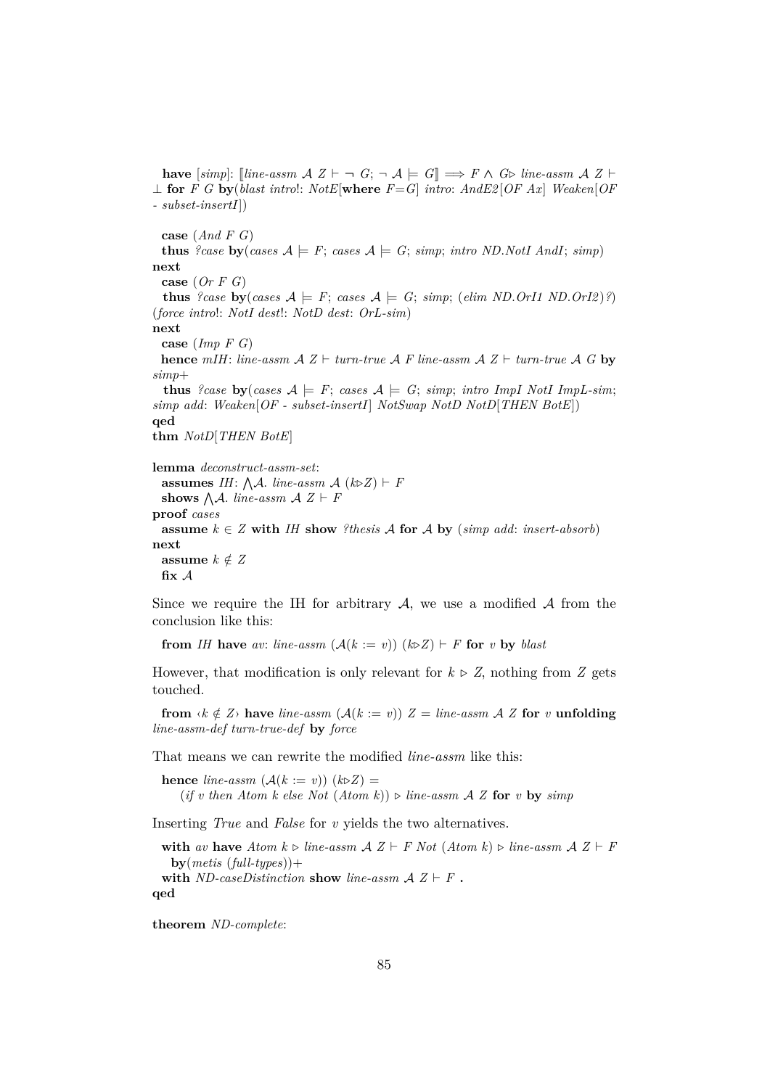**have**  $[simp]:$  [*line-assm*  $A \, Z \vdash \neg G; \neg A \models G$ ]  $\Longrightarrow F \wedge G \triangleright$  *line-assm*  $A \, Z \vdash$ ⊥ **for** *F G* **by**(*blast intro*!: *NotE*[**where** *F*=*G*] *intro*: *AndE2* [*OF Ax*] *Weaken*[*OF - subset-insertI*])

**case** (*And F G*) **thus** *?case* **by**(*cases*  $A \models F$ ; *cases*  $A \models G$ ; *simp*; *intro ND.NotI AndI*; *simp*) **next case** (*Or F G*) **thus** *?case* **by**(*cases*  $A \models F$ ; *cases*  $A \models G$ ; *simp*; (*elim ND.OrI1 ND.OrI2*)*?*) (*force intro*!: *NotI dest*!: *NotD dest*: *OrL-sim*) **next case** (*Imp F G*) **hence**  $m$ *IH*: *line-assm*  $A Z \vdash turn$ *-true*  $A F$  *line-assm*  $A Z \vdash turn$ *-true*  $A G$  **by** *simp*+ **thus** *?case* **by**(*cases*  $A \models F$ ; *cases*  $A \models G$ ; *simp*; *intro ImpI NotI ImpL-sim*; *simp add*: *Weaken*[*OF - subset-insertI*] *NotSwap NotD NotD*[*THEN BotE*]) **qed thm** *NotD*[*THEN BotE*] **lemma** *deconstruct-assm-set*: **assumes** *IH*:  $\bigwedge A$ . *line-assm*  $A$  ( $k\triangleright Z$ )  $\vdash$  *F* **shows**  $\bigwedge A$ *. line-assm*  $A Z \vdash F$ **proof** *cases* **assume**  $k \in \mathbb{Z}$  **with** *IH* **show** *?thesis A* **for** *A* by (*simp add: insert-absorb*) **next** assume  $k \notin Z$ **fix** A

Since we require the IH for arbitrary  $A$ , we use a modified  $A$  from the conclusion like this:

**from** *IH* have *av*: *line-assm*  $(A(k := v))$   $(k\triangleright Z) \vdash F$  for *v* by *blast* 

However, that modification is only relevant for  $k \triangleright Z$ , nothing from *Z* gets touched.

**from**  $\langle k \notin Z \rangle$  have *line-assm*  $(A(k := v))$   $Z = line\text{-}assm$   $A Z$  for *v* **unfolding** *line-assm-def turn-true-def* **by** *force*

That means we can rewrite the modified *line-assm* like this:

**hence** *line-assm*  $(A(k := v)) (k\triangleright Z) =$  $(f \text{ } v \text{ } \text{ } then \text{ } Atom \text{ } k \text{ } \text{ } else \text{ } Not \text{ } (Atom \text{ } k)) \triangleright line\text{-}assm \text{ } \mathcal{A} \text{ } Z \text{ for } v \text{ } \text{ } b \text{ } y \text{ } simp.$ 

Inserting *True* and *False* for *v* yields the two alternatives.

**with** av have  $Atom \> line\text{-}assm \< Z \vdash F$  Not  $(Atom \> line\text{-}assm \< Z \vdash F$ **by**(*metis* (*full-types*))+ **with** *ND-caseDistinction* **show** *line-assm*  $A Z \vdash F$ . **qed**

**theorem** *ND-complete*: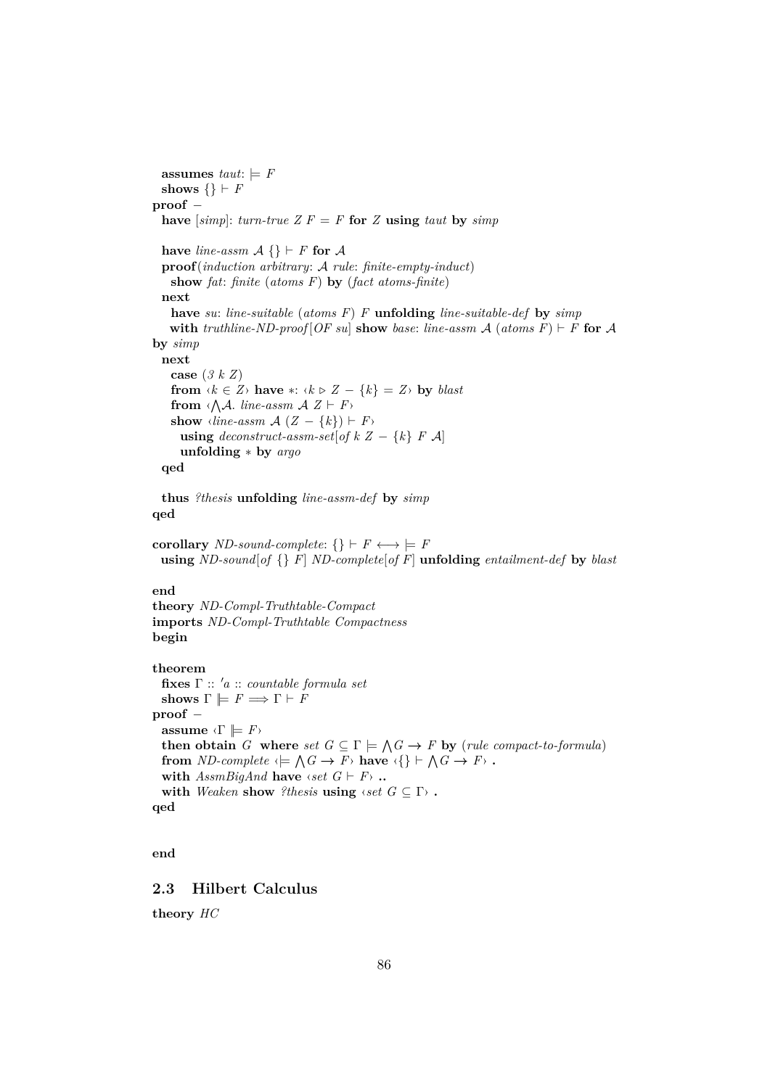```
assumes taut: \vDash Fshows \{\} \vdash Fproof −
  have [simp]: turn-true Z F = F for Z using taut by simp
 have line-assm A \{\} \vdash F for Aproof(induction arbitrary: A rule: finite-empty-induct)
    show fat: finite (atoms F) by (fact atoms-finite)
  next
    have su: line-suitable (atoms F) F unfolding line-suitable-def by simp
   with truthline-ND-proof [OF su] show base: line-assm \mathcal{A} (atoms F) \vdash F for \mathcal{A}by simp
  next
    case (3 k Z)
    from \langle k \in \mathbb{Z} \rangle have *: \langle k \triangleright \mathbb{Z} - \{k\} = \mathbb{Z} \rangle by blast
    from \langle \bigwedge A. line-assm A Z \vdash Fshow \langle line\text{-}assm\mathcal{A}(Z - \{k\}) \vdash F \rangleusing deconstruct\text{-}assm\text{-}set[of k Z - \{k\} F \mathcal{A}]unfolding ∗ by argo
  qed
  thus ?thesis unfolding line-assm-def by simp
qed
corollary ND-sound-complete: \{\} \vdash F \longleftrightarrow \models Fusing ND-sound[of {} F] ND-complete[of F] unfolding entailment-def by blast
end
theory ND-Compl-Truthtable-Compact
imports ND-Compl-Truthtable Compactness
begin
theorem
 fixes Γ :: 0a :: countable formula set
  shows \Gamma \models F \Longrightarrow \Gamma \vdash Fproof −
  assume \langle \Gamma \rangle \models F \ranglethen obtain G where set G \subseteq \Gamma \models \bigwedge G \rightarrow F by (rule compact-to-formula)
  from ND-complete \langle \models \bigwedge G \to F \rangle have \langle \{\} \models \bigwedge G \to F \rangle .
  with AssmBigAnd have \langle set \ G \vdash F \rangle ..
  with Weaken show ?thesis using \langle set \ G \subseteq \Gamma \rangle.
qed
```

```
end
```
# **2.3 Hilbert Calculus**

**theory** *HC*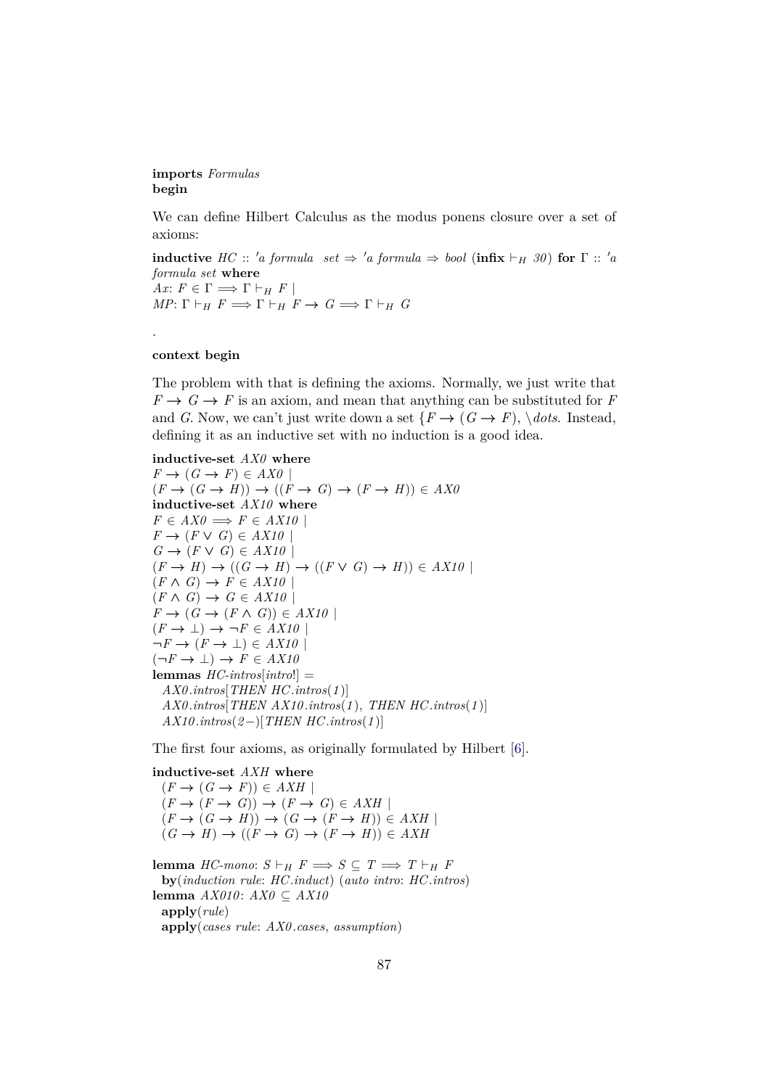### **imports** *Formulas* **begin**

We can define Hilbert Calculus as the modus ponens closure over a set of axioms:

**inductive**  $HC :: 'a$  formula set  $\Rightarrow 'a$  formula  $\Rightarrow$  bool (**infix**  $\vdash_H 30$ ) for  $\Gamma :: 'a$ *formula set* **where**  $Ax: F \in \Gamma \Longrightarrow \Gamma \vdash_H F$  $MP: \Gamma \vdash_H F \Longrightarrow \Gamma \vdash_H F \rightarrow G \Longrightarrow \Gamma \vdash_H G$ 

#### **context begin**

.

The problem with that is defining the axioms. Normally, we just write that  $F \rightarrow G \rightarrow F$  is an axiom, and mean that anything can be substituted for *F* and *G*. Now, we can't just write down a set  $\{F \to (G \to F), \,\,\forall \text{dots} \,\,\text{Instead},\}$ defining it as an inductive set with no induction is a good idea.

```
inductive-set AX0 where
F \to (G \to F) \in AXO
```

```
(F \to (G \to H)) \to ((F \to G) \to (F \to H)) \in AXOinductive-set AX10 where
F \in AXO \Longrightarrow F \in AX10F \rightarrow (F \vee G) \in AX10G \rightarrow (F \vee G) \in AX10(F \to H) \to ((G \to H) \to ((F \lor G) \to H)) \in AX10(F \wedge G) \rightarrow F \in AX10(F \wedge G) \rightarrow G \in AX10F \to (G \to (F \land G)) \in AX10(F \to \bot) \to \neg F \in AX10\neg F \rightarrow (F \rightarrow \bot) \in AX10(\neg F \rightarrow \bot) \rightarrow F \in AX10lemmas HC-intros[intro!] =
  AX0 .intros[THEN HC.intros(1 )]
  AX0 .intros[THEN AX10 .intros(1 ), THEN HC.intros(1 )]
  AX10 .intros(2−)[THEN HC.intros(1 )]
```
The first four axioms, as originally formulated by Hilbert [\[6\]](#page-140-1).

**inductive-set** *AXH* **where**  $(F \to (G \to F)) \in AXH$  $(F \to (F \to G)) \to (F \to G) \in AXH$  $(F \to (G \to H)) \to (G \to (F \to H)) \in AXH$  $(G \rightarrow H) \rightarrow ((F \rightarrow G) \rightarrow (F \rightarrow H)) \in AXH$ 

**lemma** *HC-mono*: *S*  $\vdash$ <sub>*H*</sub> *F*  $\implies$  *S* ⊆ *T*  $\implies$  *T*  $\vdash$ <sub>*H*</sub> *F* **by**(*induction rule*: *HC*.*induct*) (*auto intro*: *HC*.*intros*) **lemma** *AX010* : *AX0* ⊆ *AX10* **apply**(*rule*) **apply**(*cases rule*: *AX0* .*cases*, *assumption*)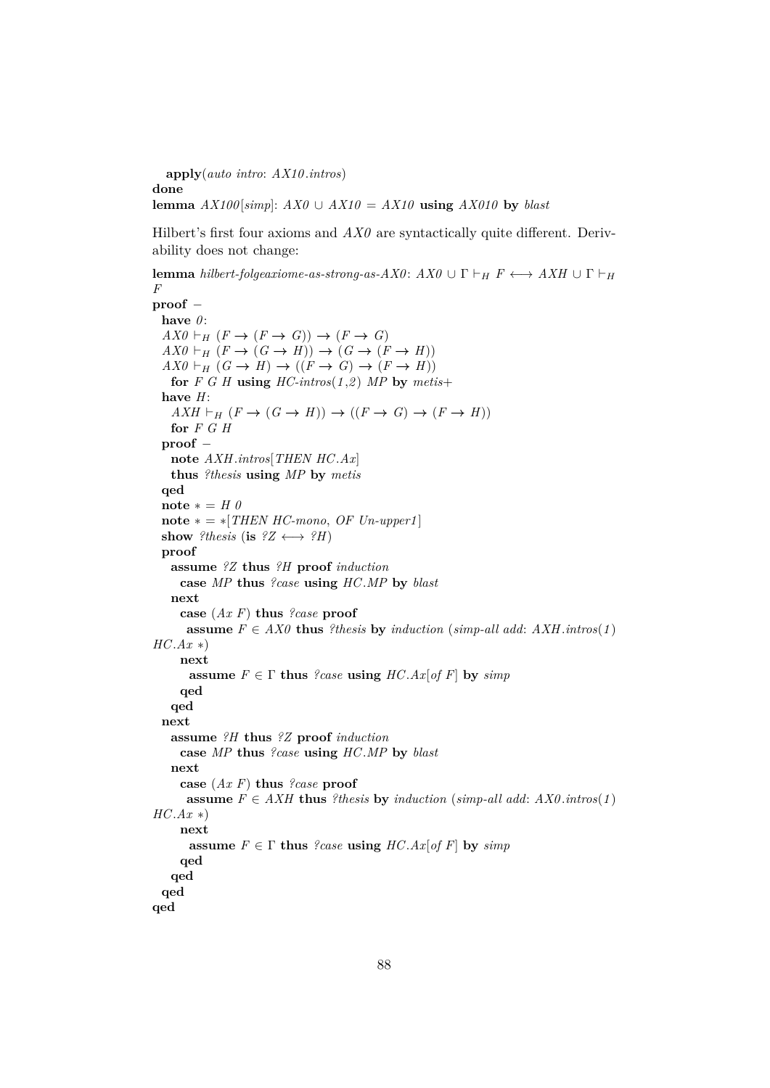**apply**(*auto intro*: *AX10* .*intros*) **done lemma**  $AX100[simp]: AX0 \cup AX10 = AX10$  **using**  $AX010$  by *blast* 

Hilbert's first four axioms and  $AX\theta$  are syntactically quite different. Derivability does not change:

**lemma** *hilbert-folgeaxiome-as-strong-as-AX0* :  $AX0 \cup \Gamma \vdash_H F \longleftrightarrow AXH \cup \Gamma \vdash_H$ *F*

```
proof −
 have 0 :
 AX0 \vdash_H (F \to (F \to G)) \to (F \to G)AX0 \vdash_H (F \to (G \to H)) \to (G \to (F \to H))AX0 \vdash_H (G \to H) \to ((F \to G) \to (F \to H))for F G H using HC\text{-}intros(1,2) MP by metis+have H:
   AXH \vdash_H (F \to (G \to H)) \to ((F \to G) \to (F \to H))for F G H
 proof −
   note AXH.intros[THEN HC.Ax]
   thus ?thesis using MP by metis
 qed
 \textbf{note} * = H \thetanote * = *[THEN HC{\text -}mono, OF{\text -}Un{\text -}upper1]show ?thesis (is ?Z \leftrightarrow ?H)
 proof
   assume ?Z thus ?H proof induction
    case MP thus ?case using HC.MP by blast
   next
    case (Ax F) thus ?case proof
     assume F \in AXO thus ?thesis by induction (simp-all add: AXH.intros(1)
HC.Ax ∗)
    next
      assume F \in \Gamma thus ?case using HC.Ax[of F] by simpqed
   qed
 next
   assume ?H thus ?Z proof induction
    case MP thus ?case using HC.MP by blast
   next
    case (Ax F) thus ?case proof
     assume F \in AXH thus ?thesis by induction (simp-all add: AX0.intros(1)
HC.Ax ∗)
    next
      assume F \in \Gamma thus ?case using HC.Ax[of F] by simpqed
   qed
 qed
qed
```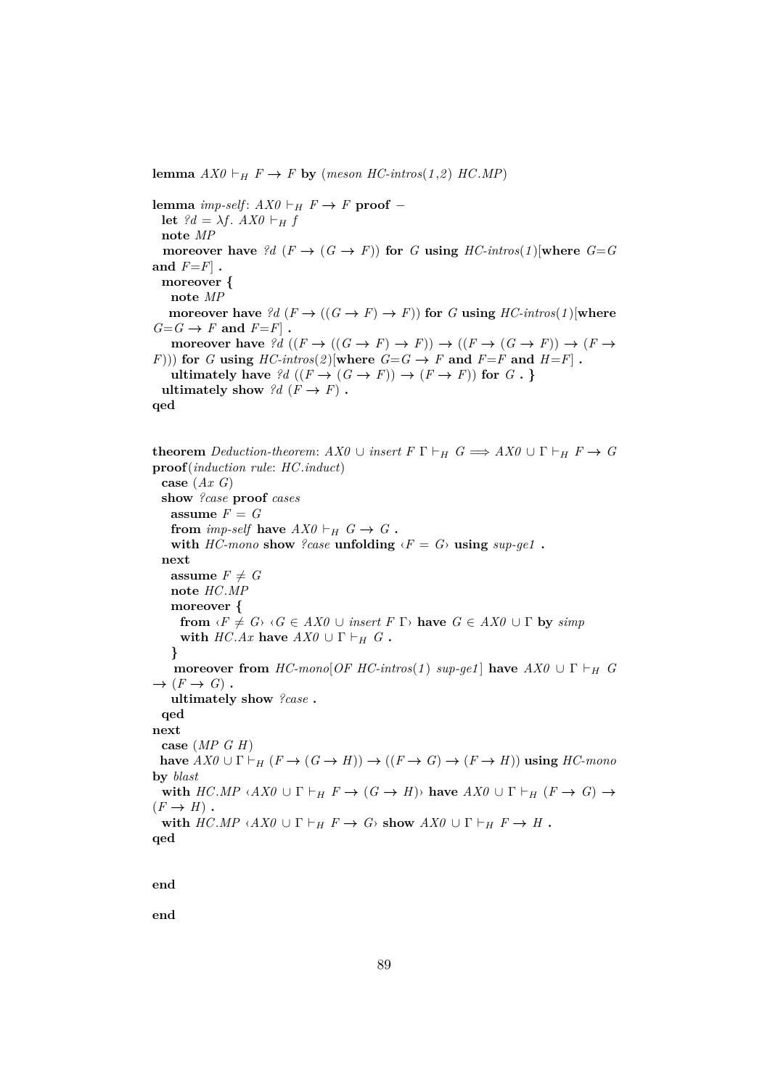**lemma**  $AX0 \vdash_H F \rightarrow F$  **by** (*meson HC-intros*(1,2) *HC*.*MP*)

**lemma** *imp-self*:  $AX0$  ⊢<sub>H</sub>  $F \rightarrow F$  **proof** − **let**  $?d = \lambda f$ .  $AX0 \vdash_H f$ **note** *MP* **moreover have** *?d* ( $F \rightarrow (G \rightarrow F)$ ) **for** *G* **using** *HC-intros*(*1*)[where *G*=*G* **and** *F*=*F*] **. moreover { note** *MP* **moreover have**  $?d$  ( $F \rightarrow ((G \rightarrow F) \rightarrow F)$ ) for *G* **using** *HC-intros*(*1*)[where  $G = G \rightarrow F$  and  $F = F$ . **moreover have**  $?d$   $((F \to ((G \to F) \to F)) \to ((F \to (G \to F)) \to (F \to$ *F*))) for *G* **using**  $HC\text{-}intros(2)$ [where  $G = G \rightarrow F$  and  $F = F$  and  $H = F$ ]. **ultimately have**  $?d$  ( $(F \rightarrow (G \rightarrow F)) \rightarrow (F \rightarrow F))$  for  $G \cdot$ } **ultimately show**  $?d$  ( $F \rightarrow F$ ). **qed**

**theorem** *Deduction-theorem:*  $AX0 \cup insert F \Gamma \vdash_H G \Longrightarrow AX0 \cup \Gamma \vdash_H F \rightarrow G$ **proof**(*induction rule*: *HC*.*induct*) **case** (*Ax G*) **show** *?case* **proof** *cases* **assume**  $F = G$ **from** *imp-self* **have**  $AX0 \vdash_H G \to G$ . **with** *HC-mono* **show** *?case* **unfolding**  $\langle F = G \rangle$  **using**  $\sup \varphi qe1$ . **next assume**  $F \neq G$ **note** *HC*.*MP* **moreover { from**  $\langle F \neq G \rangle$   $\langle G \in AXO \cup insert F \Gamma \rangle$  have  $G \in AXO \cup \Gamma$  by  $simp$ **with**  $HC.Ax$  have  $AX0 \cup \Gamma \vdash_H G$ . **} moreover from**  $HC$ -mono $[OF \, HC$ -intros $(1) \, supp\text{-}gel]$  have  $AX0 \cup \Gamma \vdash_H G$  $\rightarrow$   $(F \rightarrow G)$ . **ultimately show** *?case* **. qed next case** (*MP G H*)  $\textbf{have } A X0 \cup \Gamma \vdash_H (F \to (G \to H)) \to ((F \to G) \to (F \to H)) \text{ using } HC\text{-monot}$ **by** *blast* with  $HC.MP \langle AXO \cup \Gamma \vdash_H F \rightarrow (G \rightarrow H) \rangle$  have  $AXO \cup \Gamma \vdash_H (F \rightarrow G) \rightarrow$  $(F \rightarrow H)$ . with  $HC.MP \langle AXO \cup \Gamma \vdash_H F \to G \rangle$  show  $AXO \cup \Gamma \vdash_H F \to H$ . **qed**

**end**

**end**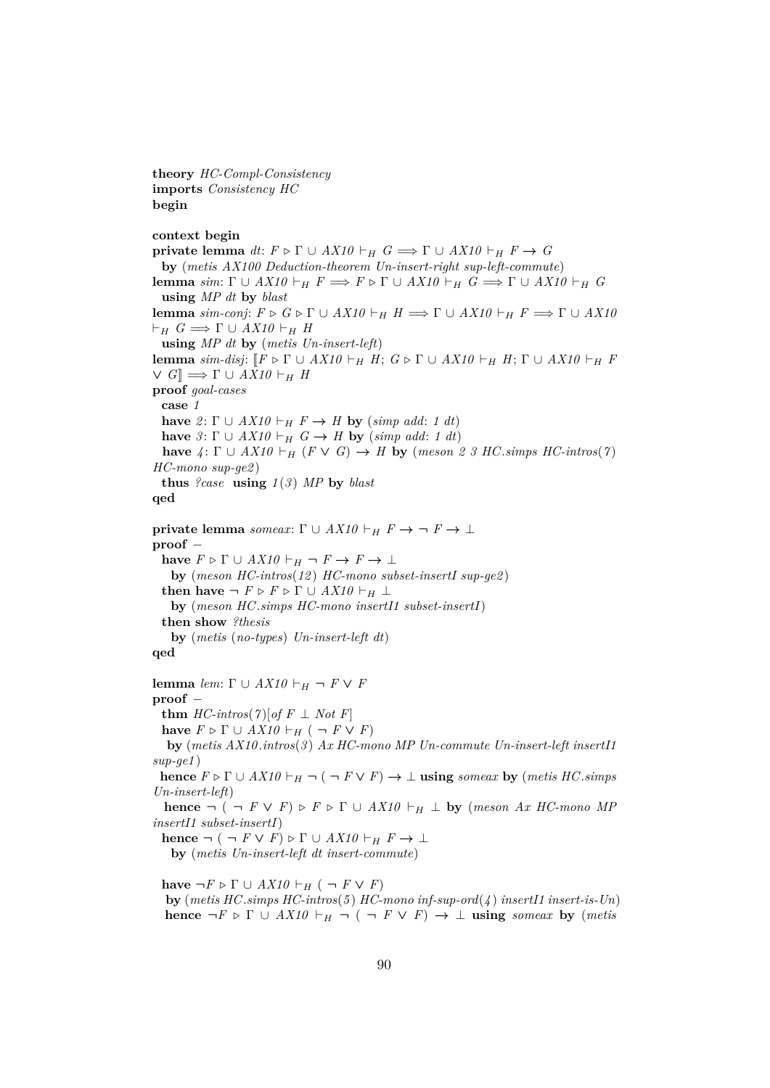**theory** *HC-Compl-Consistency* **imports** *Consistency HC* **begin**

### **context begin**

**private lemma**  $dt: F \triangleright \Gamma \cup AX10 \vdash_H G \Longrightarrow \Gamma \cup AX10 \vdash_H F \rightarrow G$ **by** (*metis AX100 Deduction-theorem Un-insert-right sup-left-commute*) **lemma** *sim*:  $\Gamma \cup AX10 \vdash_H F \Longrightarrow F \triangleright \Gamma \cup AX10 \vdash_H G \Longrightarrow \Gamma \cup AX10 \vdash_H G$ **using** *MP dt* **by** *blast* **lemma** *sim-conj*:  $F \triangleright G \triangleright \Gamma \cup AX10 \vdash_H H \Longrightarrow \Gamma \cup AX10 \vdash_H F \Longrightarrow \Gamma \cup AX10$  $\vdash_H G \Longrightarrow \Gamma \cup AX10 \vdash_H H$ **using** *MP dt* **by** (*metis Un-insert-left*) **lemma** *sim-disj*:  $\llbracket F \triangleright \Gamma \cup AX10 \vdash_H H$ ;  $G \triangleright \Gamma \cup AX10 \vdash_H H$ ;  $\Gamma \cup AX10 \vdash_H F$  $\vee$  *G*]  $\implies$   $\Gamma$   $\cup$  *AX10*  $\vdash$  *H H* **proof** *goal-cases* **case** *1* **have** 2:  $\Gamma \cup AX10 \vdash_H F \rightarrow H$  **by** (*simp add: 1 dt*) **have**  $\beta$ :  $\Gamma$   $\cup$   $AX10 \vdash_H G \rightarrow H$  **by** (*simp add*: 1 *dt*) **have**  $4: \Gamma \cup AX10 \vdash_H (F \vee G) \rightarrow H$  **by** (*meson 2 3 HC.simps HC-intros*(7) *HC-mono sup-ge2* ) **thus**  $?case$  **using**  $1(3)$  *MP* by *blast* **qed private lemma** *someax*: Γ ∪  $AX10 \vdash_H F \to \neg F \to \bot$ **proof** − **have**  $F \triangleright \Gamma \cup AX10 \vdash_H \neg F \rightarrow F \rightarrow \bot$ **by** (*meson HC-intros*(*12* ) *HC-mono subset-insertI sup-ge2* ) **then have**  $\neg$   $F \triangleright F \triangleright \Gamma \cup AX10 \vdash_H \bot$ **by** (*meson HC*.*simps HC-mono insertI1 subset-insertI*) **then show** *?thesis* **by** (*metis* (*no-types*) *Un-insert-left dt*) **qed lemma** *lem*:  $\Gamma \cup AX10 \vdash_H \neg F \vee F$ **proof** − **thm**  $HC\text{-}intros(7)[of F \perp Not F]$ **have**  $F \triangleright \Gamma \cup AX10 \vdash_H (\neg F \vee F)$ **by** (*metis AX10* .*intros*(*3* ) *Ax HC-mono MP Un-commute Un-insert-left insertI1 sup-ge1* ) **hence**  $F \triangleright \Gamma \cup AX10 \vdash_H \neg (\neg F \vee F) \rightarrow \bot$  **using** *someax* **by** (*metis HC*.*simps Un-insert-left*) **hence**  $\neg$  ( $\neg$  *F*  $\vee$  *F*)  $\triangleright$  *F*  $\triangleright$   $\Gamma$   $\cup$  *AX10*  $\vdash$ <sub>*H*</sub>  $\perp$  **by** (*meson Ax HC-mono MP insertI1 subset-insertI*)

**hence**  $\neg (\neg F \lor F) \triangleright \Gamma \cup AX10 \vdash_H F \rightarrow \bot$ **by** (*metis Un-insert-left dt insert-commute*)

**have**  $\neg F \triangleright \Gamma \cup AX10 \vdash_H (\neg F \vee F)$ **by** (*metis HC*.*simps HC-intros*(*5* ) *HC-mono inf-sup-ord*(*4* ) *insertI1 insert-is-Un*) **hence**  $\neg F \triangleright \Gamma \cup AX10 \vdash_H \neg (\neg F \vee F) \rightarrow \bot$  **using** *someax* **by** (*metis*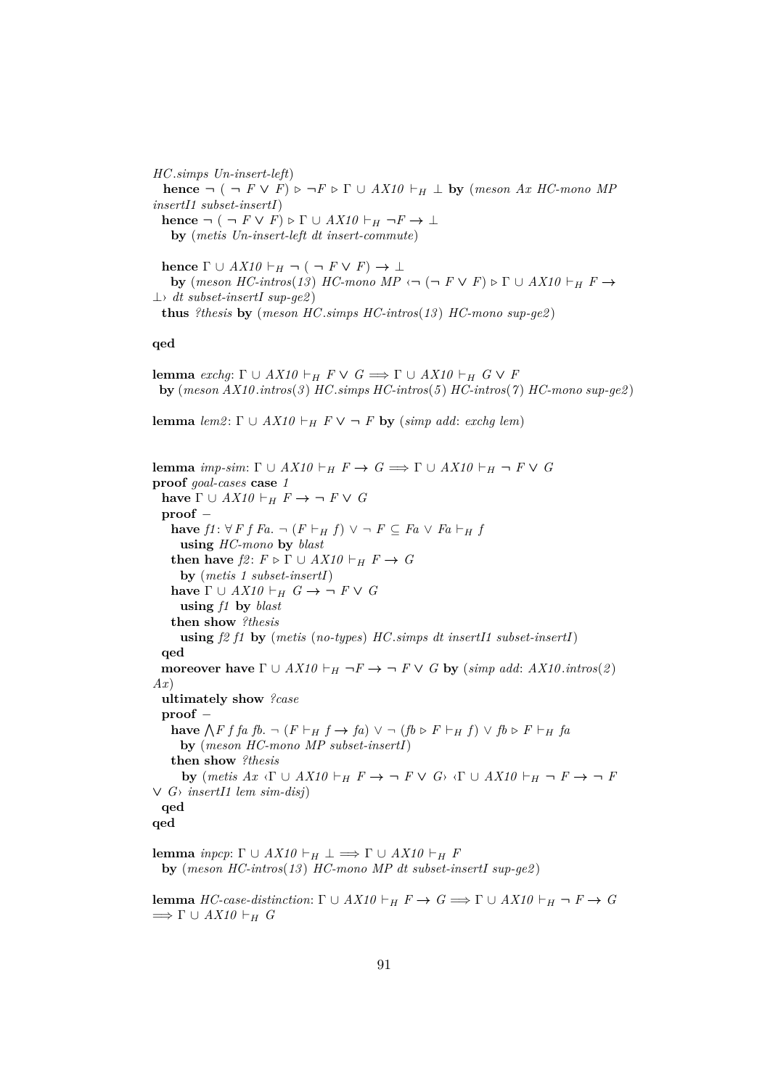*HC*.*simps Un-insert-left*) **hence**  $\neg$  (  $\neg$  *F* ∨ *F*)  $\triangleright$   $\neg$ *F*  $\triangleright$   $\Gamma$  ∪ *AX10*  $\vdash$ <sub>*H*</sub> ⊥ **by** (*meson Ax HC-mono MP insertI1 subset-insertI*) **hence**  $\neg (\neg F \lor F) \triangleright \Gamma \cup AX10 \vdash_H \neg F \rightarrow \bot$ **by** (*metis Un-insert-left dt insert-commute*) **hence**  $\Gamma \cup AX10 \vdash_H \neg (\neg F \lor F) \rightarrow \bot$ **by**  $(meson \ HC\text{-}intros(13) \ HC\text{-}mono \ MP \ \leftarrow \ (\neg F \lor F) \triangleright \Gamma \cup AX10 \vdash_H F \rightarrow$ 

⊥› *dt subset-insertI sup-ge2* ) **thus** *?thesis* **by** (*meson HC*.*simps HC-intros*(*13* ) *HC-mono sup-ge2* )

**qed**

**lemma** *exchg*:  $\Gamma \cup AX10 \vdash_H F \vee G \Longrightarrow \Gamma \cup AX10 \vdash_H G \vee F$ **by** (*meson AX10* .*intros*(*3* ) *HC*.*simps HC-intros*(*5* ) *HC-intros*(*7* ) *HC-mono sup-ge2* )

**lemma**  $lem2: \Gamma \cup AX10 \vdash_H F \vee \neg F$  **by** (*simp add: exchg lem*)

**lemma** *imp-sim*:  $\Gamma \cup AX10 \vdash_H F \rightarrow G \Longrightarrow \Gamma \cup AX10 \vdash_H \neg F \vee G$ **proof** *goal-cases* **case** *1* **have**  $\Gamma \cup AX10 \vdash_H F \to \neg F \vee G$ **proof** − **have**  $f1: \forall F f Fa. \neg (F ⊢ H f) \vee \neg F ⊆ Fa \vee Fa ⊢ H f$ **using** *HC-mono* **by** *blast* **then have**  $f2: F \triangleright \Gamma \cup AX10 \vdash_H F \rightarrow G$ **by** (*metis 1 subset-insertI*) **have**  $\Gamma \cup AX10 \vdash_H G \rightarrow \neg F \vee G$ **using** *f1* **by** *blast* **then show** *?thesis* **using** *f2 f1* **by** (*metis* (*no-types*) *HC*.*simps dt insertI1 subset-insertI*) **qed moreover have**  $\Gamma \cup AX10 \vdash_H \neg F \rightarrow \neg F \vee G$  **by** (*simp add: AX10.intros*(*2*) *Ax*) **ultimately show** *?case* **proof** − **have**  $\bigwedge$  *F f fa fb*. ¬ (*F*  $\vdash$ *H f* → *fa*) ∨ ¬ (*fb* ⊳ *F*  $\vdash$ *H f*) ∨ *fb* ⊳ *F*  $\vdash$ *H fa* **by** (*meson HC-mono MP subset-insertI*) **then show** *?thesis* **by**  $(metis Ax \triangleleft \Gamma \cup AX10 \vdash_H F \rightarrow \neg F \vee G$ <sup>,</sup>  $\triangleleft \Gamma \cup AX10 \vdash_H \neg F \rightarrow \neg F$ ∨ *G*› *insertI1 lem sim-disj*) **qed qed lemma** *inpcp*:  $\Gamma \cup AX10 \vdash_H \bot \Longrightarrow \Gamma \cup AX10 \vdash_H F$ 

**by** (*meson HC-intros*(*13* ) *HC-mono MP dt subset-insertI sup-ge2* )

**lemma** *HC-case-distinction*:  $\Gamma \cup AX10 \vdash_H F \rightarrow G \Longrightarrow \Gamma \cup AX10 \vdash_H \neg F \rightarrow G$  $\implies \Gamma \cup AX10 \vdash_H G$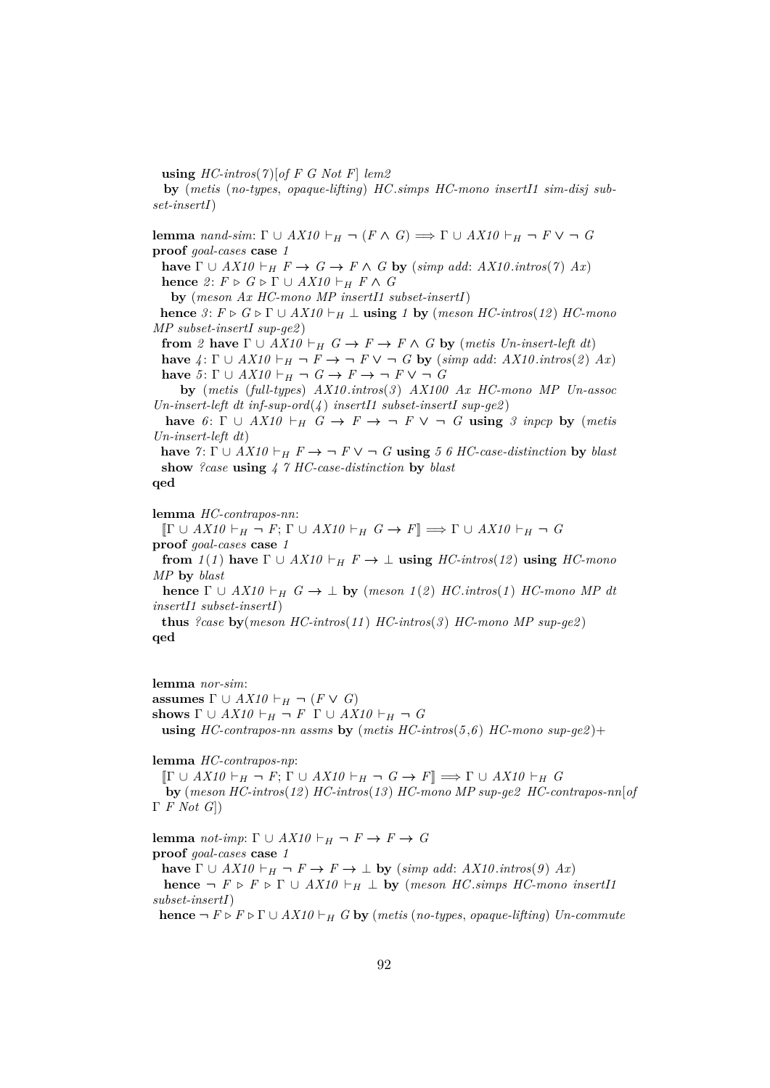**using** *HC-intros*(*7* )[*of F G Not F*] *lem2*

**by** (*metis* (*no-types*, *opaque-lifting*) *HC*.*simps HC-mono insertI1 sim-disj subset-insertI*)

**lemma** *nand-sim*:  $\Gamma \cup AX10 \vdash_H \neg (F \wedge G) \Longrightarrow \Gamma \cup AX10 \vdash_H \neg F \vee \neg G$ **proof** *goal-cases* **case** *1*

**have**  $\Gamma \cup AX10 \vdash_H F \rightarrow G \rightarrow F \wedge G$  by (*simp add: AX10.intros*(*7*) *Ax*) **hence** 2:  $F \triangleright G \triangleright \Gamma \cup AX10 \vdash_H F \wedge G$ 

**by** (*meson Ax HC-mono MP insertI1 subset-insertI*)

**hence**  $3: F \triangleright G \triangleright \Gamma \cup AX10 \vdash_H \bot$  **using** 1 **by** (*meson HC-intros*(12) *HC-mono MP subset-insertI sup-ge2* )

**from** 2 **have**  $\Gamma \cup AX10 \vdash_H G \to F \to F \wedge G$  **by** (*metis Un-insert-left dt*)

**have**  $4: \Gamma \cup AX10 \vdash_H \neg F \rightarrow \neg F \vee \neg G$  by (*simp add: AX10.intros*(2) Ax) **have**  $5: \Gamma \cup AX10 \vdash_H \neg G \rightarrow F \rightarrow \neg F \vee \neg G$ 

**by** (*metis* (*full-types*) *AX10* .*intros*(*3* ) *AX100 Ax HC-mono MP Un-assoc Un-insert-left dt inf-sup-ord*(*4* ) *insertI1 subset-insertI sup-ge2* )

**have**  $6: \Gamma \cup AX10 \vdash_H G \rightarrow F \rightarrow \neg F \vee \neg G$  **using** 3 inpcp **by** (metis *Un-insert-left dt*)

**have**  $\gamma: \Gamma \cup AX10 \vdash_H F \rightarrow \neg F \vee \neg G$  **using** 5 6 HC-case-distinction **by** blast **show** *?case* **using** *4 7 HC-case-distinction* **by** *blast*

**qed**

**lemma** *HC-contrapos-nn*:

 $[\![ \Gamma \cup AX10 \vdash_H \neg F ; \Gamma \cup AX10 \vdash_H G \rightarrow F ]\!] \Longrightarrow \Gamma \cup AX10 \vdash_H \neg G$ **proof** *goal-cases* **case** *1*

**from**  $1(1)$  have  $\Gamma \cup AX10 \vdash_H F \rightarrow \bot$  **using**  $HC\text{-}intros(12)$  **using**  $HC\text{-}mono$ *MP* **by** *blast*

**hence**  $\Gamma \cup AX10 \vdash_H G \rightarrow \bot$  **by** (*meson 1*(2) *HC*.*intros*(1) *HC-mono MP dt insertI1 subset-insertI*)

**thus** *?case* **by**(*meson HC-intros*(*11* ) *HC-intros*(*3* ) *HC-mono MP sup-ge2* ) **qed**

**lemma** *nor-sim*: **assumes**  $\Gamma \cup AX10 \vdash_H \neg (F \vee G)$ shows  $\Gamma \cup AX10 \vdash_H \neg F \Gamma \cup AX10 \vdash_H \neg G$ **using** *HC-contrapos-nn assms* **by** (*metis HC-intros*(*5* ,*6* ) *HC-mono sup-ge2* )+

**lemma** *HC-contrapos-np*:

 $[\Gamma \cup AX10 \vdash_H \neg F; \Gamma \cup AX10 \vdash_H \neg G \rightarrow F] \Longrightarrow \Gamma \cup AX10 \vdash_H G$ **by** (*meson HC-intros*(*12* ) *HC-intros*(*13* ) *HC-mono MP sup-ge2 HC-contrapos-nn*[*of* Γ *F Not G*])

**lemma** *not-imp*:  $\Gamma \cup AX10 \vdash_H \neg F \rightarrow F \rightarrow G$ **proof** *goal-cases* **case** *1*

**have**  $\Gamma \cup AX10 \vdash_H \neg F \rightarrow F \rightarrow \bot$  **by** (*simp add: AX10.intros*(9) *Ax*) **hence**  $\neg$  *F*  $\triangleright$  *F*  $\cup$  *AX10*  $\vdash$  *H*  $\perp$  **by** (*meson HC.simps HC-mono insertI1 subset-insertI*)

**hence**  $\neg$   $F \triangleright F \triangleright \Gamma \cup AX10 \vdash_H G$  **by** (*metis* (*no-types, opaque-lifting*) *Un-commute*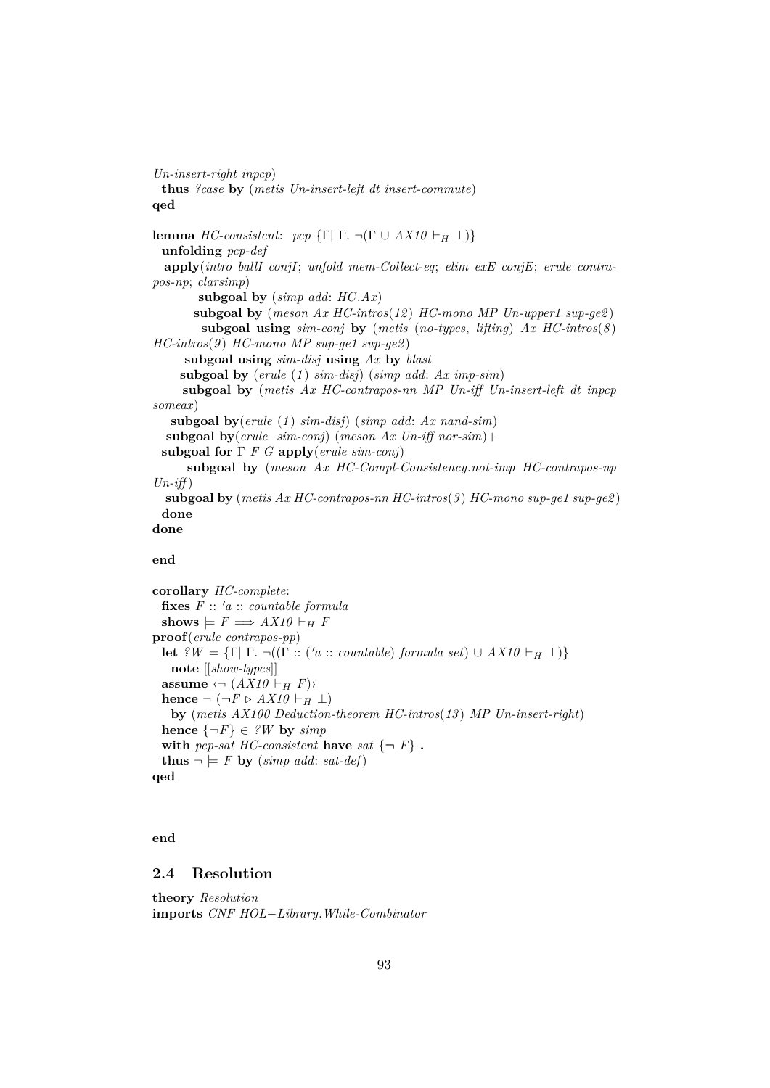*Un-insert-right inpcp*) **thus** *?case* **by** (*metis Un-insert-left dt insert-commute*) **qed lemma** *HC-consistent*: *pcp* {Γ| Γ. ¬(Γ ∪ *AX10*  $\vdash$ <sub>*H*</sub> ⊥)} **unfolding** *pcp-def* **apply**(*intro ballI conjI*; *unfold mem-Collect-eq*; *elim exE conjE*; *erule contrapos-np*; *clarsimp*) **subgoal by** (*simp add*: *HC*.*Ax*) **subgoal by** (*meson Ax HC-intros*(*12* ) *HC-mono MP Un-upper1 sup-ge2* ) **subgoal using** *sim-conj* **by** (*metis* (*no-types*, *lifting*) *Ax HC-intros*(*8* ) *HC-intros*(*9* ) *HC-mono MP sup-ge1 sup-ge2* ) **subgoal using** *sim-disj* **using** *Ax* **by** *blast* **subgoal by** (*erule* (*1* ) *sim-disj*) (*simp add*: *Ax imp-sim*) **subgoal by** (*metis Ax HC-contrapos-nn MP Un-iff Un-insert-left dt inpcp someax*) **subgoal by**(*erule* (*1* ) *sim-disj*) (*simp add*: *Ax nand-sim*) **subgoal by**(*erule sim-conj*) (*meson Ax Un-iff nor-sim*)+ **subgoal for** Γ *F G* **apply**(*erule sim-conj*) **subgoal by** (*meson Ax HC-Compl-Consistency*.*not-imp HC-contrapos-np*  $Un\text{-}if\uparrow$ **subgoal by** (*metis Ax HC-contrapos-nn HC-intros*(*3* ) *HC-mono sup-ge1 sup-ge2* ) **done done**

#### **end**

**corollary** *HC-complete*:  $f \mathbf{i} \mathbf{x}$ **es**  $F :: 'a :: countable formula$ shows  $\models F \Longrightarrow AX10 \vdash_H F$ **proof**(*erule contrapos-pp*) **let**  $\mathcal{L}W = \{\Gamma | \Gamma \cdot \neg((\Gamma :: ('a :: countable) \ formula \ set) \cup AX10 \vdash_H \bot)\}\$ **note** [[*show-types*]] **assume**  $\langle \neg (AX10 \vdash_H F) \rangle$ **hence**  $\neg$  ( $\neg$ *F* ⊳ *AX10*  $\vdash$ <sub>H</sub> ⊥) **by** (*metis AX100 Deduction-theorem HC-intros*(*13* ) *MP Un-insert-right*) **hence**  $\{\neg F\} \in \mathcal{W}$  **by**  $\text{simp}$ with *pcp-sat HC-consistent* have *sat*  $\{\neg F\}$ . **thus**  $\neg \models F$  **by** (*simp add: sat-def*) **qed**

### **end**

# **2.4 Resolution**

**theory** *Resolution* **imports** *CNF HOL*−*Library*.*While-Combinator*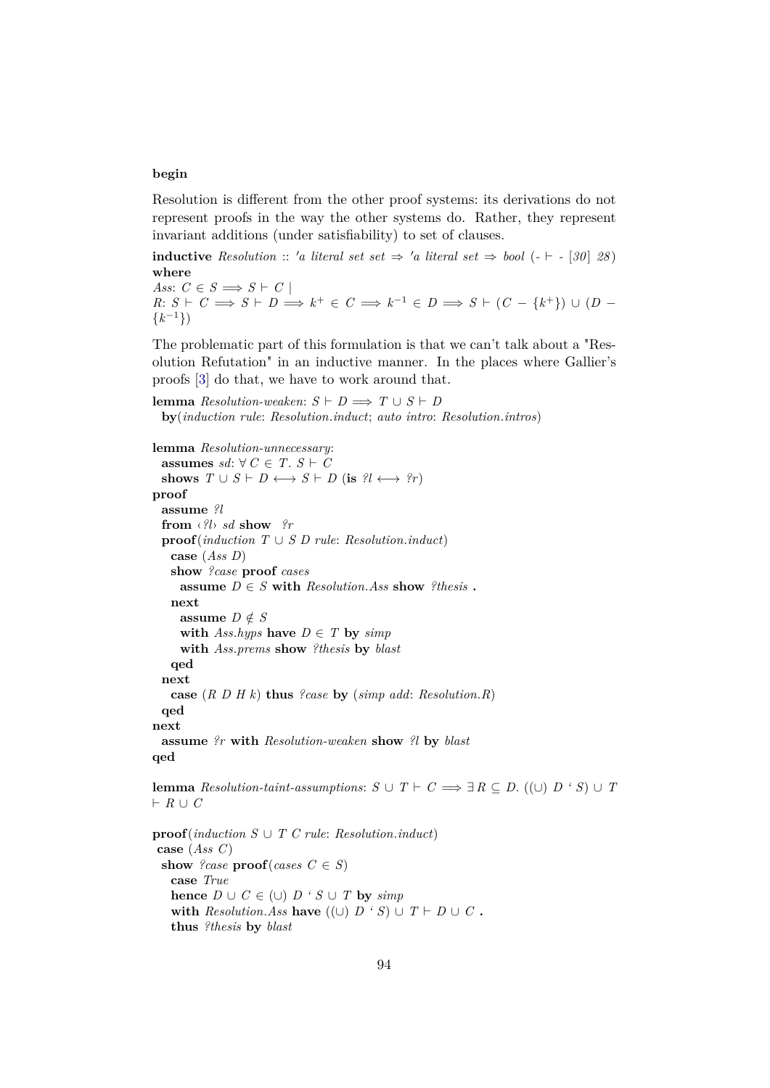## **begin**

Resolution is different from the other proof systems: its derivations do not represent proofs in the way the other systems do. Rather, they represent invariant additions (under satisfiability) to set of clauses.

**inductive** Resolution :: 'a literal set  $set \Rightarrow 'a$  literal set  $\Rightarrow$  bool ( $\cdot \vdash -[30]$  28) **where**

*Ass*:  $C \in S \implies S \vdash C$  $R: S \vdash C \Longrightarrow S \vdash D \Longrightarrow k^+ \in C \Longrightarrow k^{-1} \in D \Longrightarrow S \vdash (C - \{k^+\}) \cup (D - \{k^+\})$  $\{k^{-1}\}\$ 

The problematic part of this formulation is that we can't talk about a "Resolution Refutation" in an inductive manner. In the places where Gallier's proofs [\[3\]](#page-140-2) do that, we have to work around that.

**lemma**  $Resolution$ -weaken:  $S \vdash D \Longrightarrow T \cup S \vdash D$ **by**(*induction rule*: *Resolution*.*induct*; *auto intro*: *Resolution*.*intros*)

```
lemma Resolution-unnecessary:
 assumes sd: ∀ C ∈ T. S ⊢ Cshows T \cup S \vdash D \longleftrightarrow S \vdash D (is ?l \longleftrightarrow ?r)
proof
 assume ?l
 from ‹?l› sd show ?r
 proof(induction T \cup S \cup rule: Resolution.index)
   case (Ass D)
   show ?case proof cases
     assume D \in S with Resolution.Ass show ?thesis .
   next
    assume D \notin Swith Ass. hyps have D \in T by simpwith Ass.prems show ?thesis by blast
   qed
 next
   case (R D H k) thus ?case by (simp add: Resolution.R)
 qed
next
 assume ?r with Resolution-weaken show ?l by blast
qed
```
**lemma** Resolution-taint-assumptions:  $S \cup T \vdash C \Longrightarrow \exists R \subseteq D$ . ((∪)  $D \cdot S$ ) ∪ *T*  $F R \cup C$ 

**proof**(*induction S* ∪ *T C rule*: *Resolution*.*induct*) **case** (*Ass C*) **show** *?case*  $\textbf{proof}(cases \ C \in S)$ **case** *True* **hence**  $D \cup C \in (\cup)$   $D \cdot S \cup T$  **by** *simp* **with** *Resolution.Ass* **have**  $((\cup) D \cdot S) \cup T \vdash D \cup C$ . **thus** *?thesis* **by** *blast*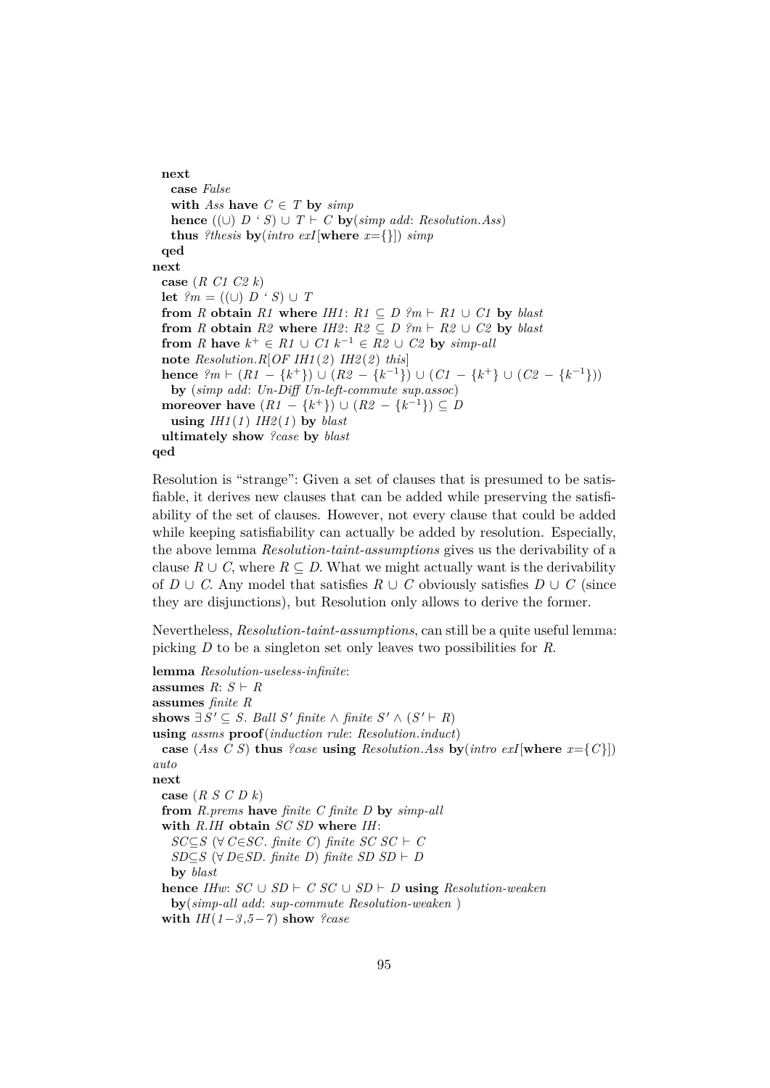**next case** *False* **with** *Ass* **have**  $C \in T$  **by**  $\text{simp}$ **hence**  $((\cup) D \cdot S) \cup T \vdash C$  **by**(*simp add: Resolution.Ass*) **thus** *?thesis* **by**(*intro exI*[**where**  $x = \{\}$ ]) *simp* **qed next case** (*R C1 C2 k*) **let**  $?m = ((\cup) D \cdot S) \cup T$ **from** *R* **obtain**  $R1$  **where**  $IHI$ :  $R1 \subseteq D$  ?m  $\vdash R1 \cup C1$  by *blast* **from** *R* **obtain**  $R2$  **where**  $I$ *H2*:  $R2 \subseteq D$  ?*m*  $\vdash$   $R2 \cup C2$  by *blast* **from** *R* **have**  $k^+ \in R1 \cup C1$   $k^{-1} \in R2 \cup C2$  **by** *simp-all* **note** *Resolution*.*R*[*OF IH1* (*2* ) *IH2* (*2* ) *this*] **hence**  $?m \vdash (R1 - \{k^+\}) \cup (R2 - \{k^{-1}\}) \cup (C1 - \{k^+\} \cup (C2 - \{k^{-1}\}))$ **by** (*simp add*: *Un-Diff Un-left-commute sup*.*assoc*) **moreover have**  $(R1 - \{k^+\}) \cup (R2 - \{k^{-1}\}) \subseteq D$ **using**  $IHI(1)$   $IH2(1)$  **by** *blast* **ultimately show** *?case* **by** *blast* **qed**

Resolution is "strange": Given a set of clauses that is presumed to be satisfiable, it derives new clauses that can be added while preserving the satisfiability of the set of clauses. However, not every clause that could be added while keeping satisfiability can actually be added by resolution. Especially, the above lemma *Resolution-taint-assumptions* gives us the derivability of a clause  $R \cup C$ , where  $R \subseteq D$ . What we might actually want is the derivability of *D* ∪ *C*. Any model that satisfies  $R$  ∪ *C* obviously satisfies  $D$  ∪ *C* (since they are disjunctions), but Resolution only allows to derive the former.

Nevertheless, *Resolution-taint-assumptions*, can still be a quite useful lemma: picking *D* to be a singleton set only leaves two possibilities for *R*.

```
lemma Resolution-useless-infinite:
```
**assumes**  $R: S \vdash R$ **assumes** *finite R* **shows**  $\exists S' \subseteq S$ . *Ball S' finite* ∧ *finite*  $S' \wedge (S' \vdash R)$ **using** *assms* **proof**(*induction rule*: *Resolution*.*induct*) **case** (*Ass C S*) **thus** *?case* **using** *Resolution.Ass* **by**(*intro exI*[where  $x = \{C\}\$ ] *auto* **next case** (*R S C D k*) **from** *R*.*prems* **have** *finite C finite D* **by** *simp-all* **with** *R*.*IH* **obtain** *SC SD* **where** *IH*: *SC*⊆*S* (∀ *C*∈*SC*. *finite C*) *finite SC*  $SC \vdash C$ *SD*⊆*S* ( $\forall$  *D*∈*SD*. *finite D*) *finite SD SD*  $\vdash$  *D* **by** *blast* **hence** *IHw*:  $SC \cup SD \vdash C$   $SC \cup SD \vdash D$  **using** *Resolution-weaken* **by**(*simp-all add*: *sup-commute Resolution-weaken* ) **with**  $IH(1-3,5-7)$  **show**  $?case$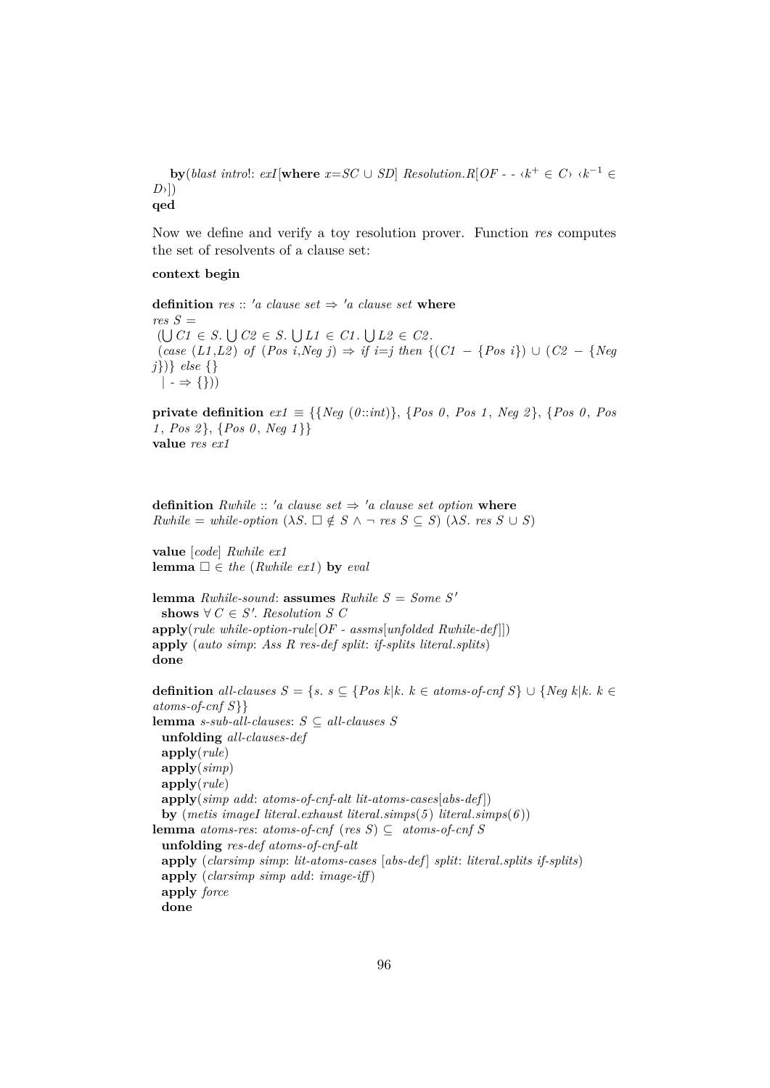**by**(*blast introl: exI*|where  $x = SC \cup SD$ | *Resolution.R*[ $OF - \cdot k^+ \in C$ <sup>}</sup>  $\cdot k^{-1} \in$ *D*›]) **qed**

Now we define and verify a toy resolution prover. Function *res* computes the set of resolvents of a clause set:

#### **context begin**

**definition** *res* :: 'a clause set  $\Rightarrow$  'a clause set where  $res S =$  $(\bigcup C1 \in S. \bigcup C2 \in S. \bigcup L1 \in C1. \bigcup L2 \in C2.$ (*case* (*L1* ,*L2* ) *of* (*Pos i*,*Neg j*) ⇒ *if i*=*j then* {(*C1* − {*Pos i*}) ∪ (*C2* − {*Neg j*})} *else* {}  $| \rightarrow \Rightarrow \{\})$ 

**private definition**  $ext{ext} \equiv \{ \{ Neg \ (0::int) \}, \{ Pos \ 0, Pos \ 1, Neg \ 2 \}, \{ Pos \ 0, Pos \ 2 \} \}$ *1* , *Pos 2* }, {*Pos 0* , *Neg 1* }} **value** *res ex1*

**definition** *Rwhile* :: 'a clause set  $\Rightarrow$  'a clause set option **where**  $Rwhile = while\text{-}option \ (\lambda S. \ \Box \notin S \ \land \ \neg \ res \ S \subseteq S) \ (\lambda S. \ res \ S \cup S)$ 

**value** [*code*] *Rwhile ex1* **lemma**  $\Box \in$  *the* (*Rwhile ex1*) **by** *eval* 

**lemma** *Rwhile-sound*: **assumes** *Rwhile*  $S = Some S'$ shows  $\forall C \in S'.$  *Resolution S C* **apply**(*rule while-option-rule*[*OF - assms*[*unfolded Rwhile-def* ]]) **apply** (*auto simp*: *Ass R res-def split*: *if-splits literal*.*splits*) **done**

**definition** *all-clauses S* = {*s*. *s* ⊆ {*Pos k*|*k*. *k* ∈ *atoms-of-cnf S*} ∪ {*Neg k*|*k*. *k* ∈ *atoms-of-cnf S*}} **lemma** *s-sub-all-clauses*: *S* ⊆ *all-clauses S* **unfolding** *all-clauses-def* **apply**(*rule*) **apply**(*simp*) **apply**(*rule*) **apply**(*simp add*: *atoms-of-cnf-alt lit-atoms-cases*[*abs-def* ]) **by** (*metis imageI literal*.*exhaust literal*.*simps*(*5* ) *literal*.*simps*(*6* )) **lemma** *atoms-res*: *atoms-of-cnf* (*res S*) ⊂ *atoms-of-cnf* S **unfolding** *res-def atoms-of-cnf-alt* **apply** (*clarsimp simp*: *lit-atoms-cases* [*abs-def* ] *split*: *literal*.*splits if-splits*) **apply** (*clarsimp simp add*: *image-iff* ) **apply** *force* **done**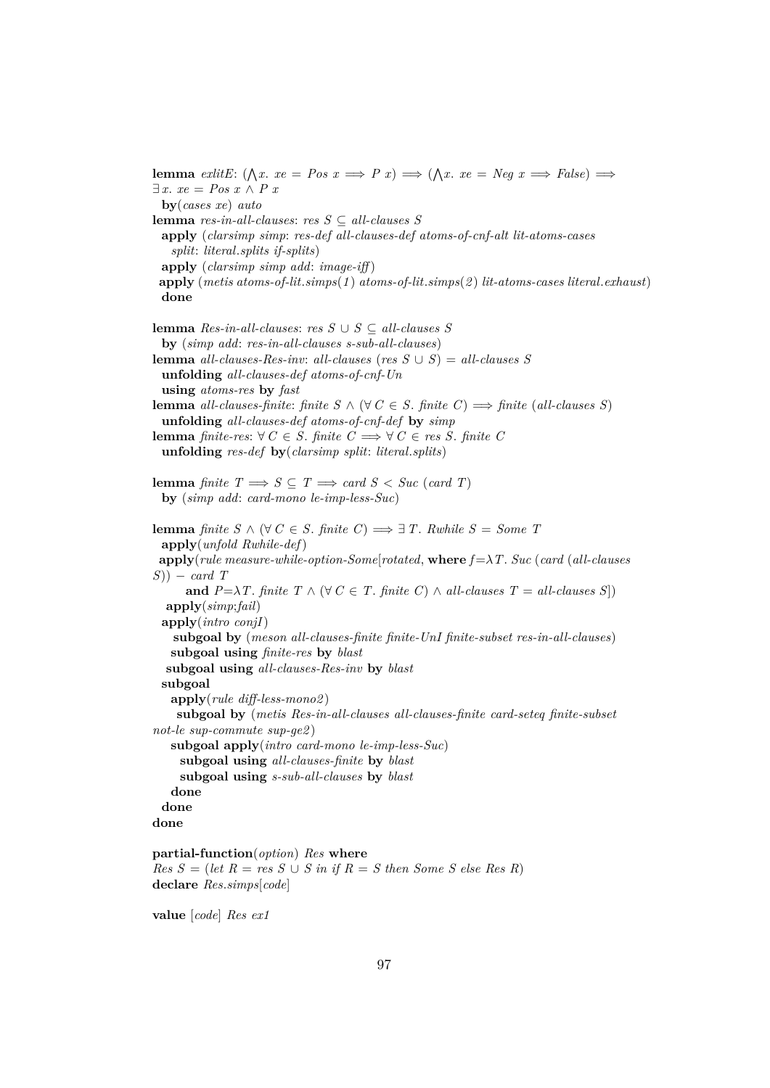**lemma** *exlitE*:  $(\bigwedge x \cdot xe = Pos x \implies P x) \implies (\bigwedge x \cdot xe = Neg x \implies False) \implies$ ∃ *x*. *xe* = *Pos x* ∧ *P x* **by**(*cases xe*) *auto* **lemma** *res-in-all-clauses*: *res S* ⊆ *all-clauses S* **apply** (*clarsimp simp*: *res-def all-clauses-def atoms-of-cnf-alt lit-atoms-cases split*: *literal*.*splits if-splits*) **apply** (*clarsimp simp add*: *image-iff* ) **apply** (*metis atoms-of-lit*.*simps*(*1* ) *atoms-of-lit*.*simps*(*2* ) *lit-atoms-cases literal*.*exhaust*) **done lemma** *Res-in-all-clauses*: *res S* ∪ *S* ⊆ *all-clauses S* **by** (*simp add*: *res-in-all-clauses s-sub-all-clauses*) **lemma** *all-clauses-Res-inv*: *all-clauses* (*res*  $S \cup S$ ) = *all-clauses*  $S$ **unfolding** *all-clauses-def atoms-of-cnf-Un* **using** *atoms-res* **by** *fast* **lemma** all-clauses-finite: finite  $S \wedge (\forall C \in S$ . finite  $C) \implies$  finite (all-clauses S) **unfolding** *all-clauses-def atoms-of-cnf-def* **by** *simp* **lemma** *finite-res*: ∀ *C* ∈ *S*. *finite C*  $\implies$  ∀ *C* ∈ *res S*. *finite C* **unfolding** *res-def* **by**(*clarsimp split*: *literal*.*splits*) **lemma** *finite*  $T \implies S \subseteq T \implies card S < Suc$  (*card T*) **by** (*simp add*: *card-mono le-imp-less-Suc*) **lemma** *finite*  $S \wedge (\forall C \in S$ *. finite*  $C) \Longrightarrow \exists T$ *. Rwhile*  $S = Some$  *T* **apply**(*unfold Rwhile-def*) **apply**(*rule measure-while-option-Some*[*rotated*, **where** *f* =λ*T*. *Suc* (*card* (*all-clauses S*)) − *card T* **and**  $P = \lambda T$ . *finite*  $T \wedge (\forall C \in T$ . *finite*  $C) \wedge all-clauses T = all-clauses S$ **apply**(*simp*;*fail*) **apply**(*intro conjI*) **subgoal by** (*meson all-clauses-finite finite-UnI finite-subset res-in-all-clauses*) **subgoal using** *finite-res* **by** *blast* **subgoal using** *all-clauses-Res-inv* **by** *blast* **subgoal apply**(*rule diff-less-mono2* ) **subgoal by** (*metis Res-in-all-clauses all-clauses-finite card-seteq finite-subset not-le sup-commute sup-ge2* ) **subgoal apply**(*intro card-mono le-imp-less-Suc*) **subgoal using** *all-clauses-finite* **by** *blast* **subgoal using** *s-sub-all-clauses* **by** *blast* **done done done partial-function**(*option*) *Res* **where**

 $Res S = (let R = res S \cup S in if R = S then Some S else Res R)$ **declare** *Res*.*simps*[*code*]

**value** [*code*] *Res ex1*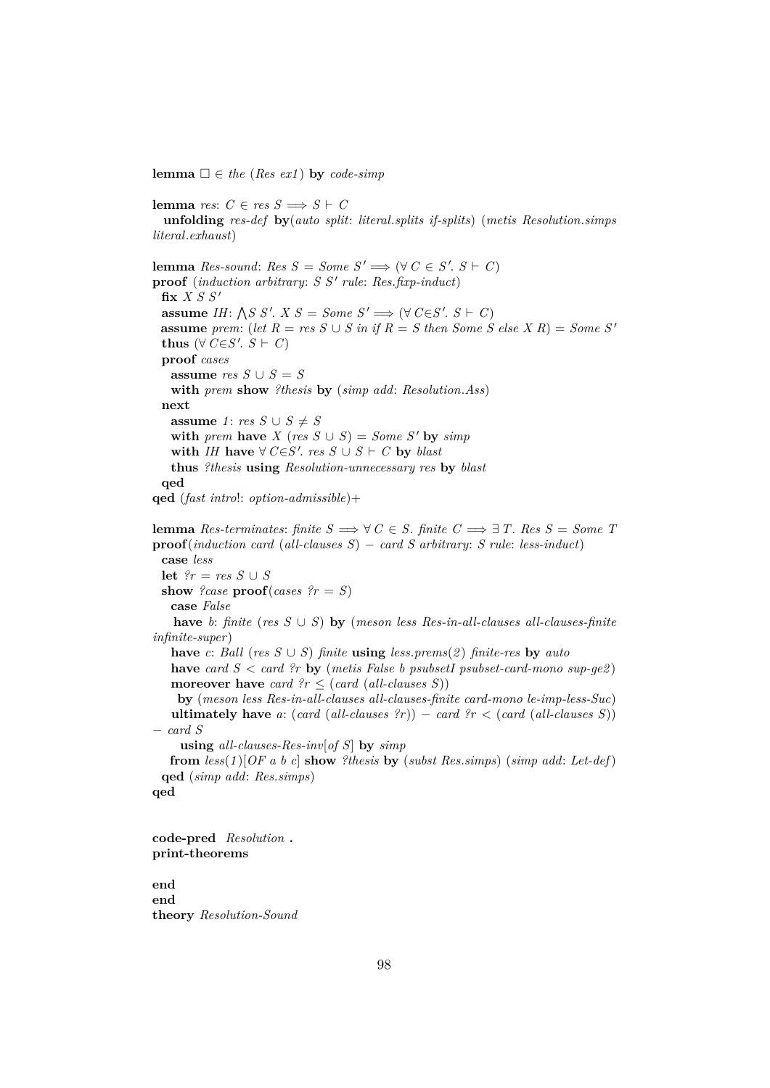**lemma**  $\Box \in$  *the* (*Res ex1*) **by** *code-simp* 

**lemma** *res*:  $C \in res S \implies S \vdash C$ **unfolding** *res-def* **by**(*auto split*: *literal*.*splits if-splits*) (*metis Resolution*.*simps literal*.*exhaust*) **lemma**  $Res\text{-}sound: Res S = Some S' \implies (\forall C \in S'. S \vdash C)$  $\mathbf{proof}$  (*induction arbitrary*:  $S S'$  *rule*:  $Res.\hat{f}$ *xp-induct*)  $f$ **ix**  $X S S'$ **assume** *IH*:  $\bigwedge S \ S'$ .  $X \ S = Some \ S' \Longrightarrow (\forall \ C \in S' \ S \vdash C)$ **assume** *prem*: (*let*  $R = res S \cup S$  *in if*  $R = S$  *then Some*  $S$  *else*  $X R$ ) = *Some*  $S'$ **thus** (∀  $C \in S'. S \vdash C$ ) **proof** *cases* **assume**  $res S \cup S = S$ **with** *prem* **show** *?thesis* **by** (*simp add*: *Resolution*.*Ass*) **next assume** *1*: *res*  $S \cup S \neq S$ **with** *prem* **have**  $X$  (*res*  $S \cup S$ ) = *Some*  $S'$  **by** *simp* with *IH* have  $\forall$  *C*∈*S'*. res  $S \cup S \vdash C$  by *blast* **thus** *?thesis* **using** *Resolution-unnecessary res* **by** *blast* **qed qed** (*fast intro*!: *option-admissible*)+ **lemma** *Res-terminates: finite*  $S \implies \forall C \in S$ *. finite*  $C \implies \exists T$ *. Res*  $S = Some$  *T* **proof**(*induction card* (*all-clauses S*) − *card S arbitrary*: *S rule*: *less-induct*) **case** *less* **let**  $?r = res S ∪ S$ **show** *?case* **proof**(*cases ?r* = *S*) **case** *False* **have** *b*: *finite* (*res*  $S \cup S$ ) **by** (*meson less Res-in-all-clauses all-clauses-finite infinite-super*)

**have** *c*: *Ball* (*res S* ∪ *S*) *finite* **using** *less.prems*(2) *finite-res* **by** *auto* 

**have** *card S* < *card ?r* **by** (*metis False b psubsetI psubset-card-mono sup-ge2*) **moreover have** *card*  $\{rr \leq (card (all-clauses S))\}$ 

**by** (*meson less Res-in-all-clauses all-clauses-finite card-mono le-imp-less-Suc*) **ultimately have** *a*:  $(\text{card } (\text{all-clauses } ?r)) - \text{card } ?r < (\text{card } (\text{all-clauses } S))$ − *card S*

**using** *all-clauses-Res-inv*[*of S*] **by** *simp*

**from** *less*(*1* )[*OF a b c*] **show** *?thesis* **by** (*subst Res*.*simps*) (*simp add*: *Let-def*) **qed** (*simp add*: *Res*.*simps*) **qed**

**code-pred** *Resolution* **. print-theorems**

**end end theory** *Resolution-Sound*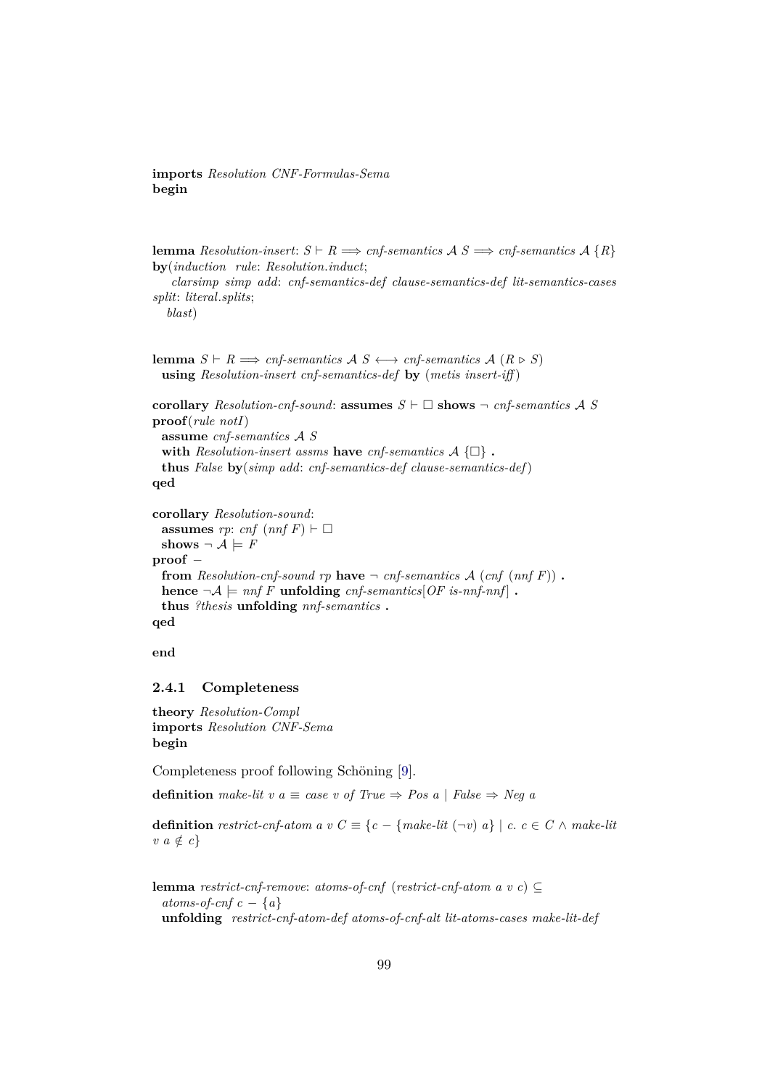# **imports** *Resolution CNF-Formulas-Sema* **begin**

**lemma** *Resolution-insert:*  $S \vdash R \Longrightarrow \text{cnf-semantics}$   $A S \Longrightarrow \text{cnf-semantics}$   $A \{R\}$ **by**(*induction rule*: *Resolution*.*induct*;

*clarsimp simp add*: *cnf-semantics-def clause-semantics-def lit-semantics-cases split*: *literal*.*splits*;

*blast*)

**lemma**  $S \vdash R \Longrightarrow \text{cnf-semantics}$   $A \subseteq S \longleftrightarrow \text{cnf-semantics}$   $A \subseteq R \triangleright S$ **using** *Resolution-insert cnf-semantics-def* **by** (*metis insert-iff* )

```
corollary Resolution-cnf-sound: assumes S \vdash \Box shows \neg cnf-semantics A S
proof(rule notI)
 assume cnf-semantics A S
 with Resolution-insert assms have cnf-semantics A \{\Box\}.
 thus False by(simp add: cnf-semantics-def clause-semantics-def)
qed
corollary Resolution-sound:
```

```
assumes rp: cnf (nnf F) \vdash \Boxshows \neg A \models Fproof −
 from Resolution-cnf-sound rp have \neg cnf-semantics A (cnf (nnf F)).
 hence \neg A \models \text{inf } F unfolding cnf-semantics [OF is-nnf-nnf].
 thus ?thesis unfolding nnf-semantics .
qed
```
**end**

### **2.4.1 Completeness**

**theory** *Resolution-Compl* **imports** *Resolution CNF-Sema* **begin**

Completeness proof following Schöning [\[9\]](#page-140-3).

**definition** make-lit v  $a \equiv \text{case}$  v of True  $\Rightarrow \text{Pos } a \mid \text{False} \Rightarrow \text{Neq } a$ 

**definition** *restrict-cnf-atom a v*  $C \equiv \{c - \{make\}$   $\{c - \{make\}$   $\} \mid c, c \in C \land make\}$  $v \ a \notin c$ 

```
lemma restrict-cnf-remove: atoms-of-cnf (restrict-cnf-atom a v c) ⊆
 atoms-of-cnf c - {a}
 unfolding restrict-cnf-atom-def atoms-of-cnf-alt lit-atoms-cases make-lit-def
```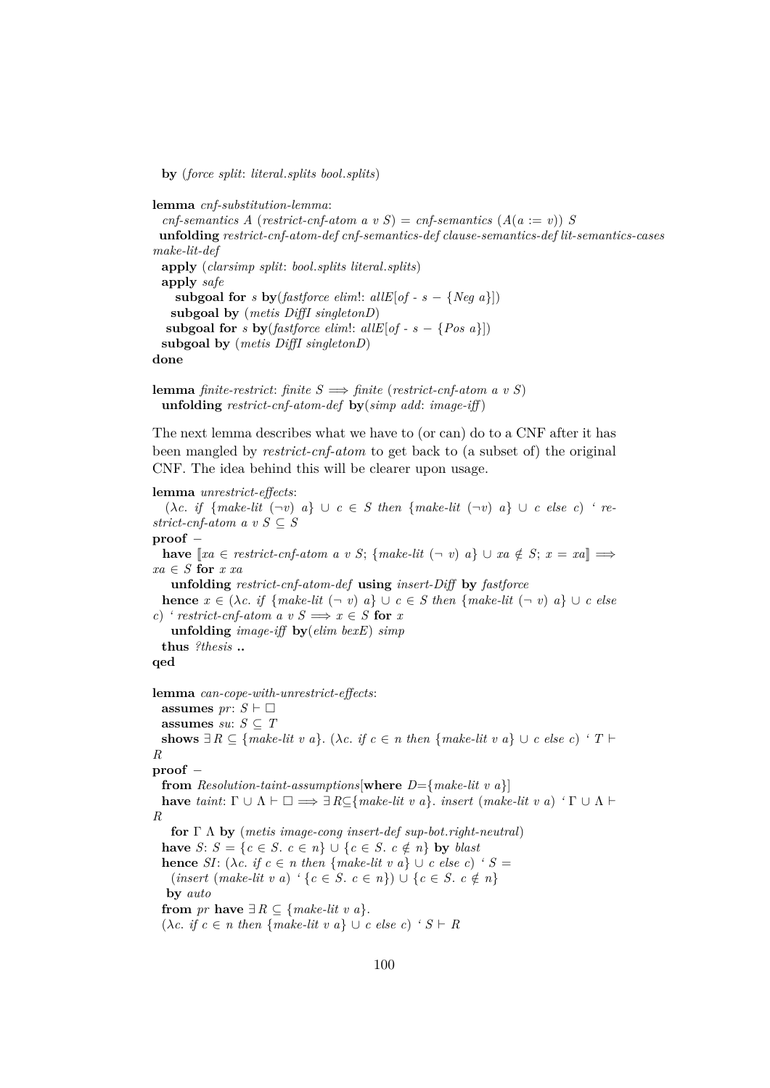**by** (*force split*: *literal*.*splits bool*.*splits*)

**lemma** *cnf-substitution-lemma*:  $c$ *cnf-semantics A* (*restrict-cnf-atom a v S*) = *cnf-semantics*  $(A(a := v))$  *S* **unfolding** *restrict-cnf-atom-def cnf-semantics-def clause-semantics-def lit-semantics-cases make-lit-def* **apply** (*clarsimp split*: *bool*.*splits literal*.*splits*) **apply** *safe* **subgoal for** *s* **by**(*fastforce elim*):  $allE[of - s - \{Neg a\}])$ **subgoal by** (*metis DiffI singletonD*) **subgoal for** *s* **by**(*fastforce elim*):  $allE[of - s - {Pos a}$ ]) **subgoal by** (*metis DiffI singletonD*) **done**

**lemma** *finite-restrict*: *finite*  $S \implies$  *finite* (*restrict-cnf-atom a v S*) **unfolding** *restrict-cnf-atom-def* **by**(*simp add*: *image-iff* )

The next lemma describes what we have to (or can) do to a CNF after it has been mangled by *restrict-cnf-atom* to get back to (a subset of) the original CNF. The idea behind this will be clearer upon usage.

#### **lemma** *unrestrict-effects*:

 $(\lambda c. \textit{if } \{make\textit{-lit } (\neg v) \mid a\} \cup c \in S \textit{ then } \{make\textit{-lit } (\neg v) \mid a\} \cup c \textit{ else } c)$  're*strict-cnf-atom a v S*  $\subseteq$  *S* **proof** − **have**  $[xa \in restrict\text{-}cnf\text{-}atom \ a \ v \ S; \{make\text{-}lit \ (\neg v) \ a\} \ \cup \ xa \notin S; x = xa$   $\implies$ *xa* ∈ *S* **for** *x xa* **unfolding** *restrict-cnf-atom-def* **using** *insert-Diff* **by** *fastforce* **hence**  $x \in (\lambda c, i f \{make\text{-}lit } (\neg v) \mid a\} \cup c \in S \text{ then } \{make\text{-}lit } (\neg v) \mid a\} \cup c \text{ else }$ *c*) *'* restrict-cnf-atom a v  $S \implies x \in S$  for *x* **unfolding** *image-iff* **by**(*elim bexE*) *simp* **thus** *?thesis* **.. qed lemma** *can-cope-with-unrestrict-effects*: **assumes**  $pr: S \vdash \Box$ **assumes** *su*:  $S \subseteq T$ **shows**  $\exists R \subseteq \{make\text{-}lit \ v \ a\}.$  ( $\lambda c.$  *if*  $c \in n$  *then*  $\{make\text{-}lit \ v \ a\} \cup c \ \text{else} \ c)$  *'*  $T \vdash$ *R* **proof** − **from** *Resolution-taint-assumptions*[**where** *D*={*make-lit v a*}] **have** *taint*:  $\Gamma \cup \Lambda \vdash \Box \implies \exists R \subseteq \{make\text{-}lit \ v \ a\}$ . *insert* (*make-lit v a*)  $\lq \Gamma \cup \Lambda \vdash$ *R* **for** Γ Λ **by** (*metis image-cong insert-def sup-bot*.*right-neutral*) **have** *S*: *S* = {*c* ∈ *S*. *c* ∈ *n*} ∪ {*c* ∈ *S*. *c* ∉ *n*} **by** *blast* **hence** *SI*: ( $\lambda c$ . *if*  $c \in n$  *then* {*make-lit v a*} ∪ *c else c*) *' S* =  $(mset (make-lit v a) '$  { $c \in S$ .  $c \in n$ }) ∪ { $c \in S$ .  $c \notin n$ } **by** *auto* **from** *pr* **have**  $\exists R \subseteq \{make\text{-}lit \text{ } v \text{ } a\}.$  $(\lambda c. \textit{if } c \in n \textit{ then } \{ \textit{make-lit } v \textit{ a} \} \cup c \textit{ else } c)$  '  $S \vdash R$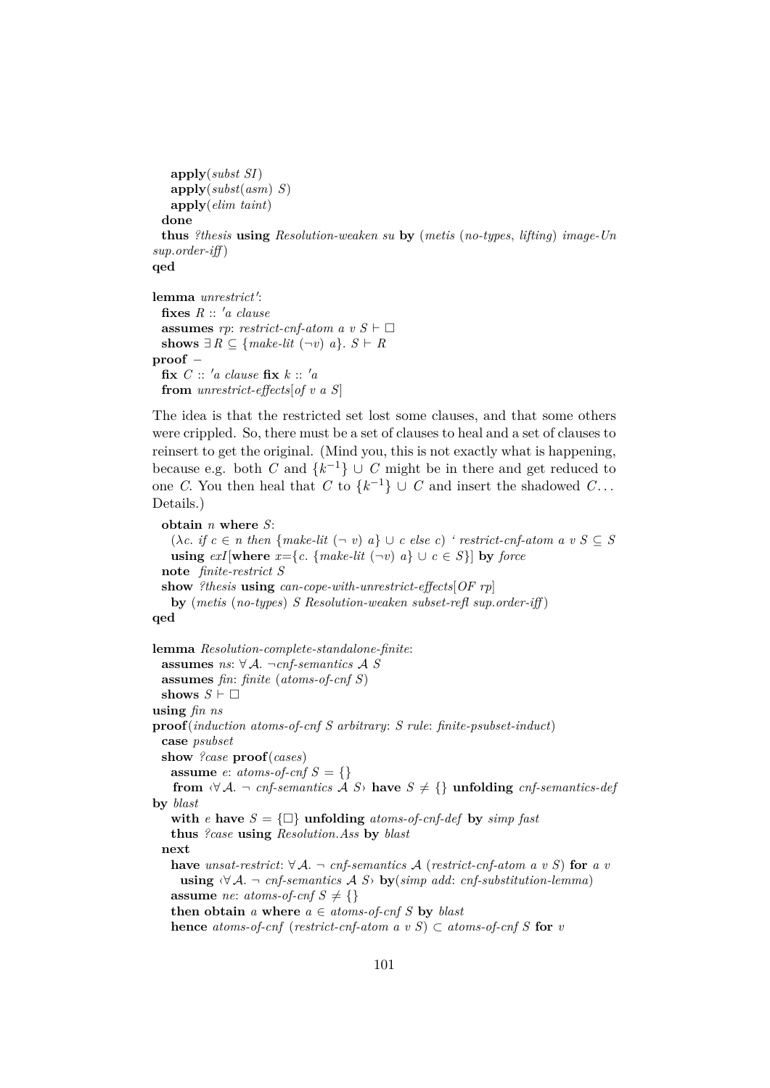```
apply(subst SI)
   apply(subst(asm) S)
   apply(elim taint)
 done
 thus ?thesis using Resolution-weaken su by (metis (no-types, lifting) image-Un
sup.order-iff )
qed
```

```
lemma unrestrict':
 fixes R :: 'a clause
 assumes rp: restrict-cnf-atom a v S \vdash \Boxshows ∃ R ⊆ {make-lit (¬v) a}. S ⊢ Rproof −
 fix C :: 'a clause fix k :: 'a
 from unrestrict-effects[of v a S]
```
The idea is that the restricted set lost some clauses, and that some others were crippled. So, there must be a set of clauses to heal and a set of clauses to reinsert to get the original. (Mind you, this is not exactly what is happening, because e.g. both *C* and  $\{k^{-1}\}\cup C$  might be in there and get reduced to one *C*. You then heal that *C* to  $\{k^{-1}\}\cup C$  and insert the shadowed *C*... Details.)

```
obtain n where S:
   (\lambda c. if c \in n then {make-lit (\neg v) a} ∪ c else c) ' restrict-cnf-atom a v S \subseteq S
   using exI[\textbf{where } x = \{c, \{make\text{-}lit } (\neg v) \mid a\} \cup c \in S\}] by force
  note finite-restrict S
  show ?thesis using can-cope-with-unrestrict-effects[OF rp]
   by (metis (no-types) S Resolution-weaken subset-refl sup.order-iff )
qed
```

```
lemma Resolution-complete-standalone-finite:
 assumes ns: ∀ A. ¬cnf-semantics A S
 assumes fin: finite (atoms-of-cnf S)
 shows S \vdash \Boxusing fin ns
proof(induction atoms-of-cnf S arbitrary: S rule: finite-psubset-induct)
  case psubset
 show ?case proof(cases)
   assume e: atoms-of-cnf S = \{\}from \forall \mathcal{A} \rightarrow \text{cnf-semantics } \mathcal{A} \text{ } S have S \neq \{\} unfolding \text{cnf-semantics-def}by blast
   with e have S = \{\Box\} unfolding atoms-of-cnf-def by simp fast
   thus ?case using Resolution.Ass by blast
 next
   have unsat-restrict: \forall A. ¬ cnf-semantics A (restrict-cnf-atom a v S) for a v
     using \forall A. ¬ cnf-semantics A S > by(simp add: cnf-substitution-lemma)
   assume ne: atoms-of-cnf S \neq \{\}then obtain a where a \in atoms-of-cnfS by blast
   hence atoms-of-cnf (restrict-cnf-atom a v S) \subset atoms-of-cnf S for v
```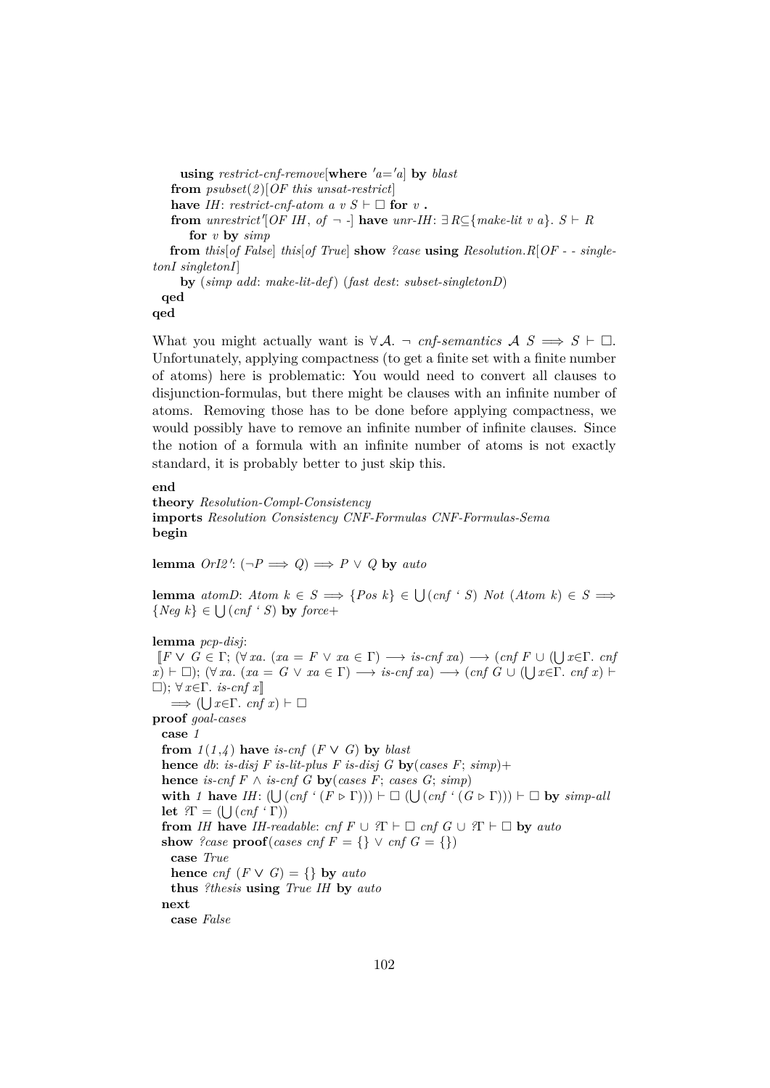**using** *restrict-cnf-remove*[where  $'a = a$ ] **by** *blast* **from** *psubset*(*2* )[*OF this unsat-restrict*] **have** *IH*: *restrict-cnf-atom a v S*  $\vdash \Box$  **for** *v* **. from** *unrestrict*<sup> $\prime$ </sup>[*OF IH*, *of*  $\lnot$  -  $\cdot$  **have** *unr-IH*:  $\exists R \subseteq \{make\text{-}lit } v \ a\}$ .  $S \vdash R$ **for** *v* **by** *simp* **from** *this*[*of False*] *this*[*of True*] **show** *?case* **using** *Resolution*.*R*[*OF - - singletonI singletonI*] **by** (*simp add*: *make-lit-def*) (*fast dest*: *subset-singletonD*)

**qed**

**qed**

What you might actually want is  $\forall A$ .  $\neg$  *cnf-semantics*  $A S \implies S \vdash \Box$ . Unfortunately, applying compactness (to get a finite set with a finite number of atoms) here is problematic: You would need to convert all clauses to disjunction-formulas, but there might be clauses with an infinite number of atoms. Removing those has to be done before applying compactness, we would possibly have to remove an infinite number of infinite clauses. Since the notion of a formula with an infinite number of atoms is not exactly standard, it is probably better to just skip this.

**end**

**theory** *Resolution-Compl-Consistency* **imports** *Resolution Consistency CNF-Formulas CNF-Formulas-Sema* **begin**

**lemma**  $OrI2'.$   $(\neg P \implies Q) \implies P \lor Q$  by  $auto$ 

**lemma**  $atomD: Atom \, k \in S \implies \{Pos \, k\} \in \bigcup (cnf \land S) \, Not \, (Atom \, k) \in S \implies$  $\{Neg\ k\} \in \bigcup (cnf \cdot S)$  by  $force+$ 

```
lemma pcp-disj:
```
 $[F \vee G \in \Gamma; (\forall \text{ xa. } (xa = F \vee xa \in \Gamma) \longrightarrow \text{ is-}cnf\text{ xa}) \longrightarrow (cnf\text{ }F \cup (\bigcup x \in \Gamma, \text{ cn})$  $\overline{x}$ )  $\vdash \Box$ ); ( $\forall$  *xa*. (*xa* = *G*  $\lor$  *xa* ∈ Γ)  $\longrightarrow$  *is-cnf xa*)  $\longrightarrow$  (*cnf G* ∪ ( $\bigcup$  *x*∈Γ. *cnf x*)  $\vdash$ ); ∀ *x*∈Γ. *is-cnf x*]]  $\implies$  ( $\bigcup x \in \Gamma$ . *cnf x*)  $\vdash \Box$ **proof** *goal-cases* **case** *1* **from**  $1(1,4)$  have *is-cnf*  $(F \vee G)$  by *blast* **hence** *db*: *is-disj F is-lit-plus F is-disj G* **by**(*cases F*; *simp*)+ **hence** *is-cnf*  $F \wedge$  *is-cnf*  $G$  **by**(*cases*  $F$ ; *cases*  $G$ ; *simp*) with *1* have  $IH: (\bigcup (cnf \cdot (F \triangleright \Gamma))) \vdash \square (\bigcup (cnf \cdot (G \triangleright \Gamma))) \vdash \square$  by  $simp\text{-}ali$ **let**  $\mathcal{P}\Gamma = (\bigcup (cnf \cdot \Gamma))$ **from** *IH* **have** *IH-readable: cnf F*  $\cup$  *?*Γ  $\vdash$   $\Box$  *cnf G*  $\cup$  *?*Γ  $\vdash$   $\Box$  **by** *auto* **show** *?case*  $\text{proof}(cases \text{ or } F = \{\} \lor \text{ or } G = \{\})$ **case** *True* **hence**  $cnf$   $(F \vee G) = \{\}$  **by**  $auto$ **thus** *?thesis* **using** *True IH* **by** *auto* **next case** *False*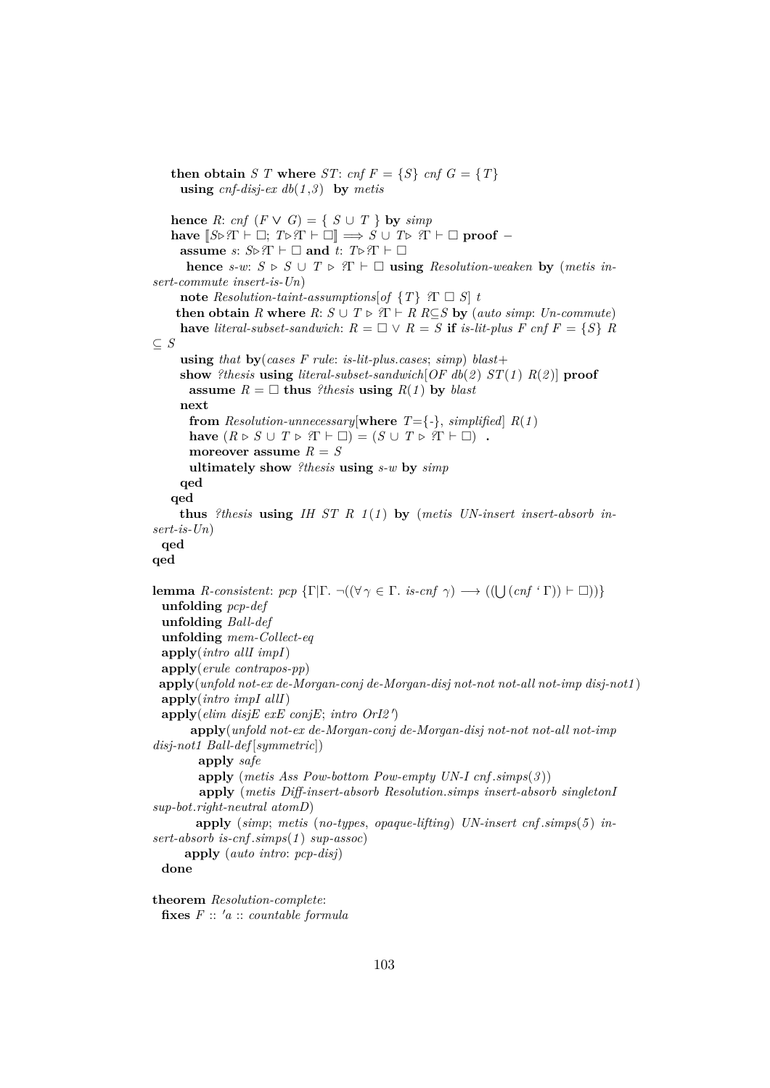**using**  $cnf\text{-}disj\text{-}ex\ db(1,3)$  **by**  $metis$ **hence** *R*: *cnf*  $(F \vee G) = \{ S \cup T \}$  **by** *simp* **have**  $[S \triangleright \ \ \ T \vdash \Box; T \triangleright \ \ \ T \vdash \Box] \implies S \cup T \triangleright \ \ \ T \vdash \Box \ \ \text{proof} \$ **assume** *s*:  $S \triangleright T \vdash \Box$  **and** *t*:  $T \triangleright T \vdash \Box$ **hence**  $s-w: S \triangleright S \cup T \triangleright T \vdash \square$  **using** *Resolution-weaken* **by** (*metis insert-commute insert-is-Un*) **note** *Resolution-taint-assumptions*[*of*  $\{T\}$  *?* $\Gamma \square S$ ] *t* **then obtain** *R* where  $R: S \cup T \triangleright R \cap R \subseteq S$  by (*auto simp*: *Un-commute*) **have** *literal-subset-sandwich*:  $R = \Box \lor R = S$  **if** *is-lit-plus F cnf*  $F = \{S\}$  *R* ⊆ *S* **using** *that* **by**(*cases F rule*: *is-lit-plus*.*cases*; *simp*) *blast*+ **show** *?thesis* **using** *literal-subset-sandwich*[*OF db*(*2* ) *ST*(*1* ) *R*(*2* )] **proof assume**  $R = \Box$  **thus** *?thesis* **using**  $R(1)$  by *blast* **next from** *Resolution-unnecessary*[where  $T = \{-\}$ , *simplified*]  $R(1)$ **have**  $(R \triangleright S \cup T \triangleright T \vdash \square) = (S \cup T \triangleright T \vdash \square)$ . **moreover assume** *R* = *S* **ultimately show** *?thesis* **using** *s-w* **by** *simp* **qed qed thus** *?thesis* **using** *IH ST R 1* (*1* ) **by** (*metis UN-insert insert-absorb insert-is-Un*) **qed qed lemma** *R-consistent: pcp*  $\{\Gamma | \Gamma \cdot \neg ((\forall \gamma \in \Gamma \cdot \text{ is-cnf } \gamma) \longrightarrow ((\bigcup (cnf \cdot \Gamma)) \vdash \Box))\}$ **unfolding** *pcp-def* **unfolding** *Ball-def* **unfolding** *mem-Collect-eq* **apply**(*intro allI impI*) **apply**(*erule contrapos-pp*) **apply**(*unfold not-ex de-Morgan-conj de-Morgan-disj not-not not-all not-imp disj-not1* ) **apply**(*intro impI allI*)  $\text{apply}(elim\;disjE\;exE\;conjE;\;intro\;OrI2')$ **apply**(*unfold not-ex de-Morgan-conj de-Morgan-disj not-not not-all not-imp disj-not1 Ball-def* [*symmetric*]) **apply** *safe* **apply** (*metis Ass Pow-bottom Pow-empty UN-I cnf* .*simps*(*3* )) **apply** (*metis Diff-insert-absorb Resolution*.*simps insert-absorb singletonI sup-bot*.*right-neutral atomD*) **apply** (*simp*; *metis* (*no-types*, *opaque-lifting*) *UN-insert cnf* .*simps*(*5* ) *insert-absorb is-cnf* .*simps*(*1* ) *sup-assoc*) **apply** (*auto intro*: *pcp-disj*) **done**

**then obtain** *S T* where *ST*: *cnf*  $F = \{S\}$  *cnf*  $G = \{T\}$ 

**theorem** *Resolution-complete*: **fixes** *F* :: <sup>0</sup>*a* :: *countable formula*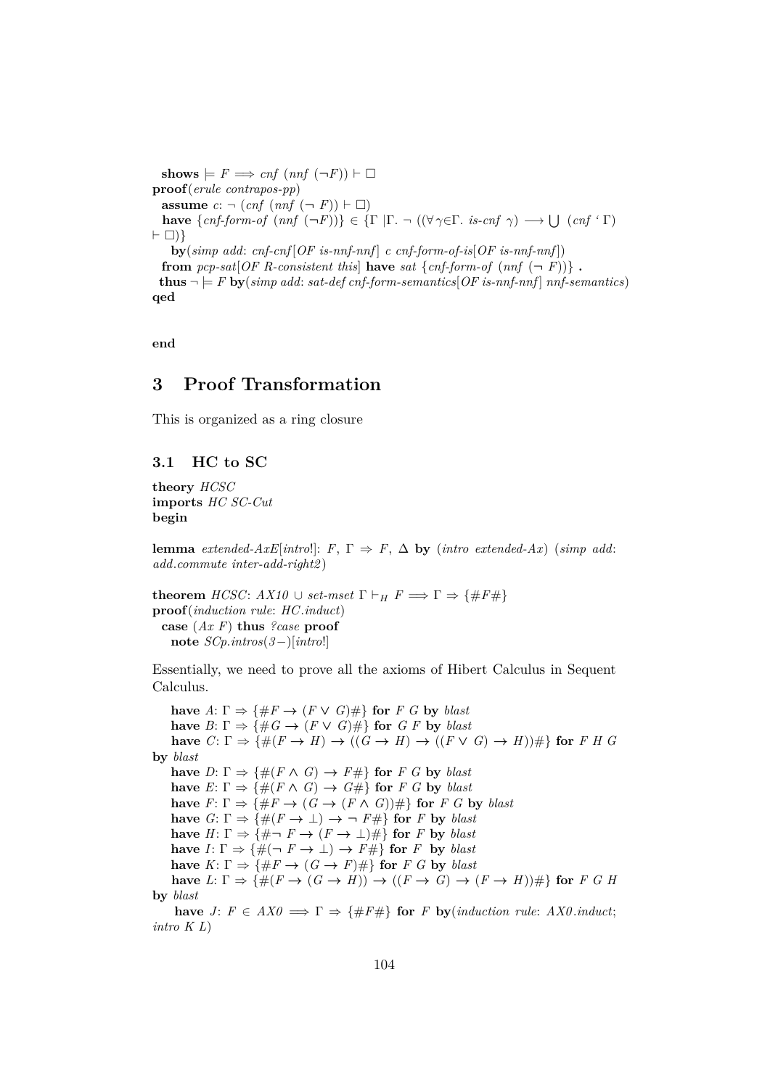$\textbf{shows} \models F \Longrightarrow \text{cnf}( \text{nnf}(\neg F)) \vdash \Box$ **proof**(*erule contrapos-pp*) **assume**  $c: \neg (cnf (nnf (\neg F)) \vdash \Box)$ **have**  $\{cnf\text{-}form\text{-}of \ (nnf \ (\lnot F))\}\in \{\Gamma \ |\ \Gamma \text{-} \neg \ ((\forall \ \gamma \in \Gamma \text{. is } \text{-}cnf \ \gamma) \ \longrightarrow \bigcup \ (cnf \ \'Gamma)$  $\vdash \Box$ ) } **by**(*simp add*: *cnf-cnf* [*OF is-nnf-nnf* ] *c cnf-form-of-is*[*OF is-nnf-nnf* ]) **from**  $pcp-sat[OF R-consistent this]$  **have**  $sat \{cnf-form-of (nnf (\neg F))\}$ . **thus**  $\neg \models F$  **by**(*simp add: sat-def cnf-form-semantics*)  $\overline{OF}$  *is-nnf-nnf* | *nnf-semantics*) **qed**

**end**

# **3 Proof Transformation**

This is organized as a ring closure

# **3.1 HC to SC**

**theory** *HCSC* **imports** *HC SC-Cut* **begin**

**lemma** *extended-AxE*[ $int|0|$ ]:  $F, \Gamma \Rightarrow F, \Delta$  **by** ( $int|0| \to \infty$ ) ( $simp$  add: *add*.*commute inter-add-right2* )

**theorem** *HCSC*:  $AX10 \cup set-mset$   $\Gamma \vdash_H F \Longrightarrow \Gamma \Rightarrow {\{\#F\#}\}$ **proof**(*induction rule*: *HC*.*induct*) **case** (*Ax F*) **thus** *?case* **proof note** *SCp*.*intros*(*3*−)[*intro*!]

Essentially, we need to prove all the axioms of Hibert Calculus in Sequent Calculus.

**have**  $A: \Gamma \Rightarrow \{\#F \rightarrow (F \vee G)\#\}$  for  $F \subseteq G$  by *blast* **have**  $B: \Gamma \Rightarrow \{ \#G \rightarrow (F \vee G) \# \}$  for  $G \in \mathbb{F}$  by blast **have**  $C: \Gamma \Rightarrow \{\#(F \to H) \to ((G \to H) \to ((F \lor G) \to H))\#\}$  for *F H G* **by** *blast* **have**  $D: \Gamma \Rightarrow \{\#(F \land G) \rightarrow F\# \}$  for  $F \subseteq G$  by *blast* **have**  $E: \Gamma \Rightarrow \{ \#(F \land G) \rightarrow G \# \}$  for  $F \subseteq G$  by *blast* **have**  $F: \Gamma \Rightarrow \{ \#F \rightarrow (G \rightarrow (F \wedge G)) \# \}$  for *F G* by *blast* **have**  $G: \Gamma \Rightarrow \{\#(F \to \bot) \to \neg F\# \}$  for *F* by *blast* **have**  $H: \Gamma \Rightarrow \{ \# \neg F \rightarrow (F \rightarrow \bot) \# \}$  for *F* by *blast* **have**  $I: \Gamma \Rightarrow \{\#(\neg F \rightarrow \bot) \rightarrow F\# \}$  for *F* by *blast* **have**  $K: \Gamma \Rightarrow \{\#F \rightarrow (G \rightarrow F)\#\}$  for *F G* by *blast* **have**  $L: \Gamma \Rightarrow \{\#(F \to (G \to H)) \to ((F \to G) \to (F \to H))\#\}$  for *F G H* **by** *blast*

**have** *J*:  $F \in AXO \implies \Gamma \Rightarrow \{\#F\#\}$  for *F* **by**(*induction rule: AX0.induct*; *intro K L*)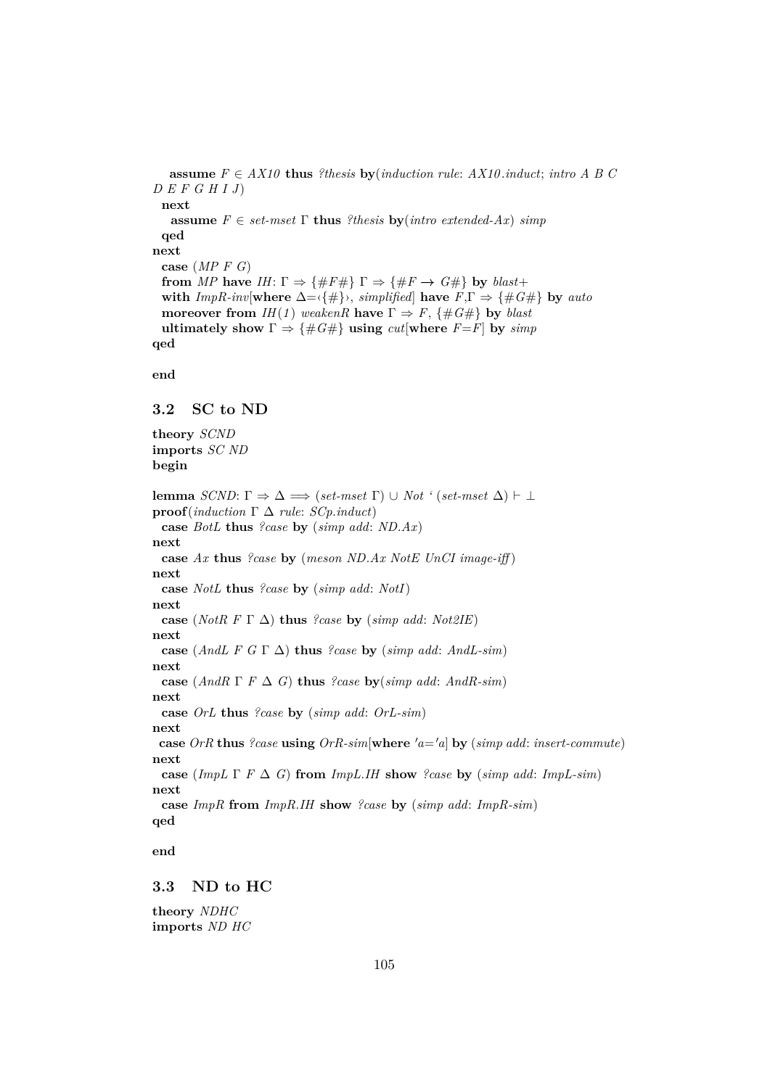**assume**  $F \in AX10$  **thus** *?thesis* **by**(*induction rule: AX10* .*induct; intro A B C D E F G H I J*) **next assume**  $F \in set\text{-}mset$  **Γ thus** *?thesis* **by**(*intro extended-Ax*) *simp* **qed next case** (*MP F G*) **from** *MP* **have** *IH*:  $\Gamma \Rightarrow \{\#F \# \} \Gamma \Rightarrow \{\#F \rightarrow G \# \}$  **by** *blast*+ **with** *ImpR-inv*[**where**  $\Delta = \{\#\}$ , *simplified*] **have**  $F, \Gamma \Rightarrow \{\#G\}\$  **by** *auto* **moreover from** *IH*(*1*) *weakenR* **have**  $\Gamma \Rightarrow F$ , {#*G*#} **by** *blast* **ultimately show**  $\Gamma \Rightarrow {\#G\#}$  **using**  $cut[where F=F]$  by  $simp$ **qed**

**end**

# **3.2 SC to ND**

**theory** *SCND* **imports** *SC ND* **begin**

**lemma** *SCND*:  $\Gamma \Rightarrow \Delta \implies (set-mset \Gamma) \cup Not '(set-mset \Delta) \vdash \bot$ **proof**(*induction* Γ ∆ *rule*: *SCp*.*induct*) **case** *BotL* **thus** *?case* **by** (*simp add*: *ND*.*Ax*) **next case** *Ax* **thus** *?case* **by** (*meson ND*.*Ax NotE UnCI image-iff* ) **next case** *NotL* **thus** *?case* **by** (*simp add*: *NotI*) **next case** (*NotR F*  $\Gamma$   $\Delta$ ) **thus** *?case* **by** (*simp add: Not2IE*) **next case** (*AndL F G*  $\Gamma$   $\Delta$ ) **thus** *?case* **by** (*simp add: AndL-sim*) **next case** (*AndR*  $\Gamma$  *F*  $\Delta$  *G*) **thus** *?case* **by**(*simp add: AndR-sim*) **next case** *OrL* **thus** *?case* **by** (*simp add*: *OrL-sim*) **next case** *OrR* **thus** *?case* **using** *OrR-sim*[**where**  $'a = a$ ] **by** (*simp add: insert-commute*) **next case** (*ImpL*  $\Gamma$  *F*  $\Delta$  *G*) **from** *ImpL*.*IH* **show** *?case* **by** (*simp add: ImpL-sim*) **next case** *ImpR* **from** *ImpR*.*IH* **show** *?case* **by** (*simp add*: *ImpR-sim*) **qed**

**end**

### **3.3 ND to HC**

**theory** *NDHC* **imports** *ND HC*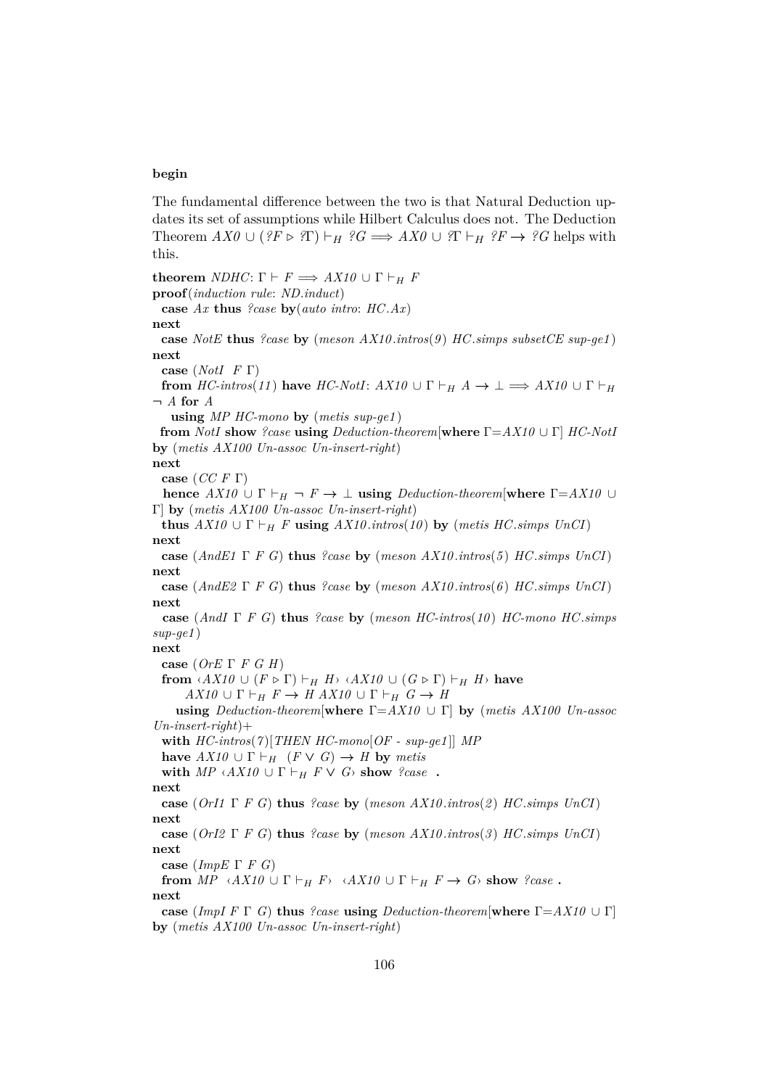#### **begin**

The fundamental difference between the two is that Natural Deduction updates its set of assumptions while Hilbert Calculus does not. The Deduction Theorem  $AX0 \cup (?F \triangleright ?T) \vdash_H ?G \Longrightarrow AX0 \cup ?T \vdash_H ?F \rightarrow ?G$  helps with this.

**theorem** *NDHC*:  $\Gamma \vdash F \Longrightarrow AX10 \cup \Gamma \vdash_H F$ **proof**(*induction rule*: *ND*.*induct*) **case** *Ax* **thus** *?case* **by**(*auto intro*: *HC*.*Ax*) **next case** *NotE* **thus** *?case* **by** (*meson AX10* .*intros*(*9* ) *HC*.*simps subsetCE sup-ge1* ) **next case** (*NotI F* Γ) **from**  $HC\text{-}intros(11)$  have  $HC\text{-}NotI: AX10 \cup \Gamma \vdash_H A \to \bot \implies AX10 \cup \Gamma \vdash_H A \to \bot$  $\neg A$  **for**  $A$ **using** *MP HC-mono* **by** (*metis sup-ge1* ) **from** *NotI* **show** *?case* **using** *Deduction-theorem*[**where** Γ=*AX10* ∪ Γ] *HC-NotI* **by** (*metis AX100 Un-assoc Un-insert-right*) **next case** (*CC F* Γ) **hence**  $AX10 \cup \Gamma \vdash_H \neg F \rightarrow \bot$  **using**  $Deduction-theorem[where \Gamma = AX10 \cup$ Γ] **by** (*metis AX100 Un-assoc Un-insert-right*) **thus**  $AX10 \cup \Gamma \vdash_H F$  **using**  $AX10$  *intros*(10) **by** (*metis HC.simps UnCI*) **next case** (*AndE1* Γ *F G*) **thus** *?case* **by** (*meson AX10* .*intros*(*5* ) *HC*.*simps UnCI*) **next case** (*AndE2* Γ *F G*) **thus** *?case* **by** (*meson AX10* .*intros*(*6* ) *HC*.*simps UnCI*) **next case** (*AndI* Γ *F G*) **thus** *?case* **by** (*meson HC-intros*(*10* ) *HC-mono HC*.*simps sup-ge1* ) **next case** (*OrE* Γ *F G H*) **from**  $\langle AX10 \cup (F \triangleright \Gamma) \vdash_H H \rangle$   $\langle AX10 \cup (G \triangleright \Gamma) \vdash_H H \rangle$  have  $AX10 \cup \Gamma \vdash_H F \to H AX10 \cup \Gamma \vdash_H G \to H$ **using** *Deduction-theorem*[**where** Γ=*AX10* ∪ Γ] **by** (*metis AX100 Un-assoc Un-insert-right*)+ **with** *HC-intros*(*7* )[*THEN HC-mono*[*OF - sup-ge1* ]] *MP* **have**  $AX10 \cup \Gamma \vdash_H (F \vee G) \rightarrow H$  by metis **with**  $MP \triangle A X 10 \cup \Gamma \vdash_H F \vee G$  **show** *?case* **. next case** (*OrI1* Γ *F G*) **thus** *?case* **by** (*meson AX10* .*intros*(*2* ) *HC*.*simps UnCI*) **next case** (*OrI2* Γ *F G*) **thus** *?case* **by** (*meson AX10* .*intros*(*3* ) *HC*.*simps UnCI*) **next case** (*ImpE* Γ *F G*) **from**  $MP \sim AX10 \cup \Gamma \vdash_H F \sim AX10 \cup \Gamma \vdash_H F \rightarrow G$  **show** *?case* **. next case** (*ImpI F* Γ *G*) **thus** *?case* **using** *Deduction-theorem*[**where** Γ=*AX10* ∪ Γ] **by** (*metis AX100 Un-assoc Un-insert-right*)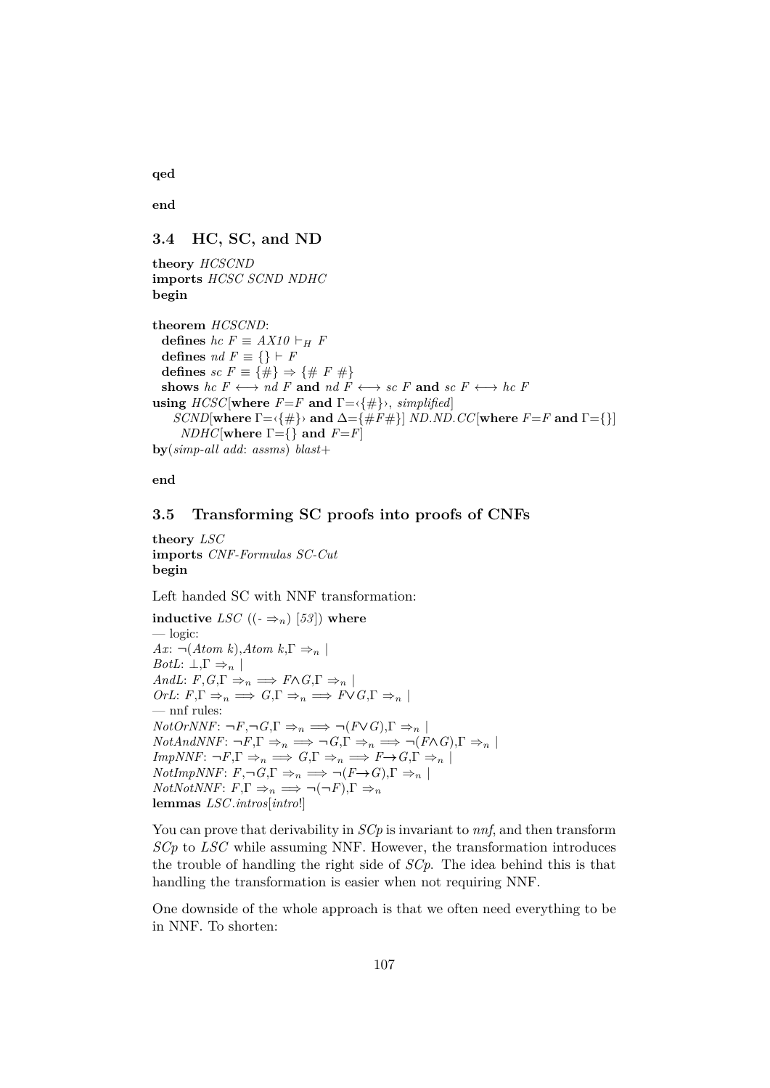**qed**

**end**

# **3.4 HC, SC, and ND**

**theory** *HCSCND* **imports** *HCSC SCND NDHC* **begin**

**theorem** *HCSCND*: **defines**  $hc F \equiv AX10 \vdash_H F$ **defines**  $nd F \equiv \{\} \vdash F$ **defines**  $sc F \equiv \{\#\} \Rightarrow \{\# F \neq\}$ shows *hc*  $F \leftrightarrow nd$   $F$  and  $nd$   $F \leftrightarrow sc$   $F$  and  $sc$   $F \leftrightarrow hc$   $F$ **using**  $HCSC$ [where  $F = F$  and  $\Gamma = \{\#\}$ , *simplified*] *SCND*[**where**  $\Gamma = \{\#\}$ } **and**  $\Delta = \{\#F\#\}$ ] *ND.ND.CC*[**where**  $F = F$  **and**  $\Gamma = \{\}$ ] *NDHC*[**where**  $\Gamma = \{\}$  and  $F = F$ ] **by**(*simp-all add*: *assms*) *blast*+

**end**

# **3.5 Transforming SC proofs into proofs of CNFs**

**theory** *LSC* **imports** *CNF-Formulas SC-Cut* **begin**

Left handed SC with NNF transformation:

**inductive** *LSC*  $((-\Rightarrow_n)[53])$  where — logic: *Ax*:  $\neg$ (*Atom k*),*Atom k*,Γ  $\Rightarrow$ <sub>n</sub> | *BotL*:  $\bot, \Gamma \Rightarrow_n |$  $AndL: F, G, \Gamma \Rightarrow_n \implies F \wedge G, \Gamma \Rightarrow_n |$  $OrL: F, \Gamma \Rightarrow_n \Rightarrow G, \Gamma \Rightarrow_n \Rightarrow F \vee G, \Gamma \Rightarrow_n |$ — nnf rules:  $NotOrNNF: \neg F, \neg G, \Gamma \Rightarrow_n \Rightarrow \neg (F \vee G), \Gamma \Rightarrow_n$  $NotAndNNF: \neg F, \Gamma \Rightarrow_n \implies \neg G, \Gamma \Rightarrow_n \implies \neg (F \wedge G), \Gamma \Rightarrow_n |$  $ImpNNF: \neg F, \Gamma \Rightarrow_n \implies G, \Gamma \Rightarrow_n \implies F \rightarrow G, \Gamma \Rightarrow_n |$ *NotImpNNF*:  $F, \neg G, \Gamma \Rightarrow_n \implies \neg (F \rightarrow G), \Gamma \Rightarrow_n |$  $NotNotNNF: F, \Gamma \Rightarrow_n \implies \neg(\neg F), \Gamma \Rightarrow_n$ **lemmas** *LSC*.*intros*[*intro*!]

You can prove that derivability in *SCp* is invariant to *nnf*, and then transform *SCp* to *LSC* while assuming NNF. However, the transformation introduces the trouble of handling the right side of *SCp*. The idea behind this is that handling the transformation is easier when not requiring NNF.

One downside of the whole approach is that we often need everything to be in NNF. To shorten: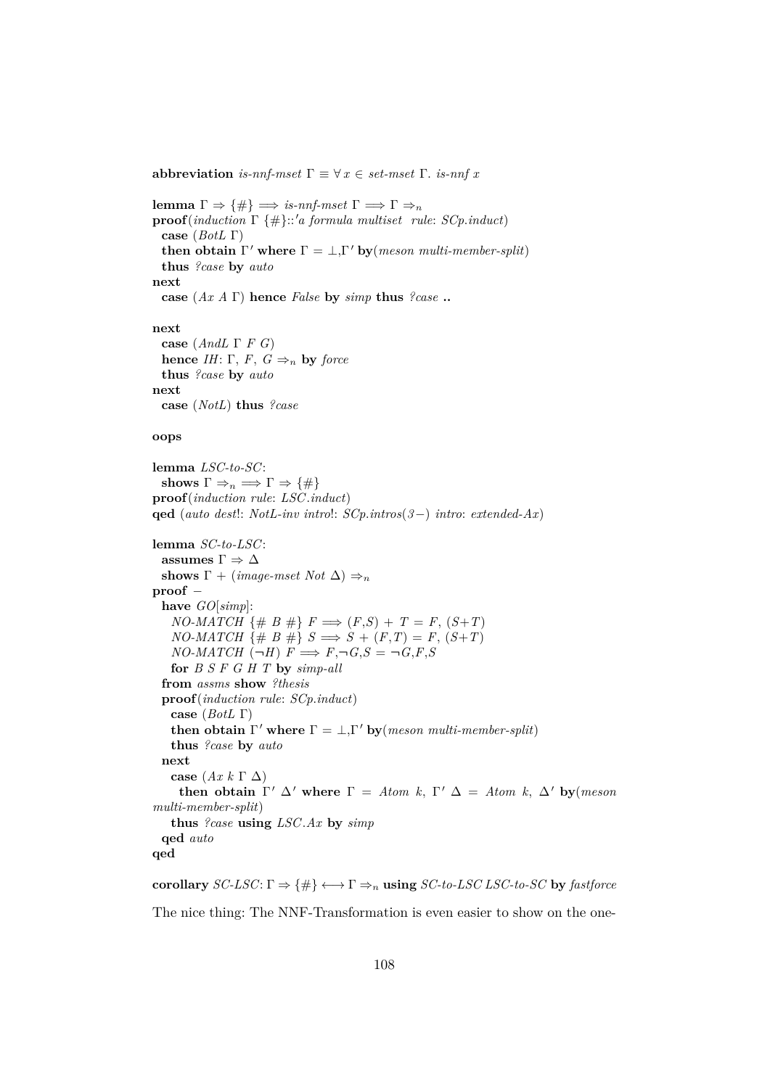**abbreviation** *is-nnf-mset*  $\Gamma \equiv \forall x \in set\ \Gamma$ . *is-nnf x* 

**lemma** Γ  $\Rightarrow$  {#}  $\Rightarrow$  *is-nnf-mset* Γ  $\Rightarrow$  Γ  $\Rightarrow$ *n* **proof**(*induction* Γ {#}::'*a formula multiset rule: SCp.induct*) **case** (*BotL* Γ) **then obtain**  $\Gamma'$  where  $\Gamma = \bot, \Gamma'$  by (*meson multi-member-split*) **thus** *?case* **by** *auto* **next case** (*Ax A* Γ) **hence** *False* **by** *simp* **thus** *?case* **.. next case** (*AndL* Γ *F G*) **hence** *IH*: Γ, *F*,  $G \Rightarrow_n$  **by** *force* **thus** *?case* **by** *auto* **next case** (*NotL*) **thus** *?case*

#### **oops**

**lemma** *LSC-to-SC*: **shows**  $\Gamma \Rightarrow_n \Rightarrow \Gamma \Rightarrow \{\#\}$ **proof**(*induction rule*: *LSC*.*induct*) **qed** (*auto dest*!: *NotL-inv intro*!: *SCp*.*intros*(*3*−) *intro*: *extended-Ax*)

```
lemma SC-to-LSC:
 assumes \Gamma \Rightarrow \Deltashows \Gamma + (image-mset Not \Delta) \Rightarrow<sub>n</sub>
proof −
 have GO[simp]:
   NO\text{-}MATCH {# B #} F \implies (F,S) + T = F, (S+T)NO-MATCH {# B #} S \implies S + (F,T) = F, (S+T)NO-MATCH (\neg H) F \implies F, \neg G, S = \neg G, F, Sfor B S F G H T by simp-all
  from assms show ?thesis
 proof(induction rule: SCp.induct)
   case (BotL Γ)
   then obtain \Gamma' where \Gamma = \bot, \Gamma' by (meson multi-member-split)
   thus ?case by auto
 next
   case (Ax k Γ ∆)
     then obtain \Gamma' \Delta' where \Gamma = Atom k, \Gamma' \Delta = Atom k, \Delta' by(meson)
multi-member-split)
   thus ?case using LSC.Ax by simp
 qed auto
qed
```
**corollary** *SC-LSC*:  $\Gamma \Rightarrow {\{\#}} \longleftrightarrow \Gamma \Rightarrow_n$  **using** *SC-to-LSC LSC-to-SC* by *fastforce* 

The nice thing: The NNF-Transformation is even easier to show on the one-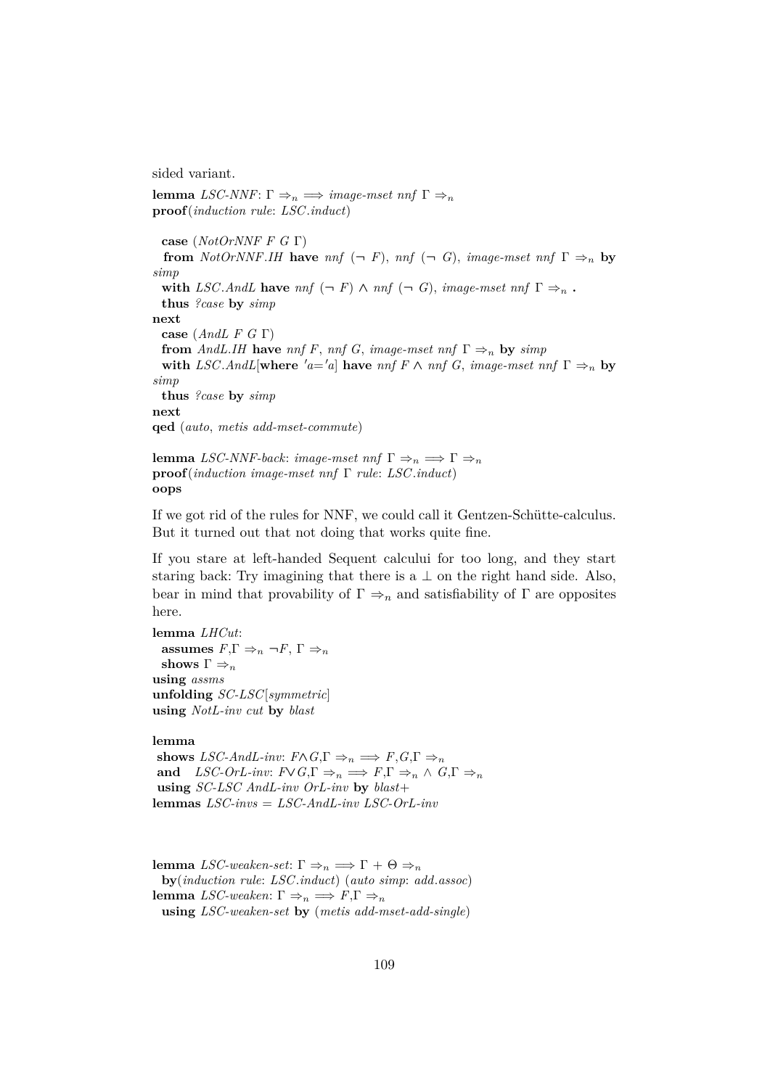sided variant.

**proof**(*induction rule*: *LSC*.*induct*) **case** (*NotOrNNF F G* Γ) **from** *NotOrNNF.IH* **have** *nnf*  $(\neg F)$ , *nnf*  $(\neg G)$ , *image-mset nnf*  $\Gamma \Rightarrow_n$  **by** *simp* **with** *LSC*.*AndL* **have**  $nnf$  ( $\neg$  *F*)  $\land$   $nnf$  ( $\neg$  *G*), *image-mset*  $nnf$   $\Gamma \Rightarrow_n$ . **thus** *?case* **by** *simp* **next case** (*AndL F G* Γ) **from** *AndL.IH* **have** *nnf F*, *nnf G*, *image-mset nnf*  $\Gamma \Rightarrow_n$  **by** *simp* **with** *LSC*.*AndL*[**where**  $'a = a$ ] **have**  $nnf \in \mathcal{F}$   $\wedge nnf \in G$ , *image-mset nnf*  $\Gamma \Rightarrow_n$  **by** *simp* **thus** *?case* **by** *simp* **next qed** (*auto*, *metis add-mset-commute*)

**lemma** *LSC-NNF-back*: *image-mset*  $nnf \Gamma \Rightarrow_n \implies \Gamma \Rightarrow_n$ **proof**(*induction image-mset nnf* Γ *rule*: *LSC*.*induct*) **oops**

**lemma** *LSC-NNF*:  $\Gamma \Rightarrow_n \implies \text{image-mset}$  *nnf*  $\Gamma \Rightarrow_n$ 

If we got rid of the rules for NNF, we could call it Gentzen-Schütte-calculus. But it turned out that not doing that works quite fine.

If you stare at left-handed Sequent calcului for too long, and they start staring back: Try imagining that there is a  $\perp$  on the right hand side. Also, bear in mind that provability of  $\Gamma \Rightarrow_n$  and satisfiability of  $\Gamma$  are opposites here.

**lemma** *LHCut*: **assumes**  $F, \Gamma \Rightarrow_n \neg F, \Gamma \Rightarrow_n$ **shows**  $\Gamma \Rightarrow_n$ **using** *assms* **unfolding** *SC-LSC*[*symmetric*] **using** *NotL-inv cut* **by** *blast*

#### **lemma**

**shows** *LSC-AndL-inv*:  $F \wedge G$ ,  $\Gamma \Rightarrow_n \Rightarrow F$ ,  $G$ ,  $\Gamma \Rightarrow_n$ **and** *LSC-OrL-inv:*  $F \vee G.\Gamma \Rightarrow_n \Rightarrow F.\Gamma \Rightarrow_n \wedge G.\Gamma \Rightarrow_n$ **using** *SC-LSC AndL-inv OrL-inv* **by** *blast*+ **lemmas** *LSC-invs* = *LSC-AndL-inv LSC-OrL-inv*

**lemma** *LSC-weaken-set*: Γ ⇒<sub>n</sub> ⇒ Γ + Θ ⇒<sub>n</sub> **by**(*induction rule*: *LSC*.*induct*) (*auto simp*: *add*.*assoc*) **lemma** *LSC-weaken*: Γ  $\Rightarrow$ <sub>n</sub>  $\Rightarrow$  *F*,Γ  $\Rightarrow$ <sub>n</sub> **using** *LSC-weaken-set* **by** (*metis add-mset-add-single*)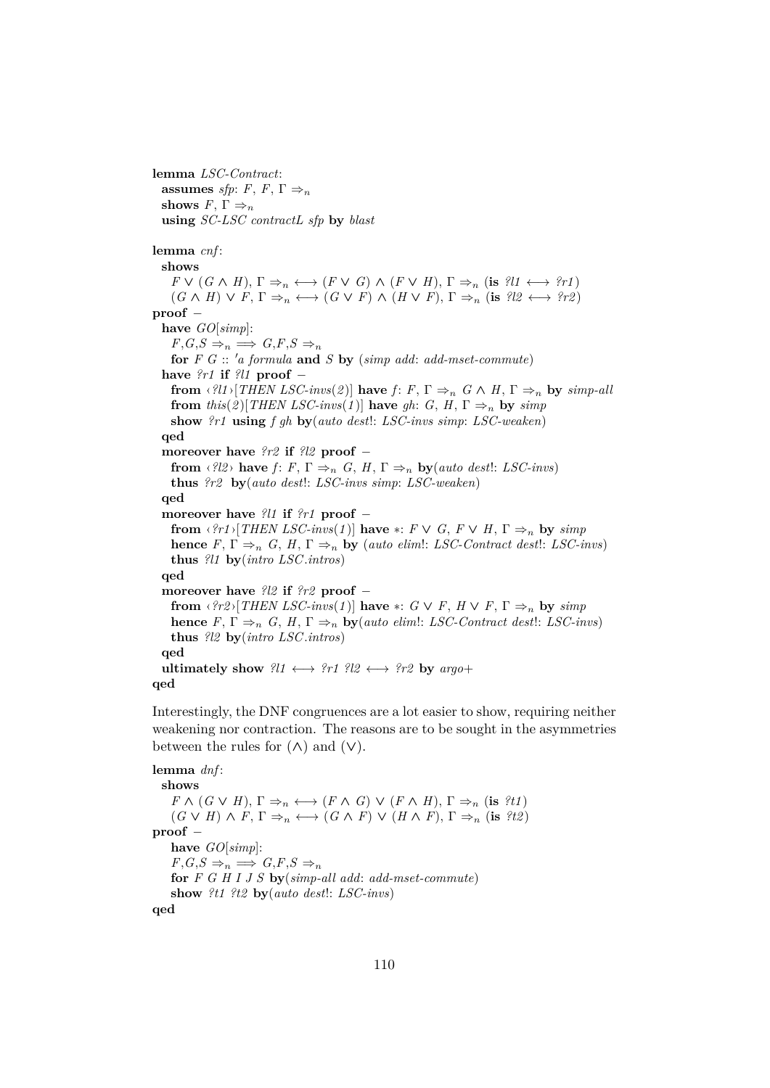**lemma** *LSC-Contract*: **assumes** *sfp*: *F*, *F*,  $\Gamma \Rightarrow_n$ **shows**  $F, \Gamma \Rightarrow_n$ **using** *SC-LSC contractL sfp* **by** *blast* **lemma** *cnf* : **shows**  $F \vee (G \wedge H), \Gamma \Rightarrow_n \longleftrightarrow (F \vee G) \wedge (F \vee H), \Gamma \Rightarrow_n (\text{is } ?\mathcal{U} \longleftrightarrow ?\mathcal{U})$  $(G \wedge H) \vee F, \Gamma \Rightarrow_n \longleftrightarrow (G \vee F) \wedge (H \vee F), \Gamma \Rightarrow_n (\text{is } ? \mathbb{Z} \longleftrightarrow ? \mathbb{Z})$ **proof** − **have** *GO*[*simp*]:  $F,G,S \Rightarrow_n \implies G,F,S \Rightarrow_n$ **for**  $F \ G :: 'a$  formula **and**  $S \ by$  (*simp add: add-mset-commute*) **have** *?r1* **if** *?l1* **proof** − **from**  $\langle ?l1 \rangle [THEN LSC\text{-}invs(2)]$  have  $f: F, \Gamma \Rightarrow_n G \wedge H, \Gamma \Rightarrow_n$  by  $simp\text{-}all$ **from** *this*(2)[*THEN LSC-invs*(1)] **have** *gh*: *G*, *H*,  $\Gamma \Rightarrow_n$  **by** *simp* **show** *?r1* **using** *f gh* **by**(*auto dest*!: *LSC-invs simp*: *LSC-weaken*) **qed moreover have** *?r2* **if** *?l2* **proof** − **from**  $\langle \ell \ell \ell \rangle$  **have**  $f: F, \Gamma \Rightarrow_n G, H, \Gamma \Rightarrow_n \mathbf{by} (auto\ dest! : LSC-inus)$ **thus** *?r2* **by**(*auto dest*!: *LSC-invs simp*: *LSC-weaken*) **qed moreover have** *?l1* **if** *?r1* **proof** − **from**  $\langle \hat{r}r1 \rangle$ [*THEN LSC-invs*(1)] **have**  $*$ :  $F \vee G$ ,  $F \vee H$ ,  $\Gamma \Rightarrow_n$  **by** *simp* **hence**  $F, \Gamma \Rightarrow_n G, H, \Gamma \Rightarrow_n$  **by** (*auto elim*): *LSC-Contract dest*: *LSC-invs*) **thus** *?l1* **by**(*intro LSC*.*intros*) **qed moreover have** *?l2* **if** *?r2* **proof** − **from**  $\langle \text{?r2} \rangle [\text{THEN } LSC\text{-}invs(1)]$  have  $* : G \vee F, H \vee F, \Gamma \Rightarrow_n$  by  $\text{simp}$ **hence**  $F, \Gamma \Rightarrow_n G, H, \Gamma \Rightarrow_n$  **by**(*auto elim*): *LSC-Contract dest*: *LSC-invs*) **thus** *?l2* **by**(*intro LSC*.*intros*) **qed ultimately show**  $?l1 \longleftrightarrow ?r1$   $?l2 \longleftrightarrow ?r2$  **by**  $argo+$ **qed**

Interestingly, the DNF congruences are a lot easier to show, requiring neither weakening nor contraction. The reasons are to be sought in the asymmetries between the rules for  $(\wedge)$  and  $(\vee)$ .

**lemma** *dnf* : **shows**  $F \wedge (G \vee H), \Gamma \Rightarrow_n \longleftrightarrow (F \wedge G) \vee (F \wedge H), \Gamma \Rightarrow_n (\text{is } ?t1)$  $(G \vee H) \wedge F, \Gamma \Rightarrow_n \longleftrightarrow (G \wedge F) \vee (H \wedge F), \Gamma \Rightarrow_n (\text{is } ?t2)$ **proof** − **have** *GO*[*simp*]:  $F,G,S \Rightarrow_n \implies G,F,S \Rightarrow_n$ **for** *F G H I J S* **by**(*simp-all add*: *add-mset-commute*) **show** *?t1 ?t2* **by**(*auto dest*!: *LSC-invs*) **qed**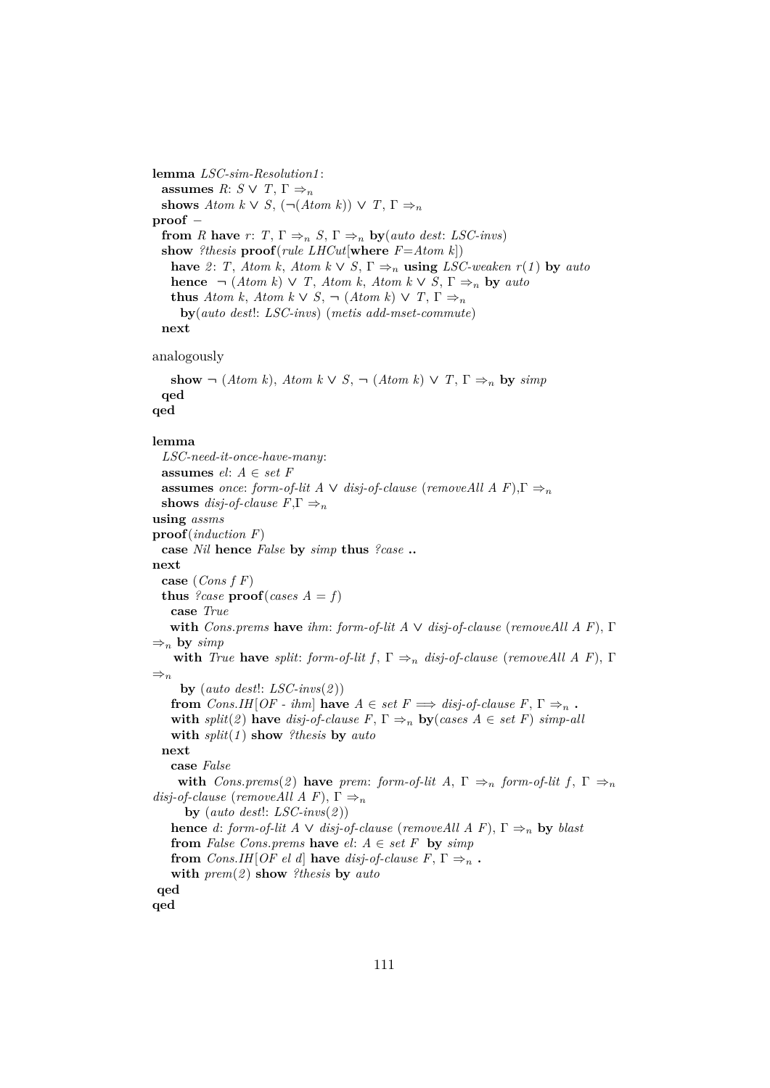**lemma** *LSC-sim-Resolution1* : **assumes**  $R: S \vee T, \Gamma \Rightarrow_n$ **shows** *Atom k*  $\vee$  *S*,  $(\neg (Atom k)) \vee T$ ,  $\Gamma \Rightarrow_n$ **proof** − **from** *R* **have** *r*: *T*,  $\Gamma \Rightarrow n S$ ,  $\Gamma \Rightarrow n \textbf{by}(auto\ dest: LSC-invs)$ **show** *?thesis* **proof**(*rule LHCut*[**where** *F*=*Atom k*]) **have** 2: *T*, *Atom k*, *Atom k*  $\vee$  *S*,  $\Gamma \Rightarrow_n$  **using** *LSC-weaken*  $r(1)$  by *auto* **hence**  $\neg$  (*Atom k*)  $\vee$  *T*, *Atom k*, *Atom k*  $\vee$  *S*,  $\Gamma \Rightarrow_n$  **by** *auto* **thus** *Atom k*, *Atom k*  $\vee$  *S*,  $\neg$  (*Atom k*)  $\vee$  *T*,  $\Gamma \Rightarrow_n$ **by**(*auto dest*!: *LSC-invs*) (*metis add-mset-commute*) **next** analogously show  $\neg$  (*Atom k*), *Atom k*  $\vee$  *S*,  $\neg$  (*Atom k*)  $\vee$  *T*,  $\Gamma \Rightarrow_n$  by *simp* **qed qed lemma** *LSC-need-it-once-have-many*: **assumes** *el*: *A* ∈ *set F* **assumes** *once*: *form-of-lit A*  $\vee$  *disj-of-clause* (*removeAll A F*),  $\Gamma \Rightarrow_n$ **shows** *disj-of-clause*  $F.\Gamma \Rightarrow_n$ **using** *assms* **proof**(*induction F*) **case** *Nil* **hence** *False* **by** *simp* **thus** *?case* **.. next case** (*Cons f F*) **thus** *?case*  $\text{proof}(cases A = f)$ **case** *True* **with** *Cons*.*prems* **have** *ihm*: *form-of-lit A* ∨ *disj-of-clause* (*removeAll A F*), Γ  $\Rightarrow$ <sub>n</sub> **by** *simp* **with** *True* **have** *split*: *form-of-lit f*,  $\Gamma \Rightarrow_n disj-of-clause$  (*removeAll A F*),  $\Gamma$  $\Rightarrow_n$ **by** (*auto dest*!: *LSC-invs*(*2* )) **from** *Cons.IH*[*OF - ihm*] **have**  $A \in set F \implies disj-of-clause F, \Gamma \Rightarrow_n$ . **with**  $split(2)$  **have**  $disj$ -of-clause  $F, \Gamma \Rightarrow_n$  **by**(*cases A*  $\in$  *set F*) *simp-all* **with** *split*(*1* ) **show** *?thesis* **by** *auto* **next case** *False* **with**  $Cons. \text{prems}(2)$  **have**  $\text{prem: form-of-lit } A, \Gamma \Rightarrow_n \text{ form-of-lit } f, \Gamma \Rightarrow_n$ *disj-of-clause* (*removeAll A F*),  $\Gamma \Rightarrow_n$ **by** (*auto dest*!: *LSC-invs*(*2* )) **hence** *d*: *form-of-lit A*  $\vee$  *disj-of-clause* (*removeAll A F*),  $\Gamma \Rightarrow_n$  **by** *blast* **from** *False Cons.prems* **have**  $el: A \in set F$  **by**  $simp$ **from** *Cons.IH*[*OF el d*] **have** *disj-of-clause F*,  $\Gamma \Rightarrow_n$ . **with** *prem*(*2* ) **show** *?thesis* **by** *auto* **qed qed**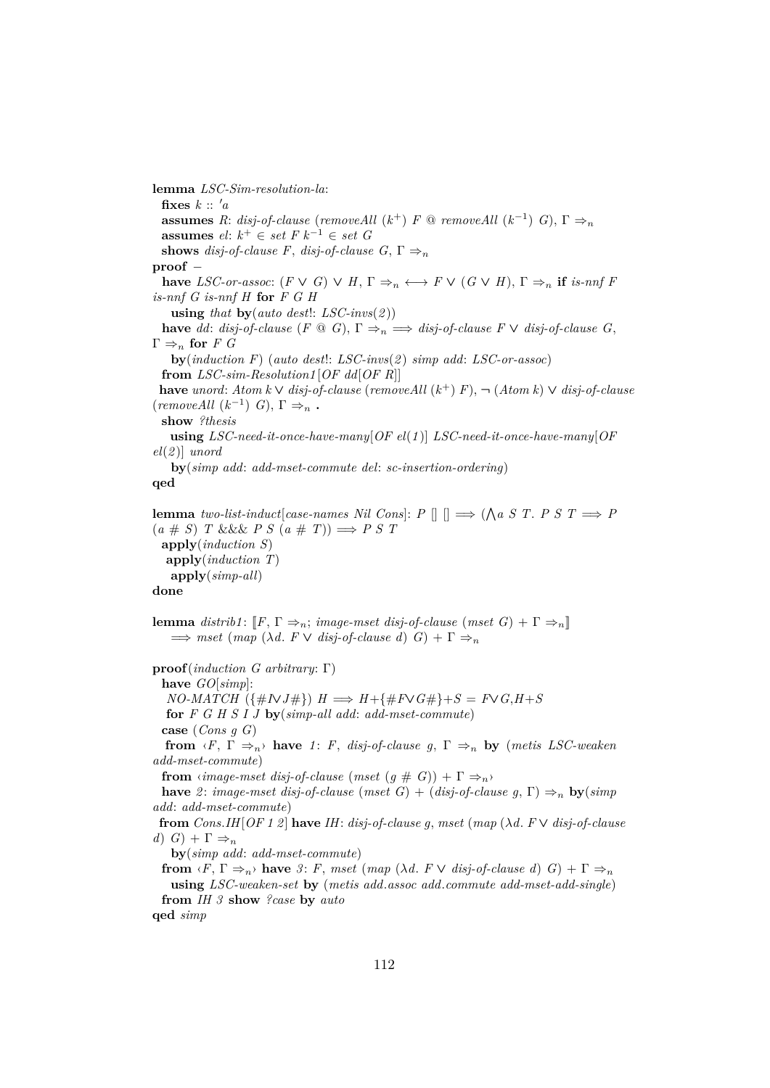**lemma** *LSC-Sim-resolution-la*: fixes  $k :: 'a$ **assumes** *R*: *disj-of-clause* (*removeAll* ( $k^+$ ) *F* @ *removeAll* ( $k^{-1}$ ) *G*),  $\Gamma \Rightarrow_n$ **assumes** *el*: *k* <sup>+</sup> ∈ *set F k*<sup>−</sup><sup>1</sup> ∈ *set G* **shows** *disj-of-clause F*, *disj-of-clause G*,  $\Gamma \Rightarrow_n$ **proof** − **have** *LSC-or-assoc*:  $(F \vee G) \vee H$ ,  $\Gamma \Rightarrow_n \longleftrightarrow F \vee (G \vee H)$ ,  $\Gamma \Rightarrow_n$  **if** *is-nnf* F *is-nnf G is-nnf H* **for** *F G H* **using** *that* **by**(*auto dest*!: *LSC-invs*(*2* )) **have** *dd*: *disj-of-clause*  $(F \otimes G)$ ,  $\Gamma \Rightarrow_n \implies \text{disj-of-clause } F \vee \text{disj-of-clause } G$ ,  $\Gamma \Rightarrow_n \textbf{for } F G$ **by**(*induction F*) (*auto dest*!: *LSC-invs*(*2* ) *simp add*: *LSC-or-assoc*) **from** *LSC-sim-Resolution1* [*OF dd*[*OF R*]] **have** *unord*: *Atom k* ∨ *disj-of-clause* (*removeAll* (*k* <sup>+</sup>) *F*), ¬ (*Atom k*) ∨ *disj-of-clause*  $(removeAll (k^{-1}) G), \Gamma \Rightarrow_n$ . **show** *?thesis* **using** *LSC-need-it-once-have-many*[*OF el*(*1* )] *LSC-need-it-once-have-many*[*OF el*(*2* )] *unord* **by**(*simp add*: *add-mset-commute del*: *sc-insertion-ordering*) **qed lemma** *two-list-induct*[*case-names Nil Cons*]:  $P \parallel \parallel \implies (\bigwedge a \ S \ T. \ P \ S \ T \implies P)$  $(a \# S)$  *T* &&& *P S*  $(a \# T)$ )  $\Longrightarrow$  *P S T* **apply**(*induction S*) **apply**(*induction T*) **apply**(*simp-all*) **done lemma** distrib1:  $\llbracket F, \Gamma \Rightarrow_n$ ; *image-mset disj-of-clause* (*mset G*) +  $\Gamma \Rightarrow_n \llbracket$  $\implies$  *mset* (*map* ( $\lambda d$ .  $F \vee disj-of-clause d$ )  $G$ ) +  $\Gamma \Rightarrow$ **proof**(*induction G arbitrary*: Γ) **have** *GO*[*simp*]:  $NO-MATCH$  ({ $\#IVJ\#$ })  $H \implies H + {\#F \vee G\#} + S = F \vee G, H + S$ **for** *F G H S I J* **by**(*simp-all add*: *add-mset-commute*) **case** (*Cons g G*) **from**  $\langle F, \Gamma \Rightarrow_n \rangle$  **have** *1*: *F*, *disj-of-clause g*,  $\Gamma \Rightarrow_n$  **by** (*metis LSC-weaken add-mset-commute*) **from**  $\langle \text{image-mset } \text{disj-of-clause } (\text{mset } (g \# G)) + \Gamma \Rightarrow_n \rangle$ **have** 2: *image-mset disj-of-clause* (*mset G*) + (*disj-of-clause g*,  $\Gamma$ )  $\Rightarrow$ <sub>n</sub> **by**(*simp add*: *add-mset-commute*) **from** *Cons*.*IH*[*OF 1 2* ] **have** *IH*: *disj-of-clause g*, *mset* (*map* (λ*d*. *F* ∨ *disj-of-clause d*)  $G$  +  $\Gamma \Rightarrow_n$ **by**(*simp add*: *add-mset-commute*) **from**  $\langle F, \Gamma \Rightarrow_n \rangle$  **have** 3: *F*, *mset* (*map* ( $\lambda d$ . *F*  $\vee$  *disj-of-clause d*) *G*) +  $\Gamma \Rightarrow_n$ **using** *LSC-weaken-set* **by** (*metis add*.*assoc add*.*commute add-mset-add-single*)

**from** *IH 3* **show** *?case* **by** *auto*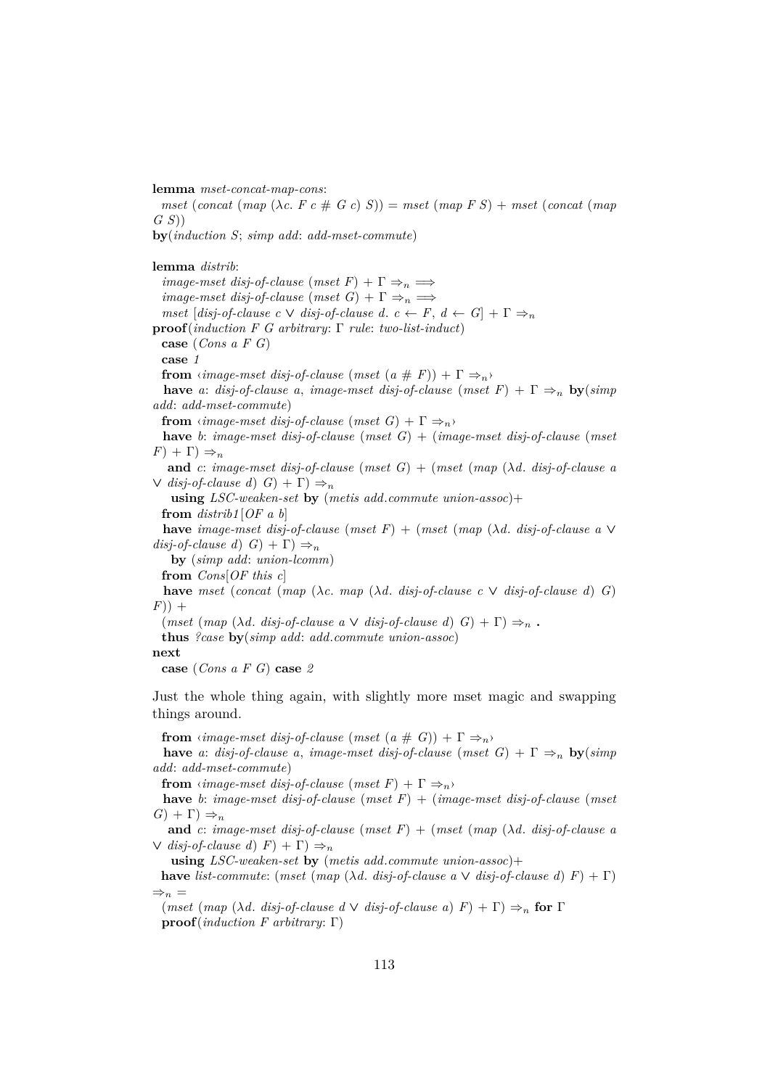**lemma** *mset-concat-map-cons*:

 $mset$  (*concat* ( $map$  ( $\lambda c$ ,  $F c \neq G c$ )  $S$ )) =  $mset$  ( $map$   $F S$ ) +  $mset$  (*concat* ( $map$ *G S*))

**by**(*induction S*; *simp add*: *add-mset-commute*)

**lemma** *distrib*:

*image-mset disj-of-clause*  $(mset F) + \Gamma \Rightarrow_n \Longrightarrow$ *image-mset disj-of-clause*  $(mset\ G) + \Gamma \Rightarrow_n \Longrightarrow$ *mset*  $[disj-of-clause \ c \ \lor \ disj-of-clause \ d. \ c \leftarrow F, \ d \leftarrow G$  +  $\Gamma \Rightarrow_n$ **proof**(*induction F G arbitrary*: Γ *rule*: *two-list-induct*) **case** (*Cons a F G*) **case** *1* **from**  $\langle \text{image-mset } \text{disj-of-clause } (\text{mset } (a \# F)) + \Gamma \Rightarrow_n \rangle$ **have** *a*: *disj-of-clause a*, *image-mset disj-of-clause* (*mset*  $F$ ) +  $\Gamma \Rightarrow_n$  **by**(*simp*) *add*: *add-mset-commute*) **from**  $\langle \textit{image-mset } \textit{disj-of-clause } (\textit{mset } G) + \Gamma \Rightarrow_n \rangle$ **have** *b*: *image-mset disj-of-clause* (*mset G*) + (*image-mset disj-of-clause* (*mset*  $(F) + \Gamma$ )  $\Rightarrow_n$ 

**and** *c*: *image-mset* disj-of-clause (*mset*  $G$ ) + (*mset* (*map* ( $\lambda$ *d*. *disj-of-clause a*  $\vee$  *disj-of-clause d*)  $G$  +  $\Gamma$   $\Rightarrow$ <sub>n</sub>

**using** *LSC-weaken-set* **by** (*metis add*.*commute union-assoc*)+ **from** *distrib1* [*OF a b*]

**have** *image-mset disj-of-clause* (*mset F*) + (*mset* (*map* (λ*d*. *disj-of-clause a* ∨  $disj-of-clause d(G) + \Gamma) \Rightarrow_n$ 

**by** (*simp add*: *union-lcomm*)

**from** *Cons*[*OF this c*]

**have** *mset* (*concat* (*map* ( $\lambda c$ . *map* ( $\lambda d$ . *disj-of-clause c*  $\vee$  *disj-of-clause d*) *G*)  $(F)$ ) +

 $(mset (map (\lambda d. disj-of-clause a \vee disj-of-clause d) G) + \Gamma) \Rightarrow_n$ .

**thus** *?case* **by**(*simp add*: *add*.*commute union-assoc*)

#### **next**

**case** (*Cons a F G*) **case** *2*

Just the whole thing again, with slightly more mset magic and swapping things around.

**from**  $\langle \text{image-mset } \text{disj-of-clause } (\text{mset } (a \# G)) + \Gamma \Rightarrow_n \rangle$ 

**have** *a*: *disj-of-clause a*, *image-mset disj-of-clause* (*mset G*) +  $\Gamma \Rightarrow_n$  **by**(*simp add*: *add-mset-commute*)

**from**  $\langle \textit{image-mset } \textit{disj-of-clause } (\textit{mset } F) + \Gamma \Rightarrow_n \rangle$ 

**have** *b*: *image-mset disj-of-clause* (*mset F*) + (*image-mset disj-of-clause* (*mset*  $G$ ) +  $\Gamma$ )  $\Rightarrow$ <sub>n</sub>

**and** *c*: *image-mset disj-of-clause* (*mset F*) + (*mset* (*map* (λ*d*. *disj-of-clause a*  $\vee$  *disj-of-clause d*)  $F$  +  $\Gamma$   $\Rightarrow$ <sub>n</sub>

**using** *LSC-weaken-set* **by** (*metis add*.*commute union-assoc*)+

**have** *list-commute:* (*mset* (*map* ( $\lambda d$ . *disj-of-clause a*  $\vee$  *disj-of-clause d*)  $F$ ) +  $\Gamma$ )  $\Rightarrow_n$  =

<sup>(</sup>*mset* (*map* (*λd. disj-of-clause d*  $\vee$  *disj-of-clause a*)  $F$ ) +  $\Gamma$ )  $\Rightarrow$ <sub>*n*</sub> for  $\Gamma$ **proof**(*induction F arbitrary*: Γ)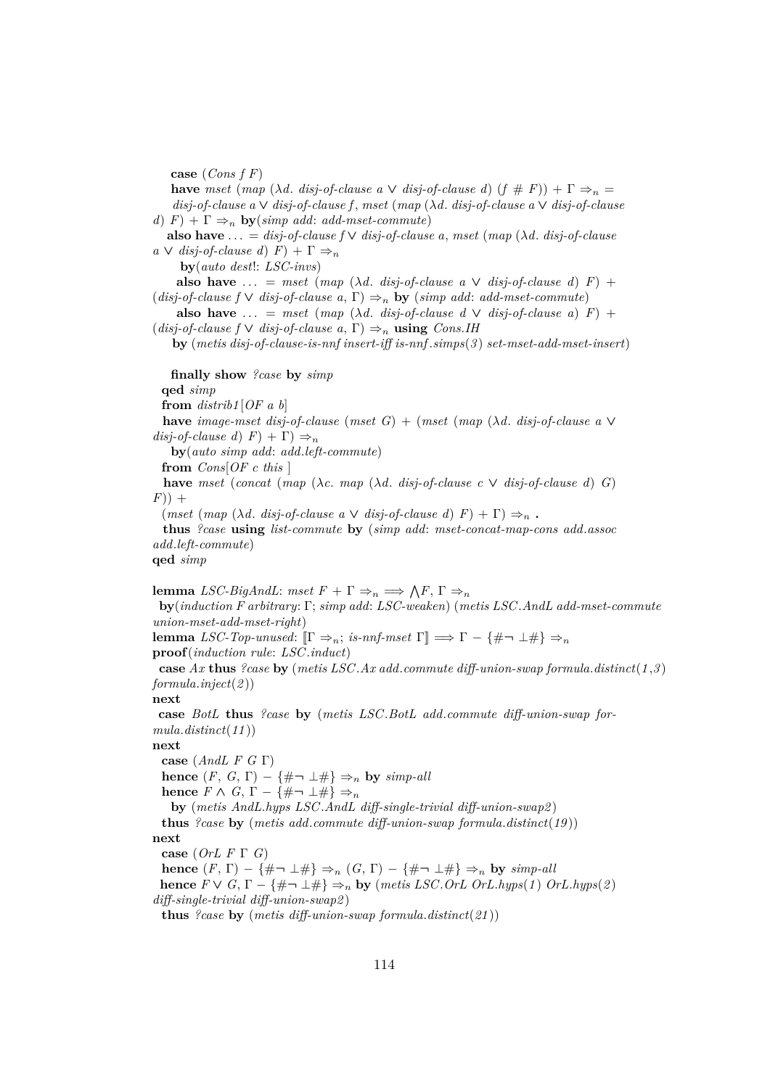**case** (*Cons f F*)

**have** *mset* (*map* ( $\lambda d$ . *disj-of-clause a*  $\vee$  *disj-of-clause d*) ( $f \# F$ )) +  $\Gamma \Rightarrow_n$ *disj-of-clause a* ∨ *disj-of-clause f* , *mset* (*map* (λ*d*. *disj-of-clause a* ∨ *disj-of-clause d*)  $F$  +  $\Gamma \Rightarrow_n$  **by**(*simp add: add-mset-commute*)

**also have**  $\ldots = disp\text{-}of\text{-}clause \uparrow \vee dis\text{-}of\text{-}clause \uparrow a, \text{mset} \uparrow (map \uparrow \lambda d, \text{ } dis\text{-}of\text{-}clause$  $a \vee disj-of-clause d$   $F$  +  $\Gamma \Rightarrow_n$ 

**by**(*auto dest*!: *LSC-invs*)

**also have** ... = *mset* (*map* ( $\lambda d$ . *disj-of-clause a*  $\vee$  *disj-of-clause d*)  $F$ ) + (*disj-of-clause f*  $\vee$  *disj-of-clause a*,  $\Gamma$ )  $\Rightarrow$ <sub>n</sub> **by** (*simp add: add-mset-commute*)

**also have** ... = *mset* (*map* ( $\lambda d$ . *disj-of-clause d*  $\vee$  *disj-of-clause a*) *F*) +  $(disj-of-clause f \lor disj-of-clause a, \Gamma) \Rightarrow_n \text{using Cons.}$ *IH* 

**by** (*metis disj-of-clause-is-nnf insert-iff is-nnf* .*simps*(*3* ) *set-mset-add-mset-insert*)

**finally show** *?case* **by** *simp*

**qed** *simp*

**from** *distrib1* [*OF a b*]

**have** *image-mset disj-of-clause* (*mset G*) + (*mset* (*map* (λ*d*. *disj-of-clause a* ∨ *disj-of-clause d*)  $F$  +  $\Gamma$   $\Rightarrow$ <sup>n</sup>

**by**(*auto simp add*: *add*.*left-commute*)

**from** *Cons*[*OF c this* ]

**have** *mset* (*concat* (*map* (λ*c*. *map* (λ*d*. *disj-of-clause c* ∨ *disj-of-clause d*) *G*)  $(F)) +$ 

(*mset* (*map* ( $\lambda d$ . *disj-of-clause a*  $\vee$  *disj-of-clause d*)  $F$ ) +  $\Gamma$ )  $\Rightarrow$ <sub>n</sub>.

**thus** *?case* **using** *list-commute* **by** (*simp add*: *mset-concat-map-cons add*.*assoc add*.*left-commute*)

**qed** *simp*

**lemma** *LSC-BigAndL*: *mset*  $F + \Gamma \Rightarrow_n \implies \bigwedge F, \Gamma \Rightarrow_n$ **by**(*induction F arbitrary*: Γ; *simp add*: *LSC-weaken*) (*metis LSC*.*AndL add-mset-commute union-mset-add-mset-right*) **lemma** *LSC-Top-unused*:  $[\Gamma \Rightarrow_n; \text{ is-nnf-mset} \Gamma] \Longrightarrow \Gamma - \{\#\neg \bot \# \} \Rightarrow_n$ **proof**(*induction rule*: *LSC*.*induct*) **case** *Ax* **thus** *?case* **by** (*metis LSC*.*Ax add*.*commute diff-union-swap formula*.*distinct*(*1* ,*3* ) *formula*.*inject*(*2* )) **next case** *BotL* **thus** *?case* **by** (*metis LSC*.*BotL add*.*commute diff-union-swap formula*.*distinct*(*11* )) **next case** (*AndL F G* Γ) **hence**  $(F, G, \Gamma) - \{\# \neg \perp \# \} \Rightarrow_n$  **by**  $simp-all$ **hence**  $F \wedge G$ ,  $\Gamma - \{\# \neg \perp \# \} \Rightarrow_n$ **by** (*metis AndL*.*hyps LSC*.*AndL diff-single-trivial diff-union-swap2* ) **thus** *?case* **by** (*metis add*.*commute diff-union-swap formula*.*distinct*(*19* )) **next case** (*OrL F* Γ *G*)

**hence**  $(F, \Gamma) - \{\#\neg \perp\# \} \Rightarrow_n (G, \Gamma) - \{\#\neg \perp\# \} \Rightarrow_n$  **by**  $\text{simp-all}$ **hence**  $F \vee G$ ,  $\Gamma - {\mathbf{H} - \mathbf{L}} \neq \mathbf{H}$   $\Rightarrow$ <sub>n</sub> **by** (*metis LSC.OrL OrL.hyps*(*1*) *OrL.hyps*(*2*) *diff-single-trivial diff-union-swap2* )

**thus** *?case* **by** (*metis diff-union-swap formula*.*distinct*(*21* ))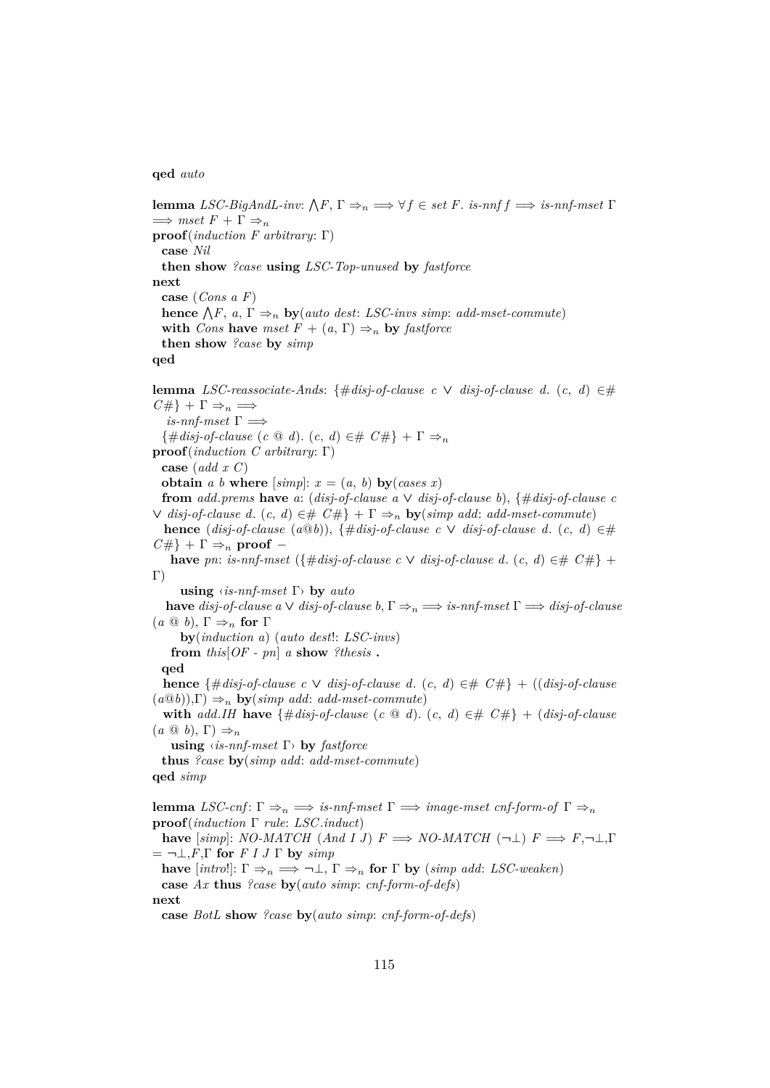#### **qed** *auto*

**lemma** *LSC-BigAndL-inv:*  $\bigwedge F$ ,  $\Gamma \Rightarrow_n \Longrightarrow \forall f \in set \ F$ . *is-nnf f*  $\Longrightarrow$  *is-nnf-mset*  $\Gamma$  $\implies$  *mset*  $F + \Gamma \Rightarrow_n$ **proof**(*induction F arbitrary*: Γ) **case** *Nil* **then show** *?case* **using** *LSC-Top-unused* **by** *fastforce* **next case** (*Cons a F*) **hence**  $\bigwedge F$ ,  $a, \Gamma \Rightarrow_n$  **by**(*auto dest: LSC-invs simp: add-mset-commute*) **with** *Cons* **have** *mset*  $F + (a, \Gamma) \Rightarrow_n$  **by** *fastforce* **then show** *?case* **by** *simp* **qed lemma** *LSC-reassociate-Ands*: {#*disj-of-clause c* ∨ *disj-of-clause d*. (*c*, *d*) ∈#  $C \# \} + \Gamma \Rightarrow_n \implies$  $\it is\text{-}nnf\text{-}mset$   $\Gamma \Longrightarrow$  $\{\text{\#disj-of-clause } (c \text{ @ } d). (c, d) \in \text{\# } C\#\} + \Gamma \Rightarrow_n$ **proof**(*induction C arbitrary*: Γ) **case** (*add x C*) **obtain** *a b* **where**  $[simp]: x = (a, b)$  **by**(*cases x*) **from** *add.prems* **have** *a*: (*disj-of-clause a*  $\vee$  *disj-of-clause b*), {#*disj-of-clause c* ∨ *disj-of-clause d*. (*c*, *d*) ∈# *C*#} + Γ ⇒<sup>n</sup> **by**(*simp add*: *add-mset-commute*) **hence** (*disj-of-clause* (*a*<sup>*Q*</sup>*b*)), {#*disj-of-clause c* ∨ *disj-of-clause d.* (*c*, *d*) ∈#  $C \# \} + \Gamma \Rightarrow_n \text{ proof}$ **have** *pn*: *is-nnf-mset* ({#*disj-of-clause c*  $\vee$  *disj-of-clause d.* (*c, d*) ∈#  $C#$ } +  $\Gamma$ ) **using** ‹*is-nnf-mset* Γ› **by** *auto* **have** *disj-of-clause*  $a \vee disp\text{-}of\text{-}clause$   $b, \Gamma \Rightarrow_n \Longrightarrow \text{is-nnf-mset}$   $\Gamma \Longrightarrow \text{disj-of-clause}$ (*a* @ *b*), Γ ⇒<sup>n</sup> **for** Γ **by**(*induction a*) (*auto dest*!: *LSC-invs*) **from**  $this[OF - pn]$  *a* **show**  $?thesis$  **. qed hence** {#*disj-of-clause c* ∨ *disj-of-clause d*. (*c*, *d*) ∈# *C*#} + ((*disj-of-clause*  $(a@b)$ ,  $\Gamma$   $\Rightarrow$ <sub>n</sub> **by**(*simp add: add-mset-commute*) **with** *add.IH* **have** {#*disj-of-clause* (*c*  $\omega$  *d*). (*c*, *d*)  $\in$ #  $C \#$ } + (*disj-of-clause*  $(a \odot b), \Gamma) \Rightarrow_n$ **using** ‹*is-nnf-mset* Γ› **by** *fastforce* **thus** *?case* **by**(*simp add*: *add-mset-commute*) **qed** *simp* **lemma** *LSC-cnf*:  $\Gamma \Rightarrow_n \Rightarrow$  *is-nnf-mset*  $\Gamma \Rightarrow \text{image-mset~cnf-form-of~} \Gamma \Rightarrow_n$ **proof**(*induction* Γ *rule*: *LSC*.*induct*) **have**  $[simp]: NO-MATCH$  (*And I J*)  $F \implies NO-MATCH$  (¬⊥)  $F \implies F, \neg \bot, \Gamma$  $= \neg \bot, F, \Gamma$  for *F I J*  $\Gamma$  by *simp* **have**  $[intro!]$ :  $\Gamma \Rightarrow_n \Longrightarrow \neg \bot$ ,  $\Gamma \Rightarrow_n$  **for**  $\Gamma$  **by** (*simp add: LSC-weaken*) **case** *Ax* **thus** *?case* **by**(*auto simp*: *cnf-form-of-defs*)

**next**

**case** *BotL* **show** *?case* **by**(*auto simp*: *cnf-form-of-defs*)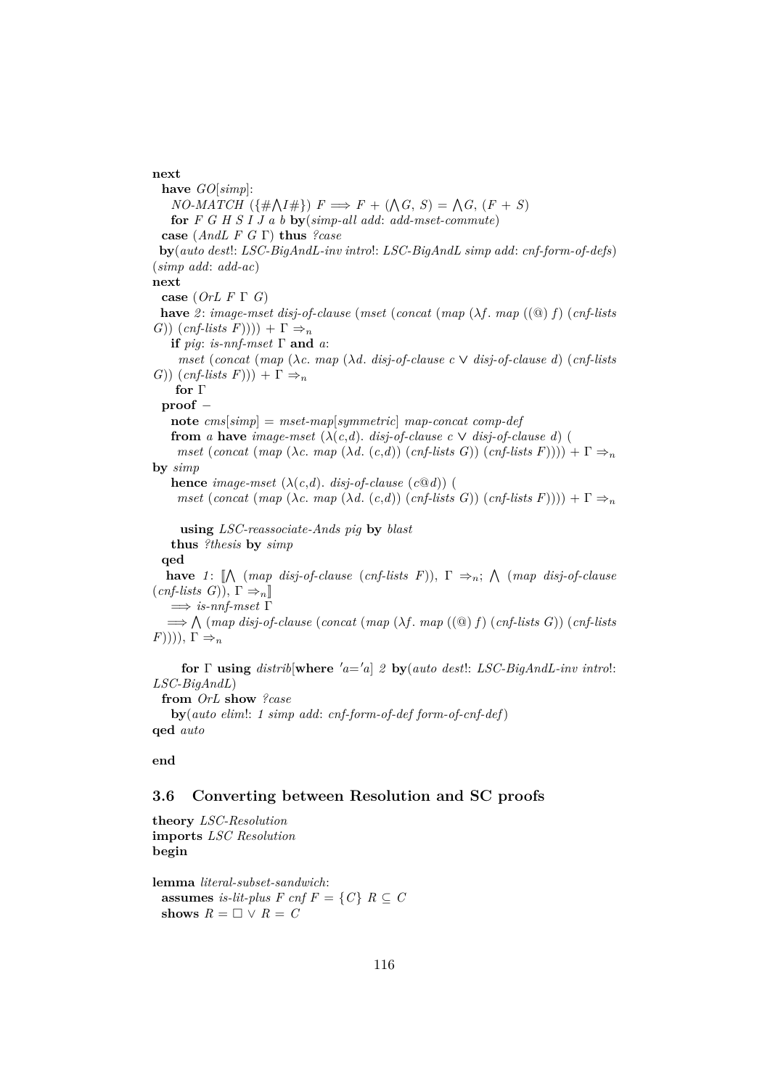#### **next**

**have** *GO*[*simp*]:  $NO\text{-}MATCH(\{\#\text{$\bigwedge} I\# \})\ F \Longrightarrow F + (\text{$\bigwedge} G, S) = \text{$\bigwedge} G, (F + S)$ **for** *F G H S I J a b* **by**(*simp-all add*: *add-mset-commute*) **case** (*AndL F G* Γ) **thus** *?case* **by**(*auto dest*!: *LSC-BigAndL-inv intro*!: *LSC-BigAndL simp add*: *cnf-form-of-defs*) (*simp add*: *add-ac*) **next case** (*OrL F* Γ *G*) **have** *2* : *image-mset disj-of-clause* (*mset* (*concat* (*map* (λ*f* . *map* ((@) *f*) (*cnf-lists G*))  $(\text{cnf-lists } F))$ ) +  $\Gamma \Rightarrow_n$ **if** *pig*: *is-nnf-mset*  $\Gamma$  **and** *a*: *mset* (*concat* (*map* (λ*c*. *map* (λ*d*. *disj-of-clause c* ∨ *disj-of-clause d*) (*cnf-lists G*))  $(\text{cnf-lists } F)) + \Gamma \Rightarrow_n$ **for** Γ **proof** − **note** *cms*[*simp*] = *mset-map*[*symmetric*] *map-concat comp-def* **from** *a* **have** *image-mset*  $(\lambda(c,d))$ . *disj-of-clause c*  $\vee$  *disj-of-clause d*) ( *mset* (*concat* (*map* (*λc. map* (*λd.* (*c,d*)) (*cnf-lists G*)) (*cnf-lists F*)))) +  $\Gamma \Rightarrow_n$ **by** *simp* **hence** *image-mset*  $(\lambda(c,d))$ . *disj-of-clause*  $(c@d)$ ) ( *mset*  $(concat \ (map \ (\lambda c \ \mapsto \land d \ . \ (c,d)) \ (conf-lists \ G)) \ (conf-lists \ F)))) + \Gamma \Rightarrow_n$ **using** *LSC-reassociate-Ands pig* **by** *blast* **thus** *?thesis* **by** *simp* **qed have** 1:  $[\bigwedge$  (*map disj-of-clause* (*cnf-lists F*)),  $\Gamma \Rightarrow_n$ ;  $\bigwedge$  (*map disj-of-clause*  $(\text{cnf-lists } G)$ ),  $\Gamma \Rightarrow_n$ ] =⇒ *is-nnf-mset* Γ =⇒ V (*map disj-of-clause* (*concat* (*map* (λ*f* . *map* ((@) *f*) (*cnf-lists G*)) (*cnf-lists*  $(F))$ )),  $\Gamma \Rightarrow_n$ **for**  $\Gamma$  **using** *distrib*[where 'a='a] 2 **by**(*auto dest*!: *LSC-BigAndL-inv introl:* 

*LSC-BigAndL*) **from** *OrL* **show** *?case* **by**(*auto elim*!: *1 simp add*: *cnf-form-of-def form-of-cnf-def*) **qed** *auto*

### **end**

### **3.6 Converting between Resolution and SC proofs**

**theory** *LSC-Resolution* **imports** *LSC Resolution* **begin**

**lemma** *literal-subset-sandwich*: **assumes** *is-lit-plus*  $F \text{ cnf } F = \{C\}$   $R \subseteq C$ **shows**  $R = \Box \lor R = C$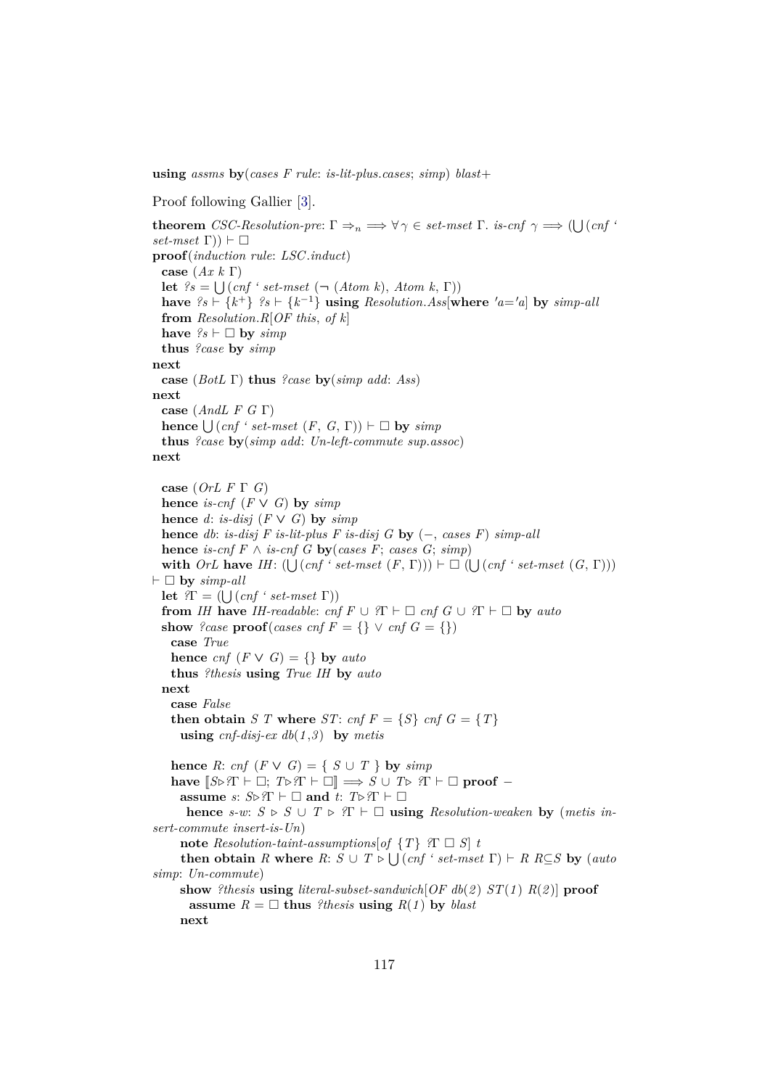**using** *assms* **by**(*cases F rule*: *is-lit-plus*.*cases*; *simp*) *blast*+

```
Proof following Gallier [3].
```
**theorem** *CSC-Resolution-pre*:  $\Gamma \Rightarrow_n \Longrightarrow \forall \gamma \in set\text{-}mset \Gamma$ . *is-cnf*  $\gamma \Longrightarrow (\bigcup (cnf \land m) \land (cnf \land m))$  $set-mset$   $\Gamma$ )  $\vdash \Box$ **proof**(*induction rule*: *LSC*.*induct*) **case** (*Ax k* Γ) **let**  $?s = \bigcup (cnf \text{ 'set-mset } (\neg (Atom k), Atom k, \Gamma))$ **have**  $?s$  ⊢ { $k$ <sup>+</sup>}  $?s$  ⊢ { $k$ <sup>-1</sup>} **using** *Resolution.Ass*[where  $'a = 'a$ ] by *simp-all* **from** *Resolution*.*R*[*OF this*, *of k*] have  $?s \vdash \Box$  by  $simp$ **thus** *?case* **by** *simp* **next case** (*BotL* Γ) **thus** *?case* **by**(*simp add*: *Ass*) **next case** (*AndL F G* Γ)  $hence \bigcup (cnf \text{ 'set-mset (}F, G, \Gamma)) \vdash \Box$  by  $simp$ **thus** *?case* **by**(*simp add*: *Un-left-commute sup*.*assoc*) **next case** (*OrL F* Γ *G*) **hence** *is-cnf*  $(F \vee G)$  **by** *simp* **hence** *d*: *is-disj*  $(F \vee G)$  **by** *simp* **hence** *db*: *is-disj F is-lit-plus F is-disj G* **by** (−, *cases F*) *simp-all* **hence** *is-cnf*  $F \wedge$  *is-cnf*  $G$  **by**(*cases*  $F$ ; *cases*  $G$ ; *simp*) with *OrL* have *IH*:  $(\bigcup (cnf \text{ 'set-mset (F, T)})) \vdash \Box (\bigcup (cnf \text{ 'set-mset (G, T)}))$  $\vdash \Box$  by  $simp-all$ **let**  $\mathcal{T} = (\bigcup (cnf \cdot set-mset \Gamma))$ **from** *IH* **have** *IH-readable: cnf F*  $\cup$  *?*Γ  $\vdash$   $\Box$  *cnf G*  $\cup$  *?*Γ  $\vdash$   $\Box$  **by** *auto* **show** *?case*  $\text{proof}(cases \text{ } \text{cnf } F = \{ \} \vee \text{ } \text{cnf } G = \{ \} \}$ **case** *True* **hence** *cnf*  $(F \vee G) = \{\}$  **by** *auto* **thus** *?thesis* **using** *True IH* **by** *auto* **next case** *False* **then obtain** *S T* where *ST*: *cnf*  $F = \{S\}$  *cnf*  $G = \{T\}$ **using** *cnf-disj-ex db*(*1* ,*3* ) **by** *metis* **hence** *R*: *cnf*  $(F \vee G) = \{ S \cup T \}$  **by** *simp* **have**  $[S \triangleright \mathcal{R} \vdash \square; T \triangleright \mathcal{R} \vdash \square] \implies S \cup T \triangleright \mathcal{R} \vdash \square \text{ proof } \neg$ **assume** *s*:  $S \triangleright ?\Gamma \vdash \Box$  **and** *t*:  $T \triangleright ?\Gamma \vdash \Box$ **hence**  $s-w: S \triangleright S \cup T \triangleright T \vdash \square$  **using** *Resolution-weaken* **by** (*metis insert-commute insert-is-Un*) **note** *Resolution-taint-assumptions*[*of*  $\{T\}$  *?* $\Gamma \square S$ ] *t* **then obtain** *R* where  $R: S \cup T \triangleright \bigcup (cnf \cdot set-mset \Gamma) \vdash R \ R \subseteq S$  by  $(auto \in T) \cup T \triangleright \bigcup (cnf \cdot set-mset \Gamma) \vdash R \ R \subseteq S$  by  $(auto \in T) \cup T \triangleright \bigcup (cnf \cdot set-mset \Gamma) \vdash R \ R \subseteq S$ *simp*: *Un-commute*) **show** *?thesis* **using** *literal-subset-sandwich*[*OF db*(*2* ) *ST*(*1* ) *R*(*2* )] **proof assume**  $R = \Box$  **thus** *?thesis* **using**  $R(1)$  by *blast* **next**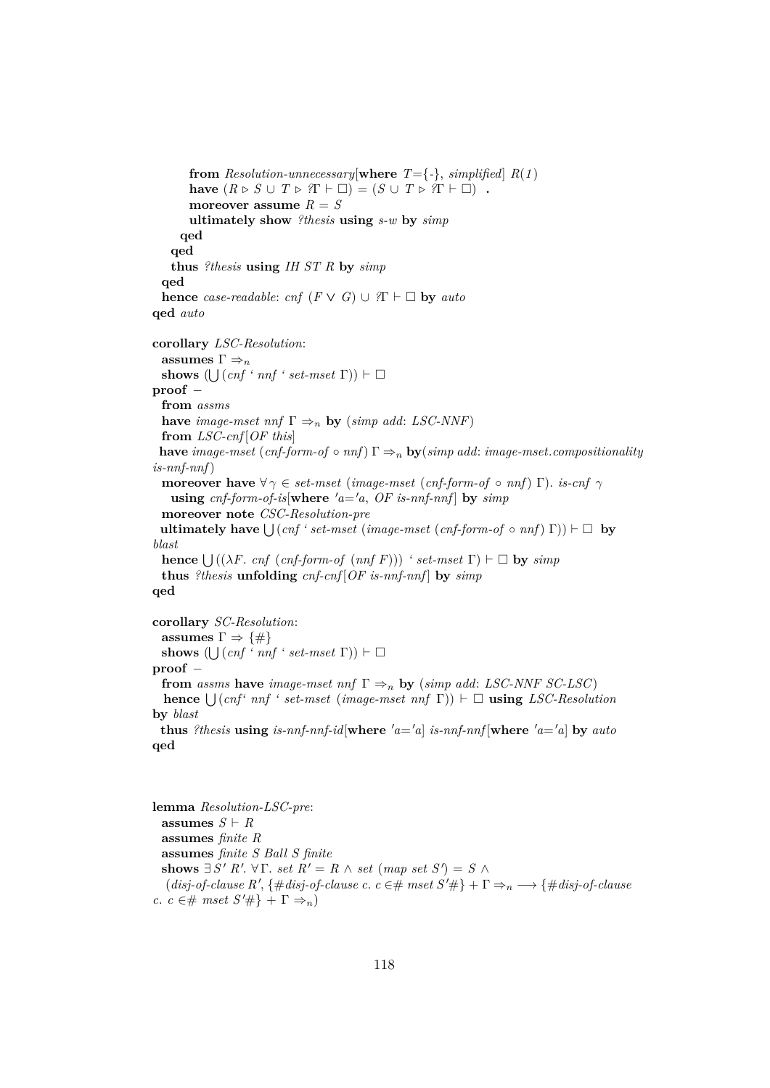**from** *Resolution-unnecessary*[where  $T = \{-\}$ , *simplified*]  $R(1)$ **have**  $(R \triangleright S \cup T \triangleright T \vdash \Box) = (S \cup T \triangleright T \vdash \Box)$ . **moreover assume**  $R = S$ **ultimately show** *?thesis* **using** *s-w* **by** *simp* **qed qed thus** *?thesis* **using** *IH ST R* **by** *simp* **qed hence** *case-readable: cnf*  $(F \vee G) \cup {}^2\Gamma \vdash \Box$  **by** *auto* **qed** *auto* **corollary** *LSC-Resolution*: **assumes**  $\Gamma \Rightarrow_n$ **shows**  $(\bigcup (cnf \cdot nnf \cdot set-mset \Gamma)) \vdash \Box$ **proof** − **from** *assms* **have** *image-mset nnf*  $\Gamma \Rightarrow_n$  **by** (*simp add: LSC-NNF*) **from** *LSC-cnf* [*OF this*] **have** *image-mset* (*cnf-form-of*  $\circ$  *nnf*)  $\Gamma \Rightarrow_n$  **by**(*simp add: image-mset.compositionality is-nnf-nnf*) **moreover have**  $\forall \gamma \in set-mset$  (*image-mset* (*cnf-form-of*  $\circ$  *nnf*) Γ). *is-cnf*  $\gamma$ **using**  $cnf$ -form-of-is where  $'a = a$ ,  $OF$  is-nnf-nnf  $\vert$  by  $simp$ **moreover note** *CSC-Resolution-pre*  $\mathbf{u}$ **ltimately have**  $\bigcup \left( \text{cnf ' set-mset (image-mset (cnf-form-of \circ \text{nnf}) \Gamma) } \right) \vdash \Box \mathbf{b}$ *blast* **hence**  $\bigcup ((\lambda F. \text{cnf } (cnf-form-of (nnf F)))$  *' set-mset*  $\Gamma$ )  $\vdash \Box$  **by** *simp* **thus** *?thesis* **unfolding** *cnf-cnf* [*OF is-nnf-nnf* ] **by** *simp* **qed corollary** *SC-Resolution*: **assumes**  $\Gamma \Rightarrow {\{\#\}}$ **shows**  $(\bigcup (cnf \cdot nnf \cdot set-mset \Gamma)) \vdash \Box$ **proof** − **from** *assms* **have** *image-mset nnf*  $\Gamma \Rightarrow_n$  **by** (*simp add: LSC-NNF SC-LSC*)

# **hence**  $\bigcup (cnf' \text{ nnf} ' set-mset (image-mset nrf \Gamma)) \vdash \Box$  **using** *LSC-Resolution* **by** *blast*

**thus** *?thesis* **using** is-nnf-nnf-id[where  $'a = a$ ] is-nnf-nnf[where  $'a = a$ ] by auto **qed**

**lemma** *Resolution-LSC-pre*: **assumes**  $S \vdash R$ **assumes** *finite R* **assumes** *finite S Ball S finite* **shows**  $\exists S' R'. \forall \Gamma. \text{ set } R' = R \land \text{ set } (map \text{ set } S') = S \land$  $(disj-of-clause R', \{\# disj-of-clause c. c \in \# \ mset S' \# \} + \Gamma \Rightarrow_n \longrightarrow \{\# disj-of-clause c \}$ *c*. *c* ∈# *mset*  $S'$ #} +  $\Gamma \Rightarrow_n$ )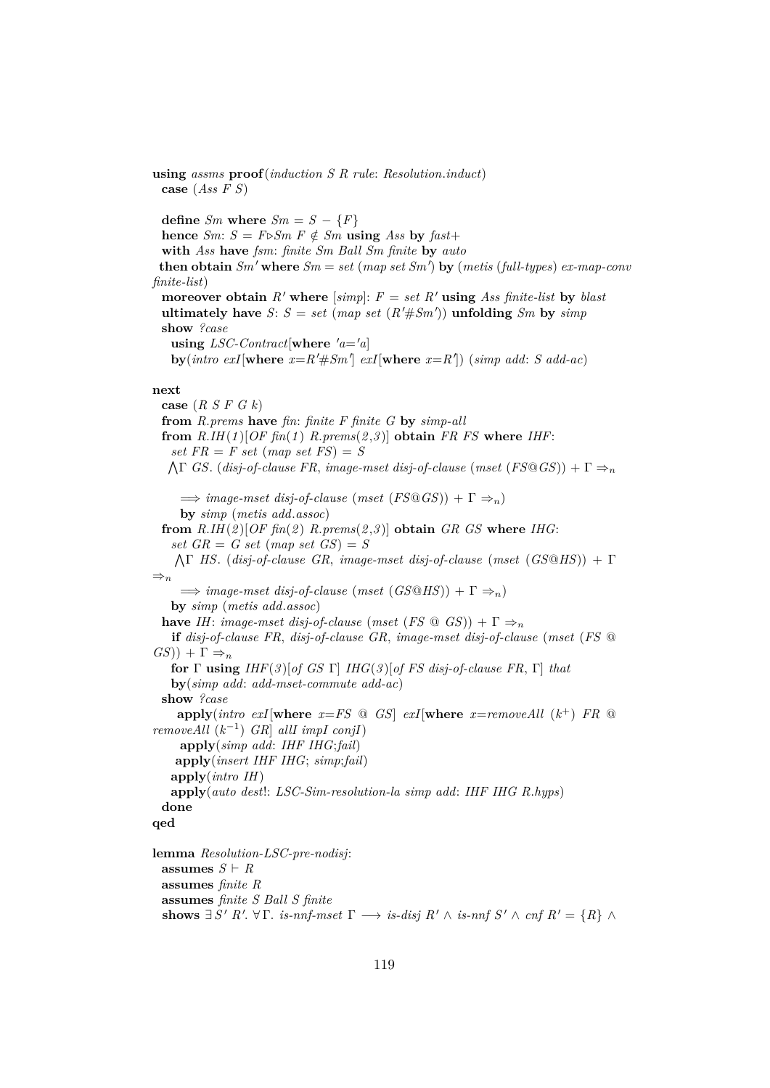**using** *assms* **proof**(*induction S R rule*: *Resolution*.*induct*) **case** (*Ass F S*) **define**  $Sm$  **where**  $Sm = S - \{F\}$ **hence** *Sm*:  $S = F \triangleright Sm \ F \notin Sm$  **using** *Ass* by *fast*+ **with** *Ass* **have** *fsm*: *finite Sm Ball Sm finite* **by** *auto* **then obtain**  $Sm'$  where  $Sm = set$  (map set  $Sm'$ ) by (metis (full-types)  $ex$ -map-conv *finite-list*) **moreover obtain**  $R'$  **where** [simp]:  $F = set R'$  **using** Ass finite-list by blast **ultimately have** *S*:  $S = set (map set (R' \# Sm'))$  **unfolding** *Sm* by *simp* **show** *?case* **using** *LSC-Contract*[**where**  $'a = a$ ]  $\mathbf{by}(\text{intro } \text{exI}[\textbf{where } x=R' \# \text{Sm} \text{]} \text{ } \text{exI}[\textbf{where } x=R']\text{)} \text{ } (\text{simp } \text{add: } S \text{ } \text{add-ac})$ **next case** (*R S F G k*) **from** *R*.*prems* **have** *fin*: *finite F finite G* **by** *simp-all* **from**  $R.HH(1)[OF \text{ fin}(1) R.\text{prems}(2,3)]$  **obtain**  $FR$   $FS$  where  $IHF:$ *set*  $FR = F$  *set*  $(map \; set \; FS) = S$ V Γ *GS*. (*disj-of-clause FR*, *image-mset disj-of-clause* (*mset* (*FS*@*GS*)) + Γ ⇒<sup>n</sup>  $\implies$  *image-mset disj-of-clause* (*mset* (*FS*<sup>*QGS*)) +  $\Gamma \Rightarrow$ <sub>n</sub>)</sup> **by** *simp* (*metis add*.*assoc*) from  $R.HH(2)[OF \nfin(2) \nlimes{R,2})$  **obtain**  $GR \n as$  where  $IHG$ : *set*  $GR = G$  *set*  $(map \; set \; GS) = S$ V Γ *HS*. (*disj-of-clause GR*, *image-mset disj-of-clause* (*mset* (*GS*@*HS*)) + Γ  $\Rightarrow_n$  $\implies$  *image-mset* disj-of-clause (*mset* (*GS*<sup>*QHS*))</sup> +  $\Gamma \Rightarrow$ <sub>n</sub>)</sub> **by** *simp* (*metis add*.*assoc*) **have** *IH*: *image-mset disj-of-clause* (*mset* (*FS*  $\textcircled{a}$  *GS*)) +  $\Gamma \Rightarrow_n$ **if** *disj-of-clause FR*, *disj-of-clause GR*, *image-mset disj-of-clause* (*mset* (*FS* @  $GS$ )) +  $\Gamma \Rightarrow n$ **for** Γ **using** *IHF*(*3* )[*of GS* Γ] *IHG*(*3* )[*of FS disj-of-clause FR*, Γ] *that* **by**(*simp add*: *add-mset-commute add-ac*) **show** *?case*  $\mathbf{apply}(\textit{intro exI}|\textbf{where } x = FS \text{ @ } GS \text{ ] } exI[\textbf{where } x = \textit{removeAll }(k^+), FR \text{ @ }$ *removeAll*  $(k^{-1})$  *GR allI impI conjI* **apply**(*simp add*: *IHF IHG*;*fail*) **apply**(*insert IHF IHG*; *simp*;*fail*) **apply**(*intro IH*) **apply**(*auto dest*!: *LSC-Sim-resolution-la simp add*: *IHF IHG R*.*hyps*) **done qed lemma** *Resolution-LSC-pre-nodisj*: **assumes**  $S \vdash R$ **assumes** *finite R* **assumes** *finite S Ball S finite* **shows**  $\exists S' R'. \forall \Gamma$ *. is-nnf-mset*  $\Gamma \longrightarrow$  *is-disj*  $R' \wedge$  *is-nnf*  $S' \wedge \text{cnf } R' = \{R\} \wedge$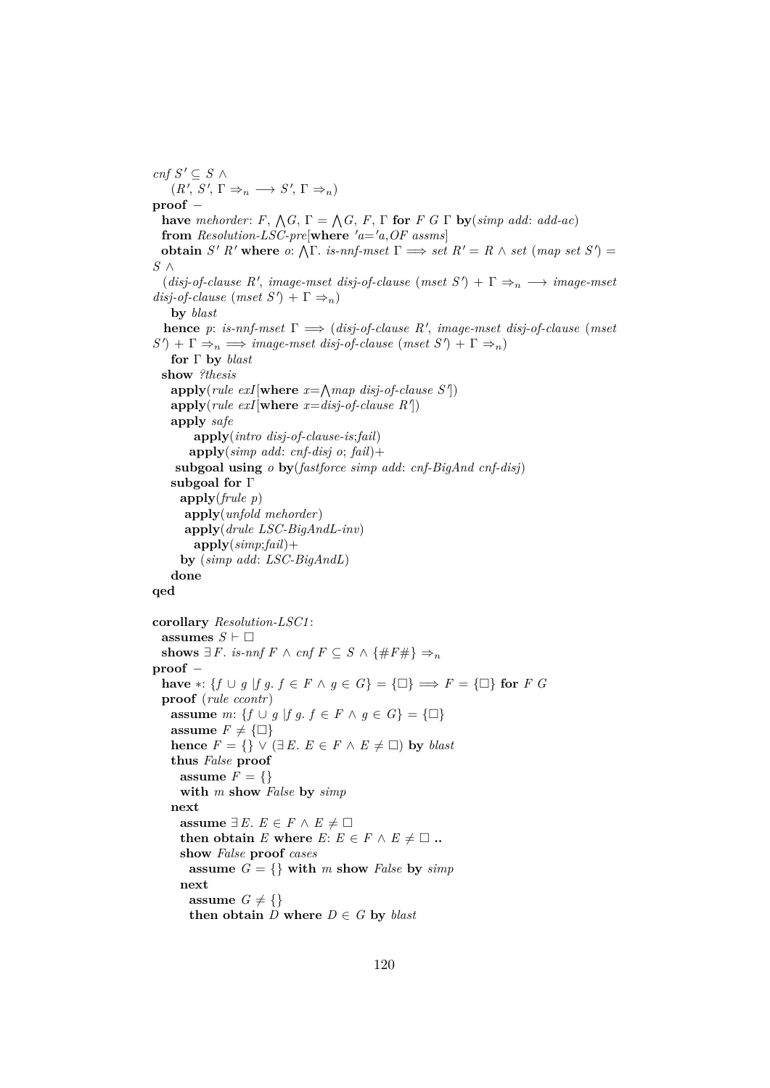*cnf*  $S'$  ⊆  $S$  ∧  $(R', S', \Gamma \Rightarrow_n \longrightarrow S', \Gamma \Rightarrow_n)$ **proof** − **have** *mehorder*:  $F$ ,  $\bigwedge G$ ,  $\Gamma = \bigwedge G$ ,  $F$ ,  $\Gamma$  for  $F$   $G \Gamma$  by (*simp add: add-ac*) **from** *Resolution-LSC-pre*[**where**  $'a = 'a$ , *OF* assms] **obtain**  $S' R'$  where  $o: \Lambda \Gamma$ . *is-nnf-mset*  $\Gamma \implies set R' = R \wedge set (map set S') =$ *S* ∧  $(disj-of-clause R', image-mset disj-of-clause (mset S') + \Gamma \Rightarrow_n \longrightarrow image-mset$  $disj-of-clause \text{ (mset S')} + \Gamma \Rightarrow_n$ **by** *blast* **hence** *p*: *is-nnf-mset*  $\Gamma \implies (disj-of-clause \, R', \, image-mset \, disj-of-clause \, (mset$  $S'$  +  $\Gamma \Rightarrow_n \implies \text{image-mset disj-of-clause (mset S') + } \Gamma \Rightarrow_n$ **for** Γ **by** *blast* **show** *?thesis*  $\mathbf{apply}(\text{rule } \text{ex1}\in \mathbf{xI}[\textbf{where } \textit{x}=\text{map } \textit{disj-of-clause } S'])$  $\mathbf{apply}(\text{rule } \text{ex1}\text{with}\mathbf{here} \text{ } x = \text{disj-of-clause } R^{\prime})$ **apply** *safe* **apply**(*intro disj-of-clause-is*;*fail*) **apply**(*simp add*: *cnf-disj o*; *fail*)+ **subgoal using** *o* **by**(*fastforce simp add*: *cnf-BigAnd cnf-disj*) **subgoal for** Γ **apply**(*frule p*) **apply**(*unfold mehorder*) **apply**(*drule LSC-BigAndL-inv*) **apply**(*simp*;*fail*)+ **by** (*simp add*: *LSC-BigAndL*) **done qed corollary** *Resolution-LSC1* : **assumes**  $S \vdash \Box$ **shows**  $\exists F$ *. is-nnf*  $F \wedge \text{cnf}$   $F \subseteq S \wedge \{\#F\#\} \Rightarrow_n$ **proof** − **have** ∗: {*f* ∪ *g* |*f g*. *f* ∈ *F* ∧ *g* ∈ *G*} = { $\Box$ }  $\Rightarrow$  *F* = { $\Box$ } for *F G* **proof** (*rule ccontr*) **assume** *m*: { $f \cup g$  | $f g \in F \land g \in G$ } = { $\Box$ }

**assume**  $F \neq {\Box}$ **hence**  $F = \{\}\vee (\exists E. E \in F \wedge E \neq \Box)$  by *blast* **thus** *False* **proof assume**  $F = \{\}$ **with** *m* **show** *False* **by** *simp* **next assume**  $\exists E$ *. E* ∈ *F* ∧ *E*  $\neq$   $\Box$ **then obtain** *E* where  $E: E \in F \wedge E \neq \Box$ . **show** *False* **proof** *cases* **assume**  $G = \{\}$  **with** *m* **show** *False* **by** *simp* **next assume**  $G \neq \{\}$ 

**then obtain**  $\overline{D}$  **where**  $D \in G$  **by** *blast*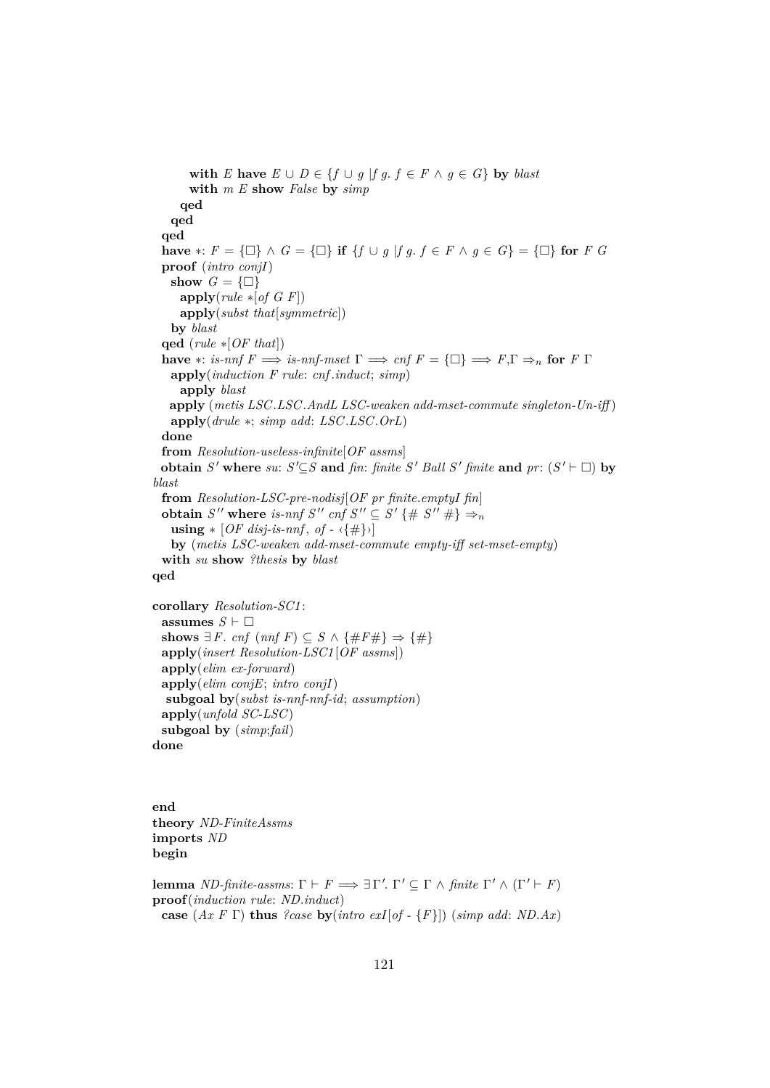```
with E have E \cup D \in \{f \cup g \mid fg, f \in F \land g \in G\} by blast
       with m E show False by simp
     qed
   qed
  qed
  have ∗: F = \{\Box\} \land G = \{\Box\} if \{f \cup g \mid fg, f \in F \land g \in G\} = \{\Box\} for F G
  proof (intro conjI)
   show G = \{\Box\}apply(rule ∗[of G F])
     apply(subst that[symmetric])
   by blast
  qed (rule ∗[OF that])
  have *: is-nnf F \implies is-nnf-mset \Gamma \implies cnf F = {\Box} \implies F, \Gamma \Rightarrow_n for F \Gammaapply(induction F rule: cnf .induct; simp)
     apply blast
   apply (metis LSC.LSC.AndL LSC-weaken add-mset-commute singleton-Un-iff )
   apply(drule ∗; simp add: LSC.LSC.OrL)
  done
  from Resolution-useless-infinite[OF assms]
  obtain S<sup>\prime</sup> where su: S<sup>\prime</sup>\subseteqS and fin: finite S<sup>\prime</sup> Ball S<sup>\prime</sup> finite and pr: (S<sup>\prime</sup> \vdash \Box) by
blast
  from Resolution-LSC-pre-nodisj[OF pr finite.emptyI fin]
  obtain S'' where is-nnf S'' cnf S'' \subseteq S' {# S'' #} \Rightarrow_nusing * [OF disj-is-nnf, of -\langle \{ \# \} \rangle]by (metis LSC-weaken add-mset-commute empty-iff set-mset-empty)
  with su show ?thesis by blast
qed
corollary Resolution-SC1 :
 assumes S \vdash \Boxshows ∃ F. cnf (nnf F) ⊆ S \land {#F#} \Rightarrow {#}
```

```
apply(insert Resolution-LSC1 [OF assms])
 apply(elim ex-forward)
 apply(elim conjE; intro conjI)
  subgoal by(subst is-nnf-nnf-id; assumption)
 apply(unfold SC-LSC)
 subgoal by (simp;fail)
done
```
**end theory** *ND-FiniteAssms* **imports** *ND* **begin**

**lemma** *ND-finite-assms*:  $\Gamma \vdash F \Longrightarrow \exists \Gamma'. \Gamma' \subseteq \Gamma \land \text{finite } \Gamma' \land (\Gamma' \vdash F)$ **proof**(*induction rule*: *ND*.*induct*) **case** (*Ax F* Γ) **thus** *?case* **by**(*intro exI*[*of -* {*F*}]) (*simp add*: *ND*.*Ax*)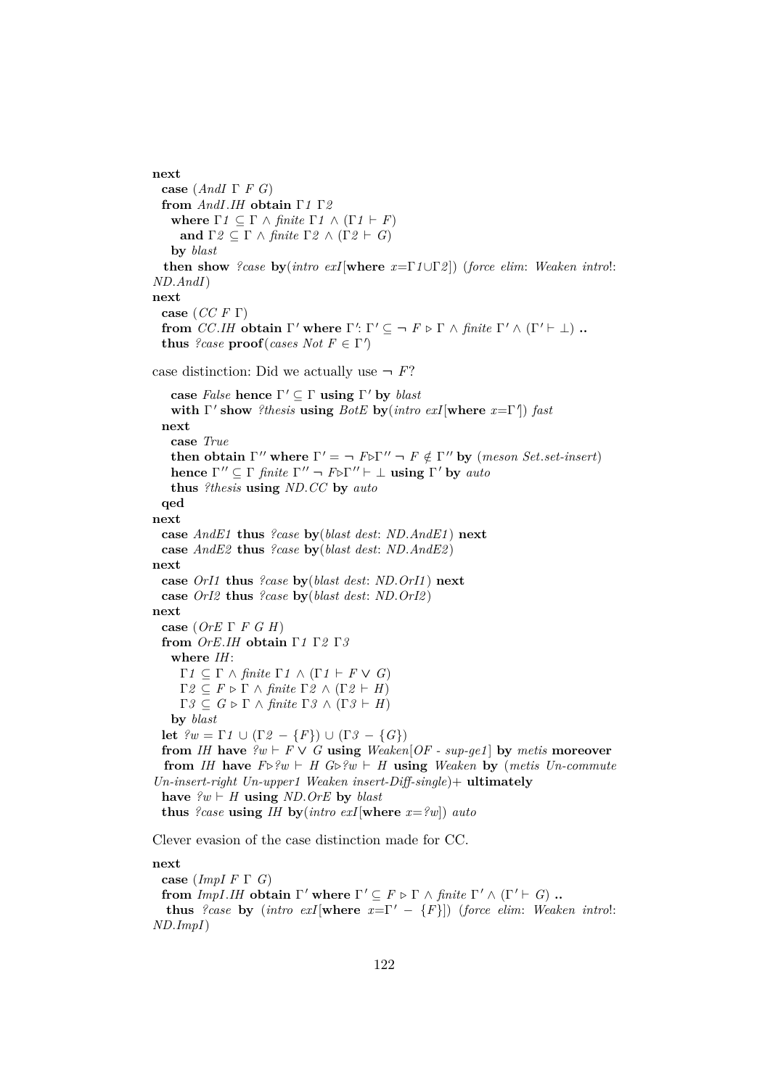**next case** (*AndI* Γ *F G*) **from** *AndI*.*IH* **obtain** Γ*1* Γ*2* **where**  $\Gamma$ *1*  $\subset \Gamma$   $\wedge$  *finite*  $\Gamma$ *1*  $\wedge$  ( $\Gamma$ *1*  $\vdash$  *F*) **and**  $\Gamma 2 \subseteq \Gamma \land \text{finite } \Gamma 2 \land (\Gamma 2 \vdash G)$ **by** *blast* **then show** *?case* **by**(*intro exI*[**where** *x*=Γ*1*∪Γ*2* ]) (*force elim*: *Weaken intro*!: *ND*.*AndI*) **next case** (*CC F* Γ) **from** *CC.IH* **obtain**  $\Gamma'$  **where**  $\Gamma'$ :  $\Gamma' \subseteq \neg$  *F*  $\triangleright$   $\Gamma$   $\land$  *finite*  $\Gamma' \land (\Gamma' \vdash \bot)$  **.. thus** *?case*  $\text{proof}(cases Not F \in \Gamma')$ case distinction: Did we actually use  $\neg$  *F*? **case** *False* **hence**  $\Gamma' \subseteq \Gamma$  **using**  $\Gamma'$  **by** *blast* **with** Γ' show *?thesis* **using** *BotE* **by**(*intro exI*[where *x*=Γ']) *fast* **next case** *True* **then obtain**  $\Gamma''$  where  $\Gamma' = \neg F \triangleright \Gamma'' \neg F \notin \Gamma''$  by (*meson Set.set-insert*) **hence**  $\Gamma'' \subseteq \Gamma$  *finite*  $\Gamma'' \neg F \triangleright \Gamma'' \vdash \bot$  **using**  $\Gamma'$  **by** *auto* **thus** *?thesis* **using** *ND*.*CC* **by** *auto* **qed next case** *AndE1* **thus** *?case* **by**(*blast dest*: *ND*.*AndE1* ) **next case** *AndE2* **thus** *?case* **by**(*blast dest*: *ND*.*AndE2* ) **next case** *OrI1* **thus** *?case* **by**(*blast dest*: *ND*.*OrI1* ) **next case** *OrI2* **thus** *?case* **by**(*blast dest*: *ND*.*OrI2* ) **next case** (*OrE* Γ *F G H*) **from** *OrE*.*IH* **obtain** Γ*1* Γ*2* Γ*3* **where** *IH*:  $Γ1 ⊆ Γ ∧ finite Γ1 ∧ (Γ1 ⊢ F ∨ G)$  $Γ2 ⊂ F ⊳ Γ ∧ finite Γ2 ∧ (Γ2 ⊢ H)$  $\Gamma$ *3*  $\subseteq$  *G*  $\triangleright$   $\Gamma$   $\land$  *finite*  $\Gamma$ *3*  $\land$   $(\Gamma$ *3*  $\vdash$  *H*) **by** *blast* **let**  $?w = Γ1 ∪ (Γ2 − {F}) ∪ (Γ3 − {G})$ **from** *IH* have  $\mathscr{L}w \vdash F \vee G$  **using** *Weaken*[*OF* - *sup-ge1*] by *metis* **moreover from** *IH* have  $F \triangleright^p w \vdash H G \triangleright^p w \vdash H$  **using** *Weaken* by (*metis Un-commute Un-insert-right Un-upper1 Weaken insert-Diff-single*)+ **ultimately** have  $\ell w \vdash H$  **using** *ND*.*OrE* by *blast* **thus** *?case* **using** *IH* **by**(*intro exI*[where  $x = ?w$ ]) *auto* Clever evasion of the case distinction made for CC. **next**

**case** (*ImpI F* Γ *G*) **from** *ImpI.IH* **obtain**  $\Gamma'$  where  $\Gamma' \subseteq F \triangleright \Gamma \land$  *finite*  $\Gamma' \land (\Gamma' \vdash G)$  **.. thus** *?case* **by** (*intro exI*[**where**  $x = \Gamma' - \{F\}$ ]) (*force elim: Weaken intro!*: *ND*.*ImpI*)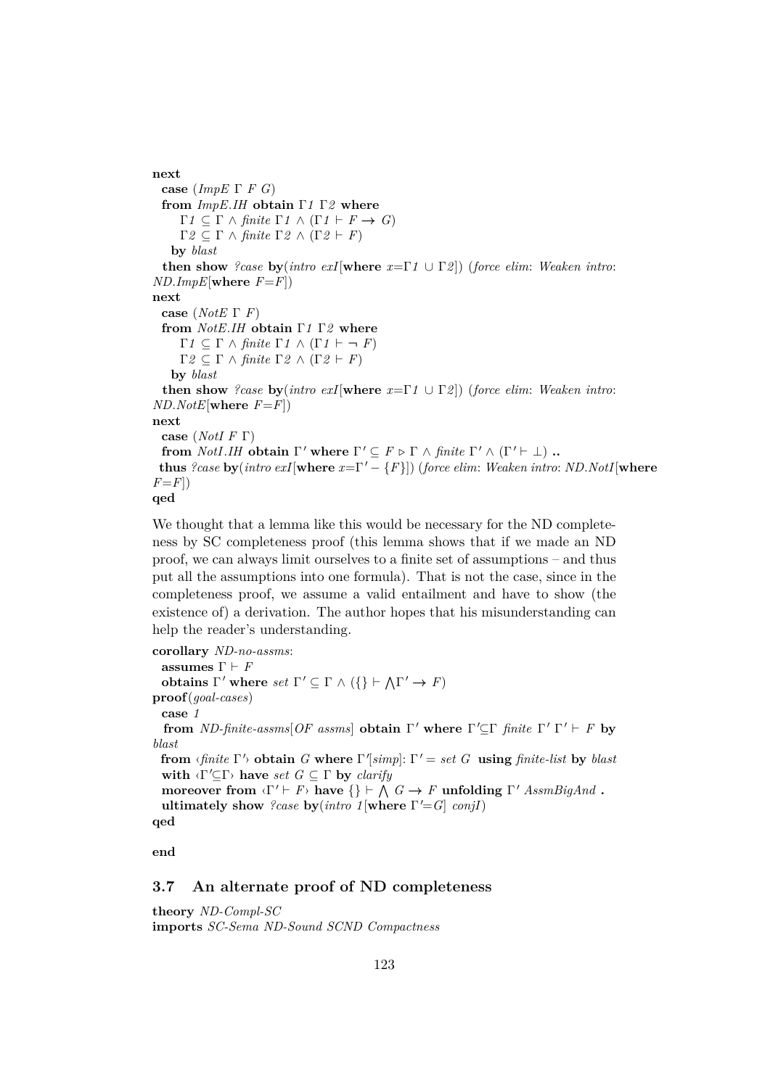**next case** (*ImpE* Γ *F G*) **from** *ImpE*.*IH* **obtain** Γ*1* Γ*2* **where**  $Γ1 ⊂ Γ ∧ finite Γ1 ∧ (Γ1 ⊢ F → G)$  $Γ2 ⊆ Γ ∧ finite Γ2 ∧ (Γ2 ⊢ F)$ **by** *blast* **then show** *?case* **by**(*intro exI*[**where** *x*=Γ*1* ∪ Γ*2* ]) (*force elim*: *Weaken intro*:  $ND$ *.ImpE*[where  $F = F$ ]) **next case** (*NotE* Γ *F*) **from** *NotE*.*IH* **obtain** Γ*1* Γ*2* **where**  $Γ1 ⊆ Γ ∧ finite Γ1 ∧ (Γ1 ⊢ ¬ F)$  $Γ2 ⊆ Γ ∧ finite Γ2 ∧ (Γ2 ⊢ F)$ **by** *blast* **then show** *?case* **by**(*intro exI*[**where** *x*=Γ*1* ∪ Γ*2* ]) (*force elim*: *Weaken intro*:  $ND.NotE$ [where  $F = F$ ]) **next case** (*NotI F* Γ) **from** *NotI.IH* **obtain**  $\Gamma'$  **where**  $\Gamma' \subseteq F \triangleright \Gamma \land$  *finite*  $\Gamma' \land (\Gamma' \vdash \bot)$  **.. thus** *?case* **by**(*intro exI*[**where**  $x = \Gamma' - \{F\}$ ]) (*force elim: Weaken intro: ND.NotI*[**where**  $F = F$ ) **qed**

We thought that a lemma like this would be necessary for the ND completeness by SC completeness proof (this lemma shows that if we made an ND proof, we can always limit ourselves to a finite set of assumptions – and thus put all the assumptions into one formula). That is not the case, since in the completeness proof, we assume a valid entailment and have to show (the existence of) a derivation. The author hopes that his misunderstanding can help the reader's understanding.

**corollary** *ND-no-assms*: **assumes**  $\Gamma \vdash F$ **obtains**  $\Gamma'$  where *set*  $\Gamma' \subseteq \Gamma \wedge (\{\} \vdash \wedge \Gamma' \rightarrow F)$ **proof**(*goal-cases*) **case** *1* **from** *ND-finite-assms*[*OF assms*] **obtain**  $\Gamma'$  **where**  $\Gamma' \subseteq \Gamma$  *finite*  $\Gamma' \Gamma' \vdash F$  **by** *blast* **from**  $\langle$  *finite*  $\Gamma'$  **obtain** *G* where  $\Gamma'$  *simp*]:  $\Gamma' =$  *set G* **using** *finite-list* by *blast* **with**  $\langle \Gamma' \subseteq \Gamma \rangle$  **have** *set*  $G \subseteq \Gamma$  **by** *clarify* **moreover from**  $\langle \Gamma' \vdash F \rangle$  have  $\{\} \vdash \bigwedge G \to F$  **unfolding**  $\Gamma'$  *AssmBigAnd* **. ultimately show** *?case* **by**( $\text{intra } 1$ [where  $\Gamma' = G$ ]  $\text{conj}$ ] **qed**

**end**

## **3.7 An alternate proof of ND completeness**

**theory** *ND-Compl-SC* **imports** *SC-Sema ND-Sound SCND Compactness*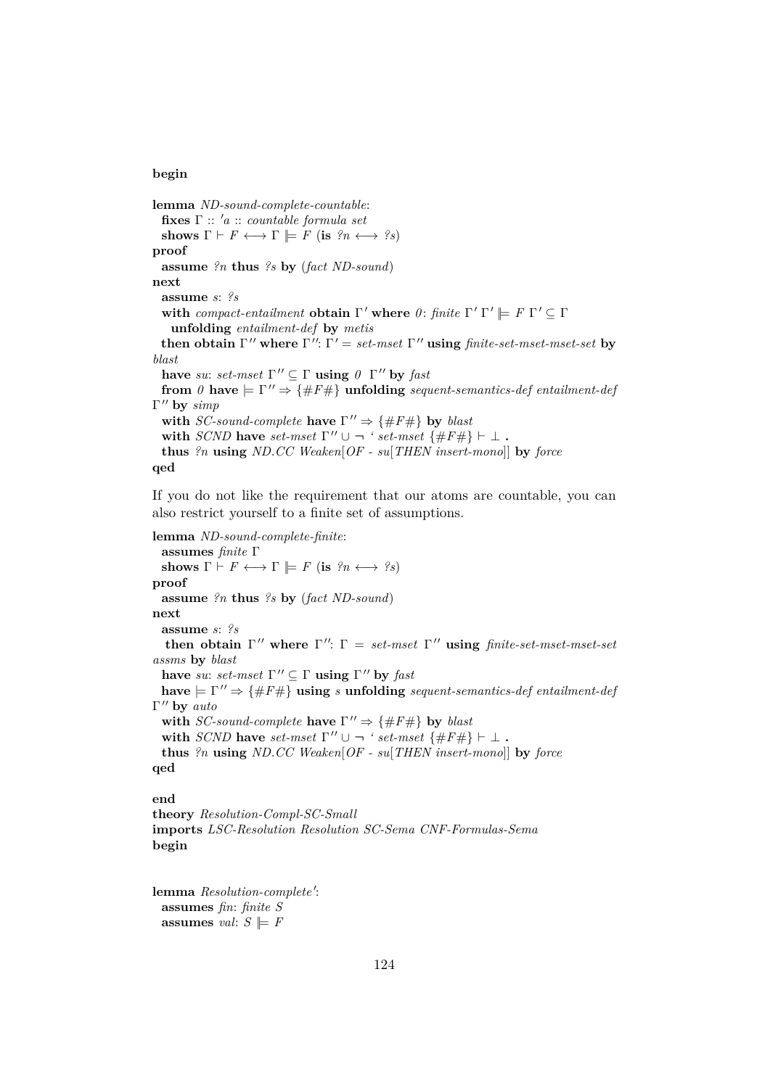### **begin**

**lemma** *ND-sound-complete-countable*: **fixes** Γ :: <sup>0</sup>*a* :: *countable formula set* **shows**  $\Gamma \vdash F \longleftrightarrow \Gamma \models F$  (**is**  $\mathcal{P}_n \longleftrightarrow \mathcal{P}_s$ ) **proof assume** *?n* **thus** *?s* **by** (*fact ND-sound*) **next assume** *s*: *?s* with *compact-entailment* **obtain**  $\Gamma'$  where  $\theta$ : *finite*  $\Gamma' \Gamma' \models F \Gamma' \subseteq \Gamma$ **unfolding** *entailment-def* **by** *metis* **then obtain**  $\Gamma''$  where  $\Gamma''$ :  $\Gamma' = set-mset \Gamma''$  **using** *finite-set-mset-mset-set* by *blast* **have** *su*: *set-mset*  $\Gamma'' \subseteq \Gamma$  **using**  $\theta \Gamma''$  **by** *fast* **from**  $\theta$  **have**  $\models \Gamma'' \Rightarrow \{\#F\#\}$  **unfolding** *sequent-semantics-def entailment-def* Γ'' by simp with *SC-sound-complete* have  $\Gamma'' \Rightarrow {\#F\#}$  by *blast* with *SCND* have *set-mset*  $\Gamma'' \cup \neg '$  *set-mset* {#F#}  $\vdash \bot$ . **thus** *?n* **using** *ND*.*CC Weaken*[*OF - su*[*THEN insert-mono*]] **by** *force* **qed**

If you do not like the requirement that our atoms are countable, you can also restrict yourself to a finite set of assumptions.

```
lemma ND-sound-complete-finite:
  assumes finite Γ
 shows \Gamma \vdash F \longleftrightarrow \Gamma \models F (is \mathcal{P}_n \longleftrightarrow \mathcal{P}_s)
proof
  assume ?n thus ?s by (fact ND-sound)
next
  assume s: ?s
   then obtain \Gamma'' where \Gamma'': \Gamma = set-mset \Gamma'' using finite-set-mset-mset-set
assms by blast
  have su: set-mset \Gamma'' \subseteq \Gamma using \Gamma'' by fast
 have \models \Gamma'' \Rightarrow \{\#F\#\} using s unfolding sequent-semantics-def entailment-def
Γ" by auto
  with SC-sound-complete have \Gamma'' \Rightarrow {\#F\#} by blast
  with SCND have set-mset \Gamma'' \cup \neg ' set-mset \{\#F\# \} \vdash \bot.
  thus ?n using ND.CC Weaken[OF - su[THEN insert-mono]] by force
qed
end
theory Resolution-Compl-SC-Small
imports LSC-Resolution Resolution SC-Sema CNF-Formulas-Sema
```

```
begin
```
lemma Resolution-complete': **assumes** *fin*: *finite S* **assumes** *val*:  $S \models F$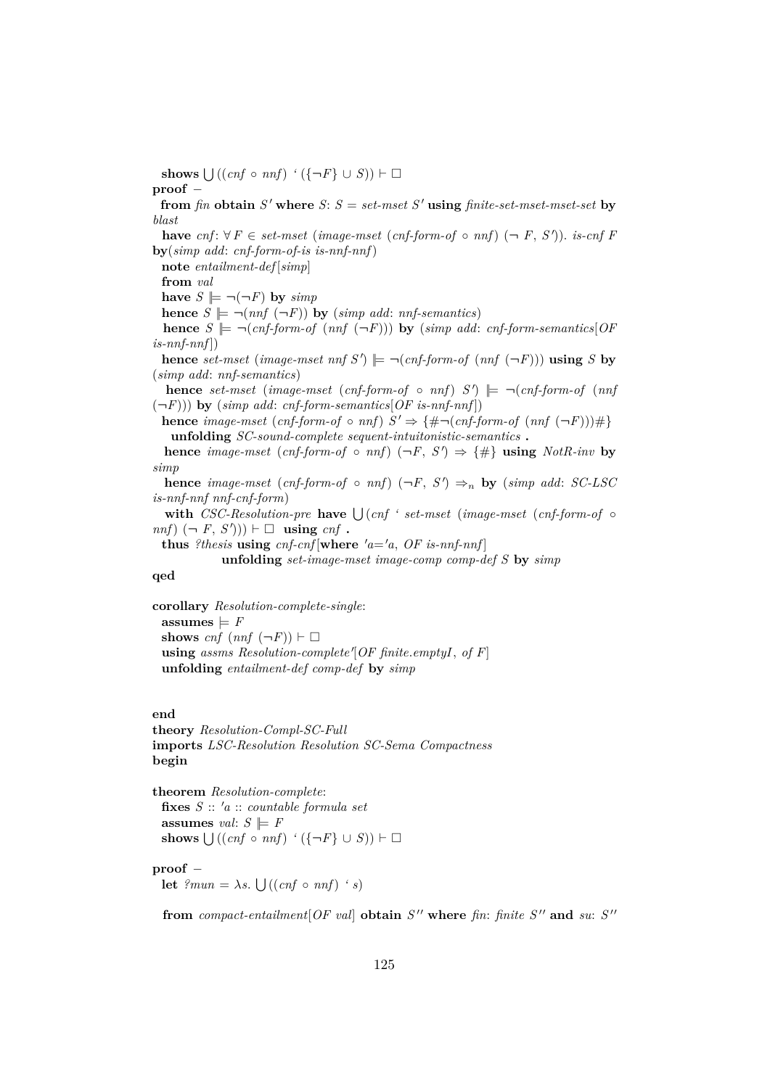**shows**  $\bigcup ((cnf \circ nnf) \land (\{\neg F\} \cup S)) \vdash \Box$ 

## **proof** −

**from** *fin* **obtain**  $S'$  **where**  $S: S = set-mset S'$  **using** *finite-set-mset-mset-set* **by** *blast*

**have**  $cnf: ∀F ∈ set-mset (image-mset (cnf-form-of ∘ nnf) (¬ F, S')).$  *is-cnf F* **by**(*simp add*: *cnf-form-of-is is-nnf-nnf*)

**note** *entailment-def* [*simp*]

**from** *val*

**have**  $S \models \neg(\neg F)$  **by**  $\text{simp}$ 

**hence**  $S \models \neg (nnf (\neg F))$  by (*simp add: nnf-semantics*)

**hence**  $S \models \neg (cnf-form-of (nnf (\neg F)))$  by  $(simp add: cnf-form-semantics[OF])$  $is-nnf-nnf$ ]

**hence** *set-mset* (*image-mset nnf*  $S'$ )  $\models \neg (cnf-form-of (nnf (\neg F)))$  **using**  $S$  **by** (*simp add*: *nnf-semantics*)

**hence** set-mset (image-mset (cnf-form-of  $\circ$  nnf)  $S'$ )  $\models \neg (cnf\text{-}form\text{-}of$  (nnf  $(-F)$ )) **by** (*simp add: cnf-form-semantics*[*OF is-nnf-nnf*])

**hence** *image-mset* (*cnf-form-of*  $\circ$  *nnf*)  $S' \Rightarrow \{\# \neg (cnf\text{-}form\text{-}of (nnf (\neg F)))\#\}$ **unfolding** *SC-sound-complete sequent-intuitonistic-semantics* **.**

**hence** *image-mset* (*cnf-form-of*  $\circ$  *nnf*) ( $\neg F$ ,  $S'$ )  $\Rightarrow$  {#} **using** *NotR-inv* **by** *simp*

**hence** *image-mset* (*cnf-form-of*  $\circ$  *nnf*) ( $\neg F$ ,  $S'$ )  $\Rightarrow$ <sub>n</sub> **by** (*simp add: SC-LSC is-nnf-nnf nnf-cnf-form*)

with *CSC-Resolution-pre* have  $\bigcup (cnf \text{ } 'set-mset \text{ } (image-mset \text{ } (cnf-form-of \text{ } o\text{ } s\text{ }))$  $nnf$ )  $(\neg F, S')$ ))  $\vdash \Box$  **using** *cnf* **.** 

**thus** *?thesis* **using**  $cnf$ - $cnf$  [**where**  $'a = 'a$ ,  $OF$  *is-nnf-nnf*]

**unfolding** *set-image-mset image-comp comp-def S* **by** *simp*

## **qed**

**corollary** *Resolution-complete-single*: **assumes**  $\models$  *F* **shows**  $cnf$   $(nnf (\neg F)) \vdash \Box$ using *assms Resolution-complete*<sup>'</sup>[OF finite.emptyI, of F] **unfolding** *entailment-def comp-def* **by** *simp*

### **end**

**theory** *Resolution-Compl-SC-Full* **imports** *LSC-Resolution Resolution SC-Sema Compactness* **begin**

**theorem** *Resolution-complete*: **fixes** *S* :: <sup>0</sup>*a* :: *countable formula set* **assumes** *val*:  $S \models F$ **shows**  $\bigcup ((cnf \circ nnf) \land (\{\neg F\} \cup S)) \vdash □$ 

## **proof** −

**let**  $?mu = \lambda s$ .  $\bigcup ((cnf \circ nnf) \cdot s)$ 

**from**  $compact\text{-}entailment[OF\text{ val}]$  obtain  $S''$  where  $fin\text{:}~finite~S''$  and  $su\text{:}~S''$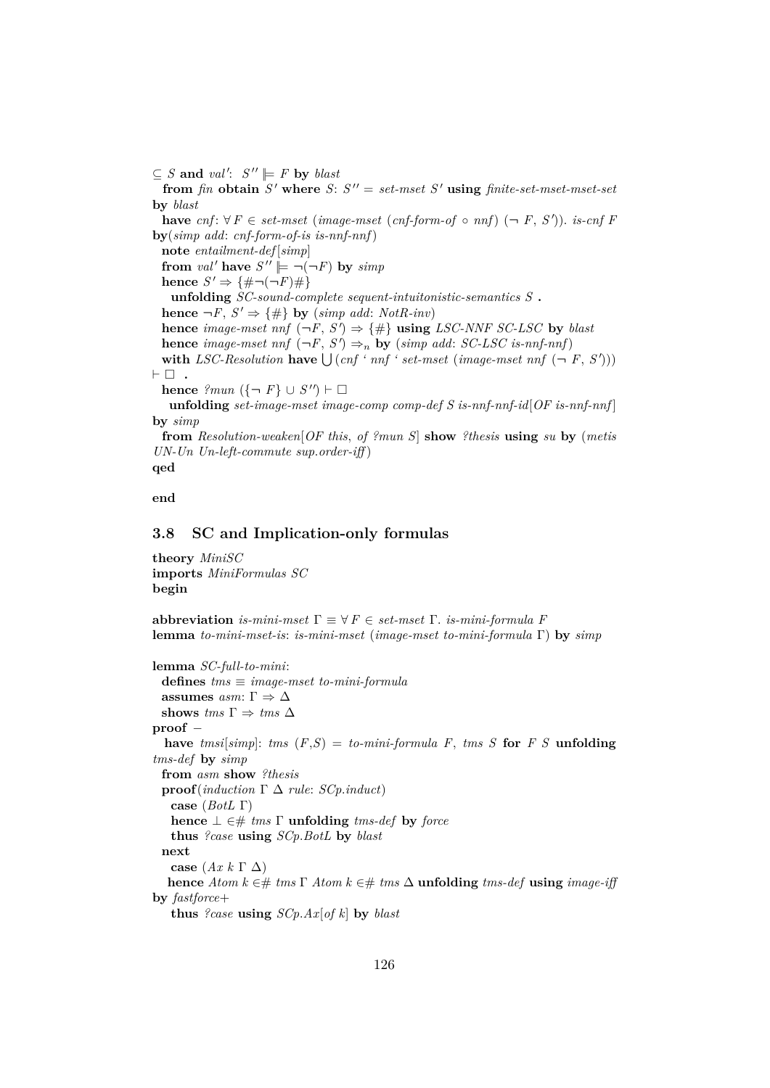$\subseteq$  *S* and *val'*:  $S'' \models F$  by *blast* 

**from** *fin* **obtain**  $S'$  **where**  $S: S'' = set-mset S'$  **using** *finite-set-mset-mset-set* **by** *blast* **have**  $cnf: ∀F ∈ set-mset (image-mset (cnf-form-of ∘ nnf) (¬ F, S')).$  *is-cnf F* **by**(*simp add*: *cnf-form-of-is is-nnf-nnf*) **note** *entailment-def* [*simp*] **from** *val*' **have**  $S'' \models \neg(\neg F)$  **by**  $simp$ **hence**  $S' \Rightarrow \{\# \neg(\neg F)\#\}$ **unfolding** *SC-sound-complete sequent-intuitonistic-semantics S* **. hence**  $\neg F$ ,  $S' \Rightarrow \{\#\}$  **by** (*simp add: NotR-inv*) **hence** *image-mset nnf*  $(\neg F, S') \Rightarrow \{\#\}$  **using** *LSC-NNF SC-LSC* by *blast* **hence** *image-mset nnf*  $(\neg F, S') \Rightarrow_n$  **by** (*simp add: SC-LSC is-nnf-nnf*) with *LSC-Resolution* have  $\bigcup (cnf \text{ '} \text{ mf '} \text{ set-mset (image-mset nnf (-F, S'))})$  $\vdash \Box$  . **hence**  $?mu \left(\{-\ F\} \cup S''\right) \vdash \Box$ **unfolding** *set-image-mset image-comp comp-def S is-nnf-nnf-id*[*OF is-nnf-nnf* ] **by** *simp* **from** *Resolution-weaken*[*OF this*, *of ?mun S*] **show** *?thesis* **using** *su* **by** (*metis*

**qed**

**end**

### **3.8 SC and Implication-only formulas**

*UN-Un Un-left-commute sup*.*order-iff* )

**theory** *MiniSC* **imports** *MiniFormulas SC* **begin**

**abbreviation** *is-mini-mset*  $\Gamma \equiv \forall F \in set-mset$   $\Gamma$ . *is-mini-formula* F **lemma** *to-mini-mset-is*: *is-mini-mset* (*image-mset to-mini-formula* Γ) **by** *simp*

```
lemma SC-full-to-mini:
 defines tms ≡ image-mset to-mini-formula
 assumes asm: \Gamma \Rightarrow \Deltashows \text{tms} \Gamma \Rightarrow \text{tms} \Deltaproof −
  have tmsi[simp]: tms (F,S) = to-mini-formula F, tms S for F S unfolding
tms-def by simp
 from asm show ?thesis
 proof(induction Γ ∆ rule: SCp.induct)
   case (BotL Γ)
   hence ⊥ ∈# tms Γ unfolding tms-def by force
   thus ?case using SCp.BotL by blast
 next
   case (Ax k Γ ∆)
  hence Atom k ∈# tms \Gamma Atom k ∈# tms \Delta unfolding tms-def using image-iff
by fastforce+
   thus ?case using SCp.Ax[of k] by blast
```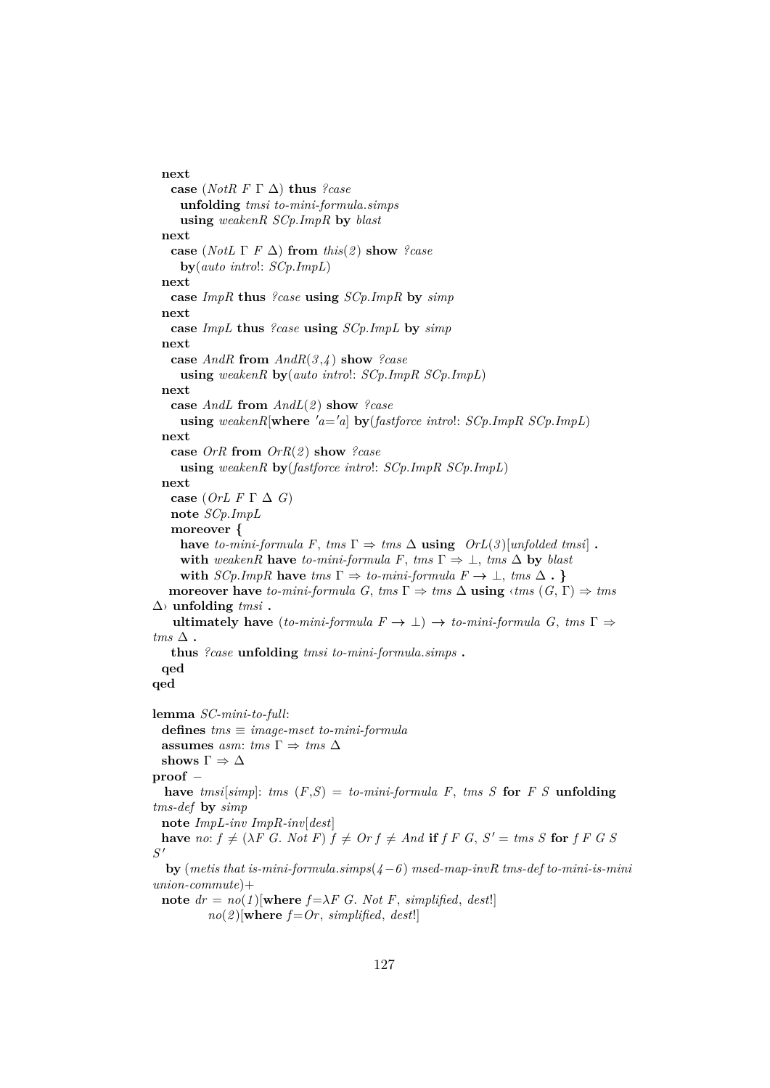**next case** (*NotR F* Γ ∆) **thus** *?case* **unfolding** *tmsi to-mini-formula*.*simps* **using** *weakenR SCp*.*ImpR* **by** *blast* **next case** (*NotL*  $\Gamma$  *F*  $\Delta$ ) **from** *this*(*2*) **show** *?case* **by**(*auto intro*!: *SCp*.*ImpL*) **next case** *ImpR* **thus** *?case* **using** *SCp*.*ImpR* **by** *simp* **next case** *ImpL* **thus** *?case* **using** *SCp*.*ImpL* **by** *simp* **next case** *AndR* **from** *AndR*(*3* ,*4* ) **show** *?case* **using** *weakenR* **by**(*auto intro*!: *SCp*.*ImpR SCp*.*ImpL*) **next case** *AndL* **from** *AndL*(*2* ) **show** *?case*  $u\sin g$  *weakenR*[ $w$ here<sup>*'a*='*a*]  $by$ (*fastforce intro*!:  $SCp$ .*ImpR*  $SCp$ .*ImpL*)</sup> **next case** *OrR* **from** *OrR*(*2* ) **show** *?case* **using** *weakenR* **by**(*fastforce intro*!: *SCp*.*ImpR SCp*.*ImpL*) **next case** (*OrL F* Γ ∆ *G*) **note** *SCp*.*ImpL* **moreover { have** *to-mini-formula F*, *tms*  $\Gamma \Rightarrow \text{rms } \Delta$  **using**  $OrL(3)[unfolded \text{rmsi}]$ . with *weakenR* have *to-mini-formula F*, *tms*  $\Gamma \Rightarrow \bot$ , *tms*  $\Delta$  by *blast* with  $SCp$ *.ImpR* have  $tms \Gamma \Rightarrow to-mini-formula \ F \rightarrow \bot$ ,  $tms \Delta$ . **moreover have** *to-mini-formula G*,  $tms \Gamma \Rightarrow tms \Delta$  **using**  $\langle tms (G, \Gamma) \rangle \Rightarrow tms$ ∆› **unfolding** *tmsi* **. ultimately have**  $(to-mini-formula F \rightarrow \bot) \rightarrow to-mini-formula G, tms \Gamma \Rightarrow$  $$ **thus** *?case* **unfolding** *tmsi to-mini-formula*.*simps* **. qed qed lemma** *SC-mini-to-full*: **defines** *tms* ≡ *image-mset to-mini-formula* **assumes** *asm: tms*  $\Gamma \Rightarrow$  *tms*  $\Delta$ **shows**  $\Gamma \Rightarrow \Delta$ **proof** − **have** *tmsi*[*simp*]: *tms* (*F*,*S*) = *to-mini-formula F*, *tms S* **for** *F S* **unfolding** *tms-def* **by** *simp* **note** *ImpL-inv ImpR-inv*[*dest*] **have**  $no: f \neq (\lambda F \ G. Not F) f \neq Or f \neq And$  **if**  $f F G, S' = \text{tms } S$  **for**  $f F G S$ *S* 0 **by** (*metis that is-mini-formula*.*simps*(*4*−*6* ) *msed-map-invR tms-def to-mini-is-mini union-commute*)+ **note**  $dr = n\varrho(1)$ [**where**  $f = \lambda F$  *G*. *Not F*, *simplified*, *dest*!]  $no(2)$ [where  $f=Or$ , *simplified*, *dest*!]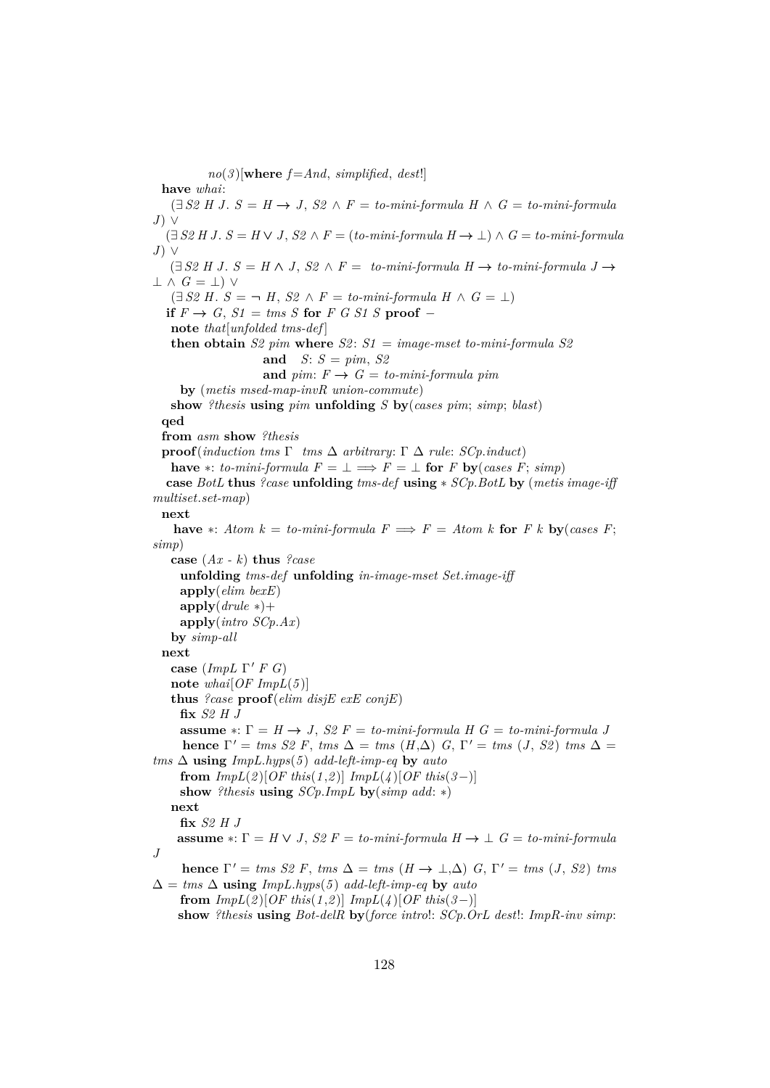$no(3)$ [where  $f = And$ , *simplified*, *dest*!] **have** *whai*: (∃ *S2 H J*. *S* = *H* → *J*, *S2* ∧ *F* = *to-mini-formula H* ∧ *G* = *to-mini-formula J*) ∨  $(\exists S2 H J. S = H \vee J, S2 \wedge F = (to-mini-formula H \rightarrow \bot) \wedge G = to-mini-formula$ *J*) ∨ (∃ *S2 H J*. *S* = *H* ∧ *J*, *S2* ∧ *F* = *to-mini-formula H* → *to-mini-formula J* →  $\perp \wedge G = \perp$ ) ∨  $(\exists S2 H. S = \neg H, S2 \land F = to-miniformula H \land G = \bot)$ **if**  $F \rightarrow G$ ,  $S1 = \text{tms } S$  **for**  $F \ G \ SI \ S$  **proof** − **note** *that*[*unfolded tms-def* ] **then obtain** *S2 pim* **where** *S2* : *S1* = *image-mset to-mini-formula S2* **and** *S*: *S* = *pim*, *S2* and  $\text{pim: } F \rightarrow G = \text{to-mini-formula } \text{pim}$ **by** (*metis msed-map-invR union-commute*) **show** *?thesis* **using** *pim* **unfolding** *S* **by**(*cases pim*; *simp*; *blast*) **qed from** *asm* **show** *?thesis* **proof**(*induction tms*  $\Gamma$  *tms*  $\Delta$  *arbitrary*:  $\Gamma$   $\Delta$  *rule: SCp.induct*) **have**  $*$ : *to-mini-formula*  $F = \perp \implies F = \perp$  **for**  $F$  **by**(*cases F*; *simp*) **case** *BotL* **thus** *?case* **unfolding** *tms-def* **using** ∗ *SCp*.*BotL* **by** (*metis image-iff multiset*.*set-map*) **next have**  $*$ : *Atom k* = *to-mini-formula F*  $\implies$  *F* = *Atom k* **for** *F k* **by**(*cases F*; *simp*) **case** (*Ax - k*) **thus** *?case* **unfolding** *tms-def* **unfolding** *in-image-mset Set*.*image-iff* **apply**(*elim bexE*) **apply**(*drule* ∗)+ **apply**(*intro SCp*.*Ax*) **by** *simp-all* **next case** (*ImpL* Γ' *F G*) **note** *whai*[*OF ImpL*(*5* )] **thus** *?case* **proof**(*elim disjE exE conjE*) **fix** *S2 H J* **assume**  $*$ :  $\Gamma = H \rightarrow J$ , *S2*  $F = to-min-formula H G = to-min-formula J$ **hence**  $\Gamma' = \text{tms } S2 \text{ F}$ ,  $\text{tms } \Delta = \text{tms } (H, \Delta) \text{ G}$ ,  $\Gamma' = \text{tms } (J, S2) \text{ tms } \Delta =$  $tms \Delta$  **using**  $ImpL.hyps(5)$  *add-left-imp-eq* by *auto* **from**  $ImpL(2)[OF this (1,2)]$   $ImpL(4)[OF this (3-)]$ **show** *?thesis* **using** *SCp*.*ImpL* **by**(*simp add*: ∗) **next fix** *S2 H J* **assume**  $\ast$ :  $\Gamma = H \vee J$ ,  $S2 F = to-mini-formula H \rightarrow \bot G = to-mini-formula$ *J* **hence**  $\Gamma' = \text{tms } S2 \text{ F}$ ,  $\text{tms } \Delta = \text{tms } (H \rightarrow \bot, \Delta) \text{ G}$ ,  $\Gamma' = \text{tms } (J, S2) \text{ tms}$ ∆ = *tms* ∆ **using** *ImpL*.*hyps*(*5* ) *add-left-imp-eq* **by** *auto* **from**  $ImpL(2)[OF this(1,2)]$   $ImpL(4)[OF this(3-)]$ **show** *?thesis* **using** *Bot-delR* **by**(*force intro*!: *SCp*.*OrL dest*!: *ImpR-inv simp*: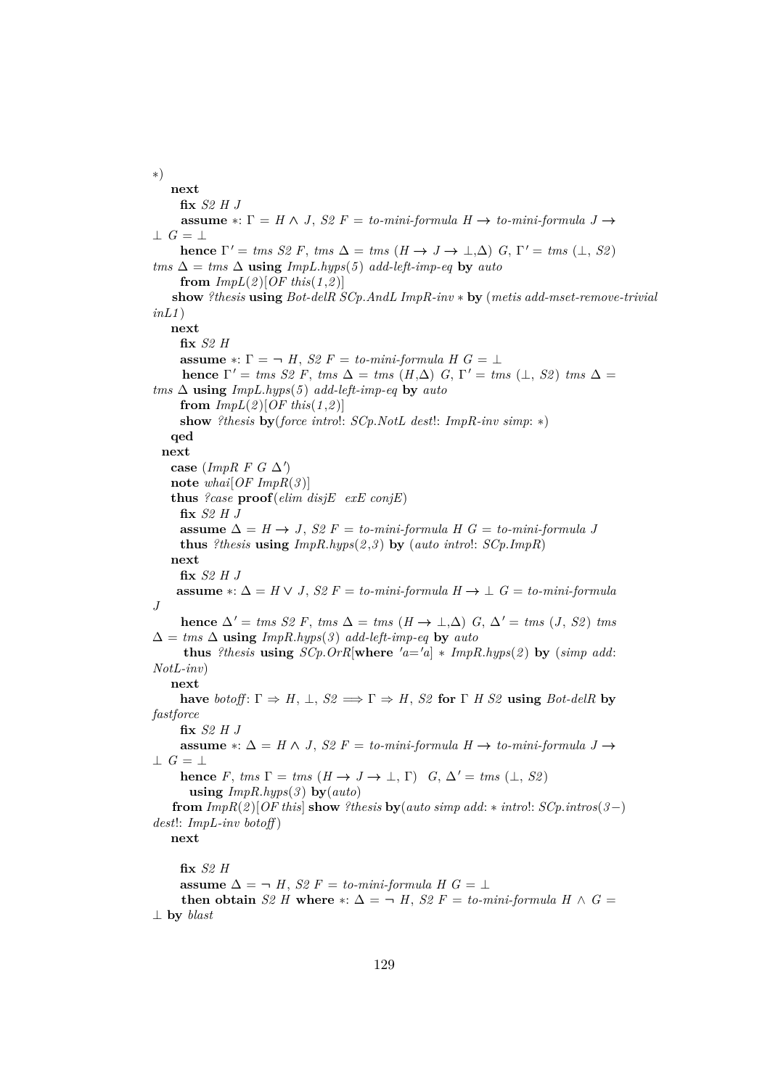∗) **next fix** *S2 H J* **assume**  $\ast: \Gamma = H \wedge J$ , *S2*  $F = to-mini-formula$   $H \rightarrow to-mini-formula$   $J \rightarrow$  $\perp$  *G* =  $\perp$ **hence**  $\Gamma' = \text{tms } S2 \text{ F}$ ,  $\text{tms } \Delta = \text{tms } (H \to J \to \bot, \Delta) \text{ G}$ ,  $\Gamma' = \text{tms } (\bot, S2)$  $tms \Delta = \text{tms } \Delta$  **using**  $\text{ImpL}.\text{hyps}(5)$  *add-left-imp-eq* by *auto* **from**  $ImpL(2)[OF this (1,2)]$ **show** *?thesis* **using** *Bot-delR SCp*.*AndL ImpR-inv* ∗ **by** (*metis add-mset-remove-trivial inL1* ) **next fix** *S2 H* **assume**  $*$ :  $\Gamma = \neg H$ , *S2*  $F =$  *to-mini-formula H G* =  $\bot$ **hence**  $\Gamma' = \text{tms } S2 \text{ F}$ ,  $\text{tms } \Delta = \text{tms } (H, \Delta) \text{ G}$ ,  $\Gamma' = \text{tms } (\perp, S2) \text{ tms } \Delta =$  $tms \Delta$  **using**  $ImpL.hyps(5)$  *add-left-imp-eq* by *auto* from  $ImpL(2)[OF this (1,2)]$ **show** *?thesis* **by**(*force intro*!: *SCp*.*NotL dest*!: *ImpR-inv simp*: ∗) **qed next** case (*ImpR F G*  $\Delta'$ ) **note** *whai*[*OF ImpR*(*3* )] **thus** *?case* **proof**(*elim disjE exE conjE*) **fix** *S2 H J* **assume** ∆ = *H* → *J*, *S2 F* = *to-mini-formula H G* = *to-mini-formula J* **thus** *?thesis* **using** *ImpR*.*hyps*(*2* ,*3* ) **by** (*auto intro*!: *SCp*.*ImpR*) **next fix** *S2 H J* **assume** ∗: ∆ = *H* ∨ *J*, *S2 F* = *to-mini-formula H* → ⊥ *G* = *to-mini-formula J* **hence**  $\Delta'$  = *tms S2 F*, *tms*  $\Delta$  = *tms* (*H* → ⊥, $\Delta$ ) *G*,  $\Delta'$  = *tms* (*J*, *S2*) *tms*  $\Delta = \text{rms } \Delta$  **using**  $\text{ImpR}$ .hyps(3) add-left-imp-eq **by** auto **thus** *?thesis* **using**  $SCp$ .  $OrR$ [where  $'a = a$ ]  $*$  *ImpR.hyps*(2) **by** (*simp add: NotL-inv*) **next have** *botoff*:  $\Gamma \Rightarrow H$ ,  $\bot$ ,  $S2 \Rightarrow \Gamma \Rightarrow H$ ,  $S2$  **for**  $\Gamma$  *H S2* **using** *Bot-delR* **by** *fastforce* **fix** *S2 H J* **assume** ∗: ∆ = *H* ∧ *J*, *S2 F* = *to-mini-formula H* → *to-mini-formula J* →  $\perp$  *G* =  $\perp$ **hence** *F*, *tms*  $\Gamma = \text{rms } (H \rightarrow J \rightarrow \bot, \Gamma)$  *G*,  $\Delta' = \text{rms } (\bot, S2)$ **using** *ImpR*.*hyps*(*3* ) **by**(*auto*) **from**  $ImpR(2)$ [*OF this*] **show** ?thesis **by**(*auto simp add: \* intro!:*  $SCp.intros(3-)$ *dest*!: *ImpL-inv botoff* ) **next fix** *S2 H* **assume**  $\Delta$  = ¬ *H*, *S*2 *F* = *to-mini-formula H G* = ⊥ **then obtain** *S2 H* where  $*$ :  $\Delta = \neg H$ , *S2 F* = *to-mini-formula H*  $\wedge$  *G* = ⊥ **by** *blast*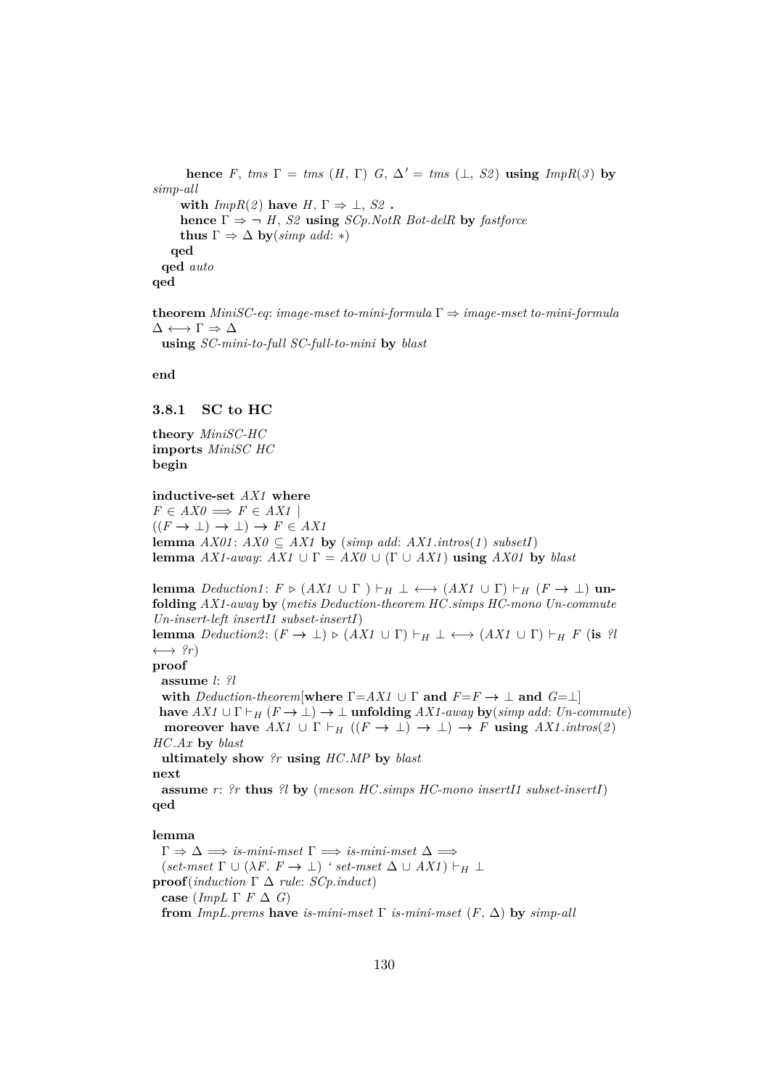**hence** *F*, *tms*  $\Gamma = \text{rms } (H, \Gamma)$  *G*,  $\Delta' = \text{rms } (\perp, S2)$  **using**  $\text{ImpR}(3)$  by *simp-all* **with**  $ImpR(2)$  **have**  $H, \Gamma \Rightarrow \bot, S2$ . **hence**  $\Gamma \Rightarrow \neg H$ , *S2* **using** *SCp.NotR Bot-delR* **by** *fastforce* **thus**  $\Gamma \Rightarrow \Delta$  **by**(*simp add*: \*) **qed qed** *auto* **qed**

**theorem** *MiniSC-eq*: *image-mset to-mini-formula* Γ ⇒ *image-mset to-mini-formula*  $\Delta \longleftrightarrow \Gamma \Rightarrow \Delta$ **using** *SC-mini-to-full SC-full-to-mini* **by** *blast*

**end**

## **3.8.1 SC to HC**

**theory** *MiniSC-HC* **imports** *MiniSC HC* **begin**

**inductive-set** *AX1* **where**  $F \in AXO \implies F \in AXI$  $((F \rightarrow \bot) \rightarrow \bot) \rightarrow F \in AXI$ **lemma** *AX01* : *AX0* ⊆ *AX1* **by** (*simp add*: *AX1* .*intros*(*1* ) *subsetI*) **lemma** *AX1-away*:  $AX1 \cup \Gamma = AX0 \cup (\Gamma \cup AX1)$  **using**  $AX01$  **by** *blast* 

**lemma** *Deduction1*:  $F \triangleright (AX1 \cup \Gamma) \vdash_H \bot \longleftrightarrow (AX1 \cup \Gamma) \vdash_H (F \rightarrow \bot)$  **unfolding** *AX1-away* **by** (*metis Deduction-theorem HC*.*simps HC-mono Un-commute Un-insert-left insertI1 subset-insertI*) **lemma** *Deduction2*:  $(F \to \bot) \triangleright (AX1 \cup \Gamma) \vdash_H \bot \longleftrightarrow (AX1 \cup \Gamma) \vdash_H F$  (**is** *?l*  $\longleftrightarrow$  ?r) **proof assume** *l*: *?l* **with** *Deduction-theorem*[**where**  $\Gamma = AX1 \cup \Gamma$  **and**  $F = F \rightarrow \bot$  **and**  $G = \bot$ ] **have**  $AX1 \cup \Gamma \vdash_H (F \to \bot) \to \bot$  **unfolding**  $AX1$ -away **by**(*simp add: Un-commute*) **moreover have**  $AX1 \cup \Gamma \vdash_H ((F \to \bot) \to \bot) \to F$  **using**  $AX1.intros(2)$ *HC*.*Ax* **by** *blast* **ultimately show** *?r* **using** *HC*.*MP* **by** *blast* **next**

**assume** *r*: *?r* **thus** *?l* **by** (*meson HC*.*simps HC-mono insertI1 subset-insertI*) **qed**

#### **lemma**

 $\Gamma \Rightarrow \Delta \Longrightarrow \text{is-min-}mset \Gamma \Longrightarrow \text{is-min-}mset \Delta \Longrightarrow$  $(set-mset \Gamma \cup (\lambda F. F \rightarrow \bot) ' set-mset \Delta \cup AX1) \vdash_H \bot$ **proof**(*induction* Γ ∆ *rule*: *SCp*.*induct*) **case** (*ImpL*  $\Gamma$  *F*  $\Delta$  *G*) **from**  $ImpL.prems$  **have** *is-mini-mset*  $\Gamma$  *is-mini-mset*  $(F, \Delta)$  **by**  $simp-all$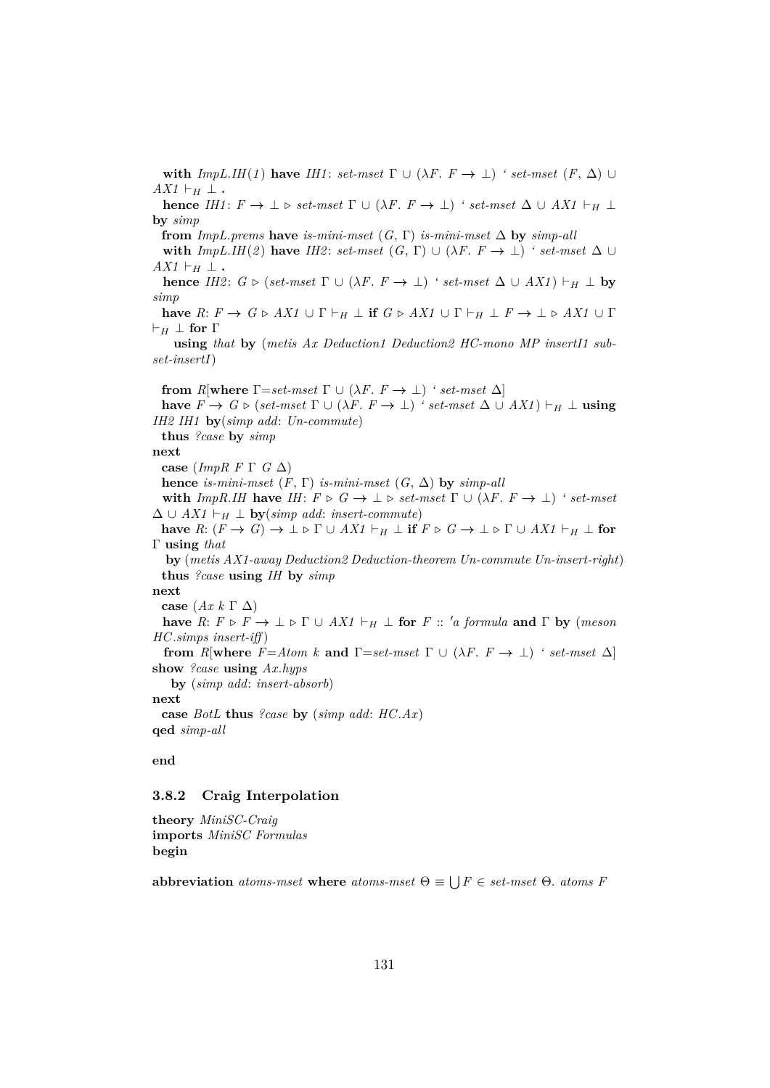**with**  $ImpL.HH(1)$  have  $IHI$ :  $set$   $Test$   $\Gamma \cup (\lambda F. F \rightarrow \bot)$  *' set-mset*  $(F, \Delta) \cup$  $AX1 \vdash_H \bot$ .

**hence** *IH1*:  $F \to \bot \triangleright set-mset \Gamma \cup (\lambda F. F \to \bot)$  *' set-mset*  $\Delta \cup AX1 \vdash_H \bot$ **by** *simp*

**from**  $ImpL.$ *prems* **have** *is-mini-mset*  $(G, \Gamma)$  *is-mini-mset*  $\Delta$  **by** *simp-all* 

**with**  $ImpL.HH(2)$  have  $IH2$ :  $set-mset$  (*G*,  $\Gamma$ ) ∪ ( $\lambda F$ .  $F \rightarrow \bot$ ) *' set-mset*  $\Delta \cup$  $AX1 \vdash_H \bot$ .

**hence** *IH2*:  $G \triangleright (set-mset \Gamma \cup (\lambda F \cdot F \rightarrow \bot)$  *' set-mset*  $\Delta \cup AX1 \models_H \bot$  **by** *simp*

**have**  $R: F \to G \triangleright AX1 \cup \Gamma \vdash_H \bot$  **if**  $G \triangleright AX1 \cup \Gamma \vdash_H \bot F \to \bot \triangleright AX1 \cup \Gamma$  $\vdash_H \perp$  for  $\Gamma$ 

**using** *that* **by** (*metis Ax Deduction1 Deduction2 HC-mono MP insertI1 subset-insertI*)

**from** *R*[**where**  $\Gamma = set-mset$   $\Gamma \cup (\lambda F \cdot F \rightarrow \bot)$  *' set-mset*  $\Delta$ ] **have**  $F \to G \triangleright$  (*set-mset*  $\Gamma \cup (\lambda F \colon F \to \bot)$  *' set-mset*  $\Delta \cup AX1$ )  $\vdash_H \bot$  **using** *IH2 IH1* **by**(*simp add*: *Un-commute*) **thus** *?case* **by** *simp* **next case** (*ImpR F* Γ *G* ∆) **hence** *is-mini-mset*  $(F, \Gamma)$  *is-mini-mset*  $(G, \Delta)$  **by** *simp-all* **with**  $ImpR.HH$  have  $IH: F \triangleright G \rightarrow \bot \triangleright set-mset \Gamma \cup (\lambda F. F \rightarrow \bot)$  *' set-mset*  $\Delta$  ∪ *AX1*  $\vdash_H \perp$  **by**(*simp add: insert-commute*) **have**  $R: (F \to G) \to \bot \triangleright \Gamma \cup AX1 \vdash_H \bot$  **if**  $F \triangleright G \to \bot \triangleright \Gamma \cup AX1 \vdash_H \bot$  for Γ **using** *that* **by** (*metis AX1-away Deduction2 Deduction-theorem Un-commute Un-insert-right*) **thus** *?case* **using** *IH* **by** *simp* **next case** (*Ax k* Γ ∆) **have**  $R: F \triangleright F \to \bot \triangleright \Gamma \cup AX1 \vdash_H \bot$  for  $F :: 'a$  formula and  $\Gamma$  by (*meson HC*.*simps insert-iff* ) **from** *R*[**where**  $F = Atom k$  **and**  $\Gamma = set-mset$   $\Gamma \cup (\lambda F \cdot F \rightarrow \bot)$  *' set-mset*  $\Delta$ ] **show** *?case* **using** *Ax*.*hyps* **by** (*simp add*: *insert-absorb*) **next case** *BotL* **thus** *?case* **by** (*simp add*: *HC*.*Ax*) **qed** *simp-all*

## **end**

#### **3.8.2 Craig Interpolation**

**theory** *MiniSC-Craig* **imports** *MiniSC Formulas* **begin**

**abbreviation** *atoms-mset* **where** *atoms-mset*  $\Theta \equiv \bigcup F \in \text{set-mset}$   $\Theta$ . *atoms F*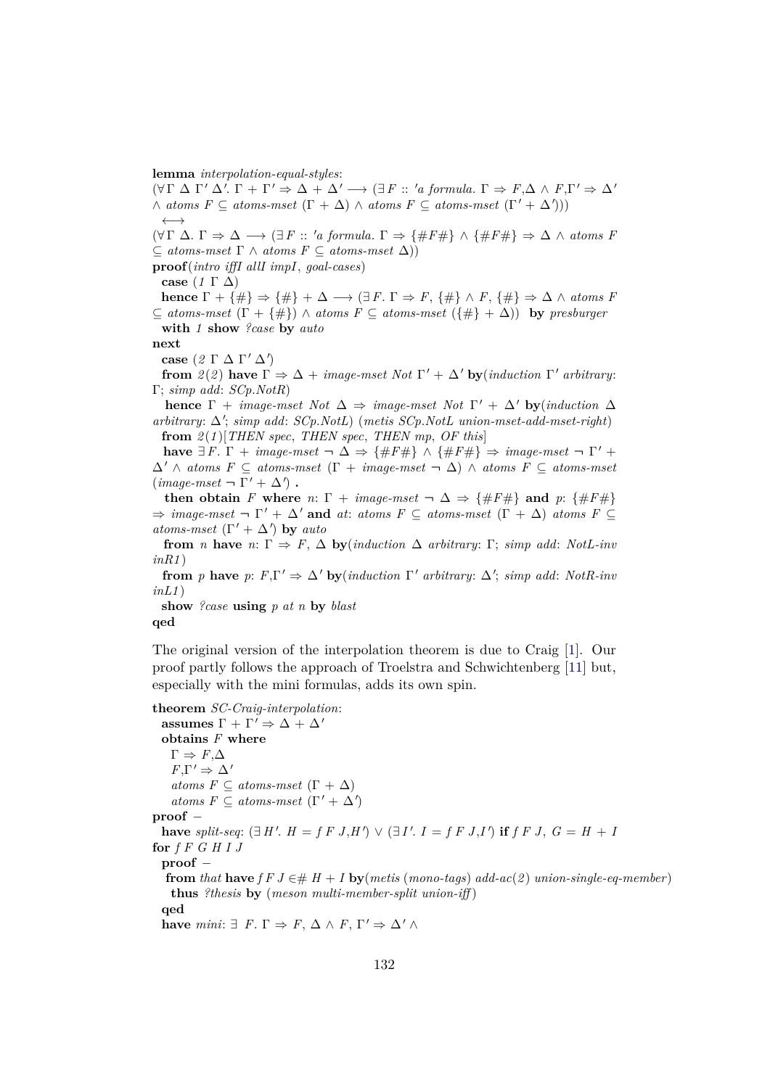**lemma** *interpolation-equal-styles*:

 $\land$  *atoms F*  $\subseteq$  *atoms-mset*  $(\Gamma + \Delta) \land$  *atoms F*  $\subseteq$  *atoms-mset*  $(\Gamma' + \Delta'))$ ←→  $(\forall \Gamma \Delta. \Gamma \Rightarrow \Delta \longrightarrow (\exists F :: 'a formula. \Gamma \Rightarrow {\#F\#} \land {\#F\#} \Rightarrow \Delta \land atoms F$ ⊆ *atoms-mset* Γ ∧ *atoms F* ⊆ *atoms-mset* ∆)) **proof**(*intro iffI allI impI*, *goal-cases*) **case** (*1* Γ ∆) **hence**  $\Gamma + {\{\#\}} \Rightarrow {\{\#\}} + \Delta \longrightarrow {\exists F. \Gamma \Rightarrow F, {\{\#\}} \wedge F, {\{\#\}} \Rightarrow \Delta \wedge atoms F}$ ⊆ *atoms-mset* (Γ + {#}) ∧ *atoms F* ⊆ *atoms-mset* ({#} + ∆)) **by** *presburger* **with** *1* **show** *?case* **by** *auto* **next case**  $(2 Γ Δ Γ' Δ')$ **from**  $2(2)$  **have**  $\Gamma \Rightarrow \Delta + \text{image-mset Not } \Gamma' + \Delta'$  **by**(*induction*  $\Gamma'$  *arbitrary*: Γ; *simp add*: *SCp*.*NotR*) **hence**  $\Gamma$  + *image-mset Not*  $\Delta \Rightarrow \text{image-mset Not } \Gamma' + \Delta'$  **by**(*induction*  $\Delta$ 

 $(\forall \Gamma \Delta \Gamma' \Delta'. \Gamma + \Gamma' \Rightarrow \Delta + \Delta' \rightarrow (\exists F :: 'a \ formula. \Gamma \Rightarrow F, \Delta \wedge F, \Gamma' \Rightarrow \Delta'$ 

*arbitrary*: ∆<sup>0</sup> ; *simp add*: *SCp*.*NotL*) (*metis SCp*.*NotL union-mset-add-mset-right*) **from** *2* (*1* )[*THEN spec*, *THEN spec*, *THEN mp*, *OF this*]

**have**  $\exists F. \Gamma + \text{image-mset} \rightarrow \Delta \Rightarrow {\#F\#} \land {\#F\#} \Rightarrow \text{image-mset} \rightarrow \Gamma' +$  $\Delta' \wedge atoms \ F \subseteq atoms-mset \ ( \Gamma + image-mset \ \neg \ \Delta ) \wedge atoms \ F \subseteq atoms-mset$  $(image-mset \neg \Gamma' + \Delta')$ .

**then obtain** *F* where *n*:  $\Gamma$  + *image-mset*  $\neg$   $\Delta \Rightarrow$  {#*F*#} **and** *p*: {#*F*#}  $\Rightarrow$  *image-mset*  $\neg$   $\Gamma' + \Delta'$  and *at*: *atoms F* ⊆ *atoms-mset* ( $\Gamma + \Delta$ ) *atoms F* ⊆ *atoms-mset*  $(\Gamma' + \Delta')$  by *auto* 

**from** *n* **have** *n*:  $\Gamma \Rightarrow F$ ,  $\Delta$  **by**(*induction*  $\Delta$  *arbitrary*:  $\Gamma$ ; *simp add*: *NotL-inv inR1* )

**from** *p* **have** *p*:  $F, \Gamma' \Rightarrow \Delta'$  **by**(*induction*  $\Gamma'$  *arbitrary*:  $\Delta'$ ; *simp add*: *NotR-inv inL1* )

**show** *?case* **using** *p at n* **by** *blast*

**qed**

The original version of the interpolation theorem is due to Craig [\[1\]](#page-140-1). Our proof partly follows the approach of Troelstra and Schwichtenberg [\[11\]](#page-140-2) but, especially with the mini formulas, adds its own spin.

**theorem** *SC-Craig-interpolation*: **assumes**  $\Gamma + \Gamma' \Rightarrow \Delta + \Delta'$ **obtains** *F* **where**  $\Gamma \Rightarrow F, \Delta$  $F,\Gamma' \Rightarrow \Delta'$ *atoms F*  $\subseteq$  *atoms-mset*  $(\Gamma + \Delta)$  $atoms F \subseteq atoms-mset (\Gamma' + \Delta')$ **proof** − have *split-seq*:  $(\exists H'. H = f F J, H') \vee (\exists I'. I = f F J, I')$  if  $f F J, G = H + I$ **for** *f F G H I J* **proof** − **from** *that* **have**  $fFJ \in H + I$  **by**(*metis* (*mono-tags*) *add-ac*(*2*) *union-single-eq-member*) **thus** *?thesis* **by** (*meson multi-member-split union-iff* ) **qed have**  $min: \exists F. \Gamma \Rightarrow F, \Delta \wedge F, \Gamma' \Rightarrow \Delta' \wedge F$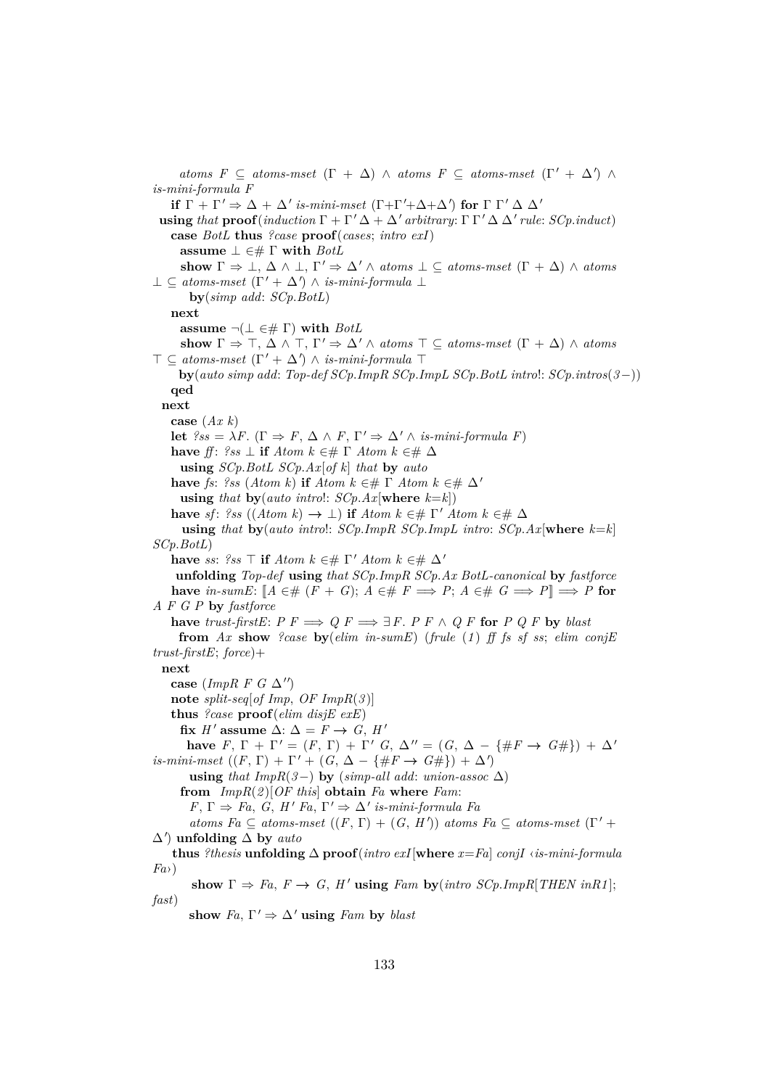*atoms F*  $\subseteq$  *atoms-mset*  $(\Gamma + \Delta) \land atoms F \subseteq atoms-mset$   $(\Gamma' + \Delta') \land$ *is-mini-formula F* **if**  $\Gamma + \Gamma' \Rightarrow \Delta + \Delta'$  is-mini-mset  $(\Gamma + \Gamma' + \Delta + \Delta')$  for  $\Gamma \Gamma' \Delta \Delta'$ **using** *that*  $\textbf{proof}(\textit{induction}\Gamma + \Gamma' \Delta + \Delta' \textit{arbitrary}: \Gamma \Gamma' \Delta \Delta' \textit{rule}: \textit{SCp.index})$ **case** *BotL* **thus** *?case* **proof**(*cases*; *intro exI*) **assume** ⊥ ∈# Γ **with** *BotL* **show**  $\Gamma \Rightarrow \bot$ ,  $\Delta \wedge \bot$ ,  $\Gamma' \Rightarrow \Delta' \wedge atoms \bot \subseteq atoms-mset$   $(\Gamma + \Delta) \wedge atoms$  $\bot \subseteq atoms-mset$   $(\Gamma' + \Delta') \wedge is-mini-formula$   $\bot$ **by**(*simp add*: *SCp*.*BotL*) **next assume**  $\neg(\bot \in \# \Gamma)$  with *BotL* **show**  $\Gamma \Rightarrow \top$ ,  $\Delta \wedge \top$ ,  $\Gamma' \Rightarrow \Delta' \wedge atoms \top \subseteq atoms-mset$   $(\Gamma + \Delta) \wedge atoms$  $\top \subseteq atoms-mset$   $(\Gamma' + \Delta') \wedge is-mini-formula$   $\top$ **by**(*auto simp add*: *Top-def SCp*.*ImpR SCp*.*ImpL SCp*.*BotL intro*!: *SCp*.*intros*(*3*−)) **qed next case** (*Ax k*) **let**  $\ell s s = \lambda F$ . ( $\Gamma \Rightarrow F$ ,  $\Delta \wedge F$ ,  $\Gamma' \Rightarrow \Delta' \wedge$  *is-mini-formula F*) **have** *ff*:  $?ss \perp$  **if**  $Atom \, k \in \# \Gamma$   $Atom \, k \in \# \Delta$ **using** *SCp*.*BotL SCp*.*Ax*[*of k*] *that* **by** *auto* **have** *fs*: *?ss* (*Atom k*) **if** *Atom k* ∈#  $\Gamma$  *Atom k* ∈#  $\Delta'$ **using** *that* **by**(*auto introl: SCp.Ax*[**where**  $k=k$ ]) **have** *sf*: *?ss* ((*Atom k*)  $\rightarrow \bot$ ) **if** *Atom k* ∈#  $\Gamma'$  *Atom k* ∈#  $\Delta$ **using** *that* **by**(*auto intro*!: *SCp*.*ImpR SCp*.*ImpL intro*: *SCp*.*Ax*[**where** *k*=*k*] *SCp*.*BotL*) **have** *ss*:  $?ss \top$  **if**  $Atom \ k \in \mathcal{H} \Gamma'$   $Atom \ k \in \mathcal{H} \Delta'$ **unfolding** *Top-def* **using** *that SCp*.*ImpR SCp*.*Ax BotL-canonical* **by** *fastforce* **have** in-sumE:  $[A \in \# (F + G); A \in \# F \implies P; A \in \# G \implies P] \implies P$  for *A F G P* **by** *fastforce* **have** *trust-firstE*:  $P F \implies Q F \implies \exists F. \ P F \land Q F$  **for**  $P Q F$  **by** *blast* **from** *Ax* **show** *?case* **by**(*elim in-sumE*) (*frule* (*1* ) *ff fs sf ss*; *elim conjE trust-firstE*; *force*)+ **next** case ( $ImpR$  *F G*  $\Delta$ '') **note** *split-seq*[*of Imp*, *OF ImpR*(*3* )] **thus** *?case* **proof**(*elim disjE exE*) fix *H'* assume  $\Delta$ :  $\Delta = F \rightarrow G$ , *H'* **have**  $F, \Gamma + \Gamma' = (F, \Gamma) + \Gamma'$   $G, \Delta'' = (G, \Delta - \{\#F \rightarrow G\# \}) + \Delta'$  $is-minimset((F, \Gamma) + \Gamma' + (G, \Delta - \{\#F \rightarrow G\# \}) + \Delta')$ **using** *that*  $ImpR(3-)$  **by** ( $simp-all add: union-assoc \Delta)$ **from** *ImpR*(*2* )[*OF this*] **obtain** *Fa* **where** *Fam*:  $F, \Gamma \Rightarrow Fa, G, H' Fa, \Gamma' \Rightarrow \Delta'$  *is-mini-formula Fa*  $atoms \ Fa \subseteq atoms-mset ((F, \Gamma) + (G, H')) \ atoms \ Fa \subseteq atoms-mset (\Gamma' +$ ∆<sup>0</sup> ) **unfolding** ∆ **by** *auto* **thus** *?thesis* **unfolding**  $\Delta$  **proof**(*intro exI*[**where**  $x = Fa$ ] *conjI* ‹*is-mini-formula Fa*›) show  $\Gamma \Rightarrow Fa$ ,  $F \rightarrow G$ ,  $H'$  using  $Fam$  by (*intro SCp.ImpR*[*THEN inR1*]; *fast*) show  $Fa$ ,  $\Gamma' \Rightarrow \Delta'$  **using** *Fam* by *blast*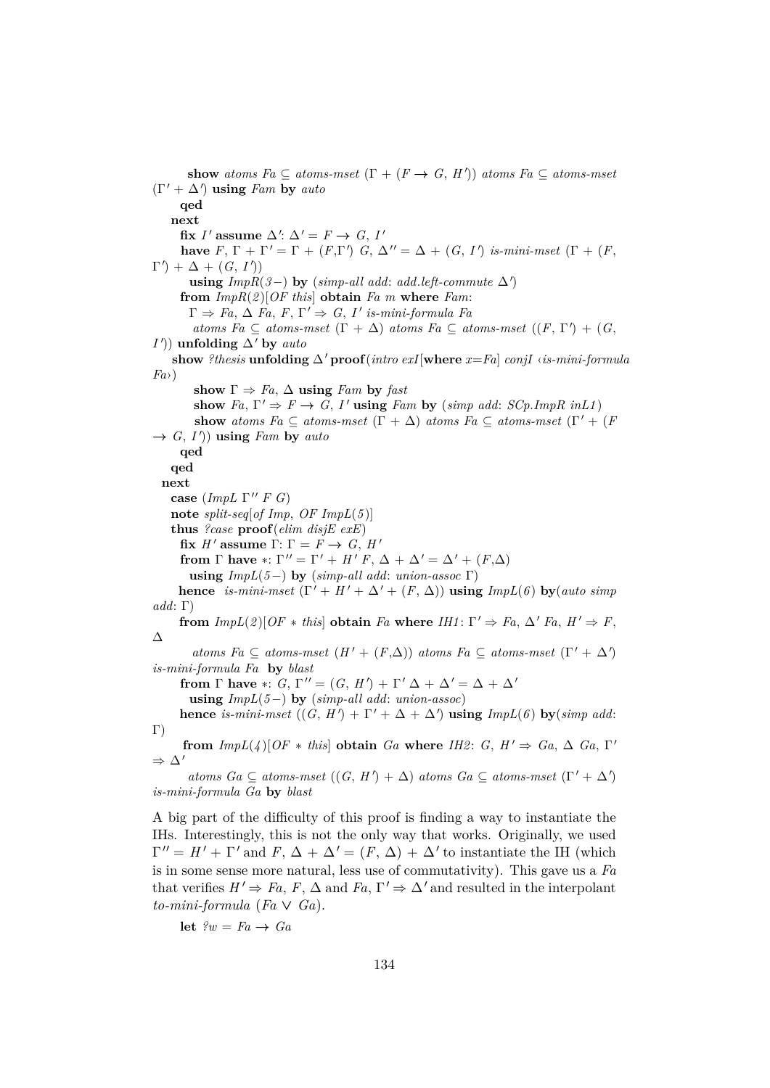**show** *atoms Fa*  $\subseteq$  *atoms-mset*  $(\Gamma + (F \rightarrow G, H'))$  *atoms Fa*  $\subseteq$  *atoms-mset*  $(\Gamma' + \Delta')$  **using** *Fam* **by** *auto* **qed next** fix *I'* assume  $\Delta'$ :  $\Delta' = F \rightarrow G, I'$ **have**  $F, \Gamma + \Gamma' = \Gamma + (F, \Gamma')$   $G, \Delta'' = \Delta + (G, I')$  *is-mini-mset*  $(\Gamma + (F, \Gamma'))$  $\Gamma'$  +  $\Delta$  +  $(G, I')$ **using**  $ImpR(3-)$  **by** ( $simp-all add: add.left-commute \Delta'$ ) **from** *ImpR*(*2* )[*OF this*] **obtain** *Fa m* **where** *Fam*:  $\Gamma \Rightarrow Fa, \Delta Fa, F, \Gamma' \Rightarrow G, I'$  *is-mini-formula Fa atoms Fa*  $\subseteq$  *atoms-mset*  $(\Gamma + \Delta)$  *atoms Fa*  $\subseteq$  *atoms-mset*  $((F, \Gamma') + (G,$ *I*<sup> $')$ ) **unfolding** ∆<sup>*'*</sup> **by** *auto*</sup> show *?thesis* **unfolding**  $\Delta'$  **proof**(*intro exI*[where  $x = Fa$ ] *conjI* ‹*is-mini-formula Fa*›) **show**  $\Gamma \Rightarrow Fa$ ,  $\Delta$  **using** *Fam* **by** *fast* show  $Fa, \Gamma' \Rightarrow F \rightarrow G, I'$  using *Fam* by (*simp add: SCp.ImpR inL1*) **show** *atoms Fa*  $\subseteq$  *atoms-mset*  $(\Gamma + \Delta)$  *atoms Fa*  $\subseteq$  *atoms-mset*  $(\Gamma' + (F \Delta))$  $\rightarrow$  *G*, *I'*)) **using** *Fam* **by** *auto* **qed qed next case** (*ImpL*  $\Gamma''$  *F G*) **note** *split-seq*[*of Imp*, *OF ImpL*(*5* )] **thus** *?case* **proof**(*elim disjE exE*) **fix** *H'* assume Γ: Γ =  $F \rightarrow G$ , *H'* **from**  $\Gamma$  **have** \*:  $\Gamma'' = \Gamma' + H' F$ ,  $\Delta + \Delta' = \Delta' + (F, \Delta)$ **using**  $ImpL(5-)$  **by**  $(simp-all add: union-assoc \Gamma)$ **hence** *is-mini-mset*  $(\Gamma' + H' + \Delta' + (F, \Delta))$  **using**  $ImpL(6)$  **by**(*auto simp add*: Γ) **from**  $ImpL(2)[OF * this]$  **obtain** *Fa* **where**  $IHI: \Gamma' \Rightarrow Fa$ ,  $\Delta' Fa$ ,  $H' \Rightarrow F$ , ∆  $atoms\ Fa \subseteq atoms-mset(H' + (F,\Delta))\ atoms\ Fa \subseteq atoms-mset(\Gamma' + \Delta')$ *is-mini-formula Fa* **by** *blast* **from**  $\Gamma$  **have** \*:  $G, \Gamma'' = (G, H') + \Gamma' \Delta + \Delta' = \Delta + \Delta'$ **using** *ImpL*(*5*−) **by** (*simp-all add*: *union-assoc*) **hence** *is-mini-mset*  $((G, H') + \Gamma' + \Delta + \Delta')$  **using**  $ImpL(6)$  **by**(*simp add*: Γ) **from**  $ImpL(4)[OF * this]$  **obtain**  $Ga$  **where**  $IH2: G, H' \Rightarrow Ga, \Delta Ga, \Gamma'$  $\Rightarrow \Delta'$ 

 $atoms\ Ga \subseteq atoms-mset((G, H') + \Delta)~atoms\ Ga \subseteq atoms-mset(\Gamma' + \Delta')$ *is-mini-formula Ga* **by** *blast*

A big part of the difficulty of this proof is finding a way to instantiate the IHs. Interestingly, this is not the only way that works. Originally, we used  $\Gamma'' = H' + \Gamma'$  and  $F, \Delta + \Delta' = (F, \Delta) + \Delta'$  to instantiate the IH (which is in some sense more natural, less use of commutativity). This gave us a *Fa* that verifies  $H' \Rightarrow Fa, F, \Delta$  and  $Fa, \Gamma' \Rightarrow \Delta'$  and resulted in the interpolant  $to-mini-formula$  ( $Fa \vee Ga$ ).

**let**  $\ell w = Fa \rightarrow Ga$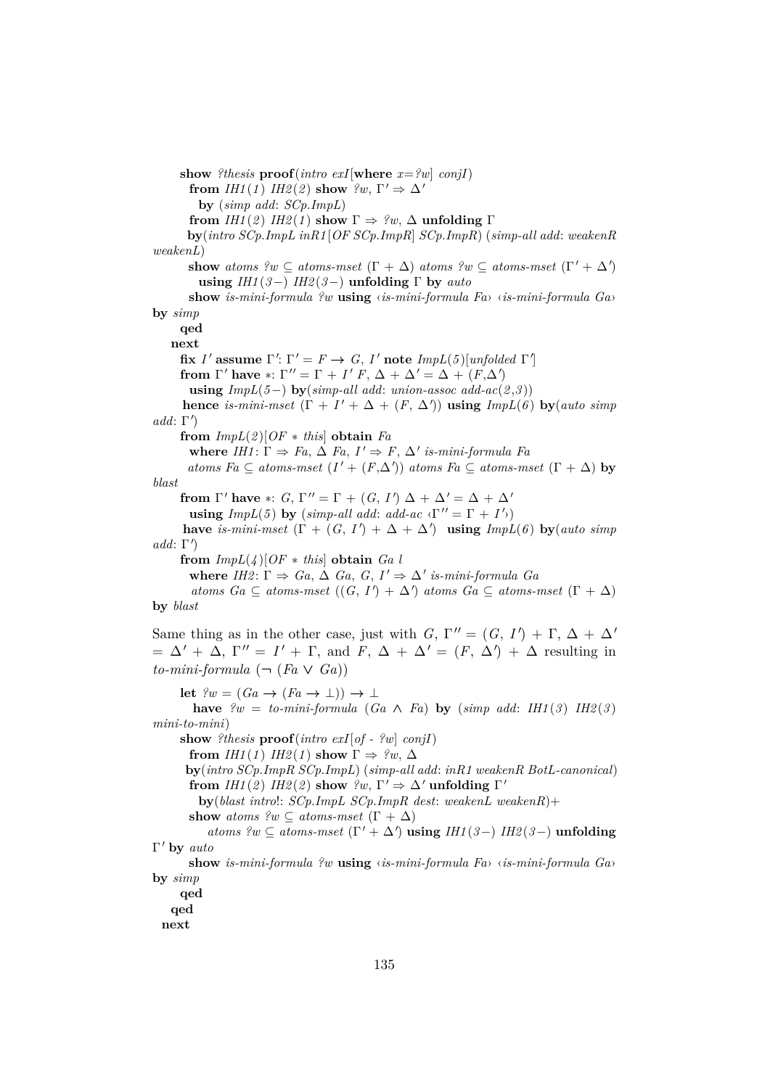**show** *?thesis* **proof**(*intro exI*[**where**  $x = ?w$ ] *conjI*) **from** *IH1*(*1*) *IH2*(*2*) **show**  $?w, \Gamma' \Rightarrow \Delta'$ **by** (*simp add*: *SCp*.*ImpL*) **from**  $IHI(2)$   $IH2(1)$  **show**  $\Gamma \Rightarrow ?w$ ,  $\Delta$  **unfolding**  $\Gamma$ **by**(*intro SCp*.*ImpL inR1* [*OF SCp*.*ImpR*] *SCp*.*ImpR*) (*simp-all add*: *weakenR weakenL*) **show** *atoms*  $?w \subseteq atoms-mset$  ( $\Gamma + \Delta$ ) *atoms*  $?w \subseteq atoms-mset$  ( $\Gamma' + \Delta'$ ) **using** *IH1* (*3*−) *IH2* (*3*−) **unfolding** Γ **by** *auto* **show** *is-mini-formula ?w* **using** ‹*is-mini-formula Fa*› ‹*is-mini-formula Ga*› **by** *simp* **qed next** fix *I'* assume  $\Gamma'$ :  $\Gamma' = F \rightarrow G$ , *I'* note *ImpL*(*5*)[*unfolded*  $\Gamma'$ ] **from**  $\Gamma'$  have  $*$ :  $\Gamma'' = \Gamma + I'$   $F$ ,  $\Delta + \Delta' = \Delta + (F \cdot \Delta')$ **using**  $ImpL(5-)$  **by**( $simp-all add: union-assoc add-ac(2,3))$ **hence** *is-mini-mset*  $(\Gamma + I' + \Delta + (F, \Delta'))$  **using**  $ImpL(6)$  **by**(*auto simp*  $add: \Gamma'$ **from**  $ImpL(2)[OF * this]$  **obtain**  $Fa$ **where**  $IHI: \Gamma \Rightarrow Fa, \Delta Fa, I' \Rightarrow F, \Delta'$  *is-mini-formula Fa*  $atoms \text{ } Fa \subseteq atoms-mset \text{ } (I' + (F,\Delta')) \text{ } atoms \text{ } Fa \subseteq atoms-mset \text{ } (\Gamma + \Delta) \text{ } by$ *blast* **from**  $\Gamma'$  have \*: *G*,  $\Gamma'' = \Gamma + (G, I') \Delta + \Delta' = \Delta + \Delta'$ **using**  $ImpL(5)$  by  $(simp-all add: add-ac \langle \Gamma'' = \Gamma + I' \rangle)$ **have** *is-mini-mset*  $(\Gamma + (G, I') + \Delta + \Delta')$  **using**  $ImpL(6)$  **by**(*auto simp*  $add: \Gamma'$ **from**  $ImpL(\lambda)$ [ $OF * this$ ] **obtain**  $Ga \lambda$ **where**  $IH2: \Gamma \Rightarrow Ga, \Delta Ga, G, I' \Rightarrow \Delta'$  *is-mini-formula Ga*  $atoms\ Ga \subseteq atoms\text{-}mset((G, I') + \Delta')\ atoms\ Ga \subseteq atoms\text{-}mset(\Gamma + \Delta)$ **by** *blast* Same thing as in the other case, just with  $G, \Gamma'' = (G, I') + \Gamma, \Delta + \Delta'$  $= \Delta' + \Delta$ ,  $\Gamma'' = I' + \Gamma$ , and  $F$ ,  $\Delta + \Delta' = (F, \Delta') + \Delta$  resulting in  $to-mini-formula$  ( $\neg$  (*Fa*  $\vee$  *Ga*)) **let**  $\ell w = (Ga \rightarrow (Fa \rightarrow \bot)) \rightarrow \bot$ **have**  $\mathcal{P}w = to-mini-formula$  ( $Ga \wedge Fa$ ) **by** ( $simp \text{ } add: \text{ } IHI(3) \text{ } IH2(3)$ ) *mini-to-mini*) **show** *?thesis* **proof**(*intro exI*[*of - ?w*] *conjI*) **from** *IH1*(*1*) *IH2*(*1*) **show**  $\Gamma \Rightarrow$  ?*w*,  $\Delta$ **by**(*intro SCp*.*ImpR SCp*.*ImpL*) (*simp-all add*: *inR1 weakenR BotL-canonical*) **from** *IH1*(2) *IH2*(2) **show**  $?w, \Gamma' \Rightarrow \Delta'$  **unfolding**  $\Gamma'$ **by**(*blast intro*!: *SCp*.*ImpL SCp*.*ImpR dest*: *weakenL weakenR*)+ **show** *atoms*  $?w \subseteq atoms\text{-}mset (\Gamma + \Delta)$  $atoms \ \n \mathscr{L} \subseteq atoms\text{-}mset (\Gamma' + \Delta') \text{ using } IHI(\beta-) \ IH2(\beta-) \text{ uniformly}$ Γ' by *auto* **show** *is-mini-formula ?w* **using** ‹*is-mini-formula Fa*› ‹*is-mini-formula Ga*› **by** *simp* **qed qed next**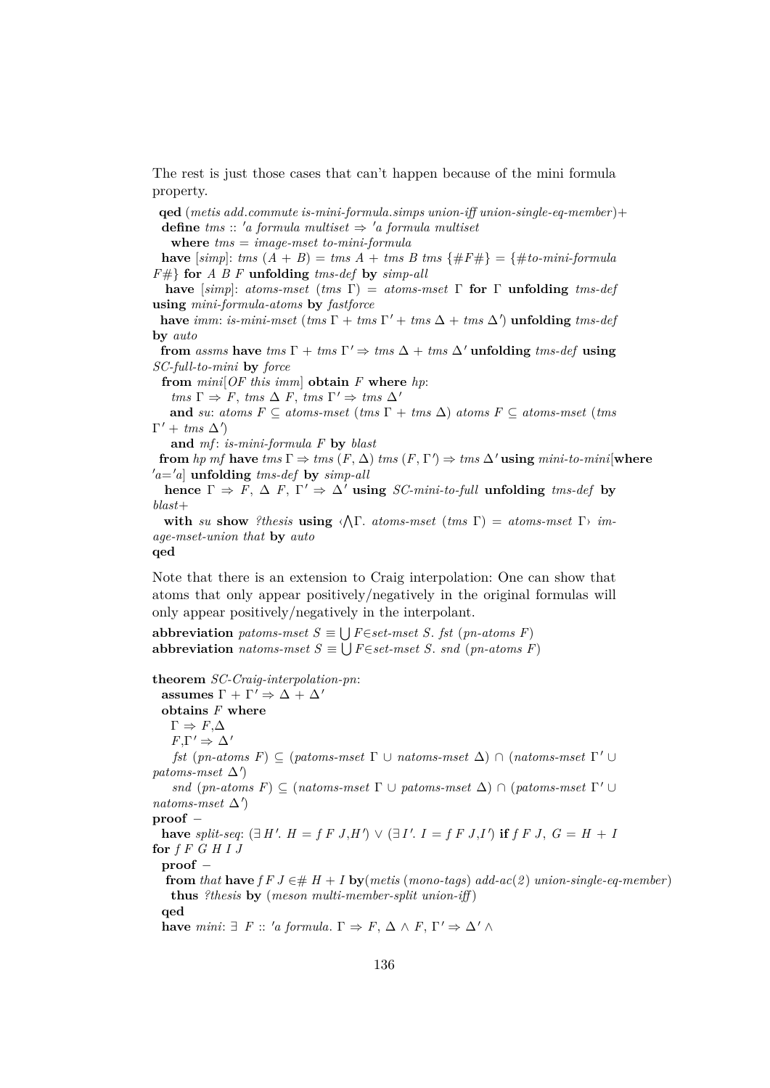The rest is just those cases that can't happen because of the mini formula property.

**qed** (*metis add*.*commute is-mini-formula*.*simps union-iff union-single-eq-member* )+ **define**  $tms :: 'a formula multiset \Rightarrow 'a formula multiset$ 

**where** *tms* = *image-mset to-mini-formula*

**have**  $[simp]: rms(A + B) = rms(A + tmsB)$  *tms*  $\{\#F\# \} = \{\#to-mini-formula$ *F*#} **for** *A B F* **unfolding** *tms-def* **by** *simp-all*

**have** [*simp*]: *atoms-mset* (*tms* Γ) = *atoms-mset* Γ **for** Γ **unfolding** *tms-def* **using** *mini-formula-atoms* **by** *fastforce*

**have** *imm*: *is-mini-mset* (*tms*  $\Gamma$  + *tms*  $\Gamma'$  + *tms*  $\Delta$  + *tms*  $\Delta'$ ) **unfolding** *tms-def* **by** *auto*

**from** *assms* **have**  $\text{tms } \Gamma + \text{tms } \Gamma' \Rightarrow \text{tms } \Delta + \text{tms } \Delta'$  **unfolding**  $\text{tms-def}$  **using** *SC-full-to-mini* **by** *force*

**from** *mini*[*OF this imm*] **obtain** *F* **where** *hp*:

 $tms \Gamma \Rightarrow F, \, \textit{tms } \Delta \, F, \, \textit{tms } \Gamma' \Rightarrow \, \textit{tms } \Delta'$ 

**and** *su*: *atoms F*  $\subseteq$  *atoms-mset* (*tms*  $\Gamma$  + *tms*  $\Delta$ ) *atoms F*  $\subseteq$  *atoms-mset* (*tms*  $\Gamma' + \textit{tms } \Delta'$ 

**and** *mf* : *is-mini-formula F* **by** *blast*

**from** *hp mf* **have**  $tms \Gamma \Rightarrow \text{tms } (F, \Delta) \text{ } \text{tms } (F, \Gamma') \Rightarrow \text{tms } \Delta' \text{ using } \text{mini-to-mini}[\textbf{where}$  $a = a$  unfolding *tms-def* by *simp-all* 

**hence**  $\Gamma \Rightarrow F$ ,  $\Delta F$ ,  $\Gamma' \Rightarrow \Delta'$  **using** *SC-mini-to-full* **unfolding** *tms-def* **by** *blast*+

with *su* show *?thesis* **using**  $\langle \Lambda \Gamma \rangle$  *atoms-mset* (*tms*  $\Gamma$ ) = *atoms-mset*  $\Gamma$ *) image-mset-union that* **by** *auto*

## **qed**

Note that there is an extension to Craig interpolation: One can show that atoms that only appear positively/negatively in the original formulas will only appear positively/negatively in the interpolant.

**abbreviation** *patoms-mset*  $S \equiv \bigcup F \in set-mset$  *S. fst* (*pn-atoms F*) **abbreviation** *natoms-mset*  $S \equiv \bigcup F \in set-mset S$ . *snd* (*pn-atoms F*)

**theorem** *SC-Craig-interpolation-pn*:

 $\textbf{assumes}~\Gamma + \Gamma' \Rightarrow \Delta + \Delta'$ **obtains** *F* **where**  $\Gamma \Rightarrow F, \Delta$  $F,\Gamma' \Rightarrow \Delta'$ *fst* (*pn-atoms F*)  $\subseteq$  (*patoms-mset*  $\Gamma \cup$  *natoms-mset*  $\Delta$ )  $\cap$  (*natoms-mset*  $\Gamma' \cup$  $patoms-mset \Delta'$ *snd* (*pn-atoms F*)  $\subseteq$  (*natoms-mset*  $\Gamma \cup$  *patoms-mset*  $\Delta$ )  $\cap$  (*patoms-mset*  $\Gamma' \cup$  $natoms-mset \Delta'$ **proof** − have *split-seq*:  $(\exists H'. H = f F J, H') \vee (\exists I'. I = f F J, I')$  if  $f F J, G = H + I$ **for** *f F G H I J* **proof** − **from** that **have**  $f \in J \in H$  + *I* **by**(*metis* (*mono-tags*) *add-ac*(*2*) *union-single-eq-member*)

**thus** *?thesis* **by** (*meson multi-member-split union-iff* ) **qed**

**have** *mini*:  $\exists$  *F* :: '*a formula*.  $\Gamma \Rightarrow F$ ,  $\Delta \wedge F$ ,  $\Gamma' \Rightarrow \Delta' \wedge F$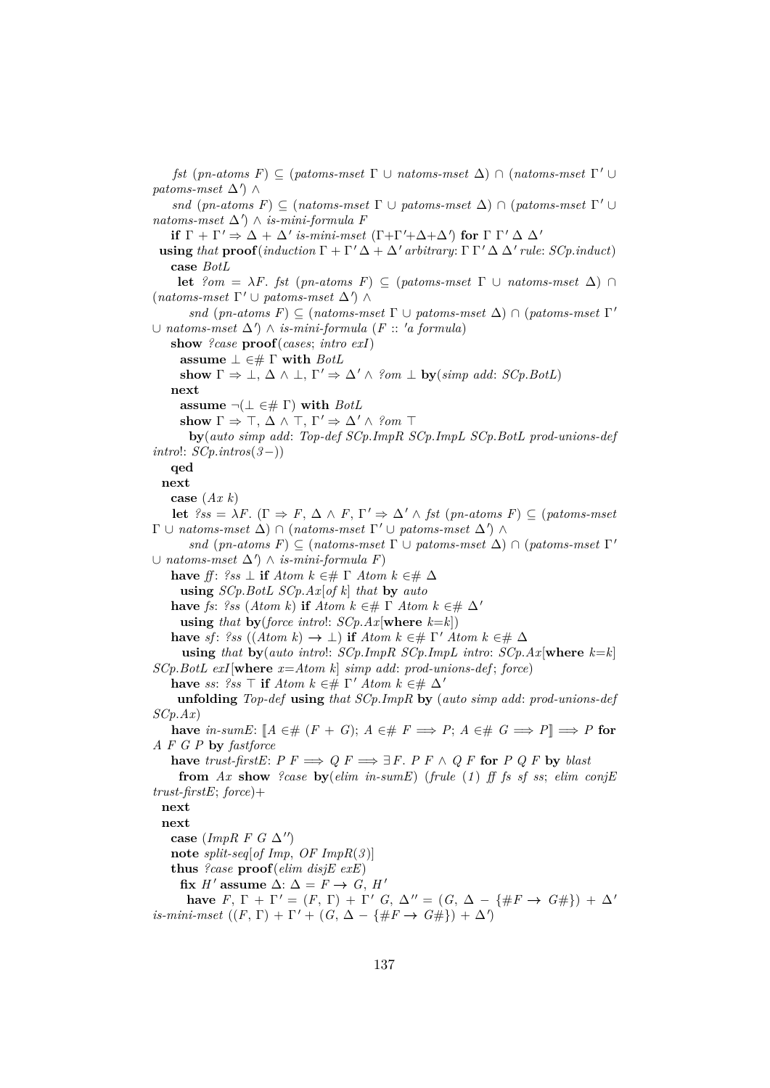*fst* (*pn-atoms F*)  $\subseteq$  (*patoms-mset*  $\Gamma \cup$  *natoms-mset*  $\Delta$ )  $\cap$  (*natoms-mset*  $\Gamma' \cup$  $patoms-mset \Delta'$ ) ∧ *snd* (*pn-atoms F*)  $\subseteq$  (*natoms-mset*  $\Gamma \cup$  *patoms-mset*  $\Delta$ )  $\cap$  (*patoms-mset*  $\Gamma' \cup$  $natoms-mset \Delta'$   $\wedge$  *is-mini-formula F* **if**  $\Gamma + \Gamma' \Rightarrow \Delta + \Delta'$  is-mini-mset  $(\Gamma + \Gamma' + \Delta + \Delta')$  for  $\Gamma \Gamma' \Delta \Delta'$ **using** *that*  $\textbf{proof}(\textit{induction}\Gamma + \Gamma' \Delta + \Delta' \textit{arbitrary}: \Gamma \Gamma' \Delta \Delta' \textit{rule}: \textit{SCp.index}$ **case** *BotL* **let**  $?om = \lambda F$ . *fst* (*pn-atoms F*) ⊆ (*patoms-mset*  $\Gamma \cup$  *natoms-mset*  $\Delta$ ) ∩  $(natoms-mset \Gamma' \cup patoms-mset \Delta') \wedge$ *snd* (*pn-atoms F*)  $\subseteq$  (*natoms-mset*  $\Gamma \cup$  *patoms-mset*  $\Delta$ )  $\cap$  (*patoms-mset*  $\Gamma'$ ∪ *natoms-mset*  $\Delta'$ )  $\wedge$  *is-mini-formula* (*F* :: '*a formula*) **show** *?case* **proof**(*cases*; *intro exI*) **assume** ⊥ ∈# Γ **with** *BotL* **show**  $\Gamma \Rightarrow \bot$ ,  $\Delta \wedge \bot$ ,  $\Gamma' \Rightarrow \Delta' \wedge \text{?} om \perp$  **by**(*simp add: SCp.BotL*) **next assume**  $\neg(\bot \in \# \Gamma)$  with *BotL* show  $\Gamma \Rightarrow \top, \Delta \wedge \top, \Gamma' \Rightarrow \Delta' \wedge ?$ om  $\top$ **by**(*auto simp add*: *Top-def SCp*.*ImpR SCp*.*ImpL SCp*.*BotL prod-unions-def intro*!: *SCp*.*intros*(*3*−)) **qed next case** (*Ax k*) **let**  $?ss = \lambda F$ . ( $\Gamma \Rightarrow F$ ,  $\Delta \wedge F$ ,  $\Gamma' \Rightarrow \Delta' \wedge \text{fst}$  (*pn-atoms F*)  $\subseteq$  (*patoms-mset*  $\Gamma \cup$  *natoms-mset*  $\Delta$ )  $\cap$  (*natoms-mset*  $\Gamma' \cup$  *patoms-mset*  $\Delta'$ )  $\wedge$ *snd* (*pn-atoms F*)  $\subseteq$  (*natoms-mset*  $\Gamma \cup$  *patoms-mset*  $\Delta$ )  $\cap$  (*patoms-mset*  $\Gamma'$ ∪ *natoms-mset* ∆<sup>0</sup> ) ∧ *is-mini-formula F*) **have** *ff*:  $?ss \perp$  **if**  $Atom \; k \in \mathcal{H}$  **T**  $Atom \; k \in \mathcal{H}$   $\Delta$ **using** *SCp*.*BotL SCp*.*Ax*[*of k*] *that* **by** *auto* **have** *fs*: *?ss* (*Atom k*) **if** *Atom k* ∈#  $\Gamma$  *Atom k* ∈#  $\Delta'$ **using** *that* **by**(*force introl:*  $SCp.Ax$ [**where**  $k=k$ ]) **have** *sf*: *?ss* ((*Atom k*)  $\rightarrow \bot$ ) **if** *Atom k* ∈#  $\Gamma'$  *Atom k* ∈#  $\Delta$ **using** *that* **by**(*auto intro*!: *SCp*.*ImpR SCp*.*ImpL intro*: *SCp*.*Ax*[**where** *k*=*k*] *SCp*.*BotL exI*[**where** *x*=*Atom k*] *simp add*: *prod-unions-def* ; *force*) **have** *ss*:  $?ss \top$  **if**  $Atom \& \in \# \Gamma'$   $Atom \& \in \# \Delta'$ **unfolding** *Top-def* **using** *that SCp*.*ImpR* **by** (*auto simp add*: *prod-unions-def SCp*.*Ax*) **have** *in-sumE*:  $[A \in \mathcal{H}$   $(F + G); A \in \mathcal{H}$   $F \implies P; A \in \mathcal{H}$   $G \implies P$  for *A F G P* **by** *fastforce* **have** *trust-firstE*:  $P F \implies Q F \implies \exists F. P F \land Q F$  for  $P Q F$  by *blast* **from** *Ax* **show** *?case* **by**(*elim in-sumE*) (*frule* (*1* ) *ff fs sf ss*; *elim conjE trust-firstE*; *force*)+ **next next case** (*ImpR F G*  $\Delta'$ ) **note** *split-seq*[*of Imp*, *OF ImpR*(*3* )] **thus** *?case* **proof**(*elim disjE exE*) fix *H'* assume  $\Delta$ :  $\Delta = F \rightarrow G$ , *H'* **have**  $F, \Gamma + \Gamma' = (F, \Gamma) + \Gamma'$   $G, \Delta'' = (G, \Delta - \{\#F \rightarrow G\# \}) + \Delta'$  $is-minimset((F, \Gamma) + \Gamma' + (G, \Delta - \{\#F \rightarrow G\# \}) + \Delta')$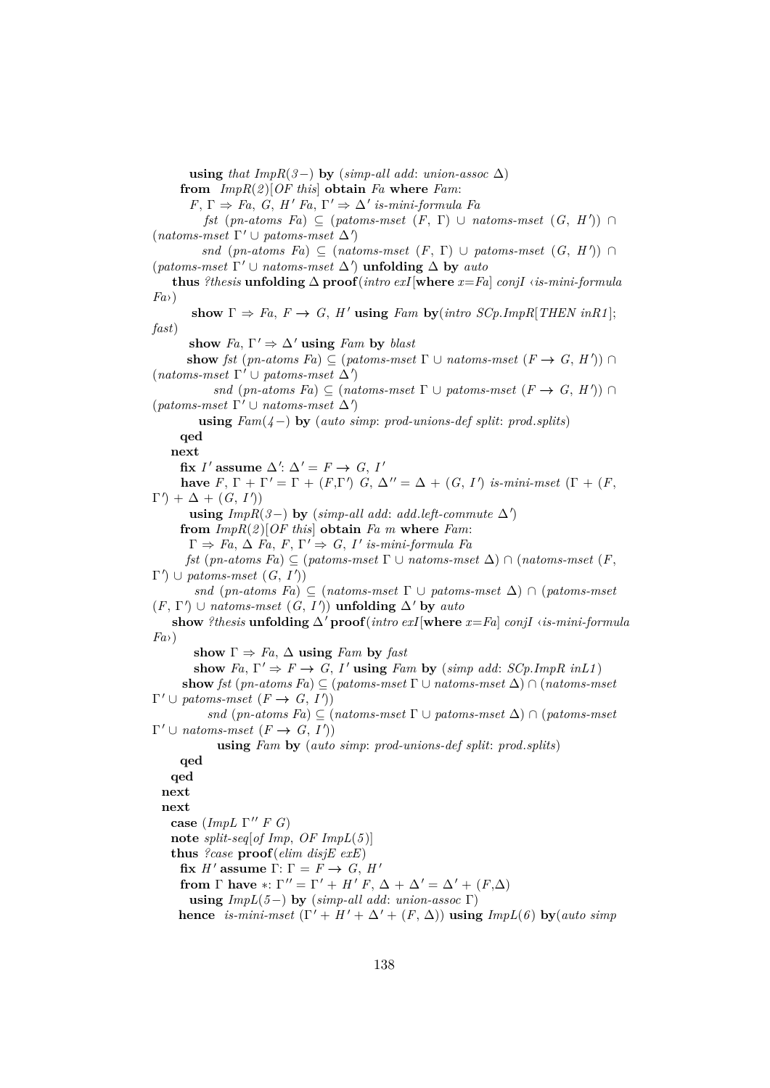**using** *that*  $ImpR(3-)$  **by** ( $simp-all add: union-assoc \Delta$ )

**from** *ImpR*(*2* )[*OF this*] **obtain** *Fa* **where** *Fam*:

 $F, \Gamma \Rightarrow Fa, G, H' Fa, \Gamma' \Rightarrow \Delta'$  *is-mini-formula Fa* 

*fst* (*pn-atoms Fa*)  $\subseteq$  (*patoms-mset* (*F*,  $\Gamma$ ) ∪ *natoms-mset* (*G*, *H*')) ∩  $(natoms-mset \space \Gamma' \cup \textit{patoms-mset} \space \Delta')$ 

*snd* (*pn-atoms Fa*)  $\subseteq$  (*natoms-mset* (*F*,  $\Gamma$ ) ∪ *patoms-mset* (*G*, *H*')) ∩ (*patoms-mset*  $\Gamma' \cup$  *natoms-mset*  $\Delta'$ ) **unfolding**  $\Delta$  **by** *auto* 

**thus** *?thesis* **unfolding**  $\Delta$  **proof**(*intro exI*[**where**  $x=Fa$ ] *conjI ∢is-mini-formula Fa*›)

show  $\Gamma \Rightarrow Fa$ ,  $F \rightarrow G$ ,  $H'$  using  $Fam$  by $(intro$  *SCp.ImpR*[*THEN inR1*]; *fast*)

show  $Fa$ ,  $\Gamma' \Rightarrow \Delta'$  **using** *Fam* by *blast* 

**show** *fst* (*pn-atoms Fa*)  $\subseteq$  (*patoms-mset*  $\Gamma \cup$  *natoms-mset* ( $F \to G, H'$ )) ∩  $(natoms-mset \space \Gamma' \cup \textit{patoms-mset} \space \Delta')$ 

*snd* (*pn-atoms Fa*)  $\subseteq$  (*natoms-mset*  $\Gamma \cup$  *patoms-mset* (*F*  $\rightarrow$  *G*, *H*')) ∩  $(paths-mset \Gamma' \cup natoms-mset \Delta')$ 

**using** *Fam*(*4*−) **by** (*auto simp*: *prod-unions-def split*: *prod*.*splits*)

**qed**

**next**

fix *I'* assume  $\Delta'$ :  $\Delta' = F \rightarrow G$ , *I'* 

**have**  $F, \Gamma + \Gamma' = \Gamma + (F, \Gamma')$   $G, \Delta'' = \Delta + (G, I')$  *is-mini-mset*  $(\Gamma + (F, \Gamma'))$  $\Gamma'$  +  $\Delta$  +  $(G, I')$ 

**using**  $ImpR(3-)$  **by** ( $simp-all add: add.left-commute \Delta'$ )

**from** *ImpR*(*2* )[*OF this*] **obtain** *Fa m* **where** *Fam*:

 $\Gamma \Rightarrow Fa, \Delta Fa, F, \Gamma' \Rightarrow G, I'$  *is-mini-formula Fa* 

*fst* (*pn-atoms Fa*) ⊆ (*patoms-mset* Γ ∪ *natoms-mset* ∆) ∩ (*natoms-mset* (*F*,  $\Gamma'$   $\cup$  *patoms-mset*  $(G, I')$ 

*snd* (*pn-atoms Fa*) ⊆ (*natoms-mset* Γ ∪ *patoms-mset* ∆) ∩ (*patoms-mset*  $(F, \Gamma') \cup$  *natoms-mset*  $(G, I')$  **unfolding**  $\Delta'$  by *auto* 

**show** *?thesis* **unfolding**  $\Delta'$  **proof**(*intro exI*[**where**  $x = Fa$ ] *conjI* ‹*is-mini-formula Fa*›)

show  $\Gamma \Rightarrow Fa$ ,  $\Delta$  **using** *Fam* by *fast* 

show  $Fa, \Gamma' \Rightarrow F \rightarrow G, I'$  using  $Fam$  by  $(simp \ add: SCp. ImpR \ in L1)$ 

**show** *fst* (*pn-atoms Fa*)  $\subseteq$  (*patoms-mset*  $\Gamma$   $\cup$  *natoms-mset*  $\Delta$ )  $\cap$  (*natoms-mset*  $\Gamma' \cup$  patoms-mset  $(F \to G, I')$ 

*snd* (*pn-atoms Fa*) ⊆ (*natoms-mset* Γ ∪ *patoms-mset* ∆) ∩ (*patoms-mset*  $\Gamma' \cup$  *natoms-mset*  $(F \to G, I')$ 

```
using Fam by (auto simp: prod-unions-def split: prod.splits)
```

```
qed
```
**qed**

**next next**

**case** (*ImpL*  $\Gamma''$  *F G*) **note** *split-seq*[*of Imp*, *OF ImpL*(*5* )]

**thus** *?case* **proof**(*elim disjE exE*)

**fix** *H'* assume  $\Gamma: \Gamma = F \rightarrow G, H'$ 

**from**  $\Gamma$  **have** \*:  $\Gamma'' = \Gamma' + H'F$ ,  $\Delta + \Delta' = \Delta' + (F \cdot \Delta)$ 

**using** *ImpL*(*5*−) **by** (*simp-all add*: *union-assoc* Γ)

**hence** *is-mini-mset*  $(\Gamma' + H' + \Delta' + (F, \Delta))$  **using**  $ImpL(6)$  **by**(*auto simp*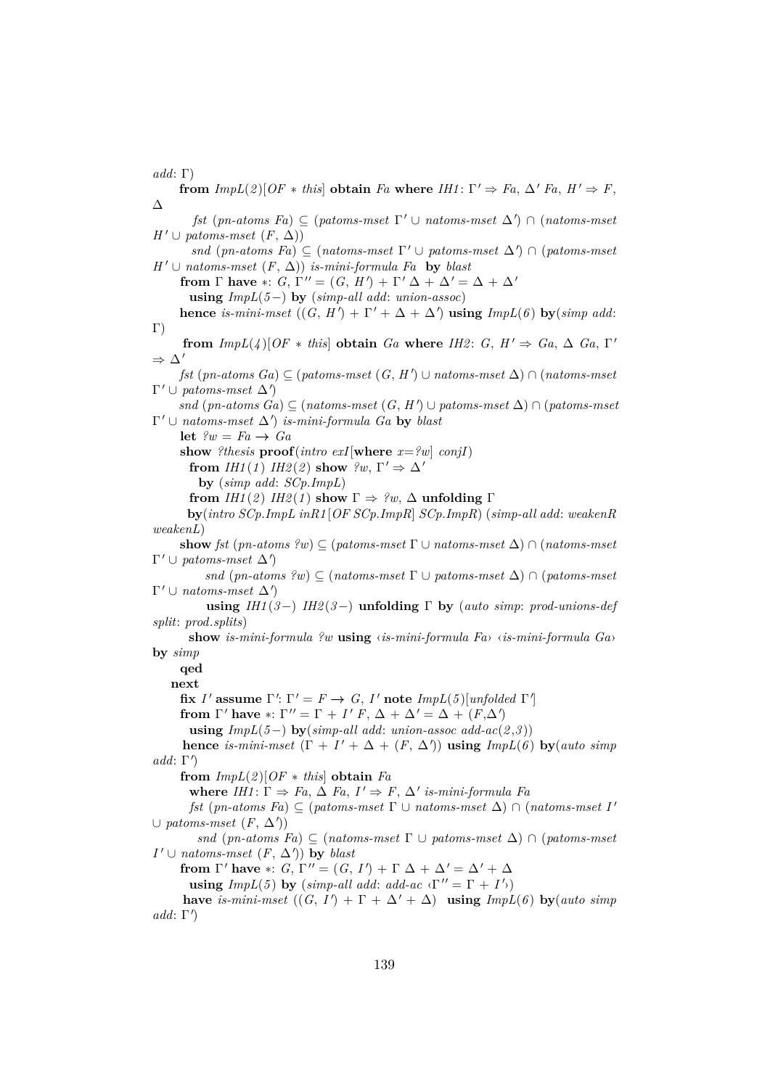*add*: Γ)

**from**  $ImpL(2)[OF * this]$  **obtain** *Fa* **where**  $IHI: \Gamma' \Rightarrow Fa$ ,  $\Delta' Fa$ ,  $H' \Rightarrow F$ , ∆  $f$ st ( $pn\text{-}atoms\ F$ a)  $\subseteq$  ( $patoms\text{-}mset\ \Gamma' \cup \mathit{natoms\text{-}mset\ \Delta'}$ )  $\cap$  ( $natoms\text{-}mset$ *H*<sup> $′$ </sup>∪ *patoms-mset* (*F*,  $\Delta$ )) *snd* (*pn-atoms Fa*)  $\subseteq$  (*natoms-mset*  $\Gamma' \cup$  *patoms-mset*  $\Delta'$ )  $\cap$  (*patoms-mset*  $H' \cup$  *natoms-mset*  $(F, \Delta)$ *) is-mini-formula Fa* **by** *blast* **from**  $\Gamma$  **have** \*:  $G, \Gamma'' = (G, H') + \Gamma' \Delta + \Delta' = \Delta + \Delta'$ **using** *ImpL*(*5*−) **by** (*simp-all add*: *union-assoc*) **hence** *is-mini-mset*  $((G, H') + \Gamma' + \Delta + \Delta')$  **using**  $ImpL(6)$  **by**(*simp add*:  $\Gamma$ ) **from**  $ImpL(4)[OF * this]$  **obtain**  $Ga$  **where**  $IH2: G, H' \Rightarrow Ga, \Delta Ga, \Gamma'$  $\Rightarrow \Delta'$  $f$ st ( $pn\text{-}atoms\ G$ *a*) ⊆ ( $patoms\text{-}mset(G, H')$  ∪  $natoms\text{-}mset$  △) ∩ ( $natoms\text{-}mset$  $\Gamma' \cup$  patoms-mset  $\Delta'$ )  $snd$  ( $pn-atoms$   $Ga$ )  $\subseteq$  ( $natoms-mset$  ( $G$ ,  $H'$ )  $\cup$   $patoms-mset$   $\Delta$ )  $\cap$  ( $patoms-mset$  $\Gamma' \cup$  *natoms-mset*  $\Delta'$ *) is-mini-formula Ga* by *blast* **let**  $\ell w = Fa \rightarrow Ga$ **show** *?thesis*  $\textbf{proof}(\textit{intro exI}[\textbf{where } x = ?w] \textit{conjI})$ **from** *IH1*(*1*) *IH2*(*2*) **show**  $?w, \Gamma' \Rightarrow \Delta'$ **by** (*simp add*: *SCp*.*ImpL*) **from** *IH1*(2) *IH2*(1) **show**  $\Gamma \Rightarrow$  ?w,  $\Delta$  **unfolding**  $\Gamma$ **by**(*intro SCp*.*ImpL inR1* [*OF SCp*.*ImpR*] *SCp*.*ImpR*) (*simp-all add*: *weakenR weakenL*) **show** *fst* (*pn-atoms ?w*)  $\subseteq$  (*patoms-mset*  $\Gamma \cup$  *natoms-mset*  $\Delta$ )  $\cap$  (*natoms-mset*  $\Gamma' \cup$  patoms-mset  $\Delta'$ *snd* (*pn-atoms ?w*) ⊂ (*natoms-mset*  $\Gamma$  ∪ *patoms-mset*  $\Delta$ ) ∩ (*patoms-mset*  $\Gamma' \cup$  *natoms-mset*  $\Delta'$ **using** *IH1* (*3*−) *IH2* (*3*−) **unfolding** Γ **by** (*auto simp*: *prod-unions-def split*: *prod*.*splits*) **show** *is-mini-formula ?w* **using** ‹*is-mini-formula Fa*› ‹*is-mini-formula Ga*› **by** *simp* **qed next fix** *I'* assume Γ': Γ' =  $F \rightarrow G$ , *I'* note *ImpL*(*5*)[*unfolded* Γ'] **from**  $\Gamma'$  have \*:  $\Gamma'' = \Gamma + I' F$ ,  $\Delta + \Delta' = \Delta + (F, \Delta')$ **using**  $ImpL(5-)$  **by**( $simp-all add: union-assoc add-ac(2,3))$ **hence** *is-mini-mset*  $(\Gamma + I' + \Delta + (F, \Delta'))$  **using**  $ImpL(6)$  **by**(*auto simp*  $add: \Gamma'$ **from**  $ImpL(2)[OF * this]$  **obtain**  $Fa$ **where**  $IHI: \Gamma \Rightarrow Fa, \Delta Fa, I' \Rightarrow F, \Delta'$  *is-mini-formula Fa fst* (*pn-atoms Fa*)  $\subseteq$  (*patoms-mset*  $\Gamma \cup$  *natoms-mset*  $\Delta$ )  $\cap$  (*natoms-mset* I'  $\cup$  patoms-mset  $(F, \Delta')$ *snd* (*pn-atoms Fa*) ⊂ (*natoms-mset*  $\Gamma$  ∪ *patoms-mset*  $\Delta$ ) ∩ (*patoms-mset*  $I' \cup$  *natoms-mset*  $(F, \Delta')$  **by** *blast* **from**  $\Gamma'$  have \*: *G*,  $\Gamma'' = (G, I') + \Gamma \Delta + \Delta' = \Delta' + \Delta$ **using**  $ImpL(5)$  by  $(\text{simp-all add: add-ac } \langle \Gamma'' = \Gamma + I' \rangle)$ **have** *is-mini-mset*  $((G, I') + \Gamma + \Delta' + \Delta)$  **using**  $ImpL(6)$  **by**(*auto simp*  $add: \Gamma'$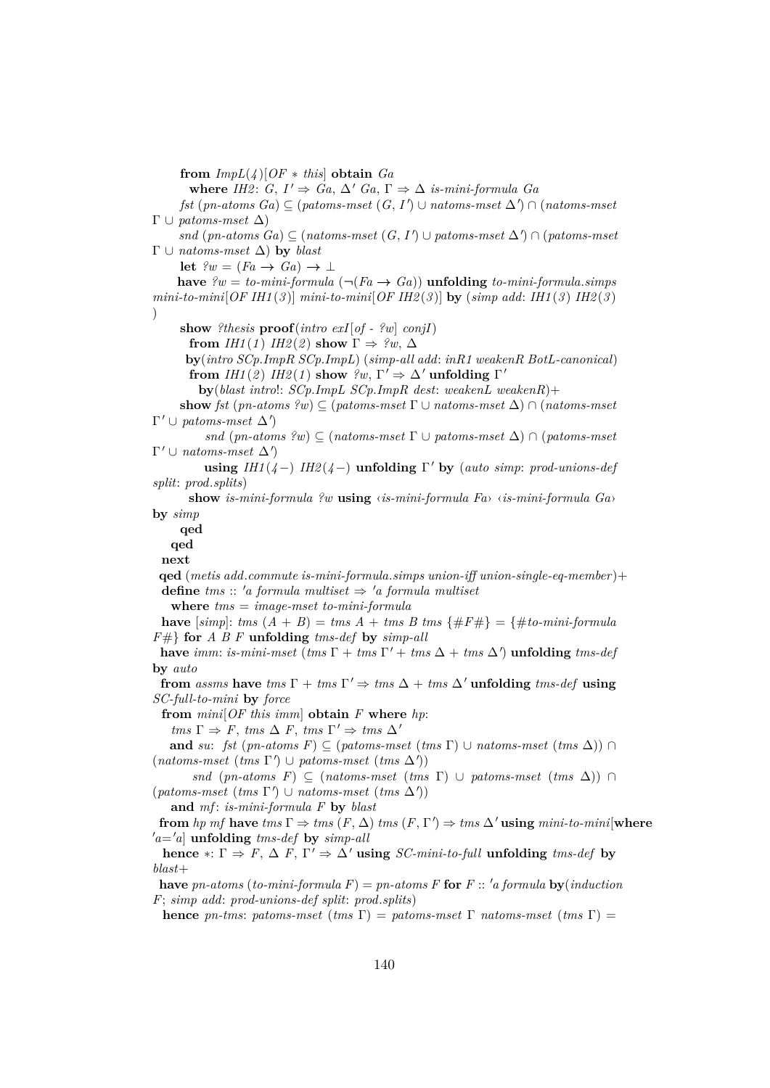**from**  $ImpL(4)$ [ $OF * this$ ] **obtain**  $Ga$ 

**where** *IH2*: *G*,  $I' \Rightarrow Ga, \Delta' Ga, \Gamma \Rightarrow \Delta$  *is-mini-formula Ga* 

 $f$ st ( $pn\text{-}atoms\ G$ *a*) $\subseteq$  ( $patoms\text{-}mset(G, I') \cup natoms\text{-}mset \Delta'$ ) ∩ ( $natoms\text{-}mset$ Γ ∪ *patoms-mset* ∆)

 $snd$  ( $pn-atoms$   $Ga$ ) ⊆ ( $natoms-mset$   $(G, I')$  ∪  $patoms-mset$   $\Delta'$ ) ∩ ( $patoms-mset$ Γ ∪ *natoms-mset* ∆) **by** *blast*

**let**  $\ell w = (Fa \rightarrow Ga) \rightarrow \bot$ 

**have**  $\ell w = to$ -mini-formula ( $\neg (Fa \rightarrow Ga)$ ) **unfolding** to-mini-formula.*simps mini-to-mini*[*OF IH1* (*3* )] *mini-to-mini*[*OF IH2* (*3* )] **by** (*simp add*: *IH1* (*3* ) *IH2* (*3* ) )

**show** *?thesis* **proof**(*intro exI*[*of - ?w*] *conjI*)

**from** *IH1*(*1*) *IH2*(*2*) **show**  $\Gamma \Rightarrow ?w$ ,  $\Delta$ 

**by**(*intro SCp*.*ImpR SCp*.*ImpL*) (*simp-all add*: *inR1 weakenR BotL-canonical*) **from** *IH1*(2) *IH2*(*1*) **show**  $?w, \Gamma' \Rightarrow \Delta'$  **unfolding**  $\Gamma'$ 

**by**(*blast intro*!: *SCp*.*ImpL SCp*.*ImpR dest*: *weakenL weakenR*)+

**show** *fst* (*pn-atoms ?w*) ⊆ (*patoms-mset* Γ ∪ *natoms-mset* ∆) ∩ (*natoms-mset*  $\Gamma' \cup$  patoms-mset  $\Delta'$ 

*snd* (*pn-atoms ?w*)  $\subseteq$  (*natoms-mset*  $\Gamma \cup$  *patoms-mset*  $\Delta$ )  $\cap$  (*patoms-mset*  $\Gamma' \cup$  *natoms-mset*  $\Delta'$ 

**using**  $IHI(4-)$   $IH2(4-)$  **unfolding**  $\Gamma'$  **by** (*auto simp*: *prod-unions-def split*: *prod*.*splits*)

**show** *is-mini-formula ?w* **using** ‹*is-mini-formula Fa*› ‹*is-mini-formula Ga*› **by** *simp*

**qed**

**qed**

**next**

**qed** (*metis add*.*commute is-mini-formula*.*simps union-iff union-single-eq-member* )+ **define**  $tms :: 'a$  formula multiset  $\Rightarrow 'a$  formula multiset

**where** *tms* = *image-mset to-mini-formula*

**have**  $[simp]:$  *tms*  $(A + B) = \text{tms } A + \text{tms } B \text{ tms } \{ \#F \# \} = \{ \# \text{to-mini-formula}$ *F*#} **for** *A B F* **unfolding** *tms-def* **by** *simp-all*

**have** *imm*: *is-mini-mset* (*tms*  $\Gamma$  + *tms*  $\Gamma'$  + *tms*  $\Delta$  + *tms*  $\Delta'$ ) **unfolding** *tms-def* **by** *auto*

**from** *assms* **have**  $\text{tms } \Gamma + \text{tms } \Gamma' \Rightarrow \text{tms } \Delta + \text{tms } \Delta'$  **unfolding**  $\text{tms-def}$  **using** *SC-full-to-mini* **by** *force*

**from** *mini*[*OF this imm*] **obtain** *F* **where** *hp*:

 $tms \Gamma \Rightarrow F, \, \textit{tms } \Delta \, F, \, \textit{tms } \Gamma' \Rightarrow \, \textit{tms } \Delta'$ 

**and** *su*: *fst* (*pn-atoms F*)  $\subseteq$  (*patoms-mset* (*tms*  $\Gamma$ ) ∪ *natoms-mset* (*tms*  $\Delta$ )) ∩  $(natoms\text{-}mset (tms\Gamma') \cup patoms\text{-}mset (tms\Delta'))$ 

*snd* (*pn-atoms F*)  $\subseteq$  (*natoms-mset* (*tms*  $\Gamma$ ) ∪ *patoms-mset* (*tms*  $\Delta$ )) ∩  $(paths-mset (tms \Gamma') \cup natoms-mset (tms \Delta'))$ 

**and** *mf* : *is-mini-formula F* **by** *blast*

**from** *hp mf* **have**  $tms \Gamma \Rightarrow \text{tms } (F, \Delta) \text{ } \text{tms } (F, \Gamma') \Rightarrow \text{tms } \Delta' \text{ using } \text{mini-to-mini}[\textbf{where}$  $a^{\prime}a=\alpha$  unfolding *tms-def* by *simp-all* 

**hence**  $* : \Gamma \Rightarrow F, \Delta F, \Gamma' \Rightarrow \Delta'$  **using** *SC-mini-to-full* **unfolding** *tms-def* **by** *blast*+

**have**  $pn\text{-}atoms$  ( $to\text{-}min\text{-}formula F$ ) =  $pn\text{-}atoms F$  **for**  $F$  ::  $'a$  formula  $\mathbf{bv}(induction)$ *F*; *simp add*: *prod-unions-def split*: *prod*.*splits*)

**hence** *pn-tms*: *patoms-mset* (*tms*  $\Gamma$ ) = *patoms-mset*  $\Gamma$  *natoms-mset* (*tms*  $\Gamma$ ) =